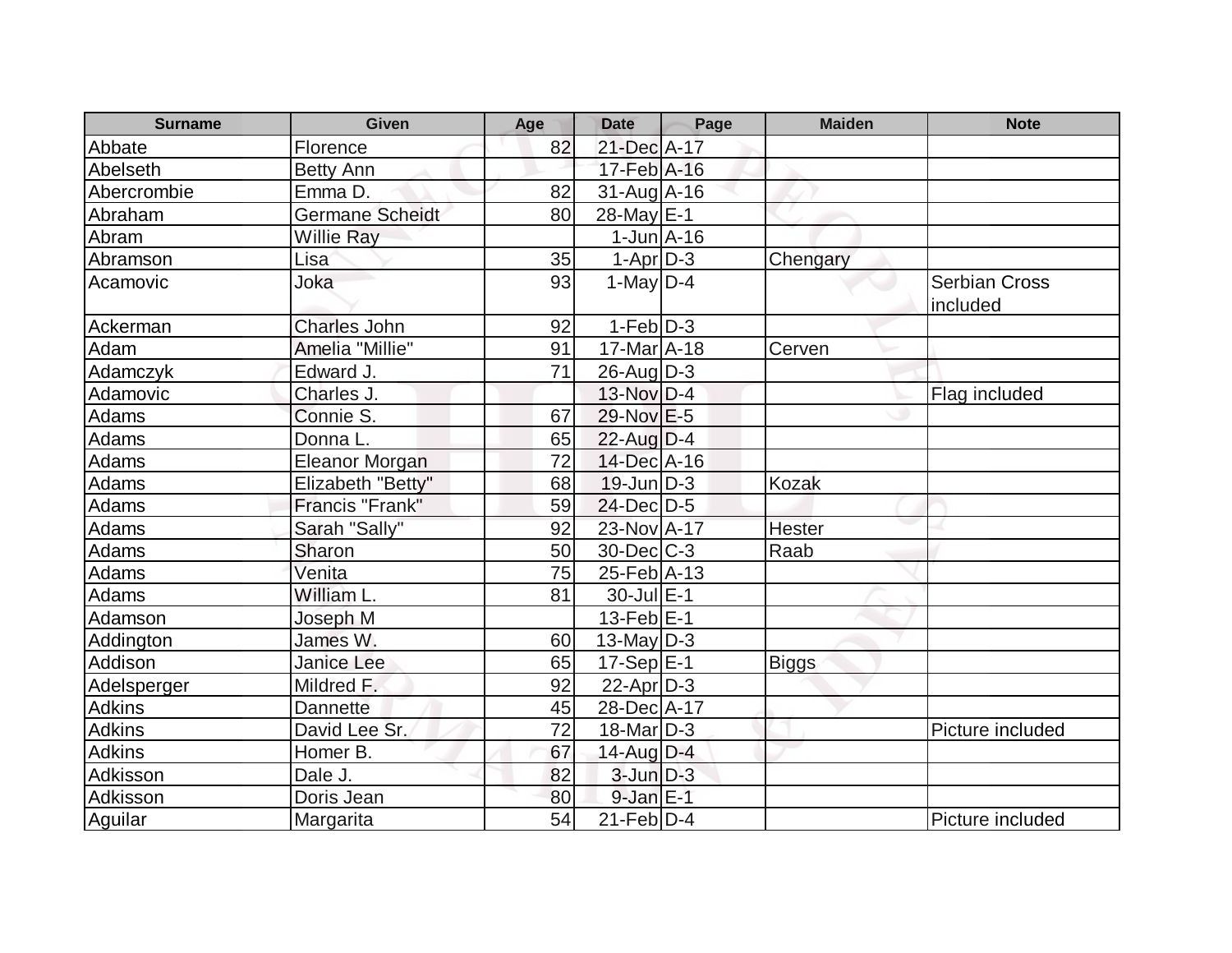| <b>Surname</b> | <b>Given</b>        | Age | <b>Date</b>                 | Page | <b>Maiden</b> | <b>Note</b>                      |
|----------------|---------------------|-----|-----------------------------|------|---------------|----------------------------------|
| Abbate         | Florence            | 82  | 21-Dec A-17                 |      |               |                                  |
| Abelseth       | <b>Betty Ann</b>    |     | 17-Feb A-16                 |      |               |                                  |
| Abercrombie    | Emma D.             | 82  | $31$ -Aug $A$ -16           |      |               |                                  |
| Abraham        | Germane Scheidt     | 80  | 28-May E-1                  |      |               |                                  |
| Abram          | <b>Willie Ray</b>   |     | $1$ -Jun $A$ -16            |      |               |                                  |
| Abramson       | Lisa                | 35  | $1-Apr$ D-3                 |      | Chengary      |                                  |
| Acamovic       | Joka                | 93  | $1-May D-4$                 |      |               | <b>Serbian Cross</b><br>included |
| Ackerman       | <b>Charles John</b> | 92  | $1-Feb D-3$                 |      |               |                                  |
| Adam           | Amelia "Millie"     | 91  | $17$ -Mar $A$ -18           |      | Cerven        |                                  |
| Adamczyk       | Edward J.           | 71  | $26$ -AugD-3                |      |               |                                  |
| Adamovic       | Charles J.          |     | 13-Nov $D-4$                |      |               | Flag included                    |
| Adams          | Connie S.           | 67  | 29-Nov E-5                  |      |               |                                  |
| Adams          | Donna L.            | 65  | $22$ -Aug $D-4$             |      |               |                                  |
| Adams          | Eleanor Morgan      | 72  | 14-Dec A-16                 |      |               |                                  |
| Adams          | Elizabeth "Betty"   | 68  | $19$ -Jun $D-3$             |      | <b>Kozak</b>  |                                  |
| Adams          | Francis "Frank"     | 59  | $24$ -Dec $D-5$             |      |               |                                  |
| Adams          | Sarah "Sally"       | 92  | 23-Nov A-17                 |      | Hester        |                                  |
| Adams          | Sharon              | 50  | $30$ -Dec $C-3$             |      | Raab          |                                  |
| Adams          | Venita              | 75  | $25$ -Feb $ A-13$           |      |               |                                  |
| Adams          | William L.          | 81  | 30-Jul E-1                  |      |               |                                  |
| Adamson        | Joseph M            |     | $13$ -Feb $E-1$             |      |               |                                  |
| Addington      | James W.            | 60  | $13$ -May D-3               |      |               |                                  |
| Addison        | Janice Lee          | 65  | $17-Sep$ E-1                |      | <b>Biggs</b>  |                                  |
| Adelsperger    | Mildred F.          | 92  | $22$ -Apr $D-3$             |      |               |                                  |
| <b>Adkins</b>  | <b>Dannette</b>     | 45  | 28-Dec A-17                 |      |               |                                  |
| <b>Adkins</b>  | David Lee Sr.       | 72  | $18$ -Mar $ D-3 $           |      |               | Picture included                 |
| <b>Adkins</b>  | Homer B.            | 67  | 14-Aug D-4                  |      |               |                                  |
| Adkisson       | Dale J.             | 82  | $3$ -Jun $D-3$              |      |               |                                  |
| Adkisson       | Doris Jean          | 80  | $9$ -Jan $E-1$              |      |               |                                  |
| Aguilar        | Margarita           | 54  | $21$ -Feb $\overline{D}$ -4 |      |               | Picture included                 |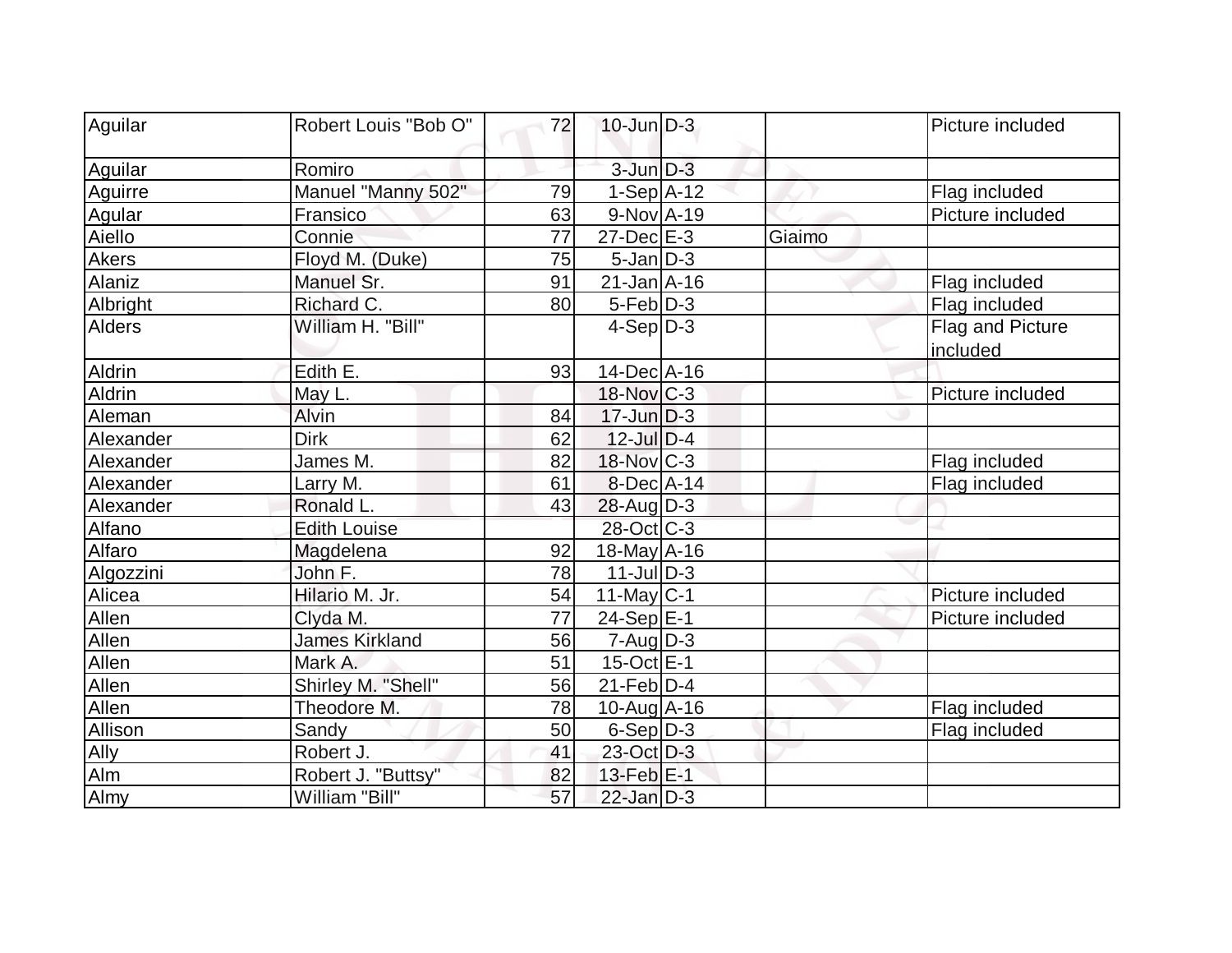| Aguilar      | Robert Louis "Bob O"  | 72              | $10$ -Jun $D-3$   |        | Picture included             |
|--------------|-----------------------|-----------------|-------------------|--------|------------------------------|
|              |                       |                 |                   |        |                              |
| Aguilar      | Romiro                |                 | $3$ -Jun $D-3$    |        |                              |
| Aguirre      | Manuel "Manny 502"    | 79              | $1-Sep$ A-12      |        | Flag included                |
| Agular       | Fransico              | 63              | 9-Nov A-19        |        | Picture included             |
| Aiello       | Connie                | 77              | $27 - Dec$ $E-3$  | Giaimo |                              |
| Akers        | Floyd M. (Duke)       | 75              | $5 - Jan$ $D-3$   |        |                              |
| Alaniz       | Manuel Sr.            | 91              | $21$ -Jan $A$ -16 |        | Flag included                |
| Albright     | Richard C.            | 80              | $5-Feb D-3$       |        | Flag included                |
| Alders       | William H. "Bill"     |                 | $4-Sep D-3$       |        | Flag and Picture<br>included |
| Aldrin       | Edith E.              | 93              | 14-Dec A-16       |        |                              |
| Aldrin       | May L.                |                 | 18-Nov C-3        |        | Picture included             |
| Aleman       | Alvin                 | 84              | $17$ -Jun $D-3$   |        |                              |
| Alexander    | <b>Dirk</b>           | 62              | $12$ -Jul $D-4$   |        |                              |
| Alexander    | James M.              | 82              | 18-Nov C-3        |        | Flag included                |
| Alexander    | Larry M.              | 61              | $8$ -Dec $ A-14$  |        | Flag included                |
| Alexander    | Ronald L.             | 43              | $28$ -Aug $D-3$   |        |                              |
| Alfano       | <b>Edith Louise</b>   |                 | 28-Oct C-3        |        |                              |
| Alfaro       | Magdelena             | 92              | $18$ -May $A$ -16 |        |                              |
| Algozzini    | John F.               | 78              | $11$ -Jul $ D-3 $ |        |                              |
| Alicea       | Hilario M. Jr.        | 54              | $11$ -May C-1     |        | Picture included             |
| Allen        | Clyda M.              | $\overline{77}$ | $24-Sep$ E-1      |        | Picture included             |
| Allen        | <b>James Kirkland</b> | 56              | $7 - Aug$ $D-3$   |        |                              |
| Allen        | Mark A.               | 51              | $15$ -Oct $E-1$   |        |                              |
| <b>Allen</b> | Shirley M. "Shell"    | 56              | $21$ -Feb $ D-4 $ |        |                              |
| Allen        | Theodore M.           | 78              | $10$ -Aug $ A-16$ |        | Flag included                |
| Allison      | Sandy                 | 50              | $6-Sep D-3$       |        | Flag included                |
| Ally         | Robert J.             | 41              | 23-Oct D-3        |        |                              |
| Alm          | Robert J. "Buttsy"    | 82              | $13$ -Feb $E-1$   |        |                              |
| Almy         | William "Bill"        | 57              | $22$ -Jan $D-3$   |        |                              |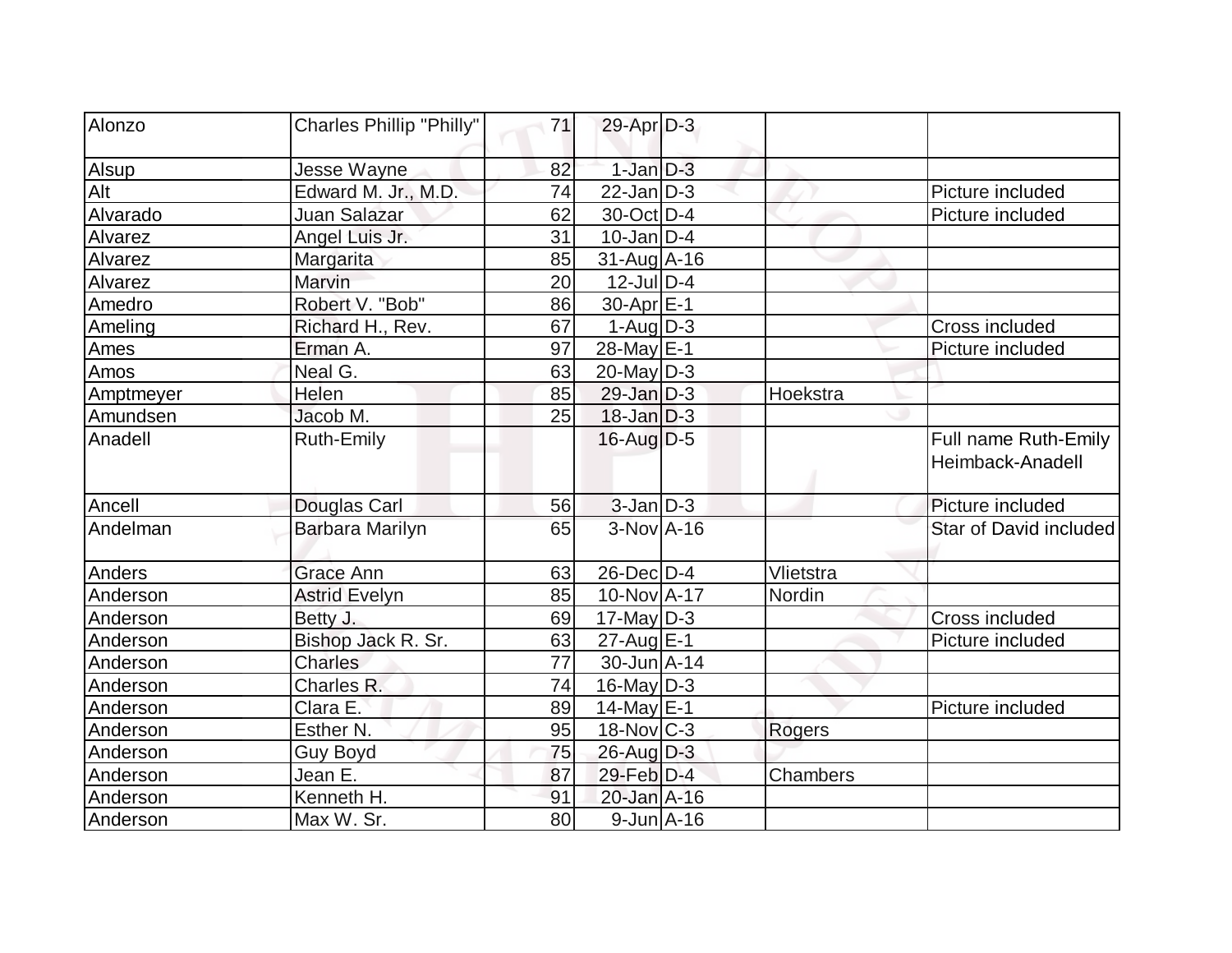| Alonzo    | Charles Phillip "Philly" | 71 | $29$ -Apr $D-3$              |                 |                                          |
|-----------|--------------------------|----|------------------------------|-----------------|------------------------------------------|
| Alsup     | Jesse Wayne              | 82 | $1-Jan$ D-3                  |                 |                                          |
| Alt       | Edward M. Jr., M.D.      | 74 | $22$ -Jan $ D-3 $            |                 | Picture included                         |
| Alvarado  | Juan Salazar             | 62 | 30-Oct D-4                   |                 | Picture included                         |
| Alvarez   | Angel Luis Jr.           | 31 | $10$ -Jan $ D-4 $            |                 |                                          |
| Alvarez   | Margarita                | 85 | $31$ -Aug $\overline{A}$ -16 |                 |                                          |
| Alvarez   | Marvin                   | 20 | $12$ -JulD-4                 |                 |                                          |
| Amedro    | Robert V. "Bob"          | 86 | 30-Apr <sub>E-1</sub>        |                 |                                          |
| Ameling   | Richard H., Rev.         | 67 | $1-Auq$ D-3                  |                 | Cross included                           |
| Ames      | Erman A.                 | 97 | 28-May E-1                   |                 | Picture included                         |
| Amos      | Neal G.                  | 63 | 20-May D-3                   |                 |                                          |
| Amptmeyer | Helen                    | 85 | $29$ -Jan D-3                | Hoekstra        |                                          |
| Amundsen  | Jacob M.                 | 25 | $18$ -Jan $D-3$              |                 |                                          |
| Anadell   | <b>Ruth-Emily</b>        |    | $16$ -Aug $D-5$              |                 | Full name Ruth-Emily<br>Heimback-Anadell |
| Ancell    | Douglas Carl             | 56 | $3$ -Jan $D-3$               |                 | Picture included                         |
| Andelman  | Barbara Marilyn          | 65 | $3-NovA-16$                  |                 | Star of David included                   |
| Anders    | <b>Grace Ann</b>         | 63 | $26$ -Dec $D-4$              | Vlietstra       |                                          |
| Anderson  | <b>Astrid Evelyn</b>     | 85 | 10-Nov A-17                  | Nordin          |                                          |
| Anderson  | Betty J.                 | 69 | $17$ -May $D-3$              |                 | Cross included                           |
| Anderson  | Bishop Jack R. Sr.       | 63 | $27$ -Aug E-1                |                 | Picture included                         |
| Anderson  | <b>Charles</b>           | 77 | 30-Jun A-14                  |                 |                                          |
| Anderson  | Charles R.               | 74 | $16$ -May D-3                |                 |                                          |
| Anderson  | Clara E.                 | 89 | $14$ -May E-1                |                 | Picture included                         |
| Anderson  | Esther N.                | 95 | $18-Nov$ <sub>C</sub> -3     | Rogers          |                                          |
| Anderson  | <b>Guy Boyd</b>          | 75 | 26-Aug D-3                   |                 |                                          |
| Anderson  | Jean E.                  | 87 | $29$ -Feb $D-4$              | <b>Chambers</b> |                                          |
| Anderson  | Kenneth H.               | 91 | 20-Jan A-16                  |                 |                                          |
| Anderson  | Max W. Sr.               | 80 | $9$ -Jun $A$ -16             |                 |                                          |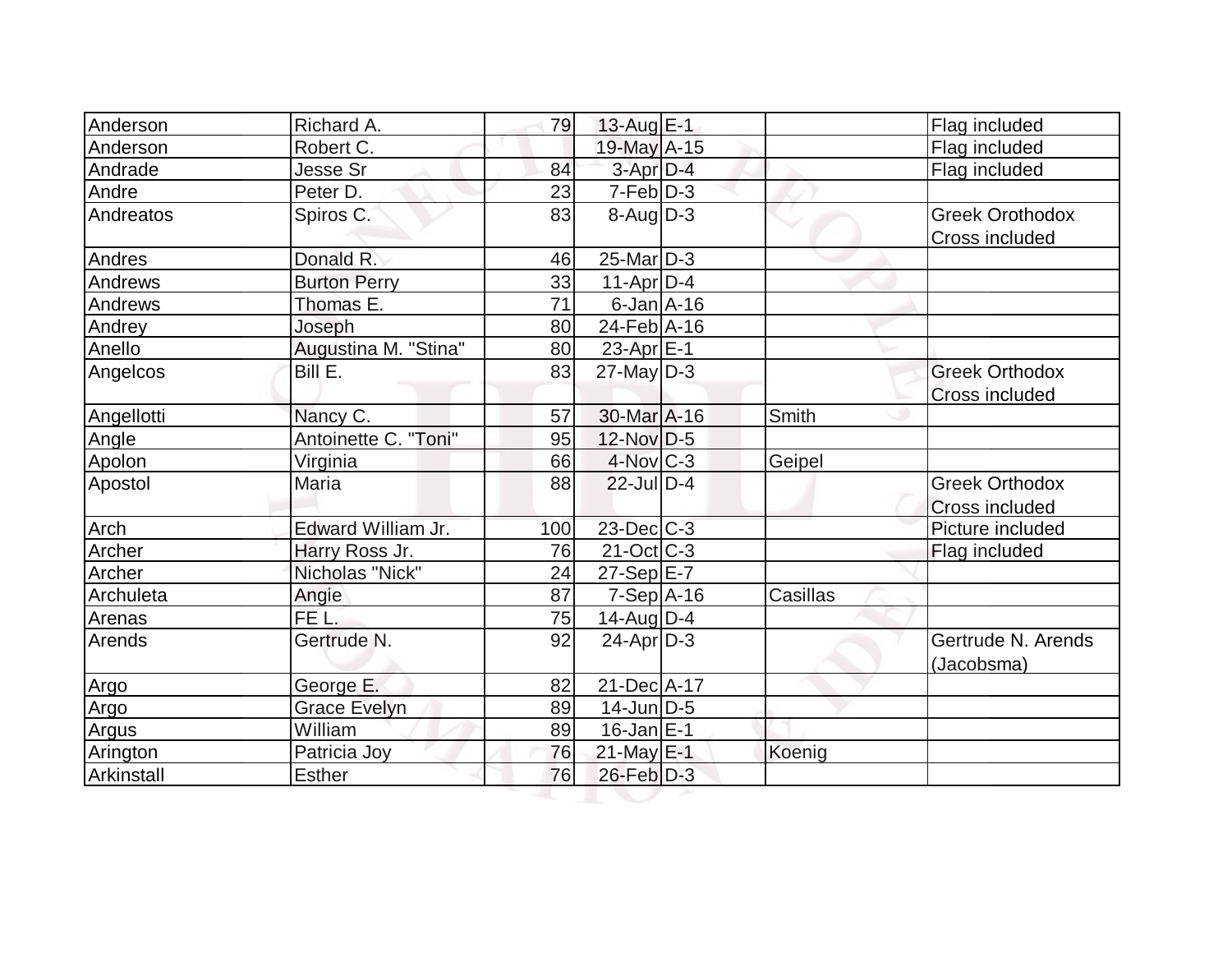| Anderson      | Richard A.           | 79  | $13$ -Aug E-1     |          | Flag included          |
|---------------|----------------------|-----|-------------------|----------|------------------------|
| Anderson      | Robert C.            |     | 19-May A-15       |          | Flag included          |
| Andrade       | Jesse Sr             | 84  | $3-Apr$ $D-4$     |          | Flag included          |
| Andre         | Peter D.             | 23  | $7-Feb D-3$       |          |                        |
| Andreatos     | Spiros C.            | 83  | $8 - Aug   D-3$   |          | <b>Greek Orothodox</b> |
|               |                      |     |                   |          | <b>Cross included</b>  |
| Andres        | Donald R.            | 46  | $25$ -Mar $ D-3 $ |          |                        |
| Andrews       | <b>Burton Perry</b>  | 33  | $11-Apr D-4$      |          |                        |
| Andrews       | Thomas E.            | 71  | $6$ -Jan $A$ -16  |          |                        |
| Andrey        | Joseph               | 80  | 24-Feb A-16       |          |                        |
| Anello        | Augustina M. "Stina" | 80  | $23$ -Apr $ E-1 $ |          |                        |
| Angelcos      | Bill E.              | 83  | $27$ -May $D-3$   |          | <b>Greek Orthodox</b>  |
|               |                      |     |                   |          | <b>Cross included</b>  |
| Angellotti    | Nancy C.             | 57  | 30-Mar A-16       | Smith    |                        |
| Angle         | Antoinette C. "Toni" | 95  | $12$ -Nov D-5     |          |                        |
| Apolon        | Virginia             | 66  | $4$ -Nov $C-3$    | Geipel   |                        |
| Apostol       | Maria                | 88  | $22$ -JulD-4      |          | <b>Greek Orthodox</b>  |
|               |                      |     |                   |          | <b>Cross included</b>  |
| Arch          | Edward William Jr.   | 100 | $23$ -Dec $C$ -3  |          | Picture included       |
| Archer        | Harry Ross Jr.       | 76  | $21-Oct$ $C-3$    |          | Flag included          |
| Archer        | Nicholas "Nick"      | 24  | $27-Sep$ $E-7$    |          |                        |
| Archuleta     | Angie                | 87  | $7-Sep$ A-16      | Casillas |                        |
| <b>Arenas</b> | FE L.                | 75  | $14$ -Aug $D-4$   |          |                        |
| Arends        | Gertrude N.          | 92  | $24$ -Apr $D-3$   |          | Gertrude N. Arends     |
|               |                      |     |                   |          | (Jacobsma)             |
| Argo          | George E.            | 82  | 21-Dec A-17       |          |                        |
| Argo          | <b>Grace Evelyn</b>  | 89  | $14$ -Jun $D-5$   |          |                        |
| <b>Argus</b>  | William              | 89  | $16$ -Jan $ E-1 $ |          |                        |
| Arington      | Patricia Joy         | 76  | 21-May E-1        | Koenig   |                        |
| Arkinstall    | <b>Esther</b>        | 76  | $26$ -Feb $D-3$   |          |                        |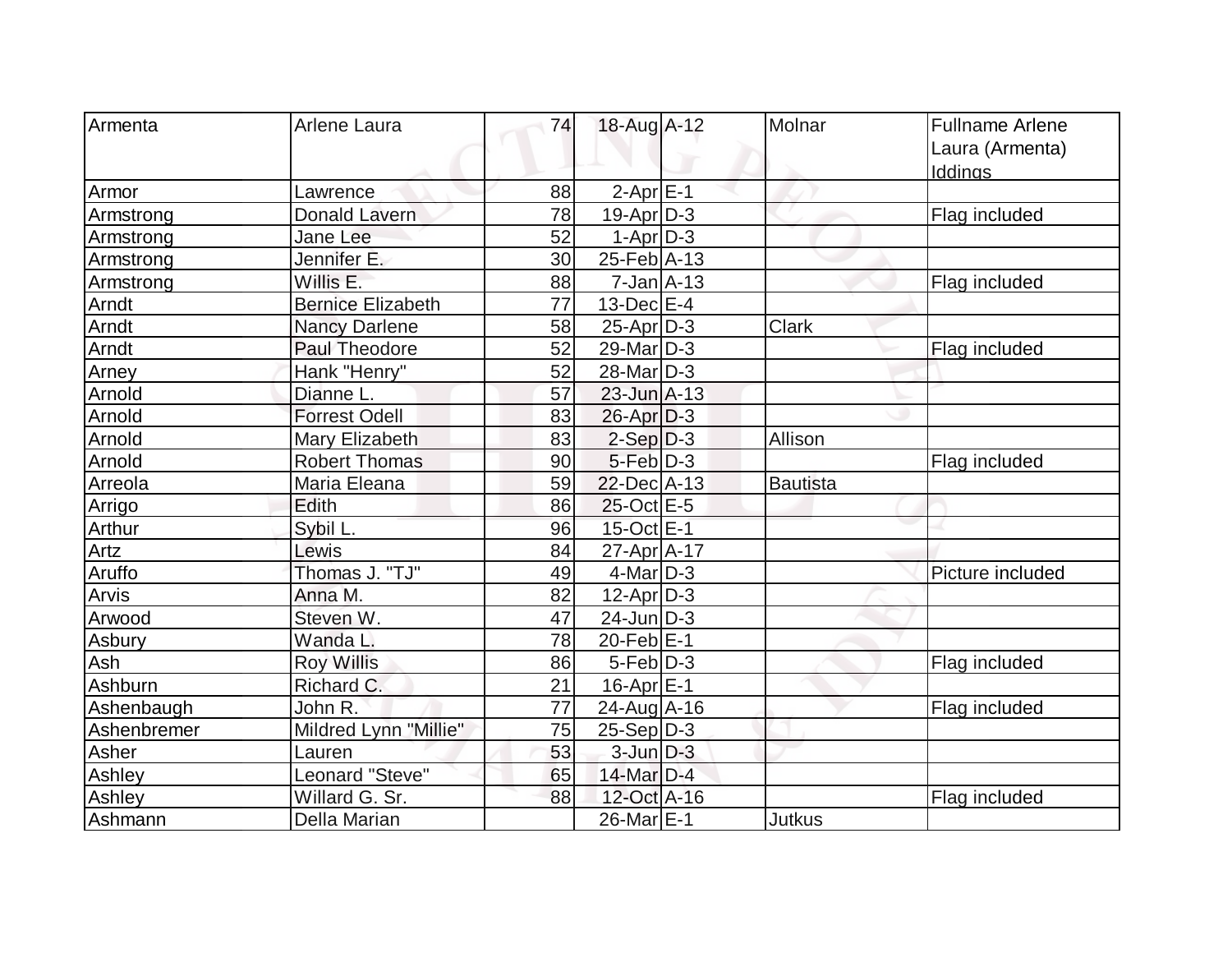|             | Arlene Laura             |    |                       | Molnar        | <b>Fullname Arlene</b> |
|-------------|--------------------------|----|-----------------------|---------------|------------------------|
| Armenta     |                          | 74 | 18-Aug A-12           |               |                        |
|             |                          |    |                       |               | Laura (Armenta)        |
|             |                          |    |                       |               | Iddings                |
| Armor       | Lawrence                 | 88 | $2$ -Apr $E-1$        |               |                        |
| Armstrong   | <b>Donald Lavern</b>     | 78 | $19$ -Apr $D-3$       |               | Flag included          |
| Armstrong   | Jane Lee                 | 52 | $1-Apr$ D-3           |               |                        |
| Armstrong   | Jennifer E.              | 30 | $25$ -Feb $ A-13$     |               |                        |
| Armstrong   | Willis E.                | 88 | $7 - Jan$ $A - 13$    |               | Flag included          |
| Arndt       | <b>Bernice Elizabeth</b> | 77 | $13$ -Dec $E-4$       |               |                        |
| Arndt       | <b>Nancy Darlene</b>     | 58 | $25$ -Apr $D-3$       | <b>Clark</b>  |                        |
| Arndt       | Paul Theodore            | 52 | 29-Mar   D-3          |               | Flag included          |
| Arney       | Hank "Henry"             | 52 | 28-Mar D-3            |               |                        |
| Arnold      | Dianne L.                | 57 | $23$ -Jun $A-13$      |               |                        |
| Arnold      | <b>Forrest Odell</b>     | 83 | $26$ -Apr $D-3$       |               |                        |
| Arnold      | Mary Elizabeth           | 83 | $2-Sep D-3$           | Allison       |                        |
| Arnold      | <b>Robert Thomas</b>     | 90 | $5-Feb D-3$           |               | Flag included          |
| Arreola     | Maria Eleana             | 59 | $22$ -Dec $ A-13$     | Bautista      |                        |
| Arrigo      | Edith                    | 86 | 25-Oct E-5            |               |                        |
| Arthur      | Sybil L.                 | 96 | 15-Oct E-1            |               |                        |
| Artz        | Lewis                    | 84 | $27$ -Apr $ A-17$     |               |                        |
| Aruffo      | Thomas J. "TJ"           | 49 | $4$ -Mar $D-3$        |               | Picture included       |
| Arvis       | Anna M.                  | 82 | $12$ -Apr $ D-3 $     |               |                        |
| Arwood      | Steven W.                | 47 | $24$ -Jun $ D-3$      |               |                        |
| Asbury      | Wanda L.                 | 78 | $20$ -Feb $ E-1 $     |               |                        |
| Ash         | <b>Roy Willis</b>        | 86 | $5-Feb$ $D-3$         |               | Flag included          |
| Ashburn     | Richard C.               | 21 | $16$ -Apr $E-1$       |               |                        |
| Ashenbaugh  | John R.                  | 77 | $24$ -Aug $A$ -16     |               | Flag included          |
| Ashenbremer | Mildred Lynn "Millie"    | 75 | $25-Sep D-3$          |               |                        |
| Asher       | Lauren                   | 53 | $3$ -Jun $D-3$        |               |                        |
| Ashley      | Leonard "Steve"          | 65 | $14$ -Mar $D-4$       |               |                        |
| Ashley      | Willard G. Sr.           | 88 | 12-Oct A-16           |               | Flag included          |
| Ashmann     | <b>Della Marian</b>      |    | 26-Mar <sub>E-1</sub> | <b>Jutkus</b> |                        |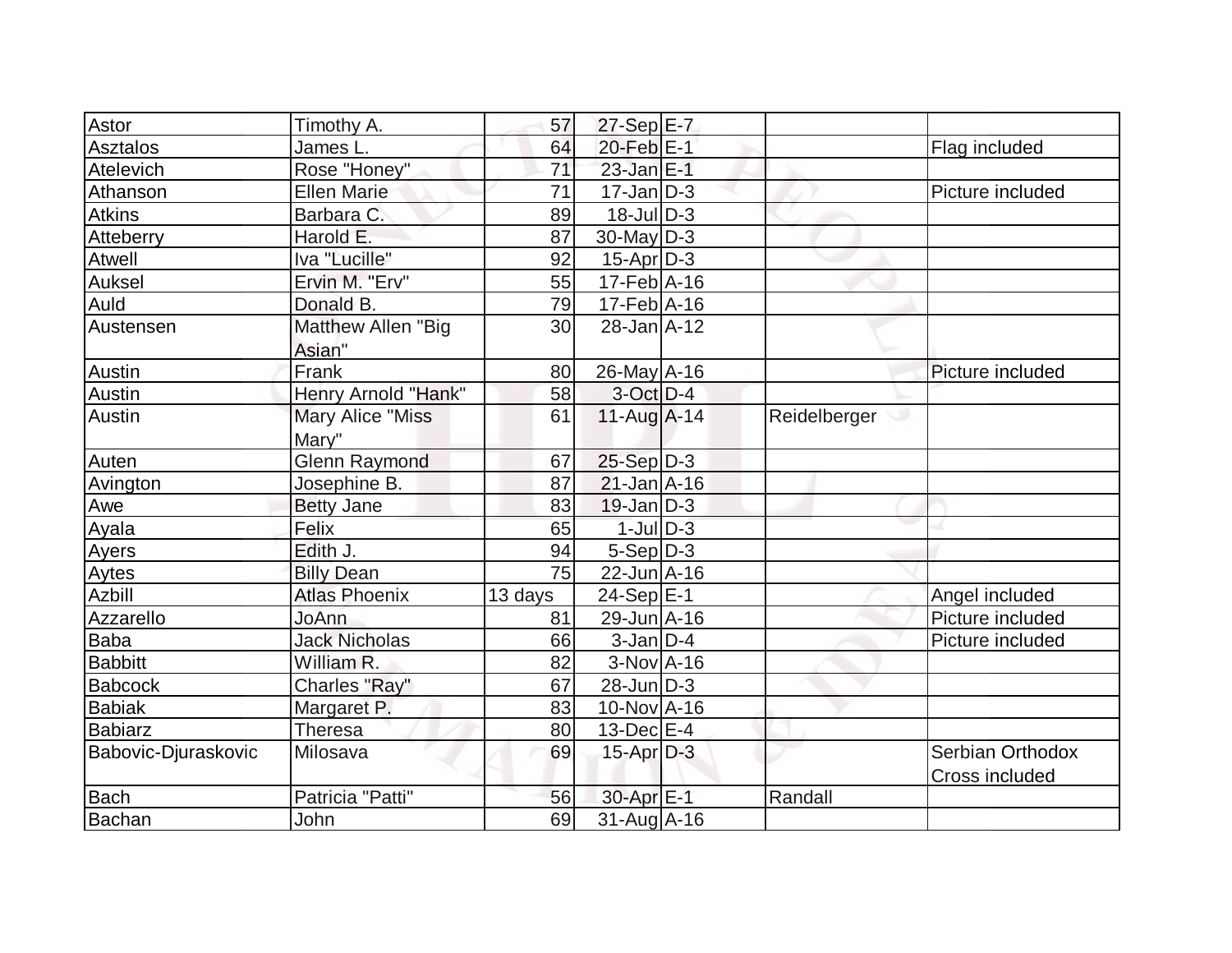| Astor               | Timothy A.              | 57              | $27-Sep$ E-7      |              |                  |
|---------------------|-------------------------|-----------------|-------------------|--------------|------------------|
| <b>Asztalos</b>     | James L.                | 64              | 20-Feb E-1        |              | Flag included    |
| Atelevich           | Rose "Honey"            | $\overline{71}$ | $23$ -Jan $E-1$   |              |                  |
| Athanson            | <b>Ellen Marie</b>      | 71              | $17$ -Jan $D-3$   |              | Picture included |
| <b>Atkins</b>       | Barbara C.              | 89              | $18$ -Jul $D-3$   |              |                  |
| Atteberry           | Harold E.               | 87              | $30$ -May D-3     |              |                  |
| Atwell              | Iva "Lucille"           | 92              | $15$ -Apr $ D-3 $ |              |                  |
| Auksel              | Ervin M. "Erv"          | 55              | $17-Feb$ A-16     |              |                  |
| Auld                | Donald B.               | 79              | $17$ -Feb $ A-16$ |              |                  |
| Austensen           | Matthew Allen "Big      | 30              | $28$ -Jan $A$ -12 |              |                  |
|                     | Asian"                  |                 |                   |              |                  |
| Austin              | Frank                   | 80              | $26$ -May $A$ -16 |              | Picture included |
| Austin              | Henry Arnold "Hank"     | 58              | $3$ -Oct $D-4$    |              |                  |
| Austin              | <b>Mary Alice "Miss</b> | 61              | $11-Auq$ A-14     | Reidelberger |                  |
|                     | Mary"                   |                 |                   |              |                  |
| Auten               | <b>Glenn Raymond</b>    | 67              | $25-Sep$ D-3      |              |                  |
| Avington            | Josephine B.            | 87              | $21$ -Jan $A$ -16 |              |                  |
| Awe                 | <b>Betty Jane</b>       | 83              | $19$ -Jan $D-3$   |              |                  |
| Ayala               | Felix                   | 65              | $1$ -Jul $D-3$    |              |                  |
| Ayers               | Edith J.                | 94              | $5-Sep$ $D-3$     |              |                  |
| <b>Aytes</b>        | <b>Billy Dean</b>       | 75              | $22$ -Jun $A-16$  |              |                  |
| Azbill              | <b>Atlas Phoenix</b>    | 13 days         | $24-Sep$ E-1      |              | Angel included   |
| Azzarello           | JoAnn                   | 81              | 29-Jun A-16       |              | Picture included |
| <b>Baba</b>         | <b>Jack Nicholas</b>    | 66              | $3$ -Jan $D-4$    |              | Picture included |
| <b>Babbitt</b>      | William R.              | 82              | $3-NovA-16$       |              |                  |
| <b>Babcock</b>      | Charles "Ray"           | 67              | 28-Jun D-3        |              |                  |
| <b>Babiak</b>       | Margaret P.             | 83              | $10$ -Nov $A$ -16 |              |                  |
| <b>Babiarz</b>      | Theresa                 | 80              | $13$ -Dec $E-4$   |              |                  |
| Babovic-Djuraskovic | Milosava                | 69              | $15$ -Apr $D-3$   |              | Serbian Orthodox |
|                     |                         |                 |                   |              | Cross included   |
| <b>Bach</b>         | Patricia "Patti"        | 56              | 30-Apr E-1        | Randall      |                  |
| Bachan              | John                    | 69              | 31-Aug A-16       |              |                  |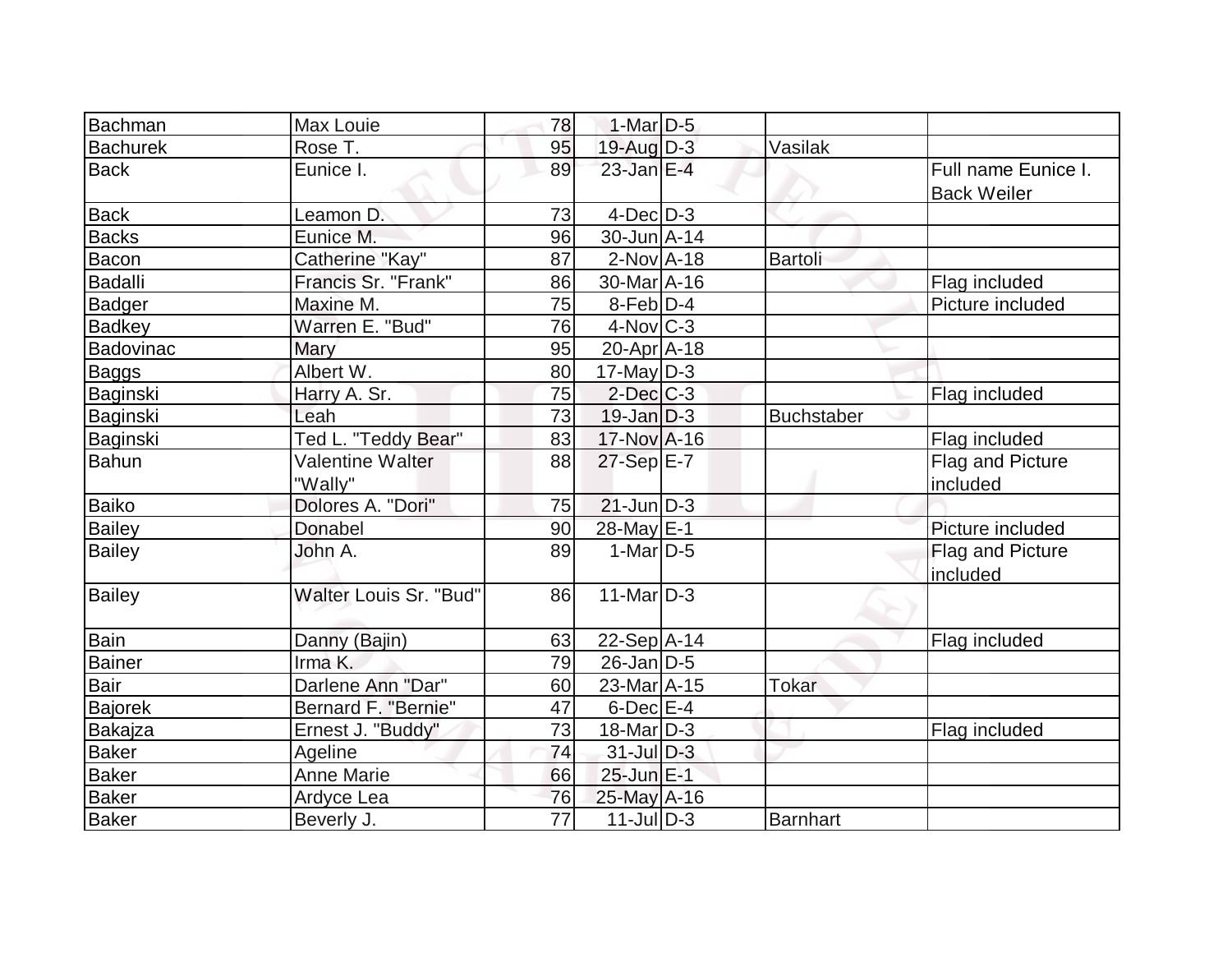| Bachman         | Max Louie              | 78              | $1-Mar$ D-5       |                   |                     |
|-----------------|------------------------|-----------------|-------------------|-------------------|---------------------|
| <b>Bachurek</b> | Rose T.                | 95              | $19$ -Aug $D-3$   | Vasilak           |                     |
| <b>Back</b>     | Eunice I.              | 89              | $23$ -Jan E-4     |                   | Full name Eunice I. |
|                 |                        |                 |                   |                   | <b>Back Weiler</b>  |
| <b>Back</b>     | Leamon D.              | 73              | $4$ -Dec $D-3$    |                   |                     |
| <b>Backs</b>    | Eunice M.              | 96              | $30$ -Jun $A-14$  |                   |                     |
| Bacon           | Catherine "Kay"        | 87              | $2$ -Nov $A$ -18  | <b>Bartoli</b>    |                     |
| Badalli         | Francis Sr. "Frank"    | 86              | 30-Mar A-16       |                   | Flag included       |
| Badger          | Maxine M.              | 75              | $8-Feb D-4$       |                   | Picture included    |
| <b>Badkey</b>   | Warren E. "Bud"        | 76              | $4$ -Nov $ C-3 $  |                   |                     |
| Badovinac       | Mary                   | 95              | $20 - Apr$ A-18   |                   |                     |
| <b>Baggs</b>    | Albert W.              | 80              | $17$ -May D-3     |                   |                     |
| Baginski        | Harry A. Sr.           | 75              | $2$ -Dec $ C-3 $  |                   | Flag included       |
| Baginski        | Leah                   | 73              | $19$ -Jan $D-3$   | <b>Buchstaber</b> |                     |
| Baginski        | Ted L. "Teddy Bear"    | 83              | 17-Nov A-16       |                   | Flag included       |
| <b>Bahun</b>    | Valentine Walter       | 88              | 27-Sep E-7        |                   | Flag and Picture    |
|                 | "Wally"                |                 |                   |                   | included            |
| <b>Baiko</b>    | Dolores A. "Dori"      | 75              | $21$ -Jun $D-3$   |                   |                     |
| <b>Bailey</b>   | Donabel                | 90              | 28-May E-1        |                   | Picture included    |
| <b>Bailey</b>   | John A.                | 89              | $1-Mar$ D-5       |                   | Flag and Picture    |
|                 |                        |                 |                   |                   | included            |
| <b>Bailey</b>   | Walter Louis Sr. "Bud" | 86              | $11$ -Mar $ D-3 $ |                   |                     |
|                 |                        |                 |                   |                   |                     |
| Bain            | Danny (Bajin)          | 63              | 22-Sep A-14       |                   | Flag included       |
| <b>Bainer</b>   | Irma K.                | 79              | $26$ -Jan D-5     |                   |                     |
| Bair            | Darlene Ann "Dar"      | 60              | $23$ -Mar $ A-15$ | Tokar             |                     |
| <b>Bajorek</b>  | Bernard F. "Bernie"    | 47              | $6$ -Dec $E-4$    |                   |                     |
| Bakajza         | Ernest J. "Buddy"      | 73              | $18$ -Mar $ D-3 $ |                   | Flag included       |
| <b>Baker</b>    | Ageline                | 74              | $31$ -Jul $D-3$   |                   |                     |
| <b>Baker</b>    | <b>Anne Marie</b>      | 66              | 25-Jun E-1        |                   |                     |
| <b>Baker</b>    | Ardyce Lea             | 76              | 25-May A-16       |                   |                     |
| <b>Baker</b>    | Beverly J.             | $\overline{77}$ | $11$ -JulD-3      | <b>Barnhart</b>   |                     |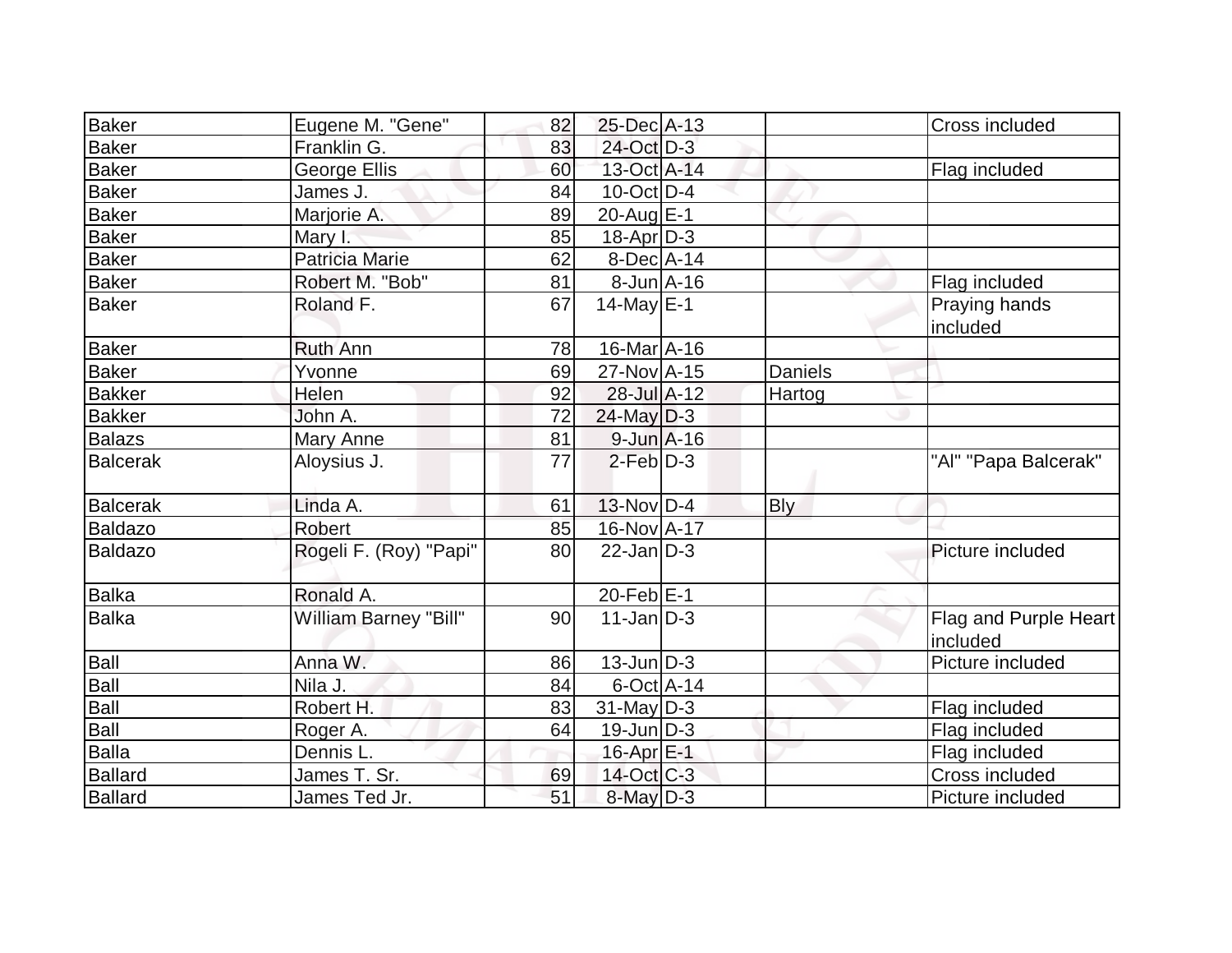| Baker             | Eugene M. "Gene"       | 82 | 25-Dec A-13       |            | Cross included                    |
|-------------------|------------------------|----|-------------------|------------|-----------------------------------|
| <b>Baker</b>      | Franklin G.            | 83 | 24-Oct D-3        |            |                                   |
| Baker             | George Ellis           | 60 | 13-Oct A-14       |            | Flag included                     |
| <b>Baker</b>      | James J.               | 84 | $10$ -Oct $ D-4 $ |            |                                   |
| <b>Baker</b>      | Marjorie A.            | 89 | 20-Aug $E-1$      |            |                                   |
| <b>Baker</b>      | Mary I.                | 85 | $18$ -Apr $D-3$   |            |                                   |
| <b>Baker</b>      | Patricia Marie         | 62 | $8$ -Dec $A$ -14  |            |                                   |
| Baker             | Robert M. "Bob"        | 81 | $8$ -Jun $A$ -16  |            | Flag included                     |
| Baker             | Roland F.              | 67 | $14$ -May E-1     |            | Praying hands<br>included         |
| Baker             | <b>Ruth Ann</b>        | 78 | $16$ -Mar $A$ -16 |            |                                   |
| <b>Baker</b>      | Yvonne                 | 69 | 27-Nov A-15       | Daniels    |                                   |
| Bakker            | Helen                  | 92 | 28-Jul A-12       | Hartog     |                                   |
| <b>Bakker</b>     | John A.                | 72 | $24$ -May D-3     |            |                                   |
| <b>Balazs</b>     | <b>Mary Anne</b>       | 81 | $9$ -Jun $A$ -16  |            |                                   |
| <b>Balcerak</b>   | Aloysius J.            | 77 | $2-Feb D-3$       |            | "Al" "Papa Balcerak"              |
| Balcerak          | Linda A.               | 61 | $13-Nov D-4$      | <b>Bly</b> |                                   |
| Baldazo           | Robert                 | 85 | 16-Nov A-17       |            |                                   |
| Baldazo           | Rogeli F. (Roy) "Papi" | 80 | $22$ -Jan D-3     |            | Picture included                  |
| <b>Balka</b>      | Ronald A.              |    | $20$ -Feb $E-1$   |            |                                   |
| Balka             | William Barney "Bill"  | 90 | $11$ -Jan $ D-3 $ |            | Flag and Purple Heart<br>included |
| Ball              | Anna W.                | 86 | $13$ -Jun $D-3$   |            | Picture included                  |
| Ball              | Nila J.                | 84 | $6$ -Oct $ A-14 $ |            |                                   |
| $\frac{5a}{Ball}$ | Robert H.              | 83 | $31$ -May $D-3$   |            | Flag included                     |
| Ball              | Roger A.               | 64 | $19$ -Jun $D-3$   |            | Flag included                     |
| <b>Balla</b>      | Dennis L.              |    | 16-Apr E-1        |            | Flag included                     |
| Ballard           | James T. Sr.           | 69 | $14$ -Oct $ C-3 $ |            | Cross included                    |
| Ballard           | James Ted Jr.          | 51 | $8$ -May $D-3$    |            | Picture included                  |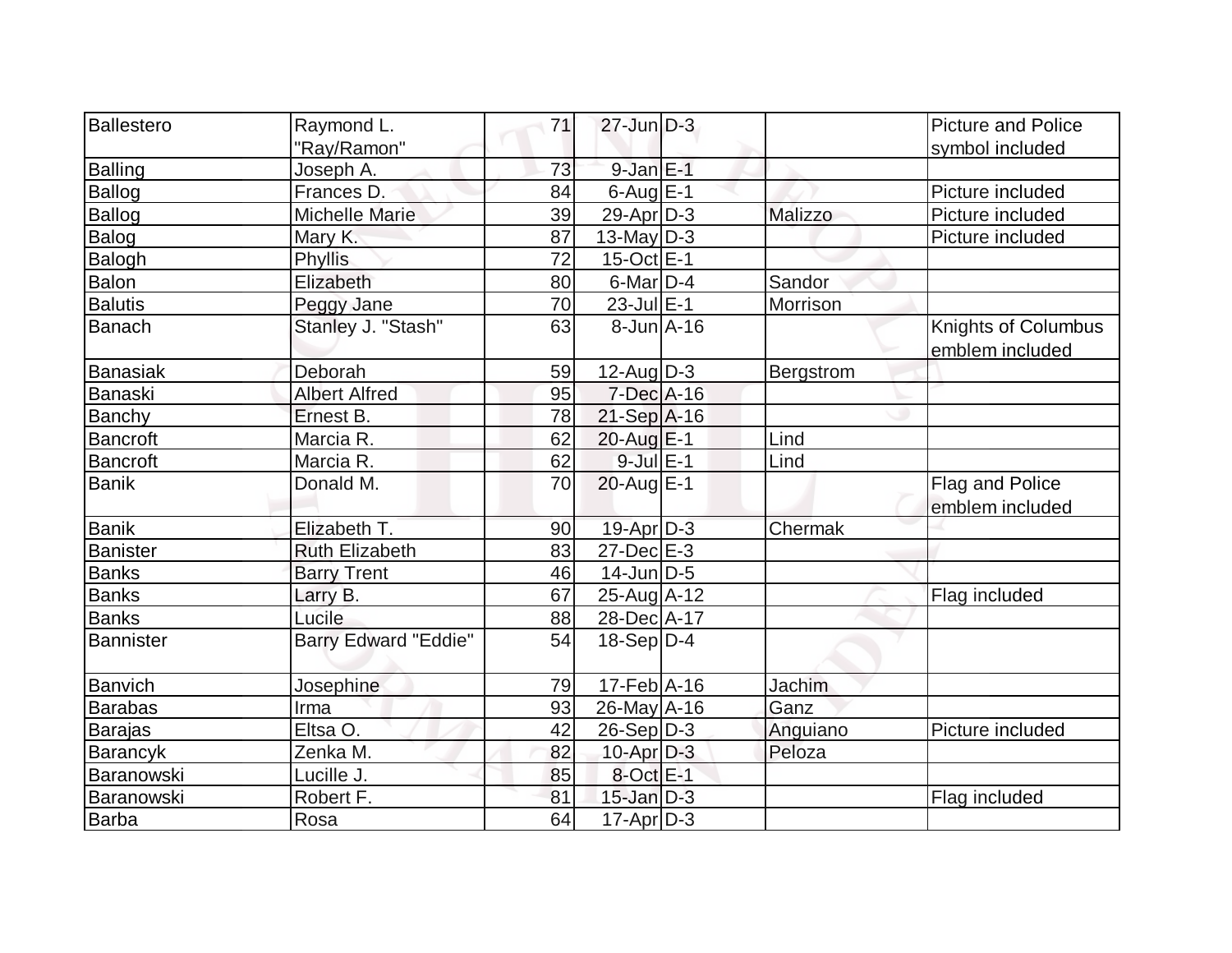| <b>Ballestero</b> | Raymond L.                  | 71 | $27$ -Jun $D-3$   |                | <b>Picture and Police</b>  |
|-------------------|-----------------------------|----|-------------------|----------------|----------------------------|
|                   | "Ray/Ramon"                 |    |                   |                | symbol included            |
| <b>Balling</b>    | Joseph A.                   | 73 | $9$ -Jan $E-1$    |                |                            |
| <b>Ballog</b>     | Frances D.                  | 84 | $6$ -Aug $E-1$    |                | Picture included           |
| <b>Ballog</b>     | <b>Michelle Marie</b>       | 39 | $29$ -Apr $D-3$   | <b>Malizzo</b> | Picture included           |
| <b>Balog</b>      | Mary K.                     | 87 | 13-May $D-3$      |                | Picture included           |
| Balogh            | Phyllis                     | 72 | $15$ -Oct $E-1$   |                |                            |
| Balon             | Elizabeth                   | 80 | $6$ -Mar $D-4$    | Sandor         |                            |
| <b>Balutis</b>    | Peggy Jane                  | 70 | $23$ -Jul $E-1$   | Morrison       |                            |
| <b>Banach</b>     | Stanley J. "Stash"          | 63 | $8 - Jun$ A-16    |                | <b>Knights of Columbus</b> |
|                   |                             |    |                   |                | emblem included            |
| <b>Banasiak</b>   | Deborah                     | 59 | $12$ -Aug $ D-3 $ | Bergstrom      |                            |
| Banaski           | <b>Albert Alfred</b>        | 95 | 7-Dec A-16        |                |                            |
| Banchy            | Ernest B.                   | 78 | $21-Sep$ A-16     |                |                            |
| Bancroft          | Marcia R.                   | 62 | $20$ -Aug $E-1$   | Lind           |                            |
| <b>Bancroft</b>   | Marcia R.                   | 62 | $9$ -Jul $E-1$    | Lind           |                            |
| <b>Banik</b>      | Donald M.                   | 70 | $20$ -Aug $E-1$   |                | Flag and Police            |
|                   |                             |    |                   |                | emblem included            |
| <b>Banik</b>      | Elizabeth T.                | 90 | 19-Apr D-3        | Chermak        |                            |
| <b>Banister</b>   | <b>Ruth Elizabeth</b>       | 83 | $27$ -Dec $E-3$   |                |                            |
| Banks             | <b>Barry Trent</b>          | 46 | $14$ -Jun $D-5$   |                |                            |
| <b>Banks</b>      | Larry B.                    | 67 | $25$ -Aug $A$ -12 |                | Flag included              |
| <b>Banks</b>      | Lucile                      | 88 | 28-Dec A-17       |                |                            |
| <b>Bannister</b>  | <b>Barry Edward "Eddie"</b> | 54 | $18-Sep D-4$      |                |                            |
|                   |                             |    |                   |                |                            |
| <b>Banvich</b>    | Josephine                   | 79 | $17$ -Feb $ A-16$ | Jachim         |                            |
| <b>Barabas</b>    | Irma                        | 93 | 26-May A-16       | Ganz           |                            |
| <b>Barajas</b>    | Eltsa O.                    | 42 | $26-Sep D-3$      | Anguiano       | Picture included           |
| Barancyk          | Zenka M.                    | 82 | $10$ -Apr $D-3$   | Peloza         |                            |
| Baranowski        | Lucille J.                  | 85 | $8-Oct \tE-1$     |                |                            |
| Baranowski        | Robert F.                   | 81 | $15$ -Jan $D-3$   |                | Flag included              |
| Barba             | Rosa                        | 64 | $17$ -Apr $D-3$   |                |                            |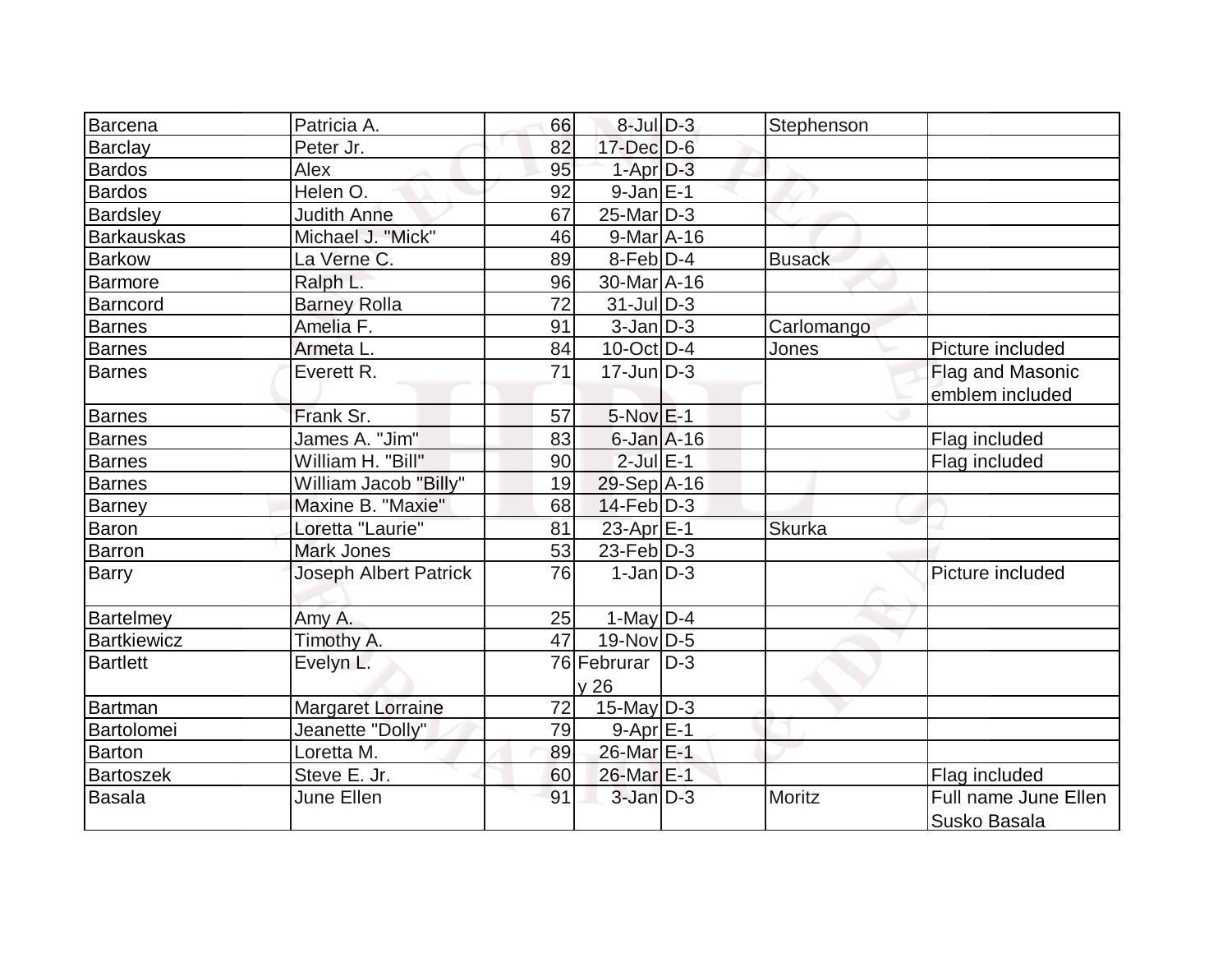| <b>Barcena</b>     | Patricia A.                  | 66 | $8$ -Jul $D-3$         | Stephenson    |                                      |
|--------------------|------------------------------|----|------------------------|---------------|--------------------------------------|
| <b>Barclay</b>     | Peter Jr.                    | 82 | 17-Dec D-6             |               |                                      |
| <b>Bardos</b>      | Alex                         | 95 | $1-Apr$ $D-3$          |               |                                      |
| <b>Bardos</b>      | Helen O.                     | 92 | $9$ -Jan $E-1$         |               |                                      |
| <b>Bardsley</b>    | <b>Judith Anne</b>           | 67 | $25$ -Mar $ D-3 $      |               |                                      |
| <b>Barkauskas</b>  | Michael J. "Mick"            | 46 | $9$ -Mar $A$ -16       |               |                                      |
| Barkow             | La Verne C.                  | 89 | $8$ -Feb $D-4$         | <b>Busack</b> |                                      |
| <b>Barmore</b>     | Ralph L.                     | 96 | 30-Mar A-16            |               |                                      |
| Barncord           | <b>Barney Rolla</b>          | 72 | $31$ -Jul $ D-3 $      |               |                                      |
| Barnes             | Amelia F.                    | 91 | $3$ -Jan $D-3$         | Carlomango    |                                      |
| <b>Barnes</b>      | Armeta L.                    | 84 | $10$ -Oct $ D-4 $      | Jones         | Picture included                     |
| <b>Barnes</b>      | Everett R.                   | 71 | $17$ -Jun $ D-3 $      |               | Flag and Masonic<br>emblem included  |
| <b>Barnes</b>      | Frank Sr.                    | 57 | 5-Nov E-1              |               |                                      |
| Barnes             | James A. "Jim"               | 83 | $6$ -Jan $A$ -16       |               | Flag included                        |
| <b>Barnes</b>      | William H. "Bill"            | 90 | $2$ -Jul $E-1$         |               | Flag included                        |
| <b>Barnes</b>      | William Jacob "Billy"        | 19 | 29-Sep A-16            |               |                                      |
| Barney             | Maxine B. "Maxie"            | 68 | $14-Feb D-3$           |               |                                      |
| Baron              | Loretta "Laurie"             | 81 | $23$ -Apr $E-1$        | <b>Skurka</b> |                                      |
| Barron             | Mark Jones                   | 53 | $23$ -Feb $ D-3 $      |               |                                      |
| Barry              | <b>Joseph Albert Patrick</b> | 76 | $1-Jan D-3$            |               | Picture included                     |
| Bartelmey          | Amy A.                       | 25 | 1-May $D-4$            |               |                                      |
| <b>Bartkiewicz</b> | Timothy A.                   | 47 | $19-Nov D-5$           |               |                                      |
| <b>Bartlett</b>    | Evelyn L.                    |    | 76 Februrar D-3<br>y26 |               |                                      |
| Bartman            | <b>Margaret Lorraine</b>     | 72 | $15$ -May D-3          |               |                                      |
| Bartolomei         | Jeanette "Dolly"             | 79 | $9-Apr$ E-1            |               |                                      |
| Barton             | Loretta M.                   | 89 | 26-Mar E-1             |               |                                      |
| <b>Bartoszek</b>   | Steve E. Jr.                 | 60 | 26-Mar <sub>E-1</sub>  |               | Flag included                        |
| <b>Basala</b>      | June Ellen                   | 91 | $3$ -Jan $D-3$         | Moritz        | Full name June Ellen<br>Susko Basala |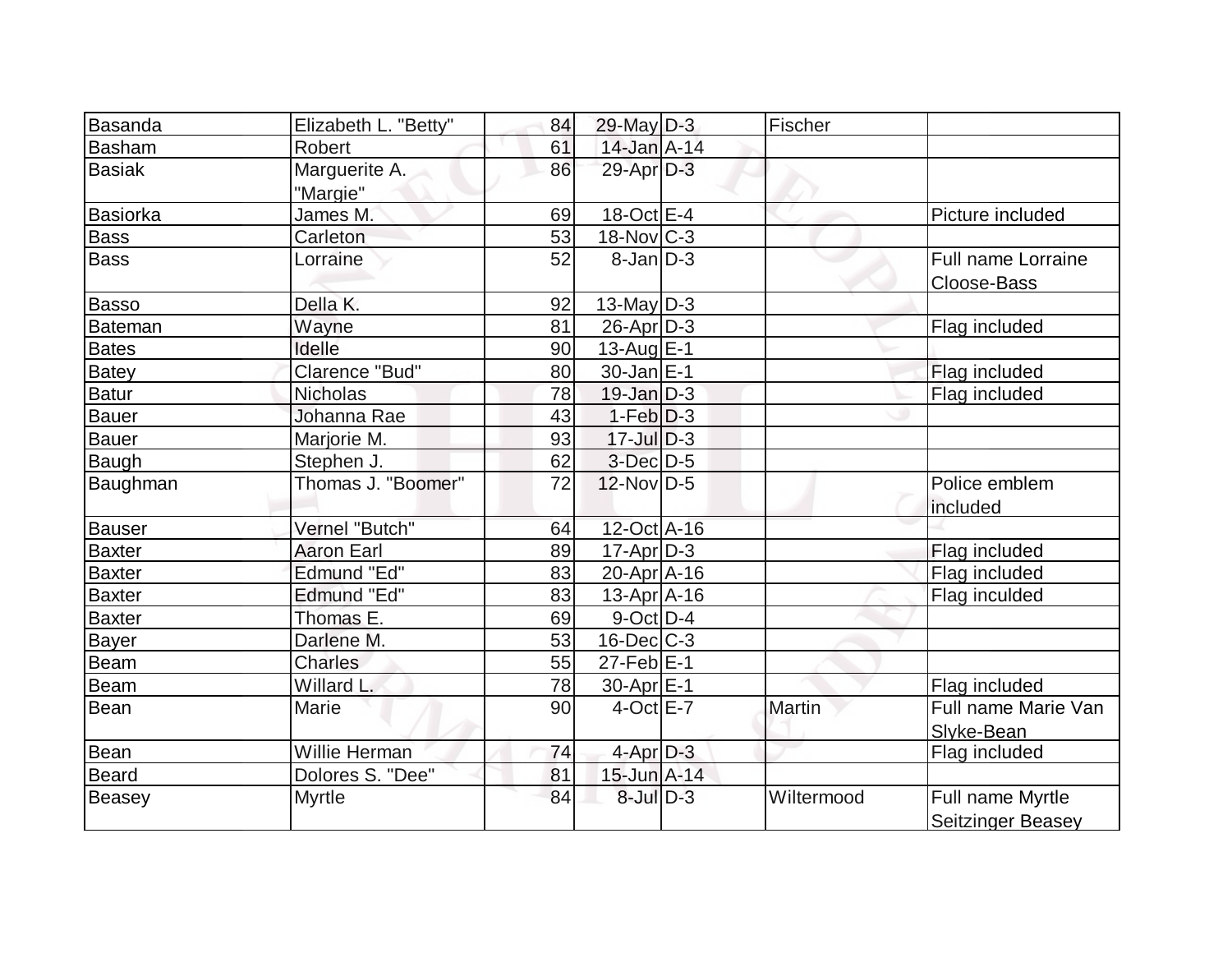| Basanda         | Elizabeth L. "Betty" | 84 | $29$ -May $D-3$           | Fischer    |                                       |
|-----------------|----------------------|----|---------------------------|------------|---------------------------------------|
| <b>Basham</b>   | Robert               | 61 | $14$ -Jan $A$ -14         |            |                                       |
| <b>Basiak</b>   | Marguerite A.        | 86 | 29-Apr D-3                |            |                                       |
|                 | "Margie"             |    |                           |            |                                       |
| <b>Basiorka</b> | James M.             | 69 | $18-Oct \tE-4$            |            | Picture included                      |
| <b>Bass</b>     | Carleton             | 53 | $18-Nov$ C-3              |            |                                       |
| <b>Bass</b>     | Lorraine             | 52 | $8$ -Jan $D-3$            |            | Full name Lorraine<br>Cloose-Bass     |
| <b>Basso</b>    | Della K.             | 92 | $13$ -May D-3             |            |                                       |
| Bateman         | Wayne                | 81 | $26$ -Apr $D-3$           |            | Flag included                         |
| <b>Bates</b>    | Idelle               | 90 | 13-Aug E-1                |            |                                       |
| <b>Batey</b>    | Clarence "Bud"       | 80 | $30 - Jan \, \vert E - 1$ |            | Flag included                         |
| <b>Batur</b>    | <b>Nicholas</b>      | 78 | $19$ -Jan $D-3$           |            | Flag included                         |
| <b>Bauer</b>    | Johanna Rae          | 43 | $1-Feb$ $D-3$             |            |                                       |
| <b>Bauer</b>    | Marjorie M.          | 93 | $17 -$ Jul $D-3$          |            |                                       |
| <b>Baugh</b>    | Stephen J.           | 62 | $3$ -Dec $D-5$            |            |                                       |
| Baughman        | Thomas J. "Boomer"   | 72 | $12$ -Nov $ D-5 $         |            | Police emblem<br>included             |
| <b>Bauser</b>   | Vernel "Butch"       | 64 | 12-Oct A-16               |            |                                       |
| <b>Baxter</b>   | <b>Aaron Earl</b>    | 89 | $17 - Apr$ $D-3$          |            | Flag included                         |
| <b>Baxter</b>   | Edmund "Ed"          | 83 | $20 - Apr$ A-16           |            | Flag included                         |
| <b>Baxter</b>   | <b>Edmund "Ed"</b>   | 83 | $13$ -Apr $ A-16$         |            | Flag inculded                         |
| <b>Baxter</b>   | Thomas E.            | 69 | $9$ -Oct $D$ -4           |            |                                       |
| <b>Bayer</b>    | Darlene M.           | 53 | $16$ -Dec $ C-3 $         |            |                                       |
| Beam            | <b>Charles</b>       | 55 | $27$ -Feb $ E-1 $         |            |                                       |
| <b>Beam</b>     | Willard L.           | 78 | 30-Apr <sub>E-1</sub>     |            | Flag included                         |
| Bean            | Marie                | 90 | $4$ -Oct $E - 7$          | Martin     | Full name Marie Van<br>Slyke-Bean     |
| Bean            | Willie Herman        | 74 | $4$ -Apr $D-3$            |            | Flag included                         |
| <b>Beard</b>    | Dolores S. "Dee"     | 81 | 15-Jun A-14               |            |                                       |
| Beasey          | <b>Myrtle</b>        | 84 | $8$ -Jul $D-3$            | Wiltermood | Full name Myrtle<br>Seitzinger Beasey |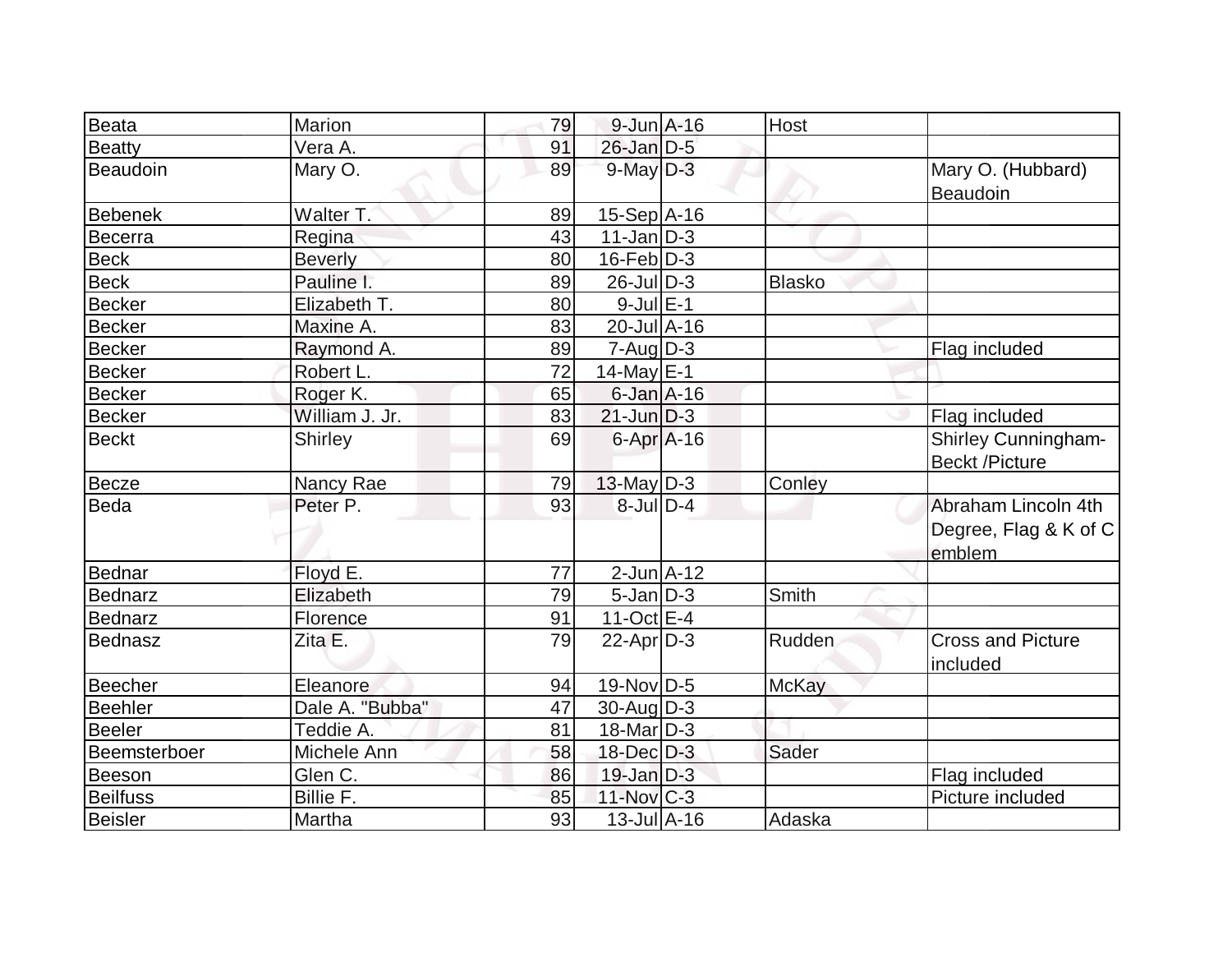| Beata           | <b>Marion</b>   | 79 | 9-Jun A-16                   | Host         |                          |
|-----------------|-----------------|----|------------------------------|--------------|--------------------------|
| <b>Beatty</b>   | Vera A.         | 91 | 26-Jan D-5                   |              |                          |
| Beaudoin        | Mary O.         | 89 | $9$ -May $D-3$               |              | Mary O. (Hubbard)        |
|                 |                 |    |                              |              | Beaudoin                 |
| <b>Bebenek</b>  | Walter T.       | 89 | $15-Sep$ A-16                |              |                          |
| <b>Becerra</b>  | Regina          | 43 | $11$ -Jan $ D-3 $            |              |                          |
| <b>Beck</b>     | <b>Beverly</b>  | 80 | $16$ -Feb $D-3$              |              |                          |
| Beck            | Pauline I.      | 89 | $26$ -JulD-3                 | Blasko       |                          |
| <b>Becker</b>   | Elizabeth T.    | 80 | $9$ -Jul $E-1$               |              |                          |
| <b>Becker</b>   | Maxine A.       | 83 | 20-Jul A-16                  |              |                          |
| <b>Becker</b>   | Raymond A.      | 89 | $7 - Aug   D-3$              |              | Flag included            |
| <b>Becker</b>   | Robert L.       | 72 | 14-May E-1                   |              |                          |
| <b>Becker</b>   | Roger K.        | 65 | $6$ -Jan $A$ -16             |              |                          |
| <b>Becker</b>   | William J. Jr.  | 83 | $21$ -Jun $D-3$              |              | Flag included            |
| <b>Beckt</b>    | Shirley         | 69 | $6$ -Apr $A$ -16             |              | Shirley Cunningham-      |
|                 |                 |    |                              |              | <b>Beckt /Picture</b>    |
| Becze           | Nancy Rae       | 79 | $13$ -May D-3                | Conley       |                          |
| Beda            | Peter P.        | 93 | $8$ -Jul $D-4$               |              | Abraham Lincoln 4th      |
|                 |                 |    |                              |              | Degree, Flag & K of C    |
|                 |                 |    |                              |              | emblem                   |
| Bednar          | Floyd E.        | 77 | $2$ -Jun $A-12$              |              |                          |
| <b>Bednarz</b>  | Elizabeth       | 79 | $5 - Jan$ $D-3$              | Smith        |                          |
| <b>Bednarz</b>  | Florence        | 91 | 11-Oct $E-4$                 |              |                          |
| <b>Bednasz</b>  | Zita E.         | 79 | $22$ -Apr $D-3$              | Rudden       | <b>Cross and Picture</b> |
|                 |                 |    |                              |              | included                 |
| <b>Beecher</b>  | Eleanore        | 94 | $19-Nov D-5$                 | <b>McKay</b> |                          |
| <b>Beehler</b>  | Dale A. "Bubba" | 47 | $30$ -Aug $D-3$              |              |                          |
| <b>Beeler</b>   | Teddie A.       | 81 | $18$ -Mar $ D-3 $            |              |                          |
| Beemsterboer    | Michele Ann     | 58 | 18-Dec D-3                   | Sader        |                          |
| Beeson          | Glen C.         | 86 | $19$ -Jan $D-3$              |              | Flag included            |
| <b>Beilfuss</b> | Billie F.       | 85 | $11$ -Nov $ C-3 $            |              | Picture included         |
| <b>Beisler</b>  | Martha          | 93 | $13$ -Jul $\overline{A}$ -16 | Adaska       |                          |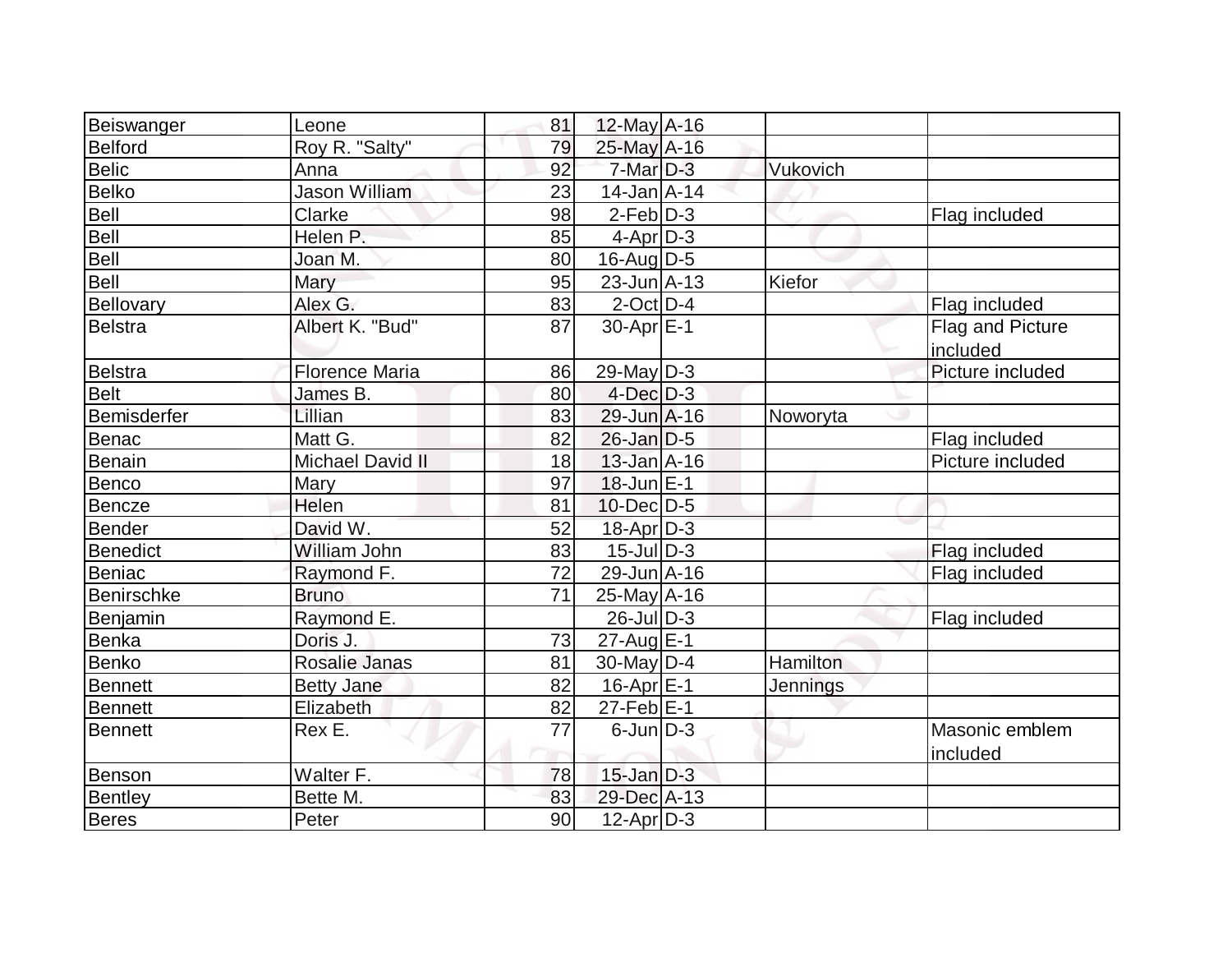|                         | Leone                   | 81 | 12-May A-16           |                 |                                   |
|-------------------------|-------------------------|----|-----------------------|-----------------|-----------------------------------|
| Beiswanger              | Roy R. "Salty"          | 79 | 25-May A-16           |                 |                                   |
| Belford<br><b>Belic</b> | Anna                    | 92 | $7$ -Mar $D-3$        | Vukovich        |                                   |
|                         |                         |    |                       |                 |                                   |
| Belko                   | Jason William           | 23 | $14$ -Jan $A$ -14     |                 |                                   |
| Bell                    | Clarke                  | 98 | $2$ -Feb $D-3$        |                 | Flag included                     |
| Bell                    | Helen P.                | 85 | $4$ -Apr $D-3$        |                 |                                   |
| Bell                    | Joan M.                 | 80 | $16$ -Aug $D-5$       |                 |                                   |
| Bell                    | Mary                    | 95 | $23$ -Jun $A-13$      | Kiefor          |                                   |
| Bellovary               | Alex G.                 | 83 | $2$ -Oct $D-4$        |                 | Flag included                     |
| <b>Belstra</b>          | Albert K. "Bud"         | 87 | $30$ -Apr $E-1$       |                 | Flag and Picture<br>included      |
| Belstra                 | <b>Florence Maria</b>   | 86 | 29-May $D-3$          |                 | Picture included                  |
| <b>Belt</b>             | James B.                | 80 | $4$ -Dec $D-3$        |                 |                                   |
| Bemisderfer             | Lillian                 | 83 | 29-Jun A-16           | Noworyta        |                                   |
| Benac                   | Matt G.                 | 82 | $26$ -Jan $D-5$       |                 |                                   |
|                         |                         |    | 13-Jan A-16           |                 | Flag included<br>Picture included |
| Benain                  | <b>Michael David II</b> | 18 | $18$ -Jun $E-1$       |                 |                                   |
| Benco                   | Mary<br>Helen           | 97 |                       |                 |                                   |
| Bencze                  |                         | 81 | 10-Dec D-5            |                 |                                   |
| Bender                  | David W.                | 52 | $18$ -Apr $D-3$       |                 |                                   |
| <b>Benedict</b>         | William John            | 83 | $15$ -Jul $D-3$       |                 | Flag included                     |
| Beniac                  | Raymond F.              | 72 | 29-Jun A-16           |                 | Flag included                     |
| Benirschke              | <b>Bruno</b>            | 71 | $25$ -May A-16        |                 |                                   |
| Benjamin                | Raymond E.              |    | $26$ -Jul $D-3$       |                 | Flag included                     |
| Benka                   | Doris J.                | 73 | $27$ -Aug E-1         |                 |                                   |
| Benko                   | Rosalie Janas           | 81 | 30-May $D-4$          | Hamilton        |                                   |
| Bennett                 | <b>Betty Jane</b>       | 82 | 16-Apr <sub>E-1</sub> | <b>Jennings</b> |                                   |
| <b>Bennett</b>          | Elizabeth               | 82 | $27$ -Feb $ E-1 $     |                 |                                   |
| Bennett                 | Rex E.                  | 77 | $6$ -Jun $D-3$        |                 | Masonic emblem<br>included        |
| Benson                  | Walter F.               | 78 | $15$ -Jan $D-3$       |                 |                                   |
| Bentley                 | Bette M.                | 83 | 29-Dec A-13           |                 |                                   |
| Beres                   | Peter                   | 90 | $12$ -Apr $D-3$       |                 |                                   |
|                         |                         |    |                       |                 |                                   |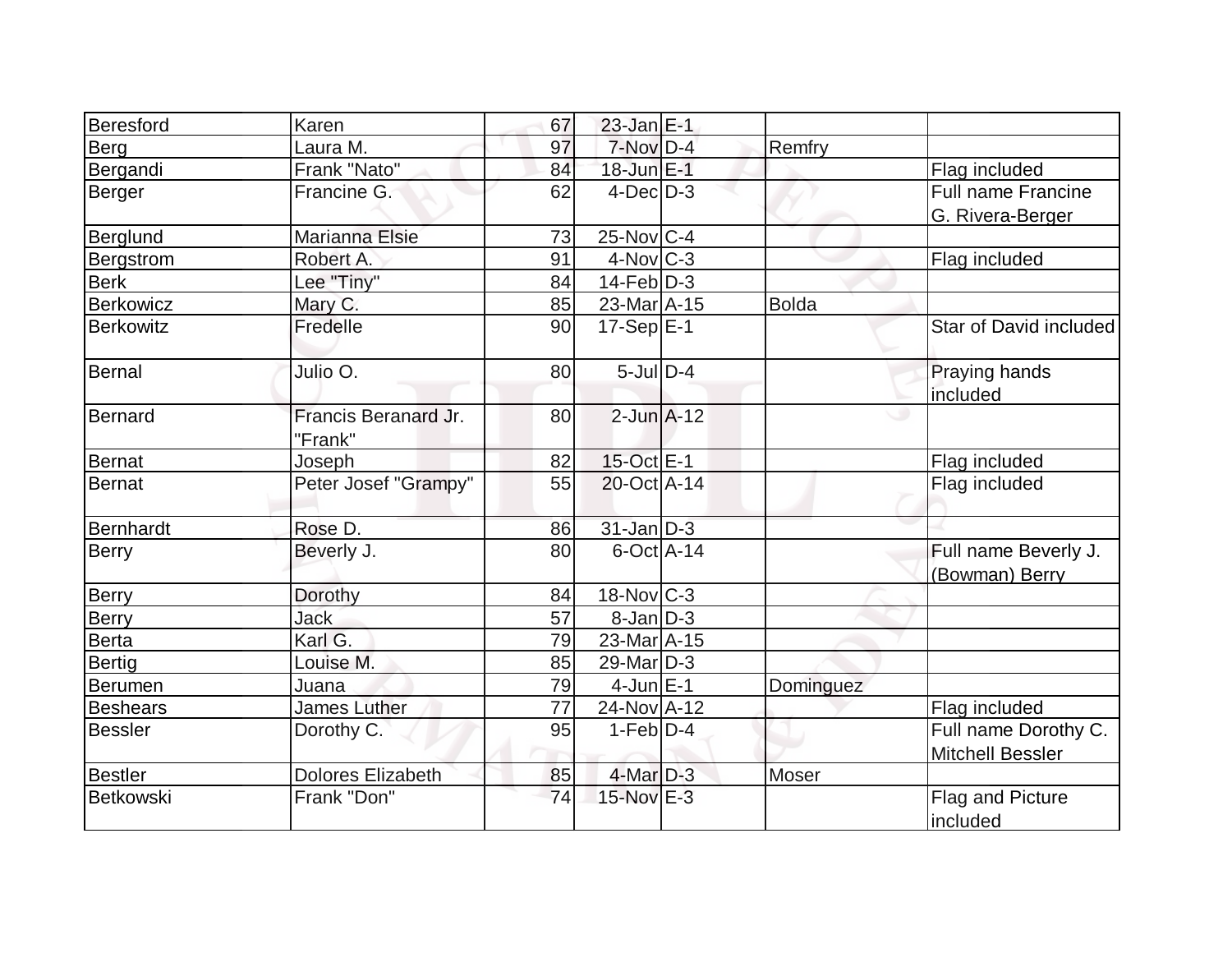| Beresford        | Karen                    | 67 | 23-Jan E-1        |              |                           |
|------------------|--------------------------|----|-------------------|--------------|---------------------------|
| Berg             | Laura M.                 | 97 | 7-Nov D-4         | Remfry       |                           |
| Bergandi         | Frank "Nato"             | 84 | 18-Jun E-1        |              | Flag included             |
| Berger           | Francine G.              | 62 | $4$ -Dec $D-3$    |              | <b>Full name Francine</b> |
|                  |                          |    |                   |              | G. Rivera-Berger          |
| Berglund         | Marianna Elsie           | 73 | $25$ -Nov $ C-4 $ |              |                           |
| <b>Bergstrom</b> | Robert A.                | 91 | $4$ -Nov $ C-3 $  |              | Flag included             |
| <b>Berk</b>      | Lee "Tiny"               | 84 | $14$ -Feb $D-3$   |              |                           |
| Berkowicz        | Mary C.                  | 85 | 23-Mar A-15       | <b>Bolda</b> |                           |
| <b>Berkowitz</b> | Fredelle                 | 90 | $17-Sep$ $E-1$    |              | Star of David included    |
| Bernal           | Julio O.                 | 80 | $5$ -JulD-4       |              | Praying hands             |
|                  |                          |    |                   |              | included                  |
| Bernard          | Francis Beranard Jr.     | 80 | $2$ -Jun $A-12$   |              |                           |
|                  | "Frank"                  |    |                   |              |                           |
| <b>Bernat</b>    | Joseph                   | 82 | 15-Oct E-1        |              | Flag included             |
| Bernat           | Peter Josef "Grampy"     | 55 | 20-Oct A-14       |              | Flag included             |
| <b>Bernhardt</b> | Rose D.                  | 86 | $31$ -Jan $D-3$   |              |                           |
| Berry            | Beverly J.               | 80 | 6-Oct A-14        |              | Full name Beverly J.      |
|                  |                          |    |                   |              | (Bowman) Berry            |
| Berry            | Dorothy                  | 84 | $18$ -Nov $C-3$   |              |                           |
| Berry            | <b>Jack</b>              | 57 | $8$ -Jan $D-3$    |              |                           |
| <b>Berta</b>     | Karl G.                  | 79 | 23-Mar A-15       |              |                           |
| Bertig           | Louise M.                | 85 | 29-Mar D-3        |              |                           |
| Berumen          | Juana                    | 79 | $4$ -Jun $E-1$    | Dominguez    |                           |
| <b>Beshears</b>  | <b>James Luther</b>      | 77 | 24-Nov A-12       |              | Flag included             |
| <b>Bessler</b>   | Dorothy C.               | 95 | $1-Feb D-4$       |              | Full name Dorothy C.      |
|                  |                          |    |                   |              | <b>Mitchell Bessler</b>   |
| <b>Bestler</b>   | <b>Dolores Elizabeth</b> | 85 | $4$ -Mar $D-3$    | Moser        |                           |
| <b>Betkowski</b> | Frank "Don"              | 74 | 15-Nov E-3        |              | Flag and Picture          |
|                  |                          |    |                   |              | included                  |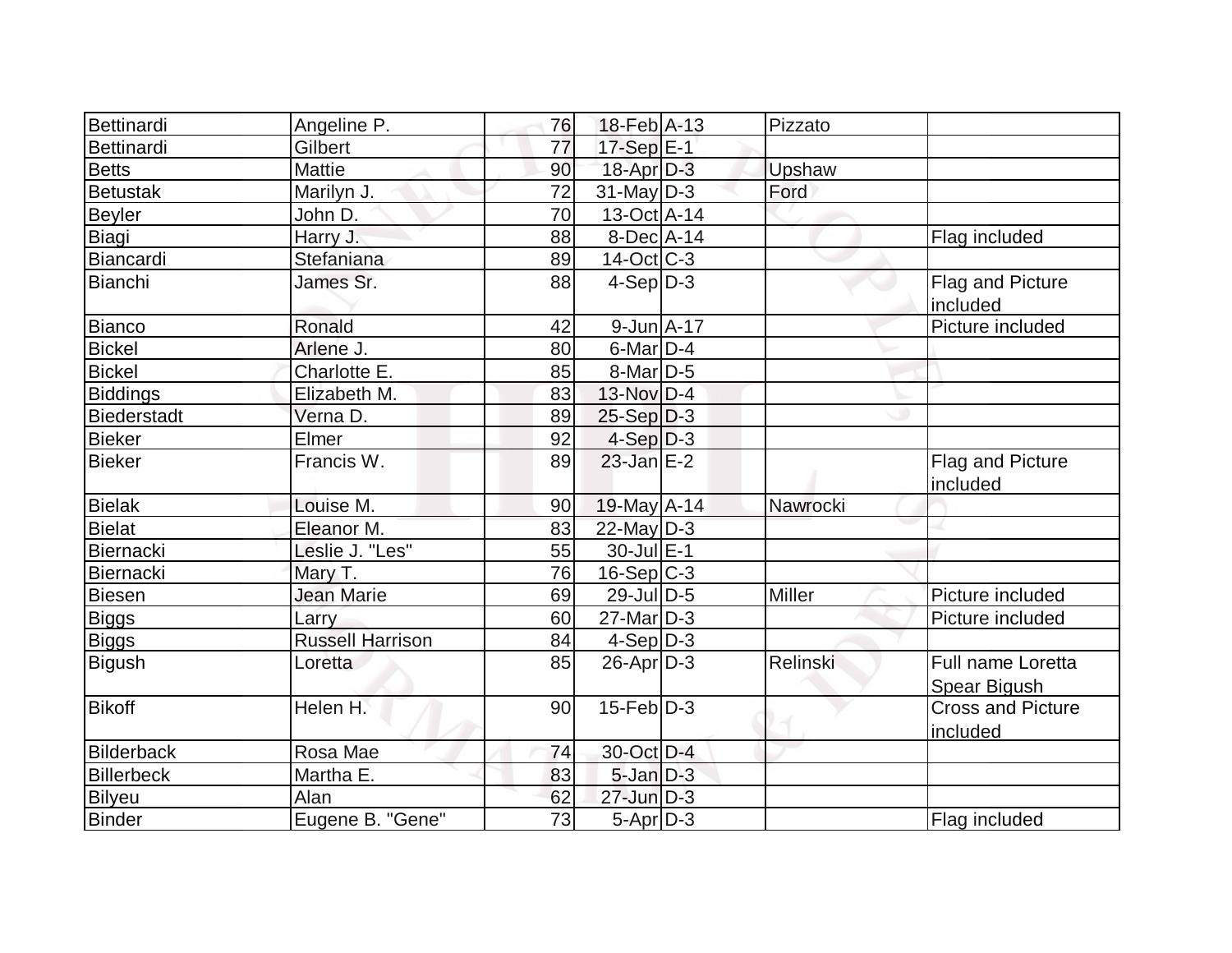| Bettinardi         | Angeline P.             | 76 | 18-Feb A-13       | Pizzato  |                                                 |
|--------------------|-------------------------|----|-------------------|----------|-------------------------------------------------|
| <b>Bettinardi</b>  | Gilbert                 | 77 | 17-Sep E-1        |          |                                                 |
| <b>Betts</b>       | <b>Mattie</b>           | 90 | 18-Apr D-3        | Upshaw   |                                                 |
| <b>Betustak</b>    | Marilyn J.              | 72 | $31$ -May $ D-3 $ | Ford     |                                                 |
| <b>Beyler</b>      | John D.                 | 70 | 13-Oct A-14       |          |                                                 |
| Biagi              | Harry J.                | 88 | $8$ -Dec $A$ -14  |          | Flag included                                   |
| Biancardi          | Stefaniana              | 89 | $14$ -Oct $ C-3 $ |          |                                                 |
| <b>Bianchi</b>     | James Sr.               | 88 | $4-Sep$ D-3       |          | Flag and Picture<br>included                    |
| Bianco             | Ronald                  | 42 | $9$ -Jun $A$ -17  |          | Picture included                                |
| <b>Bickel</b>      | Arlene J.               | 80 | $6$ -Mar D-4      |          |                                                 |
| <b>Bickel</b>      | Charlotte E.            | 85 | $8$ -Mar $D-5$    |          |                                                 |
| <b>Biddings</b>    | Elizabeth M.            | 83 | $13-Nov D-4$      |          |                                                 |
| <b>Biederstadt</b> | Verna D.                | 89 | $25-Sep D-3$      |          |                                                 |
| <b>Bieker</b>      | Elmer                   | 92 | $4-Sep$ $D-3$     |          |                                                 |
| <b>Bieker</b>      | Francis W.              | 89 | $23$ -Jan $E-2$   |          | Flag and Picture<br>included                    |
| <b>Bielak</b>      | Louise M.               | 90 | 19-May $A-14$     | Nawrocki |                                                 |
| <b>Bielat</b>      | Eleanor M.              | 83 | $22$ -May $D-3$   |          |                                                 |
| Biernacki          | Leslie J. "Les"         | 55 | 30-Jul E-1        |          |                                                 |
| Biernacki          | Mary T.                 | 76 | $16-Sep C-3$      |          |                                                 |
| <b>Biesen</b>      | Jean Marie              | 69 | $29$ -Jul $D$ -5  | Miller   | Picture included                                |
| <b>Biggs</b>       | Larry                   | 60 | $27$ -Mar $ D-3 $ |          | Picture included                                |
| <b>Biggs</b>       | <b>Russell Harrison</b> | 84 | $4-Sep D-3$       |          |                                                 |
| <b>Bigush</b>      | Loretta                 | 85 | $26$ -Apr $D-3$   | Relinski | <b>Full name Loretta</b><br><b>Spear Bigush</b> |
| <b>Bikoff</b>      | Helen H.                | 90 | $15$ -Feb $D-3$   |          | <b>Cross and Picture</b><br>included            |
| <b>Bilderback</b>  | Rosa Mae                | 74 | 30-Oct D-4        |          |                                                 |
| <b>Billerbeck</b>  | Martha E.               | 83 | $5$ -Jan $D-3$    |          |                                                 |
| <b>Bilyeu</b>      | Alan                    | 62 | $27$ -Jun $D-3$   |          |                                                 |
| <b>Binder</b>      | Eugene B. "Gene"        | 73 | $5-Apr$ D-3       |          | Flag included                                   |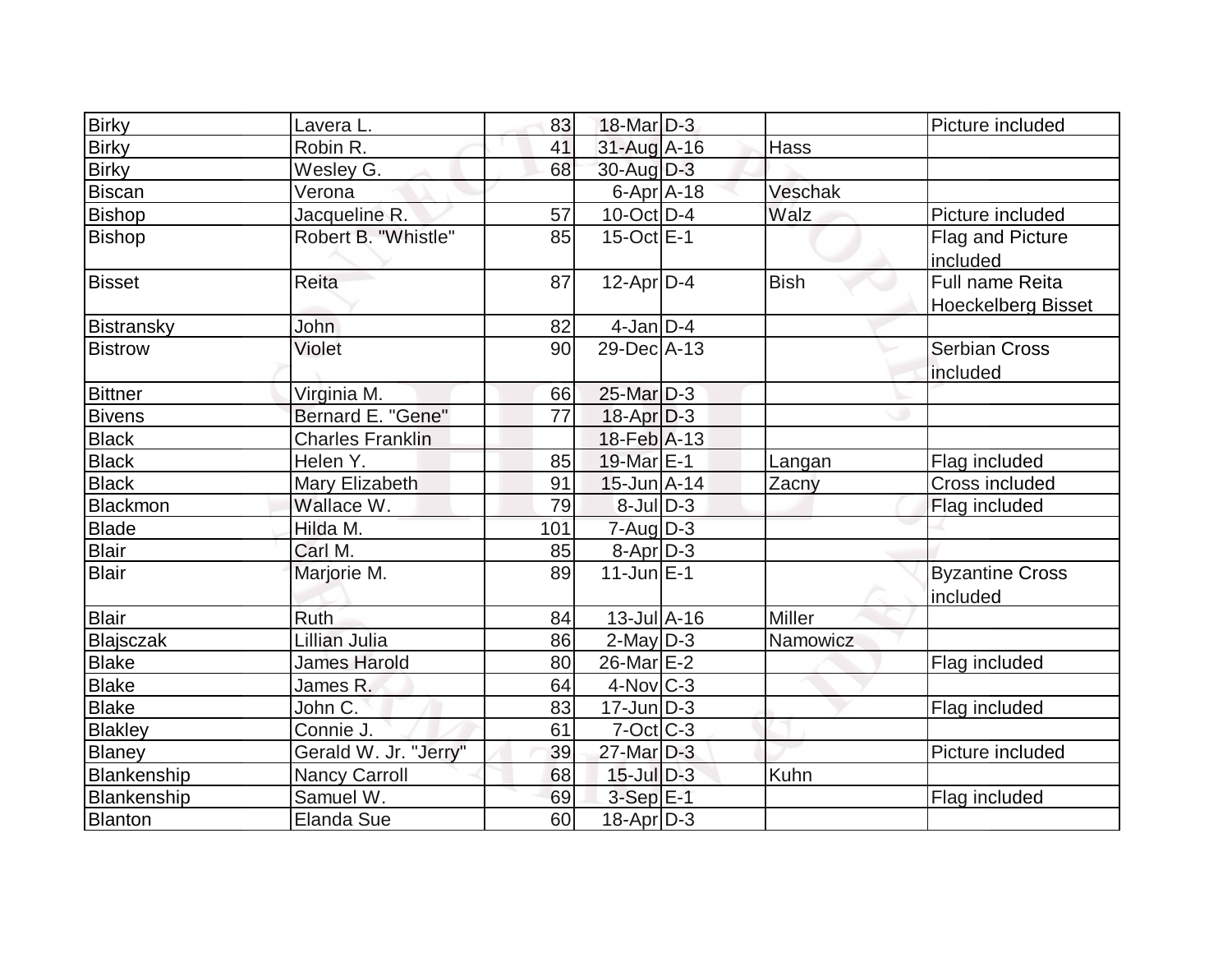| <b>Birky</b>     | Lavera L.               | 83  | 18-Mar D-3                   |               | Picture included                   |
|------------------|-------------------------|-----|------------------------------|---------------|------------------------------------|
| <b>Birky</b>     | Robin R.                | 41  | 31-Aug A-16                  | Hass          |                                    |
| <b>Birky</b>     | Wesley G.               | 68  | $30$ -AugD-3                 |               |                                    |
| <b>Biscan</b>    | Verona                  |     | $6$ -Apr $ A$ -18            | Veschak       |                                    |
| <b>Bishop</b>    | Jacqueline R.           | 57  | $10$ -Oct $\overline{D-4}$   | Walz          | Picture included                   |
| <b>Bishop</b>    | Robert B. "Whistle"     | 85  | $15$ -Oct $E-1$              |               | Flag and Picture<br>included       |
| <b>Bisset</b>    | Reita                   | 87  | $12$ -Apr $D-4$              | <b>Bish</b>   | Full name Reita                    |
|                  |                         |     |                              |               | <b>Hoeckelberg Bisset</b>          |
| Bistransky       | John                    | 82  | $4$ -Jan $D-4$               |               |                                    |
| <b>Bistrow</b>   | Violet                  | 90  | 29-Dec A-13                  |               | <b>Serbian Cross</b>               |
|                  |                         |     |                              |               | included                           |
| <b>Bittner</b>   | Virginia M.             | 66  | 25-Mar D-3                   |               |                                    |
| <b>Bivens</b>    | Bernard E. "Gene"       | 77  | $18-Apr D-3$                 |               |                                    |
| <b>Black</b>     | <b>Charles Franklin</b> |     | 18-Feb A-13                  |               |                                    |
| <b>Black</b>     | Helen Y.                | 85  | 19-Mar E-1                   | Langan        | Flag included                      |
| <b>Black</b>     | <b>Mary Elizabeth</b>   | 91  | $15$ -Jun $A$ -14            | Zacny         | Cross included                     |
| Blackmon         | Wallace W.              | 79  | $8$ -JulD-3                  |               | Flag included                      |
| <b>Blade</b>     | Hilda M.                | 101 | $7 - Aug$ $D-3$              |               |                                    |
| <b>Blair</b>     | Carl M.                 | 85  | $8 - Apr$ $D-3$              |               |                                    |
| Blair            | Marjorie M.             | 89  | $11$ -Jun $E-1$              |               | <b>Byzantine Cross</b><br>included |
| <b>Blair</b>     | <b>Ruth</b>             | 84  | $13$ -Jul $\overline{A}$ -16 | <b>Miller</b> |                                    |
| <b>Blajsczak</b> | Lillian Julia           | 86  | $2$ -May $D-3$               | Namowicz      |                                    |
| <b>Blake</b>     | <b>James Harold</b>     | 80  | 26-Mar E-2                   |               | Flag included                      |
| <b>Blake</b>     | James R.                | 64  | $4$ -Nov $C-3$               |               |                                    |
| <b>Blake</b>     | John C.                 | 83  | $17$ -Jun $D-3$              |               | Flag included                      |
| <b>Blakley</b>   | Connie J.               | 61  | $7-Cct$ $C-3$                |               |                                    |
| Blaney           | Gerald W. Jr. "Jerry"   | 39  | $27$ -Mar $D-3$              |               | Picture included                   |
| Blankenship      | <b>Nancy Carroll</b>    | 68  | $15$ -Jul $D-3$              | Kuhn          |                                    |
| Blankenship      | Samuel W.               | 69  | $3-Sep$ E-1                  |               | Flag included                      |
| <b>Blanton</b>   | Elanda Sue              | 60  | 18-Apr D-3                   |               |                                    |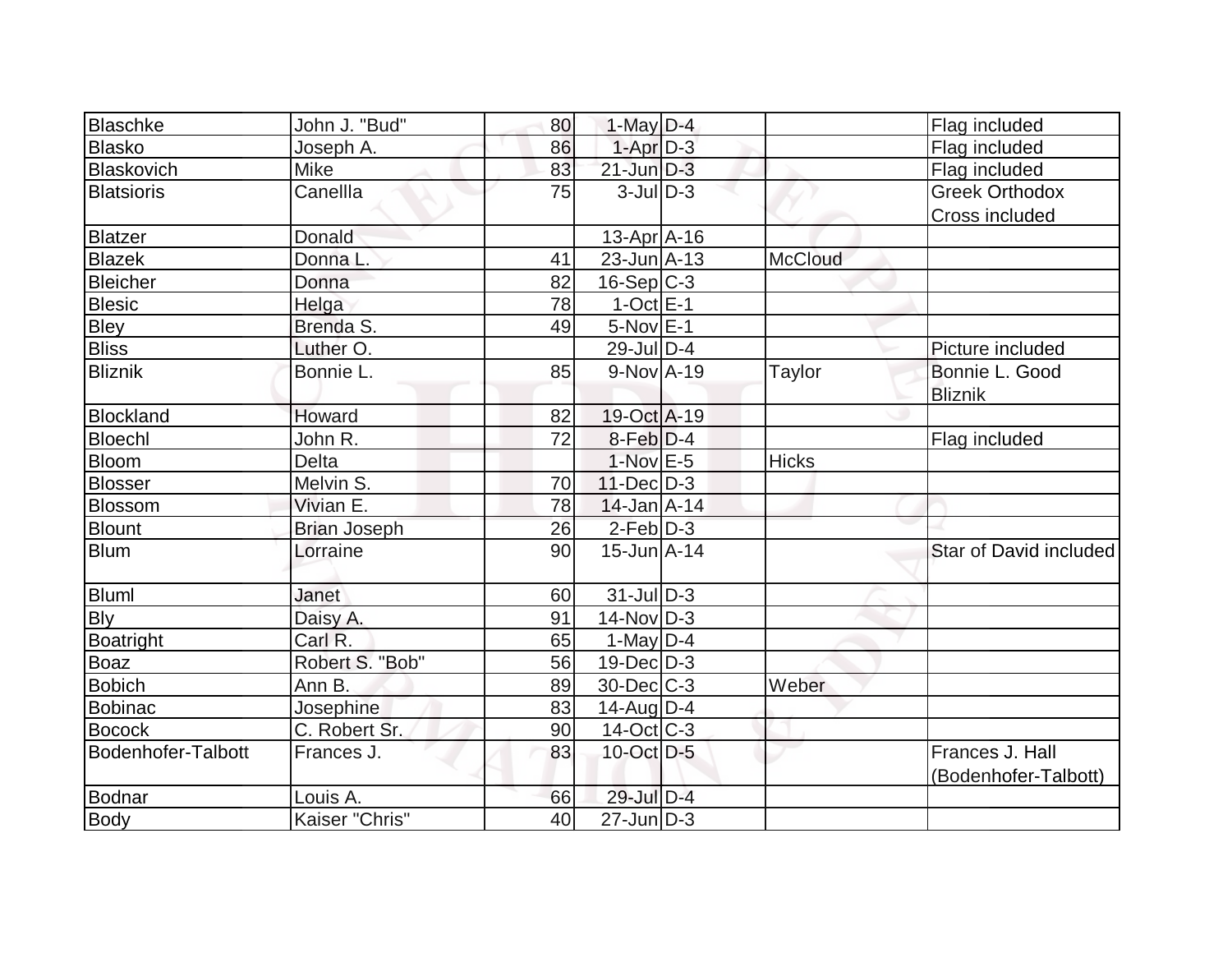| Blaschke           | John J. "Bud"       | 80 | $1$ -May $D-4$    |                | Flag included          |
|--------------------|---------------------|----|-------------------|----------------|------------------------|
| Blasko             | Joseph A.           | 86 | $1-Apr$ D-3       |                | Flag included          |
| Blaskovich         | <b>Mike</b>         | 83 | $21$ -Jun $D-3$   |                | Flag included          |
| <b>Blatsioris</b>  | Canellla            | 75 | $3$ -Jul $D-3$    |                | <b>Greek Orthodox</b>  |
|                    |                     |    |                   |                | Cross included         |
| <b>Blatzer</b>     | Donald              |    | $13$ -Apr $ A-16$ |                |                        |
| <b>Blazek</b>      | Donna L             | 41 | $23$ -Jun $A-13$  | <b>McCloud</b> |                        |
| Bleicher           | Donna               | 82 | $16-Sep C-3$      |                |                        |
| <b>Blesic</b>      | Helga               | 78 | $1-Oct$ E-1       |                |                        |
| Bley               | Brenda S.           | 49 | $5-Nov$ $E-1$     |                |                        |
| <b>Bliss</b>       | Luther O.           |    | $29$ -Jul $D-4$   |                | Picture included       |
| <b>Bliznik</b>     | Bonnie L.           | 85 | $9-NovA-19$       | <b>Taylor</b>  | Bonnie L. Good         |
|                    |                     |    |                   |                | <b>Bliznik</b>         |
| Blockland          | Howard              | 82 | 19-Oct A-19       |                |                        |
| Bloechl            | John R.             | 72 | $8$ -Feb $D-4$    |                | Flag included          |
| Bloom              | Delta               |    | $1$ -Nov $E - 5$  | <b>Hicks</b>   |                        |
| <b>Blosser</b>     | Melvin S.           | 70 | $11$ -Dec $D-3$   |                |                        |
| <b>Blossom</b>     | Vivian E.           | 78 | 14-Jan A-14       |                |                        |
| Blount             | <b>Brian Joseph</b> | 26 | $2-Feb D-3$       |                |                        |
| <b>Blum</b>        | Lorraine            | 90 | $15$ -Jun $A$ -14 |                | Star of David included |
|                    |                     |    | $31$ -Jul D-3     |                |                        |
| <b>Bluml</b>       | Janet               | 60 |                   |                |                        |
| <b>Bly</b>         | Daisy A.            | 91 | $14$ -Nov $ D-3 $ |                |                        |
| <b>Boatright</b>   | Carl R.             | 65 | 1-May $D-4$       |                |                        |
| <b>Boaz</b>        | Robert S. "Bob"     | 56 | $19$ -Dec $D-3$   |                |                        |
| <b>Bobich</b>      | Ann B.              | 89 | 30-Dec C-3        | Weber          |                        |
| <b>Bobinac</b>     | Josephine           | 83 | $14$ -Aug $D-4$   |                |                        |
| <b>Bocock</b>      | C. Robert Sr.       | 90 | $14-Oct$ $C-3$    |                |                        |
| Bodenhofer-Talbott | Frances J.          | 83 | $10$ -Oct D-5     |                | Frances J. Hall        |
|                    |                     |    |                   |                | (Bodenhofer-Talbott)   |
| Bodnar             | Louis A.            | 66 | 29-Jul D-4        |                |                        |
| <b>Body</b>        | Kaiser "Chris"      | 40 | $27$ -Jun $ D-3 $ |                |                        |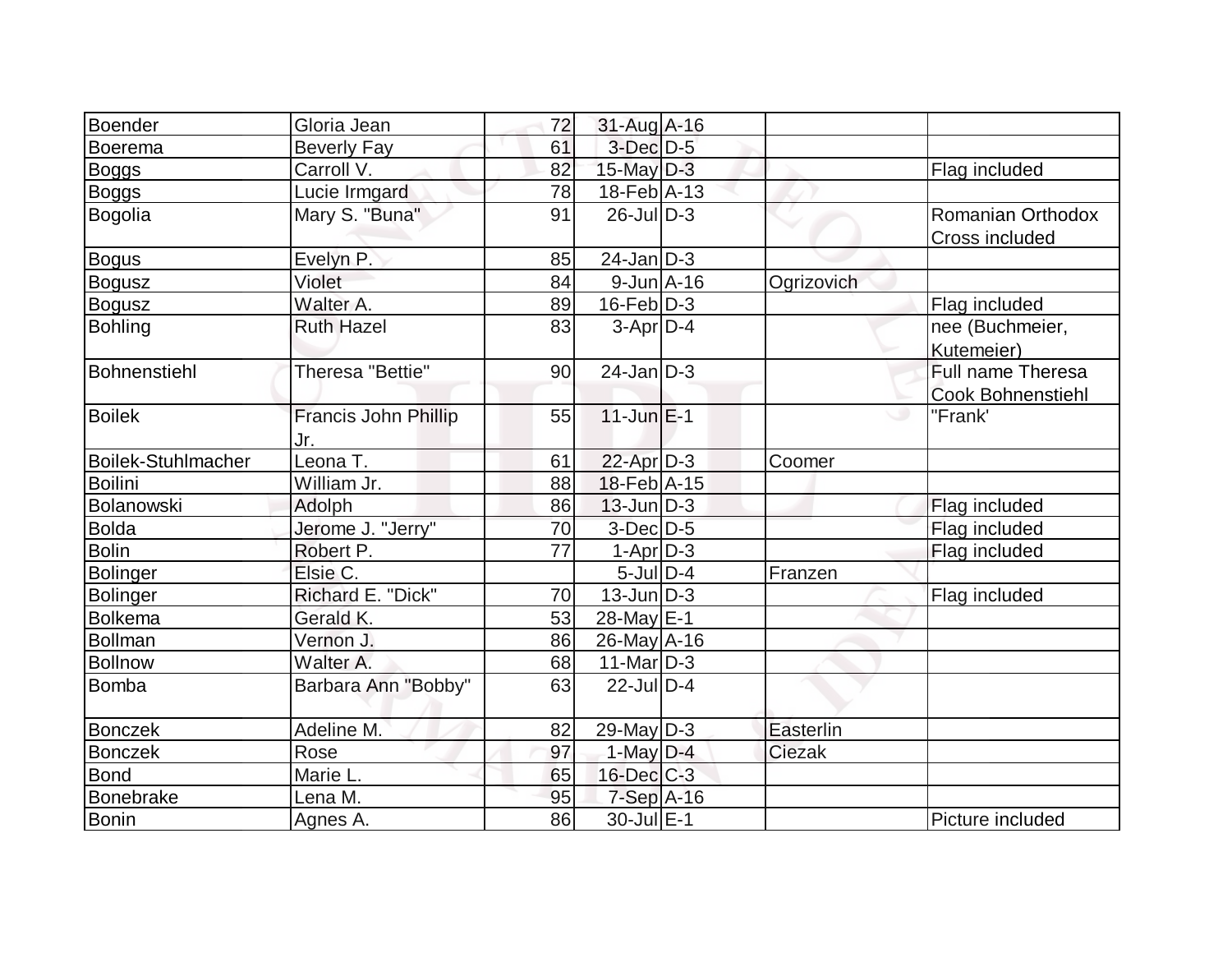| Boender                   | Gloria Jean                 | 72              | $31$ -Aug $A$ -16 |            |                                               |
|---------------------------|-----------------------------|-----------------|-------------------|------------|-----------------------------------------------|
| <b>Boerema</b>            | <b>Beverly Fay</b>          | 61              | $3$ -Dec $D-5$    |            |                                               |
| <b>Boggs</b>              | Carroll V.                  | 82              | $15$ -May $D-3$   |            | Flag included                                 |
| <b>Boggs</b>              | Lucie Irmgard               | 78              | $18$ -Feb $ A-13$ |            |                                               |
| <b>Bogolia</b>            | Mary S. "Buna"              | 91              | $26$ -JulD-3      |            | Romanian Orthodox<br>Cross included           |
| <b>Bogus</b>              | Evelyn P.                   | 85              | 24-Jan D-3        |            |                                               |
| <b>Bogusz</b>             | Violet                      | 84              | $9$ -Jun $A$ -16  | Ogrizovich |                                               |
| <b>Bogusz</b>             | Walter A.                   | 89              | $16$ -Feb $ D-3 $ |            | Flag included                                 |
| <b>Bohling</b>            | <b>Ruth Hazel</b>           | 83              | $3-Apr D-4$       |            | nee (Buchmeier,<br>Kutemeier)                 |
| <b>Bohnenstiehl</b>       | Theresa "Bettie"            | 90              | $24$ -Jan $D-3$   |            | Full name Theresa<br><b>Cook Bohnenstiehl</b> |
| <b>Boilek</b>             | Francis John Phillip<br>Jr. | 55              | $11$ -Jun $E-1$   |            | "Frank"                                       |
| <b>Boilek-Stuhlmacher</b> | Leona T.                    | 61              | $22$ -Apr $D-3$   | Coomer     |                                               |
| <b>Boilini</b>            | William Jr.                 | 88              | 18-Feb A-15       |            |                                               |
| Bolanowski                | Adolph                      | 86              | $13$ -Jun $D-3$   |            | Flag included                                 |
| <b>Bolda</b>              | Jerome J. "Jerry"           | 70              | $3-Dec$ $D-5$     |            | Flag included                                 |
| <b>Bolin</b>              | Robert P.                   | $\overline{77}$ | $1-Apr D-3$       |            | Flag included                                 |
| <b>Bolinger</b>           | Elsie C.                    |                 | $5$ -Jul $D-4$    | Franzen    |                                               |
| <b>Bolinger</b>           | Richard E. "Dick"           | 70              | $13$ -Jun $ D-3 $ |            | Flag included                                 |
| <b>Bolkema</b>            | Gerald K.                   | 53              | 28-May $E-1$      |            |                                               |
| <b>Bollman</b>            | Vernon J.                   | 86              | $26$ -May A-16    |            |                                               |
| <b>Bollnow</b>            | Walter A.                   | 68              | $11$ -Mar $ D-3 $ |            |                                               |
| <b>Bomba</b>              | Barbara Ann "Bobby"         | 63              | $22$ -JulD-4      |            |                                               |
| <b>Bonczek</b>            | Adeline M.                  | 82              | $29$ -May D-3     | Easterlin  |                                               |
| <b>Bonczek</b>            | Rose                        | 97              | 1-May $D-4$       | Ciezak     |                                               |
| Bond                      | Marie L.                    | 65              | 16-Dec C-3        |            |                                               |
| Bonebrake                 | Lena M.                     | 95              | $7-Sep$ A-16      |            |                                               |
| <b>Bonin</b>              | Agnes A.                    | 86              | $30$ -Jul $E-1$   |            | Picture included                              |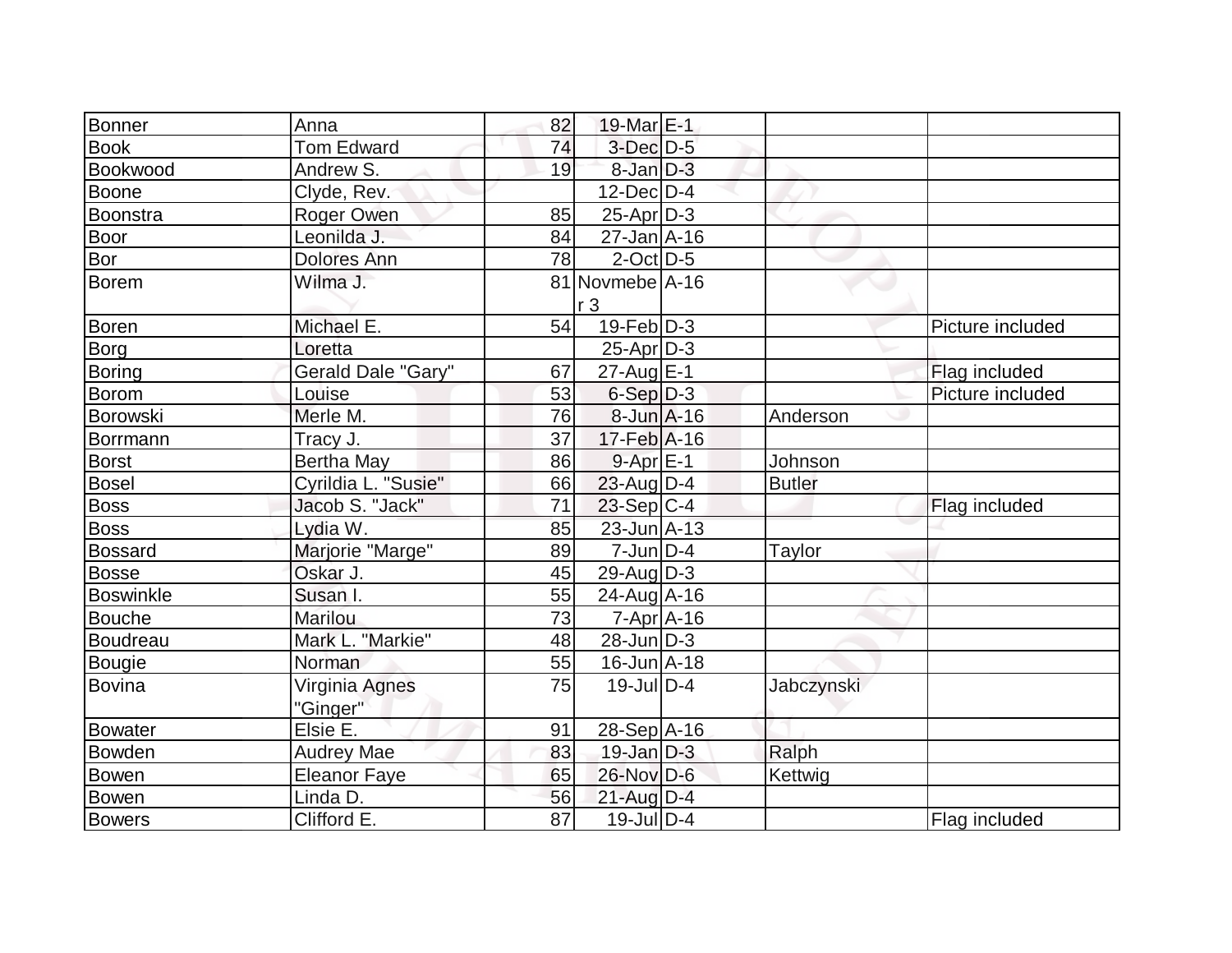| Bonner        | Anna                       | 82              | 19-Mar E-1                        |               |                  |
|---------------|----------------------------|-----------------|-----------------------------------|---------------|------------------|
| <b>Book</b>   | <b>Tom Edward</b>          | 74              | $3$ -Dec $D-5$                    |               |                  |
| Bookwood      | Andrew S.                  | 19              | $8$ -Jan $D-3$                    |               |                  |
| Boone         | Clyde, Rev.                |                 | $12$ -Dec $D-4$                   |               |                  |
| Boonstra      | Roger Owen                 | 85              | $25$ -Apr $D-3$                   |               |                  |
| <b>Boor</b>   | Leonilda J.                | 84              | $27 - Jan A - 16$                 |               |                  |
| Bor           | <b>Dolores Ann</b>         | 78              | $2$ -Oct $D-5$                    |               |                  |
| Borem         | Wilma J.                   |                 | 81 Novmebe A-16<br>r <sub>3</sub> |               |                  |
| Boren         | Michael E.                 | 54              | $19$ -Feb $D-3$                   |               | Picture included |
| Borg          | Loretta                    |                 | $25$ -Apr $ D-3$                  |               |                  |
| Boring        | Gerald Dale "Gary"         | 67              | $27$ -Aug $E-1$                   |               | Flag included    |
| Borom         | Louise                     | 53              | $6-Sep$ $D-3$                     |               | Picture included |
| Borowski      | Merle M.                   | 76              | $8$ -Jun $A$ -16                  | Anderson      |                  |
| Borrmann      | Tracy J.                   | $\overline{37}$ | $17$ -Feb $\overline{A}$ -16      |               |                  |
| <b>Borst</b>  | <b>Bertha May</b>          | 86              | $9 - Apr$ $E-1$                   | Johnson       |                  |
| <b>Bosel</b>  | Cyrildia L. "Susie"        | 66              | $23$ -Aug $D-4$                   | <b>Butler</b> |                  |
| <b>Boss</b>   | Jacob S. "Jack"            | 71              | $23-Sep C-4$                      |               | Flag included    |
| <b>Boss</b>   | Lydia W.                   | 85              | $23$ -Jun $A-13$                  |               |                  |
| Bossard       | Marjorie "Marge"           | 89              | $7$ -Jun $D-4$                    | Taylor        |                  |
| Bosse         | Oskar J.                   | 45              | $29$ -Aug $D-3$                   |               |                  |
| Boswinkle     | Susan I.                   | 55              | $24$ -Aug $A$ -16                 |               |                  |
| <b>Bouche</b> | <b>Marilou</b>             | 73              | $7 - Apr$ A-16                    |               |                  |
| Boudreau      | Mark L. "Markie"           | 48              | $28$ -Jun $D-3$                   |               |                  |
| Bougie        | Norman                     | 55              | $16$ -Jun $A$ -18                 |               |                  |
| <b>Bovina</b> | Virginia Agnes<br>"Ginger" | 75              | $19$ -Jul $D-4$                   | Jabczynski    |                  |
| Bowater       | Elsie E.                   | 91              | $28-Sep$ A-16                     |               |                  |
| Bowden        | <b>Audrey Mae</b>          | 83              | $19$ -Jan $D-3$                   | Ralph         |                  |
| Bowen         | <b>Eleanor Faye</b>        | 65              | 26-Nov D-6                        | Kettwig       |                  |
| Bowen         | Linda D.                   | 56              | $21$ -Aug $D-4$                   |               |                  |
| <b>Bowers</b> | Clifford E.                | 87              | $19$ -Jul $D-4$                   |               | Flag included    |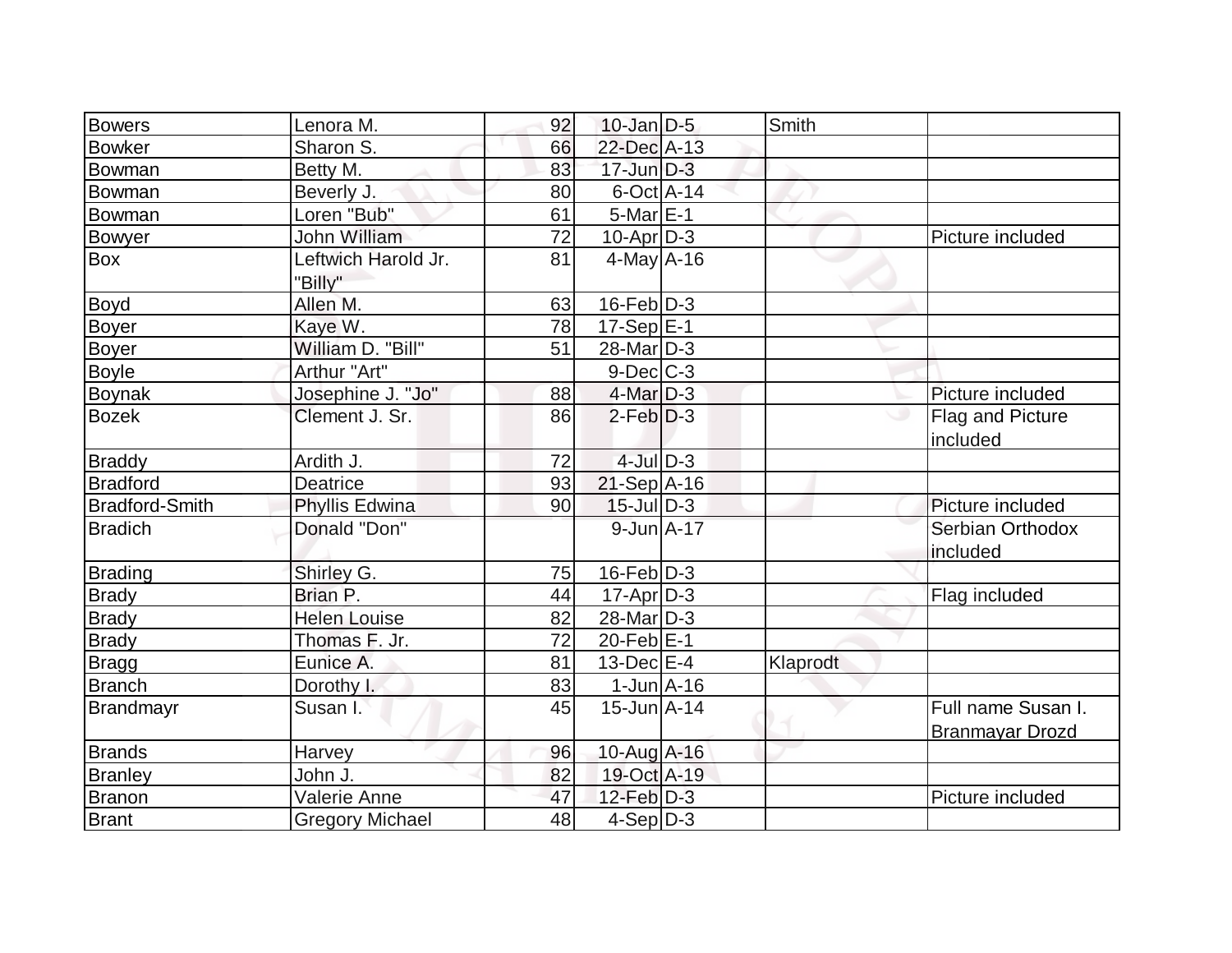| <b>Bowers</b>         | Lenora M.                      | 92 | $10$ -Jan D-5     | Smith    |                              |
|-----------------------|--------------------------------|----|-------------------|----------|------------------------------|
| <b>Bowker</b>         | Sharon S.                      | 66 | 22-Dec A-13       |          |                              |
| Bowman                | Betty M.                       | 83 | $17$ -Jun $D-3$   |          |                              |
| Bowman                | Beverly J.                     | 80 | $6$ -Oct $A$ -14  |          |                              |
| Bowman                | Loren "Bub"                    | 61 | $5$ -Mar $E-1$    |          |                              |
| <b>Bowyer</b>         | John William                   | 72 | $10$ -Apr $D-3$   |          | Picture included             |
| Box                   | Leftwich Harold Jr.<br>"Billy" | 81 | $4$ -May $A$ -16  |          |                              |
| Boyd                  | Allen M.                       | 63 | $16$ -Feb $ D-3 $ |          |                              |
| <b>Boyer</b>          | Kaye W.                        | 78 | $17-Sep$ $E-1$    |          |                              |
| <b>Boyer</b>          | William D. "Bill"              | 51 | $28$ -Mar $ D-3 $ |          |                              |
| <b>Boyle</b>          | Arthur "Art"                   |    | $9$ -Dec $C$ -3   |          |                              |
| Boynak                | Josephine J. "Jo"              | 88 | $4$ -Mar $D-3$    |          | Picture included             |
| <b>Bozek</b>          | Clement J. Sr.                 | 86 | $2$ -Feb $D-3$    |          | Flag and Picture<br>included |
| <b>Braddy</b>         | Ardith J.                      | 72 | $4$ -Jul $D-3$    |          |                              |
| <b>Bradford</b>       | <b>Deatrice</b>                | 93 | $21-Sep$ A-16     |          |                              |
| <b>Bradford-Smith</b> | Phyllis Edwina                 | 90 | $15$ -JulD-3      |          | Picture included             |
| <b>Bradich</b>        | Donald "Don"                   |    | $9$ -Jun $A$ -17  |          | Serbian Orthodox<br>included |
| Brading               | Shirley G.                     | 75 | $16$ -Feb $D-3$   |          |                              |
| <b>Brady</b>          | Brian P.                       | 44 | $17$ -Apr $D-3$   |          | Flag included                |
| <b>Brady</b>          | <b>Helen Louise</b>            | 82 | $28$ -Mar $D-3$   |          |                              |
| <b>Brady</b>          | Thomas F. Jr.                  | 72 | $20$ -Feb $ E-1 $ |          |                              |
| Bragg                 | Eunice A.                      | 81 | $13$ -Dec $E-4$   | Klaprodt |                              |
| <b>Branch</b>         | Dorothy I.                     | 83 | $1$ -Jun $A$ -16  |          |                              |
| Brandmayr             | Susan I.                       | 45 | $15$ -Jun $A$ -14 |          | Full name Susan I.           |
|                       |                                |    |                   |          | <b>Branmayar Drozd</b>       |
| <b>Brands</b>         | <b>Harvey</b>                  | 96 | 10-Aug A-16       |          |                              |
| <b>Branley</b>        | John J.                        | 82 | 19-Oct A-19       |          |                              |
| Branon                | Valerie Anne                   | 47 | $12$ -Feb $D-3$   |          | Picture included             |
| <b>Brant</b>          | <b>Gregory Michael</b>         | 48 | $4-Sep$ D-3       |          |                              |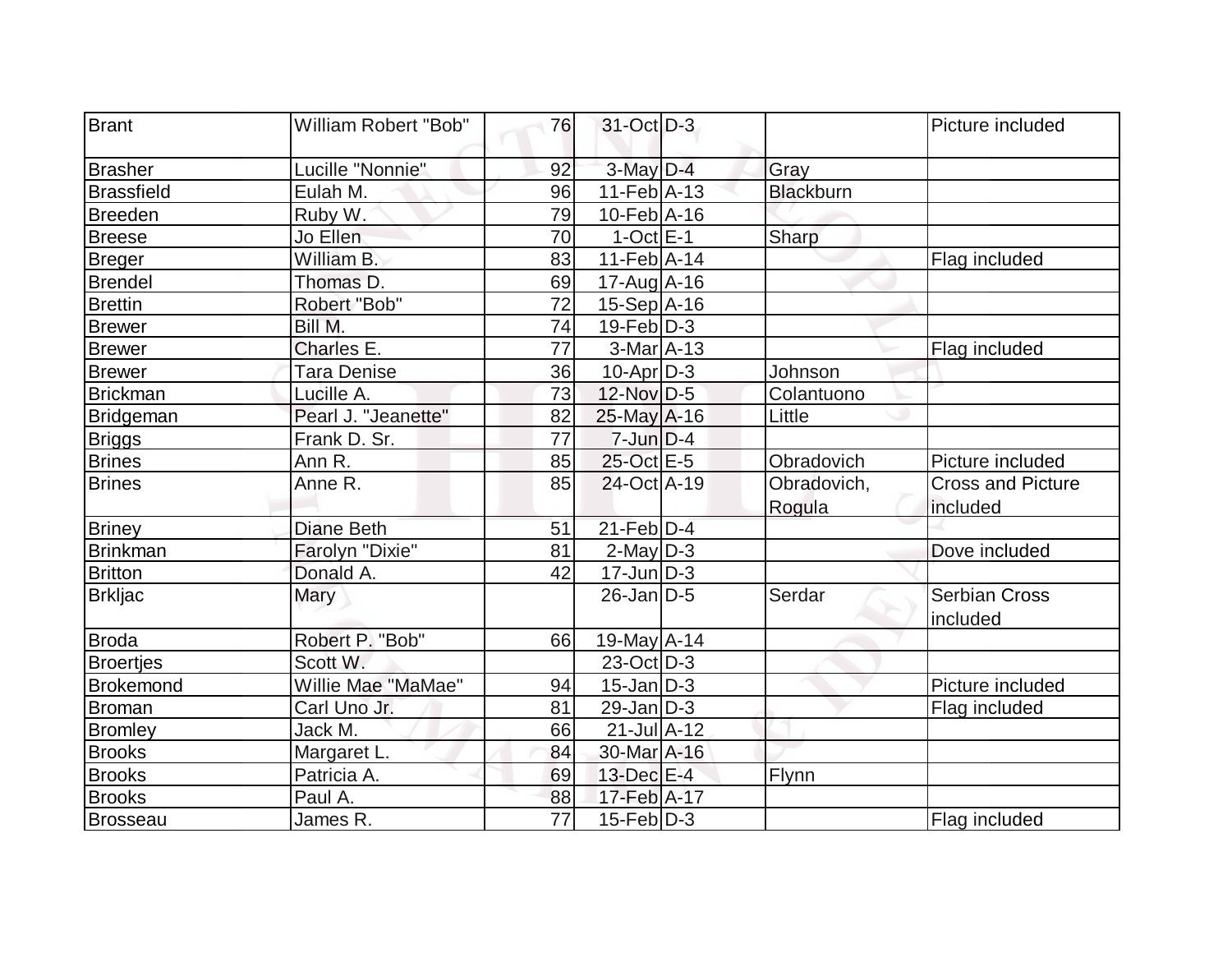| <b>Brant</b>      | William Robert "Bob"  | 76              | 31-Oct D-3                   |                  | Picture included         |
|-------------------|-----------------------|-----------------|------------------------------|------------------|--------------------------|
| <b>Brasher</b>    | Lucille "Nonnie"      | 92              | 3-May D-4                    | Gray             |                          |
| <b>Brassfield</b> | Eulah M.              | 96              | $11-Feb$ A-13                | <b>Blackburn</b> |                          |
| <b>Breeden</b>    | Ruby W.               | 79              | $10$ -Feb $\overline{A}$ -16 |                  |                          |
| <b>Breese</b>     | Jo Ellen              | 70              | $1$ -Oct $E-1$               | Sharp            |                          |
| <b>Breger</b>     | William B.            | 83              | $11-Feb$ A-14                |                  | Flag included            |
| <b>Brendel</b>    | Thomas D.             | 69              | $17$ -Aug $A$ -16            |                  |                          |
| <b>Brettin</b>    | Robert "Bob"          | 72              | 15-Sep A-16                  |                  |                          |
| <b>Brewer</b>     | Bill M.               | 74              | $19$ -Feb $ D-3 $            |                  |                          |
| <b>Brewer</b>     | Charles <sub>E.</sub> | 77              | $3-MarA-13$                  |                  | Flag included            |
| <b>Brewer</b>     | Tara Denise           | 36              | $10$ -Apr $D-3$              | Johnson          |                          |
| <b>Brickman</b>   | Lucille A.            | 73              | 12-Nov D-5                   | Colantuono       |                          |
| Bridgeman         | Pearl J. "Jeanette"   | 82              | $25$ -May $A$ -16            | Little           |                          |
| <b>Briggs</b>     | Frank D. Sr.          | 77              | $7$ -Jun $D-4$               |                  |                          |
| <b>Brines</b>     | Ann R.                | 85              | 25-Oct E-5                   | Obradovich       | Picture included         |
| <b>Brines</b>     | Anne R.               | 85              | 24-Oct A-19                  | Obradovich,      | <b>Cross and Picture</b> |
|                   |                       |                 |                              | Rogula           | included                 |
| <b>Briney</b>     | Diane Beth            | 51              | $21$ -Feb $D-4$              |                  |                          |
| <b>Brinkman</b>   | Farolyn "Dixie"       | 81              | $2$ -May $D-3$               |                  | Dove included            |
| <b>Britton</b>    | Donald A.             | 42              | $17 - Jun$ $D-3$             |                  |                          |
| <b>Brkljac</b>    | Mary                  |                 | $26$ -Jan $ D-5 $            | Serdar           | <b>Serbian Cross</b>     |
|                   |                       |                 |                              |                  | included                 |
| <b>Broda</b>      | Robert P. "Bob"       | 66              | $19$ -May $A$ -14            |                  |                          |
| <b>Broertjes</b>  | Scott W.              |                 | $23-Oct$ D-3                 |                  |                          |
| <b>Brokemond</b>  | Willie Mae "MaMae"    | 94              | $15$ -Jan $ D-3 $            |                  | Picture included         |
| Broman            | Carl Uno Jr.          | 81              | $29$ -Jan $ D-3 $            |                  | Flag included            |
| <b>Bromley</b>    | Jack M.               | 66              | $21$ -Jul $A-12$             |                  |                          |
| <b>Brooks</b>     | Margaret L.           | 84              | 30-Mar A-16                  |                  |                          |
| <b>Brooks</b>     | Patricia A.           | 69              | 13-Dec E-4                   | Flynn            |                          |
| <b>Brooks</b>     | Paul A.               | 88              | 17-Feb A-17                  |                  |                          |
| <b>Brosseau</b>   | James R.              | $\overline{77}$ | $15$ -Feb $D-3$              |                  | Flag included            |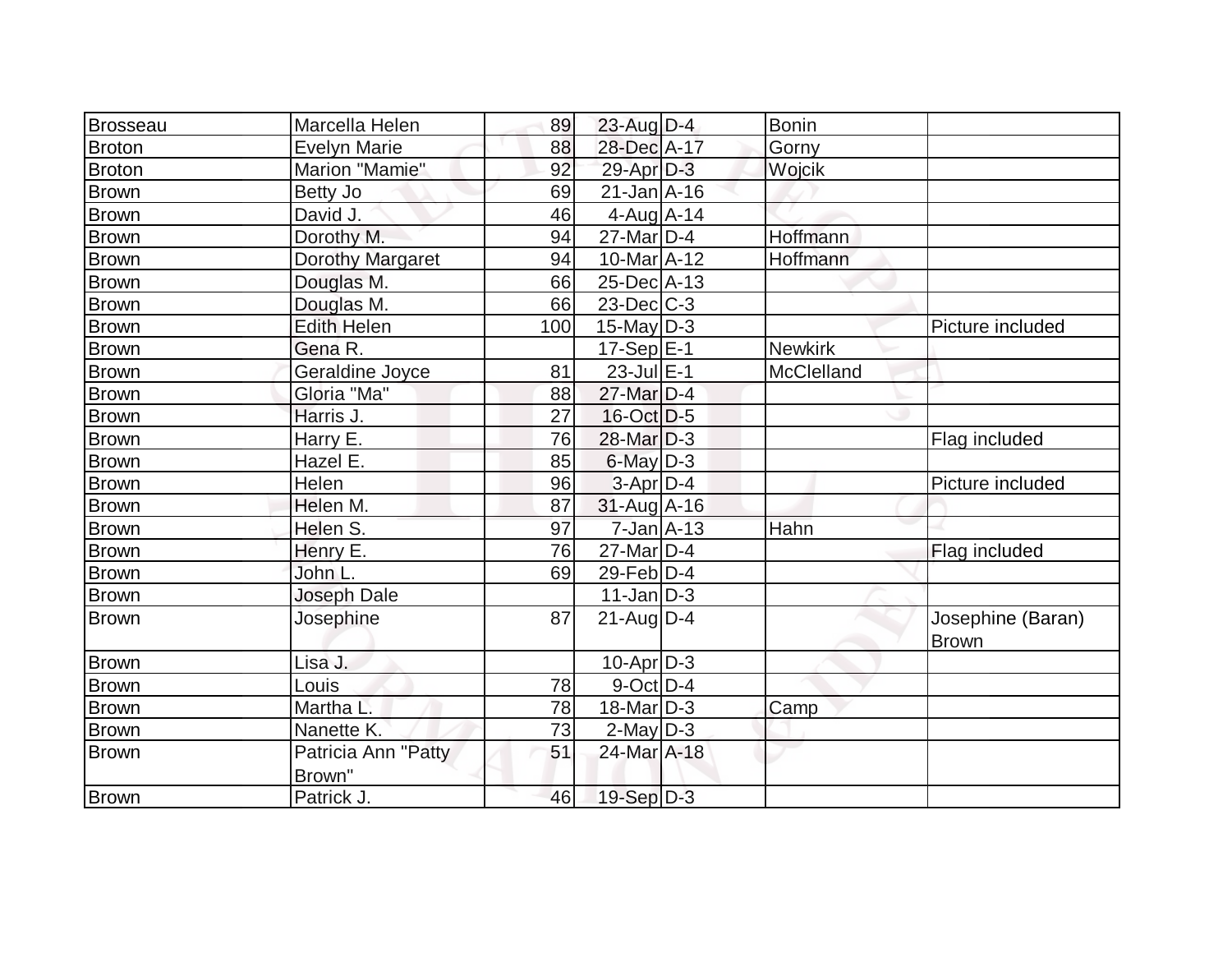| Brosseau     | Marcella Helen                | 89  | $23$ -Aug D-4                | Bonin          |                   |
|--------------|-------------------------------|-----|------------------------------|----------------|-------------------|
| Broton       | <b>Evelyn Marie</b>           | 88  | 28-Dec A-17                  | Gorny          |                   |
| Broton       | Marion "Mamie"                | 92  | $29$ -Apr $D-3$              | Wojcik         |                   |
| <b>Brown</b> | Betty Jo                      | 69  | $21$ -Jan $A$ -16            |                |                   |
| <b>Brown</b> | David J.                      | 46  | $4$ -Aug $A$ -14             |                |                   |
| <b>Brown</b> | Dorothy M.                    | 94  | $27$ -Mar $D-4$              | Hoffmann       |                   |
| <b>Brown</b> | Dorothy Margaret              | 94  | 10-Mar A-12                  | Hoffmann       |                   |
| Brown        | Douglas M.                    | 66  | $25$ -Dec $A$ -13            |                |                   |
| <b>Brown</b> | Douglas M.                    | 66  | $23$ -Dec $C-3$              |                |                   |
| <b>Brown</b> | <b>Edith Helen</b>            | 100 | $15$ -May D-3                |                | Picture included  |
| <b>Brown</b> | Gena R.                       |     | $17-Sep$ <sup>E-1</sup>      | <b>Newkirk</b> |                   |
| <b>Brown</b> | Geraldine Joyce               | 81  | $23$ -Jul $E-1$              | McClelland     |                   |
| <b>Brown</b> | Gloria "Ma"                   | 88  | 27-Mar D-4                   |                |                   |
| <b>Brown</b> | Harris J.                     | 27  | 16-Oct D-5                   |                |                   |
| <b>Brown</b> | Harry E.                      | 76  | $28$ -Mar $D-3$              |                | Flag included     |
| <b>Brown</b> | Hazel E.                      | 85  | $6$ -May $ D-3$              |                |                   |
| <b>Brown</b> | Helen                         | 96  | 3-Apr D-4                    |                | Picture included  |
| <b>Brown</b> | Helen M.                      | 87  | $31$ -Aug $\overline{A}$ -16 |                |                   |
| <b>Brown</b> | Helen S.                      | 97  | $7$ -Jan $A-13$              | Hahn           |                   |
| Brown        | Henry E.                      | 76  | $27$ -Mar $\overline{D}$ -4  |                | Flag included     |
| <b>Brown</b> | John L.                       | 69  | $29$ -Feb $ D-4 $            |                |                   |
| <b>Brown</b> | <b>Joseph Dale</b>            |     | $11$ -Jan $ D-3 $            |                |                   |
| Brown        | Josephine                     | 87  | $21$ -Aug $D-4$              |                | Josephine (Baran) |
|              |                               |     |                              |                | <b>Brown</b>      |
| <b>Brown</b> | Lisa J.                       |     | $10$ -Apr $D-3$              |                |                   |
| <b>Brown</b> | Louis                         | 78  | $9$ -Oct $D-4$               |                |                   |
| <b>Brown</b> | Martha L.                     | 78  | $18$ -Mar $ D-3 $            | Camp           |                   |
| <b>Brown</b> | Nanette K.                    | 73  | $2$ -May $ D-3 $             |                |                   |
| <b>Brown</b> | Patricia Ann "Patty<br>Brown" | 51  | 24-Mar A-18                  |                |                   |
| Brown        | Patrick J.                    | 46  | $19-Sep$ D-3                 |                |                   |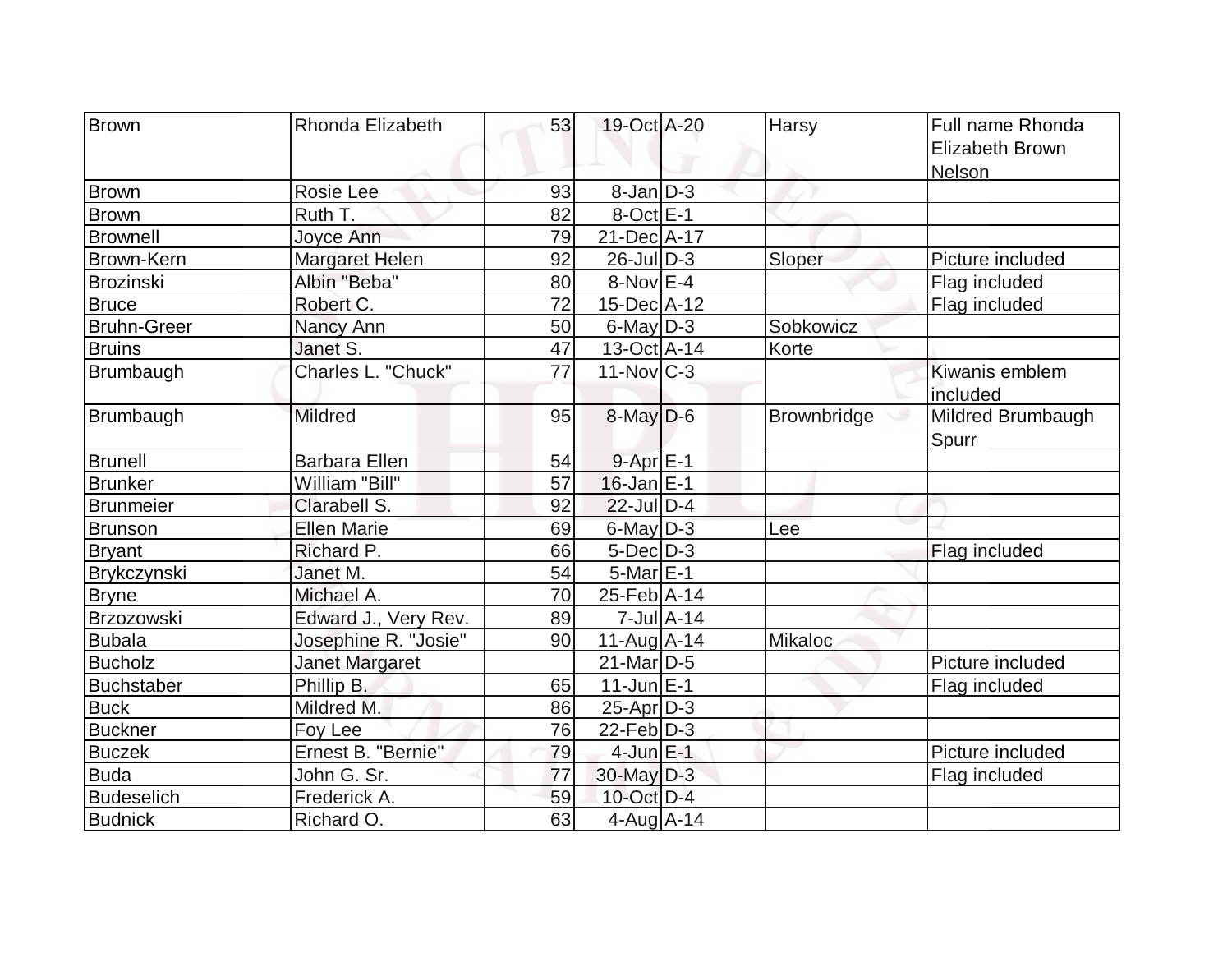| <b>Brown</b>       | Rhonda Elizabeth      | 53 | 19-Oct A-20       |                  | <b>Harsy</b>       | Full name Rhonda       |
|--------------------|-----------------------|----|-------------------|------------------|--------------------|------------------------|
|                    |                       |    |                   |                  |                    | <b>Elizabeth Brown</b> |
|                    |                       |    |                   |                  |                    | <b>Nelson</b>          |
| <b>Brown</b>       | Rosie Lee             | 93 | $8$ -Jan $D-3$    |                  |                    |                        |
| <b>Brown</b>       | Ruth T.               | 82 | $8$ -Oct $E-1$    |                  |                    |                        |
| <b>Brownell</b>    | Joyce Ann             | 79 | 21-Dec A-17       |                  |                    |                        |
| <b>Brown-Kern</b>  | Margaret Helen        | 92 | $26$ -Jul $D-3$   |                  | Sloper             | Picture included       |
| Brozinski          | Albin "Beba"          | 80 | $8-Nov$ E-4       |                  |                    | Flag included          |
| <b>Bruce</b>       | Robert C.             | 72 | 15-Dec A-12       |                  |                    | Flag included          |
| <b>Bruhn-Greer</b> |                       | 50 | $6$ -May $D-3$    |                  | Sobkowicz          |                        |
| <b>Bruins</b>      | Nancy Ann<br>Janet S. | 47 | 13-Oct A-14       |                  | Korte              |                        |
|                    | Charles L. "Chuck"    |    | $11$ -Nov $ C-3 $ |                  |                    |                        |
| Brumbaugh          |                       | 77 |                   |                  |                    | Kiwanis emblem         |
|                    |                       |    |                   |                  |                    | included               |
| Brumbaugh          | Mildred               | 95 | $8$ -May $D$ -6   |                  | <b>Brownbridge</b> | Mildred Brumbaugh      |
|                    |                       |    |                   |                  |                    | Spurr                  |
| <b>Brunell</b>     | <b>Barbara Ellen</b>  | 54 | $9 - Apr$ E-1     |                  |                    |                        |
| <b>Brunker</b>     | William "Bill"        | 57 | $16$ -Jan $E-1$   |                  |                    |                        |
| <b>Brunmeier</b>   | Clarabell S.          | 92 | $22$ -Jul $D-4$   |                  |                    |                        |
| <b>Brunson</b>     | <b>Ellen Marie</b>    | 69 | $6$ -May $D-3$    |                  | Lee                |                        |
| <b>Bryant</b>      | Richard P.            | 66 | $5$ -Dec $D-3$    |                  |                    | Flag included          |
| Brykczynski        | Janet M.              | 54 | $5$ -Mar $E-1$    |                  |                    |                        |
| <b>Bryne</b>       | Michael A.            | 70 | $25$ -Feb $A$ -14 |                  |                    |                        |
| <b>Brzozowski</b>  | Edward J., Very Rev.  | 89 |                   | $7$ -Jul $A$ -14 |                    |                        |
| <b>Bubala</b>      | Josephine R. "Josie"  | 90 | $11$ -Aug $A$ -14 |                  | <b>Mikaloc</b>     |                        |
| <b>Bucholz</b>     | Janet Margaret        |    | $21$ -Mar $ D-5$  |                  |                    | Picture included       |
| <b>Buchstaber</b>  | Phillip B.            | 65 | $11$ -Jun $E-1$   |                  |                    | Flag included          |
| <b>Buck</b>        | Mildred M.            | 86 | $25$ -Apr $D-3$   |                  |                    |                        |
| <b>Buckner</b>     | Foy Lee               | 76 | $22$ -Feb $ D-3$  |                  |                    |                        |
| <b>Buczek</b>      | Ernest B. "Bernie"    | 79 | $4$ -Jun $E-1$    |                  |                    | Picture included       |
| <b>Buda</b>        | John G. Sr.           | 77 | 30-May D-3        |                  |                    | Flag included          |
| <b>Budeselich</b>  | Frederick A.          | 59 | $10$ -Oct $D-4$   |                  |                    |                        |
| <b>Budnick</b>     | Richard O.            | 63 | $4$ -Aug $A$ -14  |                  |                    |                        |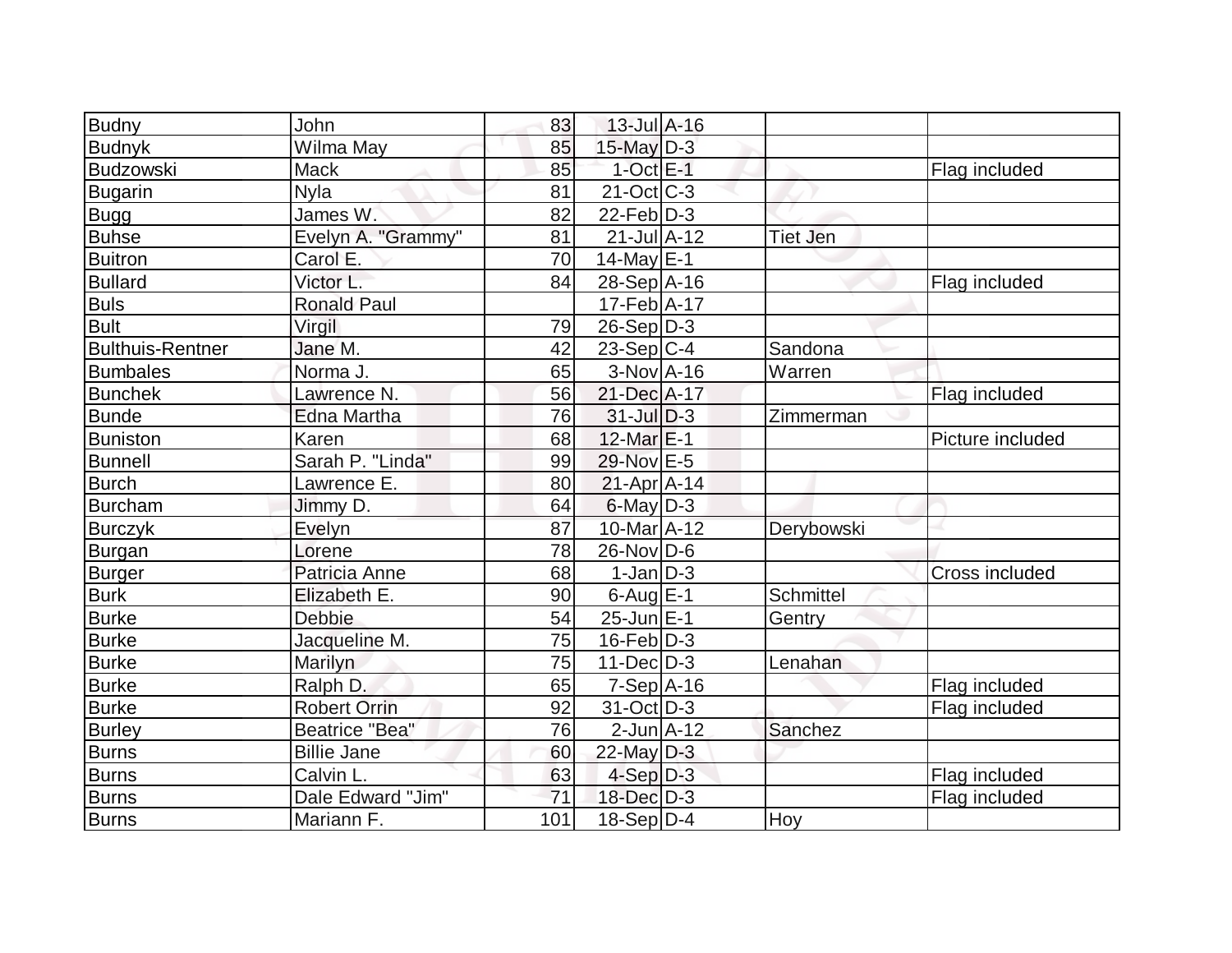| <b>Budny</b>            | John                  | 83  | $13$ -Jul $A-16$  |                  |                  |
|-------------------------|-----------------------|-----|-------------------|------------------|------------------|
| <b>Budnyk</b>           | Wilma May             | 85  | $15$ -May $D-3$   |                  |                  |
| <b>Budzowski</b>        | <b>Mack</b>           | 85  | $1-Oct$ E-1       |                  | Flag included    |
| <b>Bugarin</b>          | <b>Nyla</b>           | 81  | $21-Oct$ C-3      |                  |                  |
| Bugg                    | James W.              | 82  | $22$ -Feb $ D-3 $ |                  |                  |
| <b>Buhse</b>            | Evelyn A. "Grammy"    | 81  | $21 - Jul   A-12$ | <b>Tiet Jen</b>  |                  |
| <b>Buitron</b>          | Carol E.              | 70  | 14-May E-1        |                  |                  |
| <b>Bullard</b>          | Victor L.             | 84  | $28-Sep$ A-16     |                  | Flag included    |
| Buls<br>Bult            | <b>Ronald Paul</b>    |     | $17-Feb$ A-17     |                  |                  |
|                         | Virgil                | 79  | $26-Sep D-3$      |                  |                  |
| <b>Bulthuis-Rentner</b> | Jane M.               | 42  | $23-Sep C-4$      | Sandona          |                  |
| <b>Bumbales</b>         | Norma J.              | 65  | $3-Nov$ A-16      | Warren           |                  |
| <b>Bunchek</b>          | Lawrence N.           | 56  | 21-Dec A-17       |                  | Flag included    |
| <b>Bunde</b>            | Edna Martha           | 76  | $31$ -Jul $D-3$   | Zimmerman        |                  |
| Buniston                | Karen                 | 68  | 12-Mar E-1        |                  | Picture included |
| <b>Bunnell</b>          | Sarah P. "Linda"      | 99  | 29-Nov E-5        |                  |                  |
| <b>Burch</b>            | Lawrence E.           | 80  | $21-Apr$ A-14     |                  |                  |
| Burcham                 | Jimmy D.              | 64  | $6$ -May $ D-3 $  |                  |                  |
| <b>Burczyk</b>          | Evelyn                | 87  | 10-Mar A-12       | Derybowski       |                  |
| Burgan                  | Lorene                | 78  | $26$ -Nov $ D-6 $ |                  |                  |
| <b>Burger</b>           | Patricia Anne         | 68  | $1-Jan$ D-3       |                  | Cross included   |
| <b>Burk</b>             | Elizabeth E.          | 90  | $6$ -Aug $E-1$    | <b>Schmittel</b> |                  |
| <b>Burke</b>            | <b>Debbie</b>         | 54  | $25$ -Jun $E-1$   | Gentry           |                  |
| <b>Burke</b>            | Jacqueline M.         | 75  | $16$ -Feb $ D-3 $ |                  |                  |
| <b>Burke</b>            | Marilyn               | 75  | $11$ -Dec $D-3$   | Lenahan          |                  |
| <b>Burke</b>            | Ralph D.              | 65  | $7-Sep$ A-16      |                  | Flag included    |
| <b>Burke</b>            | <b>Robert Orrin</b>   | 92  | $31$ -Oct $ D-3 $ |                  | Flag included    |
| <b>Burley</b>           | <b>Beatrice "Bea"</b> | 76  | $2$ -Jun $A-12$   | Sanchez          |                  |
| <b>Burns</b>            | <b>Billie Jane</b>    | 60  | $22$ -May $D-3$   |                  |                  |
| <b>Burns</b>            | Calvin L.             | 63  | $4-Sep D-3$       |                  | Flag included    |
| <b>Burns</b>            | Dale Edward "Jim"     | 71  | $18$ -Dec $D-3$   |                  | Flag included    |
| <b>Burns</b>            | Mariann F.            | 101 | $18-Sep D-4$      | Hoy              |                  |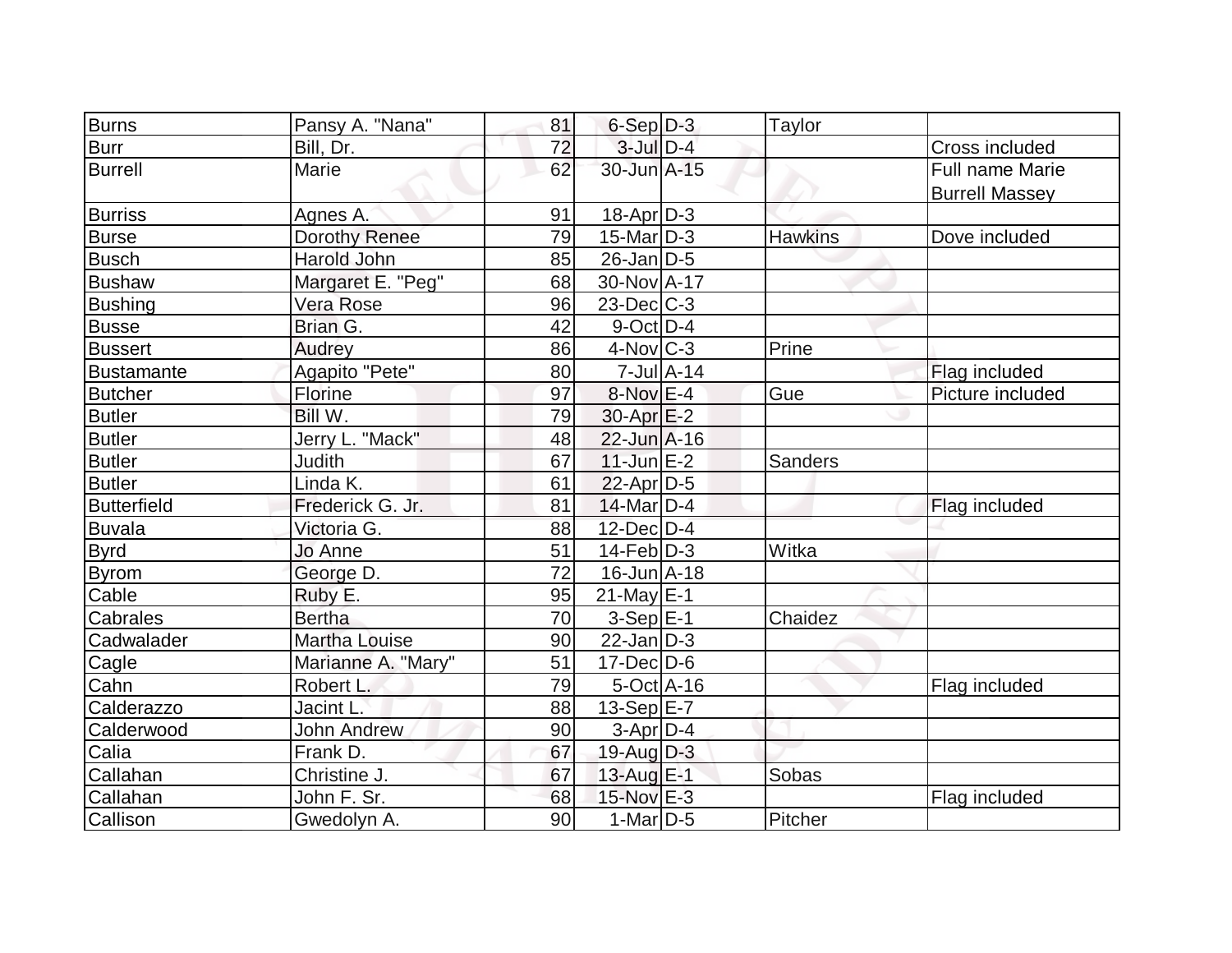| <b>Burns</b>       | Pansy A. "Nana"      | 81 | $6-Sep D-3$                  |                             | Taylor         |                       |
|--------------------|----------------------|----|------------------------------|-----------------------------|----------------|-----------------------|
| <b>Burr</b>        | Bill, Dr.            | 72 | $3$ -Jul $D-4$               |                             |                | Cross included        |
| <b>Burrell</b>     | Marie                | 62 | 30-Jun A-15                  |                             |                | Full name Marie       |
|                    |                      |    |                              |                             |                | <b>Burrell Massey</b> |
| <b>Burriss</b>     | Agnes A.             | 91 | $18-Apr D-3$                 |                             |                |                       |
| <b>Burse</b>       | Dorothy Renee        | 79 | $15$ -Mar $ D-3 $            |                             | <b>Hawkins</b> | Dove included         |
| <b>Busch</b>       | Harold John          | 85 | $26$ -Jan D-5                |                             |                |                       |
| <b>Bushaw</b>      | Margaret E. "Peg"    | 68 | 30-Nov A-17                  |                             |                |                       |
| <b>Bushing</b>     | Vera Rose            | 96 | $23$ -Dec $C$ -3             |                             |                |                       |
| <b>Busse</b>       | Brian G.             | 42 | $9$ -Oct $ D-4 $             |                             |                |                       |
| <b>Bussert</b>     | Audrey               | 86 | $4$ -Nov $ C-3 $             |                             | Prine          |                       |
| <b>Bustamante</b>  | Agapito "Pete"       | 80 |                              | $7$ -Jul $\overline{A}$ -14 |                | Flag included         |
| <b>Butcher</b>     | Florine              | 97 | $8-Nov$ E-4                  |                             | Gue            | Picture included      |
| <b>Butler</b>      | Bill W.              | 79 | $30$ -Apr $E-2$              |                             |                |                       |
| <b>Butler</b>      | Jerry L. "Mack"      | 48 | 22-Jun A-16                  |                             |                |                       |
| <b>Butler</b>      | Judith               | 67 | $11$ -Jun $E-2$              |                             | <b>Sanders</b> |                       |
| <b>Butler</b>      | Linda K.             | 61 | $22$ -Apr $D-5$              |                             |                |                       |
| <b>Butterfield</b> | Frederick G. Jr.     | 81 | $14$ -Mar $D-4$              |                             |                | Flag included         |
| <b>Buvala</b>      | Victoria G.          | 88 | $12$ -Dec $D-4$              |                             |                |                       |
| <b>Byrd</b>        | Jo Anne              | 51 | $14-Feb D-3$                 |                             | Witka          |                       |
| <b>Byrom</b>       | George D.            | 72 | $16$ -Jun $\overline{A}$ -18 |                             |                |                       |
| Cable              | Ruby E.              | 95 | $21$ -May E-1                |                             |                |                       |
| <b>Cabrales</b>    | <b>Bertha</b>        | 70 | $3-Sep$ $E-1$                |                             | Chaidez        |                       |
| Cadwalader         | <b>Martha Louise</b> | 90 | $22$ -Jan $ D-3 $            |                             |                |                       |
| Cagle              | Marianne A. "Mary"   | 51 | $17$ -Dec $D$ -6             |                             |                |                       |
| Cahn               | Robert L.            | 79 | $5-Oct$ A-16                 |                             |                | Flag included         |
| Calderazzo         | Jacint L.            | 88 | $13-Sep$ $E-7$               |                             |                |                       |
| Calderwood         | <b>John Andrew</b>   | 90 | $3-Apr D-4$                  |                             |                |                       |
| Calia              | Frank <sub>D.</sub>  | 67 | 19-Aug $D-3$                 |                             |                |                       |
| Callahan           | Christine J.         | 67 | $13$ -Aug $E-1$              |                             | Sobas          |                       |
| Callahan           | John F. Sr.          | 68 | 15-Nov E-3                   |                             |                | Flag included         |
| Callison           | Gwedolyn A.          | 90 | $1-Mar$ D-5                  |                             | Pitcher        |                       |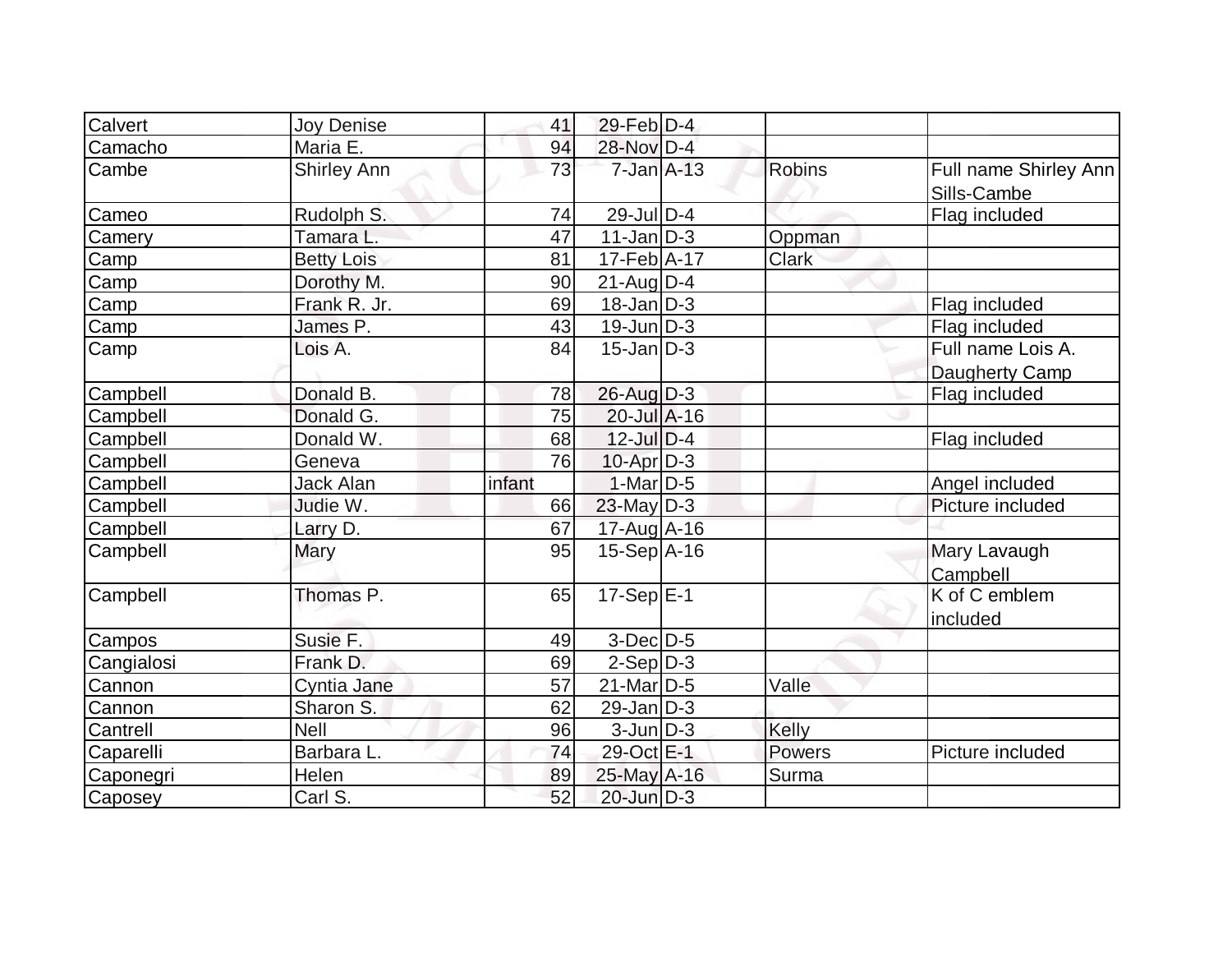| Calvert    | Joy Denise         | 41     | $29$ -Feb $D-4$   |              |                                      |
|------------|--------------------|--------|-------------------|--------------|--------------------------------------|
| Camacho    | Maria E.           | 94     | 28-Nov D-4        |              |                                      |
| Cambe      | <b>Shirley Ann</b> | 73     | $7$ -Jan $A-13$   | Robins       | Full name Shirley Ann<br>Sills-Cambe |
| Cameo      | Rudolph S.         | 74     | $29$ -JulD-4      |              | Flag included                        |
| Camery     | Tamara L.          | 47     | $11$ -Jan $ D-3 $ | Oppman       |                                      |
| Camp       | <b>Betty Lois</b>  | 81     | $17-Feb$ A-17     | <b>Clark</b> |                                      |
| Camp       | Dorothy M.         | 90     | $21$ -Aug $ D-4 $ |              |                                      |
| Camp       | Frank R. Jr.       | 69     | $18$ -Jan $ D-3 $ |              | Flag included                        |
| Camp       | James P.           | 43     | $19$ -Jun $ D-3 $ |              | Flag included                        |
| Camp       | Lois A.            | 84     | $15$ -Jan $ D-3 $ |              | Full name Lois A.                    |
|            |                    |        |                   |              | Daugherty Camp                       |
| Campbell   | Donald B.          | 78     | $26$ -Aug $D-3$   |              | Flag included                        |
| Campbell   | Donald G.          | 75     | $20$ -Jul $A-16$  |              |                                      |
| Campbell   | Donald W.          | 68     | $12$ -Jul $D-4$   |              | Flag included                        |
| Campbell   | Geneva             | 76     | $10$ -Apr $D-3$   |              |                                      |
| Campbell   | <b>Jack Alan</b>   | infant | $1-Mar$ D-5       |              | Angel included                       |
| Campbell   | Judie W.           | 66     | $23$ -May $D-3$   |              | Picture included                     |
| Campbell   | Larry D.           | 67     | 17-Aug A-16       |              |                                      |
| Campbell   | Mary               | 95     | $15-Sep$ A-16     |              | Mary Lavaugh<br>Campbell             |
| Campbell   | Thomas P.          | 65     | $17-Sep$ E-1      |              | K of C emblem<br>included            |
| Campos     | Susie F.           | 49     | $3-Dec$ D-5       |              |                                      |
| Cangialosi | Frank D.           | 69     | $2-Sep D-3$       |              |                                      |
| Cannon     | Cyntia Jane        | 57     | $21$ -Mar $D-5$   | Valle        |                                      |
| Cannon     | Sharon S.          | 62     | $29$ -Jan $D-3$   |              |                                      |
| Cantrell   | <b>Nell</b>        | 96     | $3$ -Jun $D-3$    | Kelly        |                                      |
| Caparelli  | Barbara L.         | 74     | 29-Oct E-1        | Powers       | Picture included                     |
| Caponegri  | Helen              | 89     | 25-May A-16       | Surma        |                                      |
| Caposey    | Carl S.            | 52     | 20-Jun D-3        |              |                                      |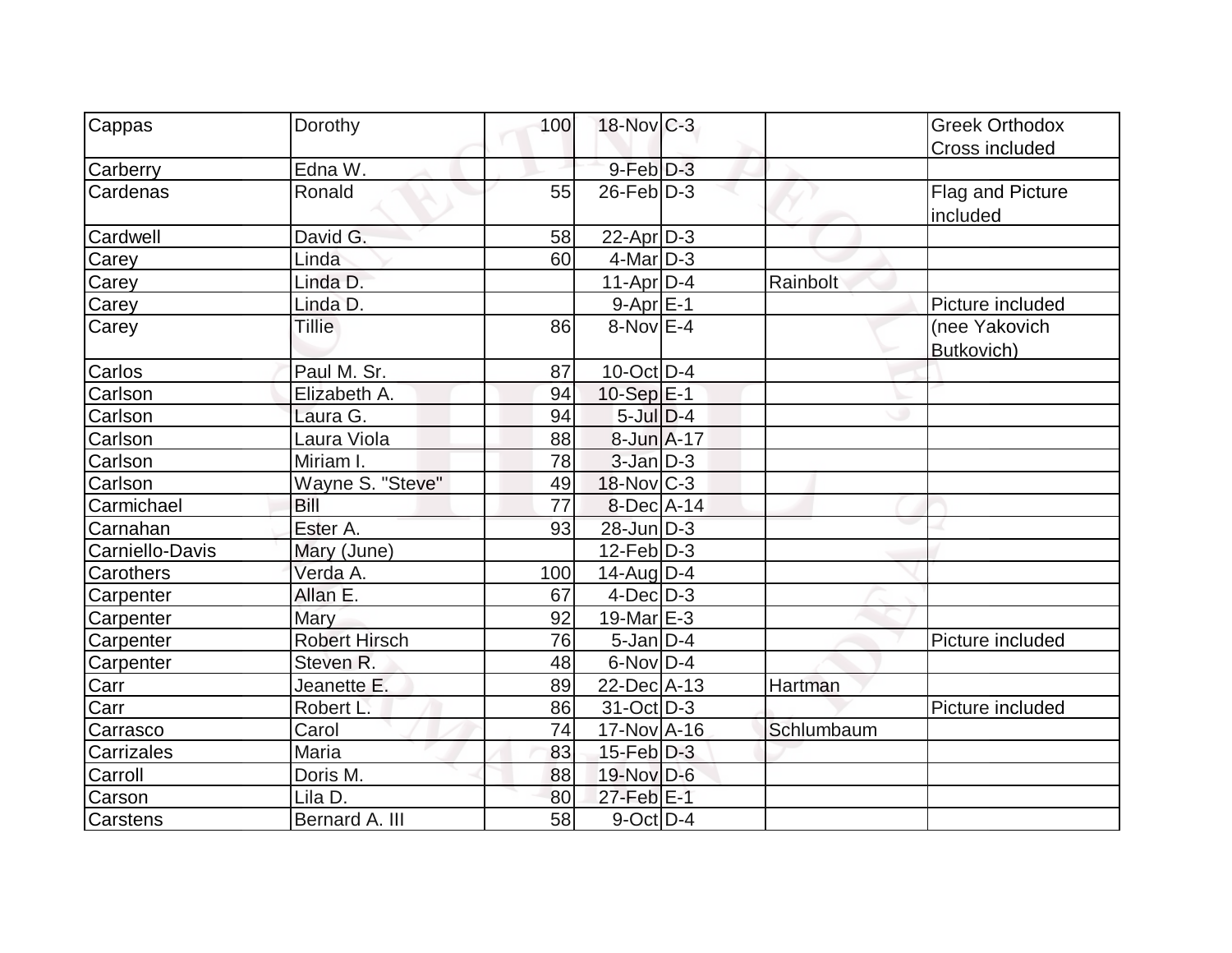| Cappas           | Dorothy              | 100 | $18$ -Nov $ C-3 $ |            | <b>Greek Orthodox</b> |
|------------------|----------------------|-----|-------------------|------------|-----------------------|
|                  |                      |     |                   |            | <b>Cross included</b> |
| Carberry         | Edna W.              |     | $9$ -Feb $D-3$    |            |                       |
| Cardenas         | Ronald               | 55  | $26$ -Feb $D-3$   |            | Flag and Picture      |
|                  |                      |     |                   |            | included              |
| Cardwell         | David G.             | 58  | $22$ -Apr $ D-3 $ |            |                       |
| Carey            | Linda                | 60  | $4$ -Mar $D-3$    |            |                       |
| Carey            | Linda D.             |     | $11-Apr D-4$      | Rainbolt   |                       |
| Carey            | Linda D.             |     | $9-Apr$ $E-1$     |            | Picture included      |
| Carey            | <b>Tillie</b>        | 86  | $8-Nov$ E-4       |            | (nee Yakovich         |
|                  |                      |     |                   |            | Butkovich)            |
| Carlos           | Paul M. Sr.          | 87  | $10$ -Oct $ D-4$  |            |                       |
| Carlson          | Elizabeth A.         | 94  | $10-Sep$ $E-1$    |            |                       |
| Carlson          | Laura G.             | 94  | $5$ -Jul $D-4$    |            |                       |
| Carlson          | Laura Viola          | 88  | 8-Jun A-17        |            |                       |
| Carlson          | Miriam I.            | 78  | $3-Jan$ $D-3$     |            |                       |
| Carlson          | Wayne S. "Steve"     | 49  | $18$ -Nov $ C-3 $ |            |                       |
| Carmichael       | Bill                 | 77  | $8$ -Dec $A$ -14  |            |                       |
| Carnahan         | Ester A.             | 93  | $28$ -Jun $D-3$   |            |                       |
| Carniello-Davis  | Mary (June)          |     | $12$ -Feb $D-3$   |            |                       |
| <b>Carothers</b> | Verda A.             | 100 | $14$ -Aug $D-4$   |            |                       |
| Carpenter        | Allan E.             | 67  | $4$ -Dec $D-3$    |            |                       |
| Carpenter        | Mary                 | 92  | 19-Mar $E-3$      |            |                       |
| Carpenter        | <b>Robert Hirsch</b> | 76  | $5$ -Jan $D-4$    |            | Picture included      |
| Carpenter        | Steven R.            | 48  | $6$ -Nov $D-4$    |            |                       |
| Carr             | Jeanette E.          | 89  | 22-Dec A-13       | Hartman    |                       |
| Carr             | Robert L.            | 86  | $31-Oct$ D-3      |            | Picture included      |
| Carrasco         | Carol                | 74  | $17$ -Nov $A$ -16 | Schlumbaum |                       |
| Carrizales       | Maria                | 83  | $15$ -Feb $D-3$   |            |                       |
| Carroll          | Doris M.             | 88  | 19-Nov D-6        |            |                       |
| Carson           | Lila D.              | 80  | 27-Feb E-1        |            |                       |
| <b>Carstens</b>  | Bernard A. III       | 58  | $9$ -Oct $ D-4 $  |            |                       |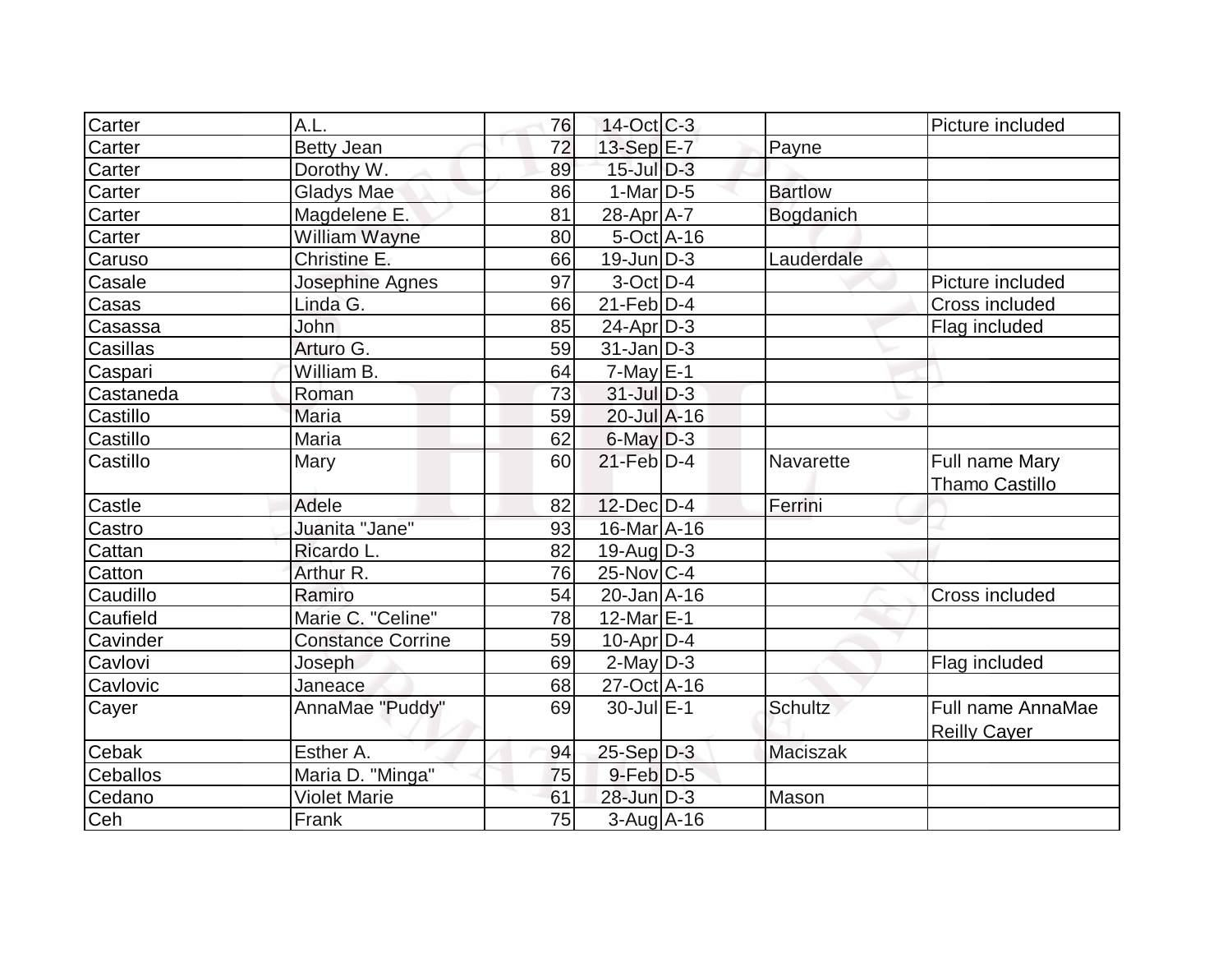| Carter    | A.L.                     | 76 | $14$ -Oct $ C-3 $ |                  | Picture included      |
|-----------|--------------------------|----|-------------------|------------------|-----------------------|
| Carter    | <b>Betty Jean</b>        | 72 | 13-Sep E-7        | Payne            |                       |
| Carter    | Dorothy W.               | 89 | $15$ -Jul $D-3$   |                  |                       |
| Carter    | <b>Gladys Mae</b>        | 86 | $1-Mar$ D-5       | <b>Bartlow</b>   |                       |
| Carter    | Magdelene E.             | 81 | $28$ -Apr $ A-7 $ | Bogdanich        |                       |
| Carter    | William Wayne            | 80 | $5$ -Oct $A$ -16  |                  |                       |
| Caruso    | Christine E.             | 66 | $19$ -Jun $ D-3 $ | Lauderdale       |                       |
| Casale    | Josephine Agnes          | 97 | $3$ -Oct $D-4$    |                  | Picture included      |
| Casas     | Linda G.                 | 66 | $21$ -Feb $ D-4$  |                  | Cross included        |
| Casassa   | John                     | 85 | $24$ -Apr $ D-3 $ |                  | Flag included         |
| Casillas  | Arturo G.                | 59 | $31$ -Jan $ D-3 $ |                  |                       |
| Caspari   | William B.               | 64 | $7$ -May $E-1$    |                  |                       |
| Castaneda | Roman                    | 73 | 31-Jul D-3        |                  |                       |
| Castillo  | Maria                    | 59 | 20-Jul A-16       |                  |                       |
| Castillo  | Maria                    | 62 | $6$ -May $D-3$    |                  |                       |
| Castillo  | Mary                     | 60 | $21$ -Feb $D-4$   | <b>Navarette</b> | Full name Mary        |
|           |                          |    |                   |                  | <b>Thamo Castillo</b> |
| Castle    | Adele                    | 82 | $12$ -Dec $D-4$   | Ferrini          |                       |
| Castro    | Juanita "Jane"           | 93 | 16-Mar A-16       |                  |                       |
| Cattan    | Ricardo L.               | 82 | $19$ -AugD-3      |                  |                       |
| Catton    | Arthur R.                | 76 | $25$ -Nov $ C-4$  |                  |                       |
| Caudillo  | Ramiro                   | 54 | $20$ -Jan $A$ -16 |                  | Cross included        |
| Caufield  | Marie C. "Celine"        | 78 | $12$ -Mar $E-1$   |                  |                       |
| Cavinder  | <b>Constance Corrine</b> | 59 | $10$ -Apr $ D-4$  |                  |                       |
| Cavlovi   | Joseph                   | 69 | $2$ -May $D-3$    |                  | Flag included         |
| Cavlovic  | Janeace                  | 68 | 27-Oct A-16       |                  |                       |
| Cayer     | AnnaMae "Puddy"          | 69 | 30-Jul E-1        | <b>Schultz</b>   | Full name AnnaMae     |
|           |                          |    |                   |                  | <b>Reilly Cayer</b>   |
| Cebak     | Esther A.                | 94 | $25-Sep D-3$      | <b>Maciszak</b>  |                       |
| Ceballos  | Maria D. "Minga"         | 75 | $9$ -Feb $D-5$    |                  |                       |
| Cedano    | <b>Violet Marie</b>      | 61 | 28-Jun D-3        | Mason            |                       |
| Ceh       | Frank                    | 75 | $3-Aug$ A-16      |                  |                       |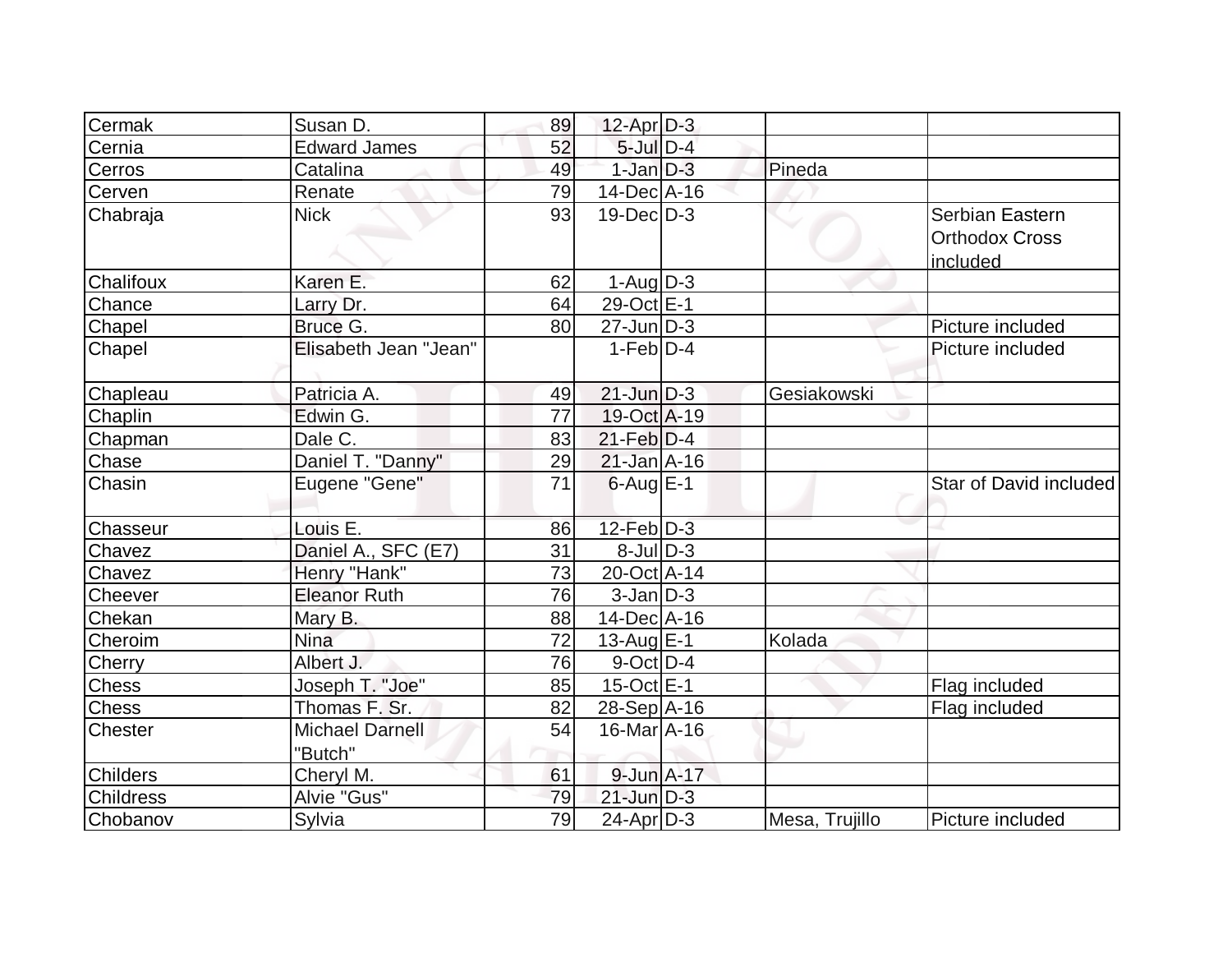| Cermak           | Susan D.               | 89 | $12$ -Apr $D-3$   |                |                        |
|------------------|------------------------|----|-------------------|----------------|------------------------|
| Cernia           | <b>Edward James</b>    | 52 | $5$ -Jul $D-4$    |                |                        |
| Cerros           | Catalina               | 49 | $1-Jan$ $D-3$     | Pineda         |                        |
| Cerven           | Renate                 | 79 | $14$ -Dec $ A-16$ |                |                        |
| Chabraja         | <b>Nick</b>            | 93 | $19$ -Dec $D-3$   |                | Serbian Eastern        |
|                  |                        |    |                   |                | <b>Orthodox Cross</b>  |
|                  |                        |    |                   |                | included               |
| Chalifoux        | Karen E.               | 62 | $1-Aug D-3$       |                |                        |
| Chance           | Larry Dr.              | 64 | 29-Oct E-1        |                |                        |
| Chapel           | Bruce G.               | 80 | $27$ -Jun $D-3$   |                | Picture included       |
| Chapel           | Elisabeth Jean "Jean"  |    | $1-Feb D-4$       |                | Picture included       |
|                  |                        |    |                   |                |                        |
| Chapleau         | Patricia A.            | 49 | $21$ -Jun $D-3$   | Gesiakowski    |                        |
| Chaplin          | Edwin G.               | 77 | 19-Oct A-19       |                |                        |
| Chapman          | Dale C.                | 83 | $21$ -Feb $D-4$   |                |                        |
| Chase            | Daniel T. "Danny"      | 29 | $21$ -Jan $A-16$  |                |                        |
| Chasin           | Eugene "Gene"          | 71 | $6$ -Aug $E-1$    |                | Star of David included |
| Chasseur         | Louis E.               | 86 | $12$ -Feb $D-3$   |                |                        |
| Chavez           | Daniel A., SFC (E7)    | 31 | $8$ -JulD-3       |                |                        |
| Chavez           | Henry "Hank"           | 73 | 20-Oct A-14       |                |                        |
| Cheever          | <b>Eleanor Ruth</b>    | 76 | $3-Jan/D-3$       |                |                        |
| Chekan           | Mary B.                | 88 | $14$ -Dec $ A-16$ |                |                        |
| Cheroim          | <b>Nina</b>            | 72 | $13$ -Aug $E-1$   | Kolada         |                        |
| Cherry           | Albert J.              | 76 | $9$ -Oct $D-4$    |                |                        |
| <b>Chess</b>     | Joseph T. "Joe"        | 85 | $15$ -Oct $E-1$   |                | Flag included          |
| <b>Chess</b>     | Thomas F. Sr.          | 82 | $28-Sep$ A-16     |                | Flag included          |
| <b>Chester</b>   | <b>Michael Darnell</b> | 54 | 16-Mar A-16       |                |                        |
|                  | "Butch"                |    |                   |                |                        |
| <b>Childers</b>  | Cheryl M.              | 61 | $9$ -Jun $A$ -17  |                |                        |
| <b>Childress</b> | Alvie "Gus"            | 79 | $21$ -Jun $D-3$   |                |                        |
| Chobanov         | Sylvia                 | 79 | $24$ -Apr $D-3$   | Mesa, Trujillo | Picture included       |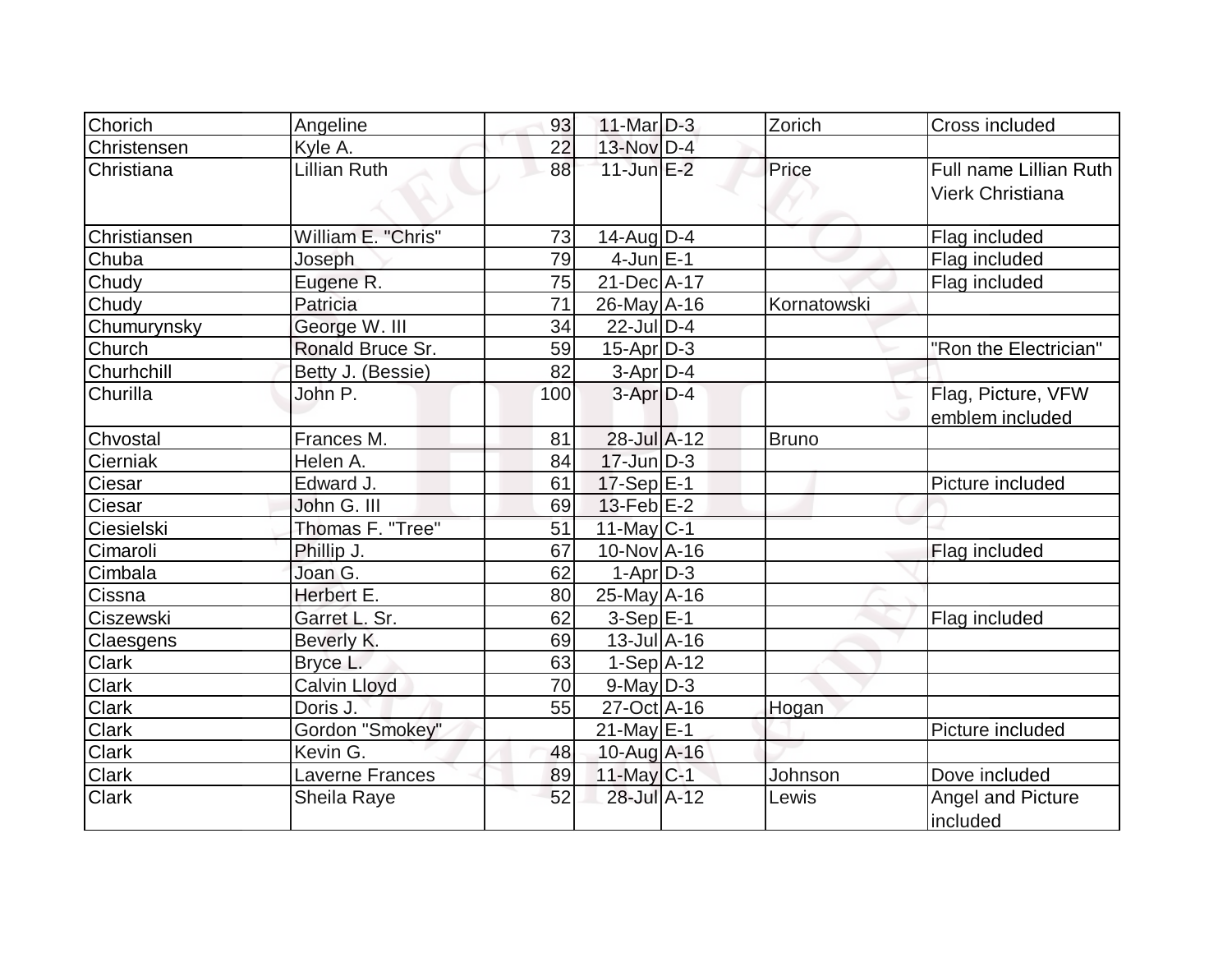| Chorich      | Angeline               | 93  | $11$ -Mar $D-3$   | Zorich       | Cross included                                    |
|--------------|------------------------|-----|-------------------|--------------|---------------------------------------------------|
| Christensen  | Kyle A.                | 22  | 13-Nov D-4        |              |                                                   |
| Christiana   | <b>Lillian Ruth</b>    | 88  | $11$ -Jun $E-2$   | Price        | Full name Lillian Ruth<br><b>Vierk Christiana</b> |
| Christiansen | William E. "Chris"     | 73  | $14$ -AugD-4      |              | Flag included                                     |
| Chuba        | Joseph                 | 79  | $4$ -Jun $E-1$    |              | Flag included                                     |
| Chudy        | Eugene R.              | 75  | 21-Dec A-17       |              | Flag included                                     |
| Chudy        | Patricia               | 71  | $26$ -May A-16    | Kornatowski  |                                                   |
| Chumurynsky  | George W. III          | 34  | $22$ -Jul $D-4$   |              |                                                   |
| Church       | Ronald Bruce Sr.       | 59  | $15$ -Apr $D-3$   |              | "Ron the Electrician"                             |
| Churhchill   | Betty J. (Bessie)      | 82  | $3-Apr$ $D-4$     |              |                                                   |
| Churilla     | John P.                | 100 | $3-Apr$ $D-4$     |              | Flag, Picture, VFW<br>emblem included             |
| Chvostal     | Frances M.             | 81  | $28$ -Jul $A-12$  | <b>Bruno</b> |                                                   |
| Cierniak     | Helen A.               | 84  | $17$ -Jun $D-3$   |              |                                                   |
| Ciesar       | Edward J.              | 61  | $17-Sep$ $E-1$    |              | Picture included                                  |
| Ciesar       | John G. III            | 69  | $13$ -Feb $E-2$   |              |                                                   |
| Ciesielski   | Thomas F. "Tree"       | 51  | $11$ -May C-1     |              |                                                   |
| Cimaroli     | Phillip J.             | 67  | $10$ -Nov $A$ -16 |              | Flag included                                     |
| Cimbala      | Joan G.                | 62  | $1-Apr$ D-3       |              |                                                   |
| Cissna       | Herbert E.             | 80  | $25$ -May A-16    |              |                                                   |
| Ciszewski    | Garret L. Sr.          | 62  | $3-Sep$ $E-1$     |              | Flag included                                     |
| Claesgens    | Beverly K.             | 69  | $13$ -Jul $A-16$  |              |                                                   |
| Clark        | Bryce L.               | 63  | $1-Sep$ $A-12$    |              |                                                   |
| Clark        | <b>Calvin Lloyd</b>    | 70  | $9$ -May $D-3$    |              |                                                   |
| Clark        | Doris J.               | 55  | 27-Oct A-16       | Hogan        |                                                   |
| Clark        | Gordon "Smokey"        |     | $21$ -May $E-1$   |              | Picture included                                  |
| <b>Clark</b> | Kevin G.               | 48  | 10-Aug A-16       |              |                                                   |
| <b>Clark</b> | <b>Laverne Frances</b> | 89  | $11$ -May C-1     | Johnson      | Dove included                                     |
| <b>Clark</b> | Sheila Raye            | 52  | 28-Jul A-12       | Lewis        | Angel and Picture<br>included                     |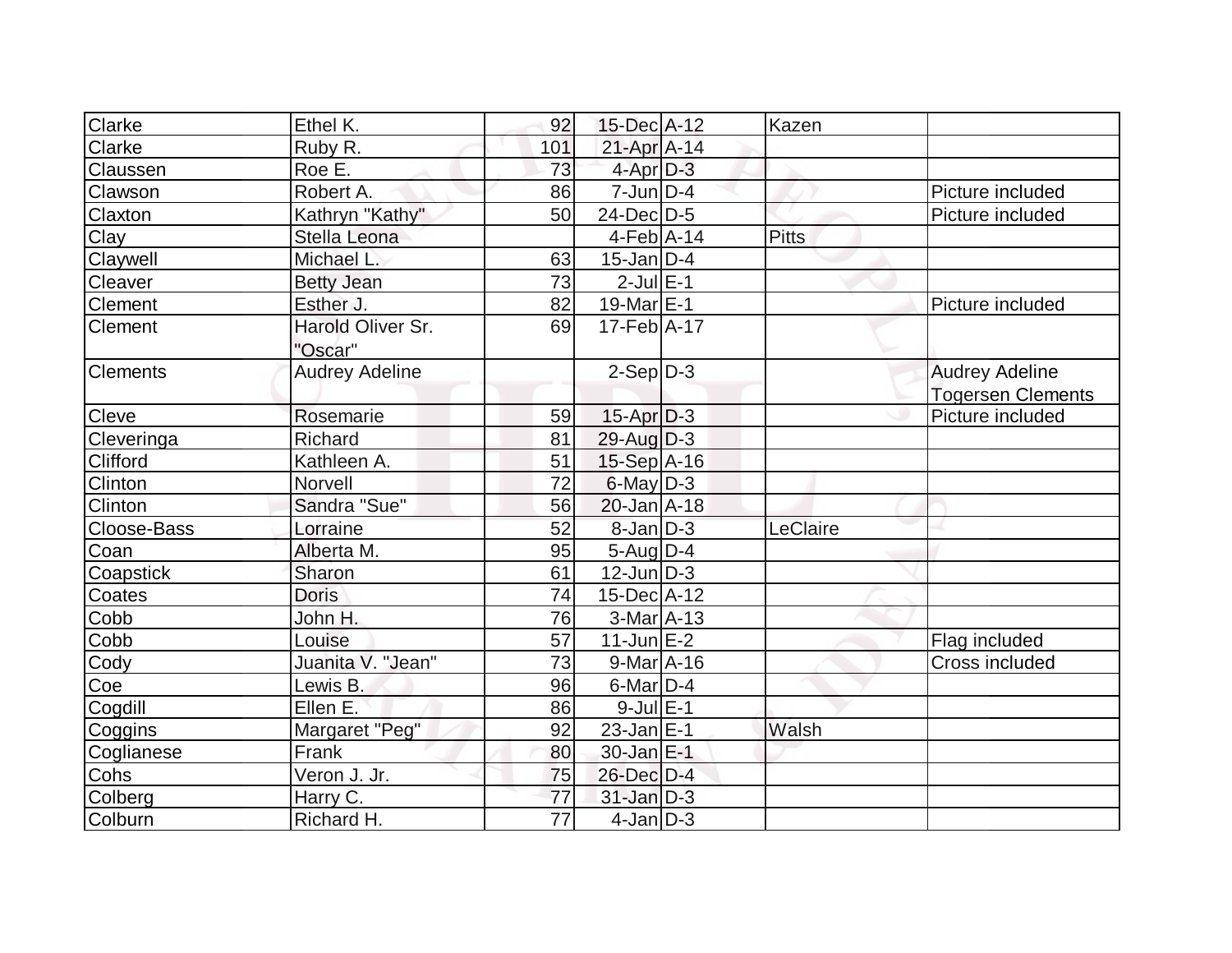| Clarke          | Ethel K.                            | 92              | 15-Dec A-12            | Kazen        |                          |
|-----------------|-------------------------------------|-----------------|------------------------|--------------|--------------------------|
| Clarke          | Ruby R.                             | 101             | 21-Apr A-14            |              |                          |
| Claussen        | Roe E.                              | 73              | $4$ -Apr $D-3$         |              |                          |
| Clawson         | Robert A.                           | 86              | $7$ -Jun $D-4$         |              | Picture included         |
| Claxton         | Kathryn "Kathy"                     | 50              | $24$ -Dec $D-5$        |              | Picture included         |
| Clay            | Stella Leona                        |                 | $4-Feb$ A-14           | <b>Pitts</b> |                          |
| Claywell        | Michael L.                          | 63              | $15$ -Jan $ D-4 $      |              |                          |
| Cleaver         | <b>Betty Jean</b>                   | 73              | $2$ -Jul $E-1$         |              |                          |
| <b>Clement</b>  | Esther J.                           | 82              | 19-Mar $E-1$           |              | Picture included         |
| <b>Clement</b>  | <b>Harold Oliver Sr.</b><br>"Oscar" | 69              | $17 - \text{Feb}$ A-17 |              |                          |
| <b>Clements</b> | <b>Audrey Adeline</b>               |                 | $2-Sep D-3$            |              | <b>Audrey Adeline</b>    |
|                 |                                     |                 |                        |              | <b>Togersen Clements</b> |
| Cleve           | Rosemarie                           | 59              | $15$ -Apr $D-3$        |              | Picture included         |
| Cleveringa      | <b>Richard</b>                      | 81              | $29$ -AugD-3           |              |                          |
| <b>Clifford</b> | Kathleen A.                         | 51              | $15-Sep$ $A-16$        |              |                          |
| Clinton         | Norvell                             | 72              | $6$ -May $ D-3 $       |              |                          |
| Clinton         | Sandra "Sue"                        | 56              | $20$ -Jan $A-18$       |              |                          |
| Cloose-Bass     | Lorraine                            | 52              | $8$ -Jan $D-3$         | LeClaire     |                          |
| Coan            | Alberta M.                          | 95              | $5 - Aug   D-4$        |              |                          |
| Coapstick       | Sharon                              | 61              | $12$ -Jun $D-3$        |              |                          |
| Coates          | <b>Doris</b>                        | 74              | 15-Dec A-12            |              |                          |
| Cobb            | John H.                             | 76              | $3-MarA-13$            |              |                          |
| Cobb            | Louise                              | 57              | $11$ -Jun $E-2$        |              | Flag included            |
| Cody            | Juanita V. "Jean"                   | 73              | $9-MarA-16$            |              | Cross included           |
| Coe             | Lewis B.                            | 96              | $6$ -Mar $D-4$         |              |                          |
| Cogdill         | Ellen E.                            | 86              | $9$ -Jul $E-1$         |              |                          |
| Coggins         | Margaret "Peg"                      | 92              | $23$ -Jan E-1          | Walsh        |                          |
| Coglianese      | Frank                               | 80              | 30-Jan E-1             |              |                          |
| Cohs            | Veron J. Jr.                        | 75              | 26-Dec D-4             |              |                          |
| Colberg         | Harry C.                            | 77              | $31$ -Jan $ D-3 $      |              |                          |
| Colburn         | Richard H.                          | $\overline{77}$ | $4$ -Jan $ D-3 $       |              |                          |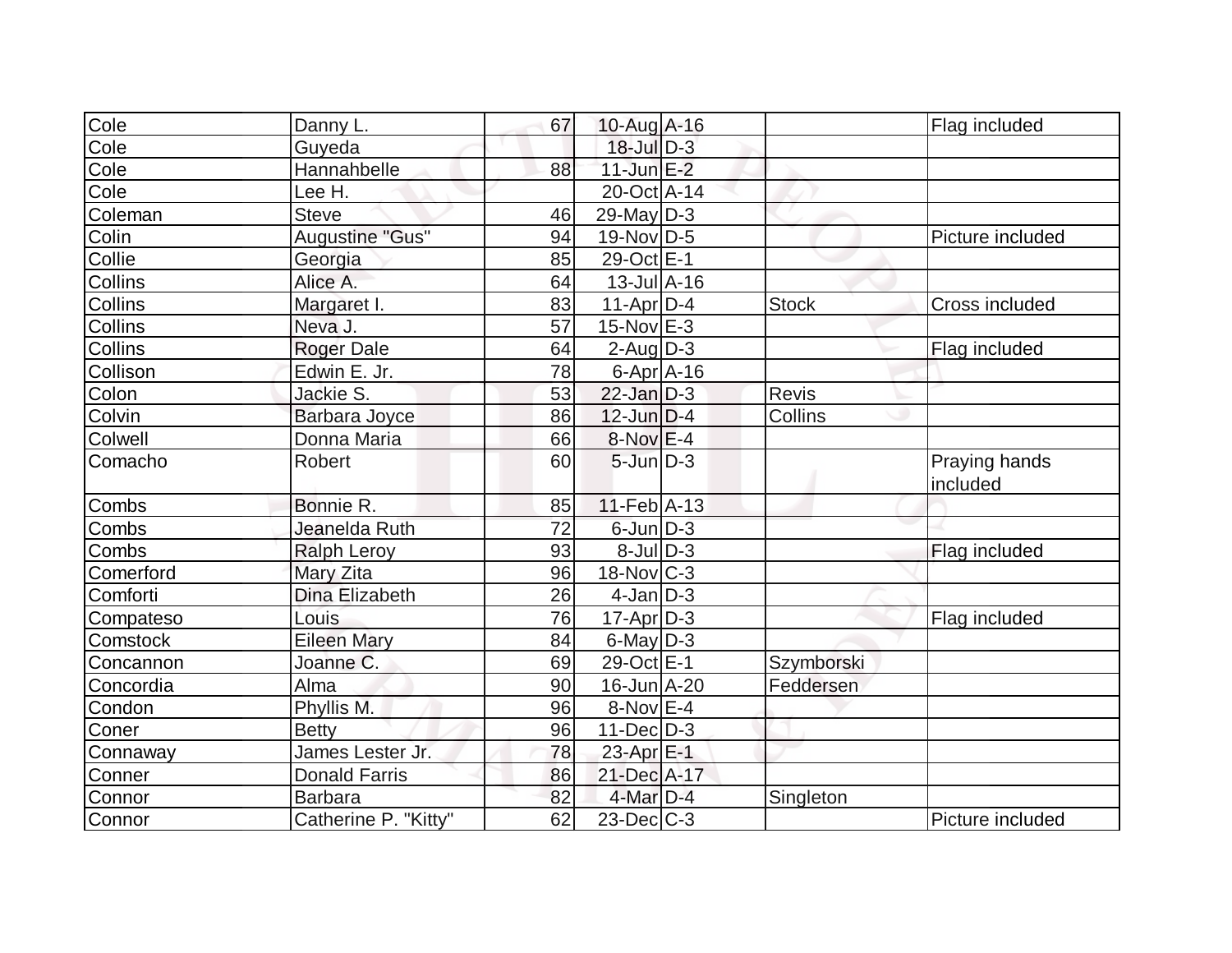| Cole           | Danny L.             | 67 | 10-Aug A-16       |              | Flag included             |
|----------------|----------------------|----|-------------------|--------------|---------------------------|
| Cole           | Guyeda               |    | $18$ -Jul $D-3$   |              |                           |
| Cole           | Hannahbelle          | 88 | $11$ -Jun $E-2$   |              |                           |
| Cole           | Lee H.               |    | 20-Oct A-14       |              |                           |
| Coleman        | <b>Steve</b>         | 46 | $29$ -May D-3     |              |                           |
| Colin          | Augustine "Gus"      | 94 | $19-Nov D-5$      |              | Picture included          |
| Collie         | Georgia              | 85 | 29-Oct E-1        |              |                           |
| <b>Collins</b> | Alice A.             | 64 | $13$ -Jul $A-16$  |              |                           |
| Collins        | Margaret I.          | 83 | $11-Apr D-4$      | <b>Stock</b> | Cross included            |
| Collins        | Neva J.              | 57 | $15$ -Nov $E-3$   |              |                           |
| <b>Collins</b> | <b>Roger Dale</b>    | 64 | $2$ -Aug $D-3$    |              | Flag included             |
| Collison       | Edwin E. Jr.         | 78 | $6$ -Apr $A$ -16  |              |                           |
| Colon          | Jackie S.            | 53 | $22$ -Jan $D-3$   | <b>Revis</b> |                           |
| Colvin         | Barbara Joyce        | 86 | $12$ -Jun $D-4$   | Collins      |                           |
| Colwell        | Donna Maria          | 66 | $8-Nov$ E-4       |              |                           |
| Comacho        | Robert               | 60 | $5$ -Jun $D-3$    |              | Praying hands<br>included |
| Combs          | Bonnie R.            | 85 | $11-Feb$ A-13     |              |                           |
| Combs          | Jeanelda Ruth        | 72 | $6$ -Jun $D-3$    |              |                           |
| Combs          | <b>Ralph Leroy</b>   | 93 | $8$ -JulD-3       |              | Flag included             |
| Comerford      | Mary Zita            | 96 | $18-Nov$ C-3      |              |                           |
| Comforti       | Dina Elizabeth       | 26 | $4$ -Jan $ D-3 $  |              |                           |
| Compateso      | Louis                | 76 | $17$ -Apr $D-3$   |              | Flag included             |
| Comstock       | <b>Eileen Mary</b>   | 84 | $6$ -May $D-3$    |              |                           |
| Concannon      | Joanne C.            | 69 | 29-Oct E-1        | Szymborski   |                           |
| Concordia      | Alma                 | 90 | $16$ -Jun $A$ -20 | Feddersen    |                           |
| Condon         | Phyllis M.           | 96 | $8-Nov$ $E-4$     |              |                           |
| Coner          | <b>Betty</b>         | 96 | $11-Dec$ D-3      |              |                           |
| Connaway       | James Lester Jr.     | 78 | 23-Apr E-1        |              |                           |
| Conner         | <b>Donald Farris</b> | 86 | 21-Dec A-17       |              |                           |
| Connor         | Barbara              | 82 | $4$ -Mar $D-4$    | Singleton    |                           |
| Connor         | Catherine P. "Kitty" | 62 | $23$ -Dec $C-3$   |              | Picture included          |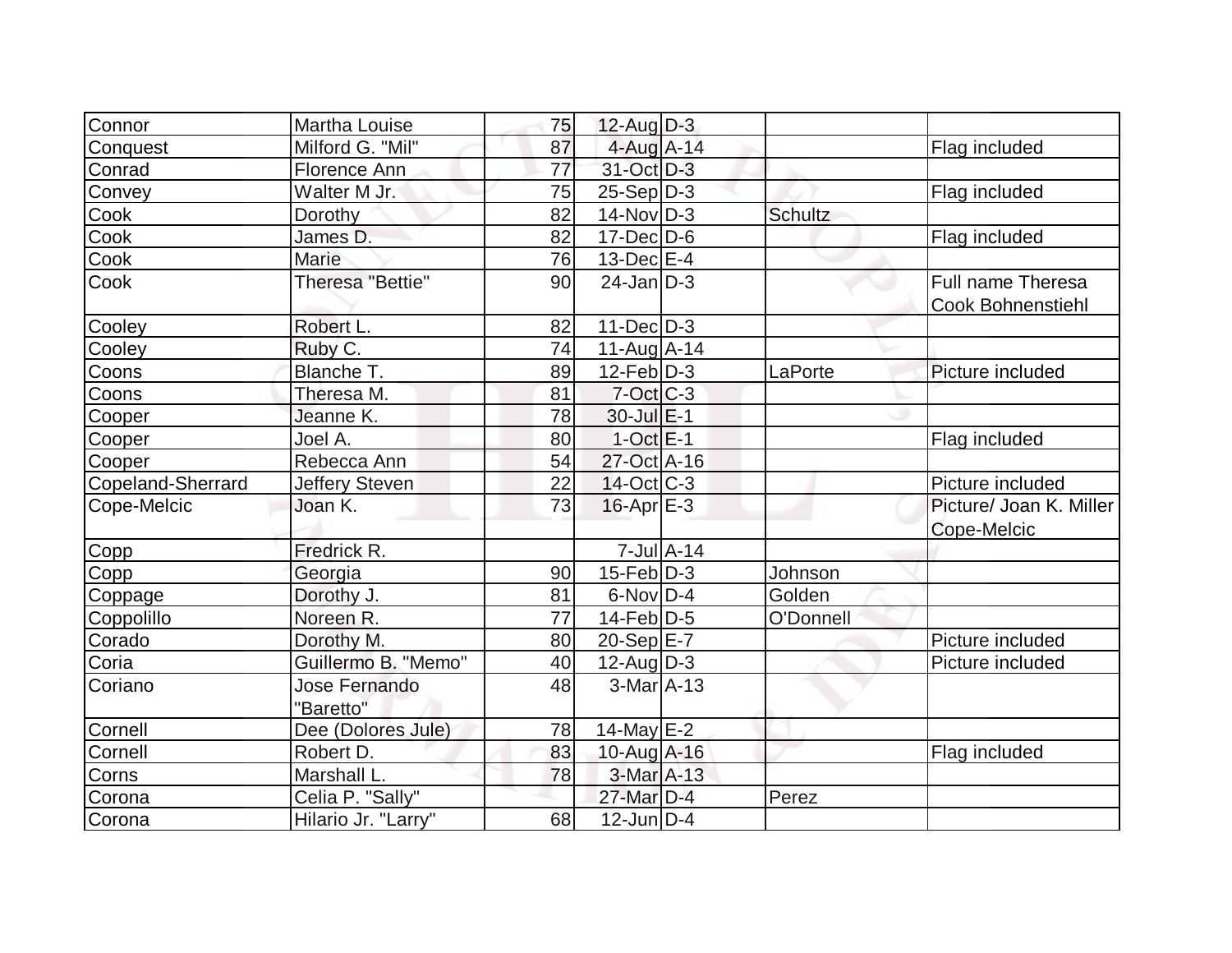| Connor            | Martha Louise              | 75 | $12$ -Aug $D-3$             |                  |                |                                               |
|-------------------|----------------------------|----|-----------------------------|------------------|----------------|-----------------------------------------------|
| Conquest          | Milford G. "Mil"           | 87 | $4$ -Aug $A$ -14            |                  |                | Flag included                                 |
| Conrad            | <b>Florence Ann</b>        | 77 | 31-Oct D-3                  |                  |                |                                               |
| Convey            | Walter M Jr.               | 75 | $25-Sep D-3$                |                  |                | Flag included                                 |
| Cook              | Dorothy                    | 82 | $14$ -Nov $ D-3 $           |                  | <b>Schultz</b> |                                               |
| Cook              | James D.                   | 82 | $17$ -Dec $D-6$             |                  |                | Flag included                                 |
| Cook              | Marie                      | 76 | $13$ -Dec $E$ -4            |                  |                |                                               |
| Cook              | Theresa "Bettie"           | 90 | $24$ -Jan D-3               |                  |                | Full name Theresa<br><b>Cook Bohnenstiehl</b> |
| Cooley            | Robert L.                  | 82 | $11 - Dec$ $D-3$            |                  |                |                                               |
| Cooley            | Ruby C.                    | 74 | $11-Auq$ A-14               |                  |                |                                               |
| Coons             | Blanche T.                 | 89 | $12$ -Feb $ D-3 $           |                  | LaPorte        | Picture included                              |
| Coons             | Theresa M.                 | 81 | $7-Oct$ $C-3$               |                  |                |                                               |
| Cooper            | Jeanne K.                  | 78 | $30$ -Jul $E-1$             |                  |                |                                               |
| Cooper            | Joel A.                    | 80 | $1$ -Oct $E$ -1             |                  |                | Flag included                                 |
| Cooper            | Rebecca Ann                | 54 | 27-Oct A-16                 |                  |                |                                               |
| Copeland-Sherrard | Jeffery Steven             | 22 | $14$ -Oct $\overline{C}$ -3 |                  |                | Picture included                              |
| Cope-Melcic       | Joan K.                    | 73 | $16$ -Apr $E-3$             |                  |                | Picture/ Joan K. Miller                       |
|                   |                            |    |                             |                  |                | Cope-Melcic                                   |
| Copp              | Fredrick R.                |    |                             | $7$ -Jul $A$ -14 |                |                                               |
| Copp              | Georgia                    | 90 | $15$ -Feb $ D-3 $           |                  | Johnson        |                                               |
| Coppage           | Dorothy J.                 | 81 | $6$ -Nov $D$ -4             |                  | Golden         |                                               |
| Coppolillo        | Noreen R.                  | 77 | $14$ -Feb $ D-5$            |                  | O'Donnell      |                                               |
| Corado            | Dorothy M.                 | 80 | 20-Sep E-7                  |                  |                | Picture included                              |
| Coria             | Guillermo B. "Memo"        | 40 | $12$ -Aug $D-3$             |                  |                | Picture included                              |
| Coriano           | Jose Fernando<br>"Baretto" | 48 | $3-MarA-13$                 |                  |                |                                               |
| Cornell           | Dee (Dolores Jule)         | 78 | $14$ -May $E-2$             |                  |                |                                               |
| Cornell           | Robert D.                  | 83 | 10-Aug A-16                 |                  |                | Flag included                                 |
| Corns             | Marshall L.                | 78 | 3-Mar A-13                  |                  |                |                                               |
| Corona            | Celia P. "Sally"           |    | 27-Mar D-4                  |                  | Perez          |                                               |
| Corona            | Hilario Jr. "Larry"        | 68 | $12$ -Jun $ D-4 $           |                  |                |                                               |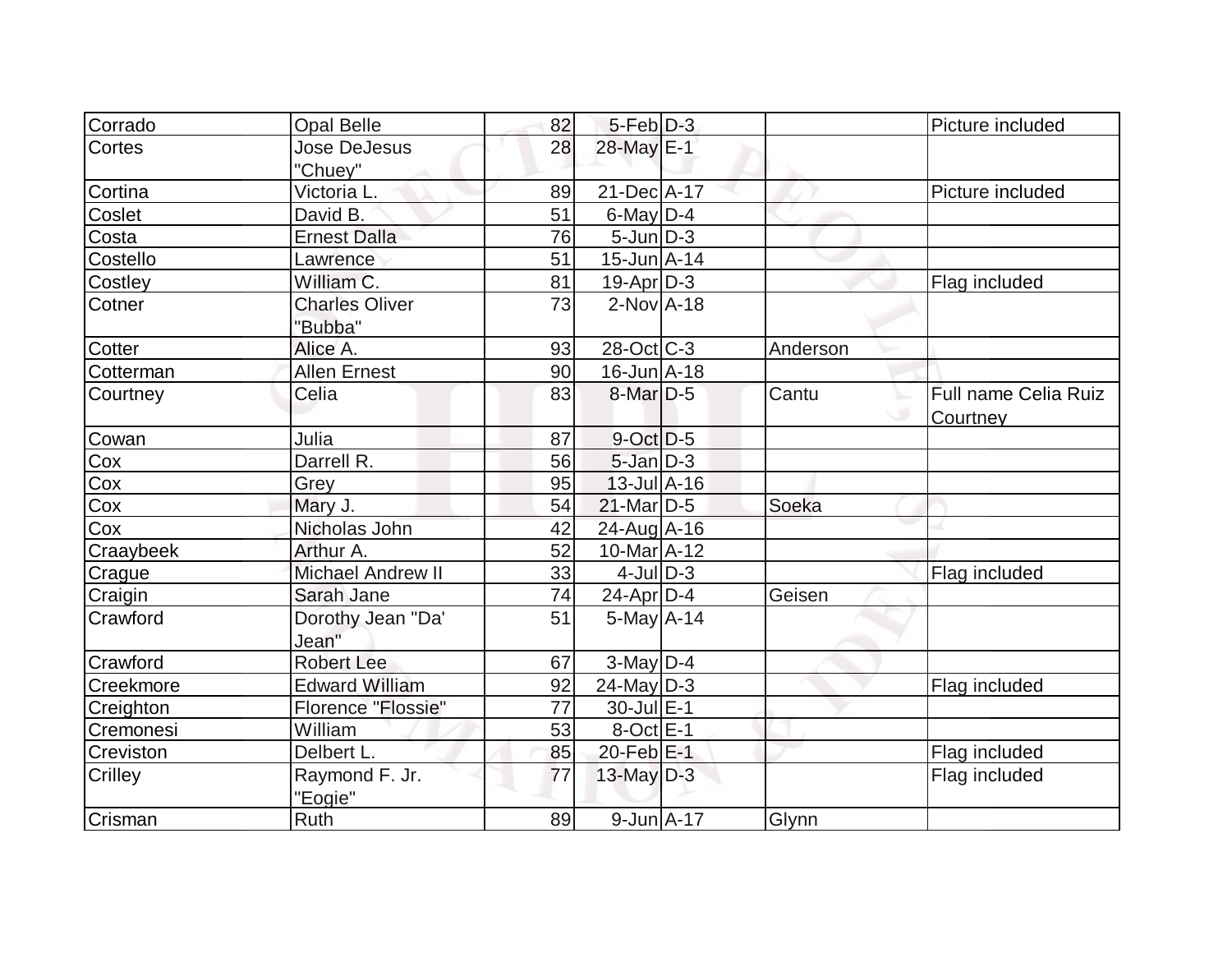| Corrado   | <b>Opal Belle</b>              | 82 | $5-Feb$ D-3                  |          | Picture included     |
|-----------|--------------------------------|----|------------------------------|----------|----------------------|
|           |                                |    |                              |          |                      |
| Cortes    | <b>Jose DeJesus</b><br>"Chuey" | 28 | 28-May E-1                   |          |                      |
| Cortina   | Victoria L.                    | 89 | 21-Dec A-17                  |          | Picture included     |
| Coslet    | David B.                       | 51 | $6$ -May $D-4$               |          |                      |
| Costa     | <b>Ernest Dalla</b>            | 76 | $5$ -Jun $D-3$               |          |                      |
| Costello  | Lawrence                       | 51 | $15$ -Jun $A$ -14            |          |                      |
| Costley   | William C.                     | 81 | $19$ -Apr $D$ -3             |          | Flag included        |
| Cotner    | <b>Charles Oliver</b>          | 73 | $2$ -Nov $A$ -18             |          |                      |
|           | "Bubba"                        |    |                              |          |                      |
| Cotter    | Alice A.                       | 93 | $28-Oct$ $C-3$               | Anderson |                      |
| Cotterman | <b>Allen Ernest</b>            | 90 | $16$ -Jun $A$ -18            |          |                      |
| Courtney  | Celia                          | 83 | 8-Mar <sub>D-5</sub>         | Cantu    | Full name Celia Ruiz |
|           |                                |    |                              |          | Courtney             |
| Cowan     | Julia                          | 87 | 9-Oct D-5                    |          |                      |
| Cox       | Darrell R.                     | 56 | $5$ -Jan $D-3$               |          |                      |
| Cox       | Grey                           | 95 | $13$ -Jul $\overline{A}$ -16 |          |                      |
| Cox       | Mary J.                        | 54 | $21$ -Mar $D-5$              | Soeka    |                      |
| Cox       | Nicholas John                  | 42 | 24-Aug A-16                  |          |                      |
| Craaybeek | Arthur A.                      | 52 | $10$ -Mar $A$ -12            |          |                      |
| Crague    | <b>Michael Andrew II</b>       | 33 | $4$ -Jul $D-3$               |          | Flag included        |
| Craigin   | Sarah Jane                     | 74 | $24$ -Apr $D-4$              | Geisen   |                      |
| Crawford  | Dorothy Jean "Da'              | 51 | $5$ -May $A$ -14             |          |                      |
|           | Jean"                          |    |                              |          |                      |
| Crawford  | <b>Robert Lee</b>              | 67 | $3-May$ D-4                  |          |                      |
| Creekmore | <b>Edward William</b>          | 92 | $24$ -May D-3                |          | Flag included        |
| Creighton | Florence "Flossie"             | 77 | 30-Jul E-1                   |          |                      |
| Cremonesi | William                        | 53 | $8-Oct$ E-1                  |          |                      |
| Creviston | Delbert L.                     | 85 | 20-Feb E-1                   |          | Flag included        |
| Crilley   | Raymond F. Jr.                 | 77 | $13$ -May $D-3$              |          | Flag included        |
|           | "Eogie"                        |    |                              |          |                      |
| Crisman   | Ruth                           | 89 | $9$ -Jun $A$ -17             | Glynn    |                      |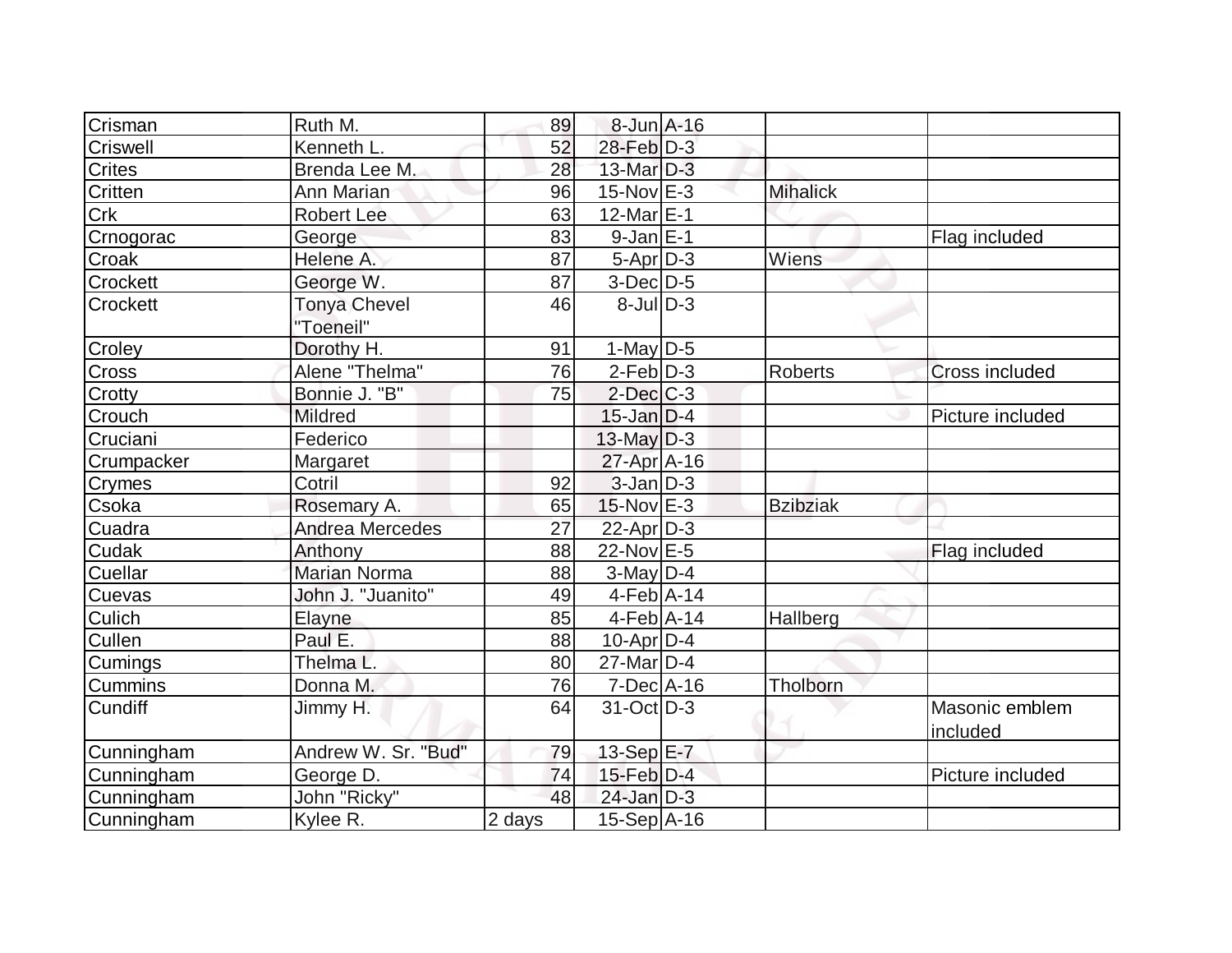| Crisman         | Ruth M.                | 89     | 8-Jun A-16       |                 |                       |
|-----------------|------------------------|--------|------------------|-----------------|-----------------------|
| Criswell        | Kenneth L.             | 52     | $28$ -Feb $D-3$  |                 |                       |
| <b>Crites</b>   | Brenda Lee M.          | 28     | 13-Mar D-3       |                 |                       |
| Critten         | Ann Marian             | 96     | $15$ -Nov $E-3$  | <b>Mihalick</b> |                       |
| Crk             | Robert Lee             | 63     | 12-Mar $E-1$     |                 |                       |
| Crnogorac       | George                 | 83     | $9$ -Jan $E-1$   |                 | Flag included         |
| Croak           | Helene A.              | 87     | $5-Apr D-3$      | Wiens           |                       |
| Crockett        | George W.              | 87     | $3-Dec D-5$      |                 |                       |
| <b>Crockett</b> | <b>Tonya Chevel</b>    | 46     | $8$ -JulD-3      |                 |                       |
|                 | "Toeneil"              |        |                  |                 |                       |
| Croley          | Dorothy H.             | 91     | 1-May $D-5$      |                 |                       |
| Cross           | Alene "Thelma"         | 76     | $2-Feb D-3$      | Roberts         | <b>Cross included</b> |
| Crotty          | Bonnie J. "B"          | 75     | $2$ -Dec $C-3$   |                 |                       |
| Crouch          | Mildred                |        | $15$ -Jan D-4    |                 | Picture included      |
| Cruciani        | Federico               |        | $13$ -May D-3    |                 |                       |
| Crumpacker      | Margaret               |        | 27-Apr A-16      |                 |                       |
| <b>Crymes</b>   | Cotril                 | 92     | $3$ -Jan $D-3$   |                 |                       |
| Csoka           | Rosemary A.            | 65     | $15$ -Nov $E-3$  | <b>Bzibziak</b> |                       |
| Cuadra          | <b>Andrea Mercedes</b> | 27     | $22$ -Apr $D-3$  |                 |                       |
| Cudak           | Anthony                | 88     | $22$ -Nov $E-5$  |                 | Flag included         |
| Cuellar         | <b>Marian Norma</b>    | 88     | $3$ -May $D-4$   |                 |                       |
| Cuevas          | John J. "Juanito"      | 49     | $4-Feb$ A-14     |                 |                       |
| Culich          | Elayne                 | 85     | $4-Feb$ A-14     | Hallberg        |                       |
| <b>Cullen</b>   | Paul E.                | 88     | $10$ -Apr $ D-4$ |                 |                       |
| Cumings         | Thelma L.              | 80     | $27$ -Mar $ D-4$ |                 |                       |
| <b>Cummins</b>  | Donna M.               | 76     | $7$ -Dec $A$ -16 | Tholborn        |                       |
| Cundiff         | Jimmy H.               | 64     | $31-Oct$ D-3     |                 | Masonic emblem        |
|                 |                        |        |                  |                 | included              |
| Cunningham      | Andrew W. Sr. "Bud"    | 79     | 13-Sep E-7       |                 |                       |
| Cunningham      | George D.              | 74     | $15$ -Feb $D-4$  |                 | Picture included      |
| Cunningham      | John "Ricky"           | 48     | $24$ -Jan D-3    |                 |                       |
| Cunningham      | Kylee R.               | 2 days | $15-Sep$ A-16    |                 |                       |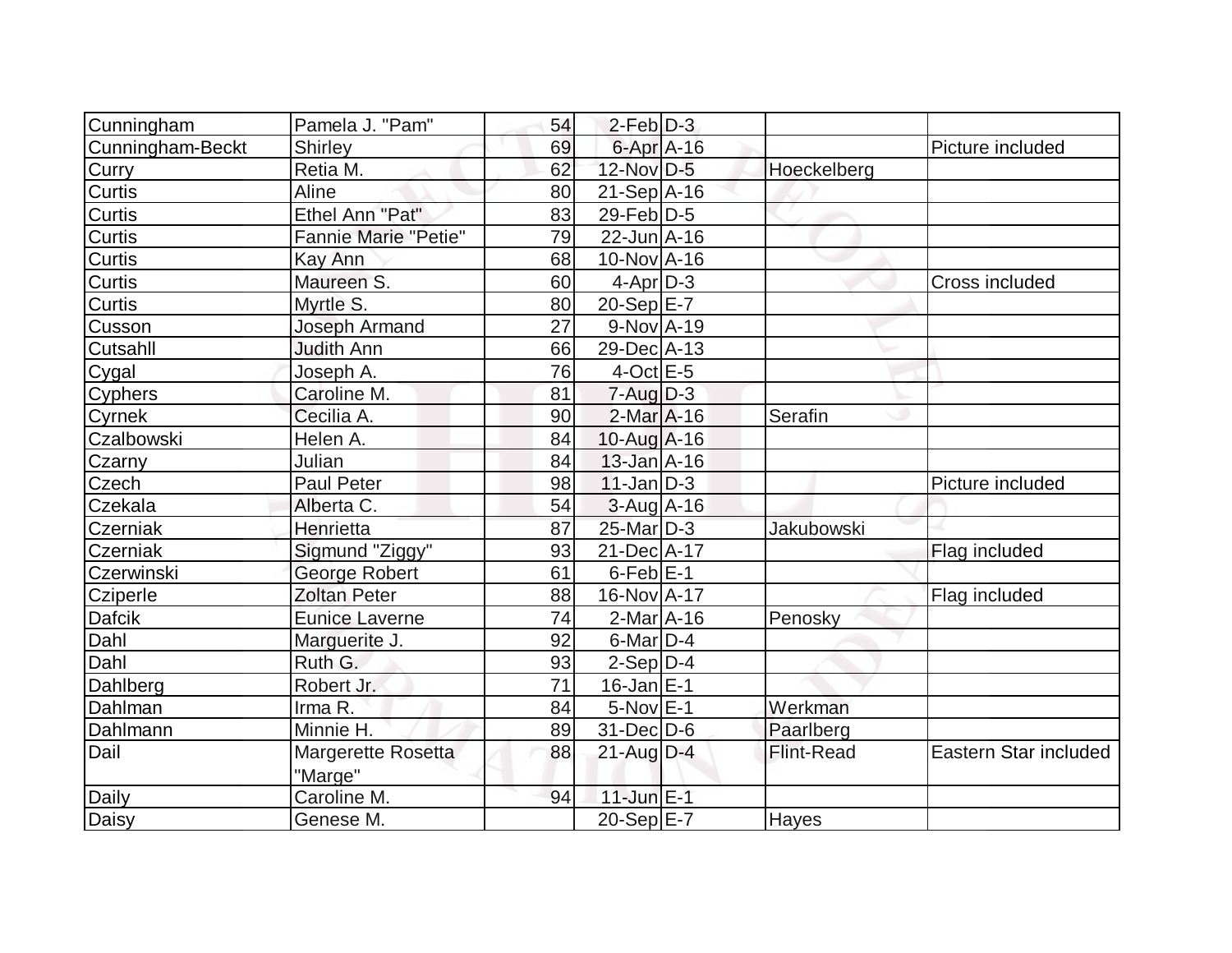| Cunningham       | Pamela J. "Pam"             | 54 | $2$ -Feb $D-3$    |                   |                       |
|------------------|-----------------------------|----|-------------------|-------------------|-----------------------|
| Cunningham-Beckt | Shirley                     | 69 | 6-Apr A-16        |                   | Picture included      |
| Curry            | Retia M.                    | 62 | 12-Nov D-5        | Hoeckelberg       |                       |
| <b>Curtis</b>    | Aline                       | 80 | $21-Sep$ A-16     |                   |                       |
| Curtis           | Ethel Ann "Pat"             | 83 | $29$ -Feb $D-5$   |                   |                       |
| Curtis           | <b>Fannie Marie "Petie"</b> | 79 | $22$ -Jun $A-16$  |                   |                       |
| <b>Curtis</b>    | Kay Ann                     | 68 | $10$ -Nov $A$ -16 |                   |                       |
| Curtis           | Maureen S.                  | 60 | $4$ -Apr $D-3$    |                   | Cross included        |
| Curtis           | Myrtle S.                   | 80 | 20-Sep E-7        |                   |                       |
| Cusson           | Joseph Armand               | 27 | $9-Nov$ A-19      |                   |                       |
| <b>Cutsahll</b>  | Judith Ann                  | 66 | 29-Dec A-13       |                   |                       |
| Cygal            | Joseph A.                   | 76 | $4$ -Oct $E - 5$  |                   |                       |
| <b>Cyphers</b>   | Caroline M.                 | 81 | $7 - Aug$ $D-3$   |                   |                       |
| Cyrnek           | Cecilia A.                  | 90 | $2$ -Mar $A-16$   | Serafin           |                       |
| Czalbowski       | Helen A.                    | 84 | $10$ -Aug $A$ -16 |                   |                       |
| Czarny           | Julian                      | 84 | $13$ -Jan $A$ -16 |                   |                       |
| Czech            | Paul Peter                  | 98 | $11$ -Jan $ D-3 $ |                   | Picture included      |
| Czekala          | Alberta C.                  | 54 | $3 - Aug A - 16$  |                   |                       |
| Czerniak         | Henrietta                   | 87 | $25$ -Mar $ D-3 $ | <b>Jakubowski</b> |                       |
| Czerniak         | Sigmund "Ziggy"             | 93 | 21-Dec A-17       |                   | Flag included         |
| Czerwinski       | George Robert               | 61 | $6$ -Feb $E-1$    |                   |                       |
| Cziperle         | <b>Zoltan Peter</b>         | 88 | 16-Nov A-17       |                   | Flag included         |
| <b>Dafcik</b>    | <b>Eunice Laverne</b>       | 74 | $2$ -Mar $A$ -16  | Penosky           |                       |
| Dahl             | Marguerite J.               | 92 | $6$ -Mar $D-4$    |                   |                       |
| Dahl             | Ruth G.                     | 93 | $2-Sep D-4$       |                   |                       |
| Dahlberg         | Robert Jr.                  | 71 | $16$ -Jan $E$ -1  |                   |                       |
| Dahlman          | Irma R.                     | 84 | $5-NovE-1$        | Werkman           |                       |
| Dahlmann         | Minnie H.                   | 89 | $31$ -Dec $D-6$   | Paarlberg         |                       |
| Dail             | <b>Margerette Rosetta</b>   | 88 | 21-Aug D-4        | <b>Flint-Read</b> | Eastern Star included |
|                  | "Marge"                     |    |                   |                   |                       |
| Daily            | Caroline M.                 | 94 | 11-Jun E-1        |                   |                       |
| <b>Daisy</b>     | Genese M.                   |    | 20-Sep E-7        | Hayes             |                       |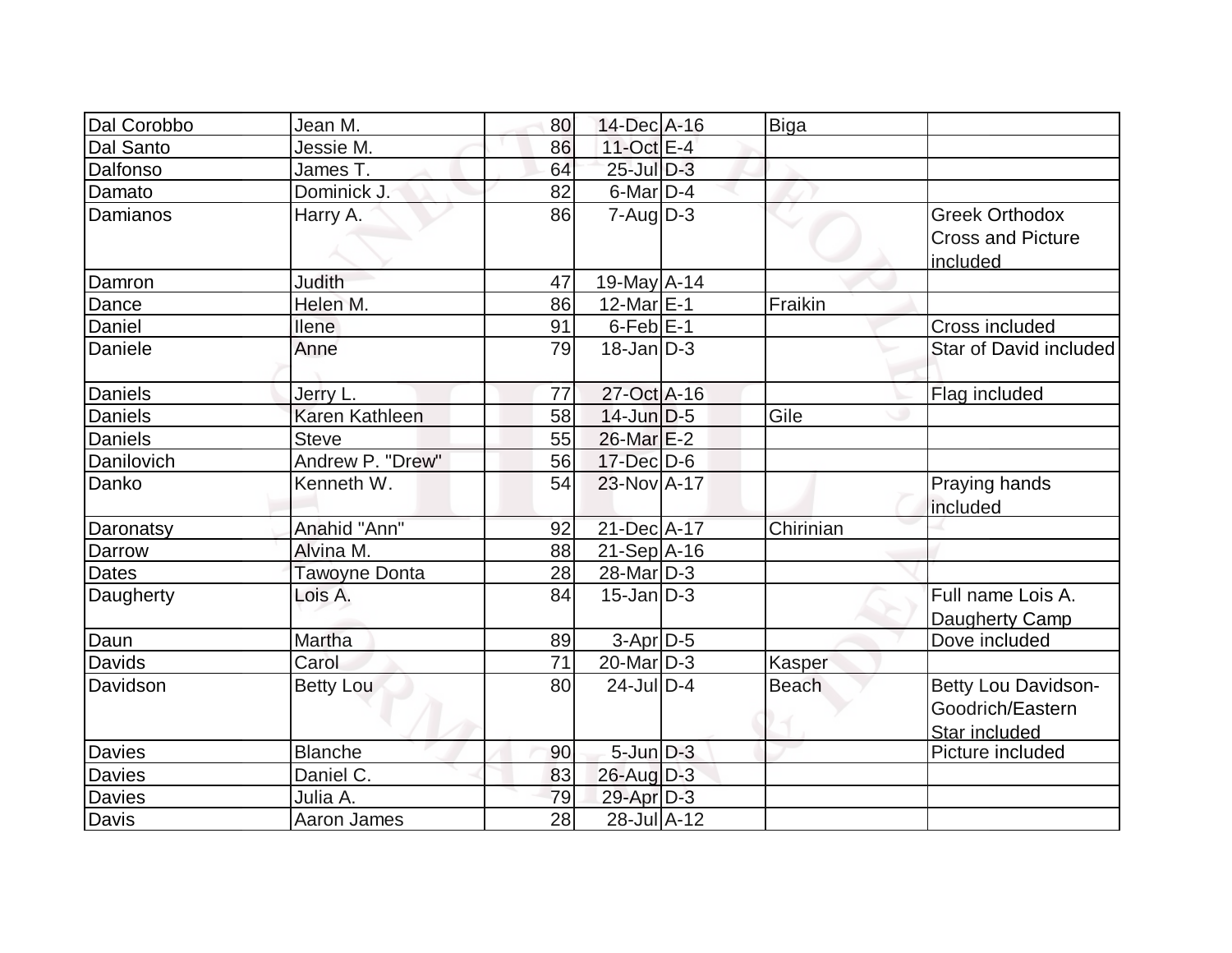| Dal Corobbo   | Jean M.          | 80 | 14-Dec A-16                            | <b>Biga</b>  |                                                                 |
|---------------|------------------|----|----------------------------------------|--------------|-----------------------------------------------------------------|
| Dal Santo     | Jessie M.        | 86 | 11-Oct E-4                             |              |                                                                 |
| Dalfonso      | James T.         | 64 | $25$ -Jul $D-3$                        |              |                                                                 |
| Damato        | Dominick J.      | 82 | $6$ -Mar $D-4$                         |              |                                                                 |
| Damianos      | Harry A.         | 86 | $7 - Aug   D-3$                        |              | <b>Greek Orthodox</b><br><b>Cross and Picture</b><br>included   |
| Damron        | Judith           | 47 | $19$ -May $A$ -14                      |              |                                                                 |
| Dance         | Helen M.         | 86 | $12$ -Mar $E-1$                        | Fraikin      |                                                                 |
| Daniel        | <b>Ilene</b>     | 91 | $6$ -Feb $ E-1 $                       |              | Cross included                                                  |
| Daniele       | Anne             | 79 | $18$ -Jan $D-3$                        |              | Star of David included                                          |
| Daniels       | Jerry L.         | 77 | 27-Oct A-16                            |              | Flag included                                                   |
| Daniels       | Karen Kathleen   | 58 | $14$ -Jun $D-5$                        | Gile         |                                                                 |
| Daniels       | <b>Steve</b>     | 55 | $26$ -Mar $E-2$                        |              |                                                                 |
| Danilovich    | Andrew P. "Drew" | 56 | $17$ -Dec $D-6$                        |              |                                                                 |
| Danko         | Kenneth W.       | 54 | 23-Nov A-17                            |              | Praying hands<br>included                                       |
| Daronatsy     | Anahid "Ann"     | 92 | 21-Dec A-17                            | Chirinian    |                                                                 |
| <b>Darrow</b> | Alvina M.        | 88 | $21-Sep$ $A-16$                        |              |                                                                 |
| Dates         | Tawoyne Donta    | 28 | $28$ -Mar $D-3$                        |              |                                                                 |
| Daugherty     | Lois A.          | 84 | $15$ -Jan $D-3$                        |              | Full name Lois A.<br>Daugherty Camp                             |
| Daun          | Martha           | 89 | $3-Apr$ D-5                            |              | Dove included                                                   |
| <b>Davids</b> | Carol            | 71 | $\overline{20}$ -Mar $\overline{D}$ -3 | Kasper       |                                                                 |
| Davidson      | <b>Betty Lou</b> | 80 | $24$ -JulD-4                           | <b>Beach</b> | <b>Betty Lou Davidson-</b><br>Goodrich/Eastern<br>Star included |
| <b>Davies</b> | <b>Blanche</b>   | 90 | $5$ -Jun $D-3$                         |              | Picture included                                                |
| Davies        | Daniel C.        | 83 | 26-Aug D-3                             |              |                                                                 |
| Davies        | Julia A.         | 79 | 29-Apr D-3                             |              |                                                                 |
| Davis         | Aaron James      | 28 | $28$ -Jul $A-12$                       |              |                                                                 |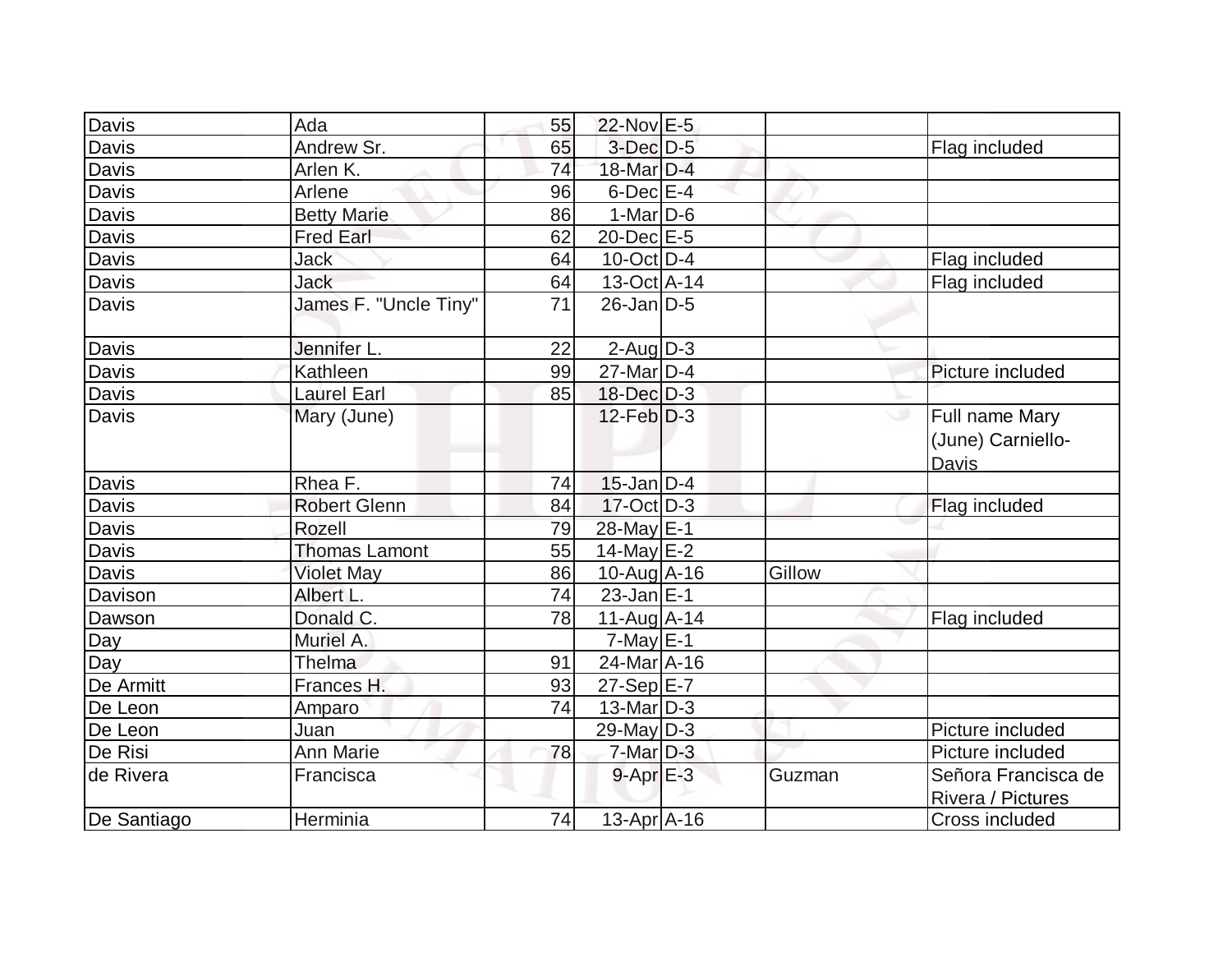| Davis       | Ada                   | 55 | 22-Nov E-5        |        |                                                     |
|-------------|-----------------------|----|-------------------|--------|-----------------------------------------------------|
| Davis       | Andrew Sr.            | 65 | $3$ -Dec $D-5$    |        | Flag included                                       |
| Davis       | Arlen K.              | 74 | 18-Mar D-4        |        |                                                     |
| Davis       | Arlene                | 96 | $6$ -Dec $E-4$    |        |                                                     |
| Davis       | <b>Betty Marie</b>    | 86 | $1-Mar$ D-6       |        |                                                     |
| Davis       | <b>Fred Earl</b>      | 62 | 20-Dec E-5        |        |                                                     |
| Davis       | <b>Jack</b>           | 64 | $10$ -Oct $ D-4 $ |        | Flag included                                       |
| Davis       | Jack                  | 64 | $13-Oct$ A-14     |        | Flag included                                       |
| Davis       | James F. "Uncle Tiny" | 71 | $26$ -Jan D-5     |        |                                                     |
| Davis       | Jennifer L.           | 22 | $2$ -Aug $D-3$    |        |                                                     |
| Davis       | Kathleen              | 99 | $27$ -Mar $ D-4 $ |        | Picture included                                    |
| Davis       | <b>Laurel Earl</b>    | 85 | $18$ -Dec $D-3$   |        |                                                     |
| Davis       | Mary (June)           |    | $12$ -Feb $D-3$   |        | Full name Mary<br>(June) Carniello-<br><b>Davis</b> |
| Davis       | Rhea F.               | 74 | $15$ -Jan D-4     |        |                                                     |
| Davis       | <b>Robert Glenn</b>   | 84 | $17-Oct$ D-3      |        | Flag included                                       |
| Davis       | Rozell                | 79 | 28-May E-1        |        |                                                     |
| Davis       | <b>Thomas Lamont</b>  | 55 | $14$ -May E-2     |        |                                                     |
| Davis       | <b>Violet May</b>     | 86 | $10$ -Aug $A$ -16 | Gillow |                                                     |
| Davison     | Albert L.             | 74 | $23$ -Jan $ E-1 $ |        |                                                     |
| Dawson      | Donald C.             | 78 | $11-Aug$ A-14     |        | Flag included                                       |
| Day         | Muriel A.             |    | $7$ -May $E-1$    |        |                                                     |
| Day         | Thelma                | 91 | 24-Mar A-16       |        |                                                     |
| De Armitt   | Frances H.            | 93 | $27-Sep$ E-7      |        |                                                     |
| De Leon     | Amparo                | 74 | $13$ -Mar $ D-3 $ |        |                                                     |
| De Leon     | Juan                  |    | $29$ -May D-3     |        | Picture included                                    |
| De Risi     | Ann Marie             | 78 | $7-Mar$ D-3       |        | Picture included                                    |
| de Rivera   | Francisca             |    | $9$ -Apr $E-3$    | Guzman | Señora Francisca de<br>Rivera / Pictures            |
| De Santiago | Herminia              | 74 | $13$ -Apr $ A-16$ |        | Cross included                                      |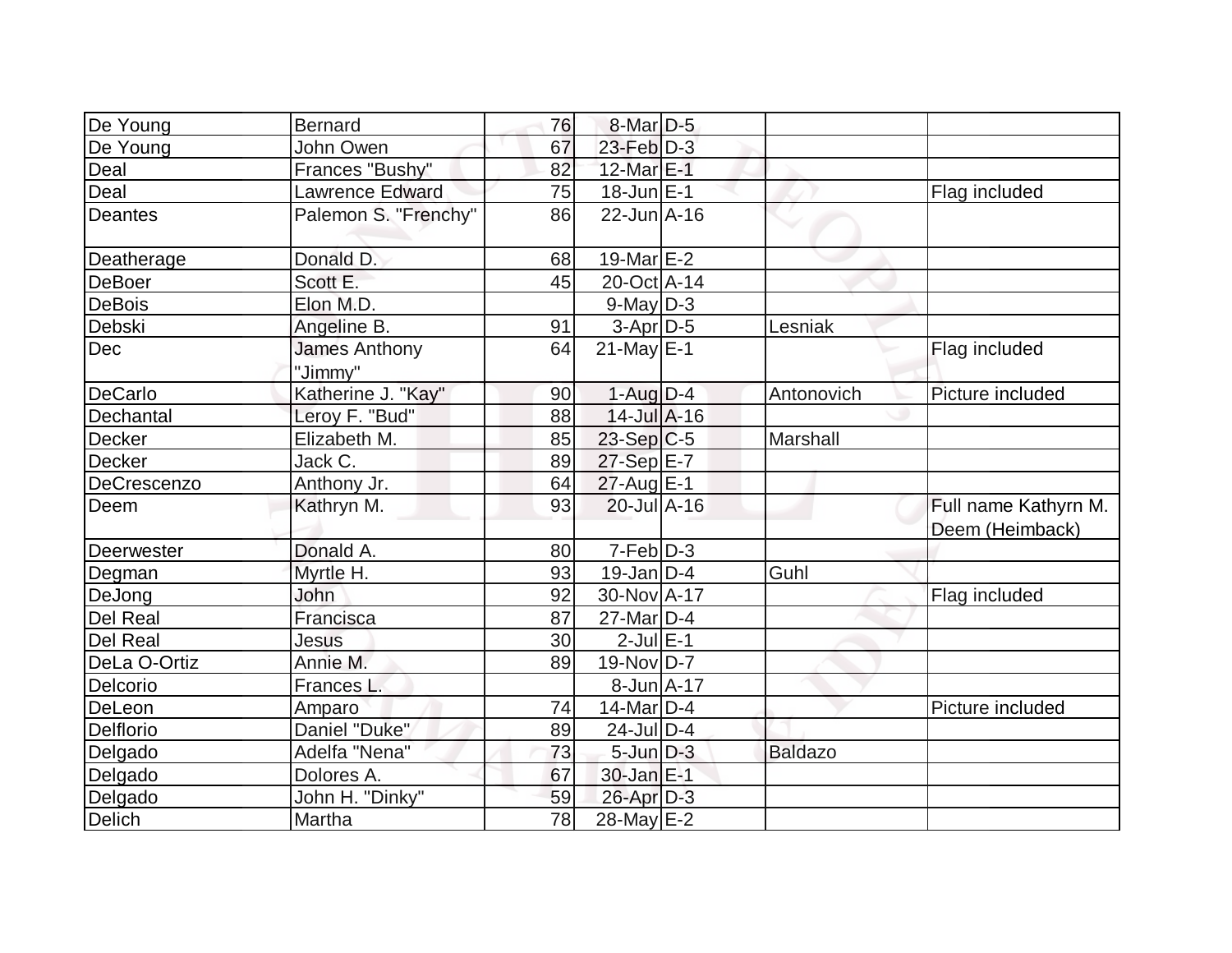| De Young        | <b>Bernard</b>           | 76 | 8-Mar D-5         |                |                                         |
|-----------------|--------------------------|----|-------------------|----------------|-----------------------------------------|
| De Young        | John Owen                | 67 | $23$ -Feb $D-3$   |                |                                         |
| Deal            | Frances "Bushy"          | 82 | 12-Mar E-1        |                |                                         |
| Deal            | <b>Lawrence Edward</b>   | 75 | $18$ -Jun $E-1$   |                | Flag included                           |
| <b>Deantes</b>  | Palemon S. "Frenchy"     | 86 | $22$ -Jun $A-16$  |                |                                         |
| Deatherage      | Donald D.                | 68 | 19-Mar $E-2$      |                |                                         |
| <b>DeBoer</b>   | Scott E.                 | 45 | 20-Oct A-14       |                |                                         |
| <b>DeBois</b>   | Elon M.D.                |    | $9$ -May $D-3$    |                |                                         |
| Debski          | Angeline B.              | 91 | $3-Apr$ $D-5$     | Lesniak        |                                         |
| <b>Dec</b>      | James Anthony<br>"Jimmy" | 64 | $21$ -May E-1     |                | Flag included                           |
| DeCarlo         | Katherine J. "Kay"       | 90 | $1-Aug$ D-4       | Antonovich     | Picture included                        |
| Dechantal       | Leroy F. "Bud"           | 88 | $14$ -Jul $A$ -16 |                |                                         |
| Decker          | Elizabeth M.             | 85 | $23-Sep C-5$      | Marshall       |                                         |
| Decker          | Jack C.                  | 89 | 27-Sep E-7        |                |                                         |
| DeCrescenzo     | Anthony Jr.              | 64 | $27$ -Aug E-1     |                |                                         |
| Deem            | Kathryn M.               | 93 | $20$ -Jul $A-16$  |                | Full name Kathyrn M.<br>Deem (Heimback) |
| Deerwester      | Donald A.                | 80 | $7-Feb D-3$       |                |                                         |
| Degman          | Myrtle H.                | 93 | $19$ -Jan D-4     | Guhl           |                                         |
| DeJong          | John                     | 92 | 30-Nov A-17       |                | Flag included                           |
| Del Real        | Francisca                | 87 | $27$ -Mar $ D-4$  |                |                                         |
| <b>Del Real</b> | Jesus                    | 30 | $2$ -Jul $E-1$    |                |                                         |
| DeLa O-Ortiz    | Annie M.                 | 89 | $19-Nov D-7$      |                |                                         |
| Delcorio        | Frances L.               |    | $8$ -Jun $A$ -17  |                |                                         |
| DeLeon          | Amparo                   | 74 | $14$ -Mar $D-4$   |                | Picture included                        |
| Delflorio       | Daniel "Duke"            | 89 | $24$ -Jul $D-4$   |                |                                         |
| Delgado         | Adelfa "Nena"            | 73 | $5$ -Jun $D-3$    | <b>Baldazo</b> |                                         |
| Delgado         | Dolores A.               | 67 | 30-Jan E-1        |                |                                         |
| Delgado         | John H. "Dinky"          | 59 | 26-Apr D-3        |                |                                         |
| Delich          | Martha                   | 78 | 28-May E-2        |                |                                         |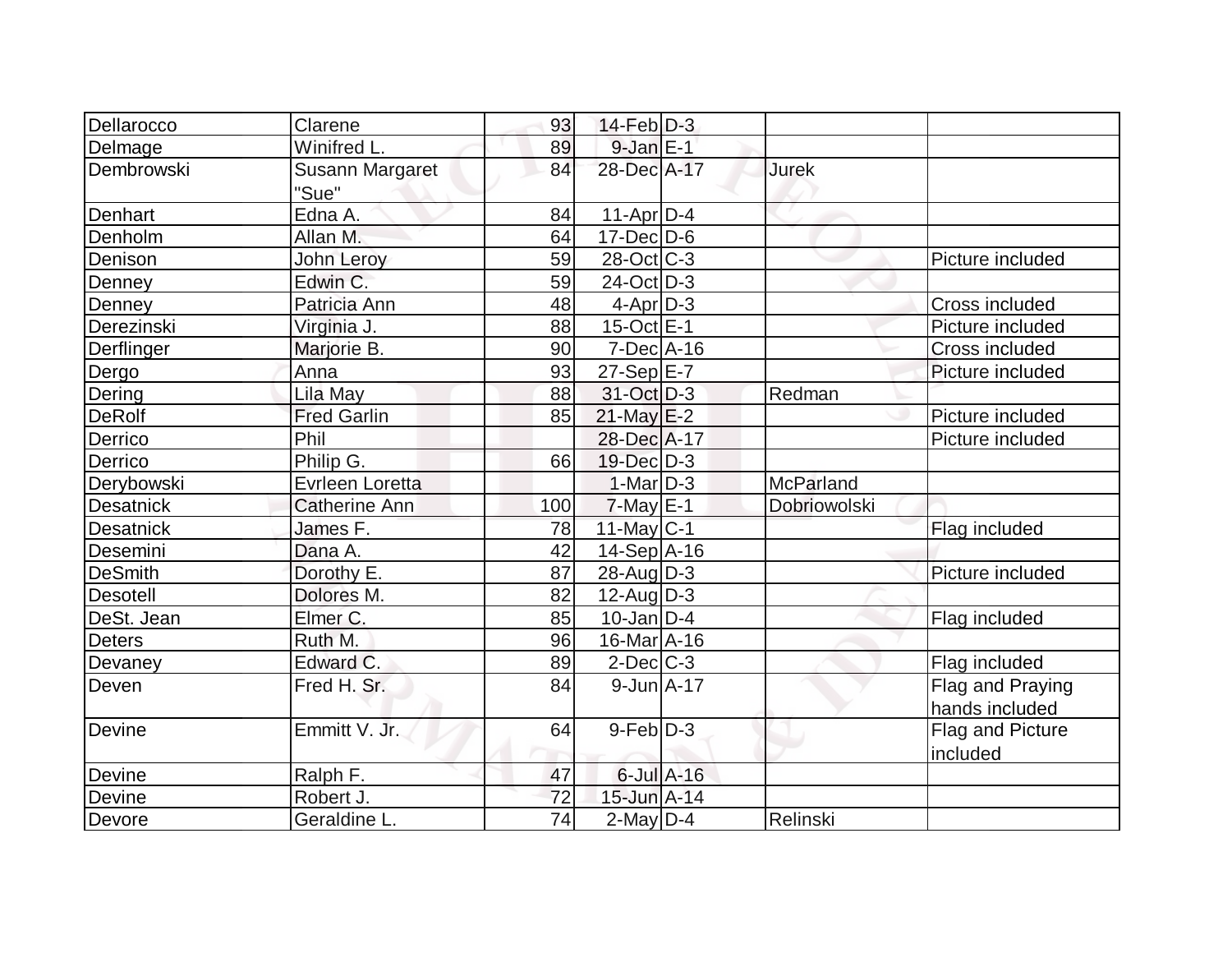| Dellarocco       | Clarene                   | 93       | $14$ -Feb $D-3$                  |              |                                                     |
|------------------|---------------------------|----------|----------------------------------|--------------|-----------------------------------------------------|
| Delmage          | Winifred L.               | 89       | $9$ -Jan $E-1$                   |              |                                                     |
| Dembrowski       | Susann Margaret           | 84       | 28-Dec A-17                      | <b>Jurek</b> |                                                     |
|                  | "Sue"                     |          |                                  |              |                                                     |
| Denhart          | Edna A.                   | 84       | $11-Apr D-4$                     |              |                                                     |
| Denholm          | Allan M.                  | 64       | $17$ -Dec $ D-6$                 |              |                                                     |
| Denison          | John Leroy                | 59       | $28-Oct$ $C-3$                   |              | Picture included                                    |
| Denney           | Edwin C.                  | 59       | $24$ -Oct $ D-3 $                |              |                                                     |
| Denney           | Patricia Ann              | 48       | $4$ -Apr $D-3$                   |              | Cross included                                      |
| Derezinski       | Virginia J.               | 88       | $15$ -Oct $E-1$                  |              | Picture included                                    |
| Derflinger       | Marjorie B.               | 90       | $7-Dec$ $A-16$                   |              | Cross included                                      |
| Dergo            | Anna                      | 93       | $27-Sep$ <sup>E-7</sup>          |              | Picture included                                    |
| Dering           | Lila May                  | 88       | 31-Oct D-3                       | Redman       |                                                     |
| <b>DeRolf</b>    | <b>Fred Garlin</b>        | 85       | $21$ -May $E-2$                  |              | Picture included                                    |
| Derrico          | Phil                      |          | 28-Dec A-17                      |              | Picture included                                    |
| Derrico          | Philip G.                 | 66       | 19-Dec D-3                       |              |                                                     |
| Derybowski       | Evrleen Loretta           |          | $1-Mar$ D-3                      | McParland    |                                                     |
|                  |                           |          |                                  |              |                                                     |
| <b>Desatnick</b> | Catherine Ann             | 100      | $7$ -May $E-1$                   | Dobriowolski |                                                     |
| <b>Desatnick</b> | James F.                  | 78       |                                  |              | Flag included                                       |
| Desemini         | Dana A.                   | 42       | $11$ -May $C-1$<br>$14-Sep$ A-16 |              |                                                     |
| <b>DeSmith</b>   | Dorothy E.                | 87       | 28-Aug D-3                       |              | Picture included                                    |
| Desotell         | Dolores M.                | 82       | $12$ -Aug $ D-3 $                |              |                                                     |
| DeSt. Jean       | Elmer C.                  | 85       | $10$ -Jan $ D-4 $                |              | Flag included                                       |
| <b>Deters</b>    | Ruth M.                   | 96       | 16-Mar A-16                      |              |                                                     |
| Devaney          | Edward C.                 | 89       | $2$ -Dec $C-3$                   |              |                                                     |
| Deven            | Fred H. Sr.               | 84       | $9$ -Jun $A$ -17                 |              | Flag included<br>Flag and Praying<br>hands included |
| <b>Devine</b>    | Emmitt V. Jr.             | 64       | $9-Feb D-3$                      |              | Flag and Picture                                    |
|                  |                           |          |                                  |              | included                                            |
| Devine           | Ralph F.                  | 47       | $6$ -Jul $A$ -16                 |              |                                                     |
| Devine<br>Devore | Robert J.<br>Geraldine L. | 72<br>74 | 15-Jun A-14<br>$2$ -May $D-4$    | Relinski     |                                                     |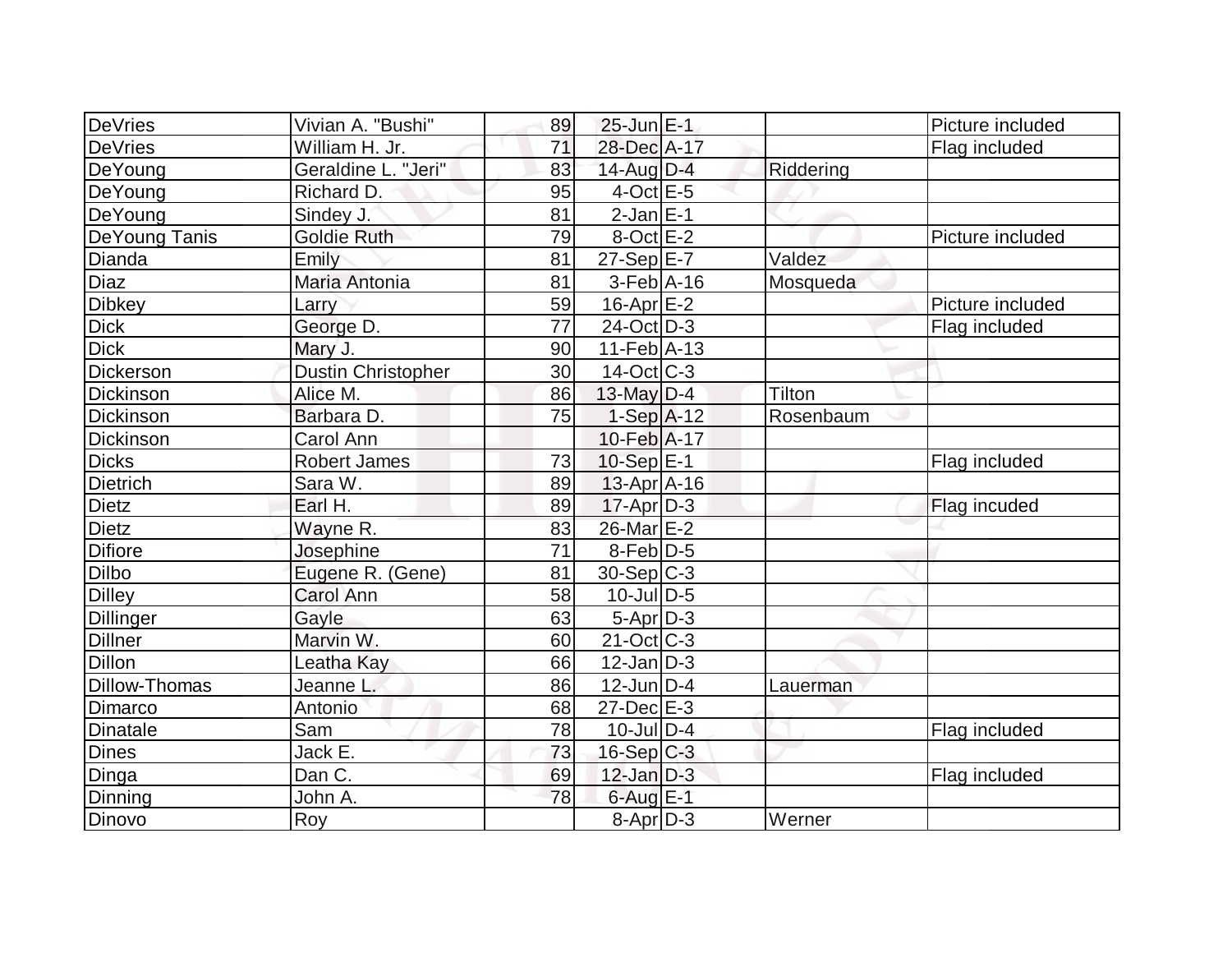| DeVries         | Vivian A. "Bushi"         | 89 | $25$ -Jun $E-1$         |           | Picture included |
|-----------------|---------------------------|----|-------------------------|-----------|------------------|
| <b>DeVries</b>  | William H. Jr.            | 71 | 28-Dec A-17             |           | Flag included    |
| DeYoung         | Geraldine L. "Jeri"       | 83 | 14-Aug D-4              | Riddering |                  |
| DeYoung         | Richard D.                | 95 | $4$ -Oct $E - 5$        |           |                  |
| DeYoung         | Sindey J.                 | 81 | $2$ -Jan $E-1$          |           |                  |
| DeYoung Tanis   | Goldie Ruth               | 79 | $8$ -Oct $E-2$          |           | Picture included |
| Dianda          | Emily                     | 81 | $27-Sep$ <sup>E-7</sup> | Valdez    |                  |
| Diaz            | Maria Antonia             | 81 | $3-Feb$ A-16            | Mosqueda  |                  |
| <b>Dibkey</b>   | Larry                     | 59 | $16$ -Apr $E-2$         |           | Picture included |
| <b>Dick</b>     | George D.                 | 77 | $24$ -Oct $ D-3 $       |           | Flag included    |
| <b>Dick</b>     | Mary J.                   | 90 | $11-Feb$ A-13           |           |                  |
| Dickerson       | <b>Dustin Christopher</b> | 30 | $14-Oct$ $C-3$          |           |                  |
| Dickinson       | Alice M.                  | 86 | 13-May $D-4$            | Tilton    |                  |
| Dickinson       | Barbara D.                | 75 | $1-Sep$ $A-12$          | Rosenbaum |                  |
| Dickinson       | Carol Ann                 |    | 10-Feb A-17             |           |                  |
| <b>Dicks</b>    | <b>Robert James</b>       | 73 | $10-Sep$ E-1            |           | Flag included    |
| <b>Dietrich</b> | Sara W.                   | 89 | $13$ -Apr $ A-16$       |           |                  |
| <b>Dietz</b>    | Earl H.                   | 89 | $17$ -Apr $ D-3 $       |           | Flag incuded     |
| <b>Dietz</b>    | Wayne R.                  | 83 | 26-Mar E-2              |           |                  |
| <b>Difiore</b>  | Josephine                 | 71 | $8$ -Feb $D-5$          |           |                  |
| <b>Dilbo</b>    | Eugene R. (Gene)          | 81 | $30-Sep C-3$            |           |                  |
| <b>Dilley</b>   | <b>Carol Ann</b>          | 58 | $10$ -JulD-5            |           |                  |
| Dillinger       | Gayle                     | 63 | $5-Apr$ $D-3$           |           |                  |
| <b>Dillner</b>  | Marvin W.                 | 60 | $21$ -Oct $ C-3 $       |           |                  |
| Dillon          | Leatha Kay                | 66 | $12$ -Jan $D-3$         |           |                  |
| Dillow-Thomas   | Jeanne L.                 | 86 | $12$ -Jun $ D-4$        | Lauerman  |                  |
| Dimarco         | Antonio                   | 68 | $27$ -Dec $E-3$         |           |                  |
| <b>Dinatale</b> | Sam                       | 78 | $10$ -Jul $D-4$         |           | Flag included    |
| <b>Dines</b>    | Jack E.                   | 73 | $16-Sep C-3$            |           |                  |
| Dinga           | Dan C.                    | 69 | $12$ -Jan $D-3$         |           | Flag included    |
| Dinning         | John A.                   | 78 | $6$ -Aug $E-1$          |           |                  |
| Dinovo          | Roy                       |    | $8-Apr D-3$             | Werner    |                  |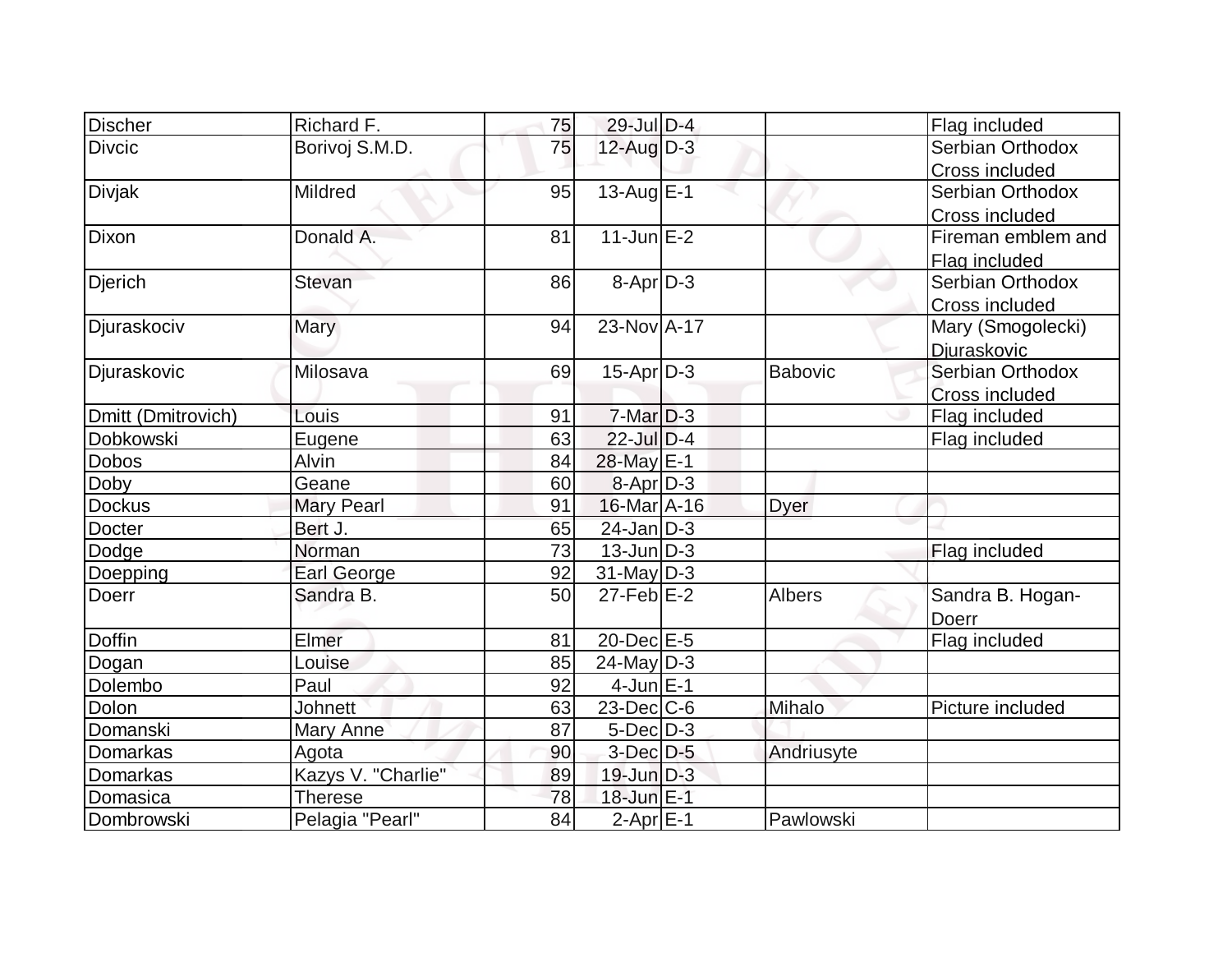| <b>Discher</b>     | Richard F.         | 75 | 29-Jul D-4        |                | Flag included         |
|--------------------|--------------------|----|-------------------|----------------|-----------------------|
| <b>Divcic</b>      | Borivoj S.M.D.     | 75 | $12$ -Aug $D-3$   |                | Serbian Orthodox      |
|                    |                    |    |                   |                | <b>Cross included</b> |
| <b>Divjak</b>      | Mildred            | 95 | 13-Aug $E$ -1     |                | Serbian Orthodox      |
|                    |                    |    |                   |                | Cross included        |
| Dixon              | Donald A.          | 81 | $11$ -Jun $E-2$   |                | Fireman emblem and    |
|                    |                    |    |                   |                | Flag included         |
| <b>Djerich</b>     | <b>Stevan</b>      | 86 | $8-Apr$ D-3       |                | Serbian Orthodox      |
|                    |                    |    |                   |                | Cross included        |
| Djuraskociv        | Mary               | 94 | 23-Nov A-17       |                | Mary (Smogolecki)     |
|                    |                    |    |                   |                | Diuraskovic           |
| Djuraskovic        | Milosava           | 69 | $15$ -Apr $ D-3 $ | <b>Babovic</b> | Serbian Orthodox      |
|                    |                    |    |                   |                | Cross included        |
| Dmitt (Dmitrovich) | Louis              | 91 | $7-Mar$ D-3       |                | Flag included         |
| Dobkowski          | Eugene             | 63 | 22-Jul D-4        |                | Flag included         |
| <b>Dobos</b>       | <b>Alvin</b>       | 84 | 28-May E-1        |                |                       |
| Doby               | Geane              | 60 | $8 - Apr$ $D-3$   |                |                       |
| Dockus             | <b>Mary Pearl</b>  | 91 | 16-Mar A-16       | Dyer           |                       |
| Docter             | Bert J.            | 65 | $24$ -Jan D-3     |                |                       |
| Dodge              | Norman             | 73 | $13$ -Jun $D-3$   |                | Flag included         |
| Doepping           | Earl George        | 92 | $31$ -May $D-3$   |                |                       |
| Doerr              | Sandra B.          | 50 | $27$ -Feb $E-2$   | Albers         | Sandra B. Hogan-      |
|                    |                    |    |                   |                | Doerr                 |
| <b>Doffin</b>      | Elmer              | 81 | 20-Dec E-5        |                | Flag included         |
| Dogan              | Louise             | 85 | $24$ -May D-3     |                |                       |
| Dolembo            | Paul               | 92 | $4$ -Jun $E-1$    |                |                       |
| Dolon              | Johnett            | 63 | $23$ -Dec $ C$ -6 | Mihalo         | Picture included      |
| Domanski           | <b>Mary Anne</b>   | 87 | $5$ -Dec $D-3$    |                |                       |
| Domarkas           | Agota              | 90 | $3$ -Dec $D-5$    | Andriusyte     |                       |
| Domarkas           | Kazys V. "Charlie" | 89 | $19$ -Jun $D-3$   |                |                       |
| Domasica           | <b>Therese</b>     | 78 | 18-Jun E-1        |                |                       |
| Dombrowski         | Pelagia "Pearl"    | 84 | $2$ -Apr $E-1$    | Pawlowski      |                       |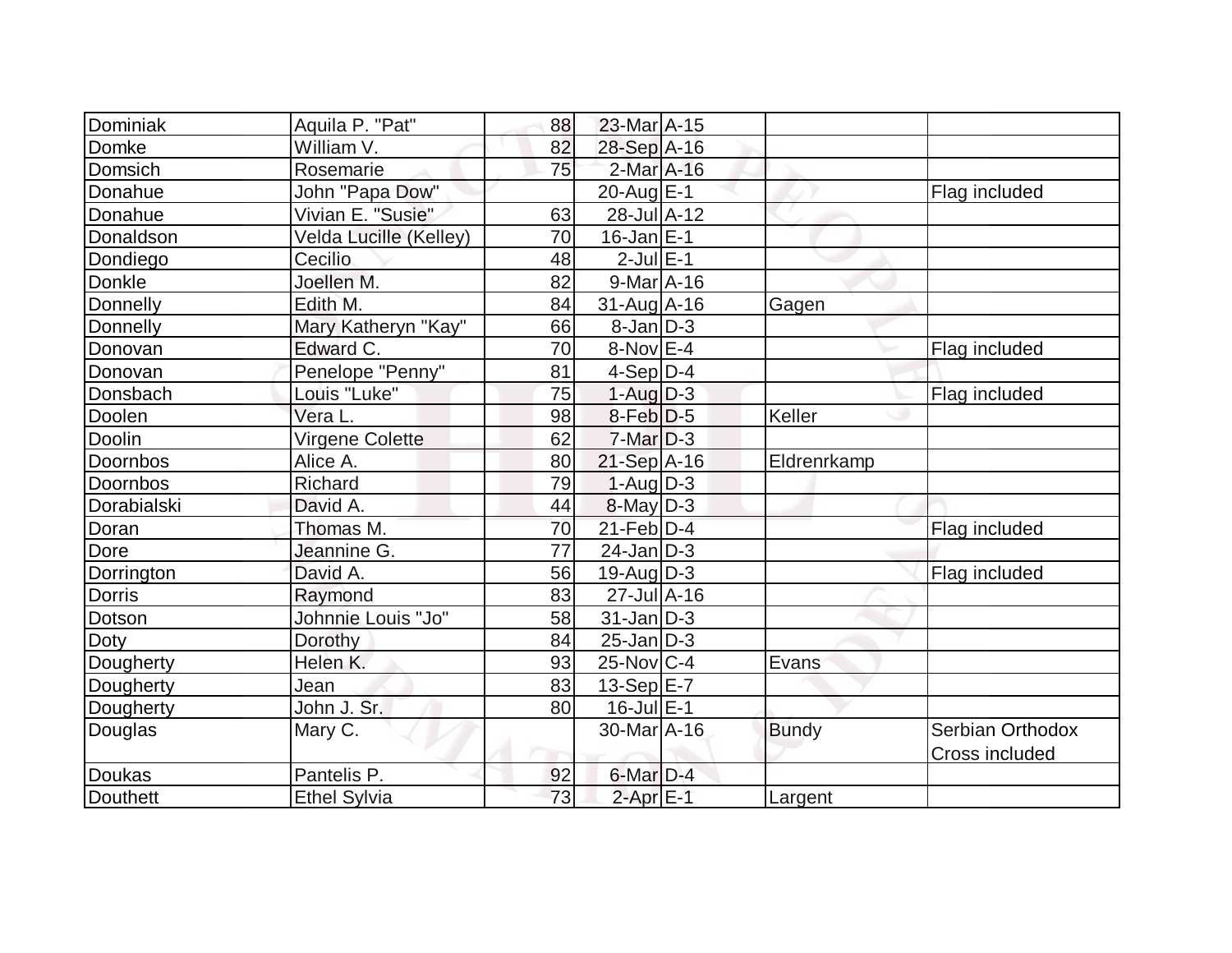| Dominiak      | Aquila P. "Pat"        | 88 | 23-Mar A-15                  |              |                  |
|---------------|------------------------|----|------------------------------|--------------|------------------|
| Domke         | William V.             | 82 | 28-Sep A-16                  |              |                  |
| Domsich       | Rosemarie              | 75 | 2-Mar A-16                   |              |                  |
| Donahue       | John "Papa Dow"        |    | 20-Aug E-1                   |              | Flag included    |
| Donahue       | Vivian E. "Susie"      | 63 | 28-Jul A-12                  |              |                  |
| Donaldson     | Velda Lucille (Kelley) | 70 | $16$ -Jan $E-1$              |              |                  |
| Dondiego      | Cecilio                | 48 | $2$ -Jul $E-1$               |              |                  |
| Donkle        | Joellen M.             | 82 | $9$ -Mar $A$ -16             |              |                  |
| Donnelly      | Edith M.               | 84 | $31$ -Aug $\overline{A}$ -16 | Gagen        |                  |
| Donnelly      | Mary Katheryn "Kay"    | 66 | $8$ -Jan $D-3$               |              |                  |
| Donovan       | Edward C.              | 70 | $8-Nov$ E-4                  |              | Flag included    |
| Donovan       | Penelope "Penny"       | 81 | $4-Sep D-4$                  |              |                  |
| Donsbach      | Louis "Luke"           | 75 | $1-Aug D-3$                  |              | Flag included    |
| Doolen        | Vera L.                | 98 | $8$ -Feb $D-5$               | Keller       |                  |
| Doolin        | Virgene Colette        | 62 | $7-Mar$ D-3                  |              |                  |
| Doornbos      | Alice A.               | 80 | 21-Sep A-16                  | Eldrenrkamp  |                  |
| Doornbos      | Richard                | 79 | $1-Aug D-3$                  |              |                  |
| Dorabialski   | David A.               | 44 | $8$ -May $D-3$               |              |                  |
| Doran         | Thomas M.              | 70 | $21$ -Feb $D-4$              |              | Flag included    |
| Dore          | Jeannine G.            | 77 | $24$ -Jan $ D-3 $            |              |                  |
| Dorrington    | David A.               | 56 | $19$ -Aug $ D-3 $            |              | Flag included    |
| <b>Dorris</b> | Raymond                | 83 | $27 -$ Jul $A - 16$          |              |                  |
| Dotson        | Johnnie Louis "Jo"     | 58 | $31$ -Jan $ D-3 $            |              |                  |
| Doty          | Dorothy                | 84 | $25$ -Jan $D-3$              |              |                  |
| Dougherty     | Helen K.               | 93 | $25$ -Nov $ C-4 $            | Evans        |                  |
| Dougherty     | Jean                   | 83 | 13-Sep E-7                   |              |                  |
| Dougherty     | John J. Sr.            | 80 | $16$ -Jul $E-1$              |              |                  |
| Douglas       | Mary C.                |    | 30-Mar <sub>A-16</sub>       | <b>Bundy</b> | Serbian Orthodox |
|               |                        |    |                              |              | Cross included   |
| Doukas        | Pantelis P.            | 92 | $6$ -Mar $D-4$               |              |                  |
| Douthett      | <b>Ethel Sylvia</b>    | 73 | $2$ -Apr $E-1$               | Largent      |                  |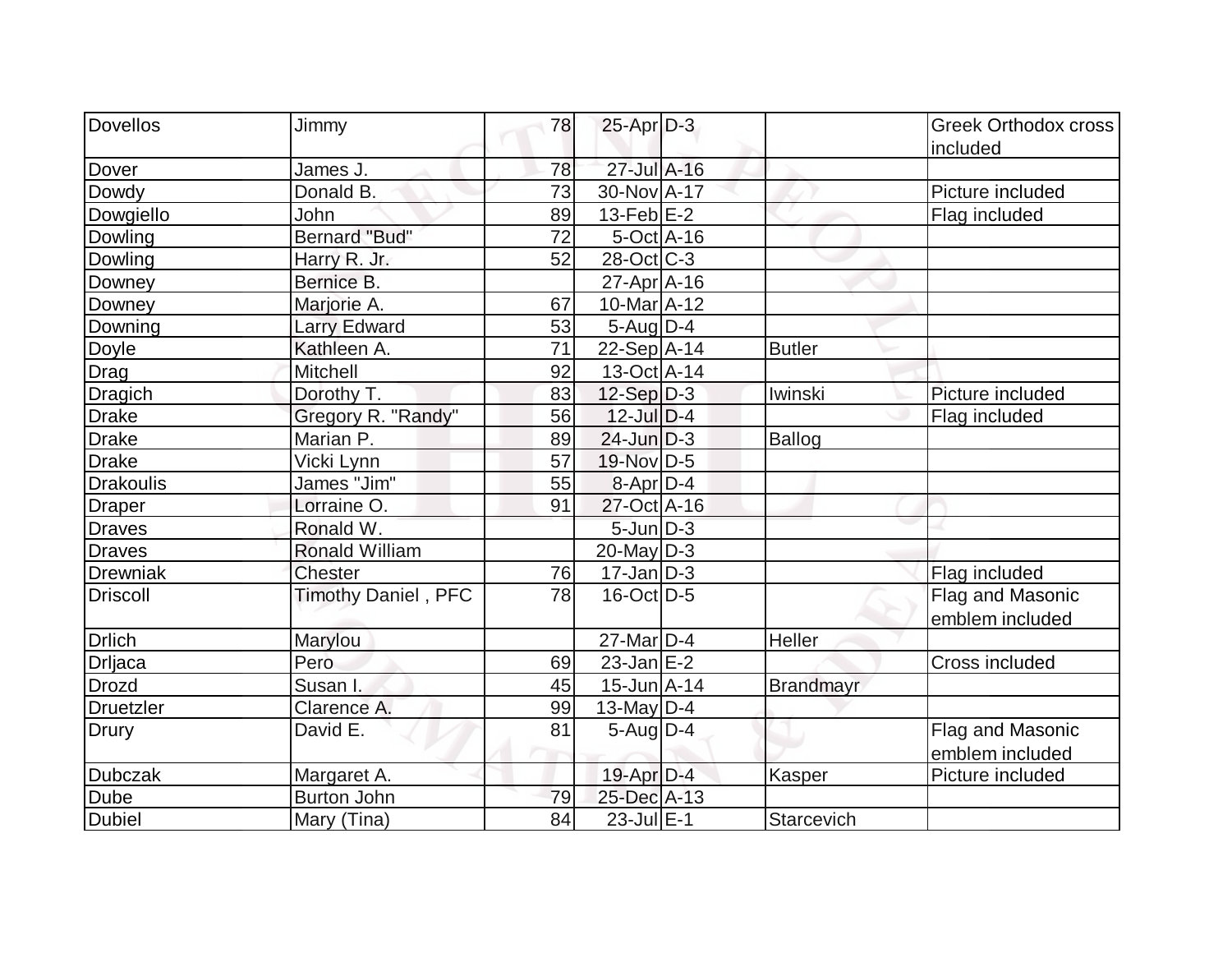| Dovellos         | Jimmy                      | 78 | $25$ -Apr $D-3$          |                  | Greek Orthodox cross<br>included |
|------------------|----------------------------|----|--------------------------|------------------|----------------------------------|
| Dover            | James J.                   | 78 | 27-Jul A-16              |                  |                                  |
| Dowdy            | Donald B.                  | 73 | 30-Nov A-17              |                  | Picture included                 |
| Dowgiello        | John                       | 89 | $13$ -Feb $E-2$          |                  | Flag included                    |
| Dowling          | <b>Bernard "Bud"</b>       | 72 | $5-Oct$ $A-16$           |                  |                                  |
| Dowling          | Harry R. Jr.               | 52 | $28-Oct$ <sub>C</sub> -3 |                  |                                  |
| Downey           | Bernice B.                 |    | 27-Apr A-16              |                  |                                  |
| Downey           | Marjorie A.                | 67 | 10-Mar A-12              |                  |                                  |
| Downing          | <b>Larry Edward</b>        | 53 | $5$ -Aug $D-4$           |                  |                                  |
| Doyle            | Kathleen A.                | 71 | $22-Sep$ A-14            | <b>Butler</b>    |                                  |
| Drag             | Mitchell                   | 92 | $13-Oct$ A-14            |                  |                                  |
| <b>Dragich</b>   | Dorothy T.                 | 83 | $12-Sep D-3$             | Iwinski          | Picture included                 |
| <b>Drake</b>     | Gregory R. "Randy"         | 56 | $12$ -Jul $D-4$          |                  | Flag included                    |
| <b>Drake</b>     | Marian P.                  | 89 | $24$ -Jun $D-3$          | Ballog           |                                  |
| <b>Drake</b>     | Vicki Lynn                 | 57 | 19-Nov D-5               |                  |                                  |
| Drakoulis        | James "Jim"                | 55 | $8$ -Apr $D-4$           |                  |                                  |
| Draper           | Lorraine O.                | 91 | 27-Oct A-16              |                  |                                  |
| <b>Draves</b>    | Ronald W.                  |    | $5$ -Jun $D-3$           |                  |                                  |
| Draves           | <b>Ronald William</b>      |    | $20$ -May D-3            |                  |                                  |
| Drewniak         | <b>Chester</b>             | 76 | $17$ -Jan $D-3$          |                  | Flag included                    |
| <b>Driscoll</b>  | <b>Timothy Daniel, PFC</b> | 78 | $16$ -Oct $ D-5 $        |                  | Flag and Masonic                 |
|                  |                            |    |                          |                  | emblem included                  |
| <b>Drlich</b>    | Marylou                    |    | $27$ -Mar $ D-4 $        | Heller           |                                  |
| Drljaca          | Pero                       | 69 | $23$ -Jan $E-2$          |                  | <b>Cross included</b>            |
| <b>Drozd</b>     | Susan I.                   | 45 | 15-Jun A-14              | <b>Brandmayr</b> |                                  |
| <b>Druetzler</b> | Clarence A.                | 99 | 13-May $D-4$             |                  |                                  |
| Drury            | David E.                   | 81 | $5$ -Aug D-4             |                  | Flag and Masonic                 |
|                  |                            |    |                          |                  | emblem included                  |
| <b>Dubczak</b>   | Margaret A.                |    | 19-Apr D-4               | Kasper           | Picture included                 |
| <b>Dube</b>      | <b>Burton John</b>         | 79 | 25-Dec A-13              |                  |                                  |
| Dubiel           | Mary (Tina)                | 84 | 23-Jul E-1               | Starcevich       |                                  |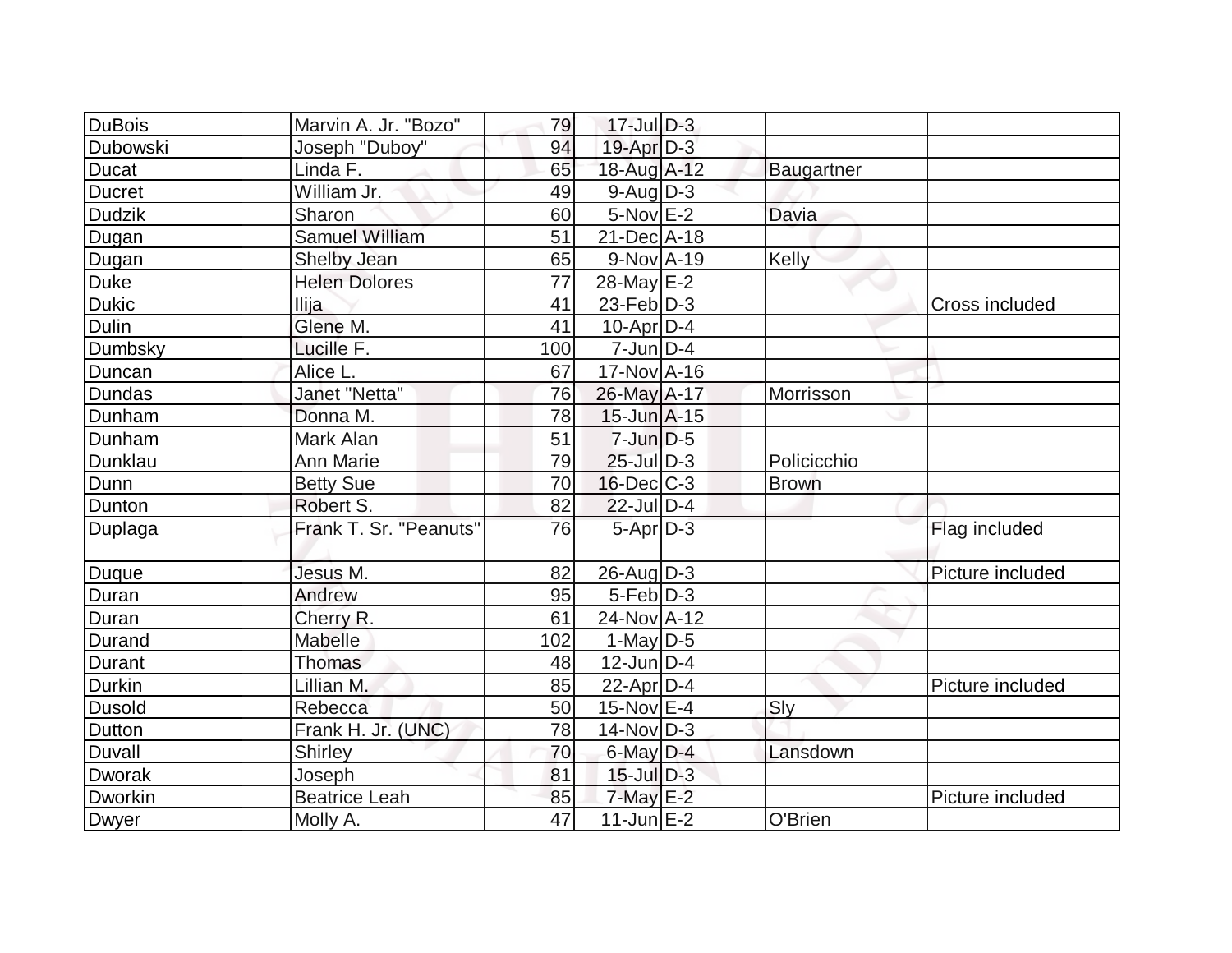| DuBois          | Marvin A. Jr. "Bozo"   | 79  | $17$ -Jul $D-3$   |              |                  |
|-----------------|------------------------|-----|-------------------|--------------|------------------|
| <b>Dubowski</b> | Joseph "Duboy"         | 94  | 19-Apr D-3        |              |                  |
| Ducat           | Linda F.               | 65  | 18-Aug A-12       | Baugartner   |                  |
| <b>Ducret</b>   | William Jr.            | 49  | $9$ -Aug $D-3$    |              |                  |
| <b>Dudzik</b>   | Sharon                 | 60  | $5-Nov$ E-2       | Davia        |                  |
| Dugan           | <b>Samuel William</b>  | 51  | 21-Dec A-18       |              |                  |
| Dugan           | Shelby Jean            | 65  | $9-NovA-19$       | Kelly        |                  |
| <b>Duke</b>     | <b>Helen Dolores</b>   | 77  | $28$ -May $E-2$   |              |                  |
| <b>Dukic</b>    | <b>Ilija</b>           | 41  | $23$ -Feb $ D-3 $ |              | Cross included   |
| Dulin           | Glene M.               | 41  | $10$ -Apr $ D-4$  |              |                  |
| Dumbsky         | Lucille F.             | 100 | $7$ -Jun $D-4$    |              |                  |
| Duncan          | Alice L.               | 67  | $17-Nov$ A-16     |              |                  |
| <b>Dundas</b>   | Janet "Netta"          | 76  | 26-May A-17       | Morrisson    |                  |
| Dunham          | Donna M.               | 78  | $15$ -Jun $A-15$  |              |                  |
| Dunham          | Mark Alan              | 51  | $7$ -Jun $D-5$    |              |                  |
| Dunklau         | <b>Ann Marie</b>       | 79  | $25$ -Jul $D-3$   | Policicchio  |                  |
| Dunn            | <b>Betty Sue</b>       | 70  | $16$ -Dec $C$ -3  | <b>Brown</b> |                  |
| Dunton          | Robert S.              | 82  | 22-Jul D-4        |              |                  |
| Duplaga         | Frank T. Sr. "Peanuts" | 76  | $5-Apr$ $D-3$     |              | Flag included    |
| <b>Duque</b>    | Jesus M.               | 82  | $26$ -Aug $D-3$   |              | Picture included |
| Duran           | Andrew                 | 95  | $5-Feb D-3$       |              |                  |
| Duran           | Cherry R.              | 61  | 24-Nov A-12       |              |                  |
| Durand          | Mabelle                | 102 | 1-May $D-5$       |              |                  |
| <b>Durant</b>   | <b>Thomas</b>          | 48  | $12$ -Jun $ D-4$  |              |                  |
| Durkin          | Lillian M.             | 85  | 22-Apr D-4        |              | Picture included |
| <b>Dusold</b>   | Rebecca                | 50  | $15-NovE-4$       | Sly          |                  |
| Dutton          | Frank H. Jr. (UNC)     | 78  | $14$ -Nov $ D-3 $ |              |                  |
| <b>Duvall</b>   | Shirley                | 70  | $6$ -May $D-4$    | Lansdown     |                  |
| <b>Dworak</b>   | Joseph                 | 81  | $15$ -Jul $D-3$   |              |                  |
| <b>Dworkin</b>  | <b>Beatrice Leah</b>   | 85  | $7$ -May $E-2$    |              | Picture included |
| Dwyer           | Molly A.               | 47  | $11$ -Jun $E-2$   | O'Brien      |                  |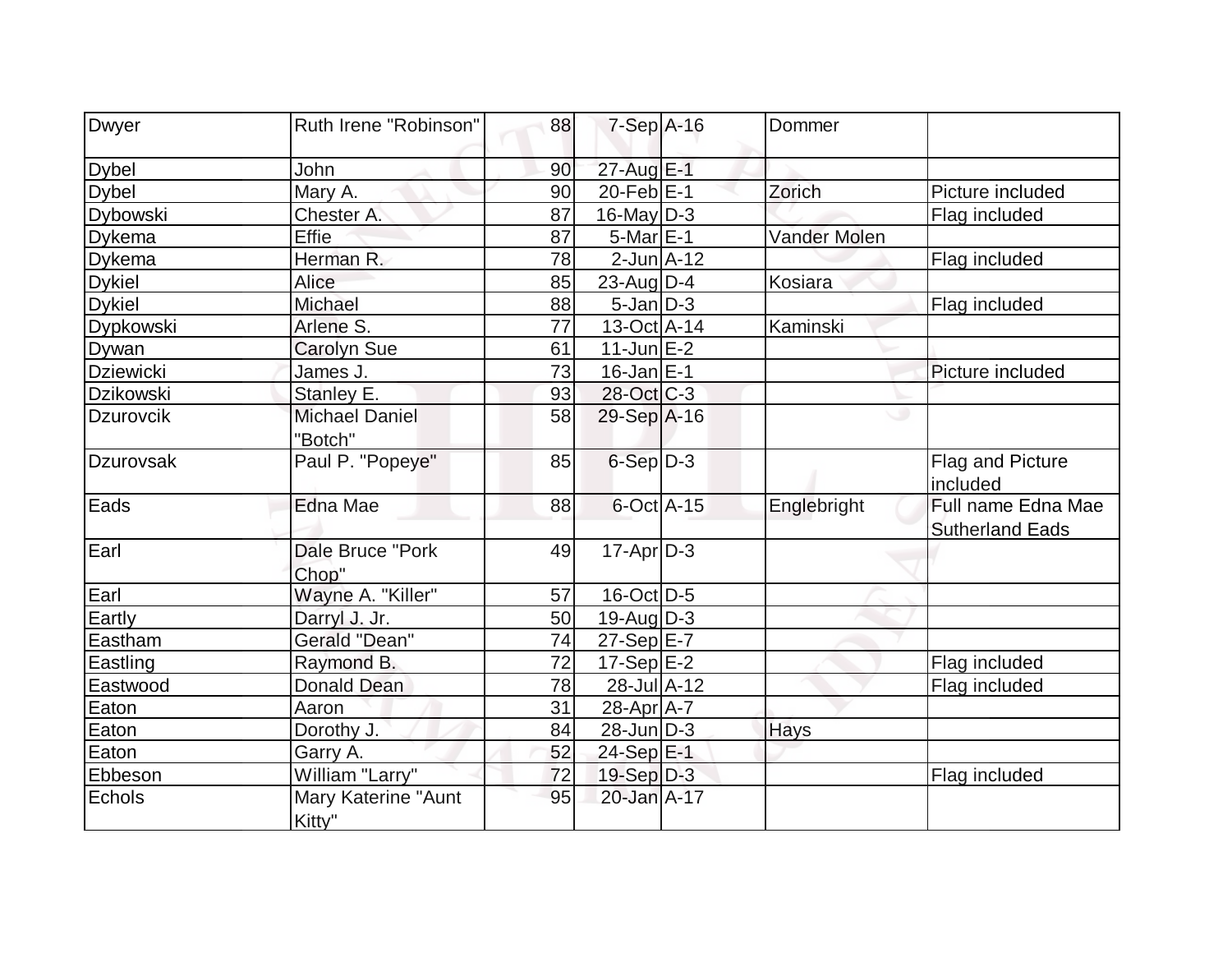| Dwyer            | Ruth Irene "Robinson"            | 88 | $7-Sep$ A-16            | Dommer              |                                              |
|------------------|----------------------------------|----|-------------------------|---------------------|----------------------------------------------|
| <b>Dybel</b>     | John                             | 90 | 27-Aug E-1              |                     |                                              |
| <b>Dybel</b>     | Mary A.                          | 90 | $20$ -Feb $E-1$         | Zorich              | Picture included                             |
| Dybowski         | Chester A.                       | 87 | $16$ -May D-3           |                     | Flag included                                |
| Dykema           | <b>Effie</b>                     | 87 | $5$ -Mar $E-1$          | <b>Vander Molen</b> |                                              |
| Dykema           | Herman R.                        | 78 | $2$ -Jun $A-12$         |                     | Flag included                                |
| <b>Dykiel</b>    | Alice                            | 85 | 23-Aug $D-4$            | Kosiara             |                                              |
| <b>Dykiel</b>    | Michael                          | 88 | $5$ -Jan $ D-3 $        |                     | Flag included                                |
| Dypkowski        | Arlene S.                        | 77 | 13-Oct A-14             | Kaminski            |                                              |
| Dywan            | <b>Carolyn Sue</b>               | 61 | $11$ -Jun $E-2$         |                     |                                              |
| <b>Dziewicki</b> | James J.                         | 73 | $16$ -Jan $E-1$         |                     | Picture included                             |
| Dzikowski        | Stanley E.                       | 93 | 28-Oct C-3              |                     |                                              |
| Dzurovcik        | <b>Michael Daniel</b><br>"Botch" | 58 | 29-Sep A-16             | ت                   |                                              |
| Dzurovsak        | Paul P. "Popeye"                 | 85 | $6-Sep$ $D-3$           |                     | Flag and Picture<br>included                 |
| Eads             | Edna Mae                         | 88 | $6$ -Oct A-15           | Englebright         | Full name Edna Mae<br><b>Sutherland Eads</b> |
| Earl             | Dale Bruce "Pork<br>Chop"        | 49 | $17$ -Apr $D-3$         |                     |                                              |
| Earl             | Wayne A. "Killer"                | 57 | $16$ -Oct $D$ -5        |                     |                                              |
| Eartly           | Darryl J. Jr.                    | 50 | $19$ -Aug $ D-3$        |                     |                                              |
| Eastham          | Gerald "Dean"                    | 74 | $27-Sep$ <sup>E-7</sup> |                     |                                              |
| Eastling         | Raymond B.                       | 72 | $17-Sep$ $E-2$          |                     | Flag included                                |
| Eastwood         | <b>Donald Dean</b>               | 78 | 28-Jul A-12             |                     | Flag included                                |
| Eaton            | Aaron                            | 31 | 28-Apr A-7              |                     |                                              |
| Eaton            | Dorothy J.                       | 84 | $28$ -Jun $ D-3 $       | Hays                |                                              |
| Eaton            | Garry A.                         | 52 | 24-Sep E-1              |                     |                                              |
| Ebbeson          | William "Larry"                  | 72 | 19-Sep D-3              |                     | Flag included                                |
| Echols           | Mary Katerine "Aunt<br>Kitty"    | 95 | $20$ -Jan $A-17$        |                     |                                              |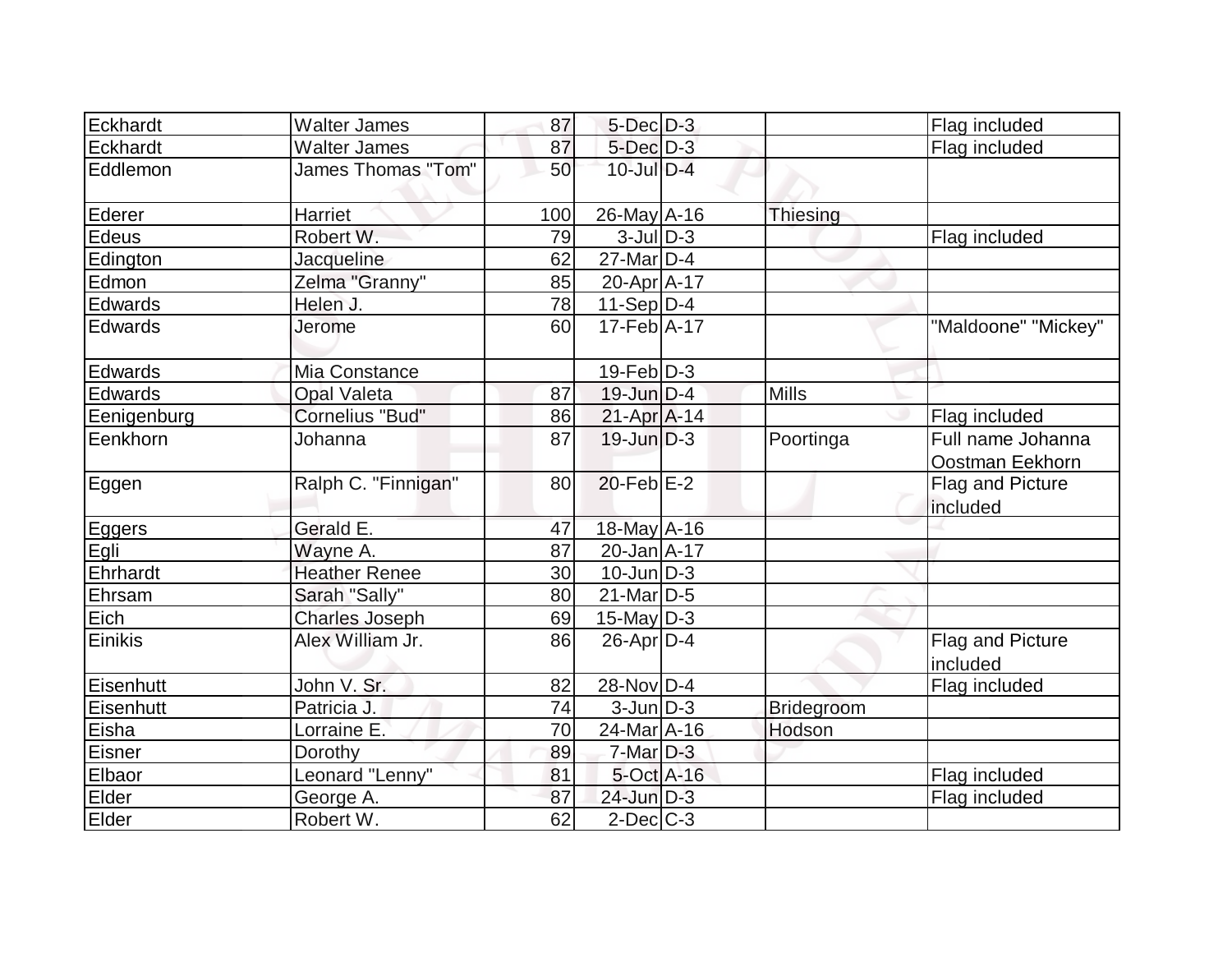| Eckhardt       | <b>Walter James</b>   | 87  | $5$ -Dec $D-3$    |              | Flag included                        |
|----------------|-----------------------|-----|-------------------|--------------|--------------------------------------|
| Eckhardt       | <b>Walter James</b>   | 87  | 5-Dec D-3         |              | Flag included                        |
| Eddlemon       | James Thomas "Tom"    | 50  | $10$ -Jul $D-4$   |              |                                      |
| Ederer         | Harriet               | 100 | $26$ -May $A$ -16 | Thiesing     |                                      |
| <b>Edeus</b>   | Robert W.             | 79  | $3$ -Jul $D-3$    |              | Flag included                        |
| Edington       | Jacqueline            | 62  | $27$ -Mar $D-4$   |              |                                      |
| Edmon          | Zelma "Granny"        | 85  | $20$ -Apr $A$ -17 |              |                                      |
| Edwards        | Helen J.              | 78  | $11-Sep D-4$      |              |                                      |
| <b>Edwards</b> | Jerome                | 60  | 17-Feb A-17       |              | "Maldoone" "Mickey"                  |
| Edwards        | Mia Constance         |     | $19$ -Feb $ D-3 $ |              |                                      |
| Edwards        | <b>Opal Valeta</b>    | 87  | $19$ -Jun $D-4$   | <b>Mills</b> |                                      |
| Eenigenburg    | Cornelius "Bud"       | 86  | $21-Apr$ A-14     |              | Flag included                        |
| Eenkhorn       | Johanna               | 87  | $19$ -Jun $D-3$   | Poortinga    | Full name Johanna<br>Oostman Eekhorn |
| Eggen          | Ralph C. "Finnigan"   | 80  | $20$ -Feb $E-2$   |              | Flag and Picture<br>included         |
| Eggers         | Gerald E.             | 47  | 18-May A-16       |              |                                      |
| Egli           | Wayne A.              | 87  | $20$ -Jan $A$ -17 |              |                                      |
| Ehrhardt       | <b>Heather Renee</b>  | 30  | $10$ -Jun $D-3$   |              |                                      |
| Ehrsam         | Sarah "Sally"         | 80  | $21$ -Mar $ D-5$  |              |                                      |
| Eich           | <b>Charles Joseph</b> | 69  | $15$ -May D-3     |              |                                      |
| Einikis        | Alex William Jr.      | 86  | $26$ -Apr $D-4$   |              | Flag and Picture<br>included         |
| Eisenhutt      | John V. Sr.           | 82  | $28-Nov D-4$      |              | Flag included                        |
| Eisenhutt      | Patricia J.           | 74  | $3$ -Jun $D-3$    | Bridegroom   |                                      |
| Eisha          | Lorraine E.           | 70  | 24-Mar A-16       | Hodson       |                                      |
| Eisner         | Dorothy               | 89  | $7-Mar$ D-3       |              |                                      |
| Elbaor         | Leonard "Lenny"       | 81  | $5$ -Oct $A$ -16  |              | Flag included                        |
| Elder          | George A.             | 87  | $24$ -Jun $D-3$   |              | Flag included                        |
| Elder          | Robert W.             | 62  | $2$ -Dec $C$ -3   |              |                                      |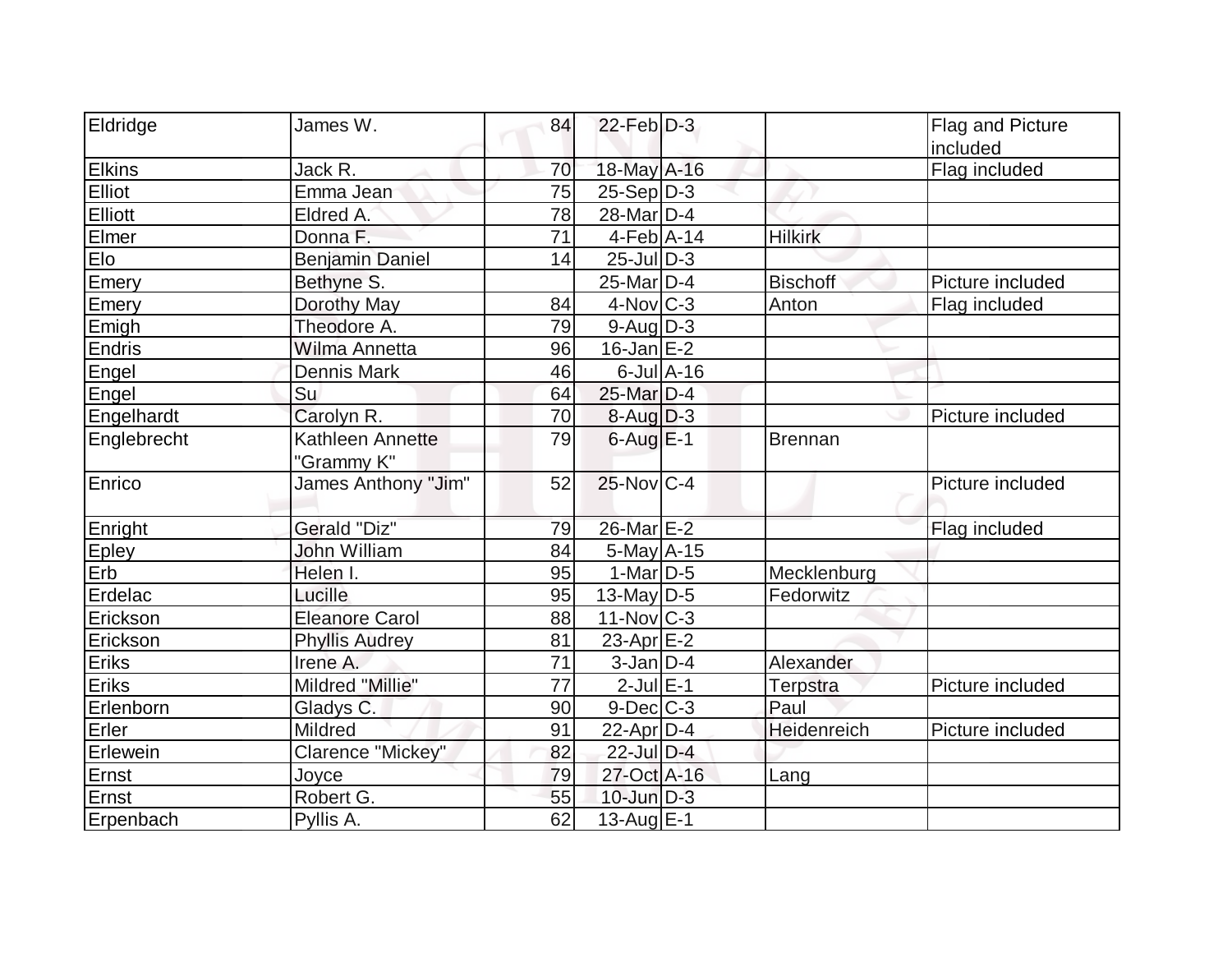| Eldridge      | James W.              | 84 | $22$ -Feb $D-3$             |                  |                 | Flag and Picture |
|---------------|-----------------------|----|-----------------------------|------------------|-----------------|------------------|
|               |                       |    |                             |                  |                 | included         |
| <b>Elkins</b> | Jack R.               | 70 | 18-May A-16                 |                  |                 | Flag included    |
| <b>Elliot</b> | Emma Jean             | 75 | $25-Sep D-3$                |                  |                 |                  |
| Elliott       | Eldred A.             | 78 | $28$ -Mar $ D-4 $           |                  |                 |                  |
| Elmer         | Donna F.              | 71 | $4$ -Feb $ A-14$            |                  | <b>Hilkirk</b>  |                  |
| Elo           | Benjamin Daniel       | 14 | $25$ -Jul $\overline{D}$ -3 |                  |                 |                  |
| Emery         | Bethyne S.            |    | $25$ -Mar $ D-4 $           |                  | <b>Bischoff</b> | Picture included |
| Emery         | Dorothy May           | 84 | $4$ -Nov $C-3$              |                  | Anton           | Flag included    |
| Emigh         | Theodore A.           | 79 | $9$ -Aug $D-3$              |                  |                 |                  |
| Endris        | Wilma Annetta         | 96 | $16$ -Jan $E-2$             |                  |                 |                  |
| Engel         | <b>Dennis Mark</b>    | 46 |                             | $6$ -Jul $A$ -16 |                 |                  |
| Engel         | Su                    | 64 | 25-Mar D-4                  |                  |                 |                  |
| Engelhardt    | Carolyn R.            | 70 | $8-Aug D-3$                 |                  |                 | Picture included |
| Englebrecht   | Kathleen Annette      | 79 | $6$ -Aug $E-1$              |                  | Brennan         |                  |
|               | "Grammy K"            |    |                             |                  |                 |                  |
| Enrico        | James Anthony "Jim"   | 52 | 25-Nov C-4                  |                  |                 | Picture included |
|               |                       |    |                             |                  |                 |                  |
| Enright       | Gerald "Diz"          | 79 | 26-Mar E-2                  |                  |                 | Flag included    |
| Epley         | <b>John William</b>   | 84 | $5$ -May $A$ -15            |                  |                 |                  |
| Erb           | Helen I.              | 95 | $1-Mar$ D-5                 |                  | Mecklenburg     |                  |
| Erdelac       | Lucille               | 95 | $13$ -May D-5               |                  | Fedorwitz       |                  |
| Erickson      | <b>Eleanore Carol</b> | 88 | $11$ -Nov $ C-3 $           |                  |                 |                  |
| Erickson      | <b>Phyllis Audrey</b> | 81 | 23-Apr $E-2$                |                  |                 |                  |
| Eriks         | Irene A.              | 71 | $3$ -Jan $D-4$              |                  | Alexander       |                  |
| Eriks         | Mildred "Millie"      | 77 | $2$ -Jul $E-1$              |                  | <b>Terpstra</b> | Picture included |
| Erlenborn     | Gladys C.             | 90 | $9$ -Dec $C$ -3             |                  | Paul            |                  |
| Erler         | Mildred               | 91 | 22-Apr D-4                  |                  | Heidenreich     | Picture included |
| Erlewein      | Clarence "Mickey"     | 82 | 22-Jul D-4                  |                  |                 |                  |
| Ernst         | Joyce                 | 79 | 27-Oct A-16                 |                  | Lang            |                  |
| Ernst         | Robert G.             | 55 | $10$ -Jun $D-3$             |                  |                 |                  |
| Erpenbach     | Pyllis A.             | 62 | 13-Aug $E-1$                |                  |                 |                  |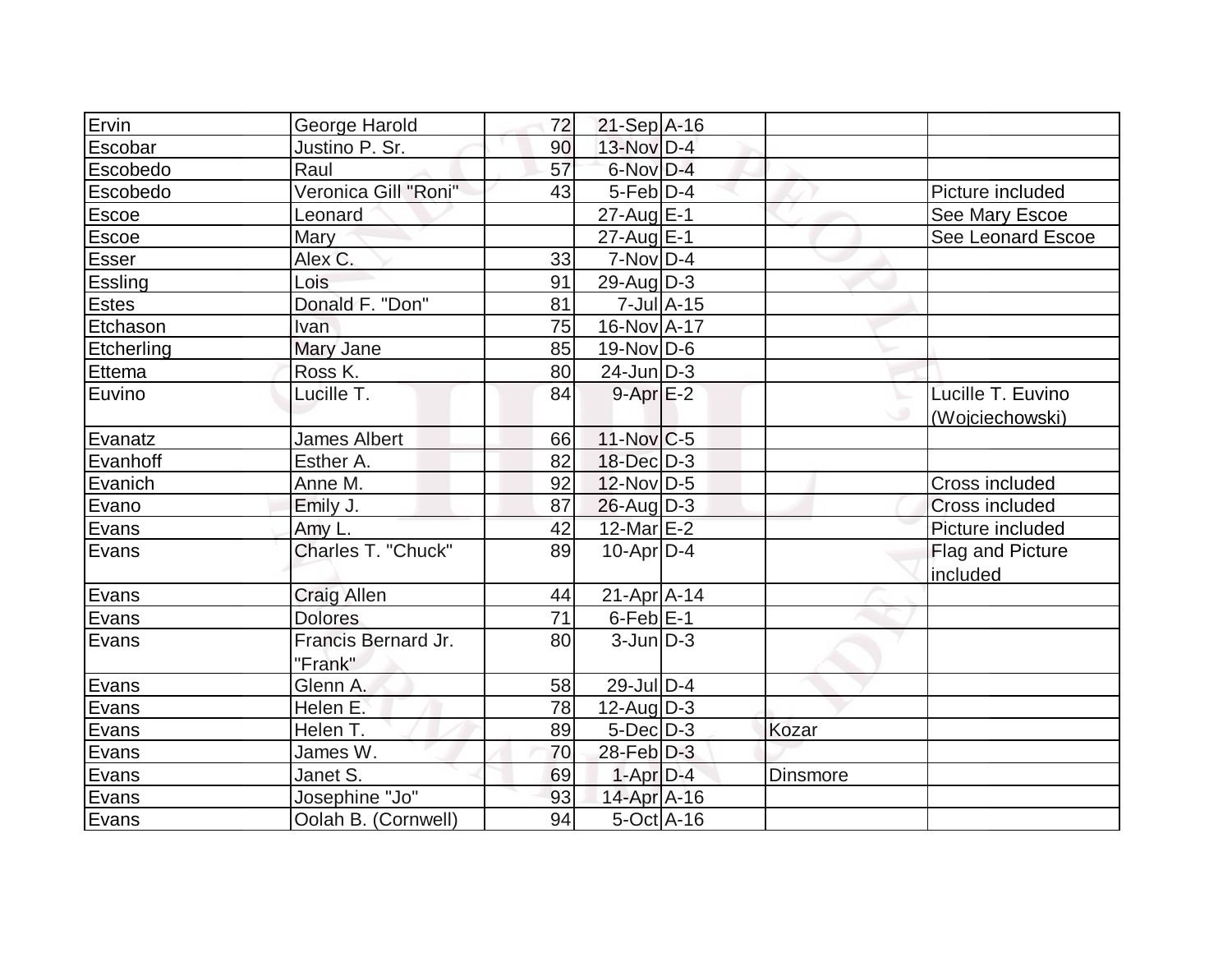| Ervin        | George Harold             | 72              | $21-Sep$ A-16     |                 |                   |
|--------------|---------------------------|-----------------|-------------------|-----------------|-------------------|
| Escobar      | Justino P. Sr.            | 90              | 13-Nov D-4        |                 |                   |
| Escobedo     | Raul                      | $\overline{57}$ | 6-Nov D-4         |                 |                   |
| Escobedo     | Veronica Gill "Roni"      | 43              | $5-Feb D-4$       |                 | Picture included  |
| Escoe        | Leonard                   |                 | $27$ -Aug E-1     |                 | See Mary Escoe    |
| Escoe        | <b>Mary</b>               |                 | $27$ -Aug $E-1$   |                 | See Leonard Escoe |
| Esser        | Alex C.                   | 33              | $7-Nov D-4$       |                 |                   |
| Essling      | Lois                      | 91              | 29-Aug $D-3$      |                 |                   |
| <b>Estes</b> | Donald F. "Don"           | 81              | $7$ -Jul $A$ -15  |                 |                   |
| Etchason     | <b>Ivan</b>               | 75              | 16-Nov A-17       |                 |                   |
| Etcherling   | Mary Jane                 | 85              | 19-Nov D-6        |                 |                   |
| Ettema       | Ross K.                   | 80              | $24$ -Jun $D-3$   |                 |                   |
| Euvino       | Lucille <sub>T.</sub>     | 84              | $9 - Apr$ $E-2$   |                 | Lucille T. Euvino |
|              |                           |                 |                   |                 | (Wojciechowski)   |
| Evanatz      | <b>James Albert</b>       | 66              | $11$ -Nov $ C-5 $ |                 |                   |
| Evanhoff     | Esther A.                 | 82              | $18$ -Dec $D-3$   |                 |                   |
| Evanich      | Anne M.                   | 92              | $12$ -Nov $ D-5 $ |                 | Cross included    |
| Evano        | Emily J.                  | 87              | $26$ -Aug $D-3$   |                 | Cross included    |
| Evans        | Amy L.                    | 42              | 12-Mar $E-2$      |                 | Picture included  |
| Evans        | <b>Charles T. "Chuck"</b> | 89              | $10$ -Apr $D-4$   |                 | Flag and Picture  |
|              |                           |                 |                   |                 | included          |
| Evans        | <b>Craig Allen</b>        | 44              | 21-Apr A-14       |                 |                   |
| Evans        | <b>Dolores</b>            | 71              | $6$ -Feb $E-1$    |                 |                   |
| Evans        | Francis Bernard Jr.       | 80              | $3$ -Jun $D-3$    |                 |                   |
|              | "Frank"                   |                 |                   |                 |                   |
| Evans        | Glenn A.                  | 58              | 29-Jul D-4        |                 |                   |
| Evans        | Helen E.                  | 78              | $12$ -AugD-3      |                 |                   |
| Evans        | Helen T.                  | 89              | $5$ -Dec $D-3$    | Kozar           |                   |
| Evans        | James W.                  | 70              | $28$ -Feb $D-3$   |                 |                   |
| Evans        | Janet S.                  | 69              | $1$ -Apr $D-4$    | <b>Dinsmore</b> |                   |
| Evans        | Josephine "Jo"            | 93              | 14-Apr A-16       |                 |                   |
| Evans        | Oolah B. (Cornwell)       | 94              | $5-Oct$ A-16      |                 |                   |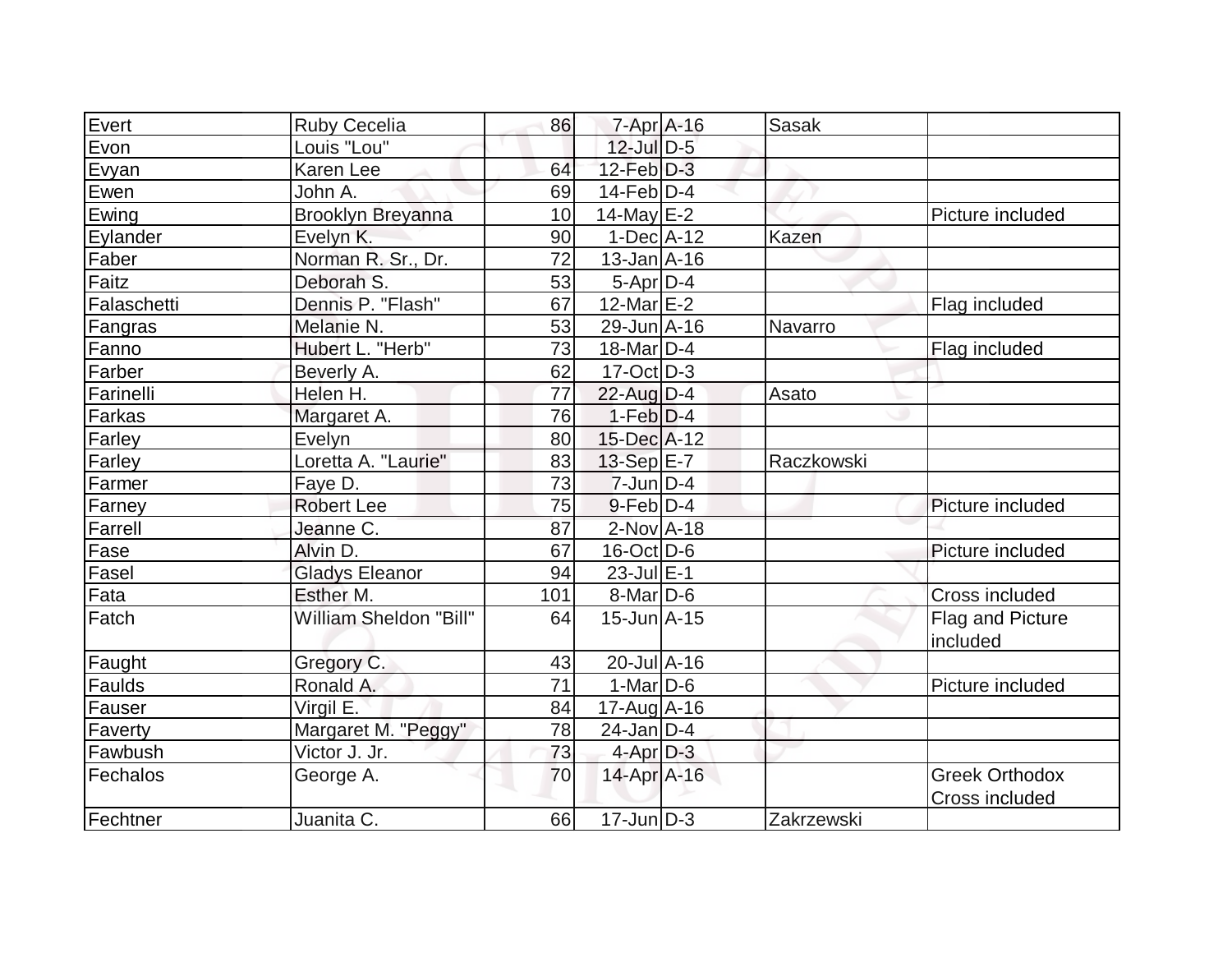| Evert       | <b>Ruby Cecelia</b>           | 86  | 7-Apr A-16        | <b>Sasak</b> |                       |
|-------------|-------------------------------|-----|-------------------|--------------|-----------------------|
| Evon        | Louis "Lou"                   |     | $12$ -Jul $D-5$   |              |                       |
| Evyan       | Karen Lee                     | 64  | $12$ -Feb $D-3$   |              |                       |
| Ewen        | John A.                       | 69  | $14$ -Feb $D-4$   |              |                       |
| Ewing       | Brooklyn Breyanna             | 10  | 14-May $E-2$      |              | Picture included      |
| Eylander    | Evelyn K.                     | 90  | $1-Dec A-12$      | Kazen        |                       |
| Faber       | Norman R. Sr., Dr.            | 72  | $13$ -Jan $ A-16$ |              |                       |
| Faitz       | Deborah S.                    | 53  | $5-Apr D-4$       |              |                       |
| Falaschetti | Dennis P. "Flash"             | 67  | 12-Mar $E-2$      |              | Flag included         |
| Fangras     | Melanie N.                    | 53  | 29-Jun A-16       | Navarro      |                       |
| Fanno       | Hubert L. "Herb"              | 73  | $18$ -Mar $ D-4 $ |              | Flag included         |
| Farber      | Beverly A.                    | 62  | $17-Oct$ D-3      |              |                       |
| Farinelli   | Helen H.                      | 77  | $22$ -Aug $D-4$   | Asato        |                       |
| Farkas      | Margaret A.                   | 76  | $1-Feb D-4$       |              |                       |
| Farley      | Evelyn                        | 80  | 15-Dec A-12       |              |                       |
| Farley      | Loretta A. "Laurie"           | 83  | 13-Sep E-7        | Raczkowski   |                       |
| Farmer      | Faye D.                       | 73  | $7$ -Jun $D-4$    |              |                       |
| Farney      | <b>Robert Lee</b>             | 75  | $9$ -Feb $D-4$    |              | Picture included      |
| Farrell     | Jeanne C.                     | 87  | $2$ -Nov $A$ -18  |              |                       |
| Fase        | Alvin D.                      | 67  | $16$ -Oct $ D-6 $ |              | Picture included      |
| Fasel       | <b>Gladys Eleanor</b>         | 94  | $23$ -Jul $E-1$   |              |                       |
| Fata        | Esther M.                     | 101 | $8$ -Mar $D$ -6   |              | Cross included        |
| Fatch       | <b>William Sheldon "Bill"</b> | 64  | $15$ -Jun $A-15$  |              | Flag and Picture      |
|             |                               |     |                   |              | included              |
| Faught      | Gregory C.                    | 43  | $20$ -Jul $A-16$  |              |                       |
| Faulds      | Ronald A.                     | 71  | $1-Mar$ D-6       |              | Picture included      |
| Fauser      | Virgil E.                     | 84  | 17-Aug A-16       |              |                       |
| Faverty     | Margaret M. "Peggy"           | 78  | $24$ -Jan D-4     |              |                       |
| Fawbush     | Victor J. Jr.                 | 73  | $4$ -Apr $D-3$    |              |                       |
| Fechalos    | George A.                     | 70  | 14-Apr A-16       |              | <b>Greek Orthodox</b> |
|             |                               |     |                   |              | Cross included        |
| Fechtner    | Juanita C.                    | 66  | $17$ -Jun $D-3$   | Zakrzewski   |                       |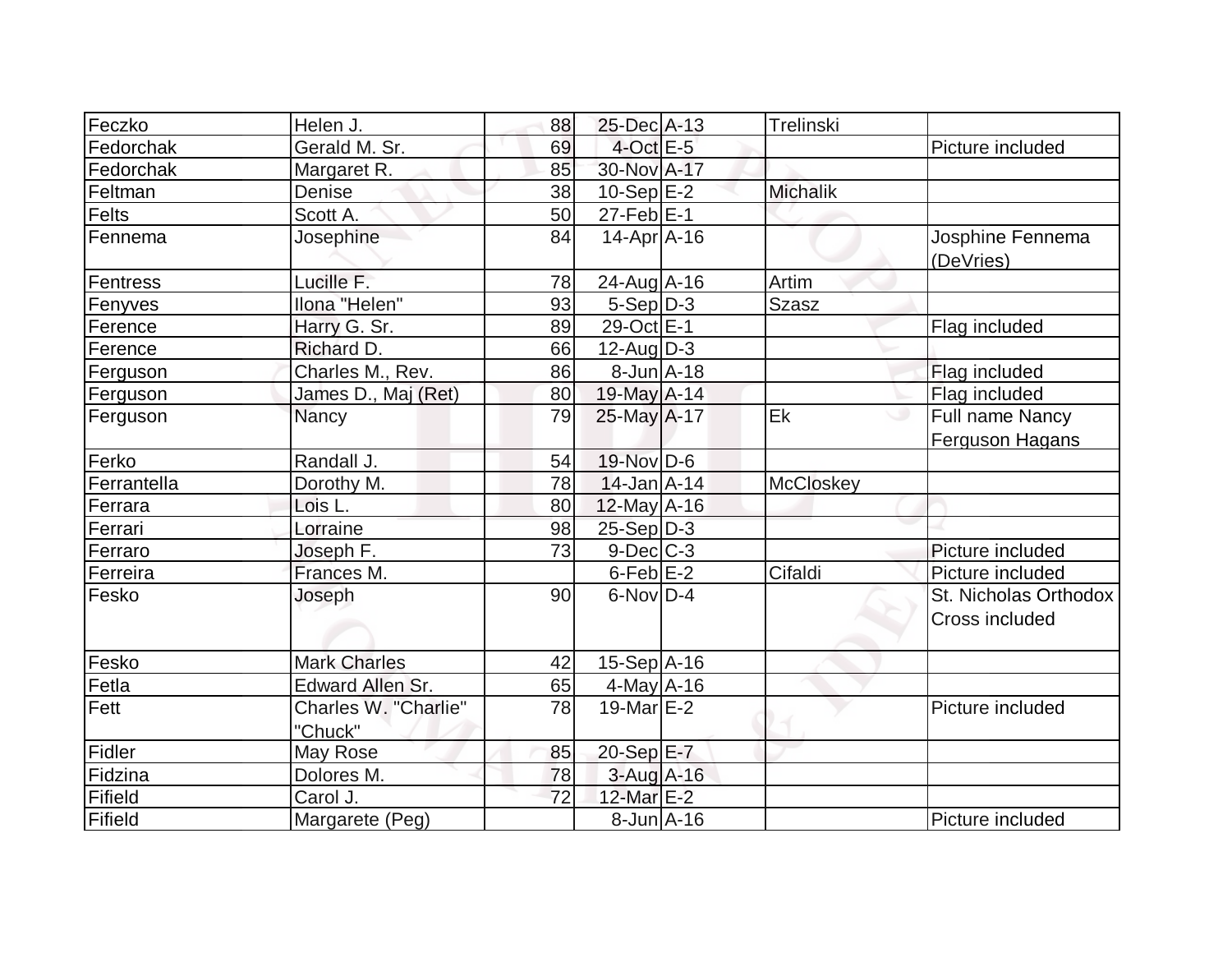| Feczko      | Helen J.                        | 88 | 25-Dec A-13       | <b>Trelinski</b> |                                         |
|-------------|---------------------------------|----|-------------------|------------------|-----------------------------------------|
| Fedorchak   | Gerald M. Sr.                   | 69 | $4$ -Oct E-5      |                  | Picture included                        |
| Fedorchak   | Margaret R.                     | 85 | 30-Nov A-17       |                  |                                         |
| Feltman     | Denise                          | 38 | $10-Sep$ $E-2$    | <b>Michalik</b>  |                                         |
| Felts       | Scott A.                        | 50 | $27$ -Feb $E-1$   |                  |                                         |
| Fennema     | Josephine                       | 84 | $14$ -Apr $ A-16$ |                  | Josphine Fennema<br>(DeVries)           |
| Fentress    | Lucille F.                      | 78 | $24$ -Aug $A$ -16 | Artim            |                                         |
| Fenyves     | llona "Helen"                   | 93 | $5-Sep D-3$       | <b>Szasz</b>     |                                         |
| Ference     | Harry G. Sr.                    | 89 | 29-Oct E-1        |                  | Flag included                           |
| Ference     | Richard D.                      | 66 | $12$ -Aug $ D-3 $ |                  |                                         |
| Ferguson    | Charles M., Rev.                | 86 | $8$ -Jun $A$ -18  |                  | Flag included                           |
| Ferguson    | James D., Maj (Ret)             | 80 | 19-May A-14       |                  | Flag included                           |
| Ferguson    | Nancy                           | 79 | $25$ -May $A$ -17 | Ek               | Full name Nancy                         |
|             |                                 |    |                   |                  | Ferguson Hagans                         |
| Ferko       | Randall J.                      | 54 | 19-Nov D-6        |                  |                                         |
| Ferrantella | Dorothy M.                      | 78 | $14$ -Jan $A$ -14 | <b>McCloskey</b> |                                         |
| Ferrara     | Lois L.                         | 80 | $12$ -May $A-16$  |                  |                                         |
| Ferrari     | Lorraine                        | 98 | $25 - Sep$ $D-3$  |                  |                                         |
| Ferraro     | Joseph F.                       | 73 | $9$ -Dec $C$ -3   |                  | Picture included                        |
| Ferreira    | Frances M.                      |    | $6$ -Feb $E-2$    | Cifaldi          | Picture included                        |
| Fesko       | Joseph                          | 90 | $6$ -Nov $D-4$    |                  | St. Nicholas Orthodox<br>Cross included |
| Fesko       | <b>Mark Charles</b>             | 42 | $15-Sep$ A-16     |                  |                                         |
| Fetla       | <b>Edward Allen Sr.</b>         | 65 | 4-May A-16        |                  |                                         |
| Fett        | Charles W. "Charlie"<br>"Chuck" | 78 | 19-Mar $E-2$      |                  | Picture included                        |
| Fidler      | May Rose                        | 85 | 20-Sep E-7        |                  |                                         |
| Fidzina     | Dolores M.                      | 78 | 3-Aug A-16        |                  |                                         |
| Fifield     | Carol J.                        | 72 | 12-Mar E-2        |                  |                                         |
| Fifield     | Margarete (Peg)                 |    | $8$ -Jun $A$ -16  |                  | Picture included                        |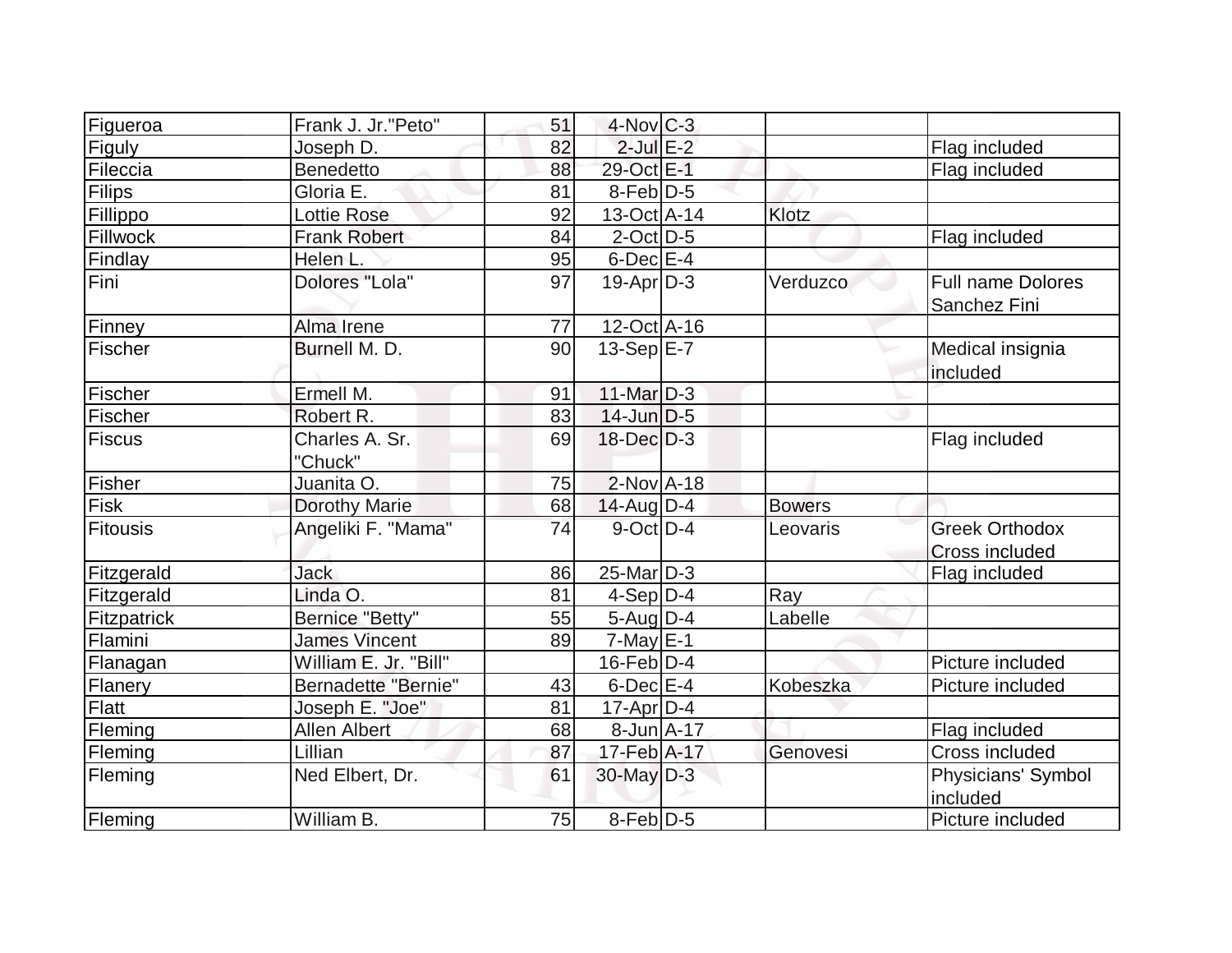| Figueroa        | Frank J. Jr."Peto"         | 51 | $4$ -Nov $ C-3 $  |               |                          |
|-----------------|----------------------------|----|-------------------|---------------|--------------------------|
| <b>Figuly</b>   | Joseph D.                  | 82 | $2$ -Jul $E-2$    |               | Flag included            |
| Fileccia        | Benedetto                  | 88 | 29-Oct E-1        |               | Flag included            |
| <b>Filips</b>   | Gloria E.                  | 81 | $8$ -Feb $D-5$    |               |                          |
| Fillippo        | <b>Lottie Rose</b>         | 92 | 13-Oct A-14       | Klotz         |                          |
| Fillwock        | <b>Frank Robert</b>        | 84 | $2$ -Oct $D-5$    |               | Flag included            |
| Findlay         | Helen L.                   | 95 | $6$ -Dec $E-4$    |               |                          |
| Fini            | Dolores "Lola"             | 97 | $19$ -Apr $D-3$   | Verduzco      | <b>Full name Dolores</b> |
|                 |                            |    |                   |               | Sanchez Fini             |
| Finney          | Alma Irene                 | 77 | 12-Oct A-16       |               |                          |
| Fischer         | Burnell M. D.              | 90 | $13-Sep$ $E-7$    |               | Medical insignia         |
|                 |                            |    |                   |               | included                 |
| Fischer         | Ermell M.                  | 91 | $11$ -Mar $D-3$   |               |                          |
| Fischer         | Robert R.                  | 83 | $14$ -Jun $D-5$   |               |                          |
| Fiscus          | Charles A. Sr.             | 69 | $18$ -Dec $D-3$   |               | Flag included            |
|                 | "Chuck"                    |    |                   |               |                          |
| Fisher          | Juanita O.                 | 75 | $2$ -Nov $A$ -18  |               |                          |
| Fisk            | <b>Dorothy Marie</b>       | 68 | $14$ -Aug $ D-4 $ | <b>Bowers</b> |                          |
| <b>Fitousis</b> | Angeliki F. "Mama"         | 74 | $9$ -Oct $D-4$    | Leovaris      | <b>Greek Orthodox</b>    |
|                 |                            |    |                   |               | <b>Cross included</b>    |
| Fitzgerald      | <b>Jack</b>                | 86 | $25$ -Mar $ D-3 $ |               | Flag included            |
| Fitzgerald      | Linda O.                   | 81 | $4-Sep D-4$       | Ray           |                          |
| Fitzpatrick     | Bernice "Betty"            | 55 | $5$ -Aug D-4      | Labelle       |                          |
| Flamini         | <b>James Vincent</b>       | 89 | $7$ -May $ E-1 $  |               |                          |
| Flanagan        | William E. Jr. "Bill"      |    | $16$ -Feb $D-4$   |               | Picture included         |
| Flanery         | <b>Bernadette "Bernie"</b> | 43 | $6$ -Dec $E-4$    | Kobeszka      | Picture included         |
| Flatt           | Joseph E. "Joe"            | 81 | $17$ -Apr $ D-4 $ |               |                          |
| Fleming         | <b>Allen Albert</b>        | 68 | $8$ -Jun $A$ -17  |               | Flag included            |
| Fleming         | Lillian                    | 87 | 17-Feb A-17       | Genovesi      | Cross included           |
| Fleming         | Ned Elbert, Dr.            | 61 | $30$ -May $D-3$   |               | Physicians' Symbol       |
|                 |                            |    |                   |               | included                 |
| Fleming         | William B.                 | 75 | $8$ -Feb $D-5$    |               | Picture included         |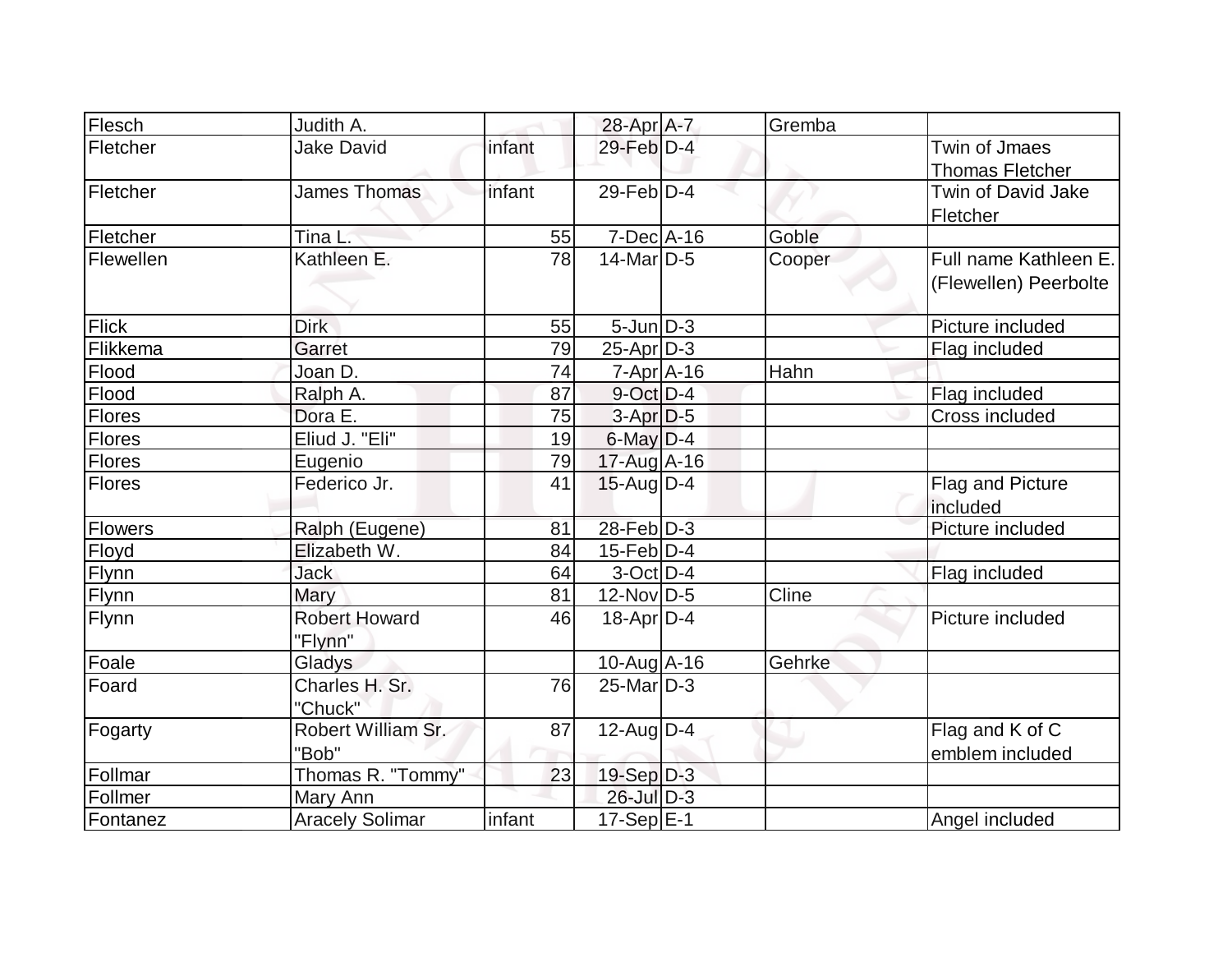| Flesch         | Judith A.                       |        | 28-Apr A-7         | Gremba |                                                |
|----------------|---------------------------------|--------|--------------------|--------|------------------------------------------------|
| Fletcher       | <b>Jake David</b>               | infant | $29$ -Feb $D-4$    |        | Twin of Jmaes                                  |
|                |                                 |        |                    |        | <b>Thomas Fletcher</b>                         |
| Fletcher       | <b>James Thomas</b>             | infant | 29-Feb $D-4$       |        | Twin of David Jake<br>Fletcher                 |
| Fletcher       | Tina L.                         | 55     | $7-Dec$ A-16       | Goble  |                                                |
| Flewellen      | Kathleen E.                     | 78     | $14$ -Mar $D-5$    | Cooper | Full name Kathleen E.<br>(Flewellen) Peerbolte |
| Flick          | <b>Dirk</b>                     | 55     | $5$ -Jun $D-3$     |        | Picture included                               |
| Flikkema       | Garret                          | 79     | $25$ -Apr $D-3$    |        | Flag included                                  |
| Flood          | Joan D.                         | 74     | $7 - Apr$ $A - 16$ | Hahn   |                                                |
| Flood          | Ralph A.                        | 87     | $9$ -Oct $D-4$     |        | Flag included                                  |
| Flores         | Dora E.                         | 75     | $3-Apr$ $D-5$      |        | Cross included                                 |
| Flores         | Eliud J. "Eli"                  | 19     | $6$ -May $D-4$     |        |                                                |
| <b>Flores</b>  | Eugenio                         | 79     | 17-Aug A-16        |        |                                                |
| <b>Flores</b>  | Federico Jr.                    | 41     | $15$ -Aug D-4      |        | Flag and Picture<br>included                   |
| <b>Flowers</b> | Ralph (Eugene)                  | 81     | $28$ -Feb $ D-3 $  |        | Picture included                               |
| Floyd          | Elizabeth W.                    | 84     | $15$ -Feb $ D-4 $  |        |                                                |
| Flynn          | <b>Jack</b>                     | 64     | $3-Oct$ D-4        |        | Flag included                                  |
| Flynn          | Mary                            | 81     | $12$ -Nov D-5      | Cline  |                                                |
| Flynn          | <b>Robert Howard</b><br>"Flynn" | 46     | $18$ -Apr $D-4$    |        | Picture included                               |
| Foale          | Gladys                          |        | 10-Aug A-16        | Gehrke |                                                |
| Foard          | Charles H. Sr.<br>"Chuck"       | 76     | $25$ -Mar $ D-3 $  |        |                                                |
| Fogarty        | Robert William Sr.<br>"Bob"     | 87     | $12$ -Aug $ D-4 $  |        | Flag and K of C<br>emblem included             |
| Follmar        | Thomas R. "Tommy"               | 23     | $19-Sep D-3$       |        |                                                |
| Follmer        | Mary Ann                        |        | $26$ -Jul $D-3$    |        |                                                |
| Fontanez       | <b>Aracely Solimar</b>          | infant | 17-Sep E-1         |        | Angel included                                 |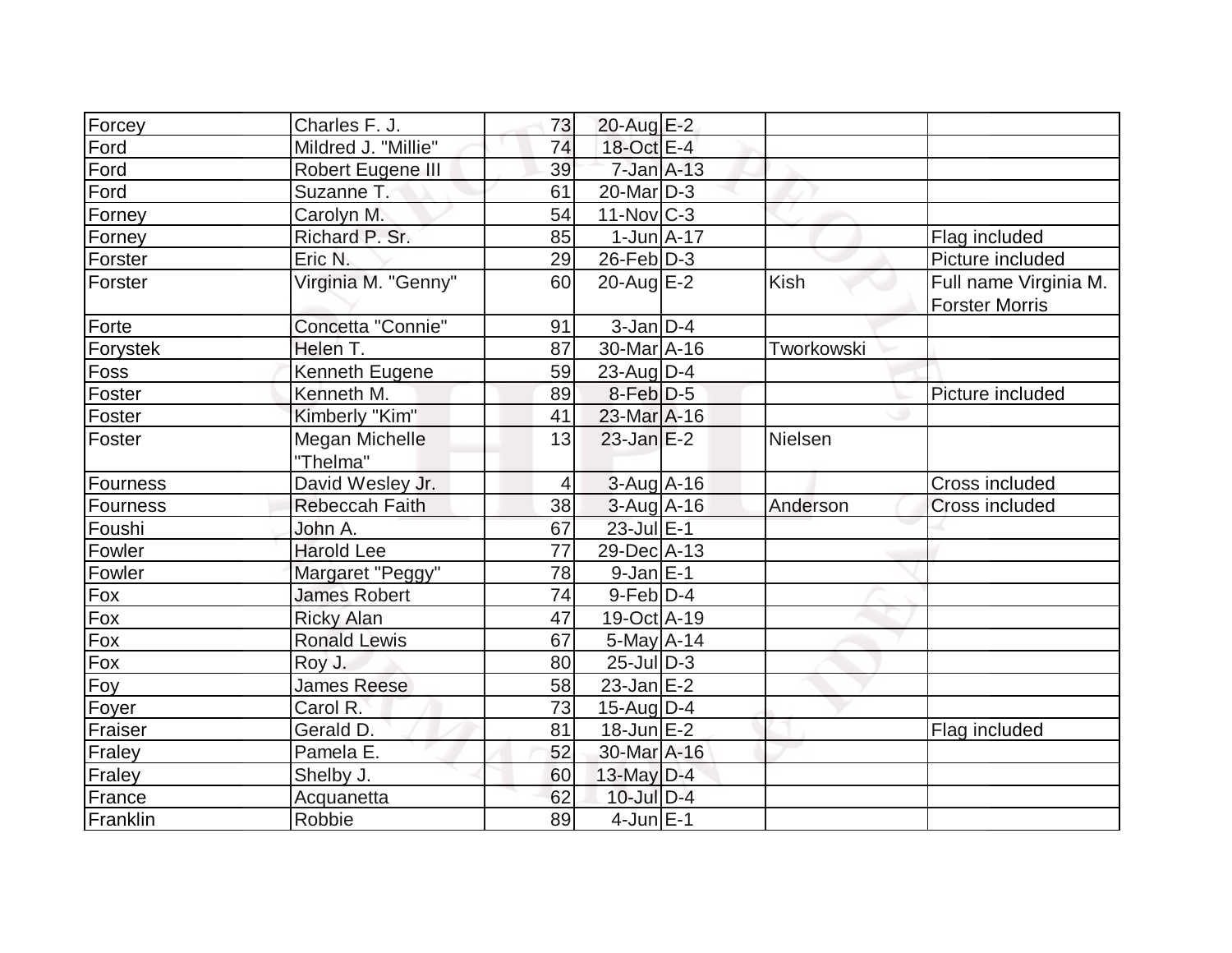| Forcey   | Charles F. J.         | 73 | 20-Aug E-2                   |             |                       |
|----------|-----------------------|----|------------------------------|-------------|-----------------------|
| Ford     | Mildred J. "Millie"   | 74 | 18-Oct E-4                   |             |                       |
| Ford     | Robert Eugene III     | 39 | $7$ -Jan $A-13$              |             |                       |
| Ford     | Suzanne T.            | 61 | $20$ -Mar $D-3$              |             |                       |
| Forney   | Carolyn M.            | 54 | $11$ -Nov $ C-3 $            |             |                       |
| Forney   | Richard P. Sr.        | 85 | $1$ -Jun $A$ -17             |             | Flag included         |
| Forster  | Eric N.               | 29 | $26$ -Feb $D-3$              |             | Picture included      |
| Forster  | Virginia M. "Genny"   | 60 | 20-Aug $E-2$                 | <b>Kish</b> | Full name Virginia M. |
|          |                       |    |                              |             | <b>Forster Morris</b> |
| Forte    | Concetta "Connie"     | 91 | $3$ -Jan $D-4$               |             |                       |
| Forystek | Helen T.              | 87 | 30-Mar A-16                  | Tworkowski  |                       |
| Foss     | Kenneth Eugene        | 59 | $23$ -AugD-4                 |             |                       |
| Foster   | Kenneth M.            | 89 | $8-Feb$ D-5                  |             | Picture included      |
| Foster   | Kimberly "Kim"        | 41 | $23$ -Mar $\overline{A}$ -16 |             |                       |
| Foster   | Megan Michelle        | 13 | $23$ -Jan $E-2$              | Nielsen     |                       |
|          | "Thelma"              |    |                              |             |                       |
| Fourness | David Wesley Jr.      | 4  | $3$ -Aug A-16                |             | Cross included        |
| Fourness | <b>Rebeccah Faith</b> | 38 | $3-Aug$ A-16                 | Anderson    | Cross included        |
| Foushi   | John A.               | 67 | 23-Jul E-1                   |             |                       |
| Fowler   | <b>Harold Lee</b>     | 77 | 29-Dec A-13                  |             |                       |
| Fowler   | Margaret "Peggy"      | 78 | $9$ -Jan $ E-1 $             |             |                       |
| Fox      | <b>James Robert</b>   | 74 | $9$ -Feb $D-4$               |             |                       |
| Fox      | <b>Ricky Alan</b>     | 47 | 19-Oct A-19                  |             |                       |
| Fox      | <b>Ronald Lewis</b>   | 67 | $5$ -May $A$ -14             |             |                       |
| Fox      | Roy J.                | 80 | $25$ -JulD-3                 |             |                       |
| Foy      | <b>James Reese</b>    | 58 | $23$ -Jan $E-2$              |             |                       |
| Foyer    | Carol R.              | 73 | $15$ -Aug $D-4$              |             |                       |
| Fraiser  | Gerald D.             | 81 | $18$ -Jun $E-2$              |             | Flag included         |
| Fraley   | Pamela E.             | 52 | 30-Mar A-16                  |             |                       |
| Fraley   | Shelby J.             | 60 | $13$ -May $D-4$              |             |                       |
| France   | Acquanetta            | 62 | 10-Jul D-4                   |             |                       |
| Franklin | Robbie                | 89 | $4$ -Jun $E-1$               |             |                       |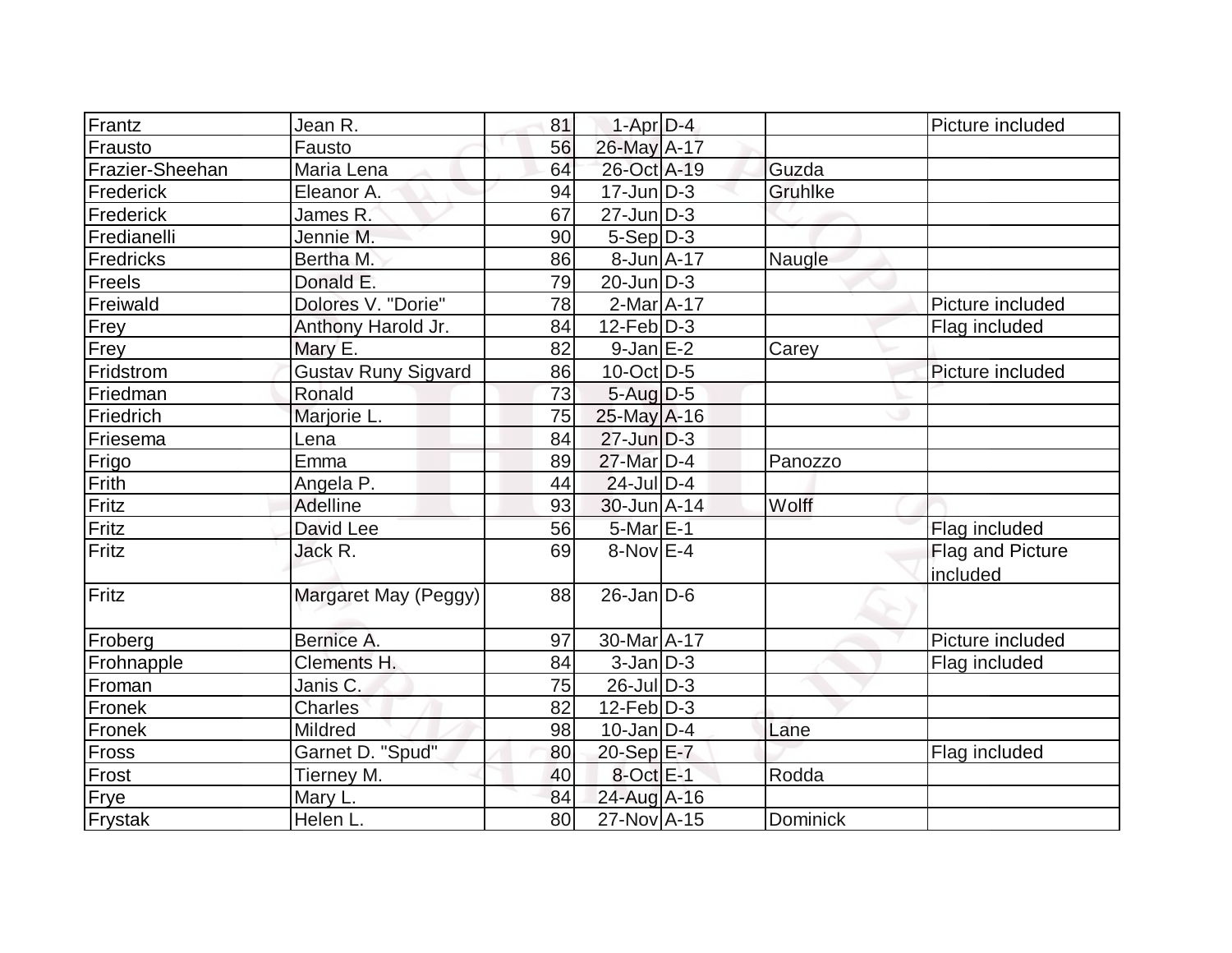| Frantz           | Jean R.                    | 81       | $1-Apr$ D-4      |                 | Picture included |
|------------------|----------------------------|----------|------------------|-----------------|------------------|
| Frausto          | Fausto                     | 56       | 26-May A-17      |                 |                  |
| Frazier-Sheehan  | Maria Lena                 | 64       | 26-Oct A-19      | Guzda           |                  |
| Frederick        | Eleanor A.                 | 94       | $17$ -Jun $D-3$  | Gruhlke         |                  |
| Frederick        | James R.                   | 67       | $27$ -Jun $D-3$  |                 |                  |
| Fredianelli      | Jennie M.                  | 90       | $5-Sep D-3$      |                 |                  |
| Fredricks        | Bertha M.                  | 86       | 8-Jun A-17       | Naugle          |                  |
| Freels           | Donald E.                  | 79       | $20$ -Jun $D-3$  |                 |                  |
| Freiwald         | Dolores V. "Dorie"         | 78       | $2-Mar1A-17$     |                 | Picture included |
| Frey             | Anthony Harold Jr.         | 84       | $12$ -Feb $D-3$  |                 | Flag included    |
| Frey             | Mary E.                    | 82       | $9$ -Jan $E-2$   | Carey           |                  |
| Fridstrom        | <b>Gustav Runy Sigvard</b> | 86       | $10$ -Oct $D-5$  |                 | Picture included |
| Friedman         | Ronald                     | 73       | $5$ -Aug $D-5$   |                 |                  |
| Friedrich        | Marjorie L.                | 75       | 25-May A-16      |                 |                  |
| Friesema         | Lena                       | 84       | $27$ -Jun $D-3$  |                 |                  |
| Frigo            | Emma                       | 89       | 27-Mar D-4       | Panozzo         |                  |
| Frith            | Angela P.                  | 44       | $24$ -Jul $D-4$  |                 |                  |
| Fritz            | Adelline                   | 93       | 30-Jun A-14      | Wolff           |                  |
| Fritz            | David Lee                  | 56       | $5$ -Mar $E-1$   |                 | Flag included    |
| Fritz            | Jack R.                    | 69       | $8-Nov$ E-4      |                 | Flag and Picture |
|                  |                            |          |                  |                 | included         |
| Fritz            | Margaret May (Peggy)       | 88       | $26$ -Jan $D-6$  |                 |                  |
| Froberg          | Bernice A.                 | 97       | 30-Mar A-17      |                 | Picture included |
| Frohnapple       | Clements H.                | 84       | $3$ -Jan $ D-3 $ |                 | Flag included    |
|                  |                            |          | $26$ -Jul $D-3$  |                 |                  |
| Froman<br>Fronek | Janis C.<br><b>Charles</b> | 75<br>82 | $12$ -Feb $D-3$  |                 |                  |
|                  | Mildred                    |          | $10$ -Jan $D-4$  |                 |                  |
| Fronek           |                            | 98       |                  | Lane            |                  |
| <b>Fross</b>     | Garnet D. "Spud"           | 80       | 20-Sep E-7       |                 | Flag included    |
| Frost            | Tierney M.                 | 40       | 8-Oct E-1        | Rodda           |                  |
| Frye             | Mary L.                    | 84       | 24-Aug A-16      |                 |                  |
| Frystak          | Helen L.                   | 80       | 27-Nov A-15      | <b>Dominick</b> |                  |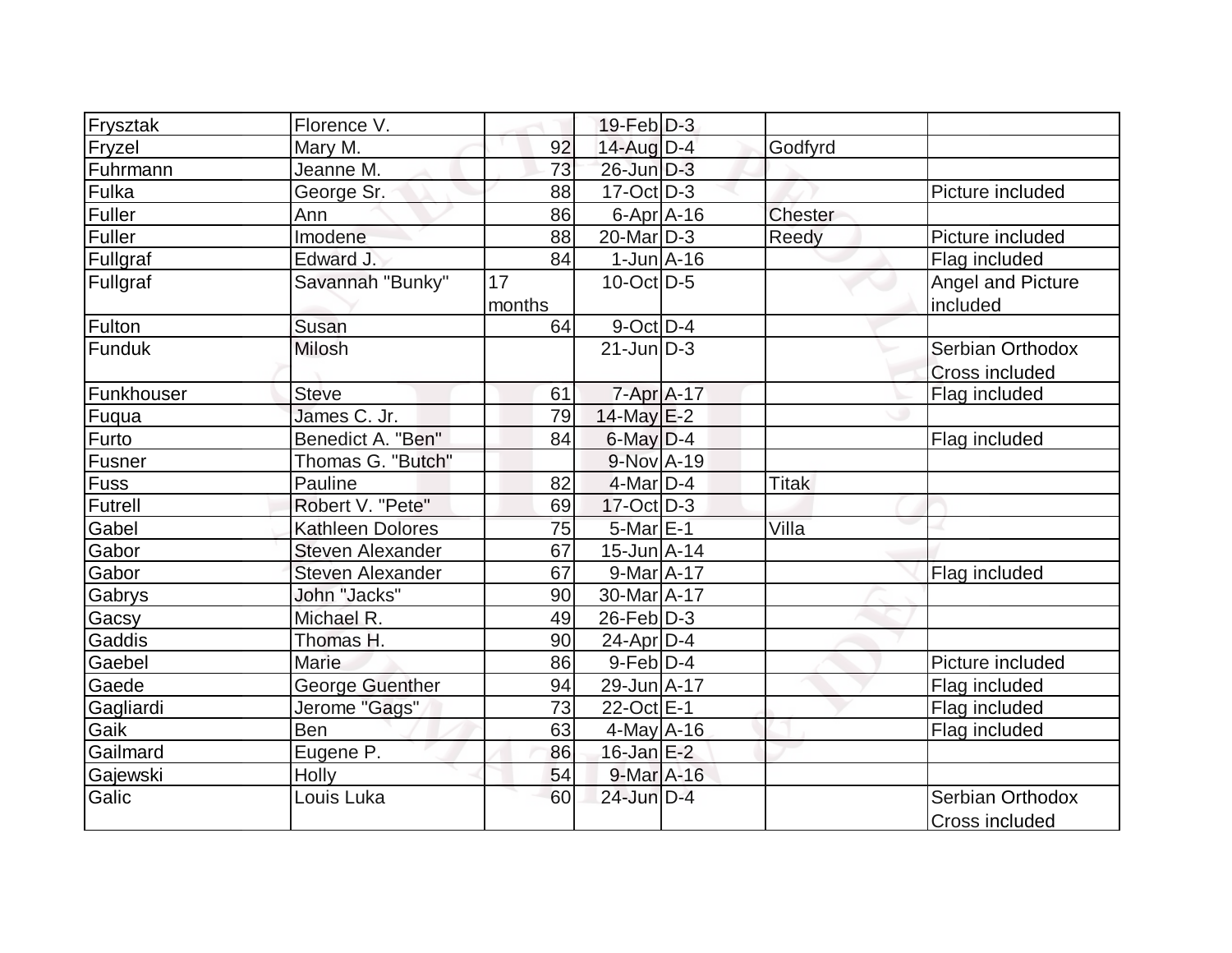| Frysztak   | Florence V.             |        | $19$ -Feb $D-3$             |              |                       |
|------------|-------------------------|--------|-----------------------------|--------------|-----------------------|
| Fryzel     | Mary M.                 | 92     | 14-Aug D-4                  | Godfyrd      |                       |
| Fuhrmann   | Jeanne M.               | 73     | $26$ -Jun $D-3$             |              |                       |
| Fulka      | George Sr.              | 88     | $17-Oct$ D-3                |              | Picture included      |
| Fuller     | Ann                     | 86     | $6 - Apr$ $A - 16$          | Chester      |                       |
| Fuller     | Imodene                 | 88     | $20$ -Mar $D-3$             | Reedy        | Picture included      |
| Fullgraf   | Edward J.               | 84     | $1$ -Jun $A$ -16            |              | Flag included         |
| Fullgraf   | Savannah "Bunky"        | 17     | $10$ -Oct $\overline{D}$ -5 |              | Angel and Picture     |
|            |                         | months |                             |              | included              |
| Fulton     | Susan                   | 64     | $9$ -Oct $ D-4$             |              |                       |
| Funduk     | <b>Milosh</b>           |        | $21$ -Jun $ID-3$            |              | Serbian Orthodox      |
|            |                         |        |                             |              | <b>Cross included</b> |
| Funkhouser | <b>Steve</b>            | 61     | $7 - Apr$ $A - 17$          |              | Flag included         |
| Fuqua      | James C. Jr.            | 79     | $14$ -May $E-2$             |              |                       |
| Furto      | Benedict A. "Ben"       | 84     | $6$ -May $D-4$              |              | Flag included         |
| Fusner     | Thomas G. "Butch"       |        | $9-Nov$ A-19                |              |                       |
| Fuss       | Pauline                 | 82     | $4$ -Mar $D-4$              | <b>Titak</b> |                       |
| Futrell    | Robert V. "Pete"        | 69     | $17-Oct$ D-3                |              |                       |
| Gabel      | Kathleen Dolores        | 75     | $5$ -Mar $E-1$              | Villa        |                       |
| Gabor      | <b>Steven Alexander</b> | 67     | $15$ -Jun $A$ -14           |              |                       |
| Gabor      | <b>Steven Alexander</b> | 67     | $9-Mar1A-17$                |              | Flag included         |
| Gabrys     | John "Jacks"            | 90     | 30-Mar A-17                 |              |                       |
| Gacsy      | Michael R.              | 49     | $26$ -Feb $ D-3 $           |              |                       |
| Gaddis     | Thomas H.               | 90     | $24$ -Apr $D-4$             |              |                       |
| Gaebel     | Marie                   | 86     | $9$ -Feb $D-4$              |              | Picture included      |
| Gaede      | <b>George Guenther</b>  | 94     | 29-Jun A-17                 |              | Flag included         |
| Gagliardi  | Jerome "Gags"           | 73     | 22-Oct E-1                  |              | Flag included         |
| Gaik       | Ben                     | 63     | $4$ -May $A$ -16            |              | Flag included         |
| Gailmard   | Eugene P.               | 86     | $16$ -Jan $E-2$             |              |                       |
| Gajewski   | Holly                   | 54     | $9$ -Mar $A$ -16            |              |                       |
| Galic      | Louis Luka              | 60     | $24$ -Jun $D-4$             |              | Serbian Orthodox      |
|            |                         |        |                             |              | Cross included        |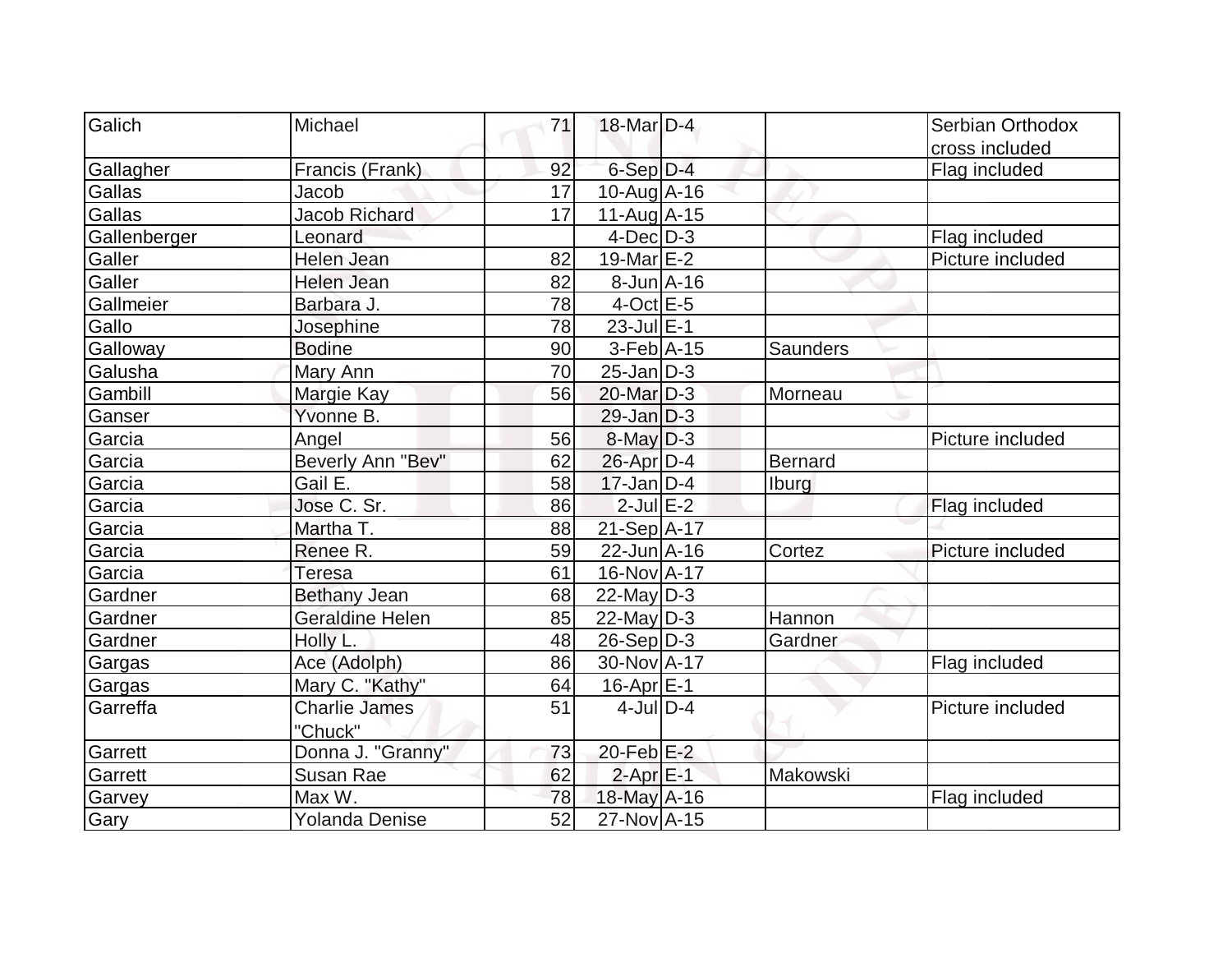| Galich       | Michael                | 71 | 18-Mar D-4        |          | Serbian Orthodox |
|--------------|------------------------|----|-------------------|----------|------------------|
|              |                        |    |                   |          | cross included   |
| Gallagher    | Francis (Frank)        | 92 | $6-Sep$ D-4       |          | Flag included    |
| Gallas       | Jacob                  | 17 | $10$ -Aug $A$ -16 |          |                  |
| Gallas       | <b>Jacob Richard</b>   | 17 | $11-Auq$ A-15     |          |                  |
| Gallenberger | Leonard                |    | $4$ -Dec $D-3$    |          | Flag included    |
| Galler       | <b>Helen Jean</b>      | 82 | 19-Mar E-2        |          | Picture included |
| Galler       | Helen Jean             | 82 | $8$ -Jun $A$ -16  |          |                  |
| Gallmeier    | Barbara J.             | 78 | $4$ -Oct $E - 5$  |          |                  |
| Gallo        | Josephine              | 78 | $23$ -Jul $E-1$   |          |                  |
| Galloway     | <b>Bodine</b>          | 90 | $3-Feb$ A-15      | Saunders |                  |
| Galusha      | Mary Ann               | 70 | $25$ -Jan $D-3$   |          |                  |
| Gambill      | Margie Kay             | 56 | 20-Mar D-3        | Morneau  |                  |
| Ganser       | Yvonne B.              |    | $29$ -Jan D-3     |          |                  |
| Garcia       | Angel                  | 56 | $8$ -May $D-3$    |          | Picture included |
| Garcia       | Beverly Ann "Bev"      | 62 | 26-Apr D-4        | Bernard  |                  |
| Garcia       | Gail E.                | 58 | $17$ -Jan D-4     | Iburg    |                  |
| Garcia       | Jose C. Sr.            | 86 | $2$ -Jul $E-2$    |          | Flag included    |
| Garcia       | Martha T.              | 88 | 21-Sep A-17       |          |                  |
| Garcia       | Renee R.               | 59 | 22-Jun A-16       | Cortez   | Picture included |
| Garcia       | <b>Teresa</b>          | 61 | 16-Nov A-17       |          |                  |
| Gardner      | <b>Bethany Jean</b>    | 68 | $22$ -May D-3     |          |                  |
| Gardner      | <b>Geraldine Helen</b> | 85 | $22$ -May D-3     | Hannon   |                  |
| Gardner      | Holly L.               | 48 | $26-Sep D-3$      | Gardner  |                  |
| Gargas       | Ace (Adolph)           | 86 | 30-Nov A-17       |          | Flag included    |
| Gargas       | Mary C. "Kathy"        | 64 | $16$ -Apr $E-1$   |          |                  |
| Garreffa     | <b>Charlie James</b>   | 51 | $4$ -Jul $D-4$    |          | Picture included |
|              | "Chuck"                |    |                   |          |                  |
| Garrett      | Donna J. "Granny"      | 73 | $20$ -Feb $E-2$   |          |                  |
| Garrett      | Susan Rae              | 62 | $2$ -Apr $E-1$    | Makowski |                  |
| Garvey       | Max W.                 | 78 | 18-May A-16       |          | Flag included    |
| Gary         | <b>Yolanda Denise</b>  | 52 | 27-Nov A-15       |          |                  |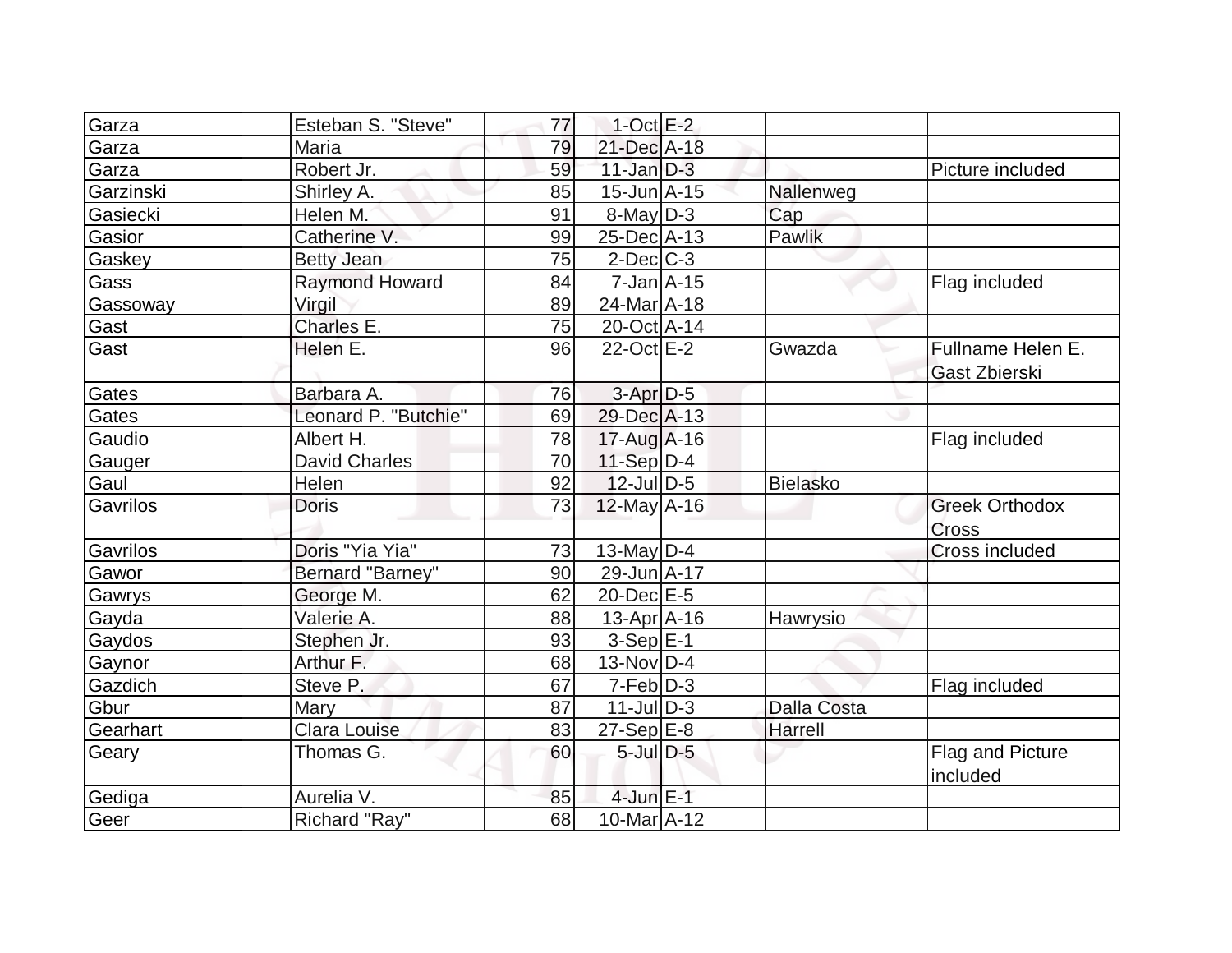| Garza     | Esteban S. "Steve"    | 77 | $1$ -Oct $E-2$      |                    |                                           |
|-----------|-----------------------|----|---------------------|--------------------|-------------------------------------------|
| Garza     | Maria                 | 79 | 21-Dec A-18         |                    |                                           |
| Garza     | Robert Jr.            | 59 | $11$ -Jan D-3       |                    | Picture included                          |
| Garzinski | Shirley A.            | 85 | $15 - Jun  A - 15 $ | Nallenweg          |                                           |
| Gasiecki  | Helen M.              | 91 | $8$ -May $D-3$      | Cap                |                                           |
| Gasior    | Catherine V.          | 99 | 25-Dec A-13         | Pawlik             |                                           |
| Gaskey    | <b>Betty Jean</b>     | 75 | $2$ -Dec $C-3$      |                    |                                           |
| Gass      | <b>Raymond Howard</b> | 84 | $7$ -Jan $A$ -15    |                    | Flag included                             |
| Gassoway  | Virgil                | 89 | 24-Mar A-18         |                    |                                           |
| Gast      | Charles E.            | 75 | 20-Oct A-14         |                    |                                           |
| Gast      | Helen E.              | 96 | 22-Oct E-2          | Gwazda             | Fullname Helen E.<br><b>Gast Zbierski</b> |
| Gates     | Barbara A.            | 76 | 3-Apr D-5           |                    |                                           |
| Gates     | Leonard P. "Butchie"  | 69 | 29-Dec A-13         |                    |                                           |
| Gaudio    | Albert H.             | 78 | $17$ -Aug A-16      |                    | Flag included                             |
| Gauger    | <b>David Charles</b>  | 70 | $11-Sep$ D-4        |                    |                                           |
| Gaul      | Helen                 | 92 | $12$ -JulD-5        | Bielasko           |                                           |
| Gavrilos  | <b>Doris</b>          | 73 | $12$ -May A-16      |                    | <b>Greek Orthodox</b><br>Cross            |
| Gavrilos  | Doris "Yia Yia"       | 73 | 13-May $D-4$        |                    | <b>Cross included</b>                     |
| Gawor     | Bernard "Barney"      | 90 | 29-Jun A-17         |                    |                                           |
| Gawrys    | George M.             | 62 | $20$ -Dec $E-5$     |                    |                                           |
| Gayda     | Valerie A.            | 88 | $13$ -Apr $ A-16$   | Hawrysio           |                                           |
| Gaydos    | Stephen Jr.           | 93 | $3-Sep$ $E-1$       |                    |                                           |
| Gaynor    | Arthur F.             | 68 | $13-Nov D-4$        |                    |                                           |
| Gazdich   | Steve P.              | 67 | $7-Feb$ $D-3$       |                    | Flag included                             |
| Gbur      | Mary                  | 87 | $11$ -JulD-3        | <b>Dalla Costa</b> |                                           |
| Gearhart  | Clara Louise          | 83 | $27-Sep$ $E-8$      | Harrell            |                                           |
| Geary     | Thomas G.             | 60 | $5$ -Jul $D$ -5     |                    | Flag and Picture<br>included              |
| Gediga    | Aurelia V.            | 85 | $4$ -Jun $E-1$      |                    |                                           |
| Geer      | Richard "Ray"         | 68 | 10-Mar A-12         |                    |                                           |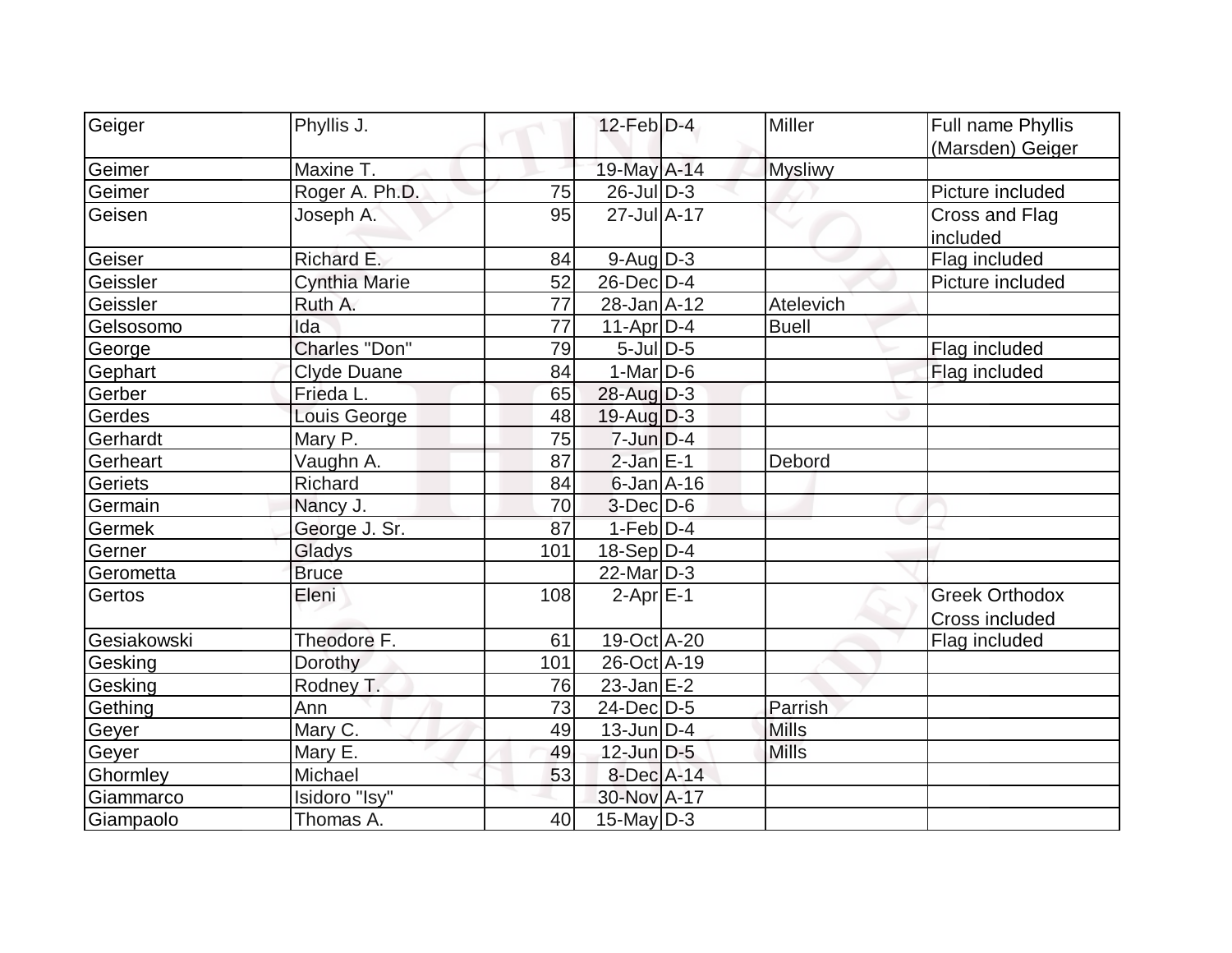| Geiger      | Phyllis J.     |                 | $12$ -Feb $D-4$           | <b>Miller</b>  | Full name Phyllis     |
|-------------|----------------|-----------------|---------------------------|----------------|-----------------------|
|             |                |                 |                           |                | (Marsden) Geiger      |
| Geimer      | Maxine T.      |                 | 19-May A-14               | <b>Mysliwy</b> |                       |
| Geimer      | Roger A. Ph.D. | 75              | $26$ -JulD-3              |                | Picture included      |
| Geisen      | Joseph A.      | 95              | $27$ -Jul $A-17$          |                | Cross and Flag        |
|             |                |                 |                           |                | included              |
| Geiser      | Richard E.     | 84              | $9$ -Aug $D-3$            |                | Flag included         |
| Geissler    | Cynthia Marie  | $\overline{52}$ | $26$ -Dec $D-4$           |                | Picture included      |
| Geissler    | Ruth A.        | 77              | 28-Jan A-12               | Atelevich      |                       |
| Gelsosomo   | Ida            | 77              | $11-Apr D-4$              | <b>Buell</b>   |                       |
| George      | Charles "Don"  | 79              | $5$ -Jul $D-5$            |                | Flag included         |
| Gephart     | Clyde Duane    | 84              | $1-Mar$ D-6               |                | Flag included         |
| Gerber      | Frieda L.      | 65              | 28-Aug D-3                |                |                       |
| Gerdes      | Louis George   | 48              | $19$ -Aug $D-3$           |                |                       |
| Gerhardt    | Mary P.        | 75              | $7$ -Jun $D-4$            |                |                       |
| Gerheart    | Vaughn A.      | 87              | $2$ -Jan $E-1$            | Debord         |                       |
| Geriets     | Richard        | 84              | $6$ -Jan $A$ -16          |                |                       |
| Germain     | Nancy J.       | 70              | $3-Dec$ D-6               |                |                       |
| Germek      | George J. Sr.  | 87              | $1-Feb$ $D-4$             |                |                       |
| Gerner      | Gladys         | 101             | $18-Sep D-4$              |                |                       |
| Gerometta   | <b>Bruce</b>   |                 | $22$ -Mar $D-3$           |                |                       |
| Gertos      | Eleni          | 108             | $2-Apr \nightharpoonup 1$ |                | <b>Greek Orthodox</b> |
|             |                |                 |                           |                | Cross included        |
| Gesiakowski | Theodore F.    | 61              | 19-Oct A-20               |                | Flag included         |
| Gesking     | Dorothy        | 101             | 26-Oct A-19               |                |                       |
| Gesking     | Rodney T.      | 76              | 23-Jan E-2                |                |                       |
| Gething     | Ann            | 73              | 24-Dec D-5                | Parrish        |                       |
| Geyer       | Mary C.        | 49              | $13$ -Jun $ D-4$          | <b>Mills</b>   |                       |
| Geyer       | Mary E.        | 49              | $12$ -Jun $D-5$           | <b>Mills</b>   |                       |
| Ghormley    | Michael        | 53              | 8-Dec A-14                |                |                       |
| Giammarco   | Isidoro "Isy"  |                 | 30-Nov A-17               |                |                       |
| Giampaolo   | Thomas A.      | 40              | $15$ -May D-3             |                |                       |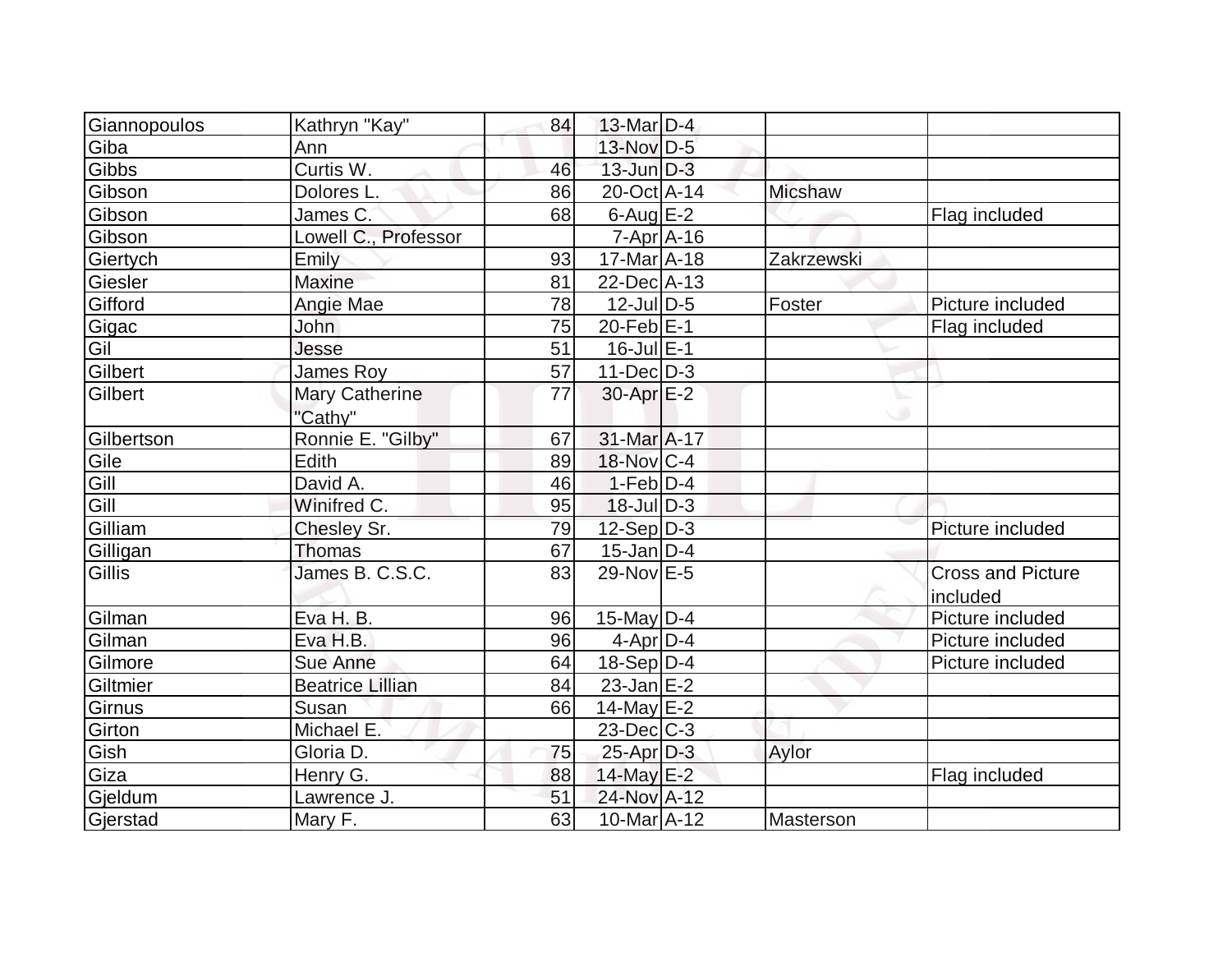| Giannopoulos | Kathryn "Kay"           | 84 | 13-Mar D-4         |                |                          |
|--------------|-------------------------|----|--------------------|----------------|--------------------------|
| Giba         | Ann                     |    | 13-Nov D-5         |                |                          |
| Gibbs        | Curtis W.               | 46 | $13$ -Jun $D-3$    |                |                          |
| Gibson       | Dolores L.              | 86 | 20-Oct A-14        | <b>Micshaw</b> |                          |
| Gibson       | James C.                | 68 | 6-Aug $E-2$        |                | Flag included            |
| Gibson       | Lowell C., Professor    |    | $7 - Apr$ $A - 16$ |                |                          |
| Giertych     | Emily                   | 93 | $17$ -Mar $A$ -18  | Zakrzewski     |                          |
| Giesler      | Maxine                  | 81 | 22-Dec A-13        |                |                          |
| Gifford      | Angie Mae               | 78 | $12$ -JulD-5       | Foster         | Picture included         |
| Gigac        | <b>John</b>             | 75 | 20-Feb $E-1$       |                | Flag included            |
| Gil          | Jesse                   | 51 | $16$ -Jul $E-1$    |                |                          |
| Gilbert      | James Roy               | 57 | $11$ -Dec $D-3$    |                |                          |
| Gilbert      | <b>Mary Catherine</b>   | 77 | 30-Apr E-2         |                |                          |
|              | "Cathy"                 |    |                    |                |                          |
| Gilbertson   | Ronnie E. "Gilby"       | 67 | $31$ -Mar $ A-17$  |                |                          |
| Gile<br>Gill | Edith                   | 89 | 18-Nov C-4         |                |                          |
|              | David A.                | 46 | $1-Feb D-4$        |                |                          |
| Gill         | Winifred C.             | 95 | $18$ -Jul $D-3$    |                |                          |
| Gilliam      | Chesley Sr.             | 79 | $12-Sep D-3$       |                | Picture included         |
| Gilligan     | <b>Thomas</b>           | 67 | $15$ -Jan D-4      |                |                          |
| Gillis       | James B. C.S.C.         | 83 | 29-Nov E-5         |                | <b>Cross and Picture</b> |
|              |                         |    |                    |                | included                 |
| Gilman       | Eva H. B.               | 96 | $15$ -May D-4      |                | Picture included         |
| Gilman       | Eva H.B.                | 96 | $4$ -Apr $D-4$     |                | Picture included         |
| Gilmore      | <b>Sue Anne</b>         | 64 | $18-Sep D-4$       |                | Picture included         |
| Giltmier     | <b>Beatrice Lillian</b> | 84 | $23$ -Jan E-2      |                |                          |
| Girnus       | Susan                   | 66 | $14$ -May E-2      |                |                          |
| Girton       | Michael E.              |    | $23$ -Dec $C-3$    |                |                          |
| Gish         | Gloria D.               | 75 | $25$ -Apr $D-3$    | Aylor          |                          |
| Giza         | Henry G.                | 88 | 14-May E-2         |                | Flag included            |
| Gjeldum      | Lawrence J.             | 51 | 24-Nov A-12        |                |                          |
| Gjerstad     | Mary F.                 | 63 | 10-Mar A-12        | Masterson      |                          |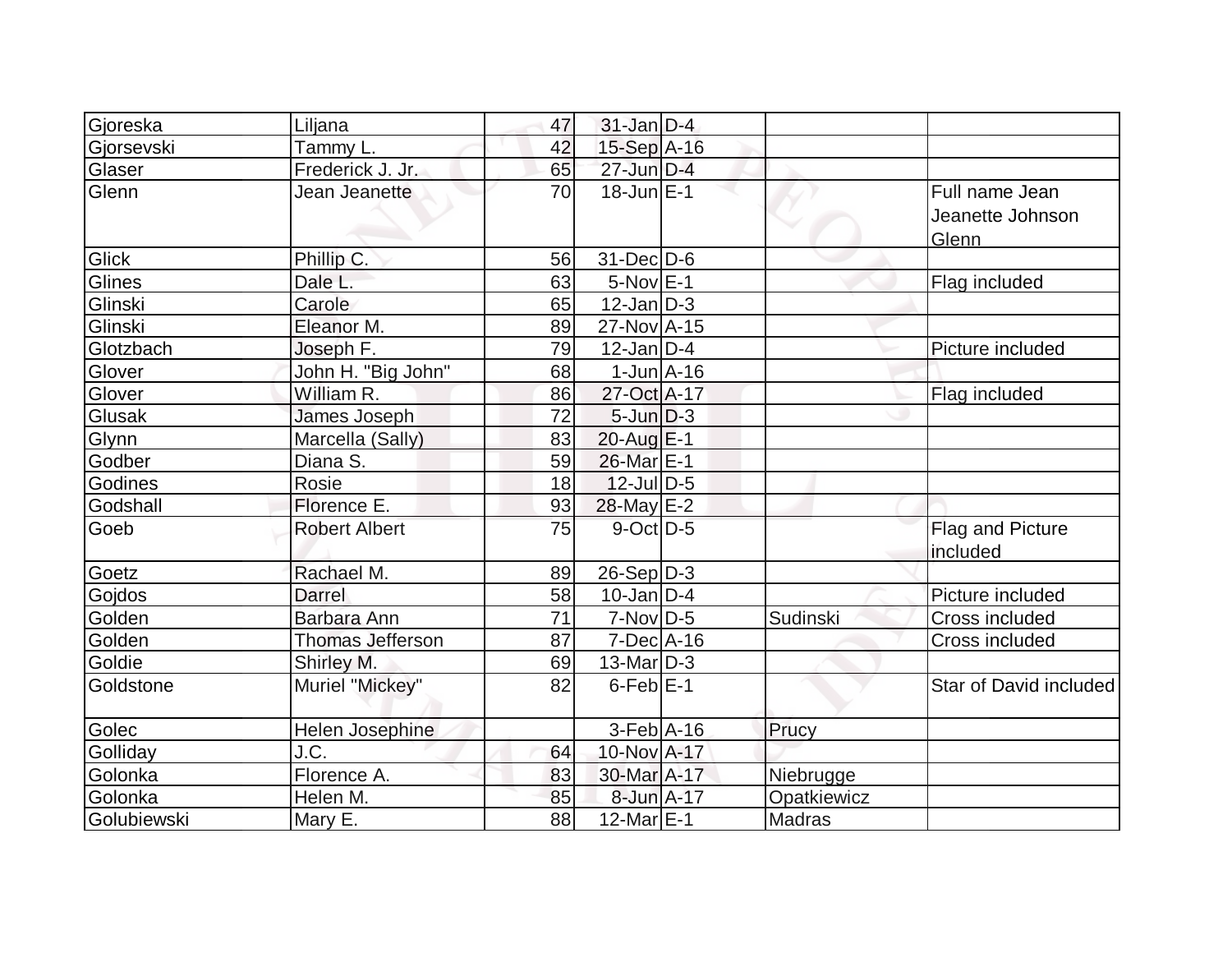| Gjoreska    | Liljana                 | 47              | $31$ -Jan D-4    |             |                                             |
|-------------|-------------------------|-----------------|------------------|-------------|---------------------------------------------|
| Gjorsevski  | Tammy L.                | 42              | 15-Sep A-16      |             |                                             |
| Glaser      | Frederick J. Jr.        | 65              | $27$ -Jun $D-4$  |             |                                             |
| Glenn       | Jean Jeanette           | 70              | $18$ -Jun $E-1$  |             | Full name Jean<br>Jeanette Johnson<br>Glenn |
| Glick       | Phillip C.              | 56              | $31$ -Dec $D-6$  |             |                                             |
| Glines      | Dale L.                 | 63              | $5-NovE-1$       |             | Flag included                               |
| Glinski     | Carole                  | 65              | $12$ -Jan $D-3$  |             |                                             |
| Glinski     | Eleanor M.              | 89              | 27-Nov A-15      |             |                                             |
| Glotzbach   | Joseph F.               | 79              | $12$ -Jan D-4    |             | Picture included                            |
| Glover      | John H. "Big John"      | 68              | $1$ -Jun $A$ -16 |             |                                             |
| Glover      | William R.              | 86              | 27-Oct A-17      |             | Flag included                               |
| Glusak      | James Joseph            | 72              | $5 - Jun$ $D-3$  |             |                                             |
| Glynn       | Marcella (Sally)        | 83              | $20$ -Aug $E-1$  |             |                                             |
| Godber      | Diana S.                | 59              | 26-Mar E-1       |             |                                             |
| Godines     | Rosie                   | 18              | $12$ -JulD-5     |             |                                             |
| Godshall    | Florence E.             | 93              | 28-May E-2       |             |                                             |
| Goeb        | <b>Robert Albert</b>    | 75              | $9$ -Oct $D-5$   |             | Flag and Picture<br>included                |
| Goetz       | Rachael M.              | 89              | $26-Sep D-3$     |             |                                             |
| Gojdos      | <b>Darrel</b>           | 58              | $10$ -Jan D-4    |             | Picture included                            |
| Golden      | Barbara Ann             | $\overline{71}$ | $7-Nov D-5$      | Sudinski    | Cross included                              |
| Golden      | <b>Thomas Jefferson</b> | 87              | $7-Dec$ $A-16$   |             | <b>Cross included</b>                       |
| Goldie      | Shirley M.              | 69              | $13$ -Mar $D-3$  |             |                                             |
| Goldstone   | Muriel "Mickey"         | 82              | $6$ -Feb $E-1$   |             | Star of David included                      |
| Golec       | Helen Josephine         |                 | $3-Feb$ A-16     | Prucy       |                                             |
| Golliday    | J.C.                    | 64              | 10-Nov A-17      |             |                                             |
| Golonka     | Florence A.             | 83              | 30-Mar A-17      | Niebrugge   |                                             |
| Golonka     | Helen M.                | 85              | 8-Jun A-17       | Opatkiewicz |                                             |
| Golubiewski | Mary E.                 | 88              | $12$ -Mar $E-1$  | Madras      |                                             |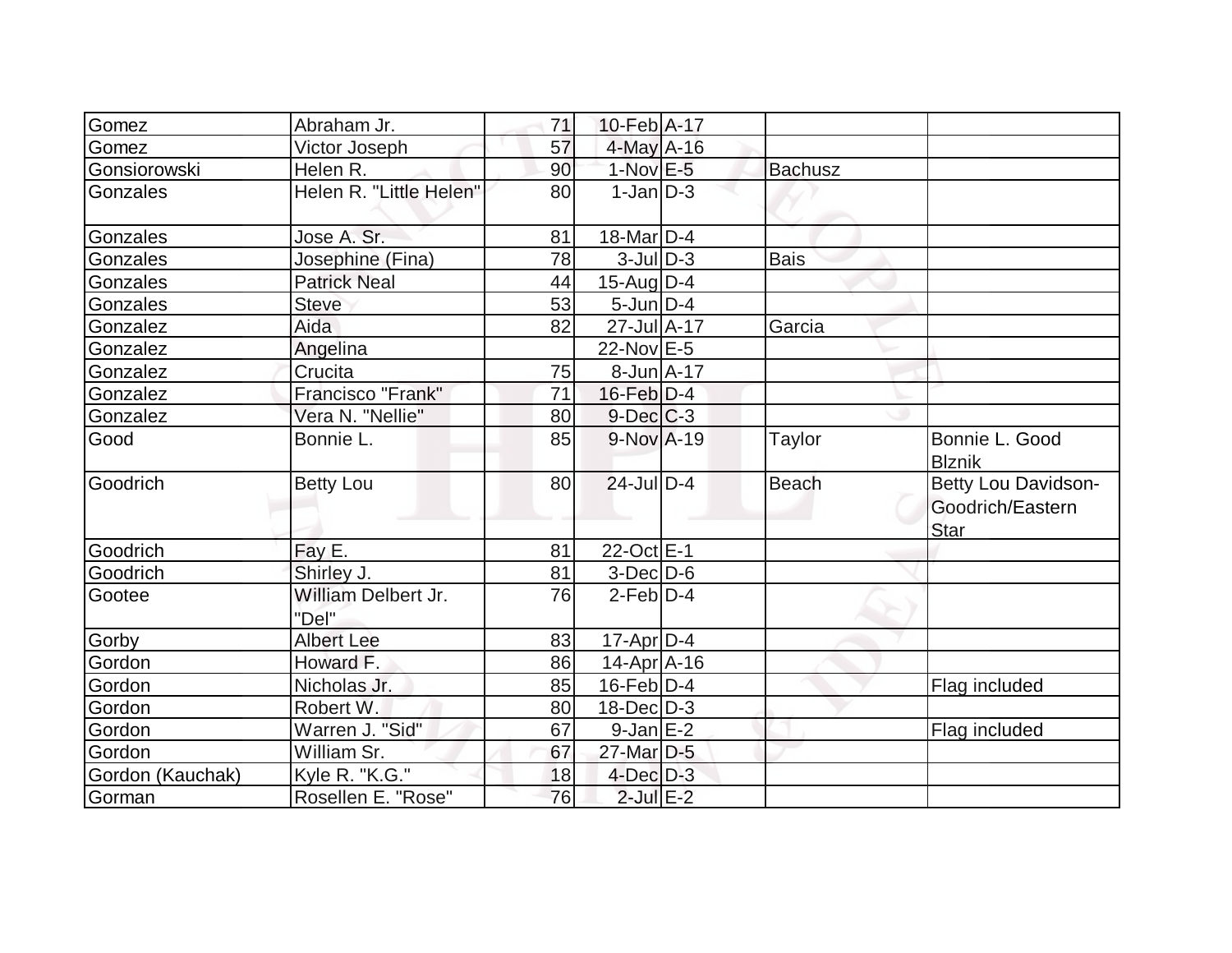| Gomez            | Abraham Jr.                  | 71 | 10-Feb A-17       |                |                                                        |
|------------------|------------------------------|----|-------------------|----------------|--------------------------------------------------------|
| Gomez            | Victor Joseph                | 57 | $4$ -May $A$ -16  |                |                                                        |
| Gonsiorowski     | Helen R.                     | 90 | $1-Nov$ $E-5$     | <b>Bachusz</b> |                                                        |
| Gonzales         | Helen R. "Little Helen"      | 80 | $1-Jan$ D-3       |                |                                                        |
| Gonzales         | Jose A. Sr.                  | 81 | $18$ -Mar $ D-4 $ |                |                                                        |
| Gonzales         | Josephine (Fina)             | 78 | $3$ -JulD-3       | <b>Bais</b>    |                                                        |
| Gonzales         | <b>Patrick Neal</b>          | 44 | $15$ -Aug $D-4$   |                |                                                        |
| Gonzales         | <b>Steve</b>                 | 53 | $5$ -Jun $D-4$    |                |                                                        |
| Gonzalez         | Aida                         | 82 | $27$ -Jul $A$ -17 | Garcia         |                                                        |
| Gonzalez         | Angelina                     |    | 22-Nov E-5        |                |                                                        |
| Gonzalez         | Crucita                      | 75 | $8$ -Jun $A$ -17  |                |                                                        |
| Gonzalez         | Francisco "Frank"            | 71 | $16$ -Feb $D-4$   |                |                                                        |
| Gonzalez         | Vera N. "Nellie"             | 80 | $9$ -Dec $C$ -3   |                |                                                        |
| Good             | Bonnie L.                    | 85 | 9-Nov A-19        | Taylor         | Bonnie L. Good<br><b>Blznik</b>                        |
| Goodrich         | <b>Betty Lou</b>             | 80 | $24$ -Jul D-4     | <b>Beach</b>   | Betty Lou Davidson-<br>Goodrich/Eastern<br><b>Star</b> |
| Goodrich         | Fay E.                       | 81 | 22-Oct E-1        |                |                                                        |
| Goodrich         | Shirley J.                   | 81 | $3-Dec$ D-6       |                |                                                        |
| Gootee           | William Delbert Jr.<br>"Del" | 76 | $2$ -Feb $D-4$    |                |                                                        |
| Gorby            | <b>Albert Lee</b>            | 83 | $17$ -Apr $ D-4 $ |                |                                                        |
| Gordon           | Howard F.                    | 86 | $14$ -Apr $ A-16$ |                |                                                        |
| Gordon           | Nicholas Jr.                 | 85 | $16$ -Feb $ D-4 $ |                | Flag included                                          |
| Gordon           | Robert W.                    | 80 | $18$ -Dec $D-3$   |                |                                                        |
| Gordon           | Warren J. "Sid"              | 67 | $9$ -Jan $E-2$    |                | Flag included                                          |
| Gordon           | William Sr.                  | 67 | 27-Mar D-5        |                |                                                        |
| Gordon (Kauchak) | Kyle R. "K.G."               | 18 | $4$ -Dec $D-3$    |                |                                                        |
| Gorman           | Rosellen E. "Rose"           | 76 | $2$ -Jul $E-2$    |                |                                                        |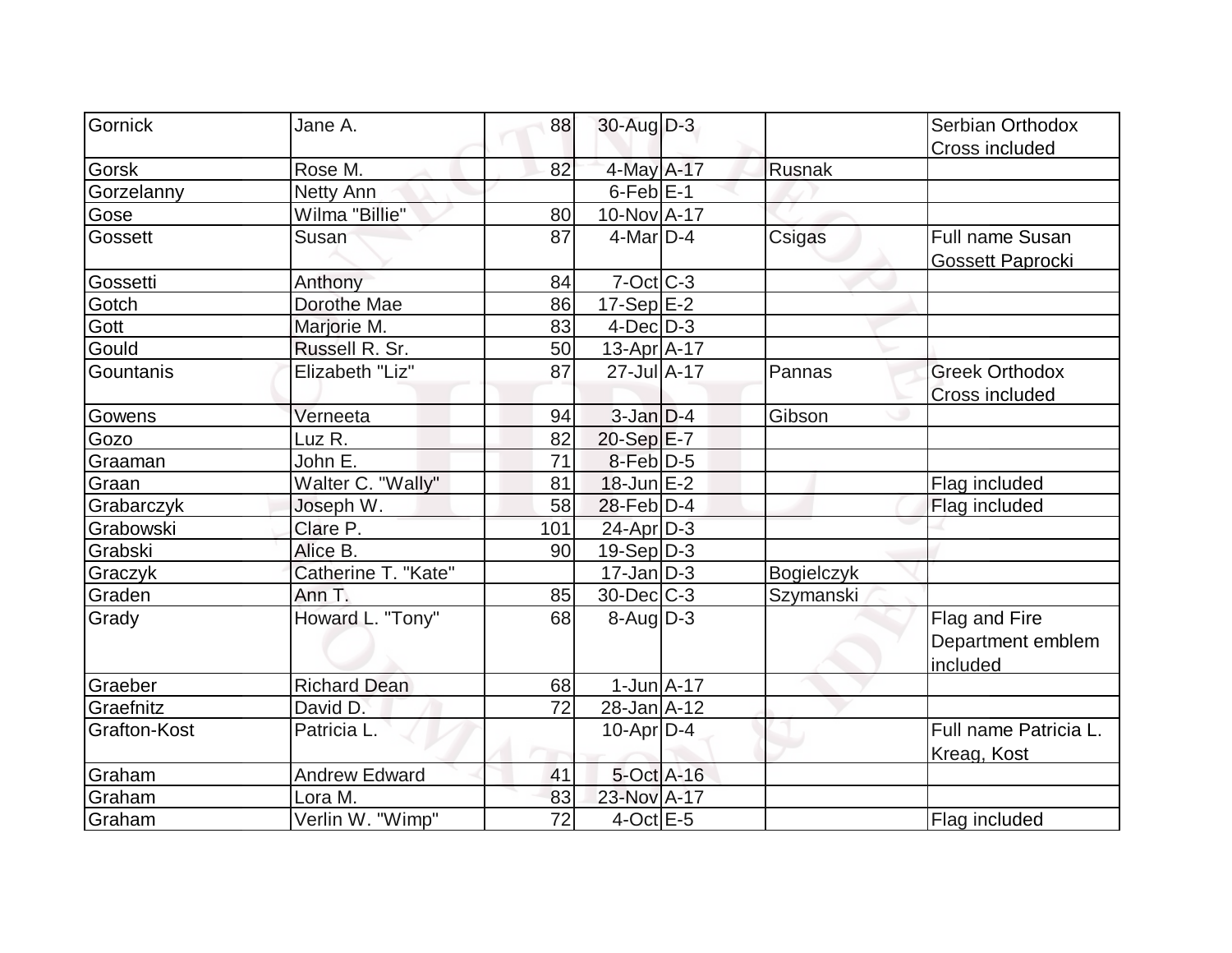| Gornick      | Jane A.              | 88  | $30$ -Aug $D-3$      |                   | Serbian Orthodox                               |
|--------------|----------------------|-----|----------------------|-------------------|------------------------------------------------|
|              |                      |     |                      |                   | Cross included                                 |
| Gorsk        | Rose M.              | 82  | 4-May A-17           | Rusnak            |                                                |
| Gorzelanny   | <b>Netty Ann</b>     |     | $6$ -Feb $E-1$       |                   |                                                |
| Gose         | Wilma "Billie"       | 80  | 10-Nov A-17          |                   |                                                |
| Gossett      | Susan                | 87  | $4$ -Mar $D-4$       | Csigas            | Full name Susan<br><b>Gossett Paprocki</b>     |
| Gossetti     | Anthony              | 84  | $7-Oct$ $C-3$        |                   |                                                |
| Gotch        | Dorothe Mae          | 86  | $17-Sep$ $E-2$       |                   |                                                |
| Gott         | Marjorie M.          | 83  | $4$ -Dec $D-3$       |                   |                                                |
| Gould        | Russell R. Sr.       | 50  | $13-Apr$ A-17        |                   |                                                |
| Gountanis    | Elizabeth "Liz"      | 87  | 27-Jul A-17          | Pannas            | <b>Greek Orthodox</b><br><b>Cross included</b> |
| Gowens       | Verneeta             | 94  | $3$ -Jan $D-4$       | Gibson            |                                                |
| Gozo         | Luz R.               | 82  | $20-Sep$ $E-7$       |                   |                                                |
| Graaman      | John E.              | 71  | $8-Feb D-5$          |                   |                                                |
| Graan        | Walter C. "Wally"    | 81  | $18$ -Jun $E-2$      |                   | Flag included                                  |
| Grabarczyk   | Joseph W.            | 58  | $28$ -Feb $ D-4 $    |                   | Flag included                                  |
| Grabowski    | Clare <sub>P.</sub>  | 101 | $24$ -Apr $D-3$      |                   |                                                |
| Grabski      | Alice B.             | 90  | $19-Sep D-3$         |                   |                                                |
| Graczyk      | Catherine T. "Kate"  |     | $17 - Jan$ $D-3$     | <b>Bogielczyk</b> |                                                |
| Graden       | Ann T.               | 85  | $30$ -Dec $C-3$      | Szymanski         |                                                |
| Grady        | Howard L. "Tony"     | 68  | $8 - \text{Aug}$ D-3 |                   | Flag and Fire<br>Department emblem<br>included |
| Graeber      | <b>Richard Dean</b>  | 68  | $1$ -Jun $A$ -17     |                   |                                                |
| Graefnitz    | David D.             | 72  | 28-Jan A-12          |                   |                                                |
| Grafton-Kost | Patricia L.          |     | $10$ -Apr $D-4$      |                   | Full name Patricia L.<br>Kreag, Kost           |
| Graham       | <b>Andrew Edward</b> | 41  | $5$ -Oct $A$ -16     |                   |                                                |
| Graham       | Lora M.              | 83  | 23-Nov A-17          |                   |                                                |
| Graham       | Verlin W. "Wimp"     | 72  | $4$ -Oct $E - 5$     |                   | Flag included                                  |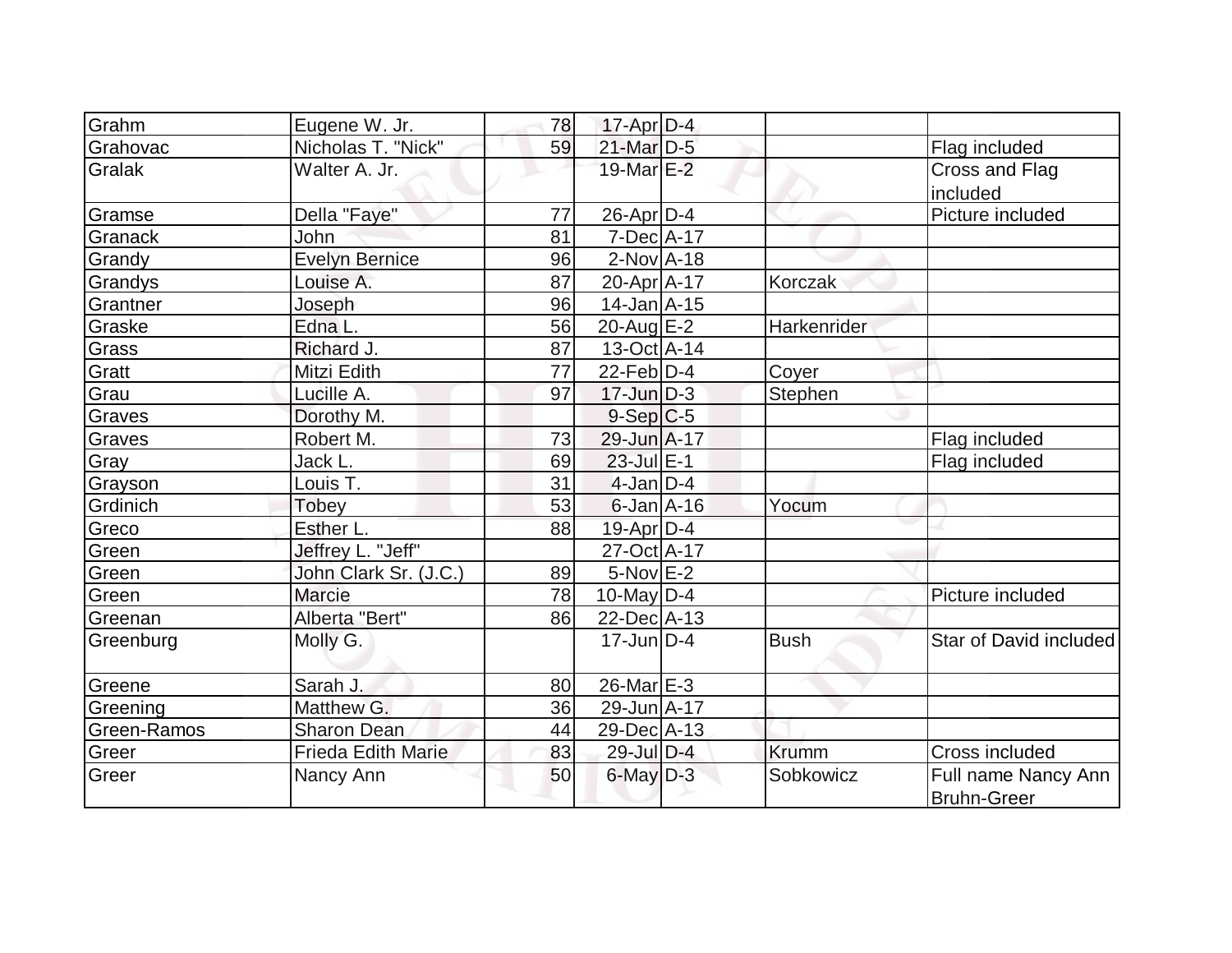| Grahm       | Eugene W. Jr.             | 78 | $17$ -Apr $D-4$             |              |                                           |
|-------------|---------------------------|----|-----------------------------|--------------|-------------------------------------------|
| Grahovac    | Nicholas T. "Nick"        | 59 | $21$ -Mar $D-5$             |              | Flag included                             |
| Gralak      | Walter A. Jr.             |    | 19-Mar E-2                  |              | Cross and Flag                            |
|             |                           |    |                             |              | included                                  |
| Gramse      | Della "Faye"              | 77 | $26$ -Apr $D-4$             |              | Picture included                          |
| Granack     | John                      | 81 | 7-Dec A-17                  |              |                                           |
| Grandy      | <b>Evelyn Bernice</b>     | 96 | $2$ -Nov $A$ -18            |              |                                           |
| Grandys     | Louise A.                 | 87 | 20-Apr A-17                 | Korczak      |                                           |
| Grantner    | Joseph                    | 96 | $14$ -Jan $A$ -15           |              |                                           |
| Graske      | Edna L.                   | 56 | 20-Aug $E-2$                | Harkenrider  |                                           |
| Grass       | Richard J.                | 87 | $13-Oct$ A-14               |              |                                           |
| Gratt       | Mitzi Edith               | 77 | $22$ -Feb $\overline{D}$ -4 | Coyer        |                                           |
| Grau        | Lucille A.                | 97 | $17$ -Jun $D-3$             | Stephen      |                                           |
| Graves      | Dorothy M.                |    | $9-Sep C-5$                 |              |                                           |
| Graves      | Robert M.                 | 73 | 29-Jun A-17                 |              | Flag included                             |
| Gray        | Jack L.                   | 69 | $23$ -Jul $E-1$             |              | Flag included                             |
| Grayson     | Louis T.                  | 31 | $4$ -Jan $D-4$              |              |                                           |
| Grdinich    | Tobey                     | 53 | $6$ -Jan $A$ -16            | Yocum        |                                           |
| Greco       | Esther L.                 | 88 | $19$ -Apr $D-4$             |              |                                           |
| Green       | Jeffrey L. "Jeff"         |    | $\overline{27}$ -Oct A-17   |              |                                           |
| Green       | John Clark Sr. (J.C.)     | 89 | $5-Nov$ $E-2$               |              |                                           |
| Green       | Marcie                    | 78 | 10-May $D-4$                |              | Picture included                          |
| Greenan     | Alberta "Bert"            | 86 | 22-Dec A-13                 |              |                                           |
| Greenburg   | Molly G.                  |    | $17$ -Jun $D-4$             | <b>Bush</b>  | Star of David included                    |
| Greene      | Sarah J.                  | 80 | $26$ -Mar $E-3$             |              |                                           |
| Greening    | Matthew G.                | 36 | 29-Jun A-17                 |              |                                           |
| Green-Ramos | Sharon Dean               | 44 | $29$ -Dec $ A-13 $          |              |                                           |
| Greer       | <b>Frieda Edith Marie</b> | 83 | 29-Jul D-4                  | <b>Krumm</b> | Cross included                            |
| Greer       | Nancy Ann                 | 50 | $6$ -May $D-3$              | Sobkowicz    | Full name Nancy Ann<br><b>Bruhn-Greer</b> |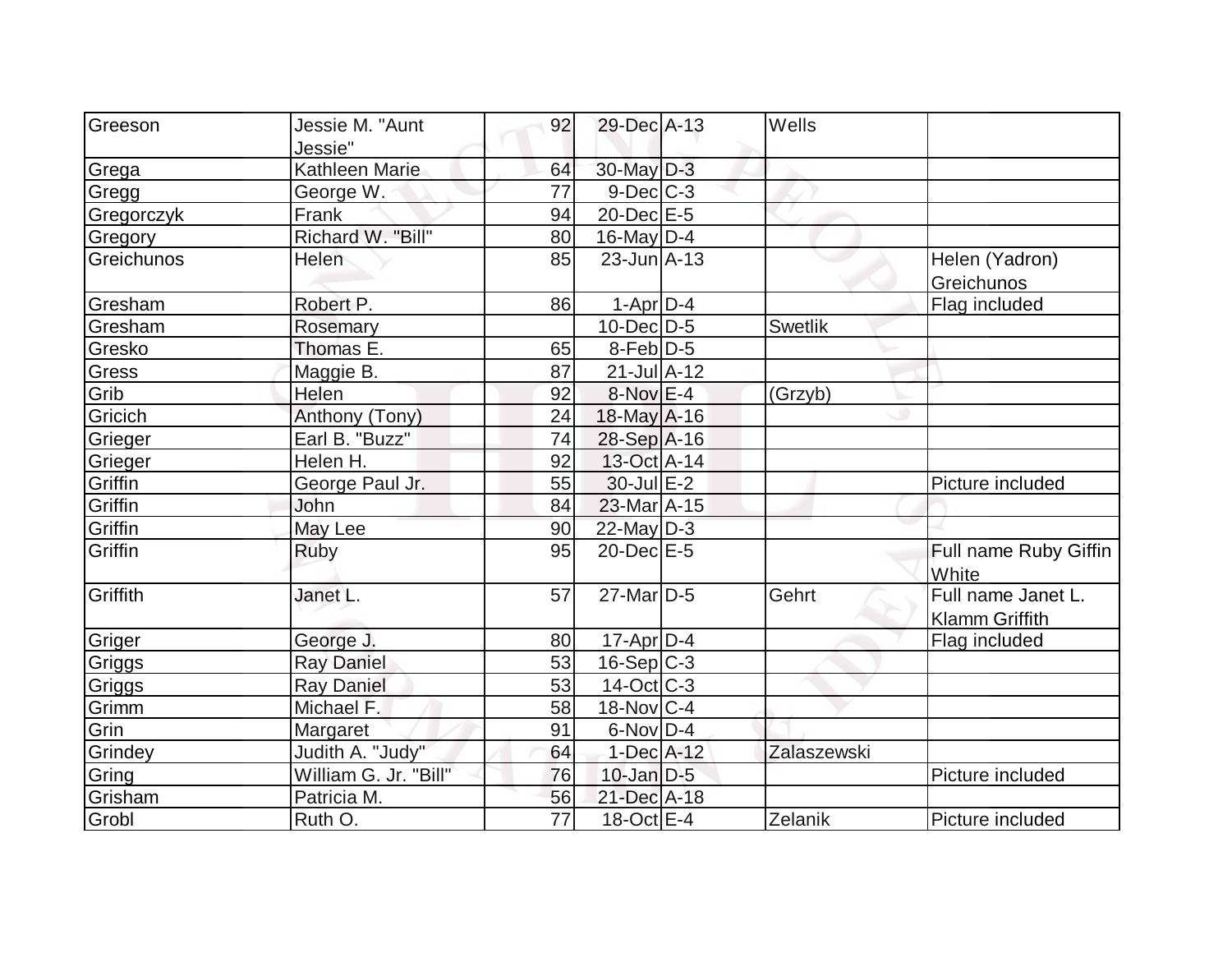| Greeson    | Jessie M. "Aunt       | 92              | 29-Dec A-13         | Wells          |                       |
|------------|-----------------------|-----------------|---------------------|----------------|-----------------------|
|            | Jessie"               |                 |                     |                |                       |
| Grega      | Kathleen Marie        | 64              | 30-May D-3          |                |                       |
| Gregg      | George W.             | 77              | $9-Dec$ $C-3$       |                |                       |
| Gregorczyk | Frank                 | 94              | $20$ -Dec $E-5$     |                |                       |
| Gregory    | Richard W. "Bill"     | 80              | 16-May $D-4$        |                |                       |
| Greichunos | <b>Helen</b>          | 85              | $23$ -Jun $A-13$    |                | Helen (Yadron)        |
|            |                       |                 |                     |                | Greichunos            |
| Gresham    | Robert P.             | 86              | $1-Apr$ D-4         |                | Flag included         |
| Gresham    | Rosemary              |                 | $10$ -Dec $D-5$     | <b>Swetlik</b> |                       |
| Gresko     | Thomas E.             | 65              | $8-Feb D-5$         |                |                       |
| Gress      | Maggie B.             | 87              | $21 - Jul$ $A - 12$ |                |                       |
| Grib       | Helen                 | 92              | $8-Nov$ E-4         | (Grzyb)        |                       |
| Gricich    | Anthony (Tony)        | 24              | $18$ -May A-16      |                |                       |
| Grieger    | Earl B. "Buzz"        | 74              | 28-Sep A-16         |                |                       |
| Grieger    | Helen H.              | 92              | 13-Oct A-14         |                |                       |
| Griffin    | George Paul Jr.       | 55              | $30$ -Jul $E-2$     |                | Picture included      |
| Griffin    | John                  | 84              | $23$ -Mar $ A-15$   |                |                       |
| Griffin    | May Lee               | 90              | 22-May D-3          |                |                       |
| Griffin    | Ruby                  | 95              | $20$ -Dec $E-5$     |                | Full name Ruby Giffin |
|            |                       |                 |                     |                | White                 |
| Griffith   | Janet L.              | 57              | $27$ -Mar $ D-5$    | Gehrt          | Full name Janet L.    |
|            |                       |                 |                     |                | Klamm Griffith        |
| Griger     | George J.             | 80              | $17$ -Apr $ D-4$    |                | Flag included         |
| Griggs     | <b>Ray Daniel</b>     | 53              | $16-Sep C-3$        |                |                       |
| Griggs     | <b>Ray Daniel</b>     | 53              | 14-Oct C-3          |                |                       |
| Grimm      | Michael F.            | 58              | $18-Nov$ C-4        |                |                       |
| Grin       | Margaret              | 91              | $6$ -Nov $D-4$      |                |                       |
| Grindey    | Judith A. "Judy"      | 64              | $1-Dec$ A-12        | Zalaszewski    |                       |
| Gring      | William G. Jr. "Bill" | 76              | $10$ -Jan $ D-5 $   |                | Picture included      |
| Grisham    | Patricia M.           | 56              | 21-Dec A-18         |                |                       |
| Grobl      | Ruth O.               | $\overline{77}$ | 18-Oct E-4          | Zelanik        | Picture included      |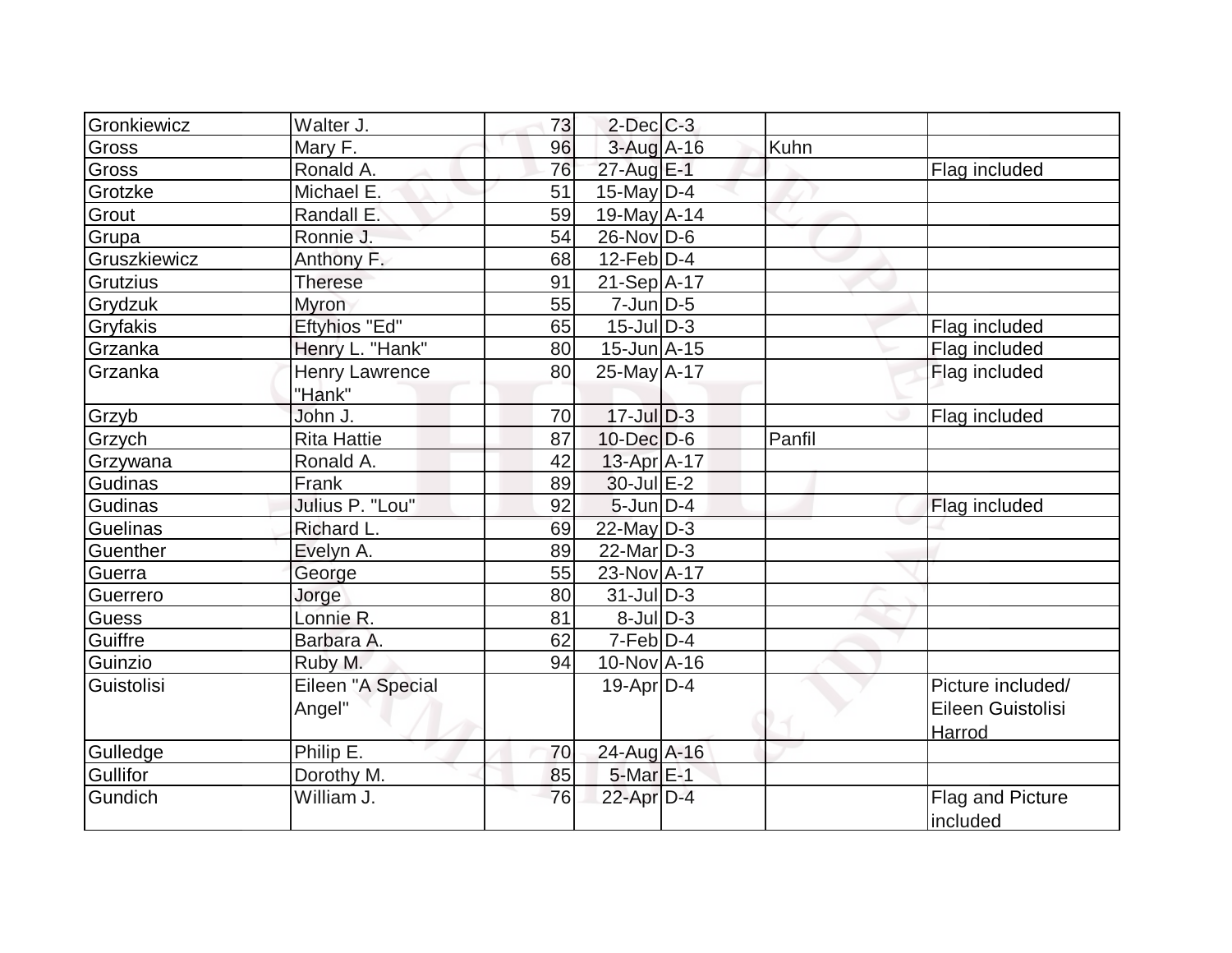| Gronkiewicz  | Walter J.             | 73 | $2$ -Dec $C-3$    |        |                   |
|--------------|-----------------------|----|-------------------|--------|-------------------|
| Gross        | Mary F.               | 96 | 3-Aug A-16        | Kuhn   |                   |
| Gross        | Ronald A.             | 76 | 27-Aug E-1        |        | Flag included     |
| Grotzke      | Michael E.            | 51 | $15$ -May D-4     |        |                   |
| Grout        | Randall E.            | 59 | $19$ -May $A$ -14 |        |                   |
| Grupa        | Ronnie J.             | 54 | $26$ -Nov $ D-6 $ |        |                   |
| Gruszkiewicz | Anthony F.            | 68 | $12$ -Feb $ D-4$  |        |                   |
| Grutzius     | <b>Therese</b>        | 91 | $21-Sep$ $A-17$   |        |                   |
| Grydzuk      | Myron                 | 55 | $7$ -Jun $D-5$    |        |                   |
| Gryfakis     | <b>Eftyhios "Ed"</b>  | 65 | $15$ -Jul $ D-3 $ |        | Flag included     |
| Grzanka      | Henry L. "Hank"       | 80 | $15$ -Jun $A$ -15 |        | Flag included     |
| Grzanka      | <b>Henry Lawrence</b> | 80 | $25$ -May $A$ -17 |        | Flag included     |
|              | "Hank"                |    |                   |        |                   |
| Grzyb        | John J.               | 70 | $17 -$ Jul $D-3$  |        | Flag included     |
| Grzych       | <b>Rita Hattie</b>    | 87 | $10$ -Dec $D$ -6  | Panfil |                   |
| Grzywana     | Ronald A.             | 42 | 13-Apr A-17       |        |                   |
| Gudinas      | Frank                 | 89 | $30$ -Jul $E-2$   |        |                   |
| Gudinas      | Julius P. "Lou"       | 92 | $5$ -Jun $D-4$    |        | Flag included     |
| Guelinas     | Richard L.            | 69 | $22$ -May $D-3$   |        |                   |
| Guenther     | Evelyn A.             | 89 | $22$ -Mar $D-3$   |        |                   |
| Guerra       | George                | 55 | 23-Nov A-17       |        |                   |
| Guerrero     | Jorge                 | 80 | $31$ -JulD-3      |        |                   |
| <b>Guess</b> | Lonnie R.             | 81 | $8$ -JulD-3       |        |                   |
| Guiffre      | Barbara A.            | 62 | $7-Feb D-4$       |        |                   |
| Guinzio      | Ruby M.               | 94 | 10-Nov A-16       |        |                   |
| Guistolisi   | Eileen "A Special     |    | $19$ -Apr $ D-4$  |        | Picture included/ |
|              | Angel"                |    |                   |        | Eileen Guistolisi |
|              |                       |    |                   |        | Harrod            |
| Gulledge     | Philip E.             | 70 | 24-Aug A-16       |        |                   |
| Gullifor     | Dorothy M.            | 85 | 5-Mar E-1         |        |                   |
| Gundich      | William J.            | 76 | $22$ -Apr $D-4$   |        | Flag and Picture  |
|              |                       |    |                   |        | included          |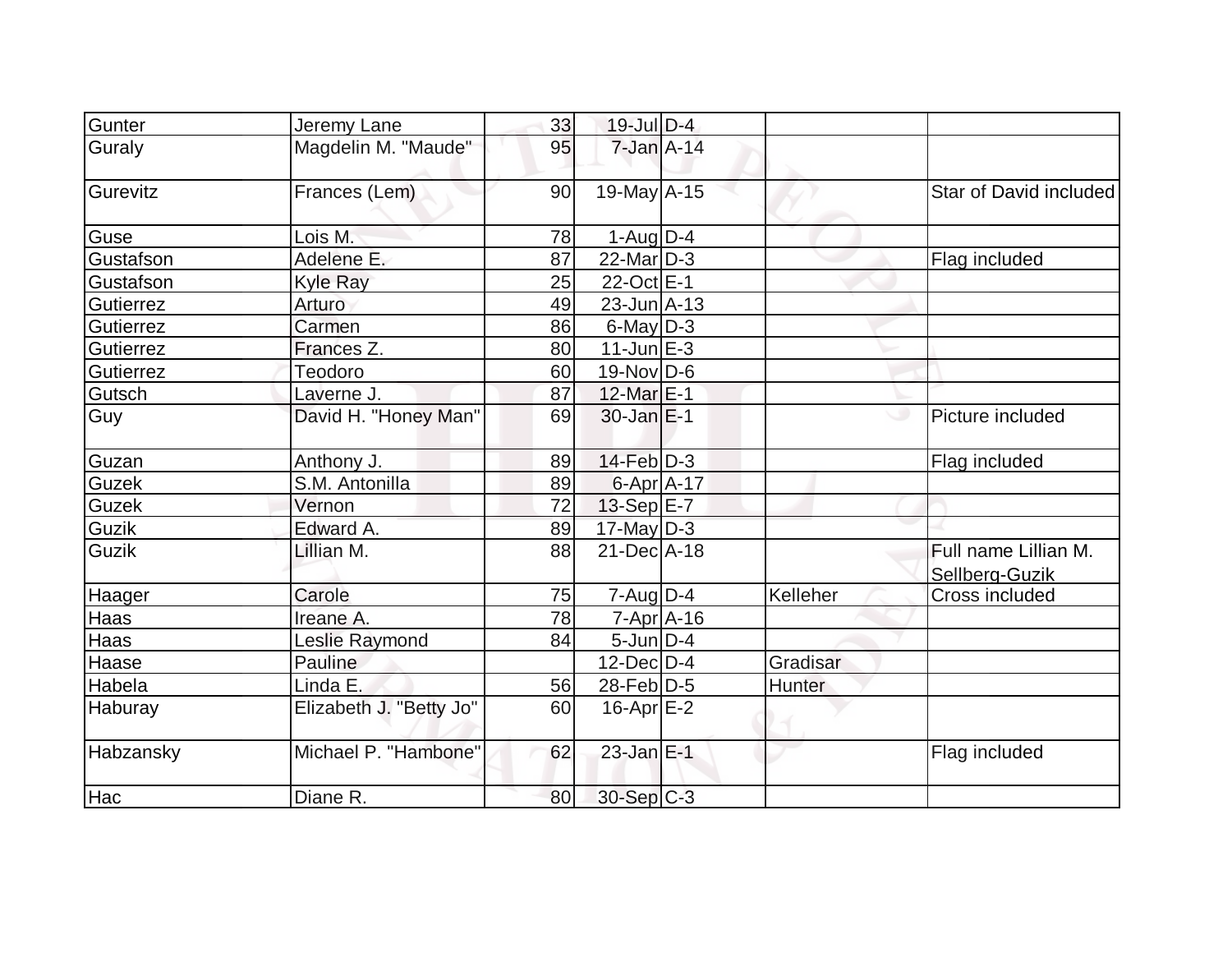| Gunter       | Jeremy Lane             | 33 | $19$ -Jul $D-4$    |          |                                        |
|--------------|-------------------------|----|--------------------|----------|----------------------------------------|
| Guraly       | Magdelin M. "Maude"     | 95 | $7$ -Jan $A$ -14   |          |                                        |
| Gurevitz     | Frances (Lem)           | 90 | 19-May A-15        |          | Star of David included                 |
| Guse         | Lois M.                 | 78 | $1-Aug D-4$        |          |                                        |
| Gustafson    | Adelene E.              | 87 | $22$ -Mar $ D-3 $  |          | Flag included                          |
| Gustafson    | Kyle Ray                | 25 | 22-Oct E-1         |          |                                        |
| Gutierrez    | Arturo                  | 49 | $23$ -Jun $A-13$   |          |                                        |
| Gutierrez    | Carmen                  | 86 | $6$ -May $D-3$     |          |                                        |
| Gutierrez    | Frances Z.              | 80 | $11$ -Jun $E-3$    |          |                                        |
| Gutierrez    | Teodoro                 | 60 | $19-Nov D-6$       |          |                                        |
| Gutsch       | Laverne J.              | 87 | 12-Mar E-1         |          |                                        |
| Guy          | David H. "Honey Man"    | 69 | $30$ -Jan $ E-1 $  |          | Picture included                       |
| Guzan        | Anthony J.              | 89 | $14$ -Feb $D-3$    |          | Flag included                          |
| Guzek        | S.M. Antonilla          | 89 | $6 - Apr$ $A - 17$ |          |                                        |
| Guzek        | Vernon                  | 72 | $13-Sep$ E-7       |          |                                        |
| <b>Guzik</b> | Edward A.               | 89 | $17$ -May D-3      |          |                                        |
| <b>Guzik</b> | Lillian M.              | 88 | $21$ -Dec $A$ -18  |          | Full name Lillian M.<br>Sellberg-Guzik |
| Haager       | Carole                  | 75 | $7 - Aug   D-4$    | Kelleher | Cross included                         |
| Haas         | Ireane A.               | 78 | $7 - Apr$ $A - 16$ |          |                                        |
| Haas         | Leslie Raymond          | 84 | $5$ -Jun $D-4$     |          |                                        |
| Haase        | Pauline                 |    | $12$ -Dec $ D-4 $  | Gradisar |                                        |
| Habela       | Linda E.                | 56 | $28$ -Feb $ D-5 $  | Hunter   |                                        |
| Haburay      | Elizabeth J. "Betty Jo" | 60 | $16$ -Apr $E-2$    |          |                                        |
| Habzansky    | Michael P. "Hambone"    | 62 | $23$ -Jan $E-1$    |          | Flag included                          |
| Hac          | Diane R.                | 80 | 30-Sep C-3         |          |                                        |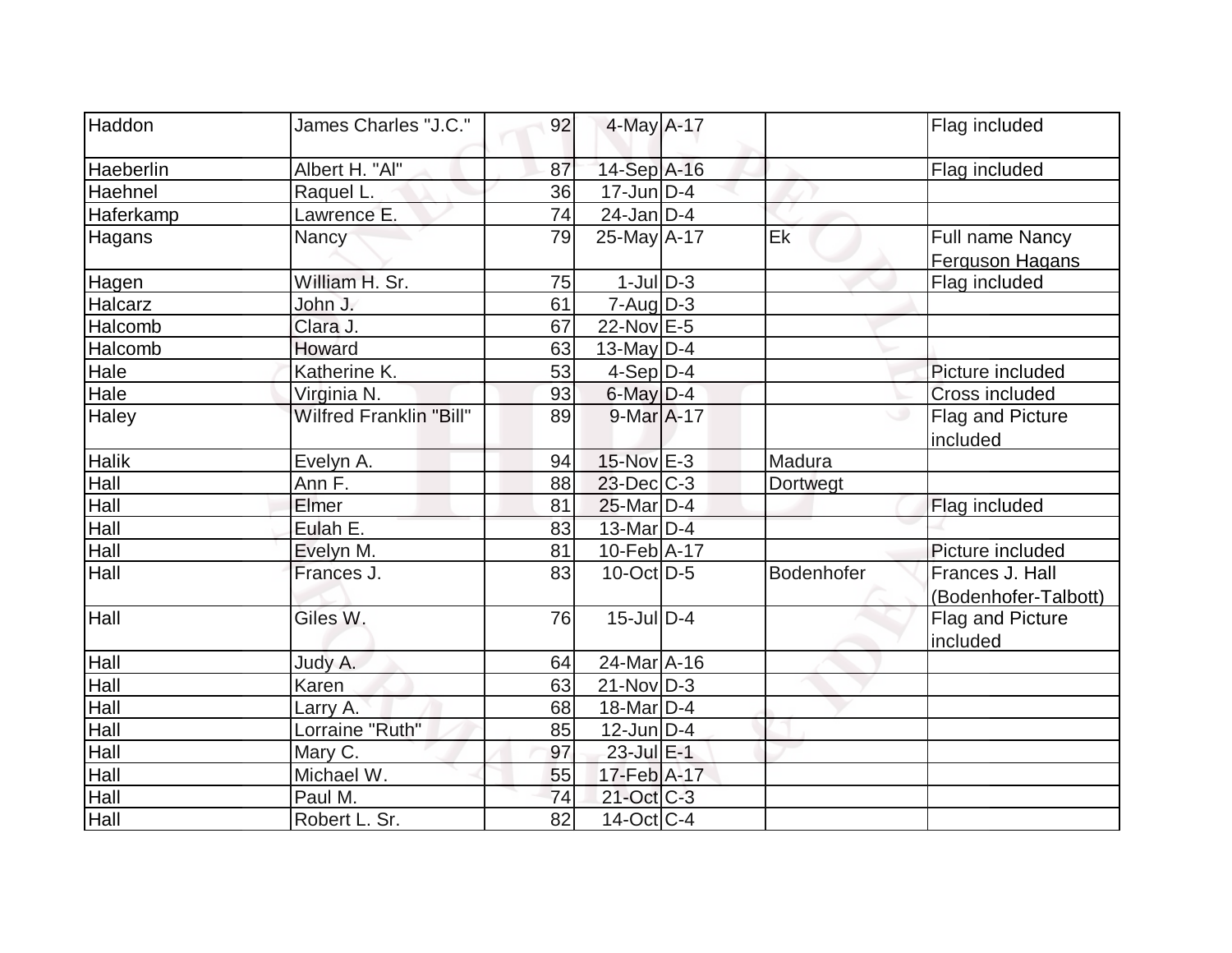| Haddon           | James Charles "J.C."           | 92 | 4-May A-17        |            | Flag included                           |
|------------------|--------------------------------|----|-------------------|------------|-----------------------------------------|
| Haeberlin        | Albert H. "Al"                 | 87 | 14-Sep A-16       |            | Flag included                           |
| Haehnel          | Raquel L.                      | 36 | $17$ -Jun $D-4$   |            |                                         |
| <b>Haferkamp</b> | Lawrence E.                    | 74 | $24$ -Jan D-4     |            |                                         |
| Hagans           | Nancy                          | 79 | $25$ -May $A$ -17 | Ek         | Full name Nancy<br>Ferguson Hagans      |
| Hagen            | William H. Sr.                 | 75 | $1$ -JulD-3       |            | Flag included                           |
| Halcarz          | John J.                        | 61 | $7 - Aug   D-3$   |            |                                         |
| Halcomb          | Clara J.                       | 67 | 22-Nov E-5        |            |                                         |
| Halcomb          | Howard                         | 63 | 13-May $D-4$      |            |                                         |
| Hale             | Katherine K.                   | 53 | $4-Sep D-4$       |            | Picture included                        |
| Hale             | Virginia N.                    | 93 | $6$ -May $D-4$    |            | Cross included                          |
| Haley            | <b>Wilfred Franklin "Bill"</b> | 89 | $9$ -Mar $A$ -17  |            | Flag and Picture<br>included            |
| <b>Halik</b>     | Evelyn A.                      | 94 | 15-Nov E-3        | Madura     |                                         |
| Hall             | Ann F.                         | 88 | $23$ -Dec $C-3$   | Dortwegt   |                                         |
| Hall             | Elmer                          | 81 | $25$ -Mar $D-4$   |            | Flag included                           |
| Hall             | Eulah E.                       | 83 | $13-Mar$ D-4      |            |                                         |
| Hall             | Evelyn M.                      | 81 | 10-Feb A-17       |            | Picture included                        |
| Hall             | Frances J.                     | 83 | $10$ -Oct D-5     | Bodenhofer | Frances J. Hall<br>(Bodenhofer-Talbott) |
| Hall             | Giles W.                       | 76 | $15$ -JulD-4      |            | Flag and Picture<br>included            |
| Hall             | Judy A.                        | 64 | 24-Mar A-16       |            |                                         |
| Hall             | Karen                          | 63 | $21$ -Nov D-3     |            |                                         |
| Hall             | Larry A.                       | 68 | 18-Mar $D-4$      |            |                                         |
| Hall             | Lorraine "Ruth"                | 85 | $12$ -Jun $ D-4 $ |            |                                         |
| Hall             | Mary C.                        | 97 | 23-Jul E-1        |            |                                         |
| Hall             | Michael W.                     | 55 | 17-Feb A-17       |            |                                         |
| Hall             | Paul M.                        | 74 | 21-Oct C-3        |            |                                         |
| Hall             | Robert L. Sr.                  | 82 | $14$ -Oct $ C-4 $ |            |                                         |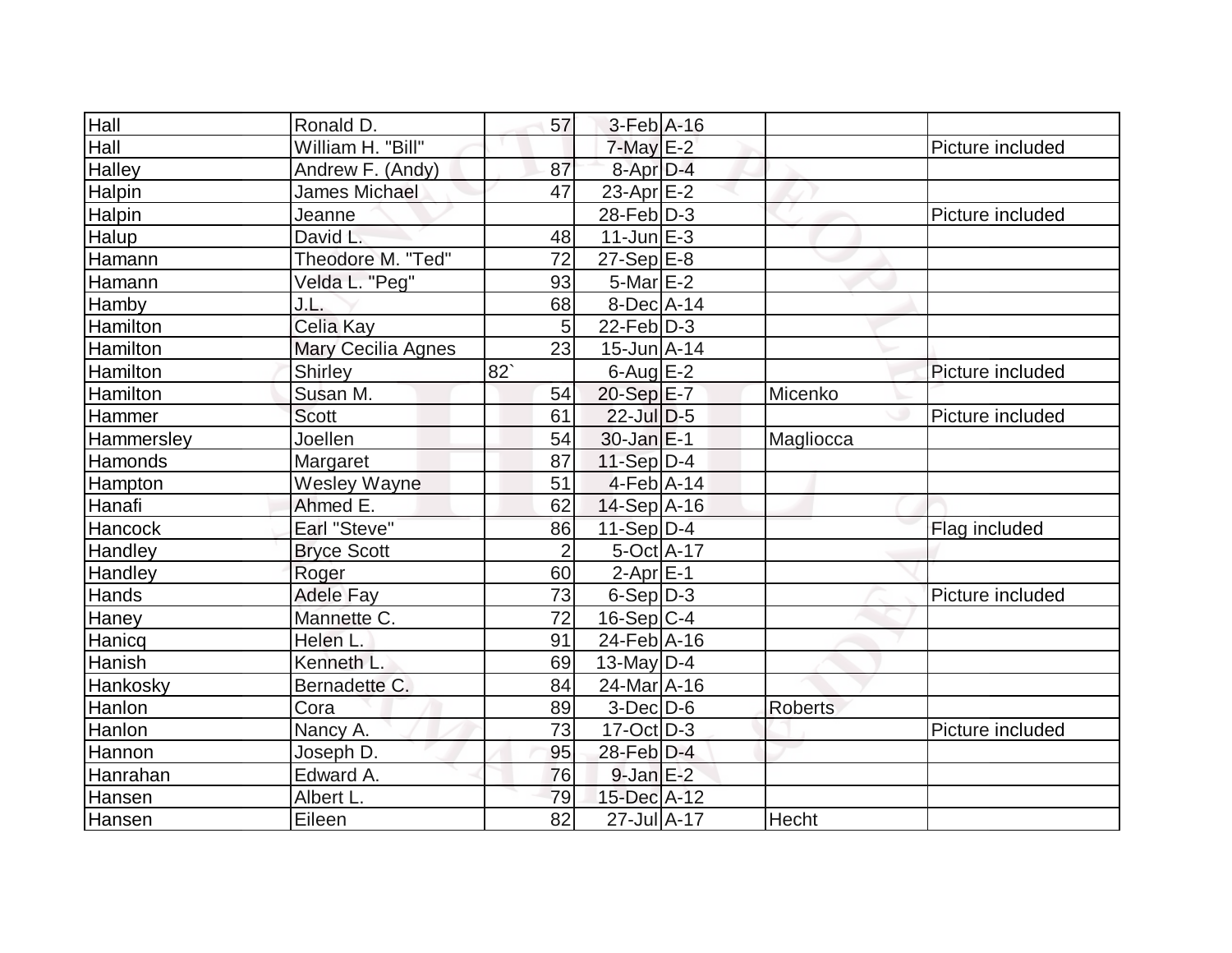| Hall              | Ronald D.            | 57             | $3$ -Feb $A-16$         |                |                  |
|-------------------|----------------------|----------------|-------------------------|----------------|------------------|
| Hall              | William H. "Bill"    |                | $7$ -May $E-2$          |                | Picture included |
| <b>Halley</b>     | Andrew F. (Andy)     | 87             | 8-Apr D-4               |                |                  |
| <b>Halpin</b>     | <b>James Michael</b> | 47             | 23-Apr $E-2$            |                |                  |
| <b>Halpin</b>     | Jeanne               |                | $28$ -Feb $ D-3 $       |                | Picture included |
| Halup             | David L.             | 48             | $11$ -Jun $E-3$         |                |                  |
| Hamann            | Theodore M. "Ted"    | 72             | $27-Sep$ <sup>E-8</sup> |                |                  |
| Hamann            | Velda L. "Peg"       | 93             | $5$ -Mar $E-2$          |                |                  |
| Hamby             | J.L.                 | 68             | $8$ -Dec $A$ -14        |                |                  |
| Hamilton          | Celia Kay            | 5              | $22$ -Feb $ D-3 $       |                |                  |
| Hamilton          | Mary Cecilia Agnes   | 23             | $15$ -Jun $A$ -14       |                |                  |
| Hamilton          | <b>Shirley</b>       | 82             | $6$ -Aug $E-2$          |                | Picture included |
| Hamilton          | Susan M.             | 54             | 20-Sep E-7              | Micenko        |                  |
| Hammer            | <b>Scott</b>         | 61             | 22-Jul D-5              |                | Picture included |
| <b>Hammersley</b> | Joellen              | 54             | $30 - Jan$ $E-1$        | Magliocca      |                  |
| Hamonds           | Margaret             | 87             | $11-Sep D-4$            |                |                  |
| Hampton           | <b>Wesley Wayne</b>  | 51             | $4-Feb$ A-14            |                |                  |
| Hanafi            | Ahmed E.             | 62             | $14-Sep$ $A-16$         |                |                  |
| Hancock           | Earl "Steve"         | 86             | $11-Sep D-4$            |                | Flag included    |
| Handley           | <b>Bryce Scott</b>   | $\overline{2}$ | 5-Oct A-17              |                |                  |
| Handley           | Roger                | 60             | $2-Apr \mathsf{E-1}$    |                |                  |
| <b>Hands</b>      | <b>Adele Fay</b>     | 73             | $6-Sep D-3$             |                | Picture included |
| Haney             | Mannette C.          | 72             | $16-Sep C-4$            |                |                  |
| Hanicq            | Helen L.             | 91             | $24$ -Feb $ A-16$       |                |                  |
| Hanish            | Kenneth L.           | 69             | 13-May $D-4$            |                |                  |
| Hankosky          | Bernadette C.        | 84             | 24-Mar A-16             |                |                  |
| Hanlon            | Cora                 | 89             | $3-Dec$ D-6             | <b>Roberts</b> |                  |
| Hanlon            | Nancy A.             | 73             | $17$ -Oct D-3           |                | Picture included |
| Hannon            | Joseph D.            | 95             | 28-Feb D-4              |                |                  |
| Hanrahan          | Edward A.            | 76             | $9$ -Jan $E-2$          |                |                  |
| Hansen            | Albert L.            | 79             | 15-Dec A-12             |                |                  |
| Hansen            | Eileen               | 82             | 27-Jul A-17             | Hecht          |                  |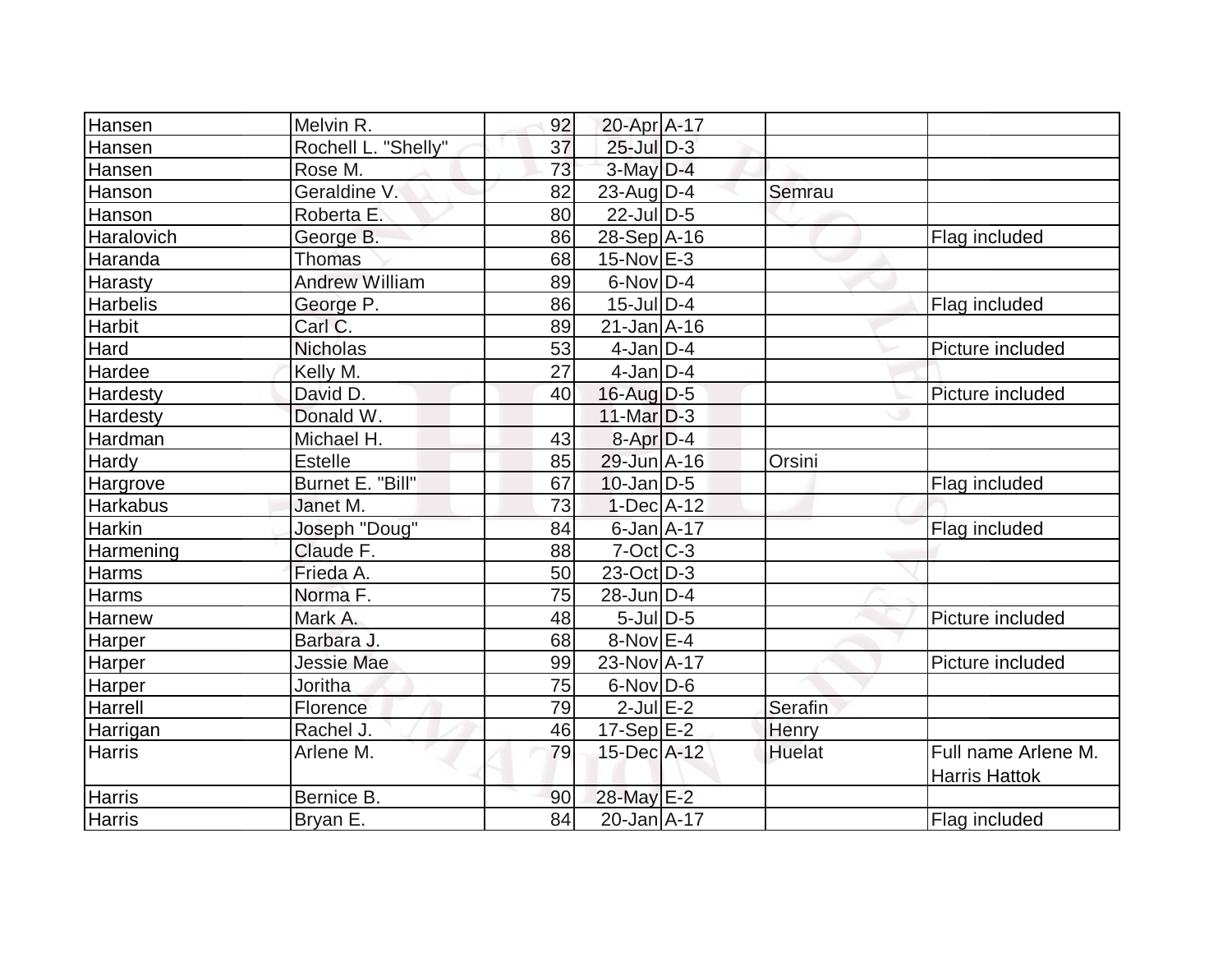| Hansen          | Melvin R.             | 92 | 20-Apr A-17       |               |                                             |
|-----------------|-----------------------|----|-------------------|---------------|---------------------------------------------|
| Hansen          | Rochell L. "Shelly"   | 37 | $25$ -Jul $D-3$   |               |                                             |
| Hansen          | Rose M.               | 73 | $3$ -May $D-4$    |               |                                             |
| Hanson          | Geraldine V.          | 82 | 23-Aug $D-4$      | Semrau        |                                             |
| Hanson          | Roberta E.            | 80 | $22$ -JulD-5      |               |                                             |
| Haralovich      | George B.             | 86 | 28-Sep A-16       |               | Flag included                               |
| Haranda         | <b>Thomas</b>         | 68 | $15$ -Nov $E-3$   |               |                                             |
| Harasty         | <b>Andrew William</b> | 89 | $6$ -Nov $D-4$    |               |                                             |
| Harbelis        | George P.             | 86 | $15$ -JulD-4      |               | Flag included                               |
| Harbit          | Carl C.               | 89 | $21$ -Jan $A$ -16 |               |                                             |
| Hard            | <b>Nicholas</b>       | 53 | $4$ -Jan $D-4$    |               | Picture included                            |
| Hardee          | Kelly M.              | 27 | $4$ -Jan $D-4$    |               |                                             |
| Hardesty        | David D.              | 40 | $16$ -Aug $D-5$   |               | Picture included                            |
| Hardesty        | Donald W.             |    | 11-Mar $D-3$      |               |                                             |
| Hardman         | Michael H.            | 43 | $8-Apr D-4$       |               |                                             |
| Hardy           | <b>Estelle</b>        | 85 | 29-Jun A-16       | Orsini        |                                             |
| Hargrove        | Burnet E. "Bill"      | 67 | $10$ -Jan $ D-5 $ |               | Flag included                               |
| <b>Harkabus</b> | Janet M.              | 73 | $1-Dec$ A-12      |               |                                             |
| Harkin          | Joseph "Doug"         | 84 | $6$ -Jan $A$ -17  |               | Flag included                               |
| Harmening       | Claude F.             | 88 | $7-Oct$ $C-3$     |               |                                             |
| Harms           | Frieda A.             | 50 | $23-Oct$ D-3      |               |                                             |
| Harms           | Norma F.              | 75 | $28$ -Jun $D-4$   |               |                                             |
| Harnew          | Mark A.               | 48 | $5$ -Jul $D-5$    |               | Picture included                            |
| Harper          | Barbara J.            | 68 | $8-Nov$ E-4       |               |                                             |
| Harper          | <b>Jessie Mae</b>     | 99 | 23-Nov A-17       |               | Picture included                            |
| Harper          | Joritha               | 75 | $6$ -Nov $D$ -6   |               |                                             |
| Harrell         | Florence              | 79 | $2$ -Jul $E-2$    | Serafin       |                                             |
| Harrigan        | Rachel J.             | 46 | $17-Sep$ $E-2$    | Henry         |                                             |
| <b>Harris</b>   | Arlene M.             | 79 | 15-Dec A-12       | <b>Huelat</b> | Full name Arlene M.<br><b>Harris Hattok</b> |
| <b>Harris</b>   | Bernice B.            | 90 | 28-May E-2        |               |                                             |
| <b>Harris</b>   | Bryan E.              | 84 | 20-Jan A-17       |               | Flag included                               |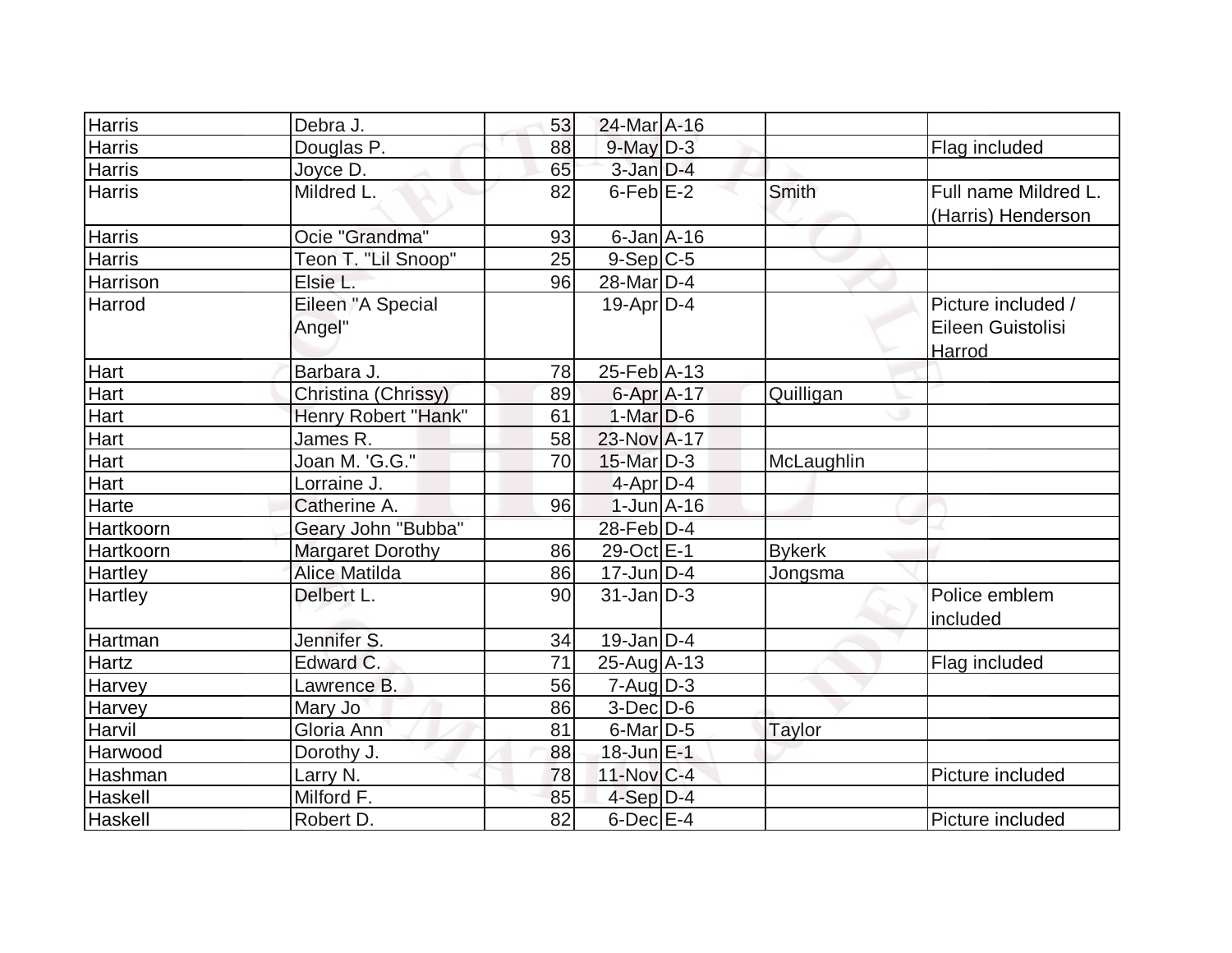| <b>Harris</b>  | Debra J.                    | 53 | 24-Mar A-16                  |               |                                                   |
|----------------|-----------------------------|----|------------------------------|---------------|---------------------------------------------------|
| Harris         | Douglas P.                  | 88 | $9$ -May $D-3$               |               | Flag included                                     |
| <b>Harris</b>  | Joyce D.                    | 65 | $3$ -Jan $D-4$               |               |                                                   |
| <b>Harris</b>  | Mildred L.                  | 82 | $6$ -Feb $E-2$               | <b>Smith</b>  | Full name Mildred L.<br>(Harris) Henderson        |
| <b>Harris</b>  | Ocie "Grandma"              | 93 | $6$ -Jan $A$ -16             |               |                                                   |
| <b>Harris</b>  | Teon T. "Lil Snoop"         | 25 | $9-Sep C-5$                  |               |                                                   |
| Harrison       | Elsie L.                    | 96 | 28-Mar D-4                   |               |                                                   |
| Harrod         | Eileen "A Special<br>Angel" |    | $19$ -Apr $D-4$              |               | Picture included /<br>Eileen Guistolisi<br>Harrod |
| Hart           | Barbara J.                  | 78 | $25$ -Feb $ A-13$            |               |                                                   |
| Hart           | Christina (Chrissy)         | 89 | $6 - Apr$ A-17               | Quilligan     |                                                   |
| Hart           | Henry Robert "Hank"         | 61 | $1-Mar$ D-6                  |               |                                                   |
| Hart           | James R.                    | 58 | 23-Nov A-17                  |               |                                                   |
| Hart           | Joan M. 'G.G."              | 70 | 15-Mar $D-3$                 | McLaughlin    |                                                   |
| Hart           | Lorraine J.                 |    | $4$ -Apr $D-4$               |               |                                                   |
| Harte          | Catherine A.                | 96 | $1$ -Jun $A$ -16             |               |                                                   |
| Hartkoorn      | Geary John "Bubba"          |    | $28$ -Feb $D-4$              |               |                                                   |
| Hartkoorn      | <b>Margaret Dorothy</b>     | 86 | 29-Oct E-1                   | <b>Bykerk</b> |                                                   |
| Hartley        | <b>Alice Matilda</b>        | 86 | $17$ -Jun $ D-4 $            | Jongsma       |                                                   |
| <b>Hartley</b> | Delbert L.                  | 90 | $31$ -Jan $ D-3 $            |               | Police emblem<br>included                         |
| Hartman        | Jennifer S.                 | 34 | $19$ -Jan $ D-4 $            |               |                                                   |
| Hartz          | Edward C.                   | 71 | $25$ -Aug $\overline{A}$ -13 |               | Flag included                                     |
| Harvey         | Lawrence B.                 | 56 | $7 - Aug   D-3$              |               |                                                   |
| Harvey         | Mary Jo                     | 86 | $3$ -Dec $D$ -6              |               |                                                   |
| Harvil         | Gloria Ann                  | 81 | $6$ -Mar $ D-5 $             | Taylor        |                                                   |
| Harwood        | Dorothy J.                  | 88 | 18-Jun E-1                   |               |                                                   |
| Hashman        | Larry N.                    | 78 | $11$ -Nov $ C-4 $            |               | Picture included                                  |
| Haskell        | Milford F.                  | 85 | $4-Sep$ D-4                  |               |                                                   |
| Haskell        | Robert D.                   | 82 | $6$ -Dec $E-4$               |               | Picture included                                  |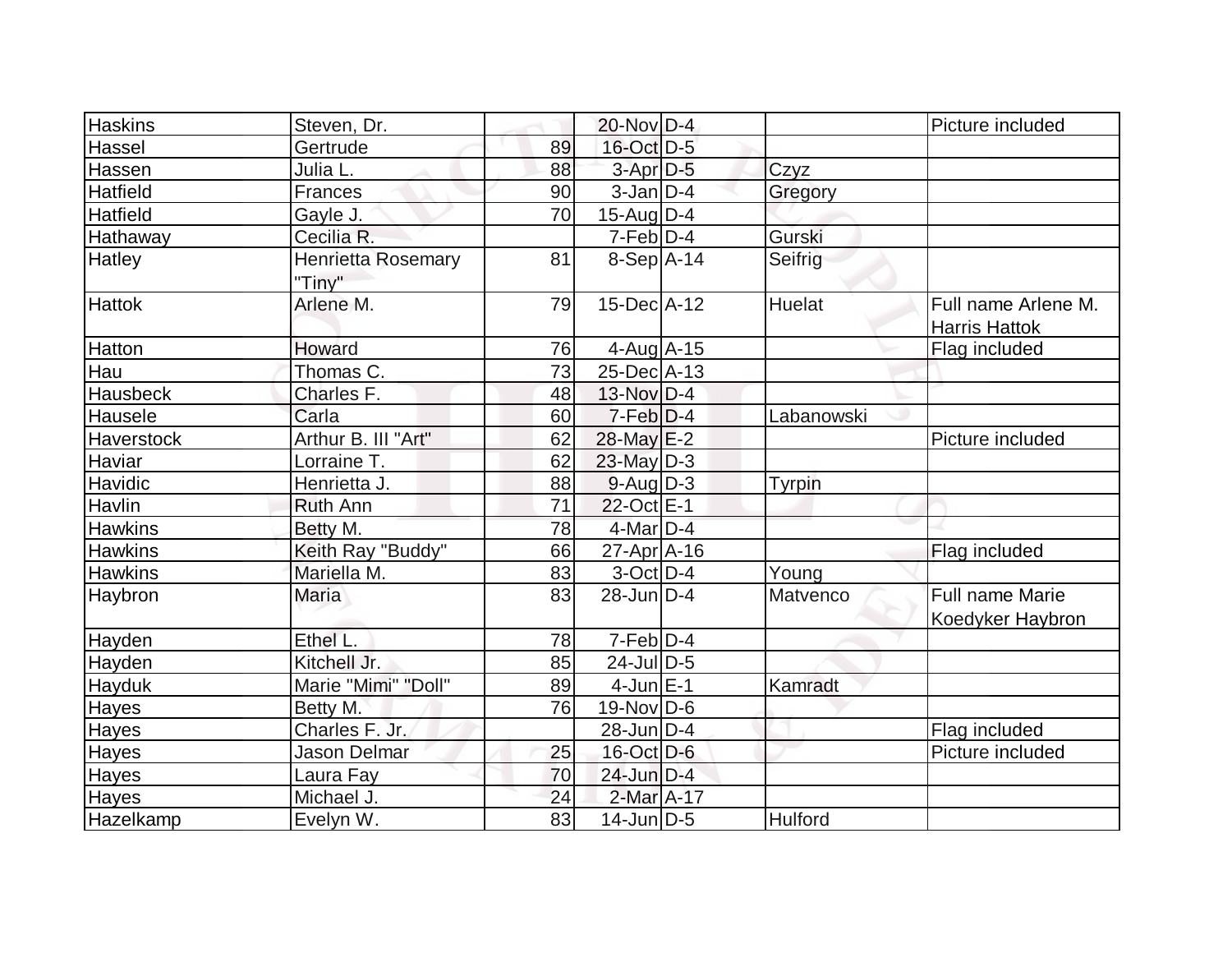| Haskins           | Steven, Dr.                  |    | 20-Nov D-4        |               | Picture included                            |
|-------------------|------------------------------|----|-------------------|---------------|---------------------------------------------|
| Hassel            | Gertrude                     | 89 | 16-Oct D-5        |               |                                             |
| Hassen            | Julia L.                     | 88 | $3-Apr$ $D-5$     | Czyz          |                                             |
| Hatfield          | Frances                      | 90 | $3$ -Jan $D-4$    | Gregory       |                                             |
| <b>Hatfield</b>   | Gayle J.                     | 70 | $15$ -AugD-4      |               |                                             |
| Hathaway          | Cecilia R.                   |    | $7-Feb D-4$       | Gurski        |                                             |
| <b>Hatley</b>     | Henrietta Rosemary<br>"Tiny" | 81 | $8-Sep A-14$      | Seifrig       |                                             |
| <b>Hattok</b>     | Arlene M.                    | 79 | $15$ -Dec $ A-12$ | <b>Huelat</b> | Full name Arlene M.<br><b>Harris Hattok</b> |
| Hatton            | <b>Howard</b>                | 76 | $4$ -Aug $A$ -15  |               | Flag included                               |
| Hau               | Thomas C.                    | 73 | 25-Dec A-13       |               |                                             |
| Hausbeck          | Charles F.                   | 48 | $13-NovD-4$       |               |                                             |
| Hausele           | Carla                        | 60 | $7-Feb D-4$       | Labanowski    |                                             |
| <b>Haverstock</b> | Arthur B. III "Art"          | 62 | $28$ -May $E-2$   |               | Picture included                            |
| Haviar            | Lorraine T.                  | 62 | 23-May D-3        |               |                                             |
| Havidic           | Henrietta J.                 | 88 | $9$ -Aug $D-3$    | <b>Tyrpin</b> |                                             |
| <b>Havlin</b>     | Ruth Ann                     | 71 | 22-Oct E-1        |               |                                             |
| <b>Hawkins</b>    | Betty M.                     | 78 | $4$ -Mar $D-4$    |               |                                             |
| <b>Hawkins</b>    | Keith Ray "Buddy"            | 66 | $27$ -Apr $ A-16$ |               | Flag included                               |
| <b>Hawkins</b>    | Mariella M.                  | 83 | $3$ -Oct $ D-4 $  | Young         |                                             |
| Haybron           | Maria                        | 83 | $28$ -Jun $D-4$   | Matvenco      | <b>Full name Marie</b><br>Koedyker Haybron  |
| Hayden            | Ethel L.                     | 78 | $7-Feb D-4$       |               |                                             |
| <b>Hayden</b>     | Kitchell Jr.                 | 85 | $24$ -JulD-5      |               |                                             |
| Hayduk            | Marie "Mimi" "Doll"          | 89 | $4$ -Jun $E-1$    | Kamradt       |                                             |
| Hayes             | Betty M.                     | 76 | $19-Nov D-6$      |               |                                             |
| <b>Hayes</b>      | Charles F. Jr.               |    | 28-Jun D-4        |               | Flag included                               |
| <b>Hayes</b>      | Jason Delmar                 | 25 | 16-Oct D-6        |               | Picture included                            |
| <b>Hayes</b>      | Laura Fay                    | 70 | $24$ -Jun $D-4$   |               |                                             |
| <b>Hayes</b>      | Michael J.                   | 24 | 2-Mar A-17        |               |                                             |
| Hazelkamp         | Evelyn W.                    | 83 | $14$ -Jun $D-5$   | Hulford       |                                             |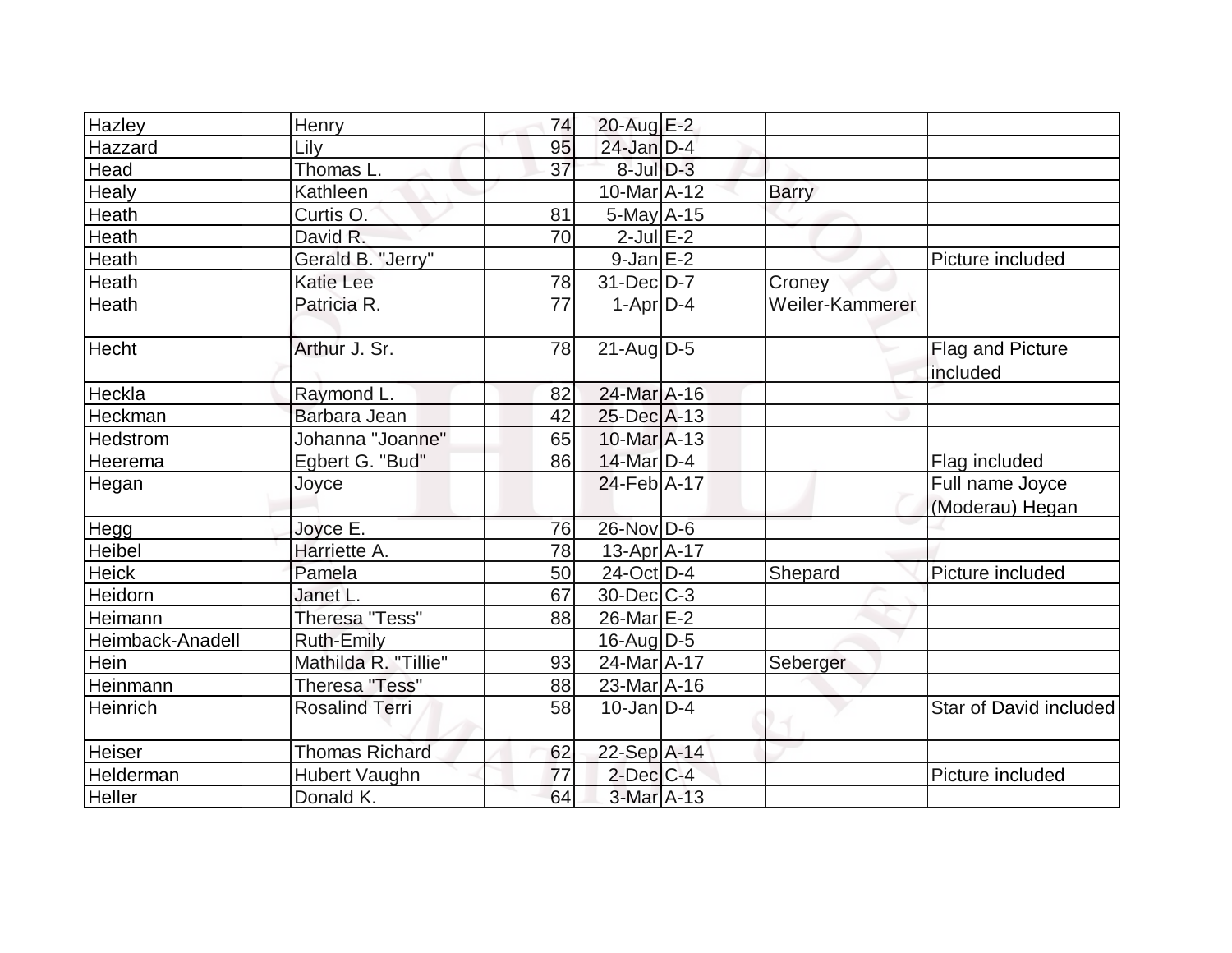| <b>Hazley</b>    | Henry                 | 74              | $20$ -Aug E-2     |                 |                                    |
|------------------|-----------------------|-----------------|-------------------|-----------------|------------------------------------|
| Hazzard          | Lily                  | 95              | $24$ -Jan $D-4$   |                 |                                    |
| Head             | Thomas L              | 37              | $8$ -Jul $D-3$    |                 |                                    |
| Healy            | Kathleen              |                 | $10$ -Mar $A$ -12 | <b>Barry</b>    |                                    |
| Heath            | Curtis O.             | 81              | $5$ -May $A$ -15  |                 |                                    |
| Heath            | David R.              | 70              | $2$ -Jul $E-2$    |                 |                                    |
| Heath            | Gerald B. "Jerry"     |                 | $9$ -Jan $E-2$    |                 | Picture included                   |
| Heath            | Katie Lee             | 78              | $31$ -Dec $ D-7 $ | Croney          |                                    |
| Heath            | Patricia R.           | $\overline{77}$ | $1-Apr D-4$       | Weiler-Kammerer |                                    |
| <b>Hecht</b>     | Arthur J. Sr.         | 78              | $21$ -Aug $D-5$   |                 | Flag and Picture<br>included       |
| Heckla           | Raymond L.            | 82              | 24-Mar A-16       |                 |                                    |
| Heckman          | Barbara Jean          | 42              | 25-Dec A-13       |                 |                                    |
| <b>Hedstrom</b>  | Johanna "Joanne"      | 65              | $10$ -Mar $A$ -13 |                 |                                    |
| Heerema          | Egbert G. "Bud"       | 86              | 14-Mar $D-4$      |                 | Flag included                      |
| Hegan            | Joyce                 |                 | 24-Feb A-17       |                 | Full name Joyce<br>(Moderau) Hegan |
| Hegg             | Joyce E.              | 76              | $26$ -Nov D-6     |                 |                                    |
| Heibel           | Harriette A.          | 78              | $13$ -Apr $ A-17$ |                 |                                    |
| <b>Heick</b>     | Pamela                | 50              | $24$ -Oct D-4     | Shepard         | Picture included                   |
| Heidorn          | Janet L.              | 67              | $30$ -Dec $C-3$   |                 |                                    |
| Heimann          | Theresa "Tess"        | 88              | 26-Mar E-2        |                 |                                    |
| Heimback-Anadell | Ruth-Emily            |                 | $16$ -Aug $ D-5 $ |                 |                                    |
| Hein             | Mathilda R. "Tillie"  | 93              | 24-Mar A-17       | Seberger        |                                    |
| Heinmann         | <b>Theresa "Tess"</b> | 88              | $23$ -Mar $A$ -16 |                 |                                    |
| Heinrich         | <b>Rosalind Terri</b> | 58              | $10$ -Jan $ D-4 $ |                 | Star of David included             |
| Heiser           | <b>Thomas Richard</b> | 62              | 22-Sep A-14       |                 |                                    |
| Helderman        | Hubert Vaughn         | 77              | $2$ -Dec $C$ -4   |                 | Picture included                   |
| <b>Heller</b>    | Donald K.             | 64              | 3-Mar A-13        |                 |                                    |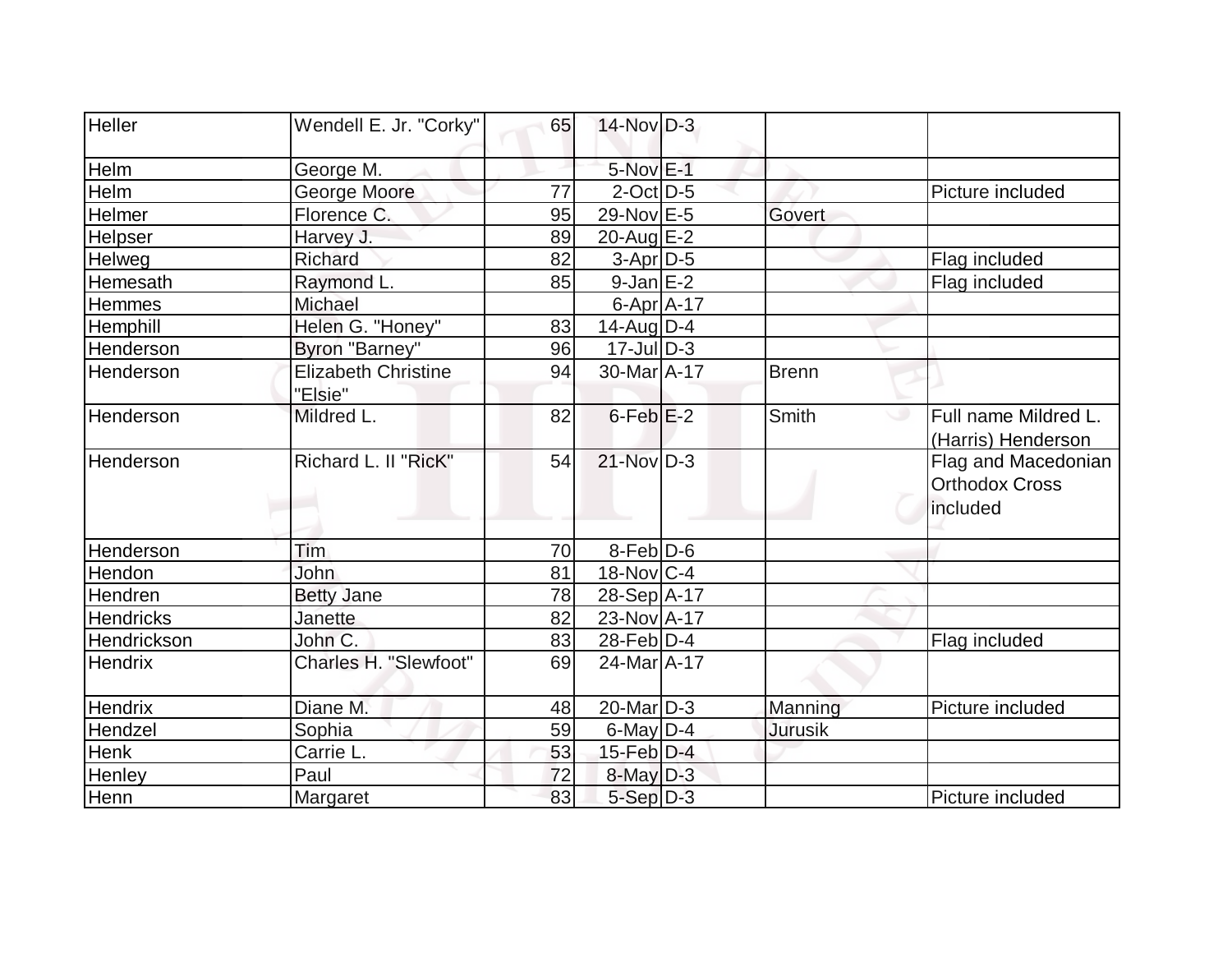| <b>Heller</b>    | Wendell E. Jr. "Corky"                | 65 | $14$ -Nov $D-3$    |         |                                                          |
|------------------|---------------------------------------|----|--------------------|---------|----------------------------------------------------------|
| Helm             | George M.                             |    | 5-Nov E-1          |         |                                                          |
| Helm             | George Moore                          | 77 | $2$ -Oct $D-5$     |         | Picture included                                         |
| Helmer           | Florence C.                           | 95 | 29-Nov E-5         | Govert  |                                                          |
| Helpser          | Harvey J.                             | 89 | $20$ -Aug $E-2$    |         |                                                          |
| Helweg           | Richard                               | 82 | 3-Apr D-5          |         | Flag included                                            |
| Hemesath         | Raymond L.                            | 85 | $9$ -Jan $E-2$     |         | Flag included                                            |
| Hemmes           | Michael                               |    | $6 - Apr$ $A - 17$ |         |                                                          |
| Hemphill         | Helen G. "Honey"                      | 83 | $14$ -Aug $ D-4 $  |         |                                                          |
| <b>Henderson</b> | Byron "Barney"                        | 96 | $17$ -Jul $D-3$    |         |                                                          |
| Henderson        | <b>Elizabeth Christine</b><br>"Elsie" | 94 | 30-Mar A-17        | Brenn   |                                                          |
| Henderson        | Mildred L.                            | 82 | $6$ -Feb $E-2$     | Smith   | Full name Mildred L.<br>(Harris) Henderson               |
| Henderson        | Richard L. II "RicK"                  | 54 | $21-Nov$ D-3       |         | Flag and Macedonian<br><b>Orthodox Cross</b><br>included |
| <b>Henderson</b> | Tim                                   | 70 | $8-Feb D-6$        |         |                                                          |
| Hendon           | John                                  | 81 | 18-Nov C-4         |         |                                                          |
| Hendren          | <b>Betty Jane</b>                     | 78 | 28-Sep A-17        |         |                                                          |
| <b>Hendricks</b> | Janette                               | 82 | 23-Nov A-17        |         |                                                          |
| Hendrickson      | John C.                               | 83 | $28$ -Feb $D-4$    |         | Flag included                                            |
| <b>Hendrix</b>   | Charles H. "Slewfoot"                 | 69 | 24-Mar A-17        |         |                                                          |
| Hendrix          | Diane M.                              | 48 | $20$ -Mar $ D-3 $  | Manning | Picture included                                         |
| Hendzel          | Sophia                                | 59 | $6$ -May $D-4$     | Jurusik |                                                          |
| <b>Henk</b>      | Carrie L.                             | 53 | $15$ -Feb $D-4$    |         |                                                          |
| Henley           | Paul                                  | 72 | 8-May D-3          |         |                                                          |
| Henn             | Margaret                              | 83 | $5-Sep$ $D-3$      |         | Picture included                                         |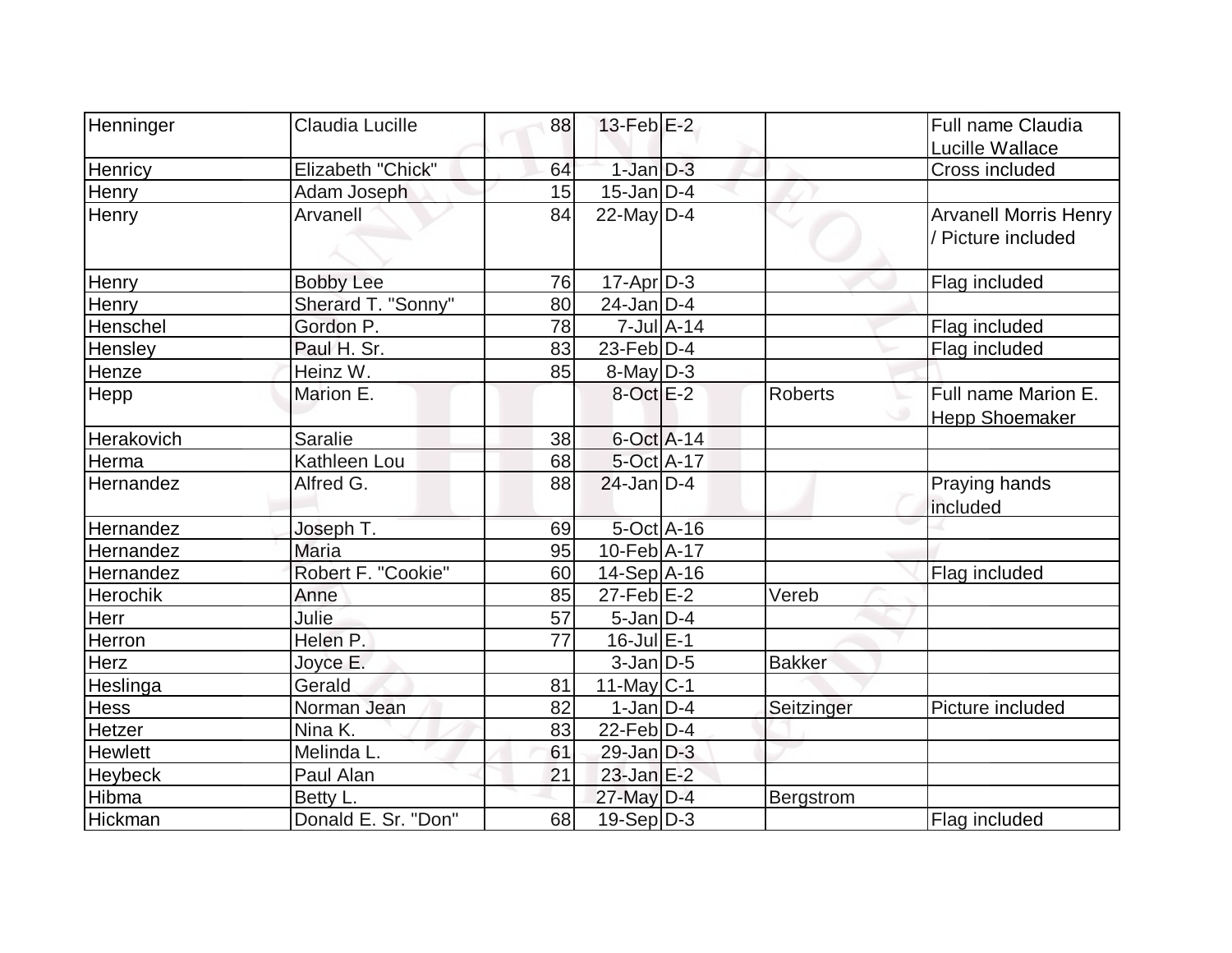| Henninger      | Claudia Lucille     | 88 | $13$ -Feb $E-2$   |                  |                | Full name Claudia            |
|----------------|---------------------|----|-------------------|------------------|----------------|------------------------------|
|                |                     |    |                   |                  |                | Lucille Wallace              |
| Henricy        | Elizabeth "Chick"   | 64 | $1-Jan$ $D-3$     |                  |                | <b>Cross included</b>        |
| Henry          | Adam Joseph         | 15 | $15$ -Jan D-4     |                  |                |                              |
| Henry          | Arvanell            | 84 | $22$ -May D-4     |                  |                | <b>Arvanell Morris Henry</b> |
|                |                     |    |                   |                  |                | Picture included             |
| Henry          | <b>Bobby Lee</b>    | 76 | $17$ -Apr $ D-3 $ |                  |                | Flag included                |
| Henry          | Sherard T. "Sonny"  | 80 | $24$ -Jan D-4     |                  |                |                              |
| Henschel       | Gordon P.           | 78 |                   | $7$ -Jul $A$ -14 |                | Flag included                |
| Hensley        | Paul H. Sr.         | 83 | $23$ -Feb $ D-4 $ |                  |                | Flag included                |
| Henze          | Heinz W.            | 85 | $8$ -May $D-3$    |                  |                |                              |
| Hepp           | Marion E.           |    | $8-Oct$ $E-2$     |                  | <b>Roberts</b> | Full name Marion E.          |
|                |                     |    |                   |                  |                | <b>Hepp Shoemaker</b>        |
| Herakovich     | <b>Saralie</b>      | 38 | $6$ -Oct $A$ -14  |                  |                |                              |
| Herma          | Kathleen Lou        | 68 | 5-Oct A-17        |                  |                |                              |
| Hernandez      | Alfred G.           | 88 | $24$ -Jan D-4     |                  |                | Praying hands<br>included    |
| Hernandez      | Joseph T.           | 69 | 5-Oct A-16        |                  |                |                              |
| Hernandez      | <b>Maria</b>        | 95 | 10-Feb A-17       |                  |                |                              |
| Hernandez      | Robert F. "Cookie"  | 60 | 14-Sep A-16       |                  |                | Flag included                |
| Herochik       | Anne                | 85 | $27$ -Feb $E-2$   |                  | Vereb          |                              |
| Herr           | Julie               | 57 | $5$ -Jan $D-4$    |                  |                |                              |
| Herron         | Helen P.            | 77 | $16$ -Jul $E-1$   |                  |                |                              |
| Herz           | Joyce E.            |    | $3$ -Jan $D-5$    |                  | <b>Bakker</b>  |                              |
| Heslinga       | Gerald              | 81 | 11-May C-1        |                  |                |                              |
| <b>Hess</b>    | Norman Jean         | 82 | $1-Jan D-4$       |                  | Seitzinger     | Picture included             |
| Hetzer         | Nina K.             | 83 | $22$ -Feb $ D-4 $ |                  |                |                              |
| <b>Hewlett</b> | Melinda L.          | 61 | $29$ -Jan D-3     |                  |                |                              |
| <b>Heybeck</b> | Paul Alan           | 21 | $23$ -Jan $E-2$   |                  |                |                              |
| Hibma          | Betty L.            |    | $27$ -May D-4     |                  | Bergstrom      |                              |
| Hickman        | Donald E. Sr. "Don" | 68 | $19-Sep D-3$      |                  |                | Flag included                |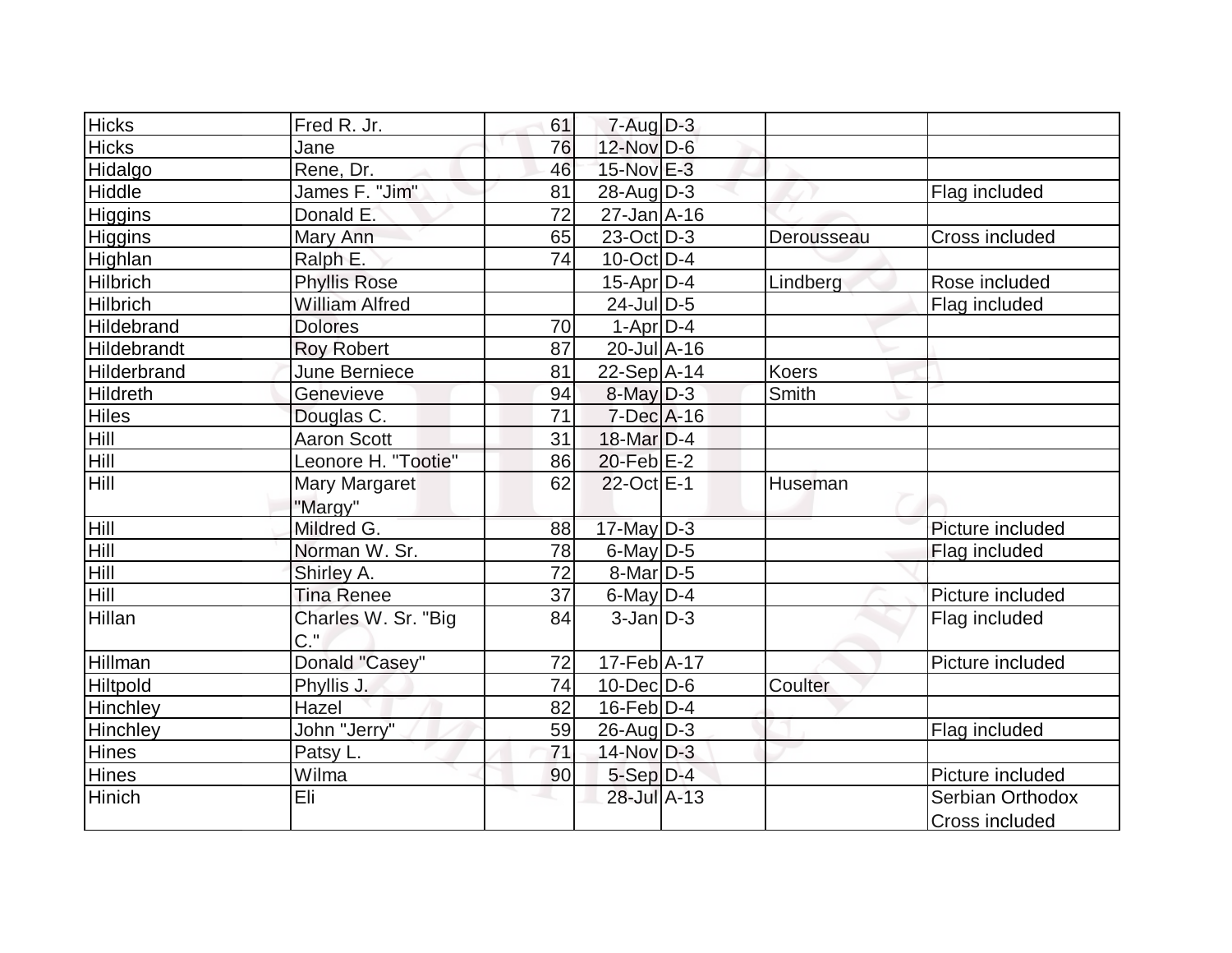| <b>Hicks</b>    | Fred R. Jr.           | 61 | $7 - Aug$ $D-3$              |            |                  |
|-----------------|-----------------------|----|------------------------------|------------|------------------|
| <b>Hicks</b>    | Jane                  | 76 | $12$ -Nov D-6                |            |                  |
| Hidalgo         | Rene, Dr.             | 46 | 15-Nov E-3                   |            |                  |
| Hiddle          | James F. "Jim"        | 81 | $28$ -Aug $D-3$              |            | Flag included    |
| Higgins         | Donald E.             | 72 | $27 - Jan$ A-16              |            |                  |
| Higgins         | Mary Ann              | 65 | $23-Oct$ D-3                 | Derousseau | Cross included   |
| Highlan         | Ralph E.              | 74 | $10$ -Oct $ D-4 $            |            |                  |
| <b>Hilbrich</b> | <b>Phyllis Rose</b>   |    | $15$ -Apr $D-4$              | Lindberg   | Rose included    |
| Hilbrich        | <b>William Alfred</b> |    | $24$ -JulD-5                 |            | Flag included    |
| Hildebrand      | <b>Dolores</b>        | 70 | $1-Apr D-4$                  |            |                  |
| Hildebrandt     | <b>Roy Robert</b>     | 87 | $20$ -Jul $\overline{A}$ -16 |            |                  |
| Hilderbrand     | June Berniece         | 81 | $22-Sep$ A-14                | Koers      |                  |
| <b>Hildreth</b> | Genevieve             | 94 | $8$ -May $D-3$               | Smith      |                  |
| <b>Hiles</b>    | Douglas C.            | 71 | $7$ -Dec $A$ -16             |            |                  |
| Hill            | <b>Aaron Scott</b>    | 31 | $18$ -Mar $ D-4 $            |            |                  |
| Hill            | Leonore H. "Tootie"   | 86 | $20$ -Feb $E-2$              |            |                  |
| Hill            | Mary Margaret         | 62 | 22-Oct E-1                   | Huseman    |                  |
|                 | "Margy"               |    |                              |            |                  |
| Hill            | Mildred G.            | 88 | $17$ -May D-3                |            | Picture included |
| Hill            | Norman W. Sr.         | 78 | $6$ -May D-5                 |            | Flag included    |
| Hill            | Shirley A.            | 72 | 8-Mar <sub>D</sub> -5        |            |                  |
| Hill            | <b>Tina Renee</b>     | 37 | $6$ -May $D-4$               |            | Picture included |
| Hillan          | Charles W. Sr. "Big   | 84 | $3$ -Jan $ D-3 $             |            | Flag included    |
|                 | $C.$ "                |    |                              |            |                  |
| Hillman         | Donald "Casey"        | 72 | $17-Feb$ A-17                |            | Picture included |
| Hiltpold        | Phyllis J.            | 74 | $10$ -Dec $D$ -6             | Coulter    |                  |
| Hinchley        | Hazel                 | 82 | $16$ -Feb $D-4$              |            |                  |
| <b>Hinchley</b> | John "Jerry"          | 59 | $26$ -Aug $D-3$              |            | Flag included    |
| <b>Hines</b>    | Patsy L.              | 71 | $14$ -Nov D-3                |            |                  |
| <b>Hines</b>    | Wilma                 | 90 | $5-Sep D-4$                  |            | Picture included |
| <b>Hinich</b>   | Eli                   |    | 28-Jul A-13                  |            | Serbian Orthodox |
|                 |                       |    |                              |            | Cross included   |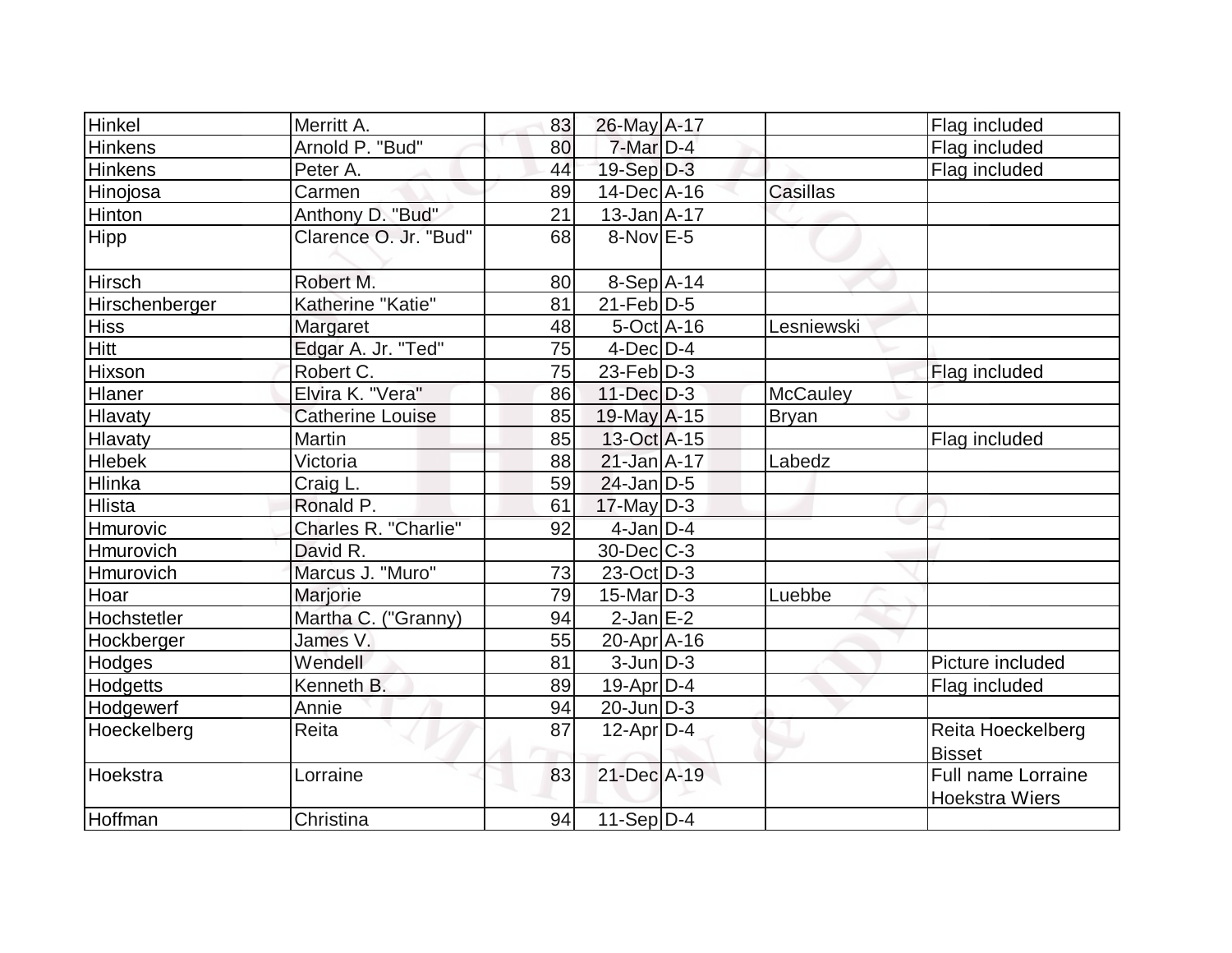| Hinkel         | Merritt A.              | 83 | 26-May A-17       |                 | Flag included                               |
|----------------|-------------------------|----|-------------------|-----------------|---------------------------------------------|
| Hinkens        | Arnold P. "Bud"         | 80 | $7$ -Mar $D-4$    |                 | Flag included                               |
| <b>Hinkens</b> | Peter A.                | 44 | $19-Sep D-3$      |                 | Flag included                               |
| Hinojosa       | Carmen                  | 89 | $14$ -Dec $ A-16$ | <b>Casillas</b> |                                             |
| Hinton         | Anthony D. "Bud"        | 21 | $13$ -Jan $A$ -17 |                 |                                             |
| Hipp           | Clarence O. Jr. "Bud"   | 68 | $8-Nov$ E-5       |                 |                                             |
| Hirsch         | Robert M.               | 80 | $8-Sep$ A-14      |                 |                                             |
| Hirschenberger | Katherine "Katie"       | 81 | $21$ -Feb $ D-5$  |                 |                                             |
| <b>Hiss</b>    | Margaret                | 48 | $5-Oct$ $A-16$    | Lesniewski      |                                             |
| <b>Hitt</b>    | Edgar A. Jr. "Ted"      | 75 | $4$ -Dec $D-4$    |                 |                                             |
| Hixson         | Robert C.               | 75 | $23$ -Feb $ D-3 $ |                 | Flag included                               |
| Hlaner         | Elvira K. "Vera"        | 86 | $11$ -Dec $D-3$   | <b>McCauley</b> |                                             |
| Hlavaty        | <b>Catherine Louise</b> | 85 | $19$ -May A-15    | <b>Bryan</b>    |                                             |
| <b>Hlavaty</b> | Martin                  | 85 | 13-Oct A-15       |                 | Flag included                               |
| <b>Hlebek</b>  | Victoria                | 88 | $21$ -Jan $A-17$  | Labedz          |                                             |
| Hlinka         | Craig L.                | 59 | $24$ -Jan D-5     |                 |                                             |
| <b>Hlista</b>  | Ronald P.               | 61 | $17$ -May D-3     |                 |                                             |
| Hmurovic       | Charles R. "Charlie"    | 92 | $4$ -Jan $D-4$    |                 |                                             |
| Hmurovich      | David R.                |    | $30$ -Dec $C-3$   |                 |                                             |
| Hmurovich      | Marcus J. "Muro"        | 73 | $23$ -Oct D-3     |                 |                                             |
| Hoar           | Marjorie                | 79 | $15$ -Mar $ D-3 $ | Luebbe          |                                             |
| Hochstetler    | Martha C. ("Granny)     | 94 | $2$ -Jan $E-2$    |                 |                                             |
| Hockberger     | James V.                | 55 | 20-Apr A-16       |                 |                                             |
| Hodges         | Wendell                 | 81 | $3$ -Jun $D-3$    |                 | Picture included                            |
| Hodgetts       | Kenneth B.              | 89 | $19$ -Apr $D-4$   |                 | Flag included                               |
| Hodgewerf      | Annie                   | 94 | $20$ -Jun $ D-3 $ |                 |                                             |
| Hoeckelberg    | Reita                   | 87 | $12$ -Apr $ D-4$  |                 | Reita Hoeckelberg<br><b>Bisset</b>          |
| Hoekstra       | Lorraine                | 83 | 21-Dec A-19       |                 | Full name Lorraine<br><b>Hoekstra Wiers</b> |
| Hoffman        | Christina               | 94 | $11-Sep D-4$      |                 |                                             |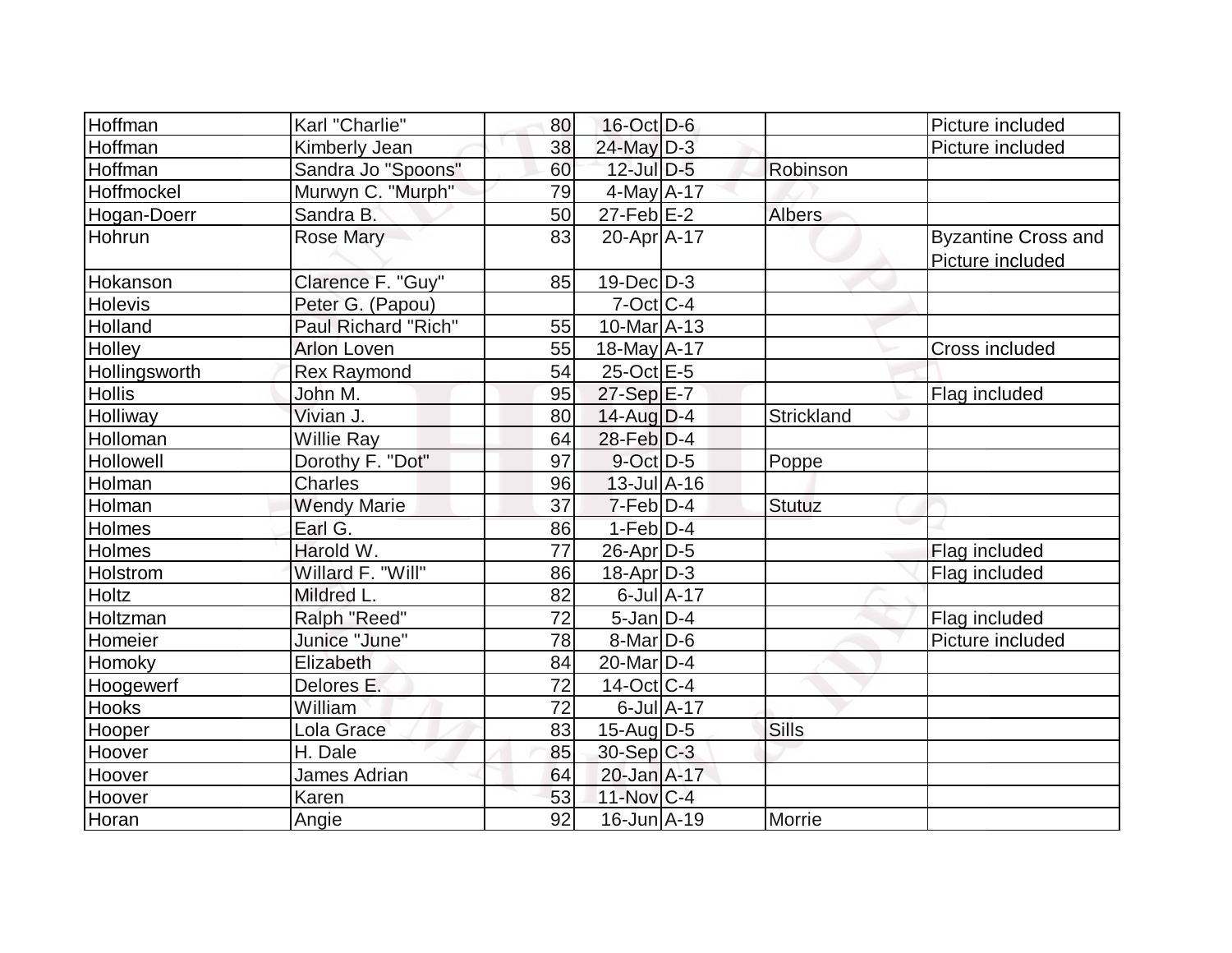| Hoffman        | Karl "Charlie"      | 80              | 16-Oct D-6                   |                  |               | Picture included                               |
|----------------|---------------------|-----------------|------------------------------|------------------|---------------|------------------------------------------------|
| Hoffman        | Kimberly Jean       | 38              | $24$ -May $D-3$              |                  |               | Picture included                               |
| Hoffman        | Sandra Jo "Spoons"  | 60              | $12$ -Jul $D-5$              |                  | Robinson      |                                                |
| Hoffmockel     | Murwyn C. "Murph"   | 79              | $4$ -May $A$ -17             |                  |               |                                                |
| Hogan-Doerr    | Sandra B.           | 50              | $27$ -Feb $E-2$              |                  | <b>Albers</b> |                                                |
| Hohrun         | <b>Rose Mary</b>    | 83              | 20-Apr A-17                  |                  |               | <b>Byzantine Cross and</b><br>Picture included |
| Hokanson       | Clarence F. "Guy"   | 85              | $19$ -Dec $ D-3 $            |                  |               |                                                |
| <b>Holevis</b> | Peter G. (Papou)    |                 | $7$ -Oct C-4                 |                  |               |                                                |
| Holland        | Paul Richard "Rich" | 55              | $10$ -Mar $\overline{A}$ -13 |                  |               |                                                |
| Holley         | <b>Arlon Loven</b>  | 55              | $18$ -May $A$ -17            |                  |               | Cross included                                 |
| Hollingsworth  | <b>Rex Raymond</b>  | 54              | 25-Oct E-5                   |                  |               |                                                |
| <b>Hollis</b>  | John M.             | 95              | 27-Sep E-7                   |                  |               | Flag included                                  |
| Holliway       | Vivian J.           | 80              | $14$ -Aug $D-4$              |                  | Strickland    |                                                |
| Holloman       | <b>Willie Ray</b>   | 64              | $28$ -Feb $D-4$              |                  |               |                                                |
| Hollowell      | Dorothy F. "Dot"    | 97              | $9$ -Oct $D-5$               |                  | Poppe         |                                                |
| Holman         | <b>Charles</b>      | 96              | $13$ -Jul $A-16$             |                  |               |                                                |
| Holman         | <b>Wendy Marie</b>  | 37              | $7-Feb D-4$                  |                  | <b>Stutuz</b> |                                                |
| Holmes         | Earl G.             | 86              | $1-Feb D-4$                  |                  |               |                                                |
| Holmes         | Harold W.           | 77              | $26$ -Apr $D-5$              |                  |               | Flag included                                  |
| Holstrom       | Willard F. "Will"   | 86              | $18$ -Apr $D-3$              |                  |               | Flag included                                  |
| <b>Holtz</b>   | Mildred L.          | 82              |                              | $6$ -Jul $A$ -17 |               |                                                |
| Holtzman       | Ralph "Reed"        | 72              | $5$ -Jan $D-4$               |                  |               | Flag included                                  |
| Homeier        | Junice "June"       | 78              | $8$ -Mar $D$ -6              |                  |               | Picture included                               |
| Homoky         | Elizabeth           | 84              | 20-Mar D-4                   |                  |               |                                                |
| Hoogewerf      | Delores E.          | 72              | $14$ -Oct $ C-4 $            |                  |               |                                                |
| Hooks          | William             | $\overline{72}$ |                              | $6$ -Jul $A$ -17 |               |                                                |
| Hooper         | Lola Grace          | 83              | $15$ -Aug $D-5$              |                  | <b>Sills</b>  |                                                |
| Hoover         | H. Dale             | 85              | $30-Sep$ C-3                 |                  |               |                                                |
| Hoover         | James Adrian        | 64              | 20-Jan A-17                  |                  |               |                                                |
| Hoover         | Karen               | 53              | 11-Nov C-4                   |                  |               |                                                |
| Horan          | Angie               | 92              | $16$ -Jun $A-19$             |                  | Morrie        |                                                |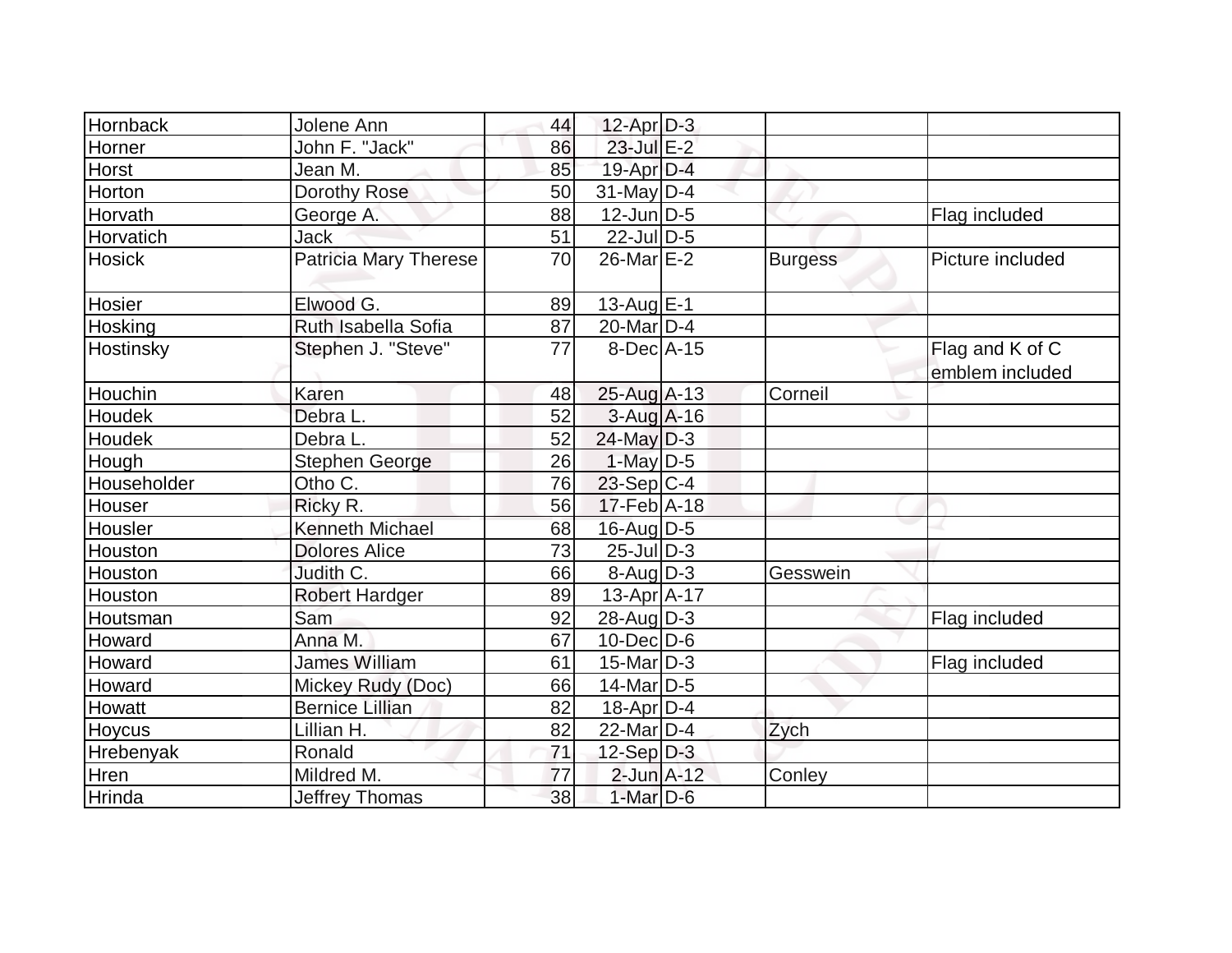| Hornback          | Jolene Ann             | 44       | $12$ -Apr $D-3$                    |                |                  |
|-------------------|------------------------|----------|------------------------------------|----------------|------------------|
| Horner            | John F. "Jack"         | 86       | 23-Jul E-2                         |                |                  |
| <b>Horst</b>      | Jean M.                | 85       | $19$ -Apr $D-4$                    |                |                  |
| <b>Horton</b>     | Dorothy Rose           | 50       | $31$ -May D-4                      |                |                  |
| Horvath           | George A.              | 88       | $12$ -Jun $D-5$                    |                | Flag included    |
| Horvatich         | Jack                   | 51       | $22$ -JulD-5                       |                |                  |
| <b>Hosick</b>     | Patricia Mary Therese  | 70       | $26$ -Mar $E-2$                    | <b>Burgess</b> | Picture included |
| Hosier            | Elwood G.              | 89       | 13-Aug $E-1$                       |                |                  |
| Hosking           | Ruth Isabella Sofia    | 87       | $20$ -Mar $D-4$                    |                |                  |
| Hostinsky         | Stephen J. "Steve"     | 77       | $8$ -Dec $ A-15$                   |                | Flag and K of C  |
|                   | Karen                  |          |                                    | Corneil        | emblem included  |
| Houchin<br>Houdek | Debra L.               | 48<br>52 | $25$ -Aug A-13<br>$3$ -Aug $A$ -16 |                |                  |
|                   |                        |          |                                    |                |                  |
| Houdek            | Debra L.               | 52       | $24$ -May D-3                      |                |                  |
| Hough             | <b>Stephen George</b>  | 26       | $1$ -May D-5                       |                |                  |
| Householder       | Otho C.                | 76       | $23-Sep C-4$                       |                |                  |
| Houser            | Ricky R.               | 56       | $17$ -Feb $ A-18$                  |                |                  |
| Housler           | Kenneth Michael        | 68       | $16$ -Aug $D-5$                    |                |                  |
| Houston           | <b>Dolores Alice</b>   | 73       | $25$ -Jul $\overline{D}$ -3        |                |                  |
| Houston           | Judith C.              | 66       | $8 - \text{Aug}$ D-3               | Gesswein       |                  |
| Houston           | <b>Robert Hardger</b>  | 89       | $13-Apr$ A-17                      |                |                  |
| Houtsman          | Sam                    | 92       | $28$ -Aug $ D-3 $                  |                | Flag included    |
| Howard            | Anna M.                | 67       | $10$ -Dec $ D-6 $                  |                |                  |
| Howard            | <b>James William</b>   | 61       | $15$ -Mar $ D-3 $                  |                | Flag included    |
| Howard            | Mickey Rudy (Doc)      | 66       | $14$ -Mar $ D-5$                   |                |                  |
| Howatt            | <b>Bernice Lillian</b> | 82       | $18$ -Apr $ D-4$                   |                |                  |
| Hoycus            | Lillian H.             | 82       | $22$ -Mar $D-4$                    | Zych           |                  |
| Hrebenyak         | Ronald                 | 71       | $12$ -Sep $D-3$                    |                |                  |
| Hren              | Mildred M.             | 77       | $2$ -Jun $A-12$                    | Conley         |                  |
| <b>Hrinda</b>     | Jeffrey Thomas         | 38       | $1-Mar$ D-6                        |                |                  |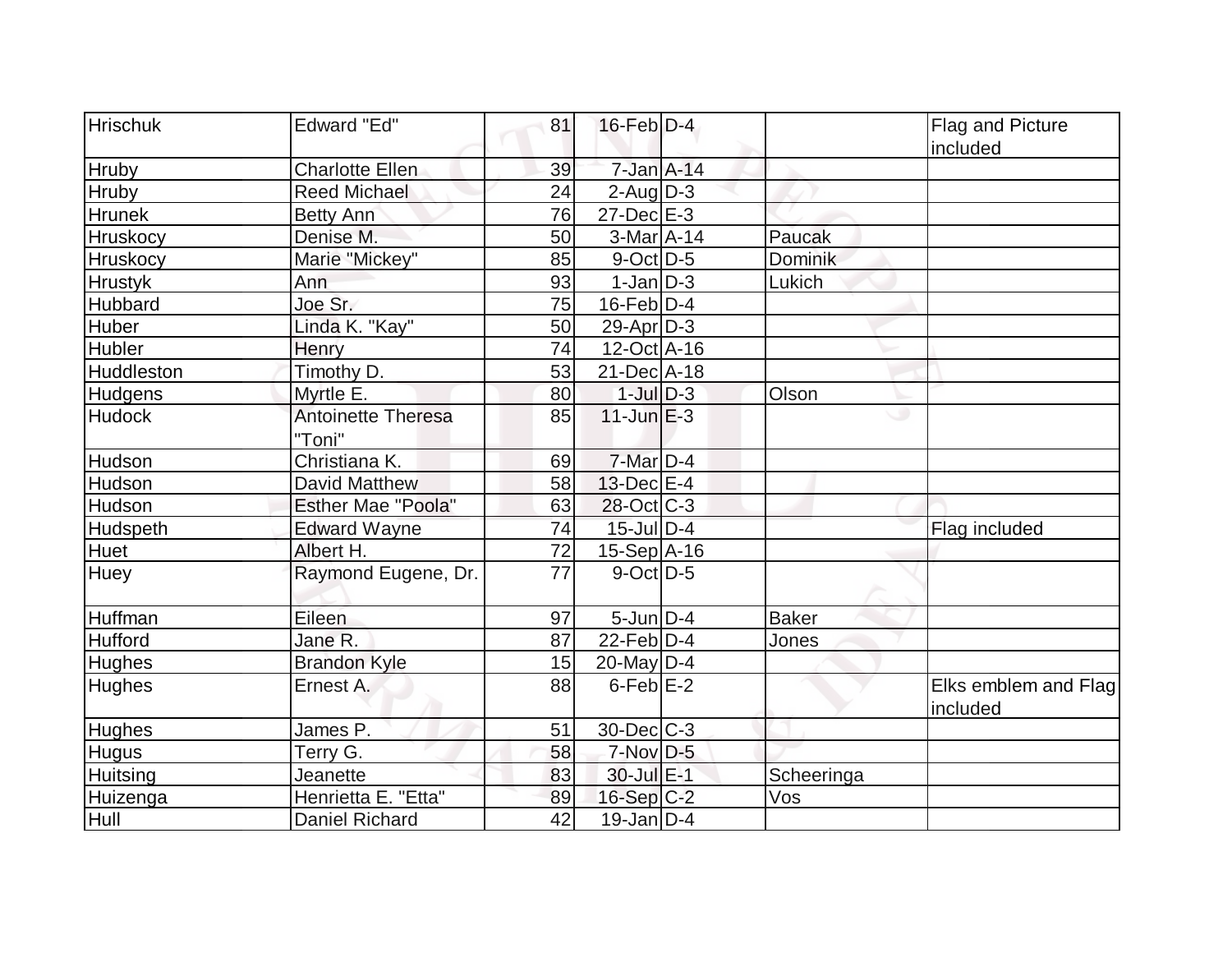| <b>Hrischuk</b> | <b>Edward "Ed"</b>        | 81 | $16$ -Feb $D-4$    |                | Flag and Picture                 |
|-----------------|---------------------------|----|--------------------|----------------|----------------------------------|
|                 |                           |    |                    |                | included                         |
| Hruby           | <b>Charlotte Ellen</b>    | 39 | $7$ -Jan $A$ -14   |                |                                  |
| Hruby           | <b>Reed Michael</b>       | 24 | $2$ -Aug $D-3$     |                |                                  |
| <b>Hrunek</b>   | <b>Betty Ann</b>          | 76 | $27 - Dec$ $E - 3$ |                |                                  |
| Hruskocy        | Denise M.                 | 50 | $3-Mar4 - 14$      | Paucak         |                                  |
| <b>Hruskocy</b> | Marie "Mickey"            | 85 | $9$ -Oct $ D-5 $   | <b>Dominik</b> |                                  |
| <b>Hrustyk</b>  | Ann                       | 93 | $1-Jan D-3$        | Lukich         |                                  |
| Hubbard         | Joe Sr.                   | 75 | $16$ -Feb $D-4$    |                |                                  |
| Huber           | Linda K. "Kay"            | 50 | $29$ -Apr $D-3$    |                |                                  |
| <b>Hubler</b>   | Henry                     | 74 | 12-Oct A-16        |                |                                  |
| Huddleston      | Timothy D.                | 53 | 21-Dec A-18        |                |                                  |
| <b>Hudgens</b>  | Myrtle E.                 | 80 | $1$ -Jul $D-3$     | Olson          |                                  |
| <b>Hudock</b>   | <b>Antoinette Theresa</b> | 85 | $11$ -Jun $E-3$    |                | ت                                |
|                 | "Toni"                    |    |                    |                |                                  |
| Hudson          | Christiana K.             | 69 | $7-Mar$ D-4        |                |                                  |
| Hudson          | <b>David Matthew</b>      | 58 | $13$ -Dec $E-4$    |                |                                  |
| Hudson          | <b>Esther Mae "Poola"</b> | 63 | $28$ -Oct $ C-3 $  |                |                                  |
| Hudspeth        | <b>Edward Wayne</b>       | 74 | $15$ -Jul $D-4$    |                | Flag included                    |
| <b>Huet</b>     | Albert H.                 | 72 | $15-Sep$ $A-16$    |                |                                  |
| <b>Huey</b>     | Raymond Eugene, Dr.       | 77 | $9$ -Oct $ D-5 $   |                |                                  |
| Huffman         | Eileen                    | 97 | $5$ -Jun $D-4$     | <b>Baker</b>   |                                  |
| Hufford         | Jane R.                   | 87 | $22$ -Feb $ D-4 $  | Jones          |                                  |
| <b>Hughes</b>   | <b>Brandon Kyle</b>       | 15 | 20-May $D-4$       |                |                                  |
| <b>Hughes</b>   | Ernest A.                 | 88 | $6$ -Feb $E-2$     |                | Elks emblem and Flag<br>included |
| Hughes          | James P.                  | 51 | $30$ -Dec $C-3$    |                |                                  |
| <b>Hugus</b>    | Terry G.                  | 58 | $7-Nov$ D-5        |                |                                  |
| Huitsing        | Jeanette                  | 83 | 30-Jul E-1         | Scheeringa     |                                  |
| Huizenga        | Henrietta E. "Etta"       | 89 | 16-Sep C-2         | Vos            |                                  |
| Hull            | <b>Daniel Richard</b>     | 42 | $19$ -Jan D-4      |                |                                  |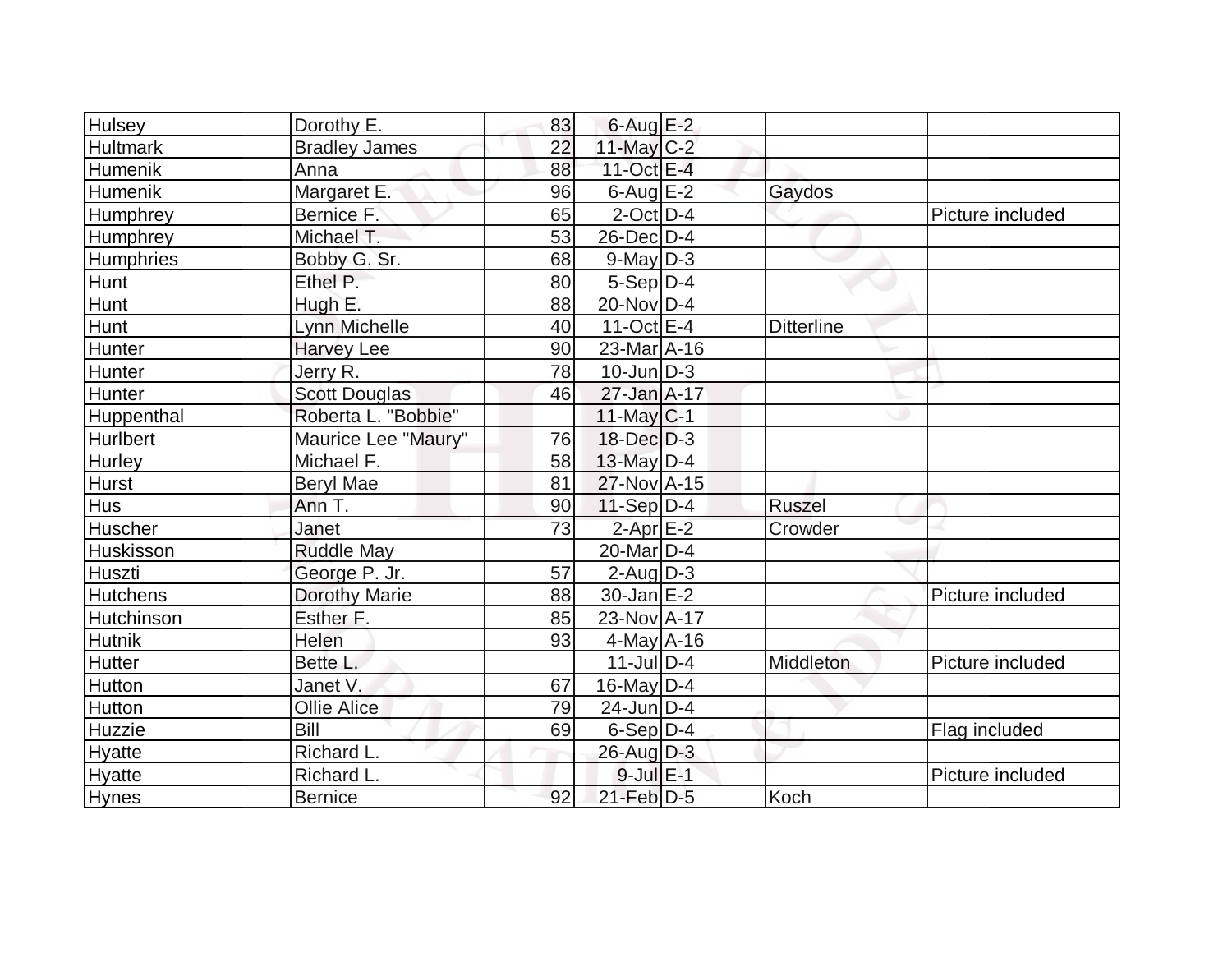| <b>Hulsey</b>   | Dorothy E.           | 83 | $6$ -Aug $E-2$    |                   |                  |
|-----------------|----------------------|----|-------------------|-------------------|------------------|
| Hultmark        | <b>Bradley James</b> | 22 | 11-May C-2        |                   |                  |
| <b>Humenik</b>  | Anna                 | 88 | 11-Oct E-4        |                   |                  |
| Humenik         | Margaret E.          | 96 | $6$ -Aug $E-2$    | Gaydos            |                  |
| <b>Humphrey</b> | Bernice F.           | 65 | $2$ -Oct $D-4$    |                   | Picture included |
| <b>Humphrey</b> | Michael T.           | 53 | $26$ -Dec $D-4$   |                   |                  |
| Humphries       | Bobby G. Sr.         | 68 | $9$ -May $D-3$    |                   |                  |
| Hunt            | Ethel P.             | 80 | $5-Sep D-4$       |                   |                  |
| <b>Hunt</b>     | Hugh E.              | 88 | $20$ -Nov $ D-4 $ |                   |                  |
| <b>Hunt</b>     | Lynn Michelle        | 40 | 11-Oct $E-4$      | <b>Ditterline</b> |                  |
| <b>Hunter</b>   | <b>Harvey Lee</b>    | 90 | $23$ -Mar $ A-16$ |                   |                  |
| <b>Hunter</b>   | Jerry R.             | 78 | $10$ -Jun $D-3$   |                   |                  |
| Hunter          | <b>Scott Douglas</b> | 46 | 27-Jan A-17       |                   |                  |
| Huppenthal      | Roberta L. "Bobbie"  |    | $11$ -May $C-1$   |                   |                  |
| <b>Hurlbert</b> | Maurice Lee "Maury"  | 76 | $18$ -Dec $D-3$   |                   |                  |
| <b>Hurley</b>   | Michael F.           | 58 | 13-May $D-4$      |                   |                  |
| <b>Hurst</b>    | <b>Beryl Mae</b>     | 81 | 27-Nov A-15       |                   |                  |
| <b>Hus</b>      | Ann T.               | 90 | $11-Sep D-4$      | <b>Ruszel</b>     |                  |
| <b>Huscher</b>  | Janet                | 73 | $2$ -Apr $E-2$    | Crowder           |                  |
| Huskisson       | <b>Ruddle May</b>    |    | $20$ -Mar $ D-4 $ |                   |                  |
| Huszti          | George P. Jr.        | 57 | $2$ -AugD-3       |                   |                  |
| <b>Hutchens</b> | <b>Dorothy Marie</b> | 88 | $30$ -Jan $E-2$   |                   | Picture included |
| Hutchinson      | Esther F.            | 85 | 23-Nov A-17       |                   |                  |
| <b>Hutnik</b>   | Helen                | 93 | $4$ -May $A$ -16  |                   |                  |
| <b>Hutter</b>   | Bette L.             |    | $11$ -Jul $D-4$   | Middleton         | Picture included |
| Hutton          | Janet V.             | 67 | $16$ -May D-4     |                   |                  |
| Hutton          | <b>Ollie Alice</b>   | 79 | $24$ -Jun $D-4$   |                   |                  |
| <b>Huzzie</b>   | Bill                 | 69 | $6-Sep D-4$       |                   | Flag included    |
| <b>Hyatte</b>   | Richard L.           |    | 26-Aug D-3        |                   |                  |
| <b>Hyatte</b>   | Richard L.           |    | $9$ -Jul $E-1$    |                   | Picture included |
| <b>Hynes</b>    | <b>Bernice</b>       | 92 | $21$ -Feb $D-5$   | Koch              |                  |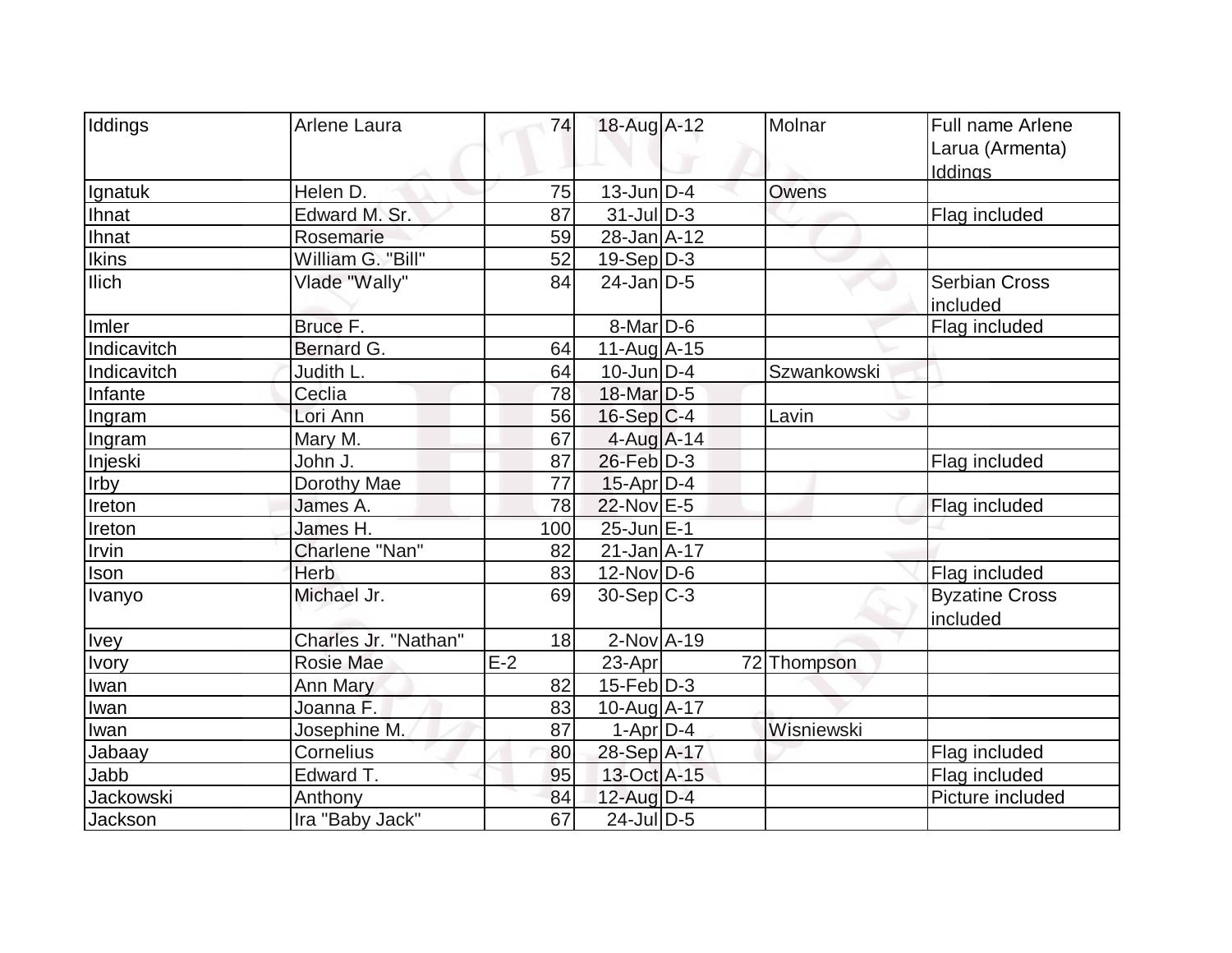| Iddings          | Arlene Laura         | 74    | 18-Aug A-12       | Molnar      | Full name Arlene<br>Larua (Armenta)<br>Iddings |
|------------------|----------------------|-------|-------------------|-------------|------------------------------------------------|
| Ignatuk          | Helen D.             | 75    | $13$ -Jun $D-4$   | Owens       |                                                |
| <b>Ihnat</b>     | Edward M. Sr.        | 87    | $31 - Jul$ $D-3$  |             | Flag included                                  |
| Ihnat            | Rosemarie            | 59    | $28 - Jan$ $A-12$ |             |                                                |
| <b>Ikins</b>     | William G. "Bill"    | 52    | $19-Sep D-3$      |             |                                                |
| <b>Ilich</b>     | Vlade "Wally"        | 84    | $24$ -Jan D-5     |             | <b>Serbian Cross</b><br>included               |
| Imler            | Bruce F.             |       | $8$ -Mar $ D-6$   |             | Flag included                                  |
| Indicavitch      | Bernard G.           | 64    | $11-Aug$ A-15     |             |                                                |
| Indicavitch      | Judith L.            | 64    | $10$ -Jun $D-4$   | Szwankowski |                                                |
| Infante          | Ceclia               | 78    | 18-Mar D-5        |             |                                                |
| Ingram           | Lori Ann             | 56    | $16-Sep C-4$      | Lavin       |                                                |
| Ingram           | Mary M.              | 67    | $4$ -Aug $A$ -14  |             |                                                |
| Injeski          | John J.              | 87    | $26$ -Feb $D-3$   |             | Flag included                                  |
| <b>Irby</b>      | Dorothy Mae          | 77    | $15$ -Apr $D-4$   |             |                                                |
| Ireton           | James A.             | 78    | 22-Nov E-5        |             | Flag included                                  |
| Ireton           | James H.             | 100   | 25-Jun E-1        |             |                                                |
| Irvin            | Charlene "Nan"       | 82    | $21$ -Jan $A$ -17 |             |                                                |
| Ison             | Herb                 | 83    | $12$ -Nov $ D-6$  |             | Flag included                                  |
| Ivanyo           | Michael Jr.          | 69    | $30-Sep C-3$      |             | <b>Byzatine Cross</b><br>included              |
| <b>Ivey</b>      | Charles Jr. "Nathan" | 18    | $2$ -Nov $A$ -19  |             |                                                |
| Ivory            | <b>Rosie Mae</b>     | $E-2$ | 23-Apr            | 72 Thompson |                                                |
| Iwan             | Ann Mary             | 82    | $15$ -Feb $ D-3 $ |             |                                                |
| Iwan             | Joanna F.            | 83    | 10-Aug A-17       |             |                                                |
| Iwan             | Josephine M.         | 87    | $1-Apr D-4$       | Wisniewski  |                                                |
| <b>Jabaay</b>    | Cornelius            | 80    | 28-Sep A-17       |             | Flag included                                  |
| Jabb             | Edward T.            | 95    | 13-Oct A-15       |             | Flag included                                  |
| <b>Jackowski</b> | Anthony              | 84    | $12$ -Aug D-4     |             | Picture included                               |
| Jackson          | Ira "Baby Jack"      | 67    | $24$ -JulD-5      |             |                                                |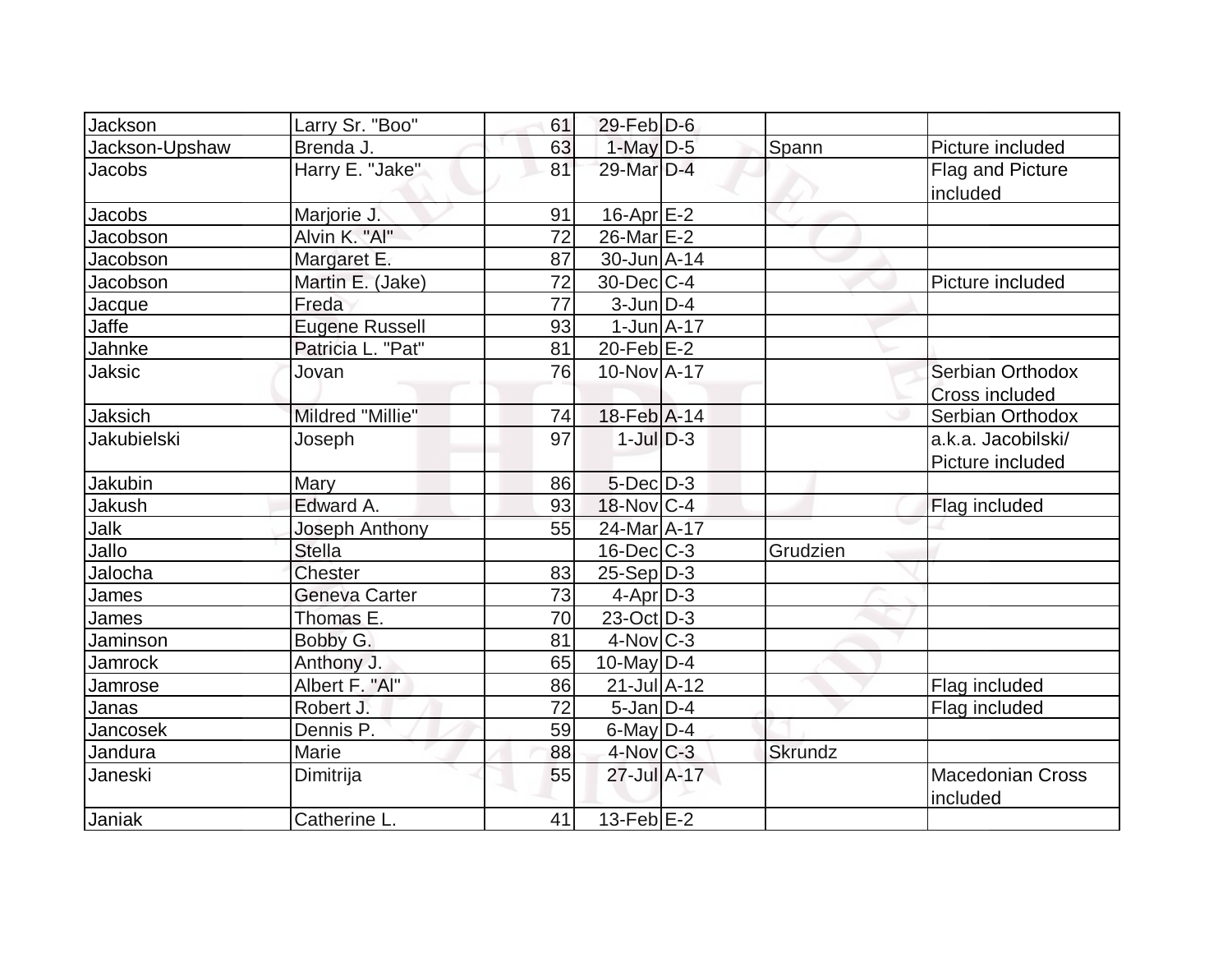| Jackson        | Larry Sr. "Boo"       | 61 | 29-Feb D-6                   |                |                                           |
|----------------|-----------------------|----|------------------------------|----------------|-------------------------------------------|
| Jackson-Upshaw | Brenda J.             | 63 | $1$ -May $D-5$               | Spann          | Picture included                          |
| Jacobs         | Harry E. "Jake"       | 81 | 29-Mar D-4                   |                | <b>Flag and Picture</b><br>included       |
| Jacobs         | Marjorie J.           | 91 | $16$ -Apr $E-2$              |                |                                           |
| Jacobson       | Alvin K. "Al"         | 72 | 26-Mar E-2                   |                |                                           |
| Jacobson       | Margaret E.           | 87 | $30 - Jun$ A-14              |                |                                           |
| Jacobson       | Martin E. (Jake)      | 72 | 30-Dec C-4                   |                | Picture included                          |
| Jacque         | Freda                 | 77 | $3$ -Jun $D-4$               |                |                                           |
| Jaffe          | <b>Eugene Russell</b> | 93 | $1$ -Jun $A$ -17             |                |                                           |
| Jahnke         | Patricia L. "Pat"     | 81 | $20$ -Feb $E-2$              |                |                                           |
| Jaksic         | Jovan                 | 76 | $10$ -Nov $A$ -17            |                | Serbian Orthodox<br><b>Cross included</b> |
| Jaksich        | Mildred "Millie"      | 74 | $18$ -Feb $\overline{A}$ -14 |                | Serbian Orthodox                          |
| Jakubielski    | Joseph                | 97 | $1$ -Jul $D-3$               |                | a.k.a. Jacobilski/<br>Picture included    |
| Jakubin        | Mary                  | 86 | $5$ -Dec $D-3$               |                |                                           |
| Jakush         | Edward A.             | 93 | 18-Nov C-4                   |                | Flag included                             |
| Jalk           | Joseph Anthony        | 55 | 24-Mar A-17                  |                |                                           |
| Jallo          | <b>Stella</b>         |    | $16$ -Dec $C$ -3             | Grudzien       |                                           |
| Jalocha        | <b>Chester</b>        | 83 | $25-Sep D-3$                 |                |                                           |
| James          | Geneva Carter         | 73 | $4-Apr$ D-3                  |                |                                           |
| James          | Thomas E.             | 70 | $23-Oct$ D-3                 |                |                                           |
| Jaminson       | Bobby G.              | 81 | $4$ -Nov $C$ -3              |                |                                           |
| Jamrock        | Anthony J.            | 65 | $10$ -May $D-4$              |                |                                           |
| Jamrose        | Albert F. "Al"        | 86 | $21 - Jul$ A-12              |                | Flag included                             |
| Janas          | Robert J.             | 72 | $5$ -Jan $ D-4 $             |                | Flag included                             |
| Jancosek       | Dennis P.             | 59 | $6$ -May $D-4$               |                |                                           |
| Jandura        | Marie                 | 88 | 4-Nov C-3                    | <b>Skrundz</b> |                                           |
| Janeski        | Dimitrija             | 55 | 27-Jul A-17                  |                | <b>Macedonian Cross</b><br>included       |
| Janiak         | Catherine L.          | 41 | $13-Feb$ $E-2$               |                |                                           |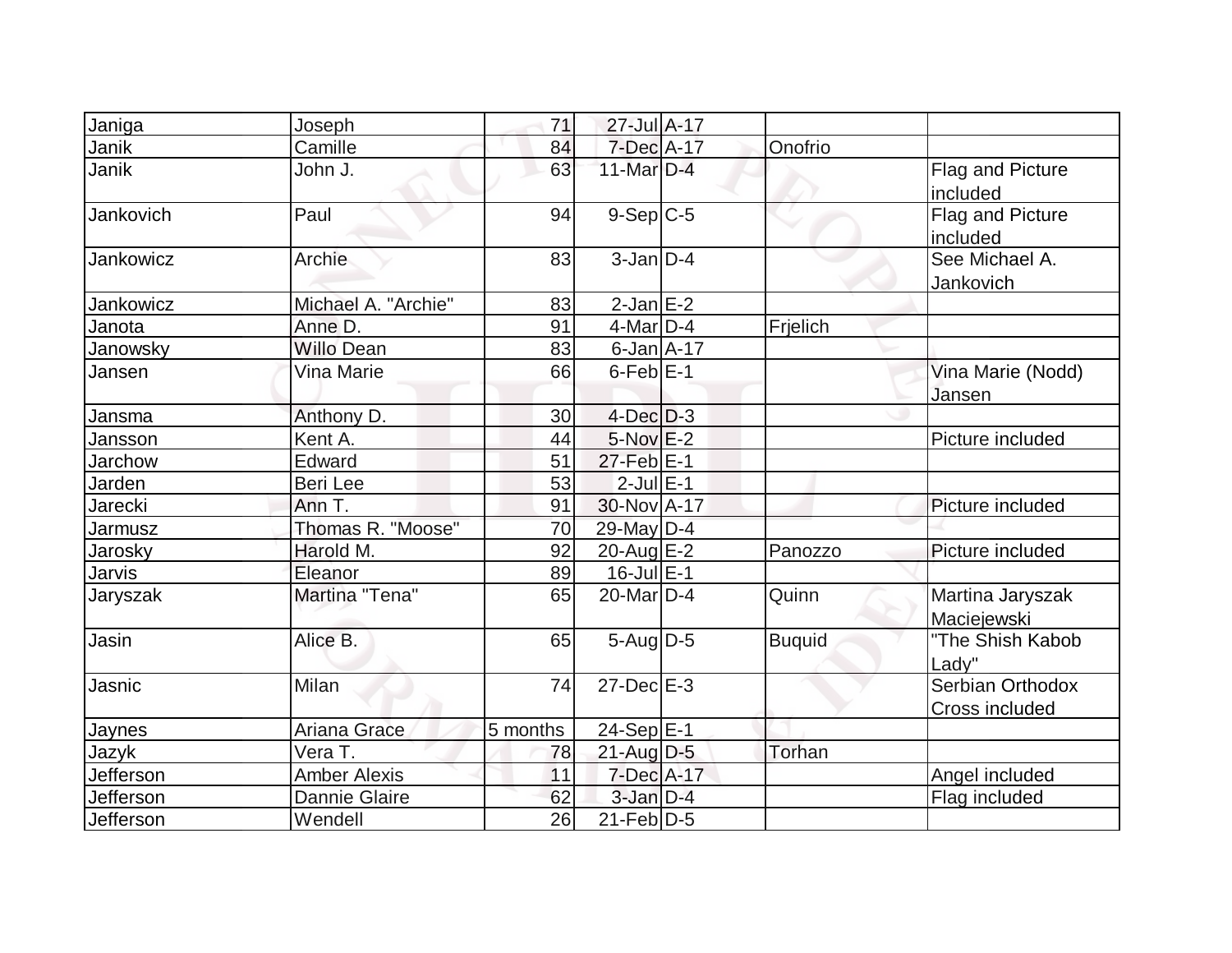| Janiga           | Joseph               | 71       | 27-Jul A-17           |               |                                           |
|------------------|----------------------|----------|-----------------------|---------------|-------------------------------------------|
| <b>Janik</b>     | Camille              | 84       | 7-Dec A-17            | Onofrio       |                                           |
| Janik            | John J.              | 63       | 11-Mar $D-4$          |               | Flag and Picture<br>included              |
| Jankovich        | Paul                 | 94       | $9-Sep$ $C-5$         |               | Flag and Picture<br>included              |
| <b>Jankowicz</b> | Archie               | 83       | $3$ -Jan $D-4$        |               | See Michael A.<br>Jankovich               |
| Jankowicz        | Michael A. "Archie"  | 83       | $2$ -Jan $E-2$        |               |                                           |
| Janota           | Anne D.              | 91       | $4$ -Mar $D-4$        | Frielich      |                                           |
| Janowsky         | <b>Willo Dean</b>    | 83       | $6$ -Jan $A$ -17      |               |                                           |
| Jansen           | Vina Marie           | 66       | $6$ -Feb $E-1$        |               | Vina Marie (Nodd)<br>Jansen               |
| Jansma           | Anthony D.           | 30       | $4$ -Dec $D-3$        |               |                                           |
| Jansson          | Kent A.              | 44       | $5-Nov$ $E-2$         |               | Picture included                          |
| Jarchow          | Edward               | 51       | 27-Feb E-1            |               |                                           |
| Jarden           | Beri Lee             | 53       | $2$ -Jul $E-1$        |               |                                           |
| Jarecki          | Ann T.               | 91       | 30-Nov A-17           |               | Picture included                          |
| Jarmusz          | Thomas R. "Moose"    | 70       | $29$ -May D-4         |               |                                           |
| <b>Jarosky</b>   | Harold M.            | 92       | 20-Aug $E-2$          | Panozzo       | Picture included                          |
| Jarvis           | Eleanor              | 89       | $16$ -Jul $E-1$       |               |                                           |
| Jaryszak         | Martina "Tena"       | 65       | 20-Mar <sub>D-4</sub> | Quinn         | Martina Jaryszak<br>Maciejewski           |
| Jasin            | Alice B.             | 65       | $5$ -Aug $D-5$        | <b>Buquid</b> | "The Shish Kabob<br>Lady"                 |
| Jasnic           | Milan                | 74       | $27 - Dec$ $E-3$      |               | Serbian Orthodox<br><b>Cross included</b> |
| Jaynes           | Ariana Grace         | 5 months | $24-Sep$  E-1         |               |                                           |
| Jazyk            | Vera T.              | 78       | $21$ -Aug $D-5$       | Torhan        |                                           |
| Jefferson        | <b>Amber Alexis</b>  | 11       | $7$ -Dec $A-17$       |               | Angel included                            |
| Jefferson        | <b>Dannie Glaire</b> | 62       | $3$ -Jan $D-4$        |               | Flag included                             |
| Jefferson        | Wendell              | 26       | $21$ -Feb $ D-5$      |               |                                           |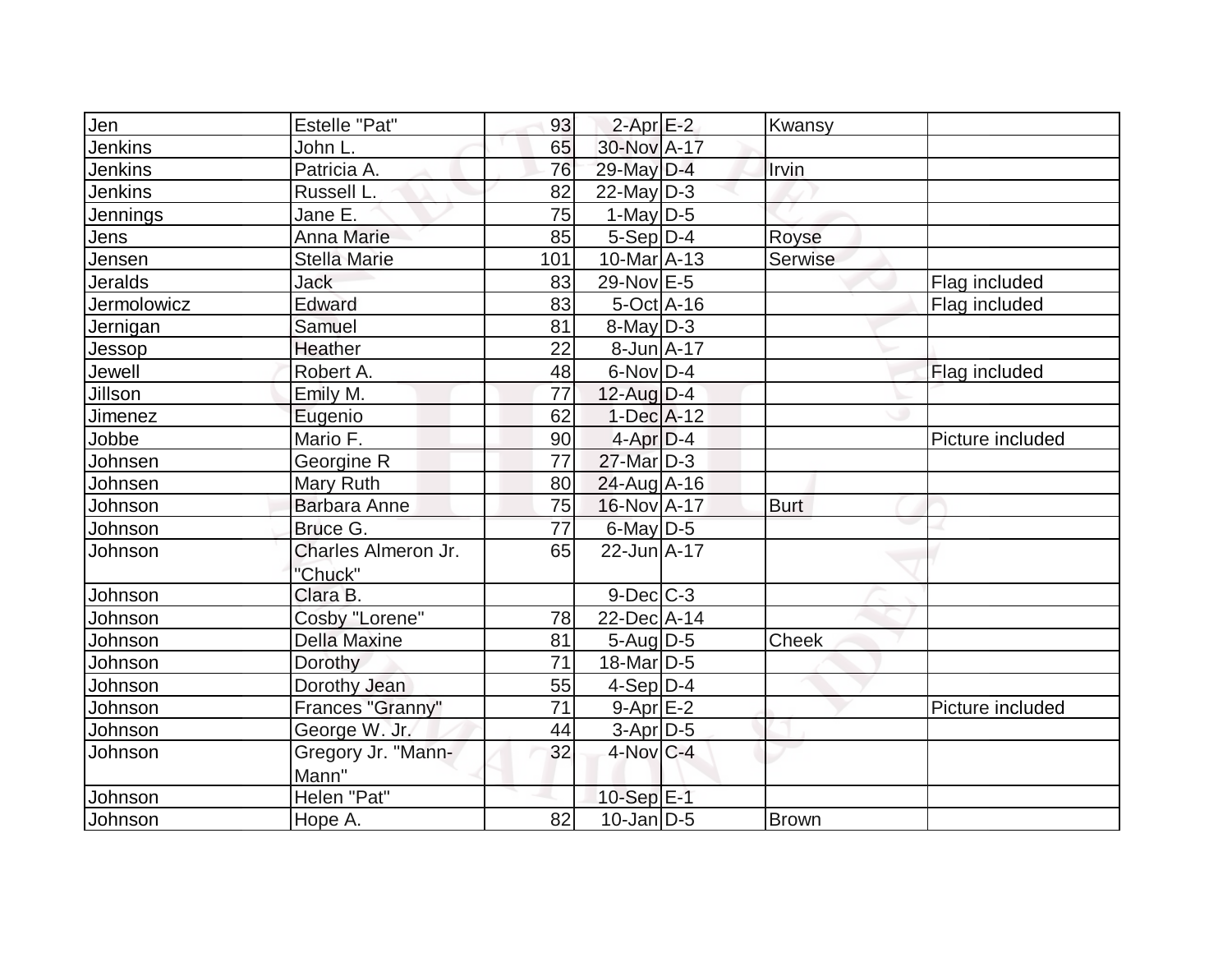| Jen            | <b>Estelle "Pat"</b> | 93              | $2$ -Apr $E-2$        | Kwansy       |                  |
|----------------|----------------------|-----------------|-----------------------|--------------|------------------|
| Jenkins        | John L.              | 65              | 30-Nov A-17           |              |                  |
| <b>Jenkins</b> | Patricia A.          | 76              | 29-May D-4            | Irvin        |                  |
| <b>Jenkins</b> | Russell L.           | 82              | $22$ -May D-3         |              |                  |
| Jennings       | Jane E.              | 75              | $1$ -May $D-5$        |              |                  |
| Jens           | Anna Marie           | 85              | $5-Sep D-4$           | Royse        |                  |
| Jensen         | <b>Stella Marie</b>  | 101             | $10$ -Mar $A$ -13     | Serwise      |                  |
| <b>Jeralds</b> | Jack                 | 83              | 29-Nov E-5            |              | Flag included    |
| Jermolowicz    | Edward               | 83              | $5-Oct$ A-16          |              | Flag included    |
| Jernigan       | Samuel               | 81              | $8$ -May $ D-3 $      |              |                  |
| Jessop         | Heather              | 22              | $8$ -Jun $A$ -17      |              |                  |
| Jewell         | Robert A.            | 48              | $6$ -Nov $D-4$        |              | Flag included    |
| Jillson        | Emily M.             | 77              | $12$ -Aug D-4         |              |                  |
| Jimenez        | Eugenio              | 62              | $1-Dec$ A-12          |              |                  |
| Jobbe          | Mario F.             | 90              | $4-Apr$ $D-4$         |              | Picture included |
| Johnsen        | Georgine R           | 77              | 27-Mar D-3            |              |                  |
| Johnsen        | Mary Ruth            | 80              | $24$ -Aug $ A-16$     |              |                  |
| Johnson        | Barbara Anne         | 75              | 16-Nov A-17           | <b>Burt</b>  |                  |
| Johnson        | Bruce G.             | 77              | $6$ -May $D$ -5       |              |                  |
| Johnson        | Charles Almeron Jr.  | 65              | $22$ -Jun $A-17$      |              |                  |
|                | "Chuck"              |                 |                       |              |                  |
| Johnson        | Clara B.             |                 | $9$ -Dec $C$ -3       |              |                  |
| Johnson        | Cosby "Lorene"       | 78              | 22-Dec A-14           |              |                  |
| Johnson        | <b>Della Maxine</b>  | 81              | $5 - Aug   D-5$       | <b>Cheek</b> |                  |
| Johnson        | Dorothy              | 71              | 18-Mar <sub>D-5</sub> |              |                  |
| Johnson        | Dorothy Jean         | 55              | $4-Sep$ D-4           |              |                  |
| Johnson        | Frances "Granny"     | $\overline{71}$ | $9-Apr$ $E-2$         |              | Picture included |
| Johnson        | George W. Jr.        | 44              | $3-Apr D-5$           |              |                  |
| Johnson        | Gregory Jr. "Mann-   | 32              | $4$ -Nov $C-4$        |              |                  |
|                | Mann"                |                 |                       |              |                  |
| Johnson        | Helen "Pat"          |                 | $10-Sep$ $E-1$        |              |                  |
| Johnson        | Hope A.              | 82              | $10$ -Jan $ D-5 $     | <b>Brown</b> |                  |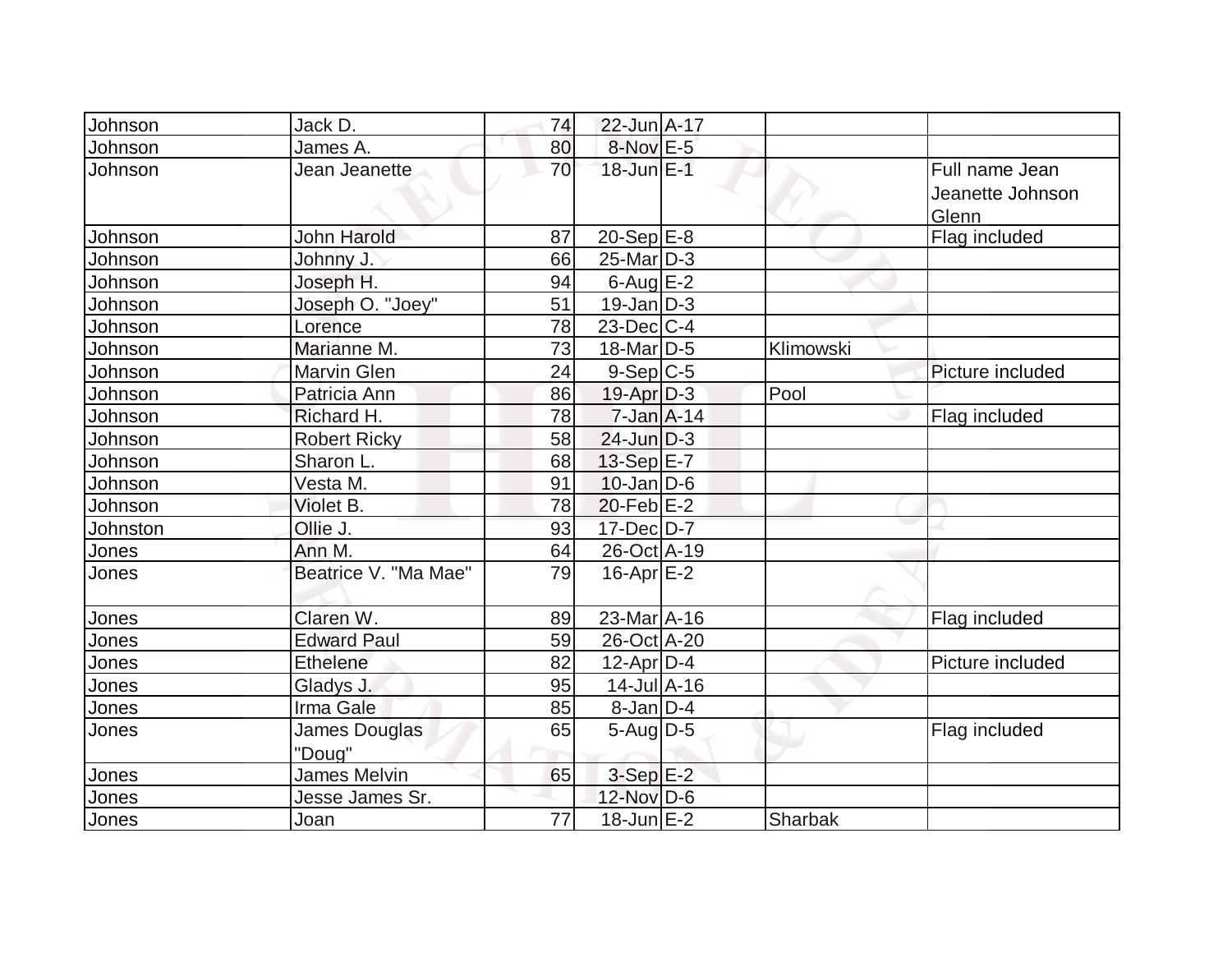| Johnson      | Jack D.                 | 74 | 22-Jun A-17        |           |                                             |
|--------------|-------------------------|----|--------------------|-----------|---------------------------------------------|
| Johnson      | James A.                | 80 | 8-Nov E-5          |           |                                             |
| Johnson      | Jean Jeanette           | 70 | $18$ -Jun $E-1$    |           | Full name Jean<br>Jeanette Johnson<br>Glenn |
| Johnson      | John Harold             | 87 | $20-Sep$ E-8       |           | Flag included                               |
| Johnson      | Johnny J.               | 66 | $25$ -Mar $D-3$    |           |                                             |
| Johnson      | Joseph H.               | 94 | $6$ -Aug $E-2$     |           |                                             |
| Johnson      | Joseph O. "Joey"        | 51 | $19$ -Jan $D-3$    |           |                                             |
| Johnson      | Lorence                 | 78 | $23$ -Dec $C$ -4   |           |                                             |
| Johnson      | Marianne M.             | 73 | $18$ -Mar $ D-5 $  | Klimowski |                                             |
| Johnson      | Marvin Glen             | 24 | $9-Sep C-5$        |           | Picture included                            |
| Johnson      | Patricia Ann            | 86 | $19$ -Apr $D-3$    | Pool      |                                             |
| Johnson      | Richard H.              | 78 | $7 - Jan$ $A - 14$ |           | Flag included                               |
| Johnson      | <b>Robert Ricky</b>     | 58 | $24$ -Jun $D-3$    |           |                                             |
| Johnson      | Sharon L.               | 68 | $13-Sep$ $E-7$     |           |                                             |
| Johnson      | Vesta M.                | 91 | $10$ -Jan D-6      |           |                                             |
| Johnson      | Violet B.               | 78 | 20-Feb $E-2$       |           |                                             |
| Johnston     | Ollie J.                | 93 | $17 - Dec$ $D-7$   |           |                                             |
| Jones        | Ann M.                  | 64 | 26-Oct A-19        |           |                                             |
| Jones        | Beatrice V. "Ma Mae"    | 79 | $16$ -Apr $E-2$    |           |                                             |
| Jones        | Claren W.               | 89 | 23-Mar A-16        |           | Flag included                               |
| Jones        | <b>Edward Paul</b>      | 59 | 26-Oct A-20        |           |                                             |
| Jones        | Ethelene                | 82 | $12$ -Apr $D-4$    |           | Picture included                            |
| <b>Jones</b> | Gladys J.               | 95 | $14$ -Jul $A-16$   |           |                                             |
| Jones        | Irma Gale               | 85 | $8$ -Jan $D-4$     |           |                                             |
| Jones        | James Douglas<br>"Doug" | 65 | $5$ -Aug D-5       |           | Flag included                               |
| Jones        | James Melvin            | 65 | $3-Sep$ $E-2$      |           |                                             |
| Jones        | Jesse James Sr.         |    | 12-Nov D-6         |           |                                             |
| Jones        | Joan                    | 77 | $18$ -Jun $E-2$    | Sharbak   |                                             |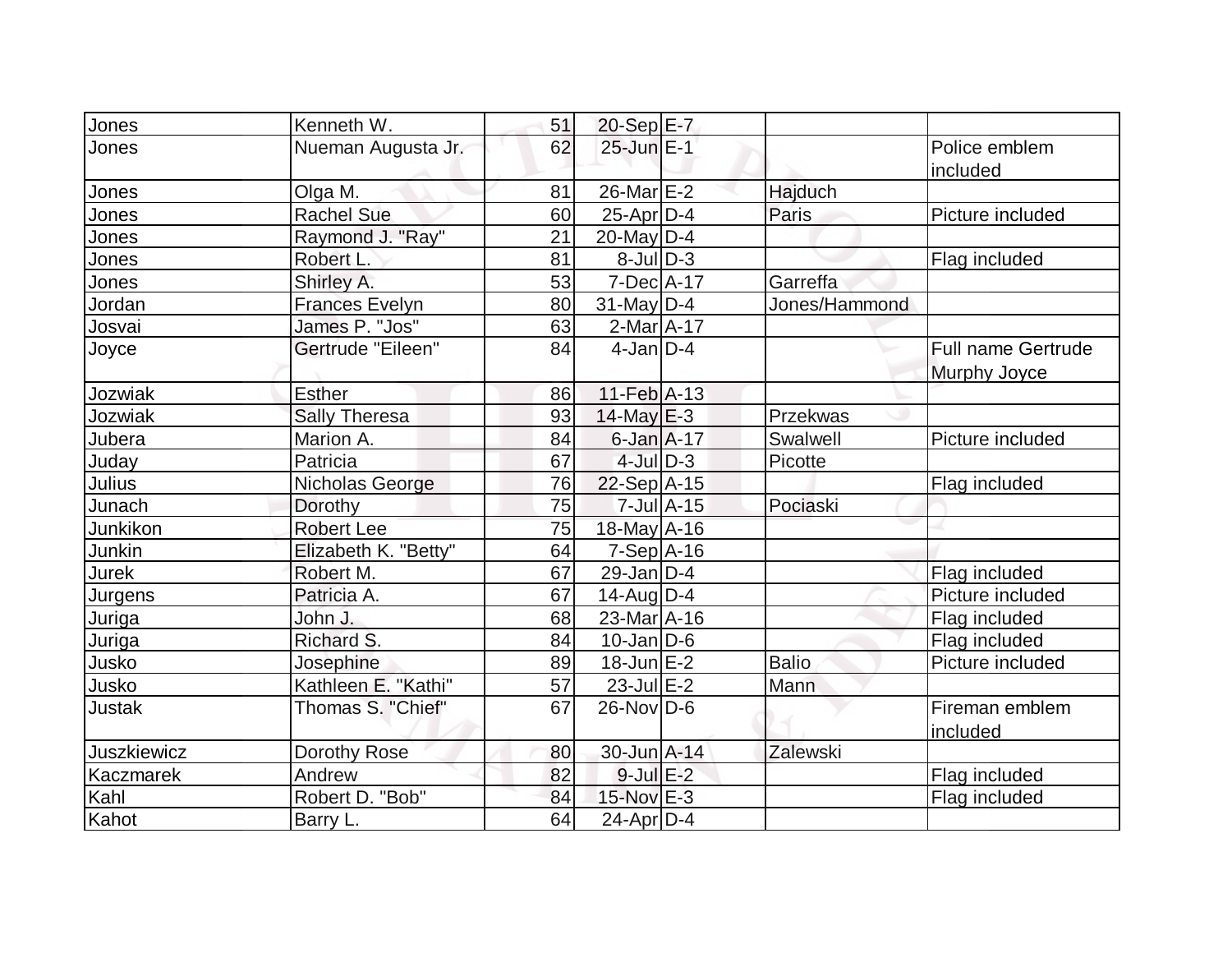| Jones         | Kenneth W.            | 51 | 20-Sep E-7        |               |                            |
|---------------|-----------------------|----|-------------------|---------------|----------------------------|
| Jones         | Nueman Augusta Jr.    | 62 | $25$ -Jun $E-1$   |               | Police emblem<br>included  |
| Jones         | Olga M.               | 81 | $26$ -Mar $E-2$   | Hajduch       |                            |
| Jones         | <b>Rachel Sue</b>     | 60 | $25$ -Apr $D-4$   | Paris         | Picture included           |
| Jones         | Raymond J. "Ray"      | 21 | 20-May $D-4$      |               |                            |
| Jones         | Robert L.             | 81 | $8$ -Jul $D-3$    |               | Flag included              |
| Jones         | Shirley A.            | 53 | $7-Dec A-17$      | Garreffa      |                            |
| Jordan        | <b>Frances Evelyn</b> | 80 | $31$ -May D-4     | Jones/Hammond |                            |
| Josvai        | James P. "Jos"        | 63 | $2-Mar1A-17$      |               |                            |
| Joyce         | Gertrude "Eileen"     | 84 | $4$ -Jan $D-4$    |               | <b>Full name Gertrude</b>  |
|               |                       |    |                   |               | Murphy Joyce               |
| Jozwiak       | <b>Esther</b>         | 86 | $11-Feb$ A-13     |               |                            |
| Jozwiak       | <b>Sally Theresa</b>  | 93 | $14$ -May $E-3$   | Przekwas      |                            |
| Jubera        | Marion A.             | 84 | $6$ -Jan $A$ -17  | Swalwell      | Picture included           |
| Juday         | Patricia              | 67 | $4$ -Jul $D-3$    | Picotte       |                            |
| Julius        | Nicholas George       | 76 | $22-Sep$ A-15     |               | Flag included              |
| Junach        | Dorothy               | 75 | $7$ -Jul $A-15$   | Pociaski      |                            |
| Junkikon      | <b>Robert Lee</b>     | 75 | 18-May A-16       |               |                            |
| Junkin        | Elizabeth K. "Betty"  | 64 | $7-Sep$ $A-16$    |               |                            |
| Jurek         | Robert M.             | 67 | $29$ -Jan D-4     |               | Flag included              |
| Jurgens       | Patricia A.           | 67 | $14$ -Aug $ D-4 $ |               | Picture included           |
| Juriga        | John J.               | 68 | 23-Mar A-16       |               | Flag included              |
| Juriga        | Richard S.            | 84 | $10$ -Jan D-6     |               | Flag included              |
| Jusko         | Josephine             | 89 | $18$ -Jun $E-2$   | <b>Balio</b>  | Picture included           |
| Jusko         | Kathleen E. "Kathi"   | 57 | $23$ -Jul $E-2$   | Mann          |                            |
| <b>Justak</b> | Thomas S. "Chief"     | 67 | $26$ -Nov $ D-6$  |               | Fireman emblem<br>included |
| Juszkiewicz   | Dorothy Rose          | 80 | 30-Jun A-14       | Zalewski      |                            |
| Kaczmarek     | Andrew                | 82 | $9$ -Jul $E-2$    |               | Flag included              |
| Kahl          | Robert D. "Bob"       | 84 | 15-Nov E-3        |               | Flag included              |
| Kahot         | Barry L.              | 64 | $24$ -Apr $ D-4$  |               |                            |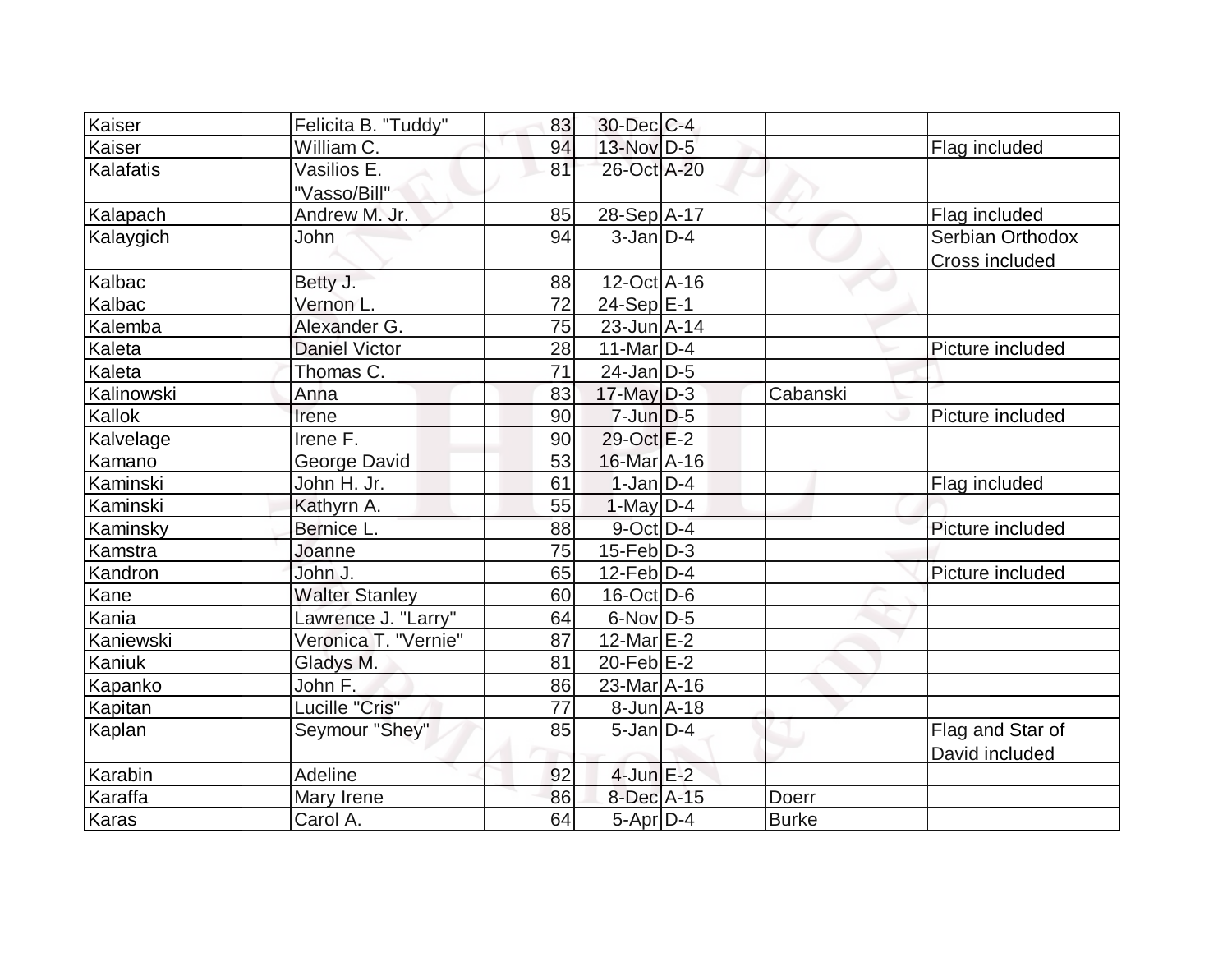| Kaiser     | Felicita B. "Tuddy"   | 83 | 30-Dec C-4       |              |                       |
|------------|-----------------------|----|------------------|--------------|-----------------------|
| Kaiser     | William C.            | 94 | 13-Nov D-5       |              | Flag included         |
| Kalafatis  | Vasilios E.           | 81 | 26-Oct A-20      |              |                       |
|            | "Vasso/Bill"          |    |                  |              |                       |
| Kalapach   | Andrew M. Jr.         | 85 | 28-Sep A-17      |              | Flag included         |
| Kalaygich  | John                  | 94 | $3$ -Jan $D-4$   |              | Serbian Orthodox      |
|            |                       |    |                  |              | <b>Cross included</b> |
| Kalbac     | Betty J.              | 88 | 12-Oct A-16      |              |                       |
| Kalbac     | Vernon L.             | 72 | $24-Sep$ $E-1$   |              |                       |
| Kalemba    | Alexander G.          | 75 | $23$ -Jun $A-14$ |              |                       |
| Kaleta     | <b>Daniel Victor</b>  | 28 | $11$ -Mar $ D-4$ |              | Picture included      |
| Kaleta     | Thomas C.             | 71 | $24$ -Jan $D-5$  |              |                       |
| Kalinowski | Anna                  | 83 | $17$ -May $D-3$  | Cabanski     |                       |
| Kallok     | Irene                 | 90 | $7$ -Jun $D-5$   |              | Picture included      |
| Kalvelage  | Irene $F.$            | 90 | $29-Oct$ $E-2$   |              |                       |
| Kamano     | George David          | 53 | 16-Mar A-16      |              |                       |
| Kaminski   | John H. Jr.           | 61 | $1-Jan D-4$      |              | Flag included         |
| Kaminski   | Kathyrn A.            | 55 | $1-May$ D-4      |              |                       |
| Kaminsky   | Bernice L.            | 88 | $9$ -Oct $D-4$   |              | Picture included      |
| Kamstra    | Joanne                | 75 | $15$ -Feb $ D-3$ |              |                       |
| Kandron    | John J.               | 65 | $12$ -Feb $ D-4$ |              | Picture included      |
| Kane       | <b>Walter Stanley</b> | 60 | $16$ -Oct $ D-6$ |              |                       |
| Kania      | Lawrence J. "Larry"   | 64 | $6$ -Nov $D-5$   |              |                       |
| Kaniewski  | Veronica T. "Vernie"  | 87 | $12$ -Mar $E-2$  |              |                       |
| Kaniuk     | Gladys M.             | 81 | $20$ -Feb $E-2$  |              |                       |
| Kapanko    | John F.               | 86 | 23-Mar A-16      |              |                       |
| Kapitan    | Lucille "Cris"        | 77 | $8 - Jun$ A-18   |              |                       |
| Kaplan     | Seymour "Shey"        | 85 | $5$ -Jan $D-4$   |              | Flag and Star of      |
|            |                       |    |                  |              | David included        |
| Karabin    | Adeline               | 92 | $4$ -Jun $E-2$   |              |                       |
| Karaffa    | Mary Irene            | 86 | 8-Dec A-15       | Doerr        |                       |
| Karas      | Carol A.              | 64 | $5-Apr$ D-4      | <b>Burke</b> |                       |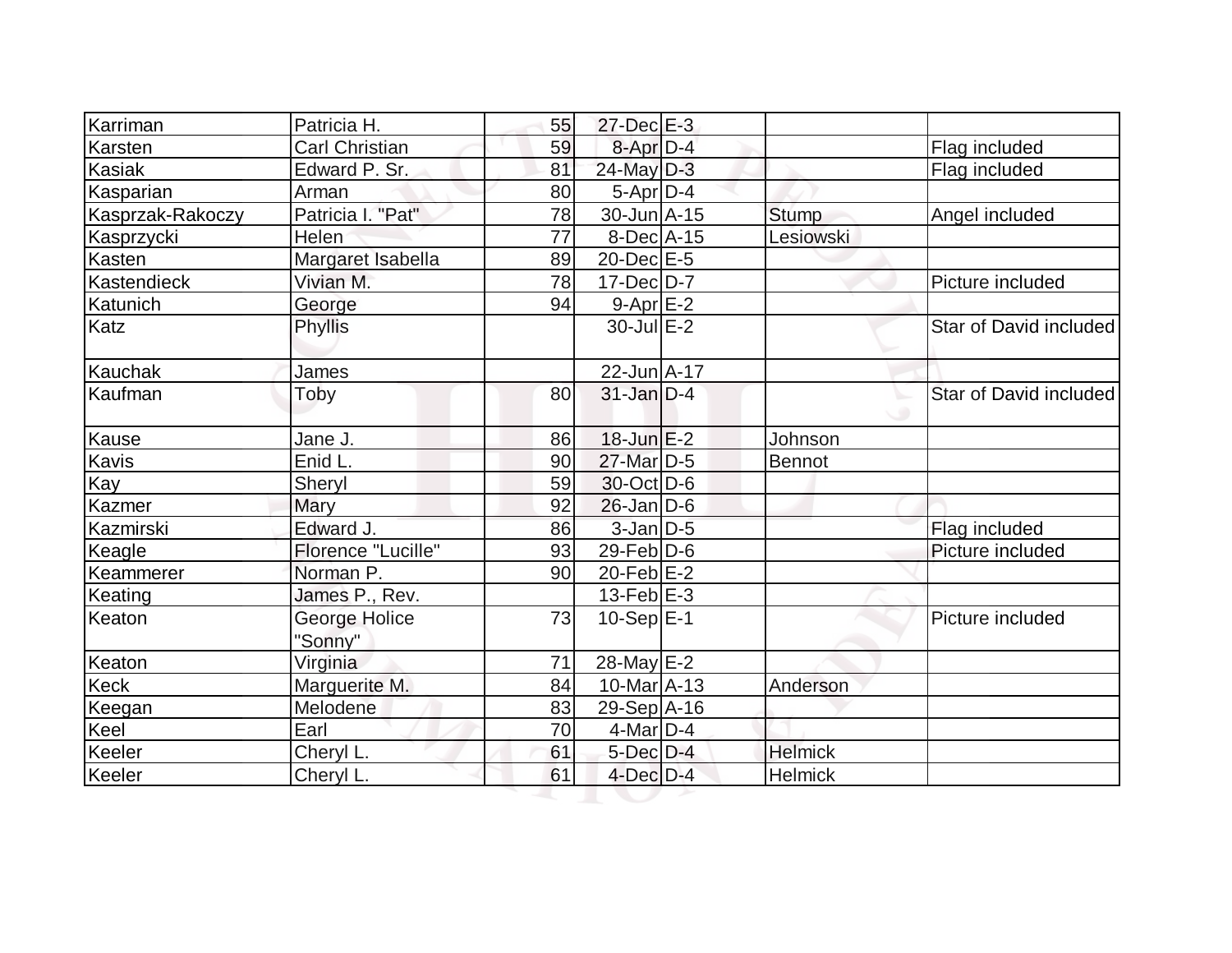| Karriman         | Patricia H.              | 55 | $27$ -Dec $E-3$              |                |                        |
|------------------|--------------------------|----|------------------------------|----------------|------------------------|
| Karsten          | Carl Christian           | 59 | 8-Apr D-4                    |                | Flag included          |
| <b>Kasiak</b>    | Edward P. Sr.            | 81 | 24-May D-3                   |                | Flag included          |
| Kasparian        | Arman                    | 80 | $5-Apr$ D-4                  |                |                        |
| Kasprzak-Rakoczy | Patricia I. "Pat"        | 78 | $30 - Jun$ A-15              | <b>Stump</b>   | Angel included         |
| Kasprzycki       | Helen                    | 77 | $8$ -Dec $ A-15$             | Lesiowski      |                        |
| Kasten           | Margaret Isabella        | 89 | 20-Dec E-5                   |                |                        |
| Kastendieck      | Vivian M.                | 78 | $17 - Dec$ $D-7$             |                | Picture included       |
| Katunich         | George                   | 94 | $9-Apr$ $E-2$                |                |                        |
| Katz             | Phyllis                  |    | $30$ -Jul $E-2$              |                | Star of David included |
| Kauchak          | James                    |    | 22-Jun A-17                  |                |                        |
| Kaufman          | Toby                     | 80 | $31$ -Jan $D-4$              |                | Star of David included |
| Kause            | Jane J.                  | 86 | $18$ -Jun $E-2$              | Johnson        |                        |
| <b>Kavis</b>     | Enid L.                  | 90 | 27-Mar D-5                   | Bennot         |                        |
| Kay              | Sheryl                   | 59 | $30$ -Oct $D-6$              |                |                        |
| Kazmer           | Mary                     | 92 | $26$ -Jan D-6                |                |                        |
| Kazmirski        | Edward J.                | 86 | $3$ -Jan $D-5$               |                | Flag included          |
| Keagle           | Florence "Lucille"       | 93 | $29$ -Feb $ D$ -6            |                | Picture included       |
| Keammerer        | Norman P.                | 90 | $20$ -Feb $E-2$              |                |                        |
| Keating          | James P., Rev.           |    | 13-Feb $E-3$                 |                |                        |
| Keaton           | George Holice<br>"Sonny" | 73 | $10-Sep$ $E-1$               |                | Picture included       |
| Keaton           | Virginia                 | 71 | 28-May E-2                   |                |                        |
| Keck             | Marguerite M.            | 84 | $10$ -Mar $\overline{A}$ -13 | Anderson       |                        |
| Keegan           | Melodene                 | 83 | 29-Sep A-16                  |                |                        |
| Keel             | Earl                     | 70 | $4$ -Mar $D-4$               |                |                        |
| Keeler           | Cheryl L.                | 61 | $5$ -Dec $D-4$               | <b>Helmick</b> |                        |
| Keeler           | Cheryl L.                | 61 | $4$ -Dec $D-4$               | Helmick        |                        |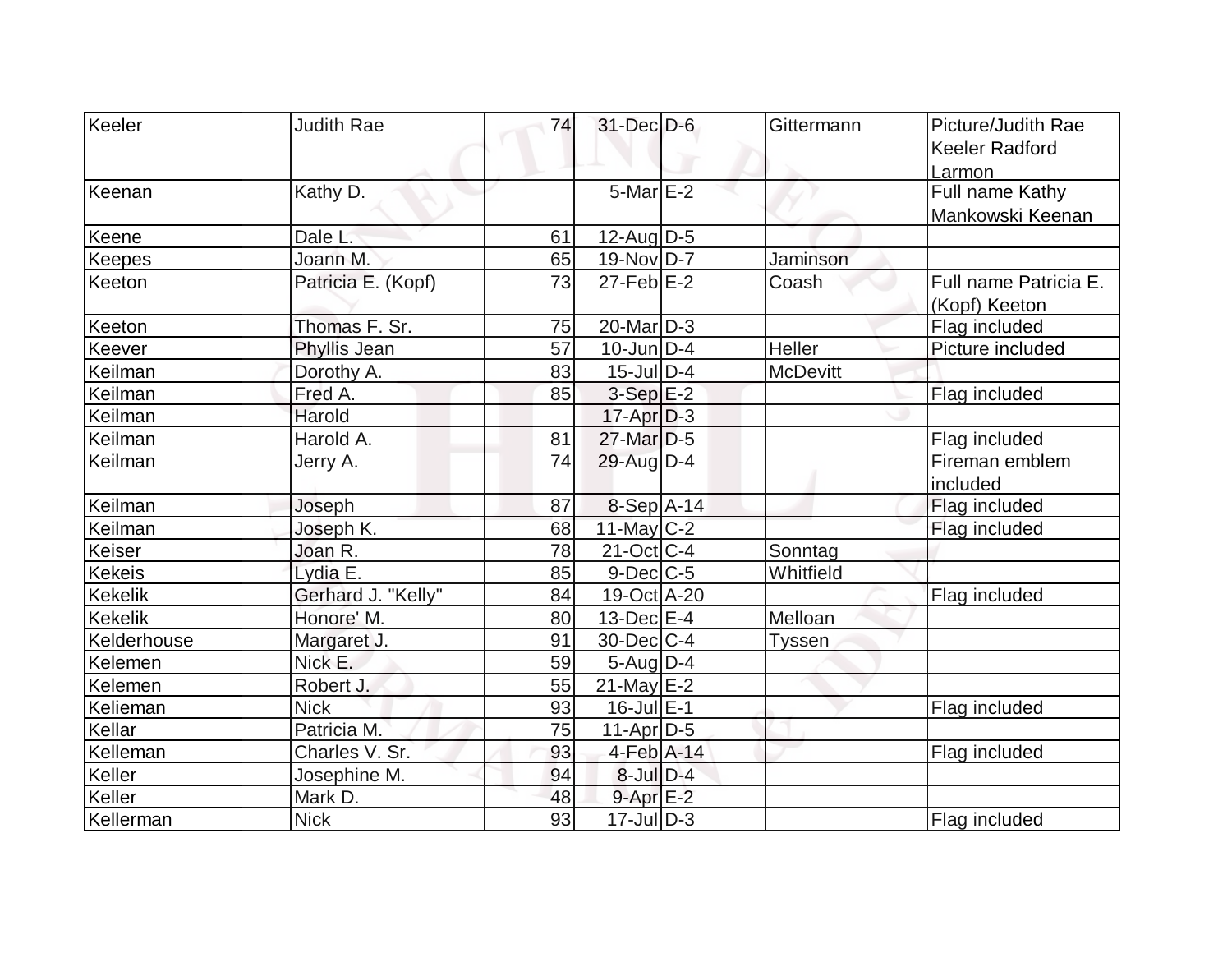| Keeler         | <b>Judith Rae</b>  | 74 | $31$ -Dec $D-6$            | Gittermann | Picture/Judith Rae    |
|----------------|--------------------|----|----------------------------|------------|-----------------------|
|                |                    |    |                            |            | <b>Keeler Radford</b> |
|                |                    |    |                            |            | Larmon                |
| Keenan         | Kathy D.           |    | $5$ -Mar $E-2$             |            | Full name Kathy       |
|                |                    |    |                            |            | Mankowski Keenan      |
| Keene          | Dale L.            | 61 | $12$ -Aug $D-5$            |            |                       |
| <b>Keepes</b>  | Joann M.           | 65 | 19-Nov D-7                 | Jaminson   |                       |
| Keeton         | Patricia E. (Kopf) | 73 | $27$ -Feb $E-2$            | Coash      | Full name Patricia E. |
|                |                    |    |                            |            | (Kopf) Keeton         |
| Keeton         | Thomas F. Sr.      | 75 | 20-Mar <sub>D-3</sub>      |            | Flag included         |
| Keever         | Phyllis Jean       | 57 | $10$ -Jun $D-4$            | Heller     | Picture included      |
| <b>Keilman</b> | Dorothy A.         | 83 | $15$ -JulD-4               | McDevitt   |                       |
| Keilman        | Fred A.            | 85 | $3-Sep$ $E-2$              |            | Flag included         |
| Keilman        | Harold             |    | $17$ -Apr $D-3$            |            |                       |
| Keilman        | Harold A.          | 81 | $27$ -Mar $D-5$            |            | Flag included         |
| Keilman        | Jerry A.           | 74 | 29-Aug D-4                 |            | Fireman emblem        |
|                |                    |    |                            |            | included              |
| Keilman        | Joseph             | 87 | $8-Sep$ A-14               |            | Flag included         |
| Keilman        | Joseph K.          | 68 | $11$ -May C-2              |            | Flag included         |
| Keiser         | Joan R.            | 78 | $21-Oct$ $C-4$             | Sonntag    |                       |
| <b>Kekeis</b>  | Lydia E.           | 85 | $9$ -Dec $C$ -5            | Whitfield  |                       |
| Kekelik        | Gerhard J. "Kelly" | 84 | 19-Oct A-20                |            | Flag included         |
| <b>Kekelik</b> | Honore' M.         | 80 | $13$ -Dec $E-4$            | Melloan    |                       |
| Kelderhouse    | Margaret J.        | 91 | $30$ -Dec $C-4$            | Tyssen     |                       |
| Kelemen        | Nick E.            | 59 | $5$ -Aug $D-4$             |            |                       |
| Kelemen        | Robert J.          | 55 | 21-May E-2                 |            |                       |
| Kelieman       | <b>Nick</b>        | 93 | $16$ -Jul $E-1$            |            | Flag included         |
| Kellar         | Patricia M.        | 75 | $11-Apr D-5$               |            |                       |
| Kelleman       | Charles V. Sr.     | 93 | $4$ -Feb $A$ -14           |            | Flag included         |
| Keller         | Josephine M.       | 94 | $8$ -Jul $D-4$             |            |                       |
| Keller         | Mark D.            | 48 | $9$ -Apr $E-2$             |            |                       |
| Kellerman      | <b>Nick</b>        | 93 | $\overline{17}$ -Jul $D-3$ |            | Flag included         |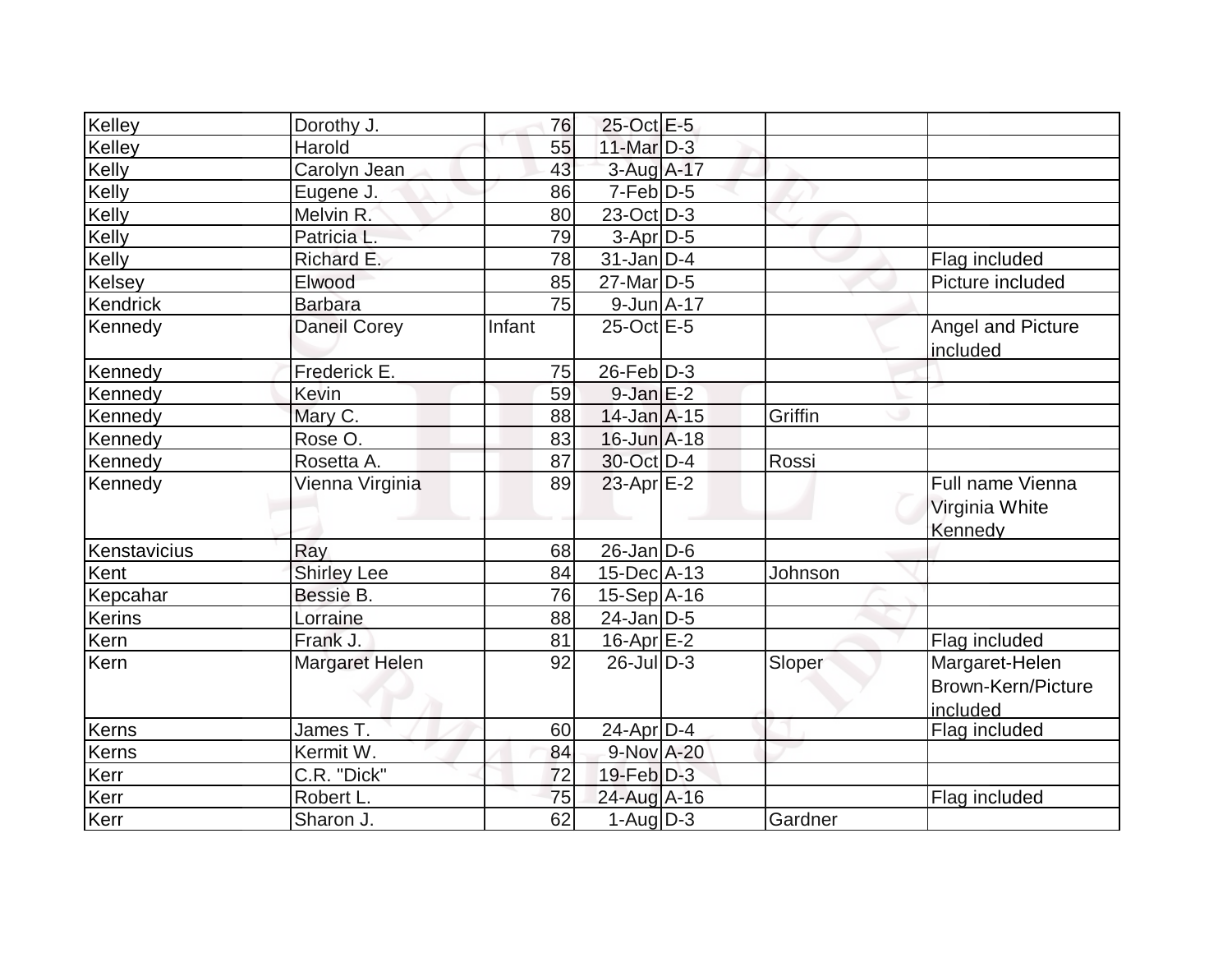| Kelley          | Dorothy J.          | 76     | 25-Oct E-5               |         |                                                  |
|-----------------|---------------------|--------|--------------------------|---------|--------------------------------------------------|
| Kelley          | Harold              | 55     | $11$ -Mar $D-3$          |         |                                                  |
| Kelly           | Carolyn Jean        | 43     | 3-Aug A-17               |         |                                                  |
| Kelly           | Eugene J.           | 86     | $7-Feb D-5$              |         |                                                  |
| Kelly           | Melvin R.           | 80     | $23-Oct$ D-3             |         |                                                  |
| Kelly           | Patricia L.         | 79     | $3-Apr$ $D-5$            |         |                                                  |
| Kelly           | Richard E.          | 78     | $31$ -Jan D-4            |         | Flag included                                    |
| Kelsey          | Elwood              | 85     | $27$ -Mar $ D-5 $        |         | Picture included                                 |
| <b>Kendrick</b> | <b>Barbara</b>      | 75     | 9-Jun A-17               |         |                                                  |
| Kennedy         | <b>Daneil Corey</b> | Infant | 25-Oct E-5               |         | Angel and Picture<br>included                    |
| Kennedy         | Frederick E.        | 75     | $26$ -Feb $ D-3 $        |         |                                                  |
| Kennedy         | Kevin               | 59     | $9$ -Jan $E-2$           |         |                                                  |
| Kennedy         | Mary C.             | 88     | $14$ -Jan $A$ -15        | Griffin |                                                  |
| Kennedy         | Rose O.             | 83     | $16$ -Jun $A$ -18        |         |                                                  |
| Kennedy         | Rosetta A.          | 87     | 30-Oct D-4               | Rossi   |                                                  |
| Kennedy         | Vienna Virginia     | 89     | $23$ -Apr $E-2$          |         | Full name Vienna<br>Virginia White<br>Kennedy    |
| Kenstavicius    | Ray                 | 68     | $26$ -Jan $D-6$          |         |                                                  |
| Kent            | <b>Shirley Lee</b>  | 84     | $15$ -Dec $ A-13$        | Johnson |                                                  |
| Kepcahar        | Bessie B.           | 76     | 15-Sep A-16              |         |                                                  |
| <b>Kerins</b>   | Lorraine            | 88     | $\overline{24}$ -Jan D-5 |         |                                                  |
| Kern            | Frank J.            | 81     | $16$ -Apr $E-2$          |         | Flag included                                    |
| Kern            | Margaret Helen      | 92     | $26$ -JulD-3             | Sloper  | Margaret-Helen<br>Brown-Kern/Picture<br>included |
| Kerns           | James T.            | 60     | 24-Apr D-4               |         | Flag included                                    |
| Kerns           | Kermit W.           | 84     | 9-Nov A-20               |         |                                                  |
| Kerr            | C.R. "Dick"         | 72     | $19$ -Feb $D-3$          |         |                                                  |
| Kerr            | Robert L.           | 75     | 24-Aug A-16              |         | Flag included                                    |
| Kerr            | Sharon J.           | 62     | $1-Aug$ $D-3$            | Gardner |                                                  |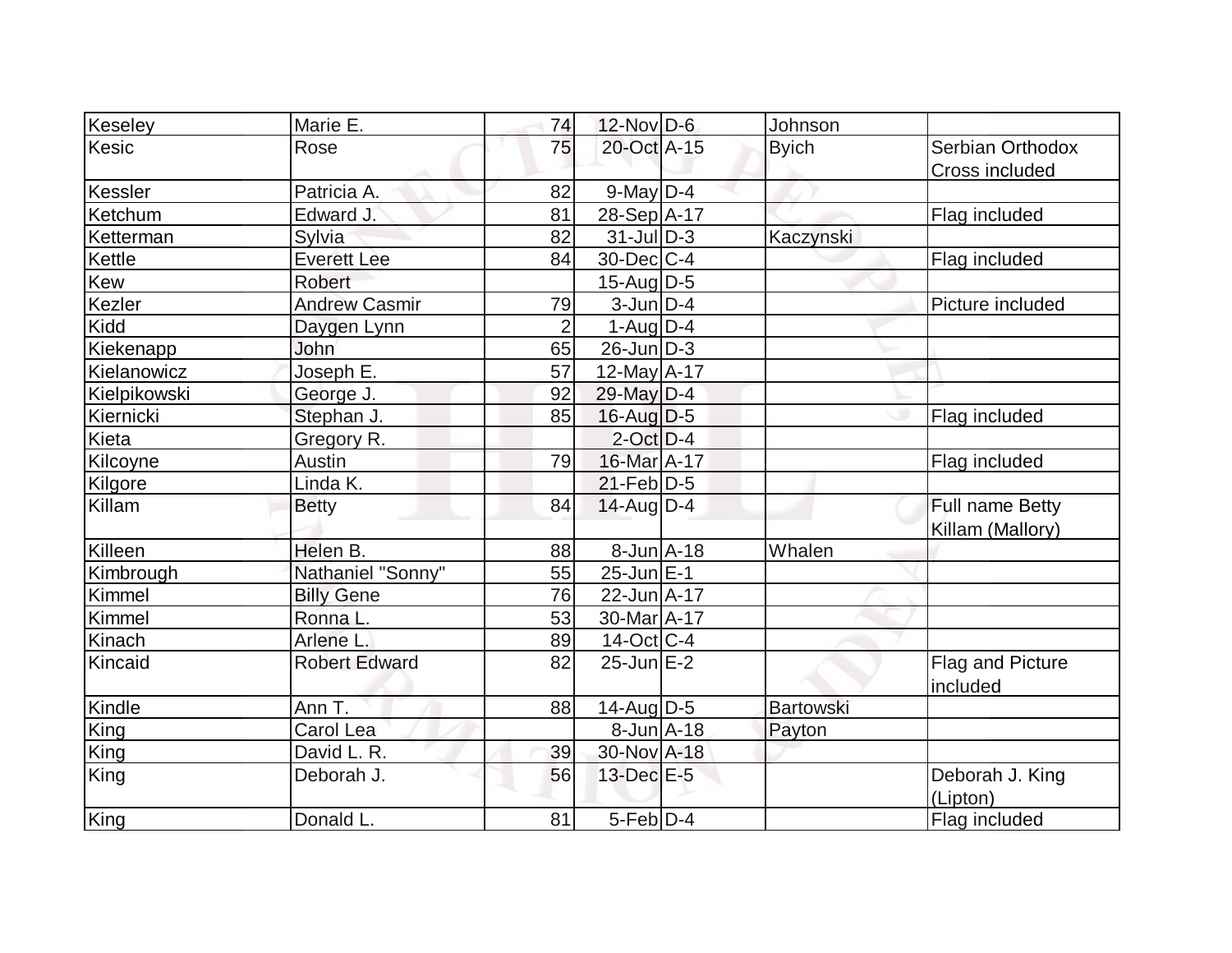| Keseley      | Marie E.             | 74             | 12-Nov D-6              | Johnson          |                  |
|--------------|----------------------|----------------|-------------------------|------------------|------------------|
| Kesic        | Rose                 | 75             | 20-Oct A-15             | <b>Byich</b>     | Serbian Orthodox |
|              |                      |                |                         |                  | Cross included   |
| Kessler      | Patricia A.          | 82             | $9$ -May $D-4$          |                  |                  |
| Ketchum      | Edward J.            | 81             | 28-Sep A-17             |                  | Flag included    |
| Ketterman    | Sylvia               | 82             | $31$ -JulD-3            | Kaczynski        |                  |
| Kettle       | <b>Everett Lee</b>   | 84             | $30$ -Dec $ C-4 $       |                  | Flag included    |
| Kew          | <b>Robert</b>        |                | $15$ -Aug D-5           |                  |                  |
| Kezler       | <b>Andrew Casmir</b> | 79             | $3$ -Jun $D-4$          |                  | Picture included |
| Kidd         | Daygen Lynn          | $\overline{2}$ | $1-Aug D-4$             |                  |                  |
| Kiekenapp    | John                 | 65             | $26$ -Jun $ D-3 $       |                  |                  |
| Kielanowicz  | Joseph E.            | 57             | 12-May A-17             |                  |                  |
| Kielpikowski | George J.            | 92             | 29-May D-4              |                  |                  |
| Kiernicki    | Stephan J.           | 85             | $16$ -Aug $D-5$         |                  | Flag included    |
| Kieta        | Gregory R.           |                | $2$ -Oct $D-4$          |                  |                  |
| Kilcoyne     | Austin               | 79             | 16-Mar A-17             |                  | Flag included    |
| Kilgore      | Linda K.             |                | $21$ -Feb $ D-5$        |                  |                  |
| Killam       | <b>Betty</b>         | 84             | $14$ -AugD-4            |                  | Full name Betty  |
|              |                      |                |                         |                  | Killam (Mallory) |
| Killeen      | Helen B.             | 88             | $8$ -Jun $A$ -18        | Whalen           |                  |
| Kimbrough    | Nathaniel "Sonny"    | 55             | $25$ -Jun $E-1$         |                  |                  |
| Kimmel       | <b>Billy Gene</b>    | 76             | 22-Jun A-17             |                  |                  |
| Kimmel       | Ronna L.             | 53             | 30-Mar <sub>A</sub> -17 |                  |                  |
| Kinach       | Arlene L.            | 89             | $14$ -Oct $ C-4 $       |                  |                  |
| Kincaid      | <b>Robert Edward</b> | 82             | $25$ -Jun $E-2$         |                  | Flag and Picture |
|              |                      |                |                         |                  | included         |
| Kindle       | Ann T.               | 88             | $14$ -AugD-5            | <b>Bartowski</b> |                  |
| King         | Carol Lea            |                | $8$ -Jun $A$ -18        | Payton           |                  |
| King         | David L. R.          | 39             | 30-Nov A-18             |                  |                  |
| King         | Deborah J.           | 56             | 13-Dec E-5              |                  | Deborah J. King  |
|              |                      |                |                         |                  | (Lipton)         |
| King         | Donald L.            | 81             | 5-Feb D-4               |                  | Flag included    |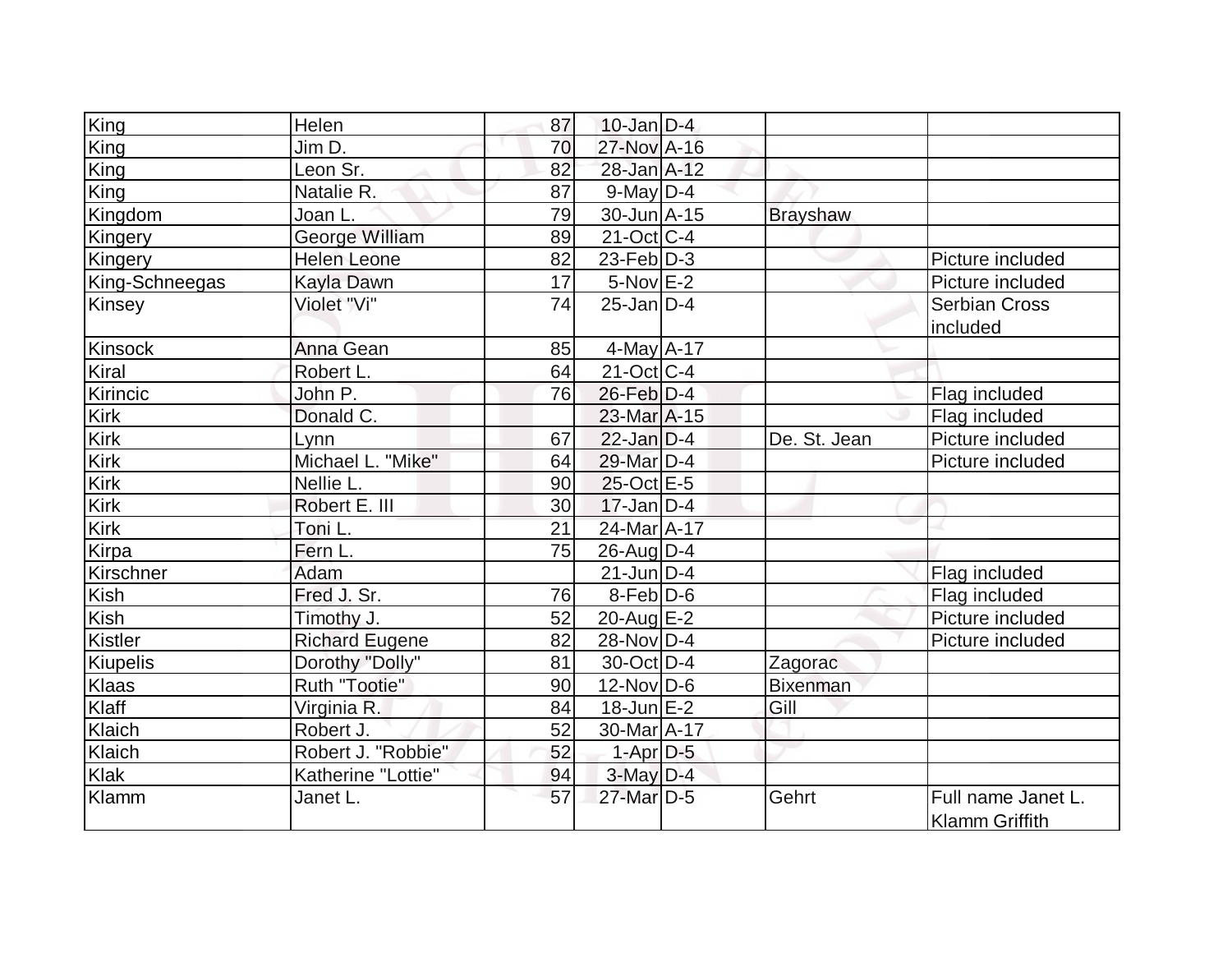| King           | Helen                 | 87 | $10$ -Jan $D-4$        |                 |                                      |
|----------------|-----------------------|----|------------------------|-----------------|--------------------------------------|
| King           | Jim D.                | 70 | 27-Nov A-16            |                 |                                      |
| King           | Leon Sr.              | 82 | 28-Jan A-12            |                 |                                      |
| King           | Natalie R.            | 87 | $9$ -May $ D-4 $       |                 |                                      |
| Kingdom        | Joan L.               | 79 | 30-Jun A-15            | <b>Brayshaw</b> |                                      |
| Kingery        | <b>George William</b> | 89 | $21$ -Oct $ C-4 $      |                 |                                      |
| Kingery        | <b>Helen Leone</b>    | 82 | $23$ -Feb $D-3$        |                 | Picture included                     |
| King-Schneegas | Kayla Dawn            | 17 | $5-Nov$ E-2            |                 | Picture included                     |
| Kinsey         | Violet "Vi"           | 74 | $25$ -Jan $D-4$        |                 | <b>Serbian Cross</b><br>included     |
| Kinsock        | Anna Gean             | 85 | $4$ -May $A$ -17       |                 |                                      |
| Kiral          | Robert L.             | 64 | $21-Oct$ $C-4$         |                 |                                      |
| Kirincic       | John P.               | 76 | $26$ -Feb $D-4$        |                 | Flag included                        |
| <b>Kirk</b>    | Donald C.             |    | 23-Mar <sub>A-15</sub> |                 | Flag included                        |
| Kirk           | Lynn                  | 67 | $22$ -Jan $D-4$        | De. St. Jean    | Picture included                     |
| Kirk           | Michael L. "Mike"     | 64 | 29-Mar D-4             |                 | Picture included                     |
| Kirk           | Nellie L.             | 90 | 25-Oct E-5             |                 |                                      |
| Kirk           | Robert E. III         | 30 | $17 - Jan$ $D-4$       |                 |                                      |
| Kirk           | Toni L.               | 21 | 24-Mar A-17            |                 |                                      |
| Kirpa          | Fern L.               | 75 | $26$ -AugD-4           |                 |                                      |
| Kirschner      | Adam                  |    | $21$ -Jun $D-4$        |                 | Flag included                        |
| Kish           | Fred J. Sr.           | 76 | $8$ -Feb $D$ -6        |                 | Flag included                        |
| Kish           | Timothy J.            | 52 | 20-Aug $E-2$           |                 | Picture included                     |
| Kistler        | <b>Richard Eugene</b> | 82 | 28-Nov D-4             |                 | Picture included                     |
| Kiupelis       | Dorothy "Dolly"       | 81 | 30-Oct D-4             | Zagorac         |                                      |
| Klaas          | Ruth "Tootie"         | 90 | $12$ -Nov $ D-6 $      | Bixenman        |                                      |
| Klaff          | Virginia R.           | 84 | $18$ -Jun $E-2$        | Gill            |                                      |
| Klaich         | Robert J.             | 52 | 30-Mar A-17            |                 |                                      |
| Klaich         | Robert J. "Robbie"    | 52 | $1-Apr$ D-5            |                 |                                      |
| Klak           | Katherine "Lottie"    | 94 | $3$ -May $D-4$         |                 |                                      |
| Klamm          | Janet L.              | 57 | 27-Mar D-5             | Gehrt           | Full name Janet L.<br>Klamm Griffith |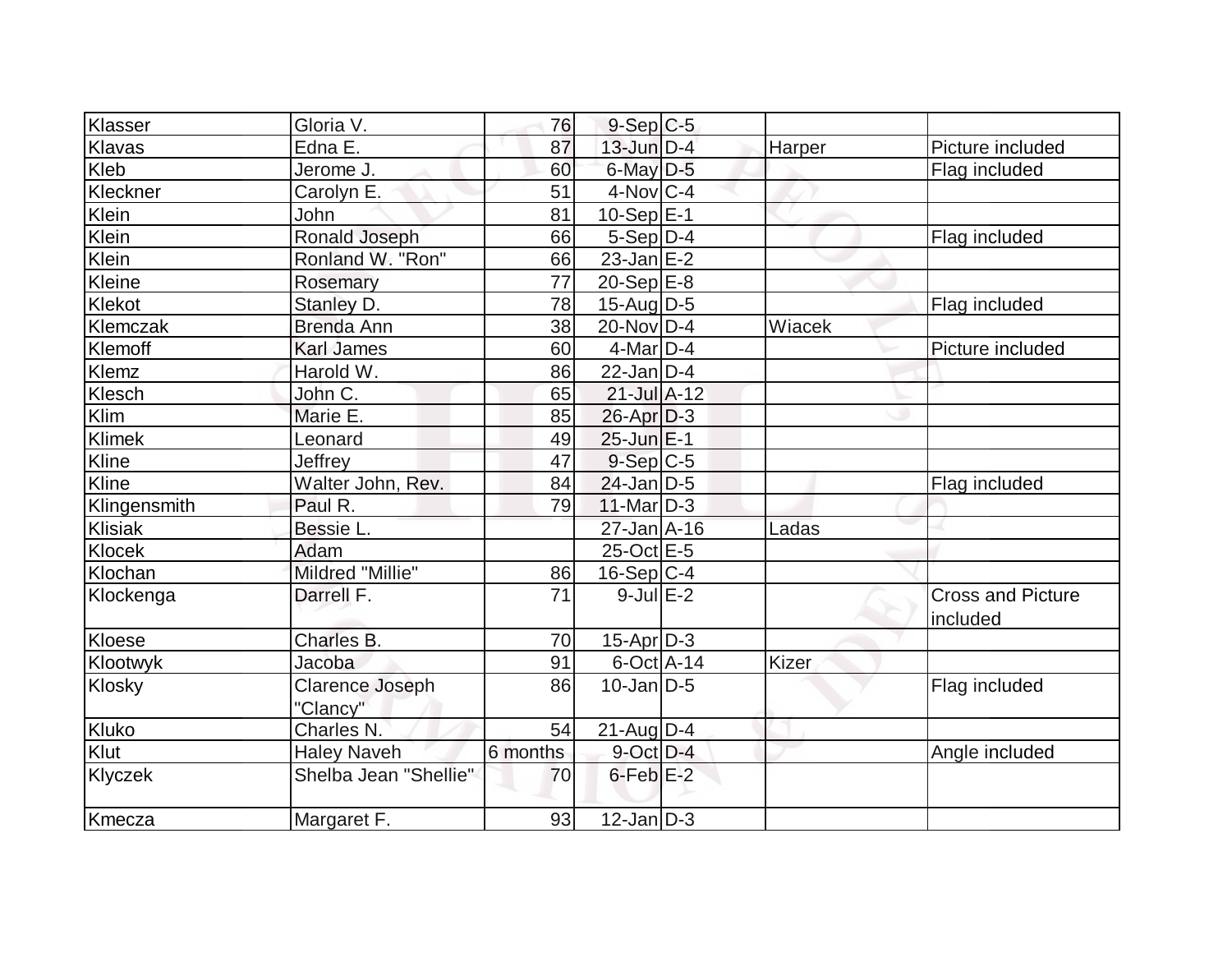| Klasser        | Gloria V.             | 76       | $9-Sep C-5$       |              |                                      |
|----------------|-----------------------|----------|-------------------|--------------|--------------------------------------|
| <b>Klavas</b>  | Edna E.               | 87       | $13$ -Jun $D-4$   | Harper       | Picture included                     |
| Kleb           | Jerome J.             | 60       | $6$ -May $D$ -5   |              | Flag included                        |
| Kleckner       | Carolyn E.            | 51       | $4$ -Nov $ C-4 $  |              |                                      |
| Klein          | John                  | 81       | $10-Sep$ E-1      |              |                                      |
| Klein          | Ronald Joseph         | 66       | $5-Sep D-4$       |              | Flag included                        |
| Klein          | Ronland W. "Ron"      | 66       | $23$ -Jan $E-2$   |              |                                      |
| <b>Kleine</b>  | Rosemary              | 77       | $20-Sep$ $E-8$    |              |                                      |
| Klekot         | Stanley D.            | 78       | 15-Aug D-5        |              | Flag included                        |
| Klemczak       | <b>Brenda Ann</b>     | 38       | $20$ -Nov $D-4$   | Wiacek       |                                      |
| <b>Klemoff</b> | <b>Karl James</b>     | 60       | $4$ -Mar $D-4$    |              | Picture included                     |
| <b>Klemz</b>   | Harold W.             | 86       | $22$ -Jan $D-4$   |              |                                      |
| <b>Klesch</b>  | John C.               | 65       | $21$ -Jul $A-12$  |              |                                      |
| Klim           | Marie E.              | 85       | $26$ -Apr $D-3$   |              |                                      |
| <b>Klimek</b>  | Leonard               | 49       | $25$ -Jun $E-1$   |              |                                      |
| Kline          | Jeffrey               | 47       | $9-Sep$ $C-5$     |              |                                      |
| Kline          | Walter John, Rev.     | 84       | $24$ -Jan D-5     |              | Flag included                        |
| Klingensmith   | Paul R.               | 79       | $11$ -Mar $ D-3 $ |              |                                      |
| <b>Klisiak</b> | Bessie L.             |          | $27 - Jan$ A-16   | Ladas        |                                      |
| <b>Klocek</b>  | Adam                  |          | $25$ -Oct $E$ -5  |              |                                      |
| Klochan        | Mildred "Millie"      | 86       | $16-Sep C-4$      |              |                                      |
| Klockenga      | Darrell F.            | 71       | $9$ -Jul $E-2$    |              | <b>Cross and Picture</b><br>included |
| Kloese         | Charles B.            | 70       | $15$ -Apr $D-3$   |              |                                      |
| Klootwyk       | Jacoba                | 91       | $6$ -Oct $A$ -14  | <b>Kizer</b> |                                      |
| Klosky         | Clarence Joseph       | 86       | $10$ -Jan $ D-5 $ |              | Flag included                        |
|                | "Clancy"              |          |                   |              |                                      |
| Kluko          | Charles N.            | 54       | $21-Aug D-4$      |              |                                      |
| Klut           | <b>Haley Naveh</b>    | 6 months | $9$ -Oct $D-4$    |              | Angle included                       |
| Klyczek        | Shelba Jean "Shellie" | 70       | $6$ -Feb $E-2$    |              |                                      |
| Kmecza         | Margaret F.           | 93       | $12$ -Jan $D-3$   |              |                                      |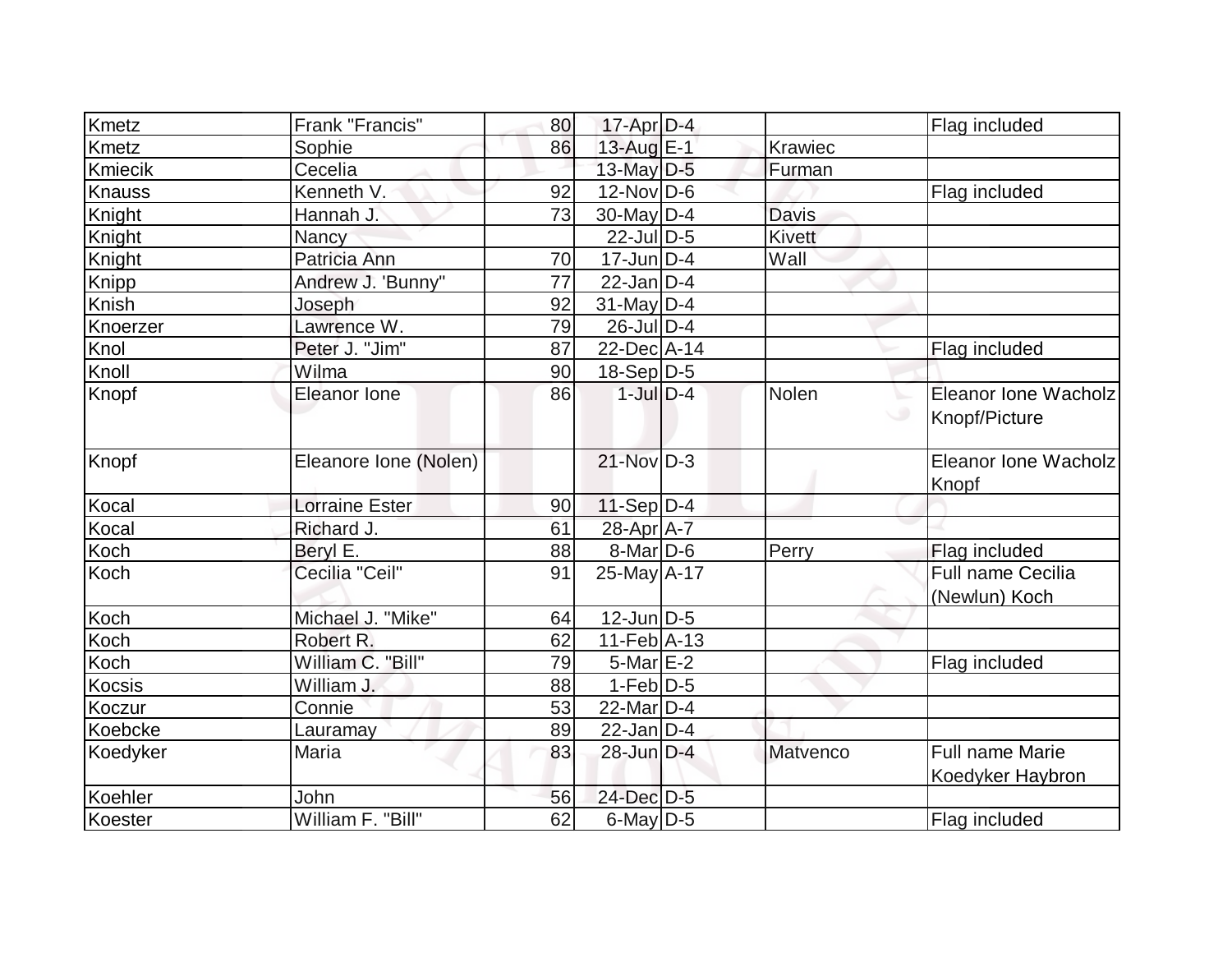| <b>Kmetz</b>  | Frank "Francis"       | 80              | $17$ -Apr $D-4$   |               | Flag included                                     |
|---------------|-----------------------|-----------------|-------------------|---------------|---------------------------------------------------|
| <b>Kmetz</b>  | Sophie                | 86              | 13-Aug E-1        | Krawiec       |                                                   |
| Kmiecik       | Cecelia               |                 | $13$ -May $D-5$   | Furman        |                                                   |
| <b>Knauss</b> | Kenneth V.            | 92              | $12$ -Nov $ D-6 $ |               | Flag included                                     |
| Knight        | Hannah J.             | 73              | 30-May $D-4$      | <b>Davis</b>  |                                                   |
| Knight        | Nancy                 |                 | 22-Jul D-5        | <b>Kivett</b> |                                                   |
| Knight        | Patricia Ann          | 70              | $17$ -Jun $ D-4 $ | Wall          |                                                   |
| Knipp         | Andrew J. 'Bunny"     | $\overline{77}$ | $22$ -Jan D-4     |               |                                                   |
| Knish         | Joseph                | 92              | $31$ -May D-4     |               |                                                   |
| Knoerzer      | Lawrence W.           | 79              | $26$ -Jul $D-4$   |               |                                                   |
| Knol          | Peter J. "Jim"        | 87              | 22-Dec A-14       |               | Flag included                                     |
| Knoll         | Wilma                 | 90              | $18-Sep D-5$      |               |                                                   |
| Knopf         | <b>Eleanor lone</b>   | 86              | $1$ -Jul $D-4$    | Nolen         | Eleanor Ione Wacholz<br>w<br>Knopf/Picture        |
| Knopf         | Eleanore Ione (Nolen) |                 | $21-Nov$ D-3      |               | Eleanor Ione Wacholz<br>Knopf                     |
| Kocal         | <b>Lorraine Ester</b> | 90              | $11-Sep D-4$      |               |                                                   |
| Kocal         | Richard J.            | 61              | 28-Apr A-7        |               |                                                   |
| Koch          | Beryl E.              | 88              | $8-Mar$ D-6       | Perry         | Flag included                                     |
| Koch          | Cecilia "Ceil"        | 91              | 25-May A-17       |               | Full name Cecilia<br>(Newlun) Koch                |
| Koch          | Michael J. "Mike"     | 64              | $12$ -Jun $D-5$   |               |                                                   |
| Koch          | Robert R.             | 62              | $11-Feb$ A-13     |               |                                                   |
| Koch          | William C. "Bill"     | 79              | $5$ -Mar $E-2$    |               | Flag included                                     |
| Kocsis        | William J.            | 88              | $1-Feb D-5$       |               |                                                   |
| Koczur        | Connie                | 53              | $22$ -Mar $D-4$   |               |                                                   |
| Koebcke       | Lauramay              | 89              | $22$ -Jan D-4     |               |                                                   |
| Koedyker      | Maria                 | 83              | 28-Jun D-4        | Matvenco      | <b>Full name Marie</b><br><b>Koedyker Haybron</b> |
| Koehler       | John                  | 56              | 24-Dec D-5        |               |                                                   |
| Koester       | William F. "Bill"     | 62              | $6$ -May $D-5$    |               | Flag included                                     |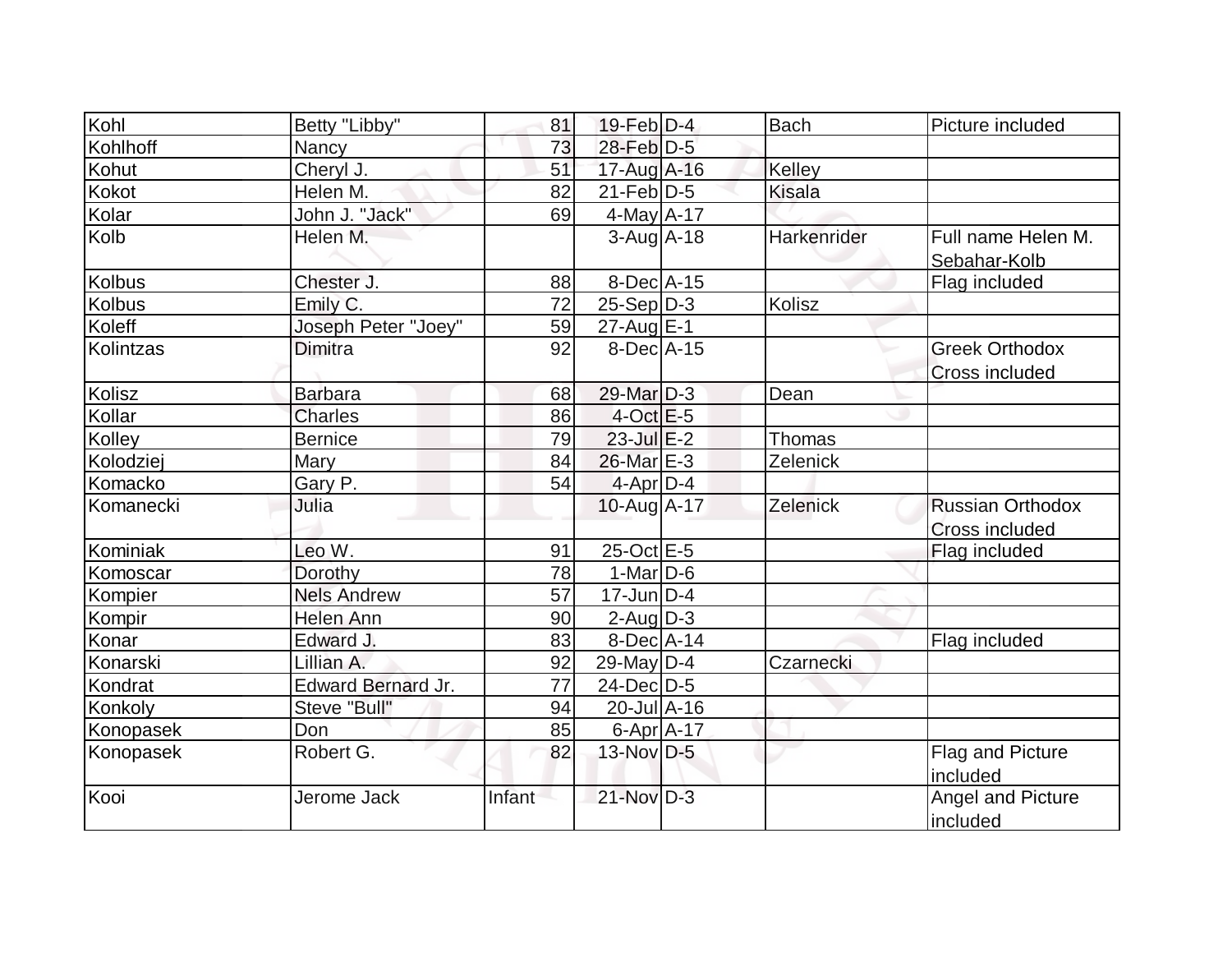| Kohl          | Betty "Libby"       | 81     | 19-Feb D-4                   | <b>Bach</b>   | Picture included                               |
|---------------|---------------------|--------|------------------------------|---------------|------------------------------------------------|
| Kohlhoff      | <b>Nancy</b>        | 73     | 28-Feb D-5                   |               |                                                |
| Kohut         | Cheryl J.           | 51     | 17-Aug A-16                  | Kelley        |                                                |
| Kokot         | Helen M.            | 82     | $21$ -Feb $D-5$              | <b>Kisala</b> |                                                |
| Kolar         | John J. "Jack"      | 69     | $4$ -May $A$ -17             |               |                                                |
| Kolb          | Helen M.            |        | $3$ -Aug $A$ -18             | Harkenrider   | Full name Helen M.<br>Sebahar-Kolb             |
| <b>Kolbus</b> | Chester J.          | 88     | $8$ -Dec $A$ -15             |               | Flag included                                  |
| <b>Kolbus</b> | Emily C.            | 72     | $25-Sep D-3$                 | Kolisz        |                                                |
| Koleff        | Joseph Peter "Joey" | 59     | $27$ -Aug E-1                |               |                                                |
| Kolintzas     | Dimitra             | 92     | $8$ -Dec $A$ -15             |               | <b>Greek Orthodox</b><br><b>Cross included</b> |
| Kolisz        | <b>Barbara</b>      | 68     | 29-Mar D-3                   | Dean          |                                                |
| Kollar        | <b>Charles</b>      | 86     | $4$ -Oct $E-5$               |               |                                                |
| Kolley        | <b>Bernice</b>      | 79     | $23$ -Jul $E-2$              | Thomas        |                                                |
| Kolodziej     | Mary                | 84     | 26-Mar E-3                   | Zelenick      |                                                |
| Komacko       | Gary P.             | 54     | 4-Apr D-4                    |               |                                                |
| Komanecki     | Julia               |        | 10-Aug A-17                  | Zelenick      | <b>Russian Orthodox</b><br>Cross included      |
| Kominiak      | Leo W.              | 91     | 25-Oct E-5                   |               | Flag included                                  |
| Komoscar      | Dorothy             | 78     | $1-Mar$ D-6                  |               |                                                |
| Kompier       | <b>Nels Andrew</b>  | 57     | $17$ -Jun $ D-4$             |               |                                                |
| Kompir        | <b>Helen Ann</b>    | 90     | $2$ -Aug $D-3$               |               |                                                |
| Konar         | Edward J.           | 83     | $8$ -Dec $A$ -14             |               | Flag included                                  |
| Konarski      | Lillian A.          | 92     | 29-May $D-4$                 | Czarnecki     |                                                |
| Kondrat       | Edward Bernard Jr.  | 77     | 24-Dec D-5                   |               |                                                |
| Konkoly       | Steve "Bull"        | 94     | $20$ -Jul $\overline{A}$ -16 |               |                                                |
| Konopasek     | Don                 | 85     | $6$ -Apr $A$ -17             |               |                                                |
| Konopasek     | Robert G.           | 82     | $13-Nov$ D-5                 |               | Flag and Picture<br>included                   |
| Kooi          | Jerome Jack         | Infant | 21-Nov D-3                   |               | Angel and Picture<br>included                  |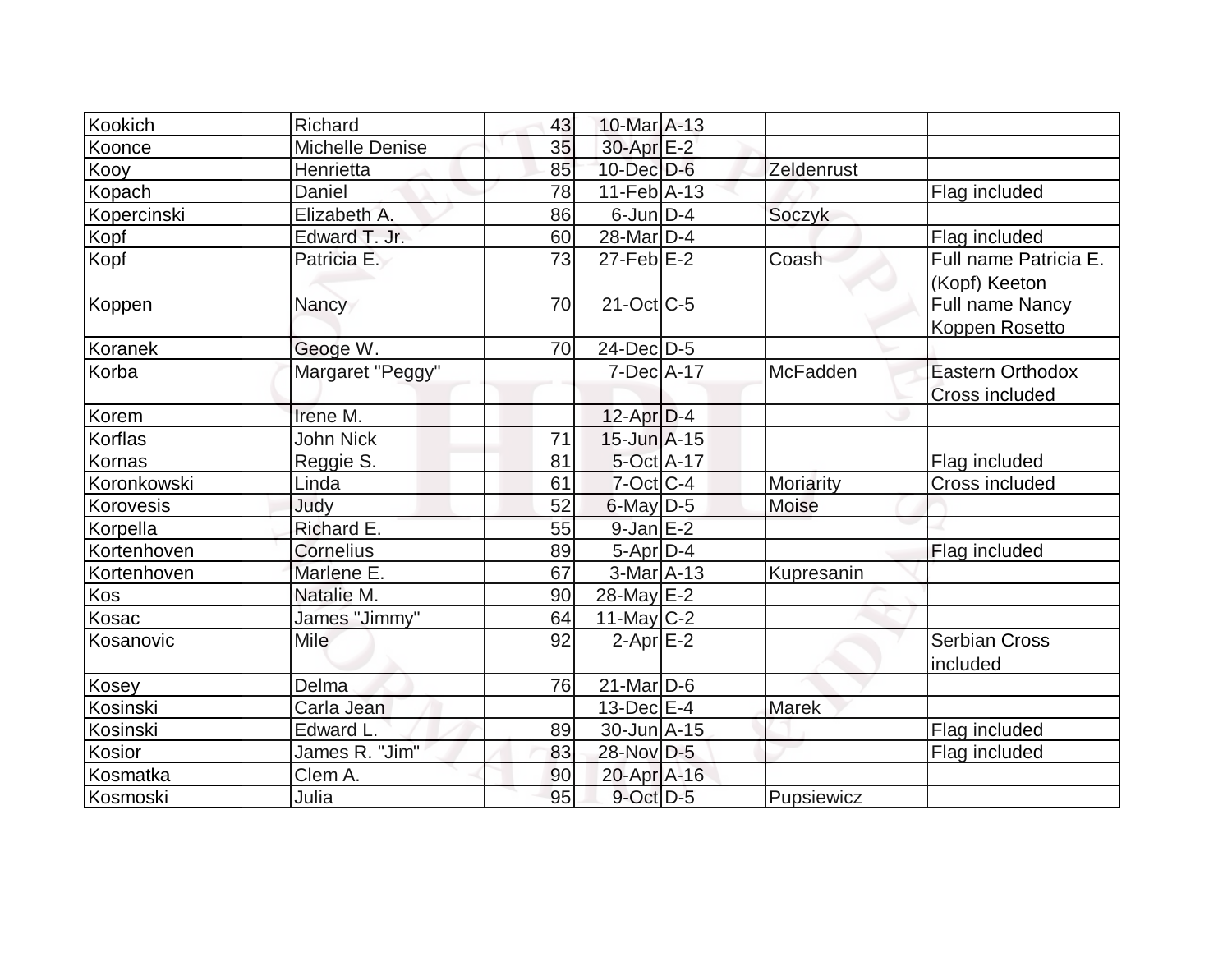| Kookich     | Richard                | 43 | 10-Mar A-13      |              |                                                  |
|-------------|------------------------|----|------------------|--------------|--------------------------------------------------|
| Koonce      | <b>Michelle Denise</b> | 35 | 30-Apr E-2       |              |                                                  |
| Kooy        | Henrietta              | 85 | $10$ -Dec $D$ -6 | Zeldenrust   |                                                  |
| Kopach      | Daniel                 | 78 | $11-Feb$ A-13    |              | Flag included                                    |
| Kopercinski | Elizabeth A.           | 86 | $6$ -Jun $D-4$   | Soczyk       |                                                  |
| Kopf        | Edward T. Jr.          | 60 | 28-Mar D-4       |              | Flag included                                    |
| Kopf        | Patricia E.            | 73 | $27$ -Feb $E-2$  | Coash        | Full name Patricia E.<br>(Kopf) Keeton           |
| Koppen      | Nancy                  | 70 | $21-Oct$ $C-5$   |              | Full name Nancy<br>Koppen Rosetto                |
| Koranek     | Geoge W.               | 70 | $24$ -Dec $D-5$  |              |                                                  |
| Korba       | Margaret "Peggy"       |    | $7-Dec A-17$     | McFadden     | <b>Eastern Orthodox</b><br><b>Cross included</b> |
| Korem       | Irene M.               |    | 12-Apr D-4       |              |                                                  |
| Korflas     | John Nick              | 71 | $15$ -Jun $A-15$ |              |                                                  |
| Kornas      | Reggie S.              | 81 | 5-Oct A-17       |              | Flag included                                    |
| Koronkowski | Linda                  | 61 | $7$ -Oct C-4     | Moriarity    | Cross included                                   |
| Korovesis   | Judy                   | 52 | $6$ -May $D-5$   | Moise        |                                                  |
| Korpella    | Richard E.             | 55 | $9$ -Jan $E-2$   |              |                                                  |
| Kortenhoven | <b>Cornelius</b>       | 89 | $5$ -Apr $D-4$   |              | Flag included                                    |
| Kortenhoven | Marlene E.             | 67 | $3-MarA-13$      | Kupresanin   |                                                  |
| Kos         | Natalie M.             | 90 | $28$ -May $E-2$  |              |                                                  |
| Kosac       | James "Jimmy"          | 64 | 11-May $C-2$     |              |                                                  |
| Kosanovic   | <b>Mile</b>            | 92 | $2-AprE-2$       |              | <b>Serbian Cross</b><br>included                 |
| Kosey       | Delma                  | 76 | $21$ -Mar $D-6$  |              |                                                  |
| Kosinski    | Carla Jean             |    | $13$ -Dec $E-4$  | <b>Marek</b> |                                                  |
| Kosinski    | Edward L.              | 89 | $30$ -Jun $A-15$ |              | Flag included                                    |
| Kosior      | James R. "Jim"         | 83 | 28-Nov D-5       |              | Flag included                                    |
| Kosmatka    | Clem A.                | 90 | 20-Apr A-16      |              |                                                  |
| Kosmoski    | Julia                  | 95 | $9$ -Oct $D-5$   | Pupsiewicz   |                                                  |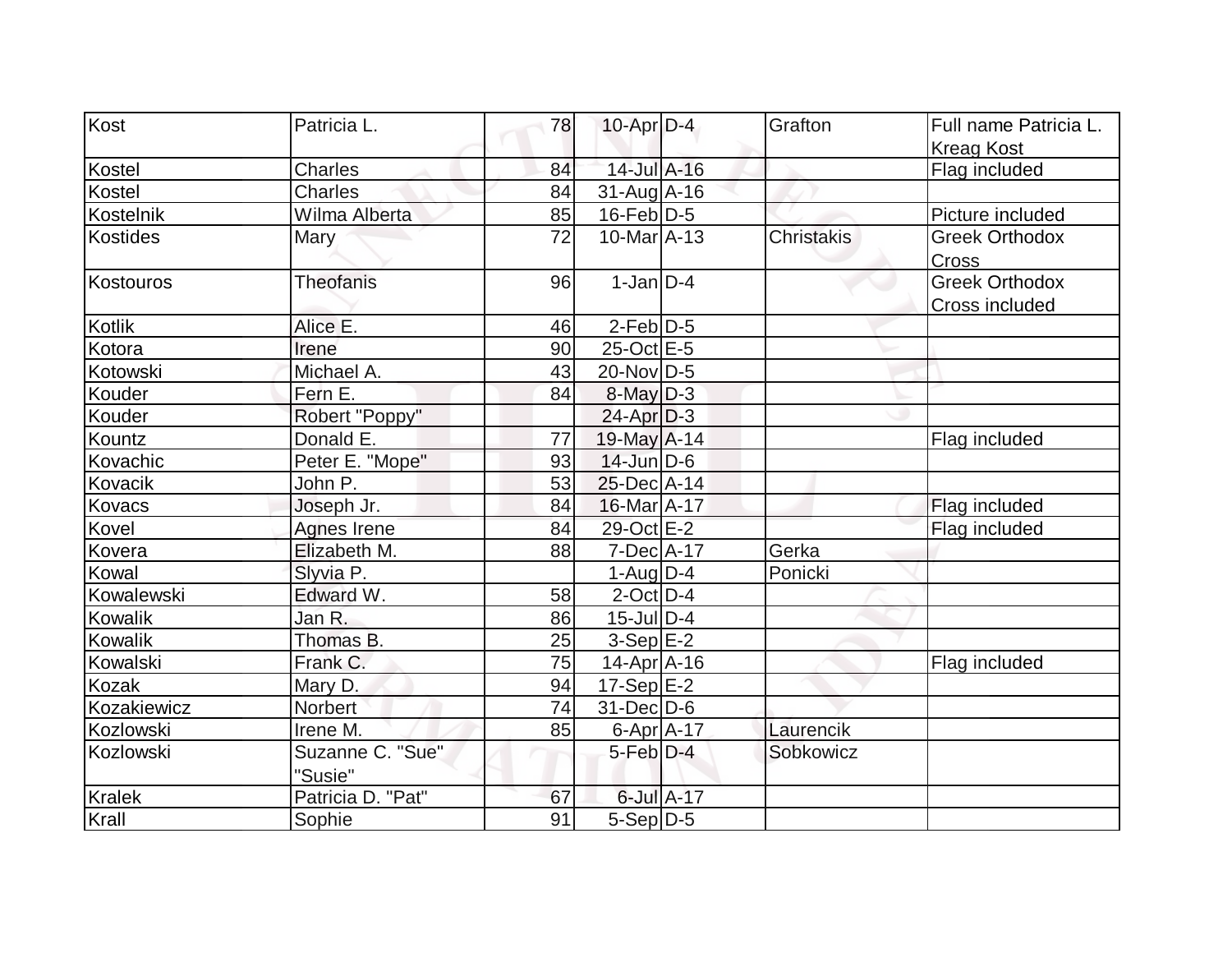| Kost            | Patricia L.                 | 78              | $10$ -Apr $D-4$   |            | Grafton           | Full name Patricia L.                   |
|-----------------|-----------------------------|-----------------|-------------------|------------|-------------------|-----------------------------------------|
|                 |                             |                 |                   |            |                   | <b>Kreag Kost</b>                       |
| Kostel          | <b>Charles</b>              | 84              | 14-Jul A-16       |            |                   | Flag included                           |
| Kostel          | Charles                     | 84              | 31-Aug A-16       |            |                   |                                         |
| Kostelnik       | Wilma Alberta               | 85              | $16$ -Feb $D-5$   |            |                   | Picture included                        |
| <b>Kostides</b> | <b>Mary</b>                 | 72              | $10$ -Mar $A$ -13 |            | <b>Christakis</b> | <b>Greek Orthodox</b><br>Cross          |
| Kostouros       | Theofanis                   | 96              | $1-Jan D-4$       |            |                   | <b>Greek Orthodox</b><br>Cross included |
| <b>Kotlik</b>   | Alice E.                    | 46              | $2$ -Feb $D-5$    |            |                   |                                         |
| Kotora          | Irene                       | 90              | 25-Oct E-5        |            |                   |                                         |
| Kotowski        | Michael A.                  | 43              | 20-Nov D-5        |            |                   |                                         |
| Kouder          | Fern E.                     | 84              | $8$ -May $D-3$    |            |                   |                                         |
| Kouder          | Robert "Poppy"              |                 | $24$ -Apr $D-3$   |            |                   |                                         |
| Kountz          | Donald E.                   | 77              | $19$ -May $A$ -14 |            |                   | Flag included                           |
| Kovachic        | Peter E. "Mope"             | 93              | $14$ -Jun $D-6$   |            |                   |                                         |
| Kovacik         | John P.                     | 53              | 25-Dec A-14       |            |                   |                                         |
| Kovacs          | Joseph Jr.                  | 84              | 16-Mar A-17       |            |                   | Flag included                           |
| Kovel           | Agnes Irene                 | 84              | 29-Oct E-2        |            |                   | Flag included                           |
| Kovera          | Elizabeth M.                | 88              | $7 - Dec A - 17$  |            | Gerka             |                                         |
| Kowal           | Slyvia P.                   |                 | $1-Auq$ D-4       |            | Ponicki           |                                         |
| Kowalewski      | Edward W.                   | 58              | $2$ -Oct $D-4$    |            |                   |                                         |
| Kowalik         | Jan R.                      | 86              | $15$ -JulD-4      |            |                   |                                         |
| <b>Kowalik</b>  | Thomas B.                   | 25              | $3-Sep$ $E-2$     |            |                   |                                         |
| Kowalski        | Frank C.                    | 75              | $14$ -Apr $ A-16$ |            |                   | Flag included                           |
| Kozak           | Mary D.                     | 94              | 17-Sep E-2        |            |                   |                                         |
| Kozakiewicz     | <b>Norbert</b>              | $\overline{74}$ | $31$ -Dec $D-6$   |            |                   |                                         |
| Kozlowski       | Irene M.                    | 85              | 6-Apr A-17        |            | Laurencik         |                                         |
| Kozlowski       | Suzanne C. "Sue"<br>"Susie" |                 | $5$ -Feb $D-4$    |            | Sobkowicz         |                                         |
| <b>Kralek</b>   | Patricia D. "Pat"           | 67              |                   | 6-Jul A-17 |                   |                                         |
| Krall           | Sophie                      | 91              | 5-Sep D-5         |            |                   |                                         |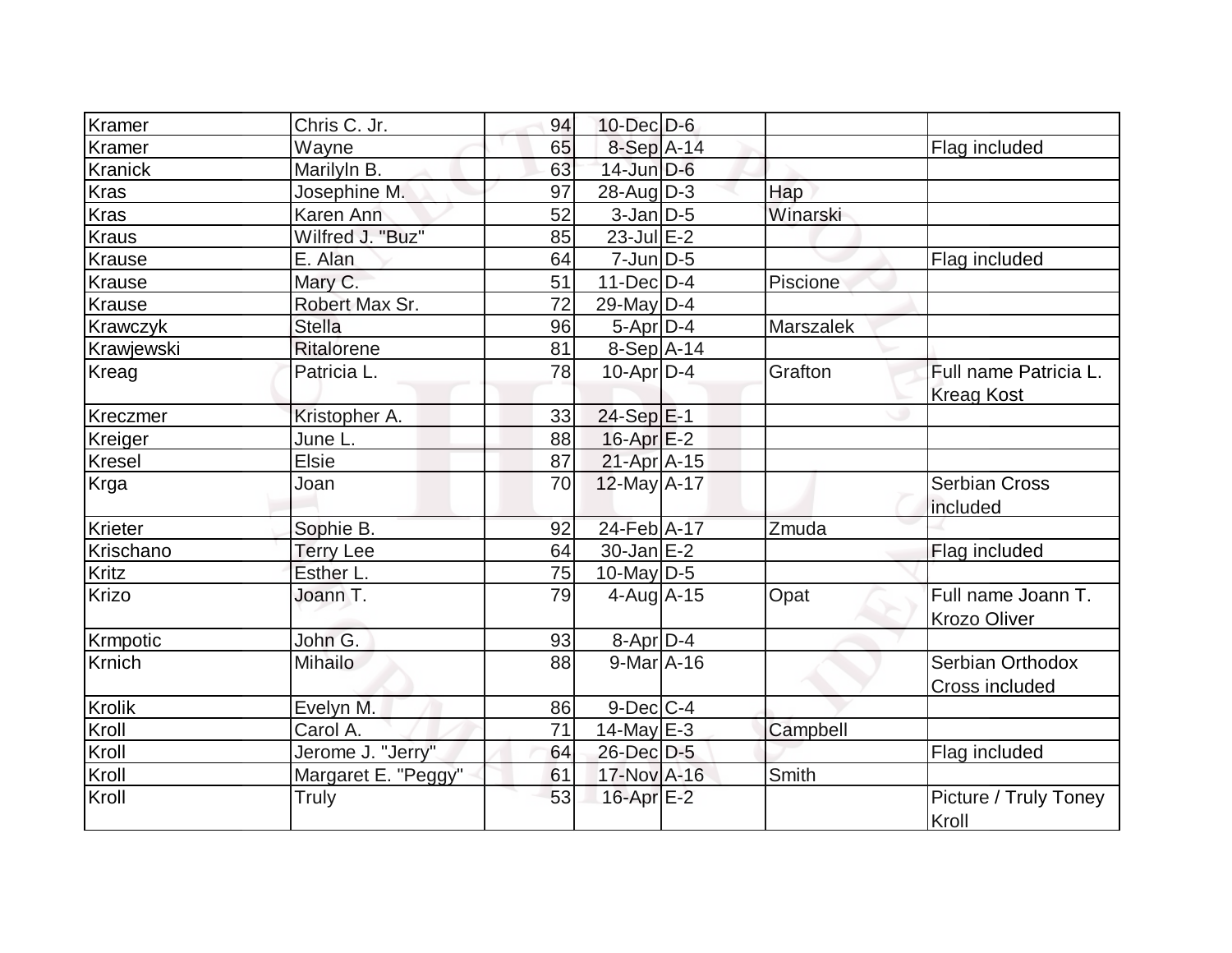| Kramer        | Chris C. Jr.        | 94 | $10$ -Dec $D$ -6  |                  |                                            |
|---------------|---------------------|----|-------------------|------------------|--------------------------------------------|
| Kramer        | Wayne               | 65 | 8-Sep A-14        |                  | Flag included                              |
| Kranick       | Marilyln B.         | 63 | $14$ -Jun $D-6$   |                  |                                            |
| Kras          | Josephine M.        | 97 | $28$ -Aug $D-3$   | Hap              |                                            |
| <b>Kras</b>   | Karen Ann           | 52 | $3$ -Jan $D-5$    | Winarski         |                                            |
| <b>Kraus</b>  | Wilfred J. "Buz"    | 85 | $23$ -Jul $E-2$   |                  |                                            |
| Krause        | E. Alan             | 64 | $7$ -Jun $D-5$    |                  | Flag included                              |
| Krause        | Mary C.             | 51 | $11$ -Dec $ D-4 $ | Piscione         |                                            |
| Krause        | Robert Max Sr.      | 72 | 29-May $D-4$      |                  |                                            |
| Krawczyk      | <b>Stella</b>       | 96 | $5-Apr$ D-4       | <b>Marszalek</b> |                                            |
| Krawjewski    | Ritalorene          | 81 | $8-Sep$ A-14      |                  |                                            |
| Kreag         | Patricia L.         | 78 | $10$ -Apr $ D-4 $ | Grafton          | Full name Patricia L.<br><b>Kreag Kost</b> |
| Kreczmer      | Kristopher A.       | 33 | $24-Sep$ E-1      |                  |                                            |
| Kreiger       | June L.             | 88 | $16$ -Apr $E-2$   |                  |                                            |
| <b>Kresel</b> | Elsie               | 87 | 21-Apr A-15       |                  |                                            |
| Krga          | Joan                | 70 | $12$ -May $A-17$  |                  | <b>Serbian Cross</b><br>included           |
| Krieter       | Sophie B.           | 92 | 24-Feb A-17       | Zmuda            |                                            |
| Krischano     | <b>Terry Lee</b>    | 64 | $30$ -Jan $E-2$   |                  | Flag included                              |
| Kritz         | Esther L.           | 75 | $10$ -May D-5     |                  |                                            |
| Krizo         | Joann T.            | 79 | $4$ -Aug A-15     | Opat             | Full name Joann T.<br><b>Krozo Oliver</b>  |
| Krmpotic      | John G.             | 93 | $8 - Apr$ $D-4$   |                  |                                            |
| <b>Krnich</b> | <b>Mihailo</b>      | 88 | $9-MarA-16$       |                  | Serbian Orthodox<br>Cross included         |
| <b>Krolik</b> | Evelyn M.           | 86 | $9$ -Dec $ C-4 $  |                  |                                            |
| Kroll         | Carol A.            | 71 | $14$ -May E-3     | Campbell         |                                            |
| Kroll         | Jerome J. "Jerry"   | 64 | 26-Dec D-5        |                  | Flag included                              |
| Kroll         | Margaret E. "Peggy" | 61 | 17-Nov A-16       | Smith            |                                            |
| Kroll         | Truly               | 53 | 16-Apr E-2        |                  | Picture / Truly Toney<br>Kroll             |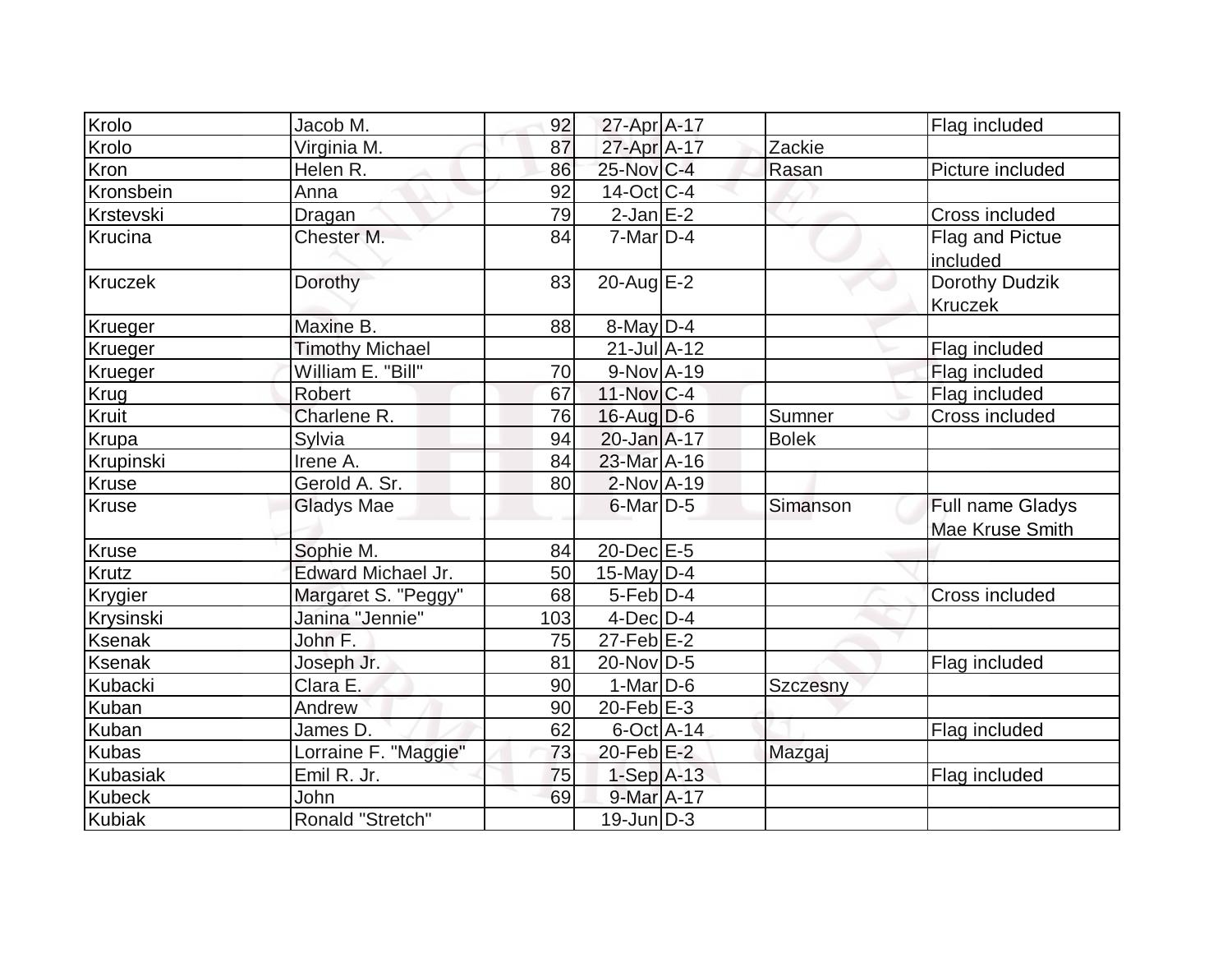| Krolo          | Jacob M.               | 92  | 27-Apr A-17         |              | Flag included               |
|----------------|------------------------|-----|---------------------|--------------|-----------------------------|
| Krolo          | Virginia M.            | 87  | 27-Apr A-17         | Zackie       |                             |
| Kron           | Helen R.               | 86  | 25-Nov C-4          | Rasan        | Picture included            |
| Kronsbein      | Anna                   | 92  | $14$ -Oct C-4       |              |                             |
| Krstevski      | Dragan                 | 79  | $2$ -Jan $E-2$      |              | Cross included              |
| Krucina        | Chester M.             | 84  | $7-Mar$ D-4         |              | Flag and Pictue<br>included |
| Kruczek        | Dorothy                | 83  | $20$ -Aug $E$ -2    |              | Dorothy Dudzik              |
|                |                        |     |                     |              | <b>Kruczek</b>              |
| Krueger        | Maxine B.              | 88  | $8$ -May $D-4$      |              |                             |
| Krueger        | <b>Timothy Michael</b> |     | $21 - Jul$ $A - 12$ |              | Flag included               |
| Krueger        | William E. "Bill"      | 70  | $9-NovA-19$         |              | Flag included               |
| <b>Krug</b>    | Robert                 | 67  | 11-Nov C-4          |              | Flag included               |
| Kruit          | Charlene R.            | 76  | $16$ -Aug $D-6$     | Sumner       | Cross included              |
| Krupa          | Sylvia                 | 94  | $20$ -Jan $A-17$    | <b>Bolek</b> |                             |
| Krupinski      | Irene A.               | 84  | 23-Mar A-16         |              |                             |
| Kruse          | Gerold A. Sr.          | 80  | $2$ -Nov $A-19$     |              |                             |
| <b>Kruse</b>   | <b>Gladys Mae</b>      |     | $6$ -Mar $D-5$      | Simanson     | Full name Gladys            |
|                |                        |     |                     |              | Mae Kruse Smith             |
| <b>Kruse</b>   | Sophie M.              | 84  | $20$ -Dec $E-5$     |              |                             |
| <b>Krutz</b>   | Edward Michael Jr.     | 50  | $15$ -May D-4       |              |                             |
| Krygier        | Margaret S. "Peggy"    | 68  | $5-Feb$ $D-4$       |              | Cross included              |
| Krysinski      | Janina "Jennie"        | 103 | $4$ -Dec $D-4$      |              |                             |
| <b>Ksenak</b>  | John F.                | 75  | $27$ -Feb $E-2$     |              |                             |
| <b>Ksenak</b>  | Joseph Jr.             | 81  | 20-Nov D-5          |              | Flag included               |
| <b>Kubacki</b> | Clara E.               | 90  | $1-Mar$ D-6         | Szczesny     |                             |
| Kuban          | Andrew                 | 90  | $20$ -Feb $E-3$     |              |                             |
| Kuban          | James D.               | 62  | $6$ -Oct A-14       |              | Flag included               |
| <b>Kubas</b>   | Lorraine F. "Maggie"   | 73  | $20$ -Feb $E-2$     | Mazgaj       |                             |
| Kubasiak       | Emil R. Jr.            | 75  | $1-Sep$ A-13        |              | Flag included               |
| <b>Kubeck</b>  | John                   | 69  | 9-Mar A-17          |              |                             |
| Kubiak         | Ronald "Stretch"       |     | $19$ -Jun $D-3$     |              |                             |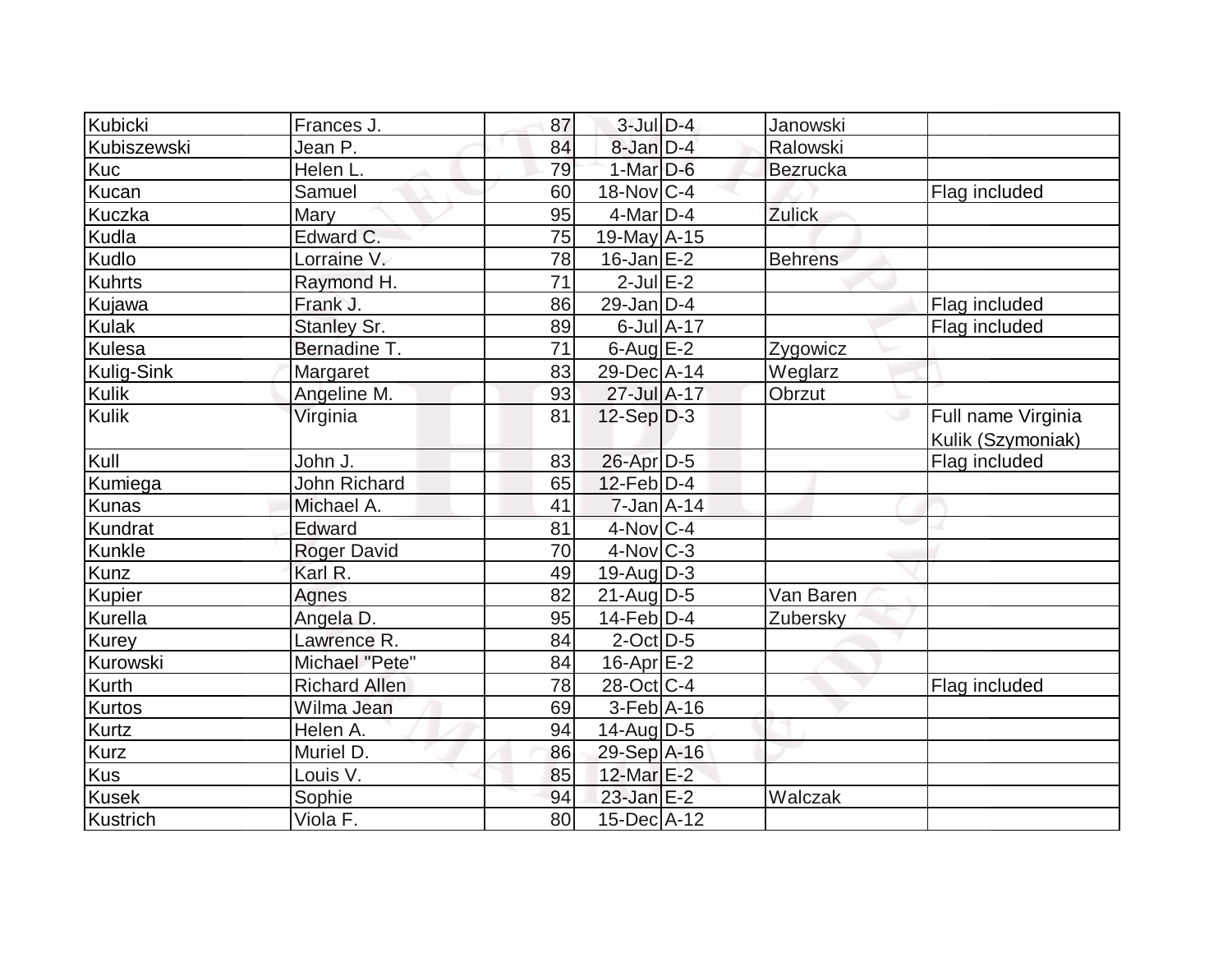| Kubicki       | Frances J.             | 87              | $3$ -JulD-4             |            | Janowski       |                                         |
|---------------|------------------------|-----------------|-------------------------|------------|----------------|-----------------------------------------|
| Kubiszewski   | Jean P.                | 84              | $8$ -Jan $D-4$          |            | Ralowski       |                                         |
| <b>Kuc</b>    | Helen L.               | 79              | $1-Mar$ D-6             |            | Bezrucka       |                                         |
| Kucan         | Samuel                 | 60              | $18-Nov$ <sub>C-4</sub> |            |                | Flag included                           |
| <b>Kuczka</b> | Mary                   | 95              | $4$ -Mar $D-4$          |            | Zulick         |                                         |
| Kudla         | Edward C.              | 75              | $19$ -May $A$ -15       |            |                |                                         |
| Kudlo         | Lorraine V.            | 78              | $16$ -Jan $E-2$         |            | <b>Behrens</b> |                                         |
| <b>Kuhrts</b> | Raymond H.             | $\overline{71}$ | $2$ -Jul $E-2$          |            |                |                                         |
| Kujawa        | Frank J.               | 86              | $29$ -Jan D-4           |            |                | Flag included                           |
| <b>Kulak</b>  | <b>Stanley Sr.</b>     | 89              |                         | 6-Jul A-17 |                | Flag included                           |
| <b>Kulesa</b> | Bernadine T.           | 71              | $6$ -Aug $E-2$          |            | Zygowicz       |                                         |
| Kulig-Sink    | Margaret               | 83              | 29-Dec A-14             |            | Weglarz        |                                         |
| <b>Kulik</b>  | Angeline M.            | 93              | 27-Jul A-17             |            | Obrzut         |                                         |
| <b>Kulik</b>  | Virginia               | 81              | $12-Sep D-3$            |            |                | Full name Virginia<br>Kulik (Szymoniak) |
| Kull          | John J.                | 83              | 26-Apr D-5              |            |                | Flag included                           |
| Kumiega       | <b>John Richard</b>    | 65              | $12$ -Feb $D-4$         |            |                |                                         |
| <b>Kunas</b>  | Michael A.             | 41              | $7$ -Jan $A$ -14        |            |                |                                         |
| Kundrat       | Edward                 | 81              | 4-Nov C-4               |            |                |                                         |
| Kunkle        | <b>Roger David</b>     | 70              | $4$ -Nov $ C-3 $        |            |                |                                         |
| Kunz          | Karl R.                | 49              | $19$ -Aug $D-3$         |            |                |                                         |
| <b>Kupier</b> | Agnes                  | 82              | $21$ -Aug $ D-5 $       |            | Van Baren      |                                         |
| Kurella       | Angela D.              | 95              | $14$ -Feb $D-4$         |            | Zubersky       |                                         |
| <b>Kurey</b>  | Lawrence R.            | 84              | $2$ -Oct $D-5$          |            |                |                                         |
| Kurowski      | Michael "Pete"         | 84              | $16$ -Apr $E-2$         |            |                |                                         |
| Kurth         | <b>Richard Allen</b>   | 78              | 28-Oct C-4              |            |                | Flag included                           |
| Kurtos        | Wilma Jean             | 69              | $3-Feb$ A-16            |            |                |                                         |
| <b>Kurtz</b>  | Helen A.               | 94              | $14$ -Aug D-5           |            |                |                                         |
| <b>Kurz</b>   | Muriel D.              | 86              | 29-Sep A-16             |            |                |                                         |
| Kus           | Louis V.               | 85              | 12-Mar E-2              |            |                |                                         |
| <b>Kusek</b>  | Sophie                 | 94              | $23$ -Jan $E-2$         |            | Walczak        |                                         |
| Kustrich      | Viola $\overline{F}$ . | 80              | 15-Dec A-12             |            |                |                                         |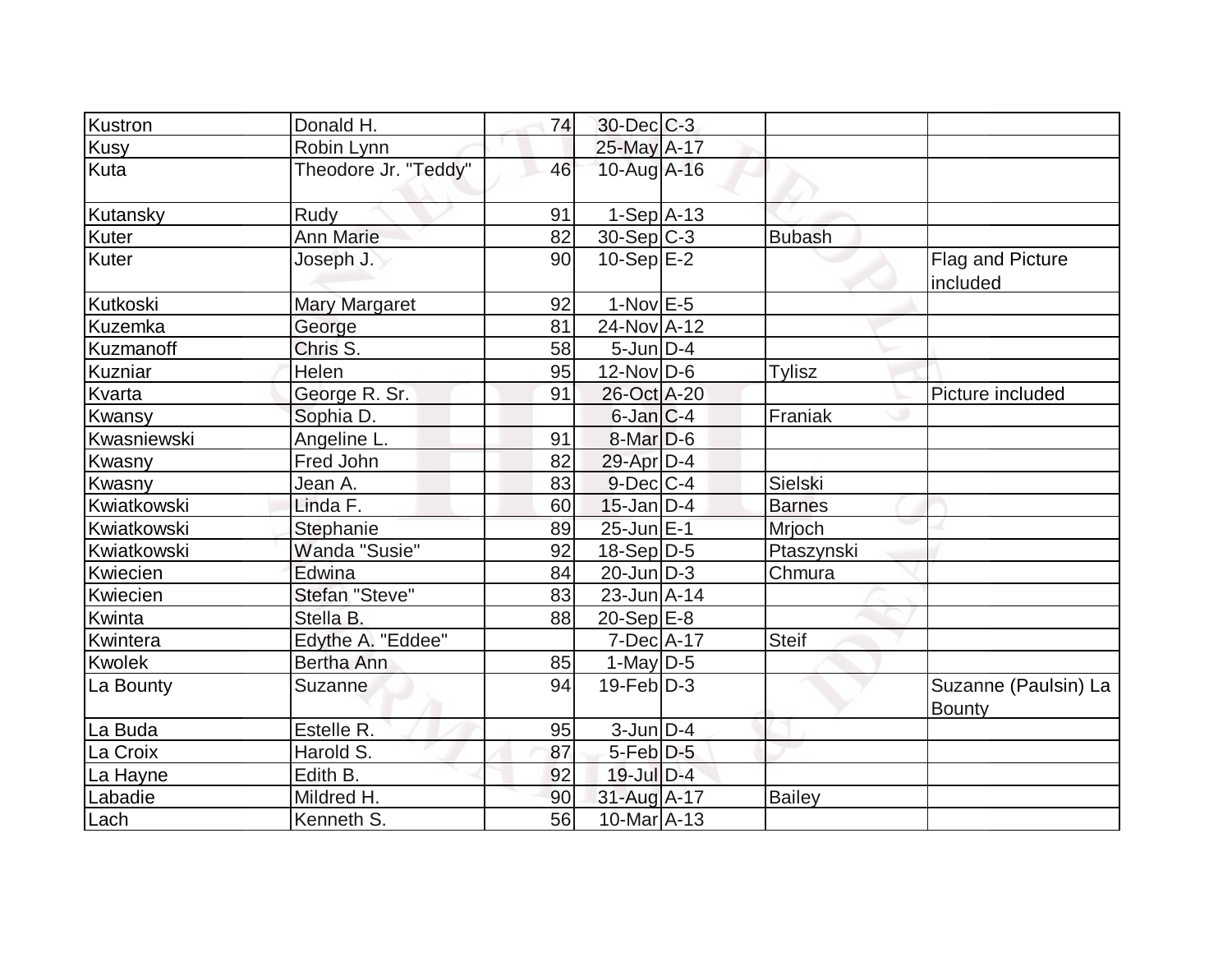| Kustron       | Donald H.            | 74 | $30$ -Dec $C-3$   |                |                                       |
|---------------|----------------------|----|-------------------|----------------|---------------------------------------|
| <b>Kusy</b>   | Robin Lynn           |    | 25-May A-17       |                |                                       |
| Kuta          | Theodore Jr. "Teddy" | 46 | 10-Aug A-16       |                |                                       |
| Kutansky      | Rudy                 | 91 | $1-Sep$ A-13      |                |                                       |
| Kuter         | <b>Ann Marie</b>     | 82 | $30-Sep$ C-3      | <b>Bubash</b>  |                                       |
| Kuter         | Joseph J.            | 90 | $10-Sep$ $E-2$    |                | Flag and Picture<br>included          |
| Kutkoski      | <b>Mary Margaret</b> | 92 | $1-Nov$ $E-5$     |                |                                       |
| Kuzemka       | George               | 81 | 24-Nov A-12       |                |                                       |
| Kuzmanoff     | Chris S.             | 58 | $5$ -Jun $D-4$    |                |                                       |
| Kuzniar       | Helen                | 95 | $12$ -Nov $ D-6 $ | <b>Tylisz</b>  |                                       |
| Kvarta        | George R. Sr.        | 91 | 26-Oct A-20       |                | Picture included                      |
| Kwansy        | Sophia D.            |    | $6$ -Jan $ C-4 $  | Franiak        |                                       |
| Kwasniewski   | Angeline L.          | 91 | $8$ -Mar $D$ -6   |                |                                       |
| <b>Kwasny</b> | Fred John            | 82 | 29-Apr D-4        |                |                                       |
| Kwasny        | Jean A.              | 83 | $9$ -Dec $ C-4 $  | <b>Sielski</b> |                                       |
| Kwiatkowski   | Linda F.             | 60 | $15$ -Jan $ D-4 $ | <b>Barnes</b>  |                                       |
| Kwiatkowski   | Stephanie            | 89 | 25-Jun E-1        | Mrjoch         |                                       |
| Kwiatkowski   | Wanda "Susie"        | 92 | $18-Sep D-5$      | Ptaszynski     |                                       |
| Kwiecien      | Edwina               | 84 | $20$ -Jun $ D-3 $ | Chmura         |                                       |
| Kwiecien      | Stefan "Steve"       | 83 | $23$ -Jun $A-14$  |                |                                       |
| Kwinta        | Stella B.            | 88 | $20-Sep$ $E-8$    |                |                                       |
| Kwintera      | Edythe A. "Eddee"    |    | $7 - Dec$ A-17    | <b>Steif</b>   |                                       |
| Kwolek        | Bertha Ann           | 85 | 1-May $D-5$       |                |                                       |
| La Bounty     | Suzanne              | 94 | $19$ -Feb $D-3$   |                | Suzanne (Paulsin) La<br><b>Bounty</b> |
| La Buda       | Estelle R.           | 95 | $3$ -Jun $D-4$    |                |                                       |
| La Croix      | Harold S.            | 87 | $5$ -Feb $D-5$    |                |                                       |
| La Hayne      | Edith B.             | 92 | 19-Jul D-4        |                |                                       |
| Labadie       | Mildred H.           | 90 | 31-Aug A-17       | <b>Bailey</b>  |                                       |
| Lach          | Kenneth S.           | 56 | $10$ -Mar $A$ -13 |                |                                       |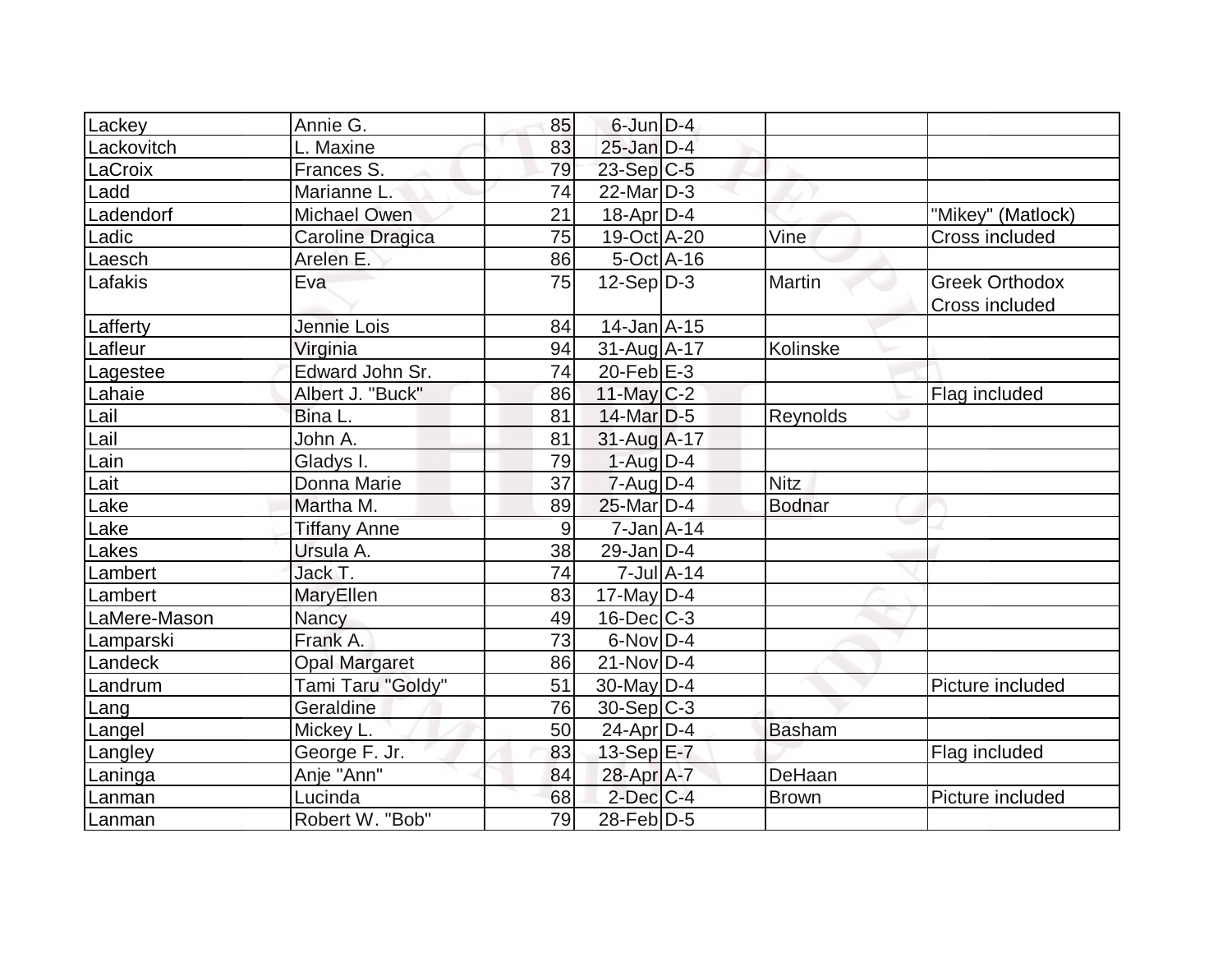| Lackey       | Annie G.             | 85 | $6$ -Jun $D-4$    |               |                       |
|--------------|----------------------|----|-------------------|---------------|-----------------------|
| Lackovitch   | L. Maxine            | 83 | $25$ -Jan $D-4$   |               |                       |
| LaCroix      | Frances S.           | 79 | $23-Sep C-5$      |               |                       |
| Ladd         | Marianne L.          | 74 | $22$ -Mar $D-3$   |               |                       |
| Ladendorf    | <b>Michael Owen</b>  | 21 | $18$ -Apr $D-4$   |               | "Mikey" (Matlock)     |
| Ladic        | Caroline Dragica     | 75 | 19-Oct A-20       | Vine          | Cross included        |
| Laesch       | Arelen E.            | 86 | $5$ -Oct $A$ -16  |               |                       |
| Lafakis      | Eva                  | 75 | $12-Sep D-3$      | Martin        | <b>Greek Orthodox</b> |
|              |                      |    |                   |               | Cross included        |
| Lafferty     | Jennie Lois          | 84 | $14$ -Jan $A$ -15 |               |                       |
| Lafleur      | Virginia             | 94 | $31$ -Aug $A$ -17 | Kolinske      |                       |
| Lagestee     | Edward John Sr.      | 74 | $20$ -Feb $E-3$   |               |                       |
| Lahaie       | Albert J. "Buck"     | 86 | $11$ -May C-2     |               | Flag included         |
| Lail         | Bina L.              | 81 | $14$ -Mar $D-5$   | Reynolds      |                       |
| Lail         | John A.              | 81 | $31$ -Aug $A$ -17 |               |                       |
| Lain         | Gladys I.            | 79 | $1-Auq$ D-4       |               |                       |
| Lait         | Donna Marie          | 37 | $7 - Aug   D-4$   | <b>Nitz</b>   |                       |
| Lake         | Martha M.            | 89 | 25-Mar D-4        | <b>Bodnar</b> |                       |
| Lake         | <b>Tiffany Anne</b>  | 9  | $7$ -Jan $A$ -14  |               |                       |
| Lakes        | Ursula A.            | 38 | $29$ -Jan $D-4$   |               |                       |
| Lambert      | Jack T.              | 74 | $7$ -Jul $A-14$   |               |                       |
| Lambert      | MaryEllen            | 83 | $17$ -May D-4     |               |                       |
| LaMere-Mason | <b>Nancy</b>         | 49 | $16$ -Dec $C$ -3  |               |                       |
| Lamparski    | Frank A.             | 73 | 6-Nov D-4         |               |                       |
| Landeck      | <b>Opal Margaret</b> | 86 | $21-Nov D-4$      |               |                       |
| Landrum      | Tami Taru "Goldy"    | 51 | 30-May $D-4$      |               | Picture included      |
| Lang         | Geraldine            | 76 | $30-Sep C-3$      |               |                       |
| Langel       | Mickey L.            | 50 | $24$ -Apr $D-4$   | <b>Basham</b> |                       |
| Langley      | George F. Jr.        | 83 | 13-Sep E-7        |               | Flag included         |
| Laninga      | Anje "Ann"           | 84 | 28-Apr A-7        | DeHaan        |                       |
| Lanman       | Lucinda              | 68 | $2$ -Dec $C-4$    | <b>Brown</b>  | Picture included      |
| Lanman       | Robert W. "Bob"      | 79 | $28$ -Feb $D-5$   |               |                       |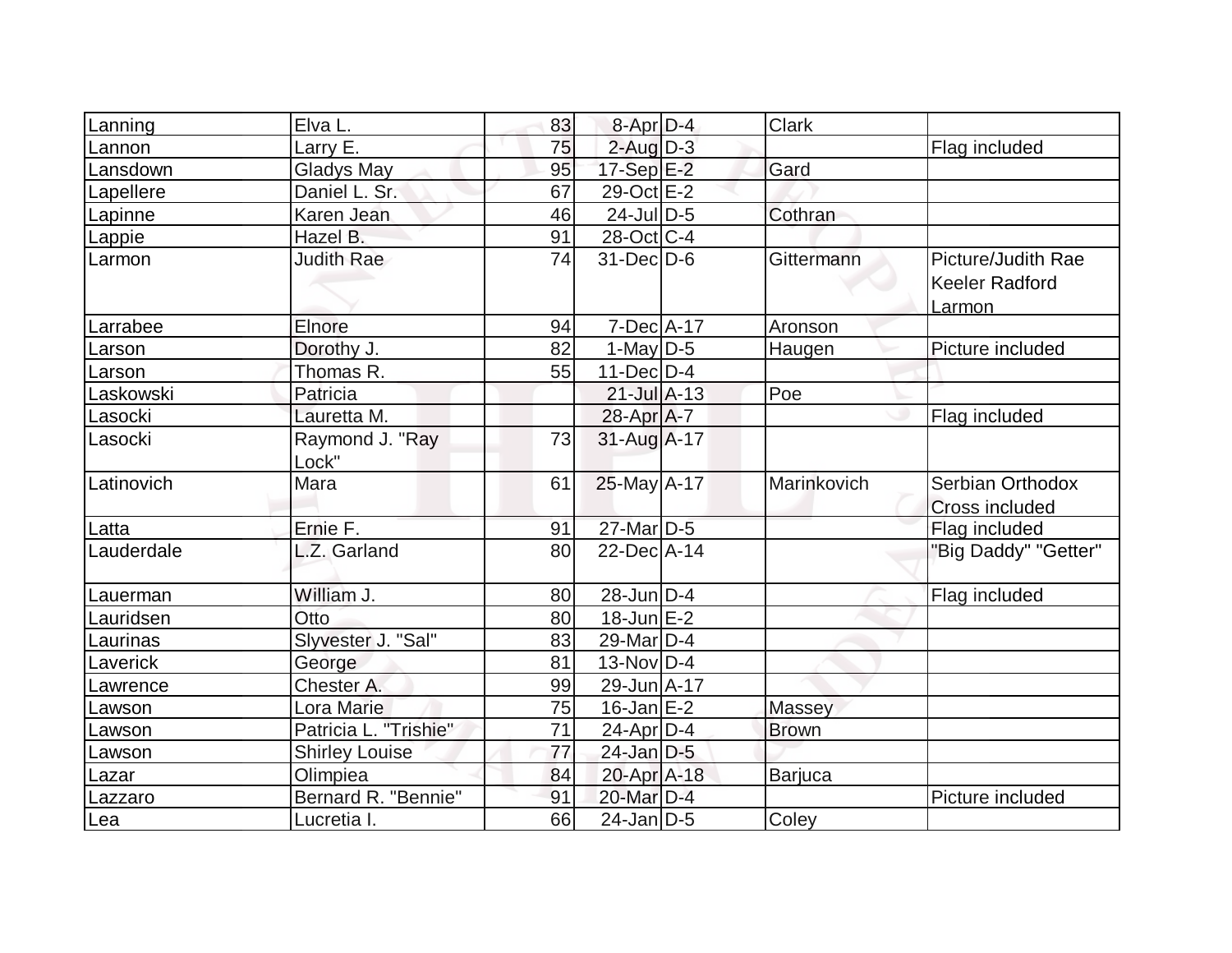| Lanning    | Elva L.                  | 83 | $8-Apr D-4$       | <b>Clark</b> |                                                       |
|------------|--------------------------|----|-------------------|--------------|-------------------------------------------------------|
| Lannon     | Larry E.                 | 75 | $2$ -Aug $D-3$    |              | Flag included                                         |
| Lansdown   | <b>Gladys May</b>        | 95 | $17-Sep$ $E-2$    | Gard         |                                                       |
| Lapellere  | Daniel L. Sr.            | 67 | 29-Oct E-2        |              |                                                       |
| Lapinne    | Karen Jean               | 46 | $24$ -JulD-5      | Cothran      |                                                       |
| Lappie     | Hazel B.                 | 91 | 28-Oct C-4        |              |                                                       |
| Larmon     | <b>Judith Rae</b>        | 74 | $31$ -Dec $D-6$   | Gittermann   | Picture/Judith Rae<br><b>Keeler Radford</b><br>Larmon |
| Larrabee   | Elnore                   | 94 | $7$ -Dec $A$ -17  | Aronson      |                                                       |
| Larson     | Dorothy J.               | 82 | $1-May D-5$       | Haugen       | Picture included                                      |
| Larson     | Thomas R.                | 55 | $11-Dec$ D-4      |              |                                                       |
| Laskowski  | Patricia                 |    | $21$ -Jul $A-13$  | Poe          |                                                       |
| Lasocki    | Lauretta M.              |    | $28$ -Apr $A$ -7  |              | Flag included                                         |
| Lasocki    | Raymond J. "Ray<br>Lock" | 73 | $31-Aug$ A-17     |              |                                                       |
| Latinovich | Mara                     | 61 | $25$ -May A-17    | Marinkovich  | Serbian Orthodox<br>Cross included                    |
| Latta      | Ernie F.                 | 91 | $27$ -Mar $D-5$   |              | Flag included                                         |
| Lauderdale | L.Z. Garland             | 80 | $22$ -Dec $A-14$  |              | "Big Daddy" "Getter"                                  |
| Lauerman   | William J.               | 80 | $28$ -Jun $ D-4 $ |              | Flag included                                         |
| Lauridsen  | Otto                     | 80 | $18$ -Jun $E-2$   |              |                                                       |
| Laurinas   | Slyvester J. "Sal"       | 83 | $29$ -Mar $D-4$   |              |                                                       |
| Laverick   | George                   | 81 | $13-Nov D-4$      |              |                                                       |
| Lawrence   | Chester A.               | 99 | 29-Jun A-17       |              |                                                       |
| Lawson     | Lora Marie               | 75 | $16$ -Jan $E-2$   | Massey       |                                                       |
| Lawson     | Patricia L. "Trishie"    | 71 | $24$ -Apr $ D-4$  | <b>Brown</b> |                                                       |
| Lawson     | Shirley Louise           | 77 | $24$ -Jan D-5     |              |                                                       |
| Lazar      | Olimpiea                 | 84 | 20-Apr A-18       | Barjuca      |                                                       |
| Lazzaro    | Bernard R. "Bennie"      | 91 | 20-Mar D-4        |              | Picture included                                      |
| Lea        | Lucretia I.              | 66 | $24$ -Jan $D-5$   | Coley        |                                                       |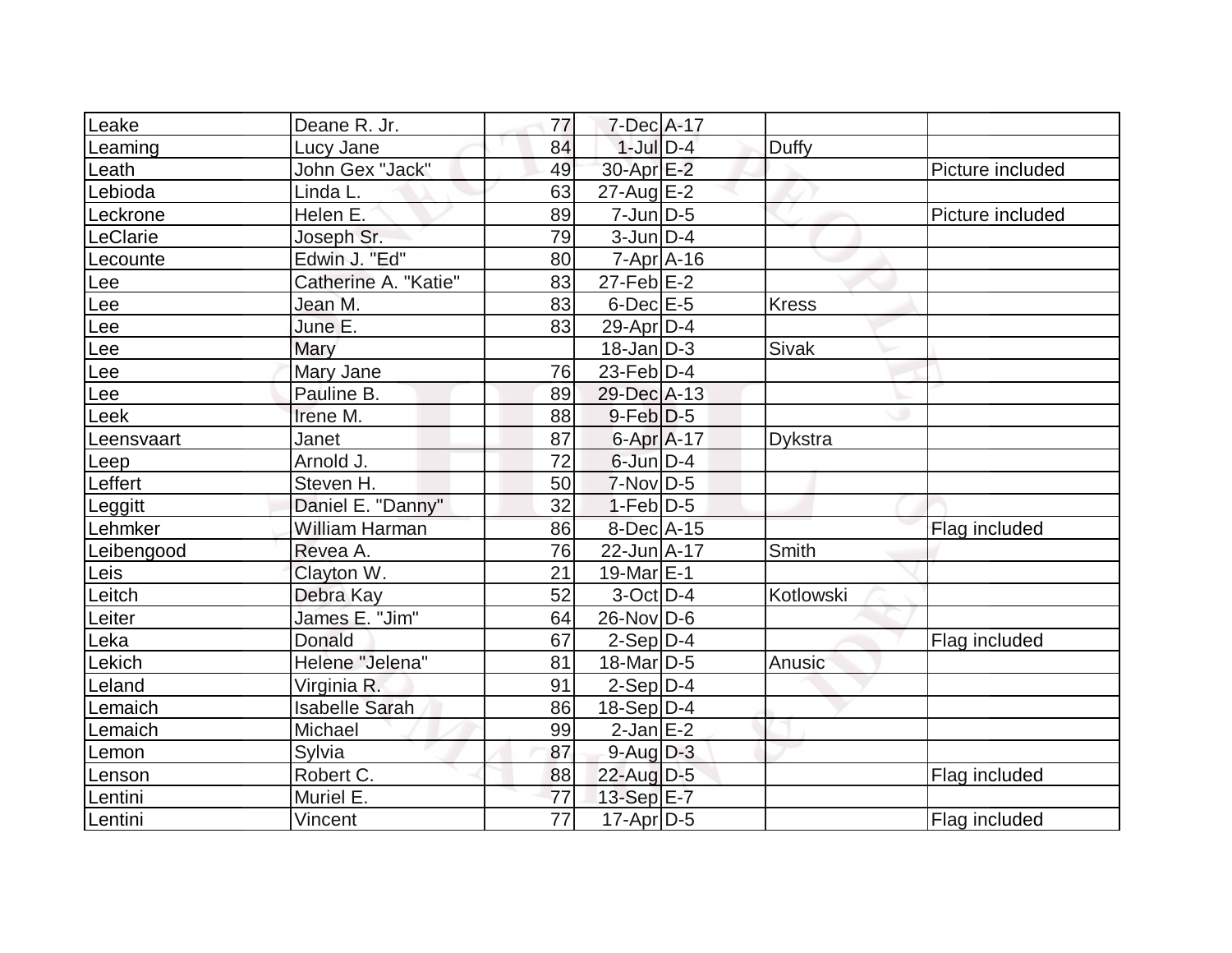| Leake      | Deane R. Jr.          | 77              | 7-Dec A-17            |              |                  |
|------------|-----------------------|-----------------|-----------------------|--------------|------------------|
| Leaming    | Lucy Jane             | 84              | $1$ -Jul $D-4$        | <b>Duffy</b> |                  |
| Leath      | John Gex "Jack"       | 49              | 30-Apr E-2            |              | Picture included |
| Lebioda    | Linda L.              | 63              | $27$ -Aug $E-2$       |              |                  |
| Leckrone   | Helen E.              | 89              | $7$ -Jun $D-5$        |              | Picture included |
| LeClarie   | Joseph Sr.            | 79              | $3$ -Jun $D-4$        |              |                  |
| Lecounte   | Edwin J. "Ed"         | 80              | $7 - Apr$ $A - 16$    |              |                  |
| Lee        | Catherine A. "Katie"  | 83              | $27$ -Feb $E-2$       |              |                  |
| $Lee$      | Jean M.               | 83              | $6$ -Dec $E$ -5       | <b>Kress</b> |                  |
| Lee        | June E.               | 83              | $29$ -Apr $D-4$       |              |                  |
| Lee        | Mary                  |                 | $18$ -Jan $D-3$       | <b>Sivak</b> |                  |
| Lee        | Mary Jane             | 76              | 23-Feb $D-4$          |              |                  |
| Lee        | Pauline B.            | 89              | 29-Dec A-13           |              |                  |
| Leek       | Irene M.              | 88              | $9$ -Feb $D-5$        |              |                  |
| Leensvaart | Janet                 | 87              | $6-Apr$ A-17          | Dykstra      |                  |
| Leep       | Arnold J.             | 72              | $6$ -Jun $D-4$        |              |                  |
| Leffert    | Steven H.             | 50              | $7-Nov D-5$           |              |                  |
| Leggitt    | Daniel E. "Danny"     | 32              | $1-Feb D-5$           |              |                  |
| Lehmker    | <b>William Harman</b> | 86              | 8-Dec A-15            |              | Flag included    |
| Leibengood | Revea A.              | 76              | 22-Jun A-17           | Smith        |                  |
| Leis       | Clayton W.            | 21              | $19$ -Mar $E-1$       |              |                  |
| Leitch     | Debra Kay             | 52              | $3-Oct$ D-4           | Kotlowski    |                  |
| Leiter     | James E. "Jim"        | 64              | $26$ -Nov $ D-6 $     |              |                  |
| Leka       | <b>Donald</b>         | 67              | $2-Sep D-4$           |              | Flag included    |
| Lekich     | Helene "Jelena"       | 81              | 18-Mar <sub>D-5</sub> | Anusic       |                  |
| Leland     | Virginia R.           | 91              | $2-Sep D-4$           |              |                  |
| Lemaich    | <b>Isabelle Sarah</b> | 86              | $18-Sep D-4$          |              |                  |
| Lemaich    | Michael               | 99              | $2$ -Jan $E-2$        |              |                  |
| Lemon      | Sylvia                | 87              | $9$ -Aug $D-3$        |              |                  |
| Lenson     | Robert C.             | 88              | $22$ -Aug $D-5$       |              | Flag included    |
| Lentini    | Muriel E.             | 77              | 13-Sep $E-7$          |              |                  |
| Lentini    | Vincent               | $\overline{77}$ | $17$ -Apr $ D-5$      |              | Flag included    |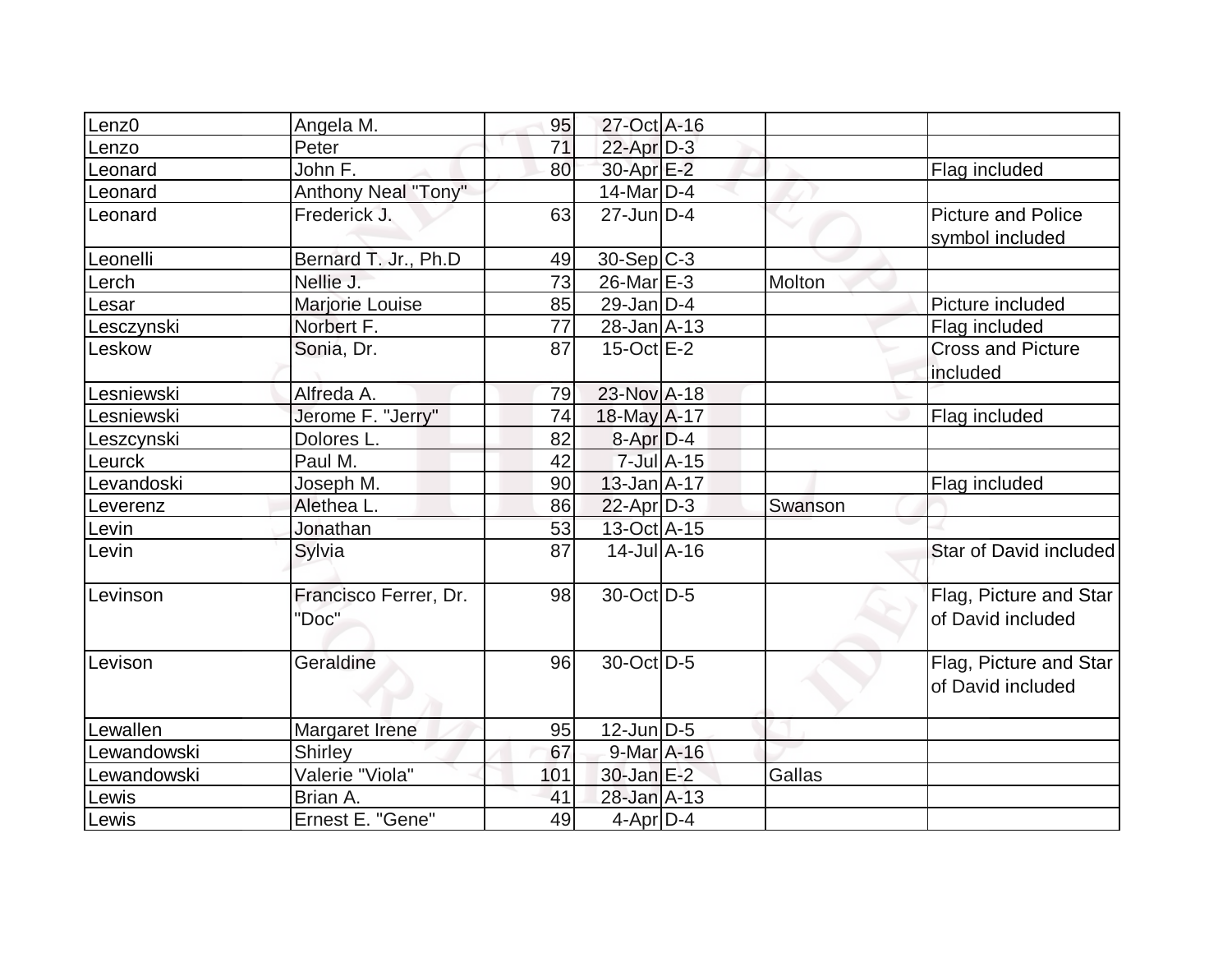| Lenz <sub>0</sub> | Angela M.                      | 95  | 27-Oct A-16       |                 |               |                                              |
|-------------------|--------------------------------|-----|-------------------|-----------------|---------------|----------------------------------------------|
| Lenzo             | Peter                          | 71  | $22$ -Apr $D-3$   |                 |               |                                              |
| Leonard           | John F.                        | 80  | 30-Apr E-2        |                 |               | Flag included                                |
| Leonard           | Anthony Neal "Tony"            |     | 14-Mar $D-4$      |                 |               |                                              |
| Leonard           | Frederick J.                   | 63  | $27$ -Jun $D-4$   |                 |               | <b>Picture and Police</b><br>symbol included |
| Leonelli          | Bernard T. Jr., Ph.D           | 49  | $30-Sep C-3$      |                 |               |                                              |
| Lerch             | Nellie J.                      | 73  | $26$ -Mar $E-3$   |                 | Molton        |                                              |
| Lesar             | Marjorie Louise                | 85  | $29$ -Jan D-4     |                 |               | Picture included                             |
| Lesczynski        | Norbert F.                     | 77  | $28$ -Jan $ A-13$ |                 |               | Flag included                                |
| Leskow            | Sonia, Dr.                     | 87  | $15$ -Oct $E-2$   |                 |               | <b>Cross and Picture</b><br>included         |
| Lesniewski        | Alfreda A.                     | 79  | 23-Nov A-18       |                 |               |                                              |
| Lesniewski        | Jerome F. "Jerry"              | 74  | 18-May A-17       |                 |               | Flag included                                |
| Leszcynski        | Dolores L.                     | 82  | $8 - Apr$ $D-4$   |                 |               |                                              |
| Leurck            | Paul M.                        | 42  |                   | $7$ -Jul $A-15$ |               |                                              |
| Levandoski        | Joseph M.                      | 90  | $13$ -Jan $A-17$  |                 |               | Flag included                                |
| Leverenz          | Alethea L.                     | 86  | $22$ -Apr $D-3$   |                 | Swanson       |                                              |
| Levin             | Jonathan                       | 53  | 13-Oct A-15       |                 |               |                                              |
| Levin             | Sylvia                         | 87  | $14$ -Jul $A-16$  |                 |               | Star of David included                       |
| Levinson          | Francisco Ferrer, Dr.<br>"Doc" | 98  | 30-Oct D-5        |                 |               | Flag, Picture and Star<br>of David included  |
| Levison           | Geraldine                      | 96  | 30-Oct D-5        |                 |               | Flag, Picture and Star<br>of David included  |
| Lewallen          | Margaret Irene                 | 95  | $12$ -Jun $ D-5 $ |                 |               |                                              |
| Lewandowski       | Shirley                        | 67  | $9$ -Mar $A$ -16  |                 |               |                                              |
| Lewandowski       | Valerie "Viola"                | 101 | $30 - Jan$ $E-2$  |                 | <b>Gallas</b> |                                              |
| Lewis             | Brian A.                       | 41  | 28-Jan A-13       |                 |               |                                              |
| Lewis             | Ernest E. "Gene"               | 49  | $4$ -Apr $D-4$    |                 |               |                                              |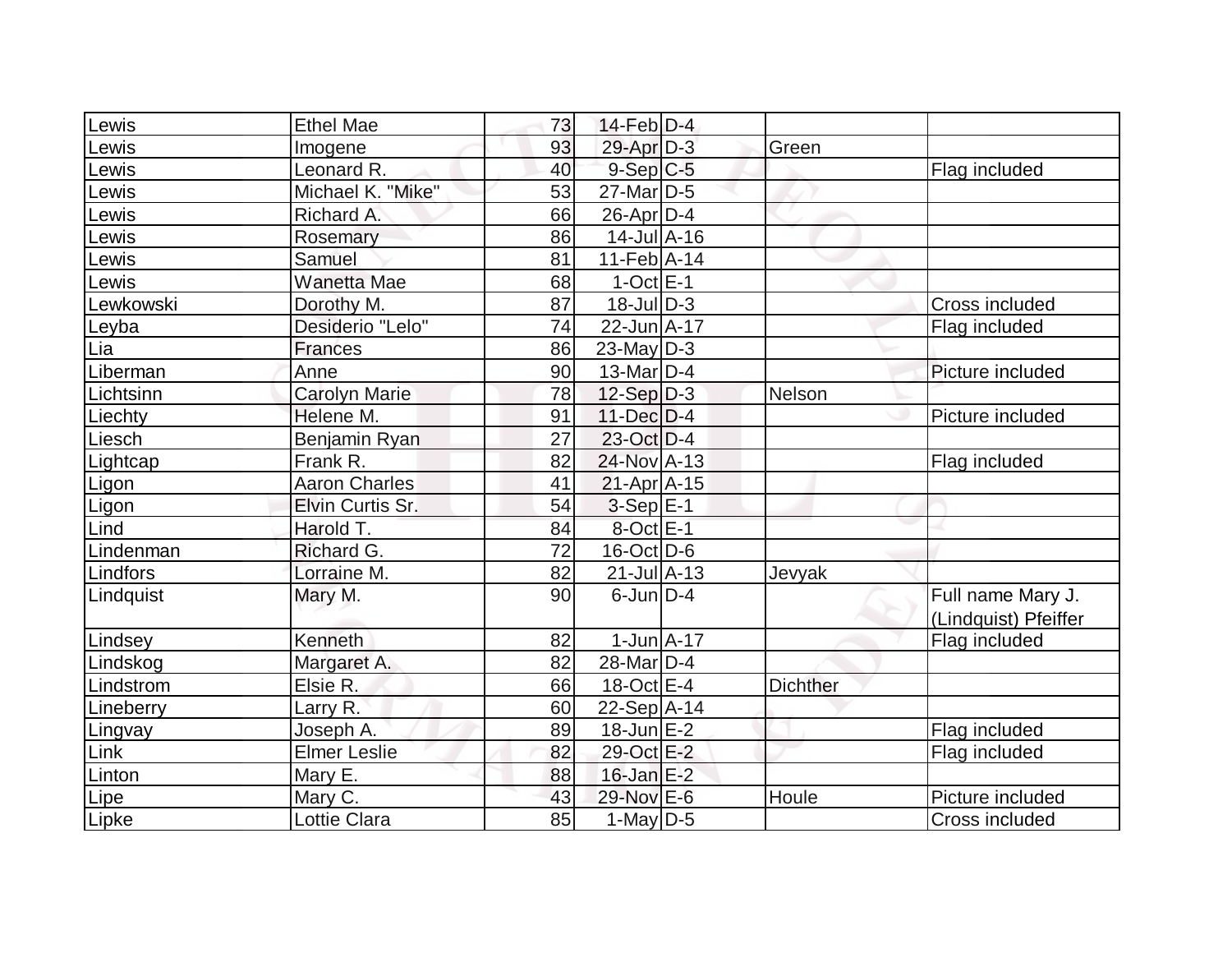| Lewis     | <b>Ethel Mae</b>    | 73 | $14$ -Feb $D-4$     |                 |                      |
|-----------|---------------------|----|---------------------|-----------------|----------------------|
| Lewis     | Imogene             | 93 | $29$ -Apr $D-3$     | Green           |                      |
| ewis-     | Leonard R.          | 40 | $9-Sep C-5$         |                 | Flag included        |
| Lewis     | Michael K. "Mike"   | 53 | $27$ -Mar $D-5$     |                 |                      |
| _ewis     | Richard A.          | 66 | $26$ -Apr $D-4$     |                 |                      |
| ewis      | Rosemary            | 86 | $14$ -Jul $A$ -16   |                 |                      |
| Lewis     | Samuel              | 81 | $11-Feb$ A-14       |                 |                      |
| Lewis     | Wanetta Mae         | 68 | $1-Oct$ $E-1$       |                 |                      |
| Lewkowski | Dorothy M.          | 87 | $18$ -Jul $ D-3 $   |                 | Cross included       |
| Leyba     | Desiderio "Lelo"    | 74 | 22-Jun A-17         |                 | Flag included        |
| Lia       | Frances             | 86 | $23$ -May D-3       |                 |                      |
| Liberman  | Anne                | 90 | 13-Mar $D-4$        |                 | Picture included     |
| Lichtsinn | Carolyn Marie       | 78 | $12-Sep D-3$        | Nelson          |                      |
| Liechty   | Helene M.           | 91 | $11$ -Dec $D-4$     |                 | Picture included     |
| Liesch    | Benjamin Ryan       | 27 | $23-Oct$ D-4        |                 |                      |
| Lightcap  | Frank R.            | 82 | 24-Nov A-13         |                 | Flag included        |
| Ligon     | Aaron Charles       | 41 | 21-Apr A-15         |                 |                      |
| Ligon     | Elvin Curtis Sr.    | 54 | $3-Sep E-1$         |                 |                      |
| Lind      | Harold T.           | 84 | $8$ -Oct $E-1$      |                 |                      |
| Lindenman | Richard G.          | 72 | $16$ -Oct D-6       |                 |                      |
| Lindfors  | Lorraine M.         | 82 | $21 -$ Jul $A - 13$ | Jevyak          |                      |
| Lindquist | Mary M.             | 90 | $6$ -Jun $D-4$      |                 | Full name Mary J.    |
|           |                     |    |                     |                 | (Lindquist) Pfeiffer |
| Lindsey   | Kenneth             | 82 | $1$ -Jun $A$ -17    |                 | Flag included        |
| Lindskog  | Margaret A.         | 82 | $28$ -Mar $D-4$     |                 |                      |
| Lindstrom | Elsie R.            | 66 | $18-Oct$ E-4        | <b>Dichther</b> |                      |
| Lineberry | Larry R.            | 60 | 22-Sep A-14         |                 |                      |
| Lingvay   | Joseph A.           | 89 | $18$ -Jun $E-2$     |                 | Flag included        |
| Link      | <b>Elmer Leslie</b> | 82 | 29-Oct E-2          |                 | Flag included        |
| Linton    | Mary E.             | 88 | $16$ -Jan $E-2$     |                 |                      |
| Lipe      | Mary C.             | 43 | 29-Nov E-6          | Houle           | Picture included     |
| Lipke     | Lottie Clara        | 85 | $1-May D-5$         |                 | Cross included       |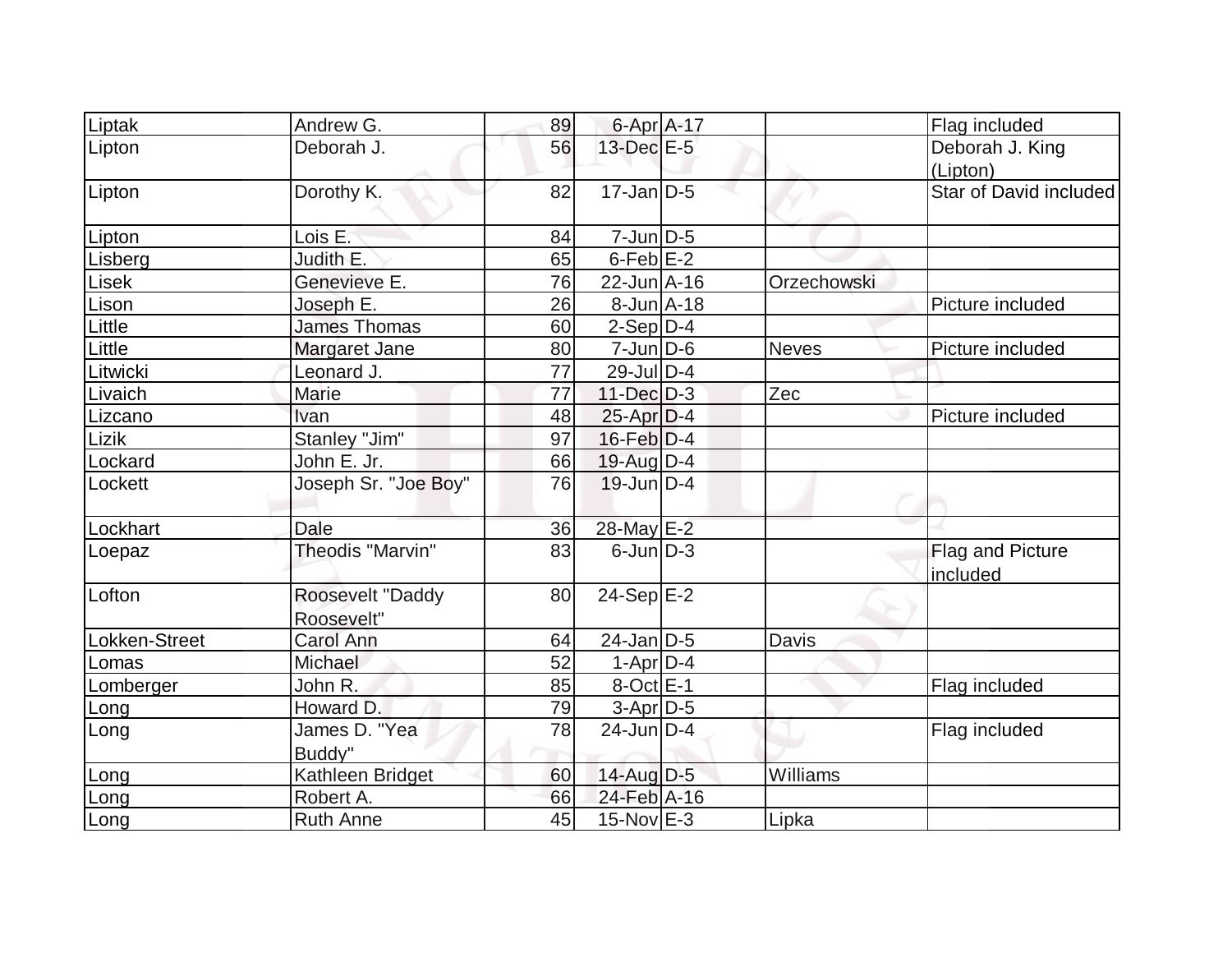| Liptak        | Andrew G.                      | 89 | 6-Apr A-17        |              | Flag included                |
|---------------|--------------------------------|----|-------------------|--------------|------------------------------|
| Lipton        | Deborah J.                     | 56 | 13-Dec E-5        |              | Deborah J. King              |
|               |                                |    |                   |              | (Lipton)                     |
| Lipton        | Dorothy K.                     | 82 | $17 - Jan$ $D-5$  |              | Star of David included       |
| Lipton        | Lois E.                        | 84 | $7$ -Jun $D-5$    |              |                              |
| Lisberg       | Judith E.                      | 65 | $6$ -Feb $E-2$    |              |                              |
| Lisek         | Genevieve E.                   | 76 | $22$ -Jun $A-16$  | Orzechowski  |                              |
| Lison         | Joseph E.                      | 26 | 8-Jun A-18        |              | Picture included             |
| Little        | <b>James Thomas</b>            | 60 | $2-Sep D-4$       |              |                              |
| Little        | Margaret Jane                  | 80 | $7$ -Jun $D-6$    | <b>Neves</b> | Picture included             |
| Litwicki      | Leonard J.                     | 77 | $29$ -Jul $D-4$   |              |                              |
| Livaich       | Marie                          | 77 | $11$ -Dec $D-3$   | Zec          |                              |
| Lizcano       | Ivan                           | 48 | $25$ -Apr $D-4$   |              | Picture included             |
| Lizik         | Stanley "Jim"                  | 97 | $16$ -Feb $D-4$   |              |                              |
| Lockard       | John E. Jr.                    | 66 | $19$ -Aug $D-4$   |              |                              |
| Lockett       | Joseph Sr. "Joe Boy"           | 76 | $19$ -Jun $D-4$   |              |                              |
| Lockhart      | Dale                           | 36 | 28-May E-2        |              |                              |
| Loepaz        | <b>Theodis "Marvin"</b>        | 83 | $6$ -Jun $D-3$    |              | Flag and Picture<br>included |
| Lofton        | Roosevelt "Daddy<br>Roosevelt" | 80 | $24-Sep$ $E-2$    |              |                              |
| Lokken-Street | <b>Carol Ann</b>               | 64 | $24$ -Jan D-5     | Davis        |                              |
| .omas         | Michael                        | 52 | $1-Apr$ $D-4$     |              |                              |
| Lomberger     | John R.                        | 85 | 8-Oct E-1         |              | Flag included                |
| .ong          | Howard D.                      | 79 | $3-Apr$ D-5       |              |                              |
| Long          | James D. "Yea<br>Buddy"        | 78 | $24$ -Jun $ D-4 $ |              | Flag included                |
| Long          | Kathleen Bridget               | 60 | $14$ -Aug $D-5$   | Williams     |                              |
| Long          | Robert A.                      | 66 | 24-Feb A-16       |              |                              |
| Long          | <b>Ruth Anne</b>               | 45 | $15$ -Nov $E-3$   | Lipka        |                              |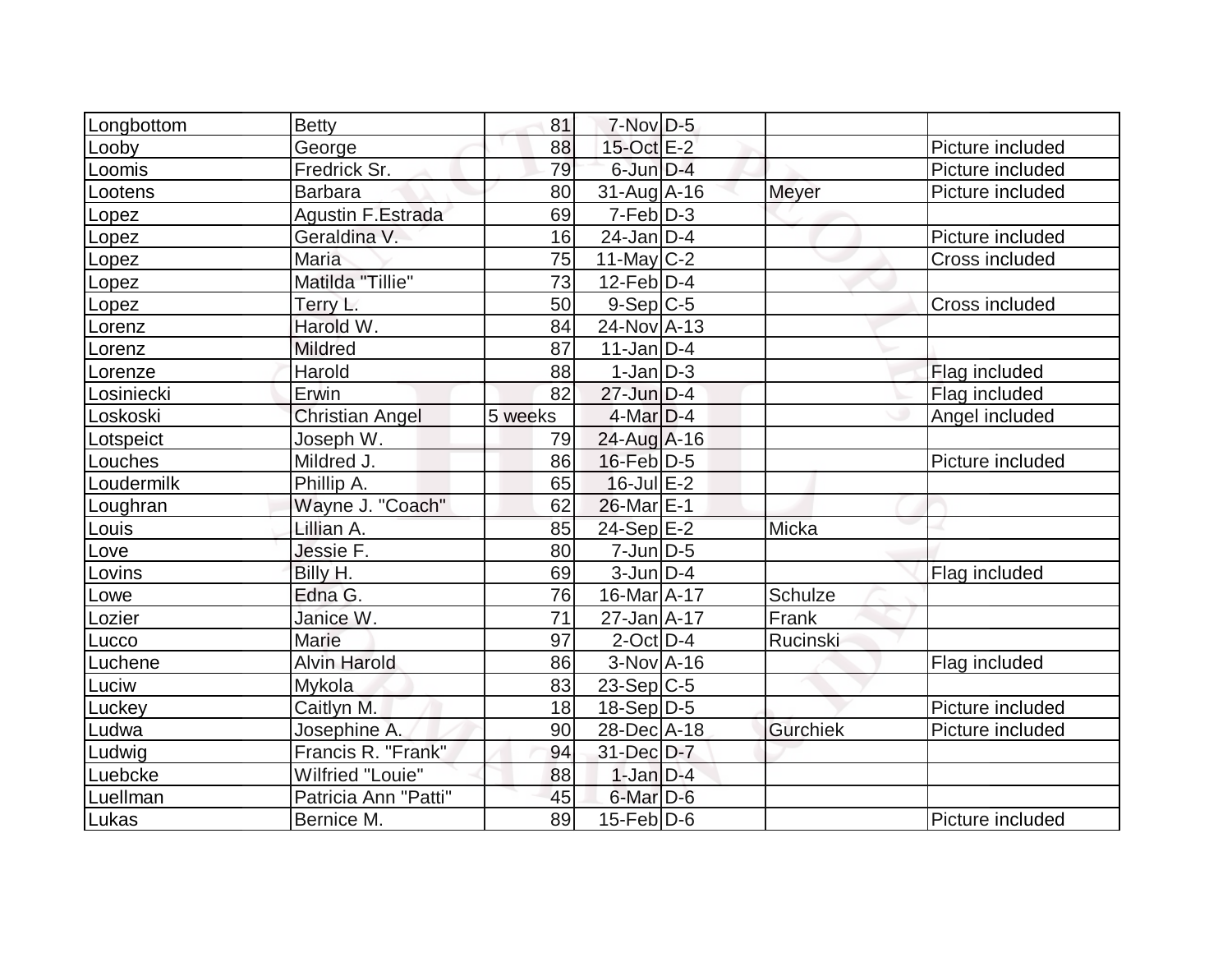| Longbottom | <b>Betty</b>             | 81      | $7-Nov$ D-5                 |              |                  |
|------------|--------------------------|---------|-----------------------------|--------------|------------------|
| Looby      | George                   | 88      | 15-Oct E-2                  |              | Picture included |
| Loomis     | Fredrick Sr.             | 79      | $6$ -Jun $D-4$              |              | Picture included |
| Lootens    | <b>Barbara</b>           | 80      | $31$ -Aug A-16              | <b>Meyer</b> | Picture included |
| Lopez      | <b>Agustin F.Estrada</b> | 69      | $7-Feb D-3$                 |              |                  |
| Lopez      | Geraldina V.             | 16      | $24$ -Jan $ D-4 $           |              | Picture included |
| Lopez      | <b>Maria</b>             | 75      | $11$ -May C-2               |              | Cross included   |
| Lopez      | Matilda "Tillie"         | 73      | $12$ -Feb $ D-4 $           |              |                  |
| Lopez      | Terry L.                 | 50      | $9-Sep C-5$                 |              | Cross included   |
| Lorenz     | Harold W.                | 84      | 24-Nov A-13                 |              |                  |
| Lorenz     | <b>Mildred</b>           | 87      | $11$ -Jan $ D-4 $           |              |                  |
| Lorenze    | Harold                   | 88      | $1-Jan D-3$                 |              | Flag included    |
| Losiniecki | Erwin                    | 82      | $27$ -Jun $D-4$             |              | Flag included    |
| Loskoski   | <b>Christian Angel</b>   | 5 weeks | $4$ -Mar $D-4$              |              | Angel included   |
| Lotspeict  | Joseph W.                | 79      | 24-Aug A-16                 |              |                  |
| Louches    | Mildred J.               | 86      | $16$ -Feb $D-5$             |              | Picture included |
| Loudermilk | Phillip A.               | 65      | $16$ -Jul $E-2$             |              |                  |
| Loughran   | Wayne J. "Coach"         | 62      | 26-Mar E-1                  |              |                  |
| Louis      | Lillian A.               | 85      | $24-Sep$ $E-2$              | Micka        |                  |
| Love       | Jessie F.                | 80      | $7$ -Jun $D-5$              |              |                  |
| Lovins     | Billy H.                 | 69      | $3$ -Jun $D-4$              |              | Flag included    |
| Lowe       | Edna G.                  | 76      | 16-Mar A-17                 | Schulze      |                  |
| Lozier     | Janice W.                | 71      | $27 - Jan A - 17$           | Frank        |                  |
| Lucco      | <b>Marie</b>             | 97      | $2$ -Oct $D-4$              | Rucinski     |                  |
| Luchene    | <b>Alvin Harold</b>      | 86      | $3-NovA-16$                 |              | Flag included    |
| Luciw      | Mykola                   | 83      | $23-Sep C-5$                |              |                  |
| Luckey     | Caitlyn M.               | 18      | $18-Sep D-5$                |              | Picture included |
| Ludwa      | Josephine A.             | 90      | 28-Dec A-18                 | Gurchiek     | Picture included |
| Ludwig     | Francis R. "Frank"       | 94      | 31-Dec D-7                  |              |                  |
| Luebcke    | <b>Wilfried "Louie"</b>  | 88      | $1$ -Jan $D-4$              |              |                  |
| Luellman   | Patricia Ann "Patti"     | 45      | $6$ -Mar $D$ -6             |              |                  |
| Lukas      | Bernice M.               | 89      | $15$ -Feb $\overline{D}$ -6 |              | Picture included |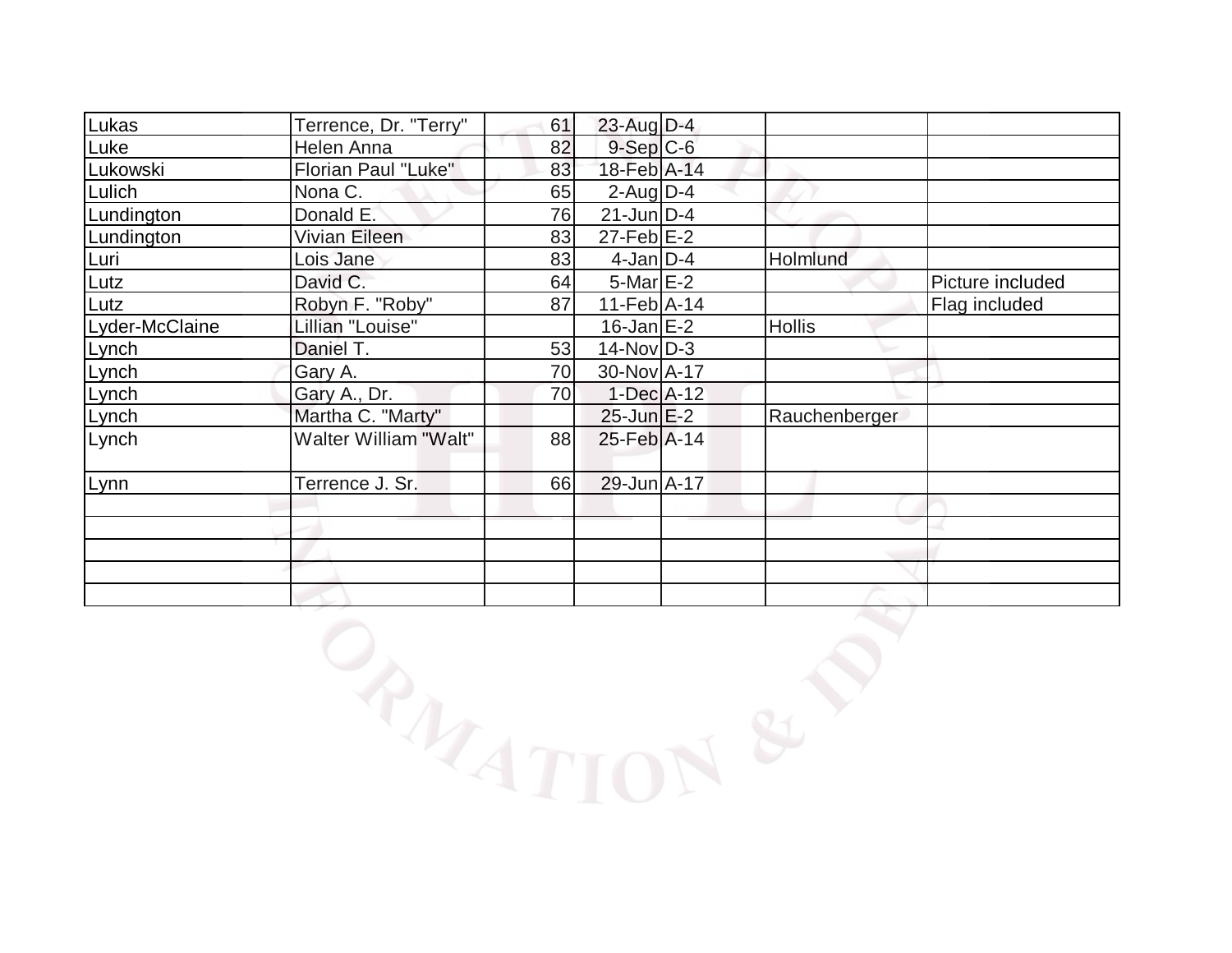| Lukas          | Terrence, Dr. "Terry" | 61 | $23$ -Aug D-4     |               |                  |
|----------------|-----------------------|----|-------------------|---------------|------------------|
| Luke           | Helen Anna            | 82 | $9-Sep C-6$       |               |                  |
| Lukowski       | Florian Paul "Luke"   | 83 | 18-Feb A-14       |               |                  |
| Lulich         | Nona C.               | 65 | $2$ -AugD-4       |               |                  |
| Lundington     | Donald E.             | 76 | $21$ -Jun $D-4$   |               |                  |
| Lundington     | Vivian Eileen         | 83 | $27$ -Feb $E-2$   |               |                  |
| Luri           | Lois Jane             | 83 | $4$ -Jan $ D-4 $  | Holmlund      |                  |
| Lutz           | David C.              | 64 | $5-Mar \, E-2$    |               | Picture included |
| Lutz           | Robyn F. "Roby"       | 87 | $11-Feb$ A-14     |               | Flag included    |
| Lyder-McClaine | Lillian "Louise"      |    | $16$ -Jan $E-2$   | <b>Hollis</b> |                  |
| Lynch          | Daniel T.             | 53 | $14$ -Nov $ D-3 $ |               |                  |
| Lynch          | Gary A.               | 70 | 30-Nov A-17       |               |                  |
| Lynch          | Gary A., Dr.          | 70 | $1-Dec$ A-12      |               |                  |
| Lynch          | Martha C. "Marty"     |    | $25$ -Jun $E-2$   | Rauchenberger |                  |
| Lynch          | Walter William "Walt" | 88 | $25$ -Feb $ A-14$ |               |                  |
| Lynn           | Terrence J. Sr.       | 66 | 29-Jun A-17       |               |                  |
|                |                       |    |                   |               |                  |
|                |                       |    |                   |               |                  |
|                |                       |    |                   |               |                  |
|                |                       |    |                   |               |                  |
|                |                       |    |                   |               |                  |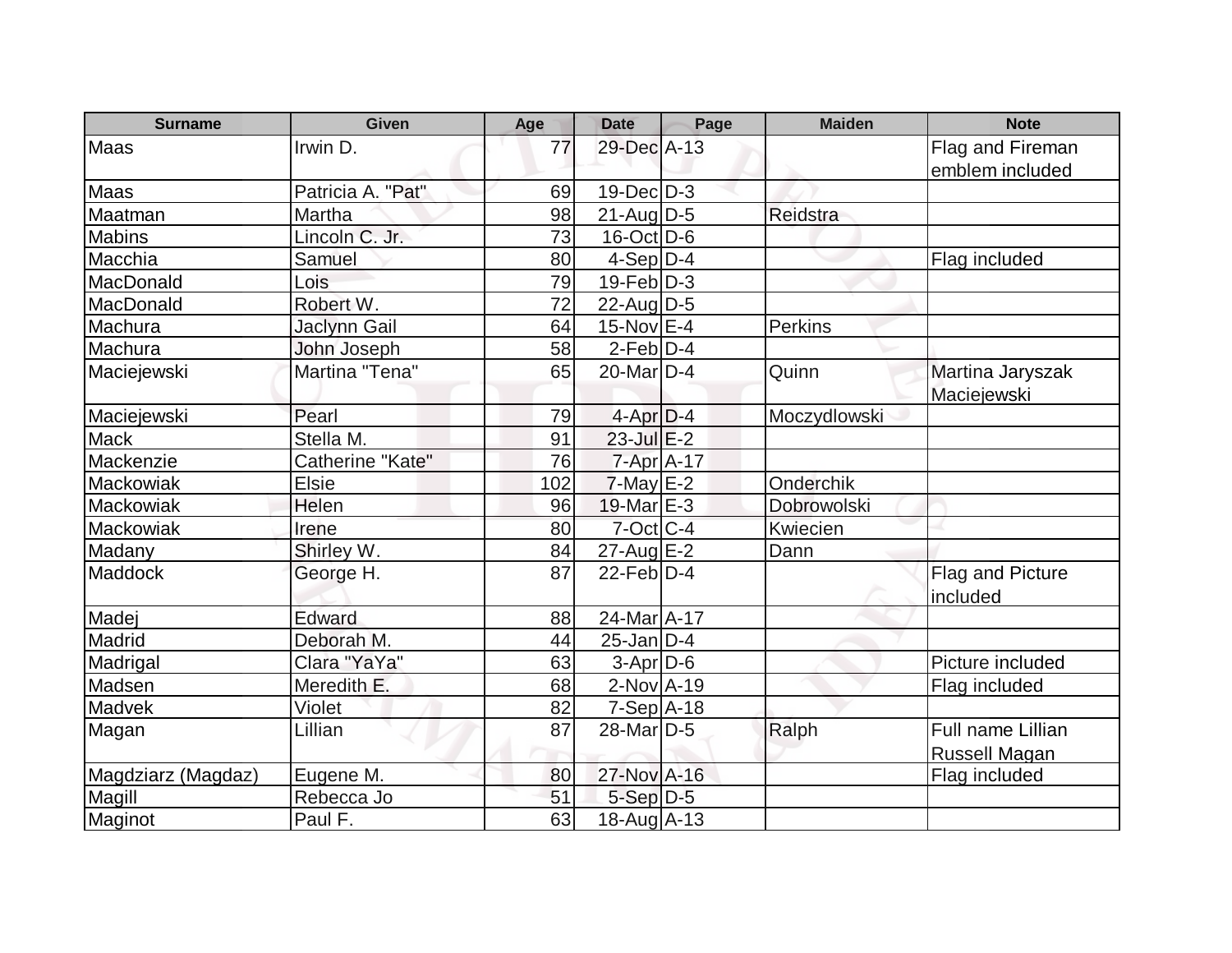| <b>Surname</b>     | Given             | Age | <b>Date</b>           | Page | <b>Maiden</b>  | <b>Note</b>          |
|--------------------|-------------------|-----|-----------------------|------|----------------|----------------------|
| Maas               | Irwin D.          | 77  | 29-Dec A-13           |      |                | Flag and Fireman     |
|                    |                   |     |                       |      |                | emblem included      |
| Maas               | Patricia A. "Pat" | 69  | $19$ -Dec $ D-3$      |      |                |                      |
| Maatman            | Martha            | 98  | $21$ -AugD-5          |      | Reidstra       |                      |
| <b>Mabins</b>      | Lincoln C. Jr.    | 73  | 16-Oct D-6            |      |                |                      |
| Macchia            | Samuel            | 80  | $4-Sep D-4$           |      |                | Flag included        |
| MacDonald          | Lois              | 79  | $19$ -Feb $D-3$       |      |                |                      |
| MacDonald          | Robert W.         | 72  | 22-Aug D-5            |      |                |                      |
| Machura            | Jaclynn Gail      | 64  | $15$ -Nov $E-4$       |      | <b>Perkins</b> |                      |
| Machura            | John Joseph       | 58  | $2-Feb D-4$           |      |                |                      |
| Maciejewski        | Martina "Tena"    | 65  | 20-Mar <sub>D-4</sub> |      | Quinn          | Martina Jaryszak     |
|                    |                   |     |                       |      |                | Maciejewski          |
| Maciejewski        | Pearl             | 79  | 4-Apr D-4             |      | Moczydlowski   |                      |
| <b>Mack</b>        | Stella M.         | 91  | $23$ -Jul $E-2$       |      |                |                      |
| Mackenzie          | Catherine "Kate"  | 76  | 7-Apr A-17            |      |                |                      |
| Mackowiak          | <b>Elsie</b>      | 102 | $7$ -May $E-2$        |      | Onderchik      |                      |
| Mackowiak          | Helen             | 96  | $19$ -Mar $E-3$       |      | Dobrowolski    |                      |
| Mackowiak          | Irene             | 80  | $7$ -Oct C-4          |      | Kwiecien       |                      |
| Madany             | Shirley W.        | 84  | $27$ -Aug E-2         |      | Dann           |                      |
| Maddock            | George H.         | 87  | $22$ -Feb $ D-4$      |      |                | Flag and Picture     |
|                    |                   |     |                       |      |                | included             |
| Madej              | Edward            | 88  | 24-Mar A-17           |      |                |                      |
| Madrid             | Deborah M.        | 44  | $25$ -Jan D-4         |      |                |                      |
| Madrigal           | Clara "YaYa"      | 63  | $3-Apr$ D-6           |      |                | Picture included     |
| Madsen             | Meredith E.       | 68  | 2-Nov A-19            |      |                | Flag included        |
| Madvek             | Violet            | 82  | 7-Sep A-18            |      |                |                      |
| Magan              | Lillian           | 87  | 28-Mar <sub>D-5</sub> |      | Ralph          | Full name Lillian    |
|                    |                   |     |                       |      |                | <b>Russell Magan</b> |
| Magdziarz (Magdaz) | Eugene M.         | 80  | 27-Nov A-16           |      |                | Flag included        |
| Magill             | Rebecca Jo        | 51  | $5-Sep D-5$           |      |                |                      |
| Maginot            | Paul F.           | 63  | 18-Aug A-13           |      |                |                      |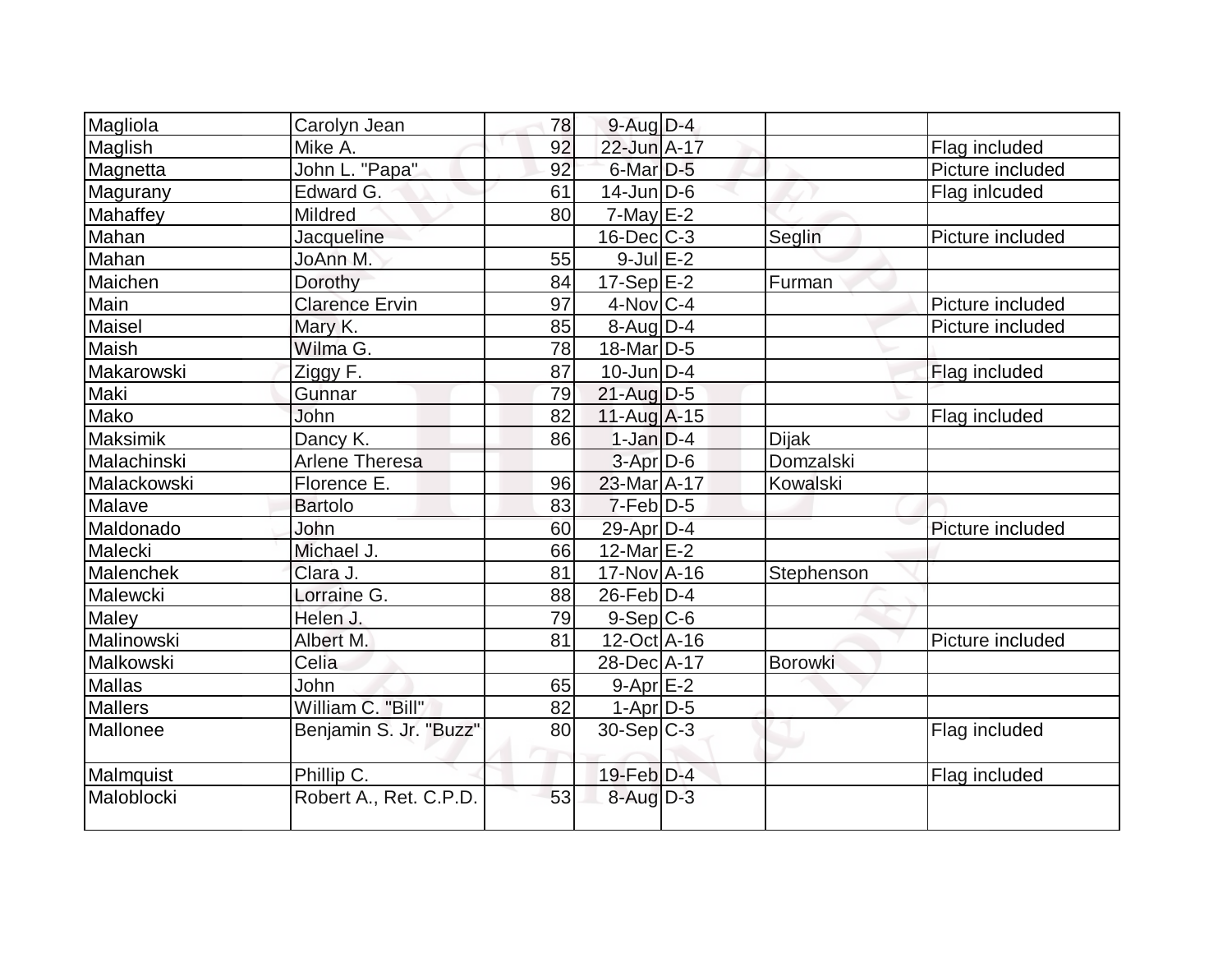| Magliola       | Carolyn Jean           | 78 | $9$ -Aug $D-4$       |              |                  |
|----------------|------------------------|----|----------------------|--------------|------------------|
| Maglish        | Mike A.                | 92 | 22-Jun A-17          |              | Flag included    |
| Magnetta       | John L. "Papa"         | 92 | 6-Mar <sub>D-5</sub> |              | Picture included |
| Magurany       | Edward G.              | 61 | $14$ -Jun $D-6$      |              | Flag inlcuded    |
| Mahaffey       | Mildred                | 80 | $7$ -May $E-2$       |              |                  |
| Mahan          | Jacqueline             |    | $16$ -Dec $C$ -3     | Seglin       | Picture included |
| Mahan          | JoAnn M.               | 55 | $9$ -Jul $E-2$       |              |                  |
| Maichen        | Dorothy                | 84 | $17-Sep$ $E-2$       | Furman       |                  |
| Main           | <b>Clarence Ervin</b>  | 97 | $4$ -Nov $ C-4$      |              | Picture included |
| Maisel         | Mary K.                | 85 | $8$ -Aug $D-4$       |              | Picture included |
| Maish          | Wilma G.               | 78 | 18-Mar D-5           |              |                  |
| Makarowski     | Ziggy F.               | 87 | $10$ -Jun $D-4$      |              | Flag included    |
| Maki           | Gunnar                 | 79 | $21$ -Aug $D-5$      |              |                  |
| Mako           | John                   | 82 | $11-Aug$ A-15        |              | Flag included    |
| Maksimik       | Dancy K.               | 86 | $1-Jan$ $D-4$        | <b>Dijak</b> |                  |
| Malachinski    | Arlene Theresa         |    | $3-Apr$ $D-6$        | Domzalski    |                  |
| Malackowski    | Florence E.            | 96 | $23$ -Mar $A$ -17    | Kowalski     |                  |
| Malave         | <b>Bartolo</b>         | 83 | $7-Feb D-5$          |              |                  |
| Maldonado      | John                   | 60 | 29-Apr D-4           |              | Picture included |
| Malecki        | Michael J.             | 66 | $12$ -Mar $E-2$      |              |                  |
| Malenchek      | Clara J.               | 81 | $17$ -Nov $A$ -16    | Stephenson   |                  |
| Malewcki       | Lorraine G.            | 88 | $26$ -Feb $D-4$      |              |                  |
| Maley          | Helen J.               | 79 | $9-Sep C-6$          |              |                  |
| Malinowski     | Albert M.              | 81 | 12-Oct A-16          |              | Picture included |
| Malkowski      | Celia                  |    | 28-Dec A-17          | Borowki      |                  |
| Mallas         | John                   | 65 | $9-Apr$ $E-2$        |              |                  |
| <b>Mallers</b> | William C. "Bill"      | 82 | $1-Apr D-5$          |              |                  |
| Mallonee       | Benjamin S. Jr. "Buzz" | 80 | $30-Sep C-3$         |              | Flag included    |
| Malmquist      | Phillip C.             |    | $19$ -Feb $D-4$      |              | Flag included    |
| Maloblocki     | Robert A., Ret. C.P.D. | 53 | $8-Aug$ D-3          |              |                  |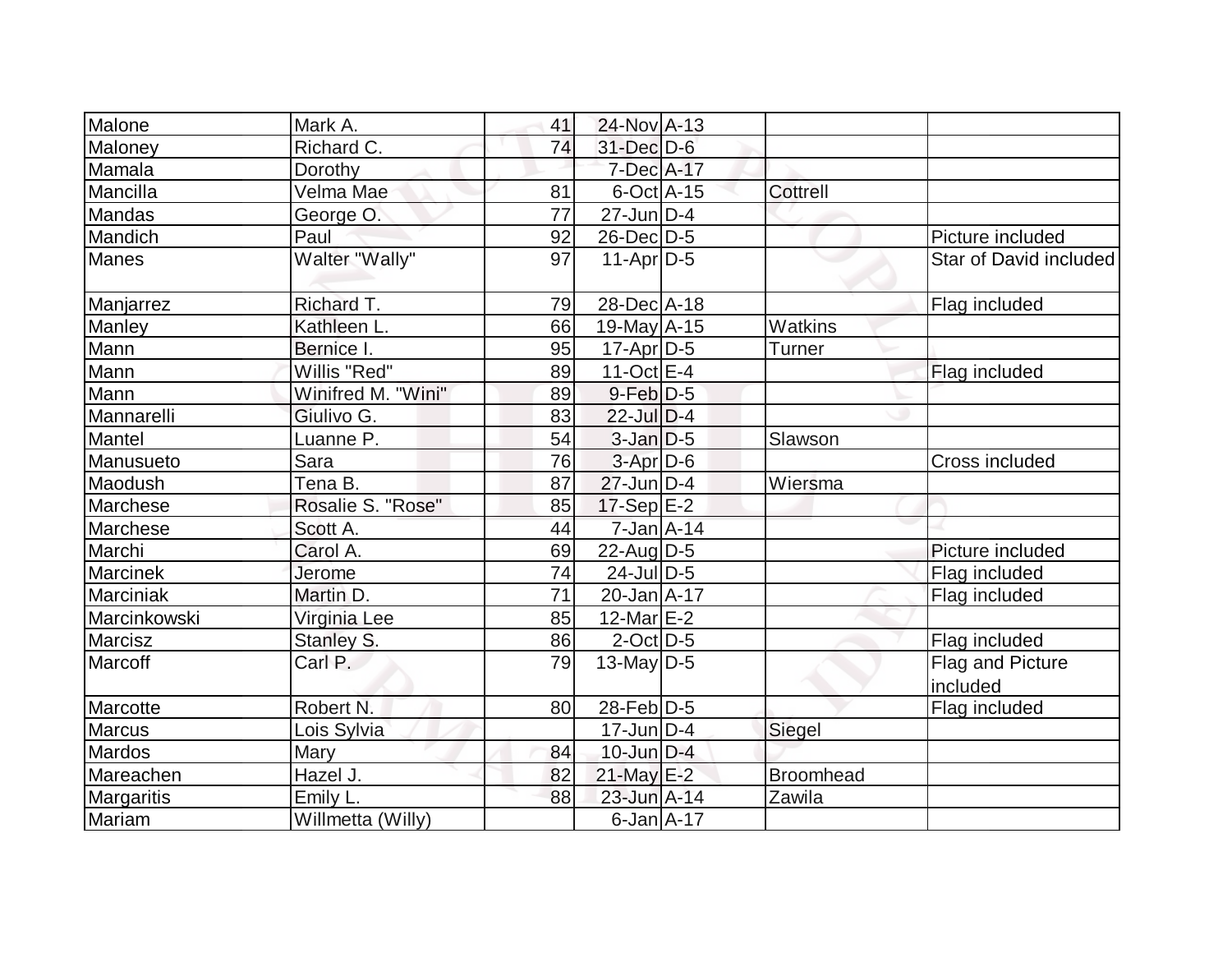| Malone            | Mark A.            | 41 | 24-Nov A-13       |                  |                              |
|-------------------|--------------------|----|-------------------|------------------|------------------------------|
| Maloney           | Richard C.         | 74 | 31-Dec D-6        |                  |                              |
| Mamala            | Dorothy            |    | 7-Dec A-17        |                  |                              |
| Mancilla          | Velma Mae          | 81 | $6$ -Oct $A$ -15  | <b>Cottrell</b>  |                              |
| Mandas            | George O.          | 77 | $27$ -Jun $D-4$   |                  |                              |
| Mandich           | Paul               | 92 | $26$ -Dec $D-5$   |                  | Picture included             |
| <b>Manes</b>      | Walter "Wally"     | 97 | $11-Apr D-5$      |                  | Star of David included       |
| Manjarrez         | Richard T.         | 79 | 28-Dec A-18       |                  | Flag included                |
| Manley            | Kathleen L.        | 66 | $19$ -May $A$ -15 | Watkins          |                              |
| Mann              | Bernice I.         | 95 | $17$ -Apr $D-5$   | <b>Turner</b>    |                              |
| Mann              | Willis "Red"       | 89 | $11-Oct$ E-4      |                  | Flag included                |
| Mann              | Winifred M. "Wini" | 89 | $9$ -Feb $D-5$    |                  |                              |
| Mannarelli        | Giulivo G.         | 83 | $22$ -Jul $D-4$   |                  |                              |
| Mantel            | Luanne P.          | 54 | $3$ -Jan $D-5$    | Slawson          |                              |
| Manusueto         | Sara               | 76 | $3-Apr$ $D-6$     |                  | Cross included               |
| Maodush           | Tena B.            | 87 | $27$ -Jun $D-4$   | Wiersma          |                              |
| Marchese          | Rosalie S. "Rose"  | 85 | $17-Sep$ $E-2$    |                  |                              |
| Marchese          | Scott A.           | 44 | $7 - Jan A - 14$  |                  |                              |
| Marchi            | Carol A.           | 69 | $22$ -Aug $ D-5 $ |                  | Picture included             |
| <b>Marcinek</b>   | Jerome             | 74 | 24-Jul D-5        |                  | Flag included                |
| Marciniak         | Martin D.          | 71 | 20-Jan A-17       |                  | Flag included                |
| Marcinkowski      | Virginia Lee       | 85 | $12$ -Mar $E-2$   |                  |                              |
| Marcisz           | Stanley S.         | 86 | $2$ -Oct $D-5$    |                  | Flag included                |
| Marcoff           | Carl P.            | 79 | $13$ -May D-5     |                  | Flag and Picture<br>included |
| Marcotte          | Robert N.          | 80 | 28-Feb D-5        |                  | Flag included                |
| <b>Marcus</b>     | Lois Sylvia        |    | $17$ -Jun $D-4$   | Siegel           |                              |
| Mardos            | Mary               | 84 | $10$ -Jun $D-4$   |                  |                              |
| Mareachen         | Hazel J.           | 82 | $21$ -May $E-2$   | <b>Broomhead</b> |                              |
| <b>Margaritis</b> | Emily L.           | 88 | 23-Jun A-14       | Zawila           |                              |
| Mariam            | Willmetta (Willy)  |    | $6$ -Jan $A$ -17  |                  |                              |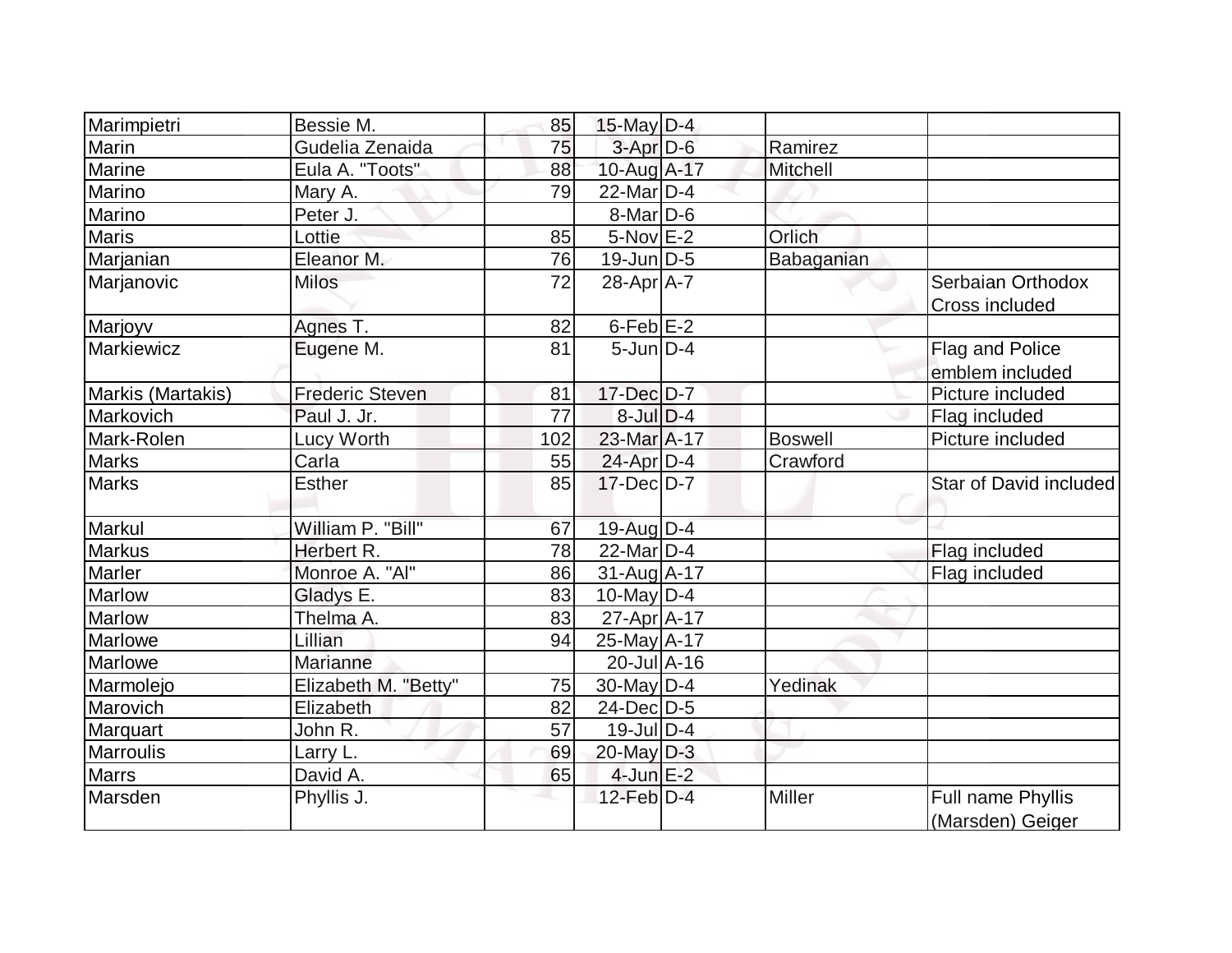| Marimpietri       | Bessie M.              | 85  | $15$ -May D-4     |                |                                       |
|-------------------|------------------------|-----|-------------------|----------------|---------------------------------------|
| Marin             | Gudelia Zenaida        | 75  | $3-Apr$ $D-6$     | Ramirez        |                                       |
| Marine            | Eula A. "Toots"        | 88  | 10-Aug A-17       | Mitchell       |                                       |
| Marino            | Mary A.                | 79  | $22$ -Mar $D-4$   |                |                                       |
| Marino            | Peter J.               |     | $8$ -Mar $D$ -6   |                |                                       |
| <b>Maris</b>      | Lottie                 | 85  | $5-Nov$ E-2       | Orlich         |                                       |
| Marjanian         | Eleanor M.             | 76  | $19$ -Jun $ D-5$  | Babaganian     |                                       |
| Marjanovic        | <b>Milos</b>           | 72  | 28-Apr A-7        |                | Serbaian Orthodox                     |
|                   |                        |     |                   |                | <b>Cross included</b>                 |
| Marjoyv           | Agnes T.               | 82  | $6$ -Feb $E-2$    |                |                                       |
| <b>Markiewicz</b> | Eugene M.              | 81  | $5$ -Jun $D-4$    |                | Flag and Police                       |
|                   |                        |     |                   |                | emblem included                       |
| Markis (Martakis) | <b>Frederic Steven</b> | 81  | 17-Dec D-7        |                | Picture included                      |
| Markovich         | Paul J. Jr.            | 77  | $8$ -Jul $D-4$    |                | Flag included                         |
| Mark-Rolen        | Lucy Worth             | 102 | 23-Mar A-17       | <b>Boswell</b> | Picture included                      |
| <b>Marks</b>      | Carla                  | 55  | 24-Apr D-4        | Crawford       |                                       |
| <b>Marks</b>      | <b>Esther</b>          | 85  | $17$ -Dec $D-7$   |                | Star of David included                |
| Markul            | William P. "Bill"      | 67  | $19-Aug D-4$      |                |                                       |
| <b>Markus</b>     | Herbert R.             | 78  | $22$ -Mar $D-4$   |                | Flag included                         |
| Marler            | Monroe A. "Al"         | 86  | $31$ -Aug A-17    |                | Flag included                         |
| Marlow            | Gladys E.              | 83  | $10$ -May D-4     |                |                                       |
| Marlow            | Thelma A.              | 83  | $27$ -Apr $A$ -17 |                |                                       |
| Marlowe           | Lillian                | 94  | $25$ -May $A$ -17 |                |                                       |
| Marlowe           | Marianne               |     | $20$ -Jul $A-16$  |                |                                       |
| Marmoleio         | Elizabeth M. "Betty"   | 75  | $30$ -May D-4     | Yedinak        |                                       |
| Marovich          | Elizabeth              | 82  | $24$ -Dec $D-5$   |                |                                       |
| Marquart          | John R.                | 57  | $19$ -Jul $D-4$   |                |                                       |
| <b>Marroulis</b>  | Larry L.               | 69  | 20-May D-3        |                |                                       |
| <b>Marrs</b>      | David A.               | 65  | $4$ -Jun $E-2$    |                |                                       |
| Marsden           | Phyllis J.             |     | $12$ -Feb $D-4$   | Miller         | Full name Phyllis<br>(Marsden) Geiger |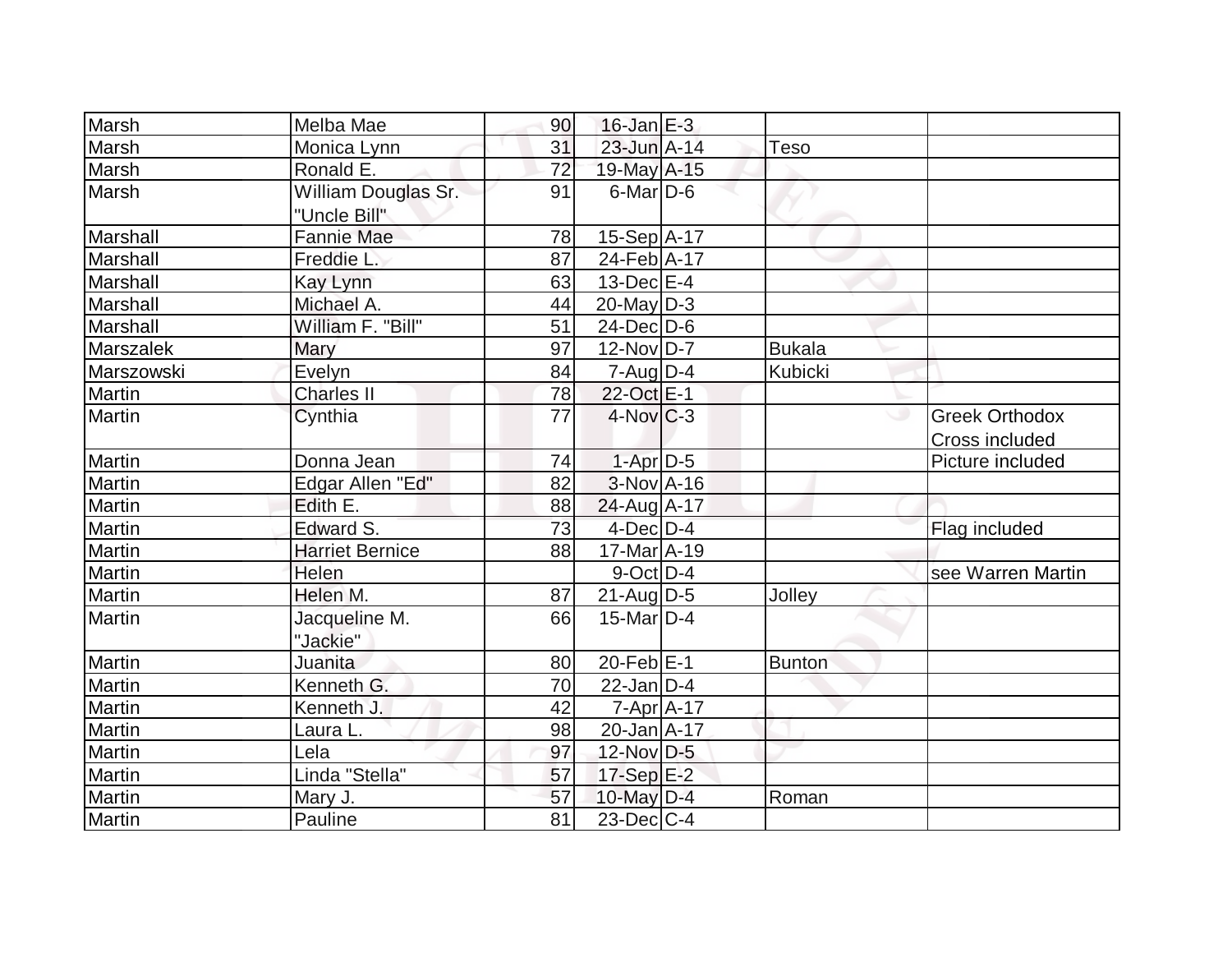| Marsh         | Melba Mae                           | 90              | $16$ -Jan $E-3$    |               |                                         |
|---------------|-------------------------------------|-----------------|--------------------|---------------|-----------------------------------------|
| Marsh         | Monica Lynn                         | 31              | 23-Jun A-14        | <b>Teso</b>   |                                         |
| Marsh         | Ronald E.                           | $\overline{72}$ | 19-May A-15        |               |                                         |
| Marsh         | William Douglas Sr.<br>"Uncle Bill" | 91              | $6$ -Mar $D$ -6    |               |                                         |
| Marshall      | Fannie Mae                          | 78              | 15-Sep A-17        |               |                                         |
| Marshall      | Freddie L.                          | 87              | 24-Feb A-17        |               |                                         |
| Marshall      | Kay Lynn                            | 63              | $13$ -Dec $E-4$    |               |                                         |
| Marshall      | Michael A.                          | 44              | $20$ -May $D-3$    |               |                                         |
| Marshall      | William F. "Bill"                   | 51              | $24$ -Dec $D-6$    |               |                                         |
| Marszalek     | Mary                                | 97              | $12$ -Nov $ D-7 $  | <b>Bukala</b> |                                         |
| Marszowski    | Evelyn                              | 84              | $7 - Aug$ $D-4$    | Kubicki       |                                         |
| Martin        | <b>Charles II</b>                   | 78              | 22-Oct E-1         |               |                                         |
| Martin        | Cynthia                             | 77              | $4$ -Nov $ C-3 $   | ت             | <b>Greek Orthodox</b><br>Cross included |
| Martin        | Donna Jean                          | 74              | $1-Apr$ D-5        |               | Picture included                        |
| Martin        | Edgar Allen "Ed"                    | 82              | $3-Nov$ A-16       |               |                                         |
| Martin        | Edith E.                            | 88              | 24-Aug A-17        |               |                                         |
| Martin        | Edward S.                           | 73              | $4$ -Dec $D-4$     |               | Flag included                           |
| Martin        | <b>Harriet Bernice</b>              | 88              | 17-Mar A-19        |               |                                         |
| <b>Martin</b> | Helen                               |                 | $9$ -Oct $D-4$     |               | see Warren Martin                       |
| Martin        | Helen M.                            | 87              | $21$ -AugD-5       | Jolley        |                                         |
| Martin        | Jacqueline M.<br>"Jackie"           | 66              | $15$ -Mar $ D-4 $  |               |                                         |
| Martin        | Juanita                             | 80              | $20$ -Feb $E-1$    | Bunton        |                                         |
| Martin        | Kenneth G.                          | 70              | $22$ -Jan D-4      |               |                                         |
| Martin        | Kenneth J.                          | 42              | $7 - Apr$ $A - 17$ |               |                                         |
| Martin        | Laura L.                            | 98              | 20-Jan A-17        |               |                                         |
| <b>Martin</b> | Lela                                | 97              | $12$ -Nov D-5      |               |                                         |
| Martin        | Linda "Stella"                      | 57              | $17-Sep$ E-2       |               |                                         |
| Martin        | Mary J.                             | 57              | 10-May $D-4$       | Roman         |                                         |
| Martin        | Pauline                             | 81              | $23$ -Dec $ C-4 $  |               |                                         |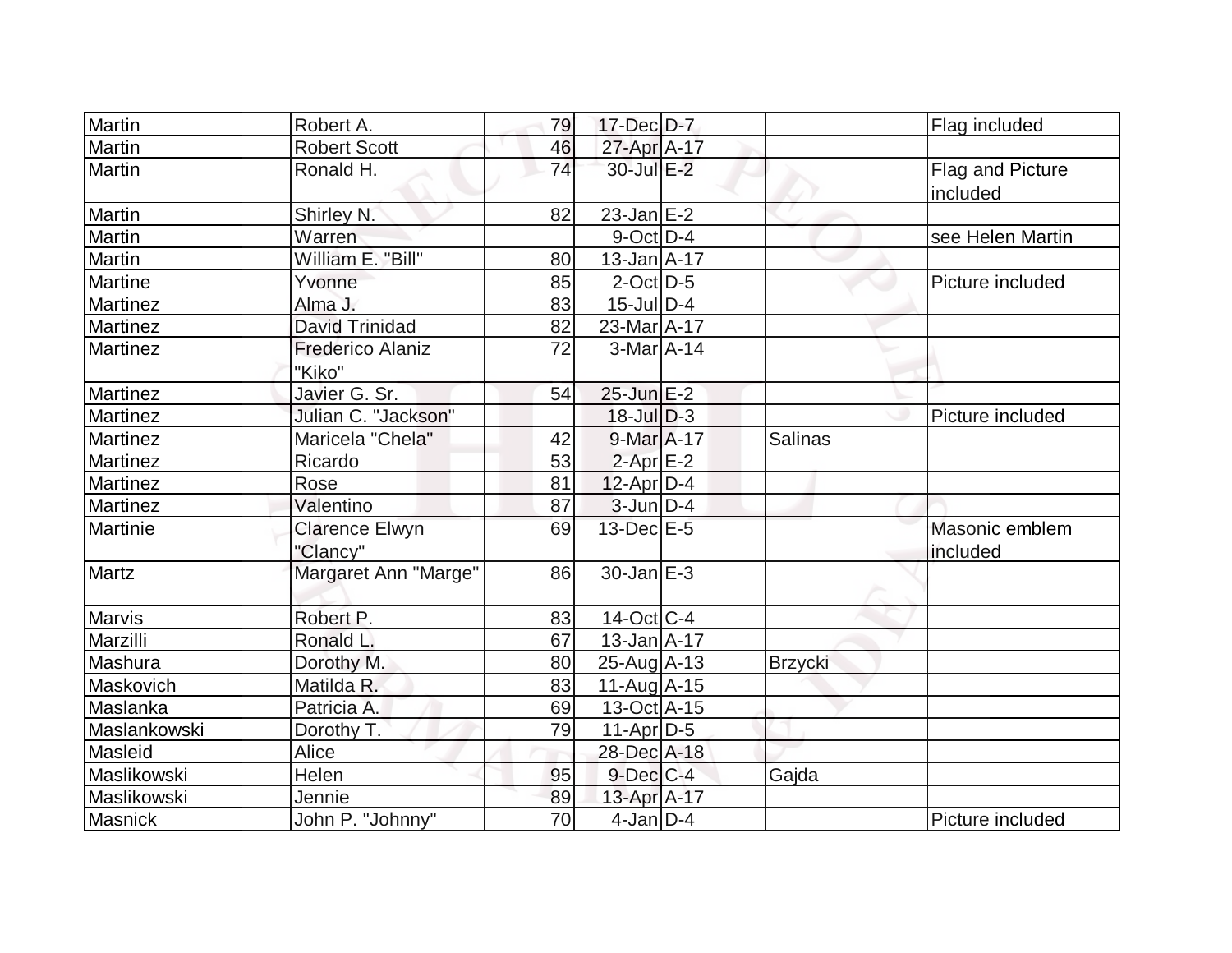| Martin          | Robert A.                         | 79 | 17-Dec D-7        |                | Flag included                |
|-----------------|-----------------------------------|----|-------------------|----------------|------------------------------|
| Martin          | <b>Robert Scott</b>               | 46 | 27-Apr A-17       |                |                              |
| Martin          | Ronald H.                         | 74 | 30-Jul E-2        |                | Flag and Picture<br>included |
| Martin          | Shirley N.                        | 82 | $23$ -Jan $E-2$   |                |                              |
| Martin          | Warren                            |    | $9$ -Oct $ D-4 $  |                | see Helen Martin             |
| Martin          | William E. "Bill"                 | 80 | $13$ -Jan $A$ -17 |                |                              |
| Martine         | Yvonne                            | 85 | $2$ -Oct $D-5$    |                | Picture included             |
| <b>Martinez</b> | Alma J.                           | 83 | $15$ -JulD-4      |                |                              |
| <b>Martinez</b> | <b>David Trinidad</b>             | 82 | 23-Mar A-17       |                |                              |
| <b>Martinez</b> | <b>Frederico Alaniz</b><br>"Kiko" | 72 | $3-Mar$ A-14      |                |                              |
| <b>Martinez</b> | Javier G. Sr.                     | 54 | $25$ -Jun $E-2$   |                |                              |
| <b>Martinez</b> | Julian C. "Jackson"               |    | $18$ -Jul $D-3$   |                | Picture included             |
| Martinez        | Maricela "Chela"                  | 42 | $9$ -Mar $A$ -17  | Salinas        |                              |
| <b>Martinez</b> | Ricardo                           | 53 | $2-AprE-2$        |                |                              |
| <b>Martinez</b> | Rose                              | 81 | $12$ -Apr $D-4$   |                |                              |
| <b>Martinez</b> | Valentino                         | 87 | $3$ -Jun $D-4$    |                |                              |
| Martinie        | <b>Clarence Elwyn</b><br>"Clancy" | 69 | $13$ -Dec $E-5$   |                | Masonic emblem<br>included   |
| Martz           | Margaret Ann "Marge"              | 86 | $30$ -Jan $ E-3 $ |                |                              |
| Marvis          | Robert P.                         | 83 | $14$ -Oct C-4     |                |                              |
| Marzilli        | Ronald L.                         | 67 | $13$ -Jan $ A-17$ |                |                              |
| Mashura         | Dorothy M.                        | 80 | $25$ -Aug $ A-13$ | <b>Brzycki</b> |                              |
| Maskovich       | Matilda R.                        | 83 | 11-Aug A-15       |                |                              |
| Maslanka        | Patricia A.                       | 69 | 13-Oct A-15       |                |                              |
| Maslankowski    | Dorothy T.                        | 79 | $11-Apr D-5$      |                |                              |
| Masleid         | Alice                             |    | 28-Dec A-18       |                |                              |
| Maslikowski     | Helen                             | 95 | $9$ -Dec $C$ -4   | Gajda          |                              |
| Maslikowski     | Jennie                            | 89 | 13-Apr A-17       |                |                              |
| Masnick         | John P. "Johnny"                  | 70 | $4$ -Jan D-4      |                | Picture included             |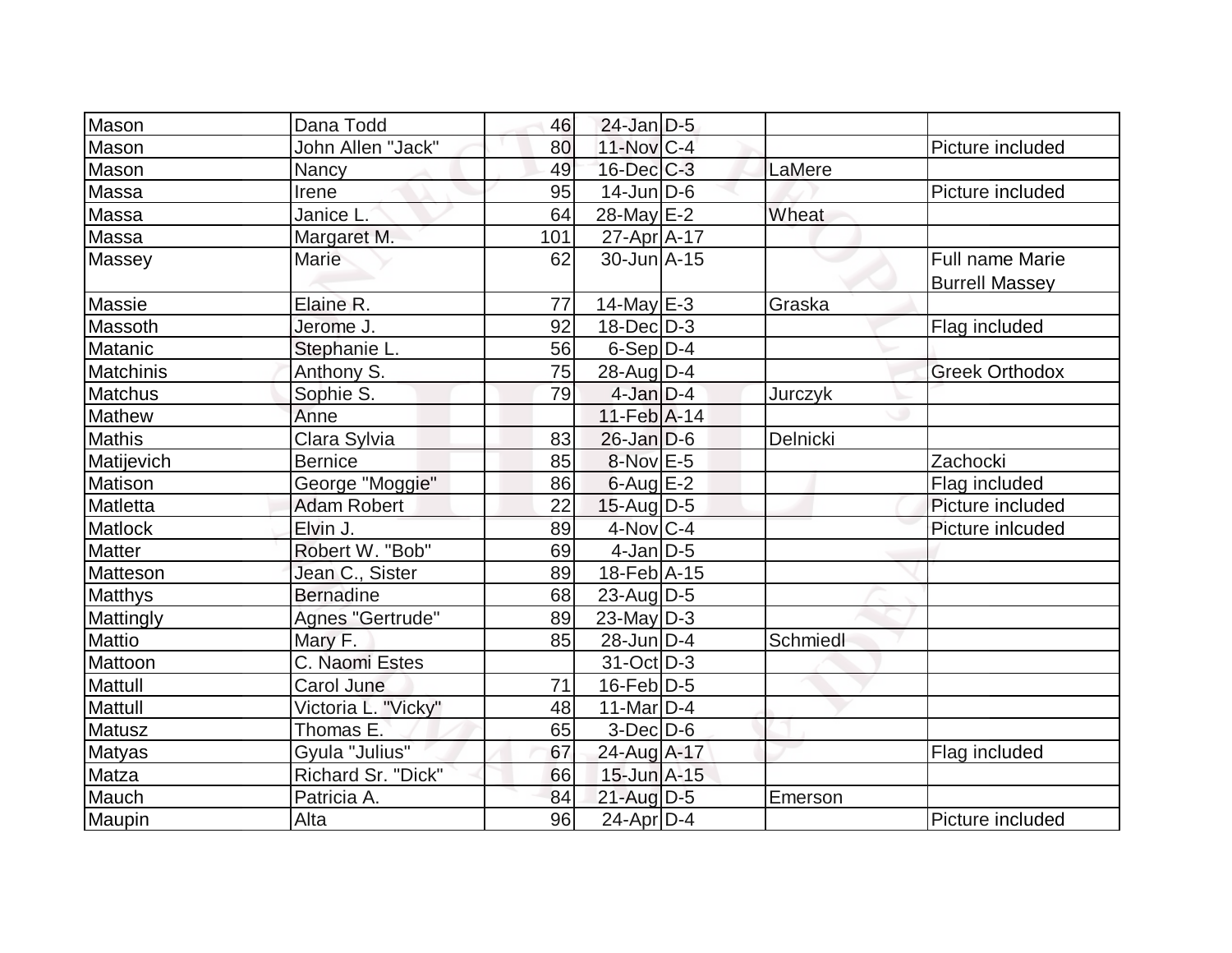| Mason            | Dana Todd           | 46  | $24$ -Jan D-5     |          |                                          |
|------------------|---------------------|-----|-------------------|----------|------------------------------------------|
| Mason            | John Allen "Jack"   | 80  | 11-Nov C-4        |          | Picture included                         |
| Mason            | <b>Nancy</b>        | 49  | $16$ -Dec $C-3$   | LaMere   |                                          |
| Massa            | Irene               | 95  | $14$ -Jun $D-6$   |          | Picture included                         |
| Massa            | Janice L.           | 64  | 28-May E-2        | Wheat    |                                          |
| Massa            | Margaret M.         | 101 | 27-Apr A-17       |          |                                          |
| Massey           | <b>Marie</b>        | 62  | $30 - Jun[A-15]$  |          | Full name Marie<br><b>Burrell Massey</b> |
| <b>Massie</b>    | Elaine R.           | 77  | $14$ -May E-3     | Graska   |                                          |
| Massoth          | Jerome J.           | 92  | $18$ -Dec $D-3$   |          | Flag included                            |
| Matanic          | Stephanie L.        | 56  | $6-Sep D-4$       |          |                                          |
| <b>Matchinis</b> | Anthony S.          | 75  | 28-Aug $D-4$      |          | <b>Greek Orthodox</b>                    |
| <b>Matchus</b>   | Sophie S.           | 79  | $4$ -Jan $D-4$    | Jurczyk  |                                          |
| <b>Mathew</b>    | Anne                |     | $11-Feb$ A-14     |          |                                          |
| Mathis           | Clara Sylvia        | 83  | $26$ -Jan D-6     | Delnicki |                                          |
| Matijevich       | <b>Bernice</b>      | 85  | $8-Nov$ E-5       |          | Zachocki                                 |
| Matison          | George "Moggie"     | 86  | $6$ -Aug $E-2$    |          | Flag included                            |
| Matletta         | <b>Adam Robert</b>  | 22  | $15$ -Aug $D-5$   |          | Picture included                         |
| Matlock          | Elvin J.            | 89  | $4$ -Nov $ C-4 $  |          | Picture inlcuded                         |
| Matter           | Robert W. "Bob"     | 69  | $4$ -Jan D-5      |          |                                          |
| Matteson         | Jean C., Sister     | 89  | $18$ -Feb $ A-15$ |          |                                          |
| <b>Matthys</b>   | <b>Bernadine</b>    | 68  | $23$ -Aug $D-5$   |          |                                          |
| Mattingly        | Agnes "Gertrude"    | 89  | $23$ -May D-3     |          |                                          |
| Mattio           | Mary F.             | 85  | $28$ -Jun $ D-4$  | Schmiedl |                                          |
| Mattoon          | C. Naomi Estes      |     | $31-Oct$ D-3      |          |                                          |
| Mattull          | Carol June          | 71  | $16$ -Feb $ D-5$  |          |                                          |
| Mattull          | Victoria L. "Vicky" | 48  | $11-Mar$ D-4      |          |                                          |
| Matusz           | Thomas E.           | 65  | $3-Dec$ D-6       |          |                                          |
| <b>Matyas</b>    | Gyula "Julius"      | 67  | 24-Aug A-17       |          | Flag included                            |
| Matza            | Richard Sr. "Dick"  | 66  | 15-Jun A-15       |          |                                          |
| Mauch            | Patricia A.         | 84  | 21-Aug D-5        | Emerson  |                                          |
| Maupin           | Alta                | 96  | $24$ -Apr $D-4$   |          | Picture included                         |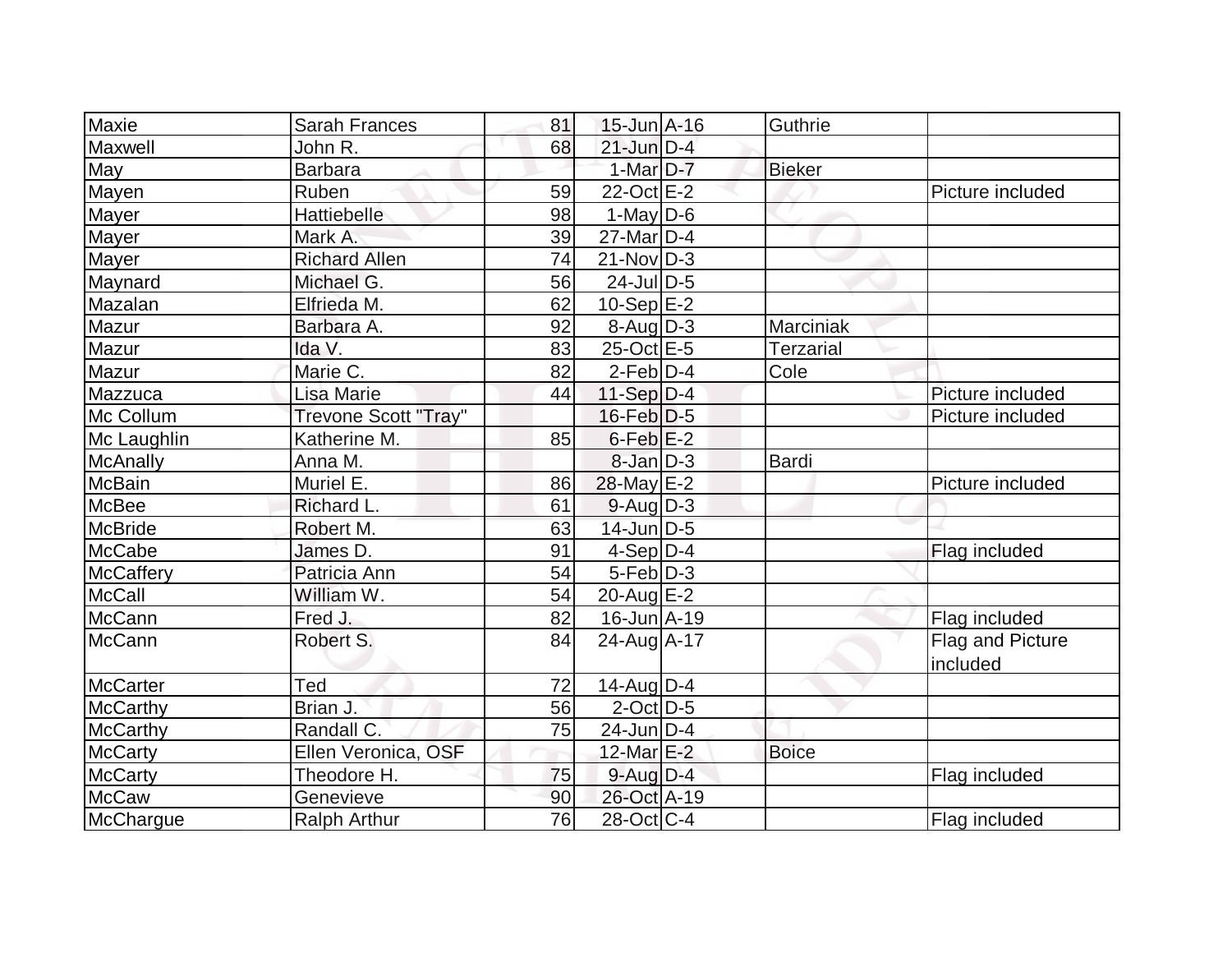| Maxie            | <b>Sarah Frances</b>        | 81 | $15$ -Jun $A-16$  | Guthrie          |                  |
|------------------|-----------------------------|----|-------------------|------------------|------------------|
| Maxwell          | John R.                     | 68 | $21$ -Jun $D-4$   |                  |                  |
| May              | <b>Barbara</b>              |    | $1-Mar$ D-7       | <b>Bieker</b>    |                  |
| Mayen            | Ruben                       | 59 | 22-Oct E-2        |                  | Picture included |
| Mayer            | Hattiebelle                 | 98 | $1-May D-6$       |                  |                  |
| Mayer            | Mark A.                     | 39 | $27$ -Mar $D-4$   |                  |                  |
| Mayer            | <b>Richard Allen</b>        | 74 | $21-Nov D-3$      |                  |                  |
| Maynard          | Michael G.                  | 56 | $24$ -JulD-5      |                  |                  |
| Mazalan          | Elfrieda M.                 | 62 | $10-Sep$ $E-2$    |                  |                  |
| Mazur            | Barbara A.                  | 92 | $8$ -Aug $D-3$    | Marciniak        |                  |
| Mazur            | Ida V.                      | 83 | $25$ -Oct $E-5$   | <b>Terzarial</b> |                  |
| Mazur            | Marie C.                    | 82 | $2$ -Feb $D-4$    | Cole             |                  |
| Mazzuca          | Lisa Marie                  | 44 | 11-Sep $D-4$      |                  | Picture included |
| Mc Collum        | <b>Trevone Scott "Tray"</b> |    | $16$ -Feb $D-5$   |                  | Picture included |
| Mc Laughlin      | Katherine M.                | 85 | $6$ -Feb $E-2$    |                  |                  |
| <b>McAnally</b>  | Anna M.                     |    | $8$ -Jan $ D-3 $  | <b>Bardi</b>     |                  |
| <b>McBain</b>    | Muriel E.                   | 86 | $28$ -May $E-2$   |                  | Picture included |
| McBee            | Richard L.                  | 61 | $9$ -Aug $D-3$    |                  |                  |
| <b>McBride</b>   | Robert M.                   | 63 | $14$ -Jun $D-5$   |                  |                  |
| McCabe           | James D.                    | 91 | $4-Sep D-4$       |                  | Flag included    |
| <b>McCaffery</b> | Patricia Ann                | 54 | $5-Feb D-3$       |                  |                  |
| <b>McCall</b>    | William W.                  | 54 | $20$ -Aug $E-2$   |                  |                  |
| McCann           | Fred J.                     | 82 | $16$ -Jun $A-19$  |                  | Flag included    |
| McCann           | Robert S.                   | 84 | 24-Aug A-17       |                  | Flag and Picture |
|                  |                             |    |                   |                  | included         |
| McCarter         | Ted                         | 72 | $14$ -Aug $ D-4 $ |                  |                  |
| <b>McCarthy</b>  | Brian J.                    | 56 | $2$ -Oct $ D-5 $  |                  |                  |
| <b>McCarthy</b>  | Randall C.                  | 75 | $24$ -Jun $D-4$   |                  |                  |
| <b>McCarty</b>   | Ellen Veronica, OSF         |    | 12-Mar E-2        | <b>Boice</b>     |                  |
| <b>McCarty</b>   | Theodore H.                 | 75 | $9$ -Aug $D-4$    |                  | Flag included    |
| <b>McCaw</b>     | Genevieve                   | 90 | 26-Oct A-19       |                  |                  |
| McChargue        | <b>Ralph Arthur</b>         | 76 | $28$ -Oct C-4     |                  | Flag included    |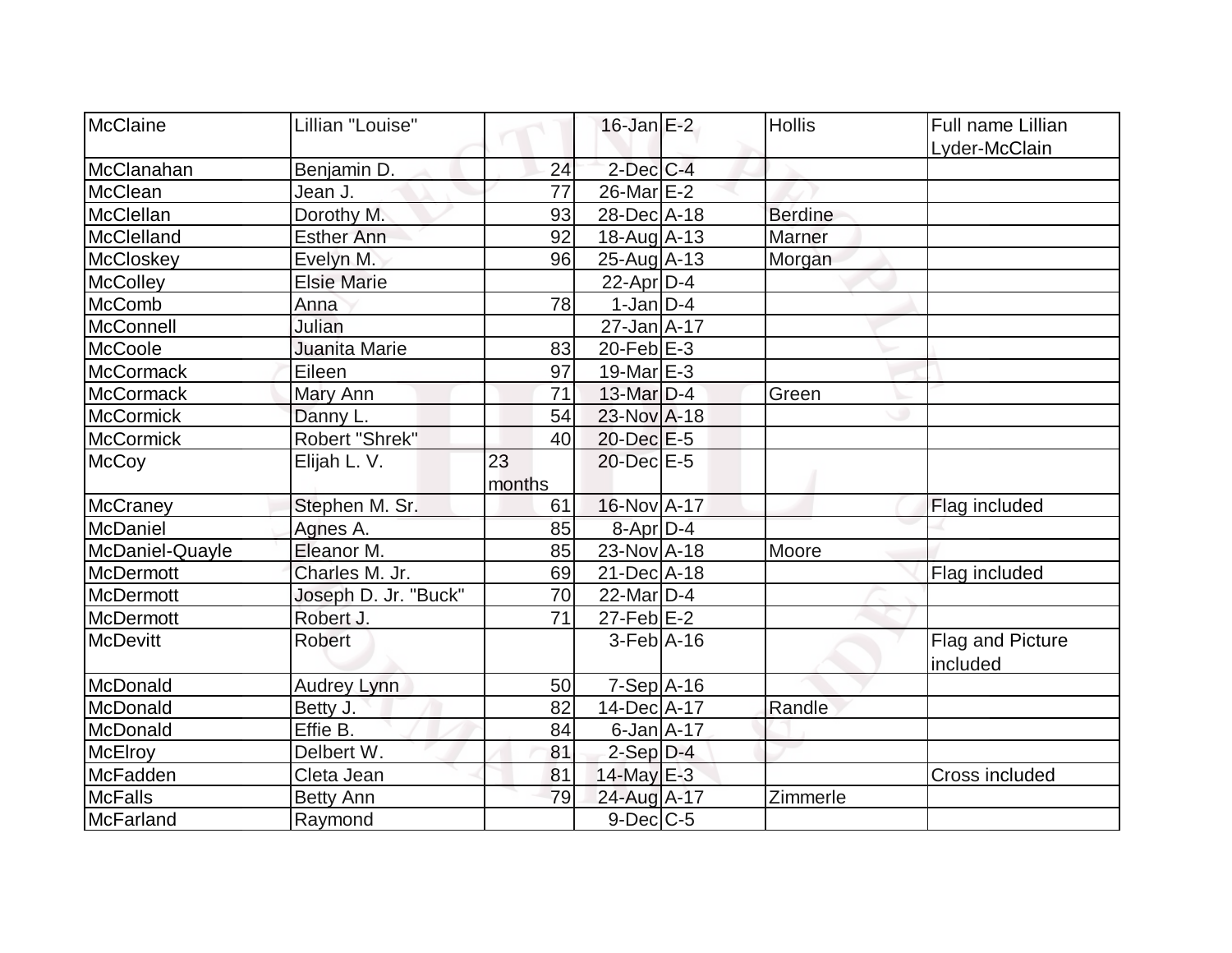| McClaine         | Lillian "Louise"     |        | $16$ -Jan E-2     | <b>Hollis</b>  | Full name Lillian |
|------------------|----------------------|--------|-------------------|----------------|-------------------|
|                  |                      |        |                   |                | Lyder-McClain     |
| McClanahan       | Benjamin D.          | 24     | $2$ -Dec $C-4$    |                |                   |
| <b>McClean</b>   | Jean J.              | 77     | $26$ -Mar $E-2$   |                |                   |
| McClellan        | Dorothy M.           | 93     | 28-Dec A-18       | <b>Berdine</b> |                   |
| McClelland       | <b>Esther Ann</b>    | 92     | 18-Aug A-13       | <b>Marner</b>  |                   |
| McCloskey        | Evelyn M.            | 96     | $25$ -Aug A-13    | Morgan         |                   |
| <b>McColley</b>  | <b>Elsie Marie</b>   |        | $22$ -Apr $D-4$   |                |                   |
| <b>McComb</b>    | Anna                 | 78     | $1-Jan D-4$       |                |                   |
| McConnell        | Julian               |        | 27-Jan A-17       |                |                   |
| <b>McCoole</b>   | Juanita Marie        | 83     | $20$ -Feb $E-3$   |                |                   |
| <b>McCormack</b> | Eileen               | 97     | $19$ -Mar $E-3$   |                |                   |
| <b>McCormack</b> | Mary Ann             | 71     | 13-Mar D-4        | Green          |                   |
| McCormick        | Danny L.             | 54     | $23$ -Nov $A-18$  |                |                   |
| McCormick        | Robert "Shrek"       | 40     | $20$ -Dec $E-5$   |                |                   |
| <b>McCoy</b>     | Elijah L. V.         | 23     | 20-Dec E-5        |                |                   |
|                  |                      | months |                   |                |                   |
| McCraney         | Stephen M. Sr.       | 61     | 16-Nov A-17       |                | Flag included     |
| McDaniel         | Agnes A.             | 85     | $8$ -Apr $D-4$    |                |                   |
| McDaniel-Quayle  | Eleanor M.           | 85     | $23$ -Nov $A$ -18 | Moore          |                   |
| McDermott        | Charles M. Jr.       | 69     | $21$ -Dec $ A-18$ |                | Flag included     |
| McDermott        | Joseph D. Jr. "Buck" | 70     | $22$ -Mar $D-4$   |                |                   |
| <b>McDermott</b> | Robert J.            | 71     | $27$ -Feb $E-2$   |                |                   |
| McDevitt         | <b>Robert</b>        |        | $3-Feb$ A-16      |                | Flag and Picture  |
|                  |                      |        |                   |                | included          |
| McDonald         | <b>Audrey Lynn</b>   | 50     | 7-Sep A-16        |                |                   |
| McDonald         | Betty J.             | 82     | 14-Dec A-17       | Randle         |                   |
| McDonald         | Effie B.             | 84     | $6$ -Jan $A$ -17  |                |                   |
| McElroy          | Delbert W.           | 81     | $2-Sep D-4$       |                |                   |
| McFadden         | Cleta Jean           | 81     | 14-May E-3        |                | Cross included    |
| <b>McFalls</b>   | <b>Betty Ann</b>     | 79     | 24-Aug A-17       | Zimmerle       |                   |
| McFarland        | Raymond              |        | $9$ -Dec $C$ -5   |                |                   |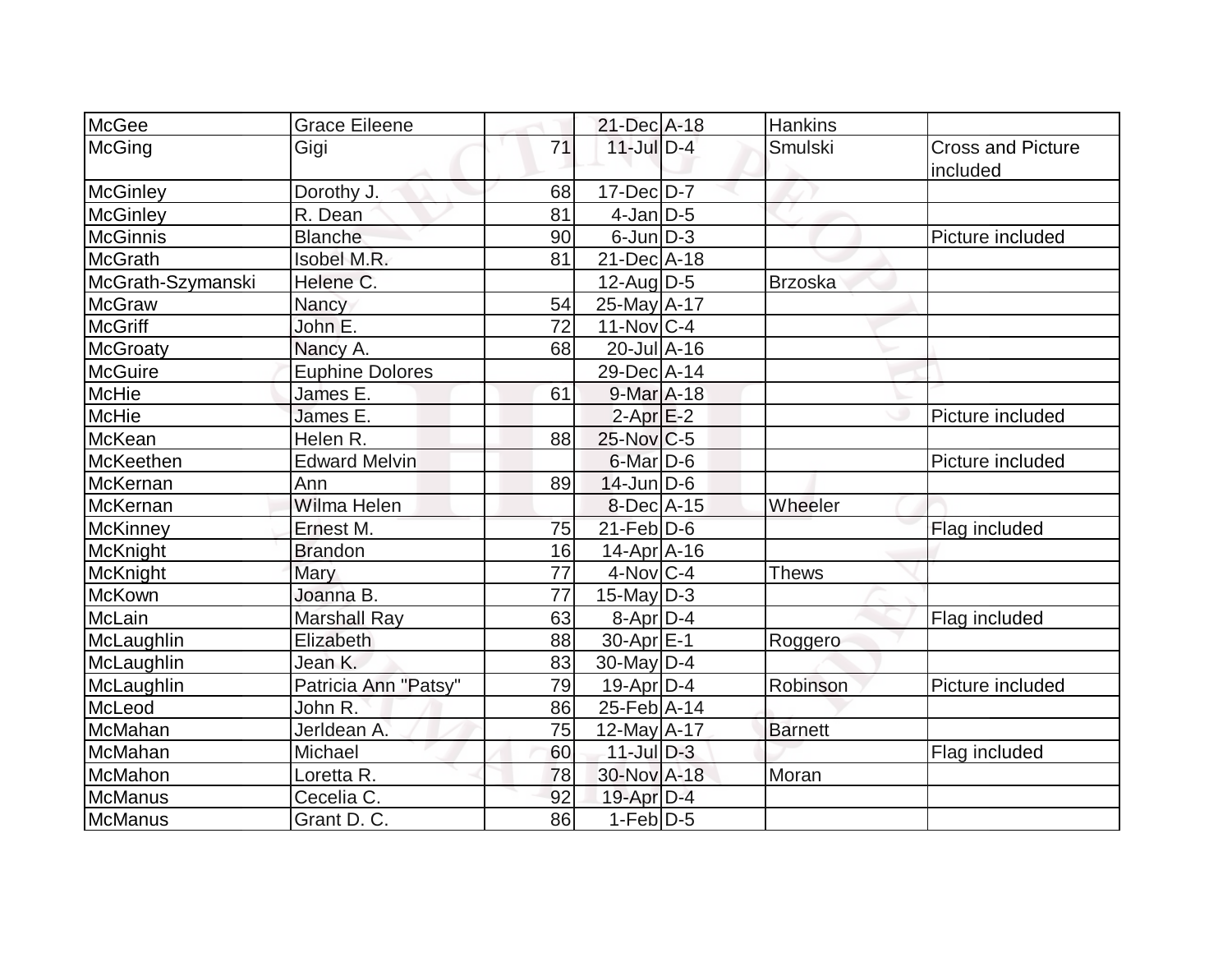| McGee             | <b>Grace Eileene</b>   |    | 21-Dec A-18                  | <b>Hankins</b> |                                      |
|-------------------|------------------------|----|------------------------------|----------------|--------------------------------------|
| McGing            | Gigi                   | 71 | $11$ -Jul $D-4$              | Smulski        | <b>Cross and Picture</b><br>included |
| McGinley          | Dorothy J.             | 68 | $17 - Dec$ $D-7$             |                |                                      |
| <b>McGinley</b>   | R. Dean                | 81 | $4$ -Jan $D-5$               |                |                                      |
| <b>McGinnis</b>   | <b>Blanche</b>         | 90 | $6$ -Jun $D-3$               |                | Picture included                     |
| <b>McGrath</b>    | Isobel M.R.            | 81 | 21-Dec A-18                  |                |                                      |
| McGrath-Szymanski | Helene C.              |    | $12$ -AugD-5                 | Brzoska        |                                      |
| <b>McGraw</b>     | Nancy                  | 54 | 25-May A-17                  |                |                                      |
| <b>McGriff</b>    | John E.                | 72 | $11-Nov$ <sub>C-4</sub>      |                |                                      |
| <b>McGroaty</b>   | Nancy A.               | 68 | $20$ -Jul $\overline{A}$ -16 |                |                                      |
| <b>McGuire</b>    | <b>Euphine Dolores</b> |    | 29-Dec A-14                  |                |                                      |
| <b>McHie</b>      | James E.               | 61 | $9$ -Mar $A$ -18             |                |                                      |
| <b>McHie</b>      | James E.               |    | $2-AprE-2$                   |                | Picture included                     |
| McKean            | Helen R.               | 88 | $25$ -Nov $C$ -5             |                |                                      |
| McKeethen         | <b>Edward Melvin</b>   |    | $6$ -Mar $D-6$               |                | Picture included                     |
| McKernan          | Ann                    | 89 | $14$ -Jun $D-6$              |                |                                      |
| McKernan          | Wilma Helen            |    | 8-Dec A-15                   | Wheeler        |                                      |
| <b>McKinney</b>   | Ernest M.              | 75 | $21$ -Feb $D-6$              |                | Flag included                        |
| <b>McKnight</b>   | <b>Brandon</b>         | 16 | $14$ -Apr $ A-16$            |                |                                      |
| McKnight          | Mary                   | 77 | $4$ -Nov $ C-4$              | <b>Thews</b>   |                                      |
| <b>McKown</b>     | Joanna B.              | 77 | $15$ -May $D-3$              |                |                                      |
| McLain            | <b>Marshall Ray</b>    | 63 | $8-Apr$ D-4                  |                | Flag included                        |
| McLaughlin        | Elizabeth              | 88 | 30-Apr <sub>IE-1</sub>       | Roggero        |                                      |
| McLaughlin        | Jean K.                | 83 | $30$ -May D-4                |                |                                      |
| McLaughlin        | Patricia Ann "Patsy"   | 79 | $19$ -Apr $ D-4 $            | Robinson       | Picture included                     |
| McLeod            | John R.                | 86 | 25-Feb A-14                  |                |                                      |
| McMahan           | Jerldean A.            | 75 | 12-May A-17                  | <b>Barnett</b> |                                      |
| McMahan           | Michael                | 60 | $11$ -Jul $D-3$              |                | Flag included                        |
| McMahon           | Loretta R.             | 78 | 30-Nov A-18                  | Moran          |                                      |
| McManus           | Cecelia C.             | 92 | $19$ -Apr $D-4$              |                |                                      |
| McManus           | Grant D. C.            | 86 | $1-Feb D-5$                  |                |                                      |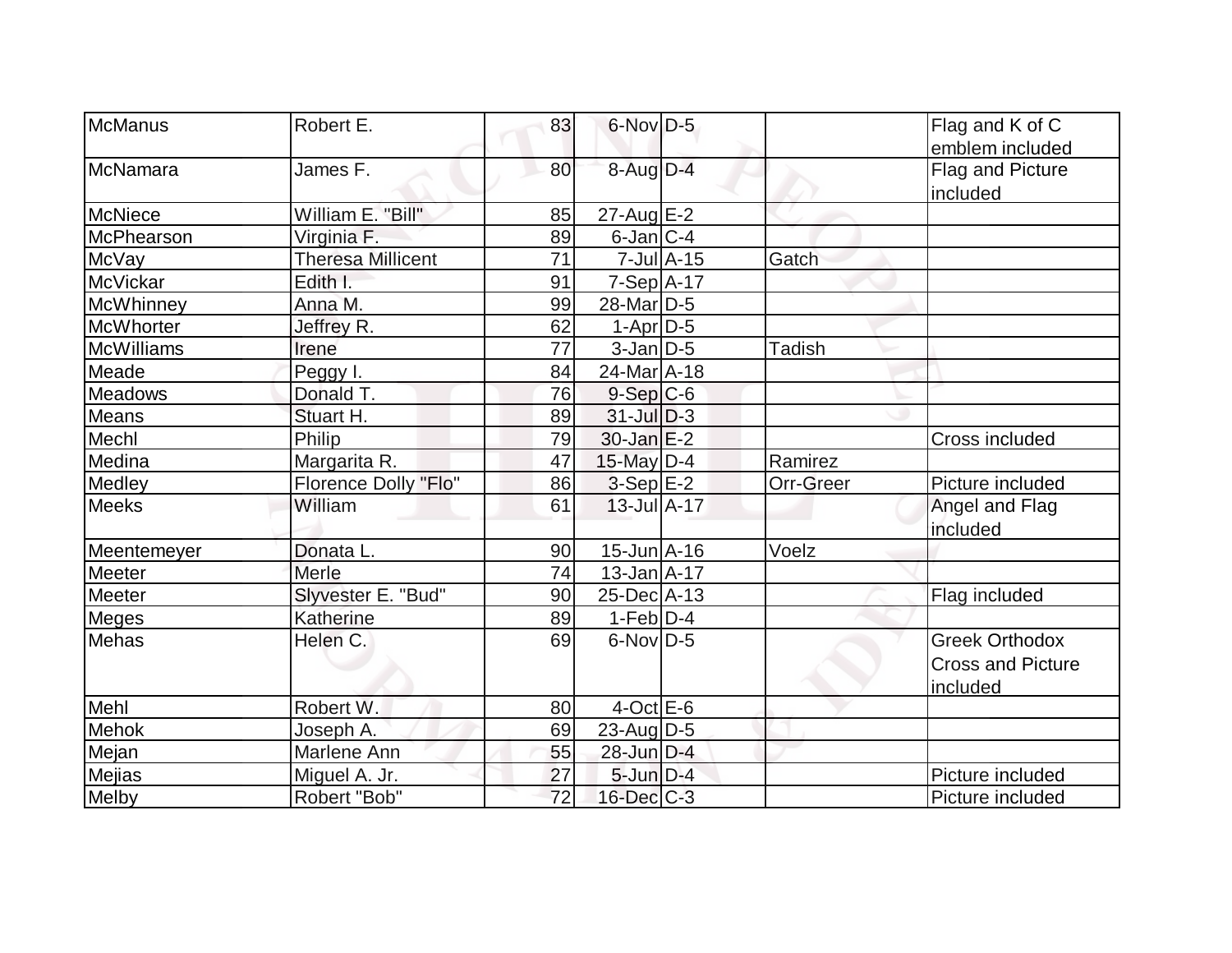| <b>McManus</b>   | Robert E.                   | 83 | $6$ -Nov D-5          |                             |               | Flag and K of C          |
|------------------|-----------------------------|----|-----------------------|-----------------------------|---------------|--------------------------|
|                  |                             |    |                       |                             |               | emblem included          |
| McNamara         | James F.                    | 80 | 8-Aug D-4             |                             |               | Flag and Picture         |
|                  |                             |    |                       |                             |               | included                 |
| McNiece          | William E. "Bill"           | 85 | $27$ -Aug $E-2$       |                             |               |                          |
| McPhearson       | Virginia F.                 | 89 | $6$ -Jan $ C-4 $      |                             |               |                          |
| McVay            | <b>Theresa Millicent</b>    | 71 |                       | $7$ -Jul $\overline{A}$ -15 | Gatch         |                          |
| McVickar         | Edith I.                    | 91 | $7-Sep$ $A-17$        |                             |               |                          |
| <b>McWhinney</b> | Anna M.                     | 99 | 28-Mar <sub>D-5</sub> |                             |               |                          |
| <b>McWhorter</b> | Jeffrey R.                  | 62 | $1-Apr$ D-5           |                             |               |                          |
| McWilliams       | Irene                       | 77 | $3$ -Jan $ D-5 $      |                             | <b>Tadish</b> |                          |
| Meade            | Peggy I.                    | 84 | 24-Mar A-18           |                             |               |                          |
| <b>Meadows</b>   | Donald T.                   | 76 | $9-Sep C-6$           |                             |               |                          |
| Means            | Stuart H.                   | 89 | $31$ -Jul $D-3$       |                             |               |                          |
| Mechl            | Philip                      | 79 | $30$ -Jan $E-2$       |                             |               | Cross included           |
| Medina           | Margarita R.                | 47 | 15-May D-4            |                             | Ramirez       |                          |
| Medley           | <b>Florence Dolly "Flo"</b> | 86 | $3-Sep$ $E-2$         |                             | Orr-Greer     | Picture included         |
| <b>Meeks</b>     | William                     | 61 | $13$ -Jul $A-17$      |                             |               | Angel and Flag           |
|                  |                             |    |                       |                             |               | included                 |
| Meentemeyer      | Donata L.                   | 90 | $15$ -Jun $A$ -16     |                             | Voelz         |                          |
| Meeter           | Merle                       | 74 | $13$ -Jan $A$ -17     |                             |               |                          |
| Meeter           | Slyvester E. "Bud"          | 90 | $25$ -Dec $ A-13$     |                             |               | Flag included            |
| <b>Meges</b>     | Katherine                   | 89 | $1-Feb D-4$           |                             |               |                          |
| <b>Mehas</b>     | Helen C.                    | 69 | 6-NovID-5             |                             |               | <b>Greek Orthodox</b>    |
|                  |                             |    |                       |                             |               | <b>Cross and Picture</b> |
|                  |                             |    |                       |                             |               | included                 |
| Mehl             | Robert W.                   | 80 | $4$ -Oct $E$ -6       |                             |               |                          |
| <b>Mehok</b>     | Joseph A.                   | 69 | $23$ -Aug D-5         |                             |               |                          |
| Mejan            | Marlene Ann                 | 55 | 28-Jun D-4            |                             |               |                          |
| Mejias           | Miguel A. Jr.               | 27 | $5$ -Jun $D-4$        |                             |               | Picture included         |
| Melby            | Robert "Bob"                | 72 | 16-Dec C-3            |                             |               | Picture included         |
|                  |                             |    |                       |                             |               |                          |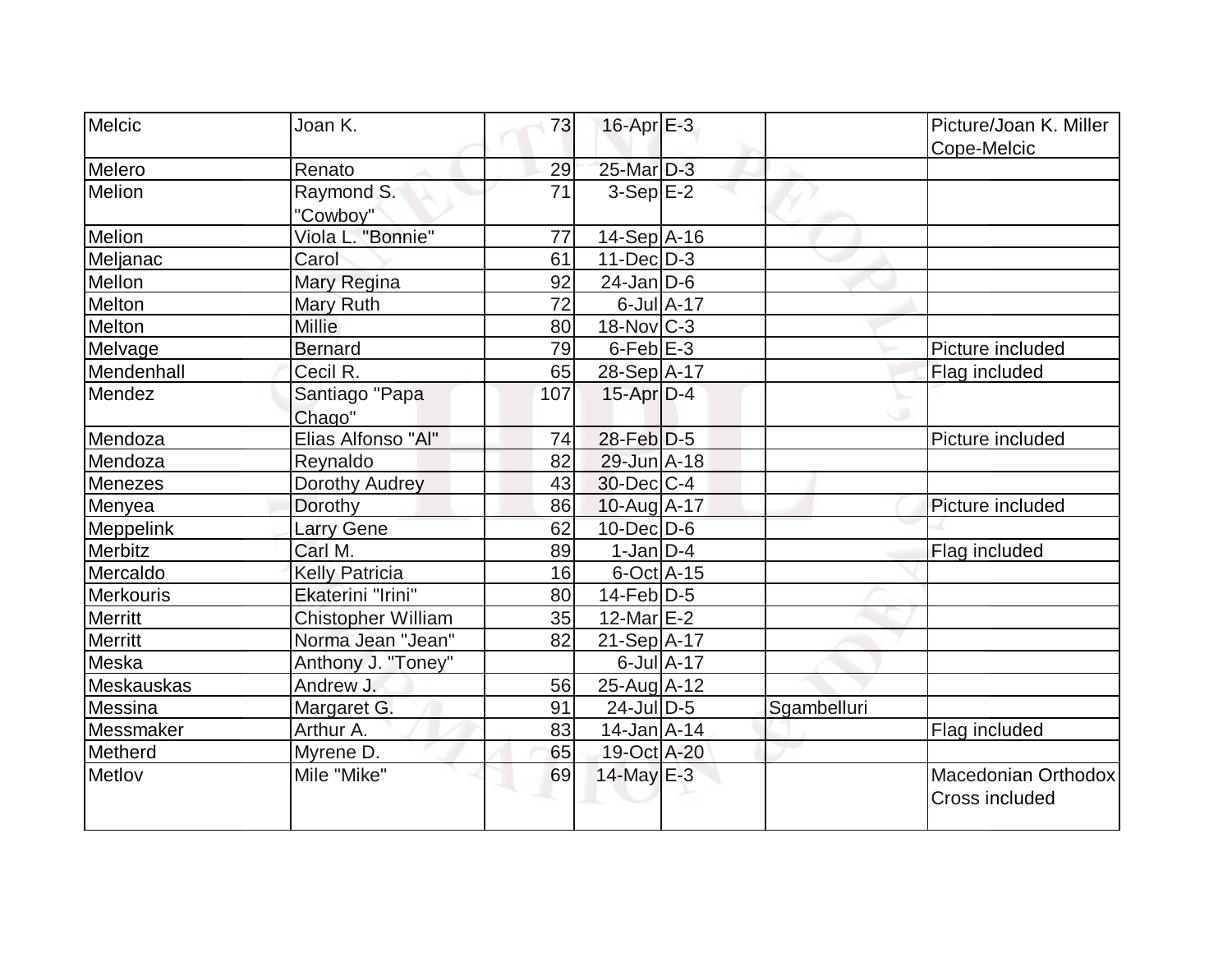| Melcic         | Joan K.                   | 73  | $16$ -Apr $E-3$          |                  |             | Picture/Joan K. Miller<br>Cope-Melcic |
|----------------|---------------------------|-----|--------------------------|------------------|-------------|---------------------------------------|
| Melero         | Renato                    | 29  | 25-Mar D-3               |                  |             |                                       |
| Melion         | Raymond S.<br>"Cowboy"    | 71  | $3-Sep$ $E-2$            |                  |             |                                       |
| Melion         | Viola L. "Bonnie"         | 77  | $14-Sep$ A-16            |                  |             |                                       |
| Meljanac       | Carol                     | 61  | $11$ -Dec $D-3$          |                  |             |                                       |
| Mellon         | Mary Regina               | 92  | $24$ -Jan D-6            |                  |             |                                       |
| Melton         | Mary Ruth                 | 72  |                          | $6$ -Jul $A$ -17 |             |                                       |
| Melton         | <b>Millie</b>             | 80  | $18-Nov$ <sub>C</sub> -3 |                  |             |                                       |
| Melvage        | <b>Bernard</b>            | 79  | $6$ -Feb $E-3$           |                  |             | Picture included                      |
| Mendenhall     | Cecil R.                  | 65  | 28-Sep A-17              |                  |             | Flag included                         |
| Mendez         | Santiago "Papa<br>Chago"  | 107 | $15$ -Apr $D-4$          |                  |             |                                       |
| Mendoza        | Elias Alfonso "Al"        | 74  | $28$ -Feb $ D-5 $        |                  |             | Picture included                      |
| Mendoza        | Reynaldo                  | 82  | $29$ -Jun $A-18$         |                  |             |                                       |
| Menezes        | Dorothy Audrey            | 43  | $30$ -Dec $C-4$          |                  |             |                                       |
| Menyea         | Dorothy                   | 86  | $10$ -Aug A-17           |                  |             | Picture included                      |
| Meppelink      | Larry Gene                | 62  | $10$ -Dec $D$ -6         |                  |             |                                       |
| Merbitz        | Carl M.                   | 89  | $1-Jan$ D-4              |                  |             | Flag included                         |
| Mercaldo       | <b>Kelly Patricia</b>     | 16  | $6$ -Oct $A$ -15         |                  |             |                                       |
| Merkouris      | Ekaterini "Irini"         | 80  | $14$ -Feb $ D-5$         |                  |             |                                       |
| <b>Merritt</b> | <b>Chistopher William</b> | 35  | $12$ -Mar $E-2$          |                  |             |                                       |
| Merritt        | Norma Jean "Jean"         | 82  | $21-Sep$ A-17            |                  |             |                                       |
| Meska          | Anthony J. "Toney"        |     |                          | $6$ -Jul $A$ -17 |             |                                       |
| Meskauskas     | Andrew J.                 | 56  | 25-Aug A-12              |                  |             |                                       |
| Messina        | Margaret G.               | 91  | 24-Jul D-5               |                  | Sgambelluri |                                       |
| Messmaker      | Arthur A.                 | 83  | $14$ -Jan $A$ -14        |                  |             | Flag included                         |
| Metherd        | Myrene D.                 | 65  | 19-Oct A-20              |                  |             |                                       |
| Metlov         | Mile "Mike"               | 69  | $14$ -May E-3            |                  |             | Macedonian Orthodox<br>Cross included |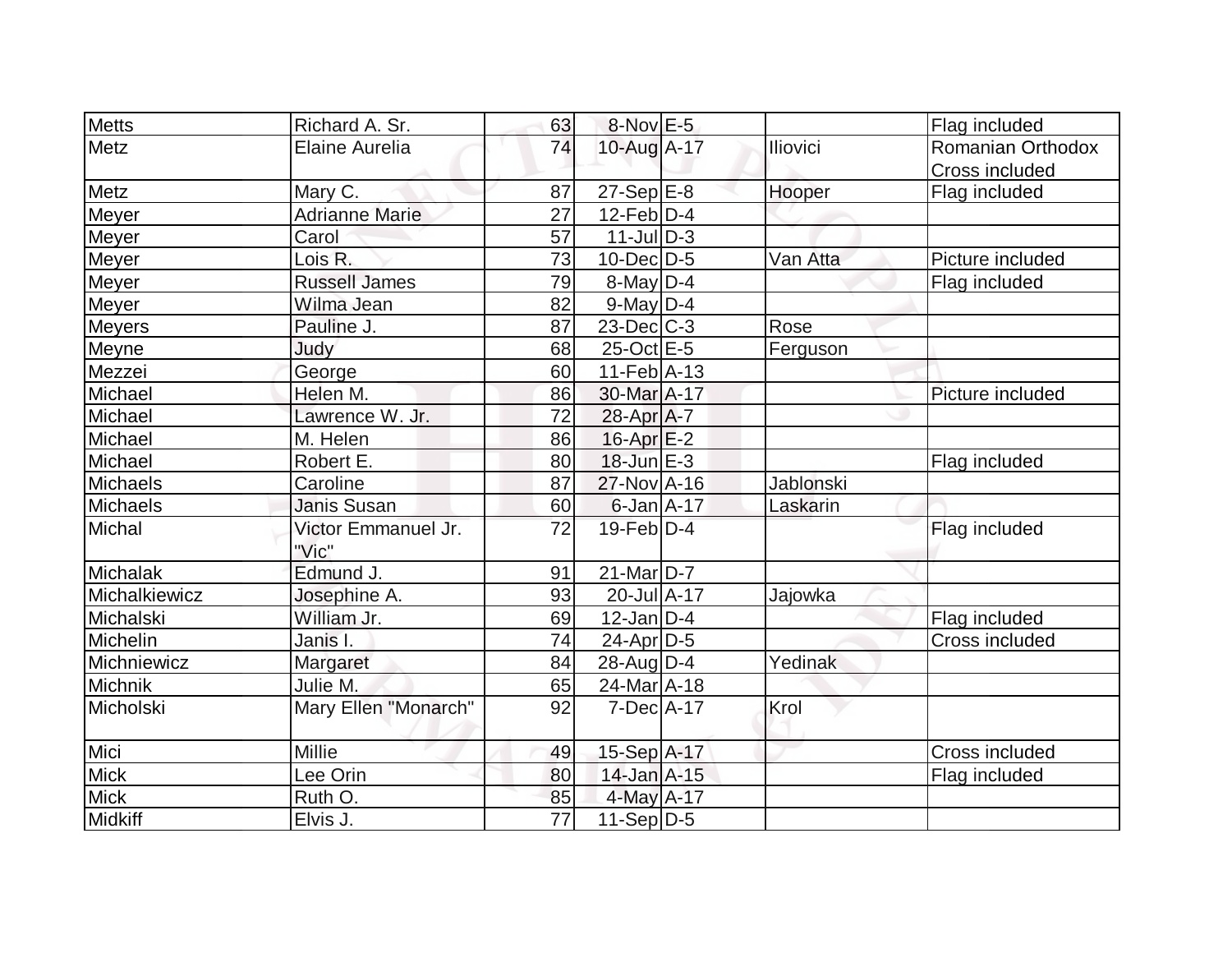| <b>Metts</b>    | Richard A. Sr.               | 63 | 8-Nov E-5        |           | Flag included     |
|-----------------|------------------------------|----|------------------|-----------|-------------------|
| Metz            | <b>Elaine Aurelia</b>        | 74 | 10-Aug A-17      | Iliovici  | Romanian Orthodox |
|                 |                              |    |                  |           | Cross included    |
| Metz            | Mary C.                      | 87 | $27-Sep$ E-8     | Hooper    | Flag included     |
| Meyer           | <b>Adrianne Marie</b>        | 27 | $12$ -Feb $D-4$  |           |                   |
| Meyer           | Carol                        | 57 | $11$ -Jul $D-3$  |           |                   |
| Meyer           | Lois R.                      | 73 | $10$ -Dec $D-5$  | Van Atta  | Picture included  |
| Meyer           | <b>Russell James</b>         | 79 | $8$ -May $D-4$   |           | Flag included     |
| Meyer           | Wilma Jean                   | 82 | $9$ -May $D-4$   |           |                   |
| <b>Meyers</b>   | Pauline J.                   | 87 | $23$ -Dec $C-3$  | Rose      |                   |
| Meyne           | Judy                         | 68 | 25-Oct E-5       | Ferguson  |                   |
| Mezzei          | George                       | 60 | $11-Feb$ A-13    |           |                   |
| Michael         | Helen M.                     | 86 | 30-Mar A-17      |           | Picture included  |
| Michael         | Lawrence W. Jr.              | 72 | 28-Apr A-7       |           |                   |
| Michael         | M. Helen                     | 86 | $16$ -Apr $E-2$  |           |                   |
| Michael         | Robert E.                    | 80 | $18$ -Jun $E-3$  |           | Flag included     |
| Michaels        | Caroline                     | 87 | 27-Nov A-16      | Jablonski |                   |
| <b>Michaels</b> | <b>Janis Susan</b>           | 60 | $6$ -Jan $A$ -17 | Laskarin  |                   |
| Michal          | Victor Emmanuel Jr.<br>"Vic" | 72 | $19$ -Feb $D-4$  |           | Flag included     |
| Michalak        | Edmund J.                    | 91 | $21$ -Mar $D-7$  |           |                   |
| Michalkiewicz   | Josephine A.                 | 93 | 20-Jul A-17      | Jajowka   |                   |
| Michalski       | William Jr.                  | 69 | $12$ -Jan D-4    |           | Flag included     |
| Michelin        | Janis I.                     | 74 | $24$ -Apr $ D-5$ |           | Cross included    |
| Michniewicz     | Margaret                     | 84 | 28-Aug $D-4$     | Yedinak   |                   |
| Michnik         | Julie M.                     | 65 | 24-Mar A-18      |           |                   |
| Micholski       | Mary Ellen "Monarch"         | 92 | $7-Dec A-17$     | Krol      |                   |
| Mici            | Millie                       | 49 | 15-Sep A-17      |           | Cross included    |
| <b>Mick</b>     | Lee Orin                     | 80 | 14-Jan A-15      |           | Flag included     |
| <b>Mick</b>     | Ruth O.                      | 85 | $4$ -May $A$ -17 |           |                   |
| Midkiff         | Elvis J.                     | 77 | 11-Sep D-5       |           |                   |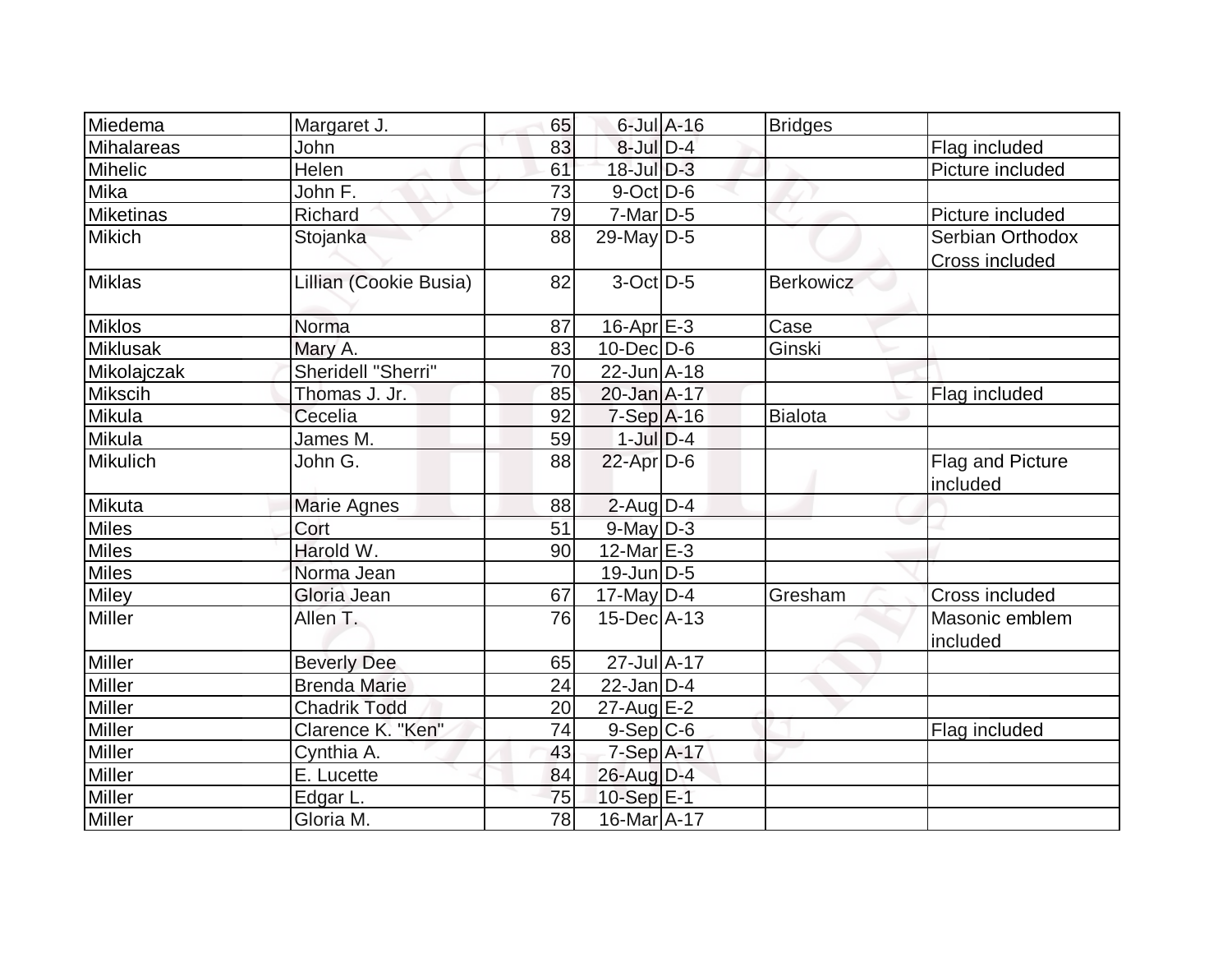| Miedema          | Margaret J.            | 65              |                   | $6$ -Jul $A-16$ | <b>Bridges</b>   |                                    |
|------------------|------------------------|-----------------|-------------------|-----------------|------------------|------------------------------------|
| Mihalareas       | John                   | 83              | $8$ -Jul $D-4$    |                 |                  | Flag included                      |
| <b>Mihelic</b>   | Helen                  | 61              | $18$ -Jul $D-3$   |                 |                  | Picture included                   |
| Mika             | John F.                | 73              | $9$ -Oct $D$ -6   |                 |                  |                                    |
| <b>Miketinas</b> | Richard                | 79              | $7$ -Mar $D-5$    |                 |                  | Picture included                   |
| <b>Mikich</b>    | Stojanka               | 88              | $29$ -May D-5     |                 |                  | Serbian Orthodox<br>Cross included |
| Miklas           | Lillian (Cookie Busia) | 82              | $3$ -Oct $ D-5 $  |                 | <b>Berkowicz</b> |                                    |
| <b>Miklos</b>    | Norma                  | 87              | $16$ -Apr $E-3$   |                 | Case             |                                    |
| <b>Miklusak</b>  | Mary A.                | 83              | $10$ -Dec $ D-6 $ |                 | Ginski           |                                    |
| Mikolajczak      | Sheridell "Sherri"     | 70              | 22-Jun A-18       |                 |                  |                                    |
| Mikscih          | Thomas J. Jr.          | 85              | 20-Jan A-17       |                 |                  | Flag included                      |
| <b>Mikula</b>    | Cecelia                | 92              | $7-Sep$ A-16      |                 | Bialota          |                                    |
| Mikula           | James M.               | 59              | $1$ -Jul $D-4$    |                 |                  |                                    |
| <b>Mikulich</b>  | John G.                | 88              | $22$ -Apr $D-6$   |                 |                  | Flag and Picture<br>included       |
| Mikuta           | Marie Agnes            | 88              | $2$ -Aug $D-4$    |                 |                  |                                    |
| <b>Miles</b>     | Cort                   | 51              | $9$ -May $D-3$    |                 |                  |                                    |
| Miles            | Harold W.              | 90              | 12-Mar $E-3$      |                 |                  |                                    |
| <b>Miles</b>     | Norma Jean             |                 | $19$ -Jun $ D-5$  |                 |                  |                                    |
| Miley            | Gloria Jean            | 67              | 17-May $D-4$      |                 | Gresham          | Cross included                     |
| <b>Miller</b>    | Allen T.               | 76              | $15$ -Dec $ A-13$ |                 |                  | Masonic emblem<br>included         |
| Miller           | <b>Beverly Dee</b>     | 65              | 27-Jul A-17       |                 |                  |                                    |
| Miller           | <b>Brenda Marie</b>    | 24              | $22$ -Jan D-4     |                 |                  |                                    |
| Miller           | <b>Chadrik Todd</b>    | 20              | $27$ -Aug $E-2$   |                 |                  |                                    |
| <b>Miller</b>    | Clarence K. "Ken"      | 74              | $9-Sep C-6$       |                 |                  | Flag included                      |
| <b>Miller</b>    | Cynthia A.             | 43              | 7-Sep A-17        |                 |                  |                                    |
| <b>Miller</b>    | E. Lucette             | 84              | 26-Aug D-4        |                 |                  |                                    |
| Miller           | Edgar L.               | 75              | 10-Sep E-1        |                 |                  |                                    |
| Miller           | Gloria M.              | $\overline{78}$ | 16-Mar A-17       |                 |                  |                                    |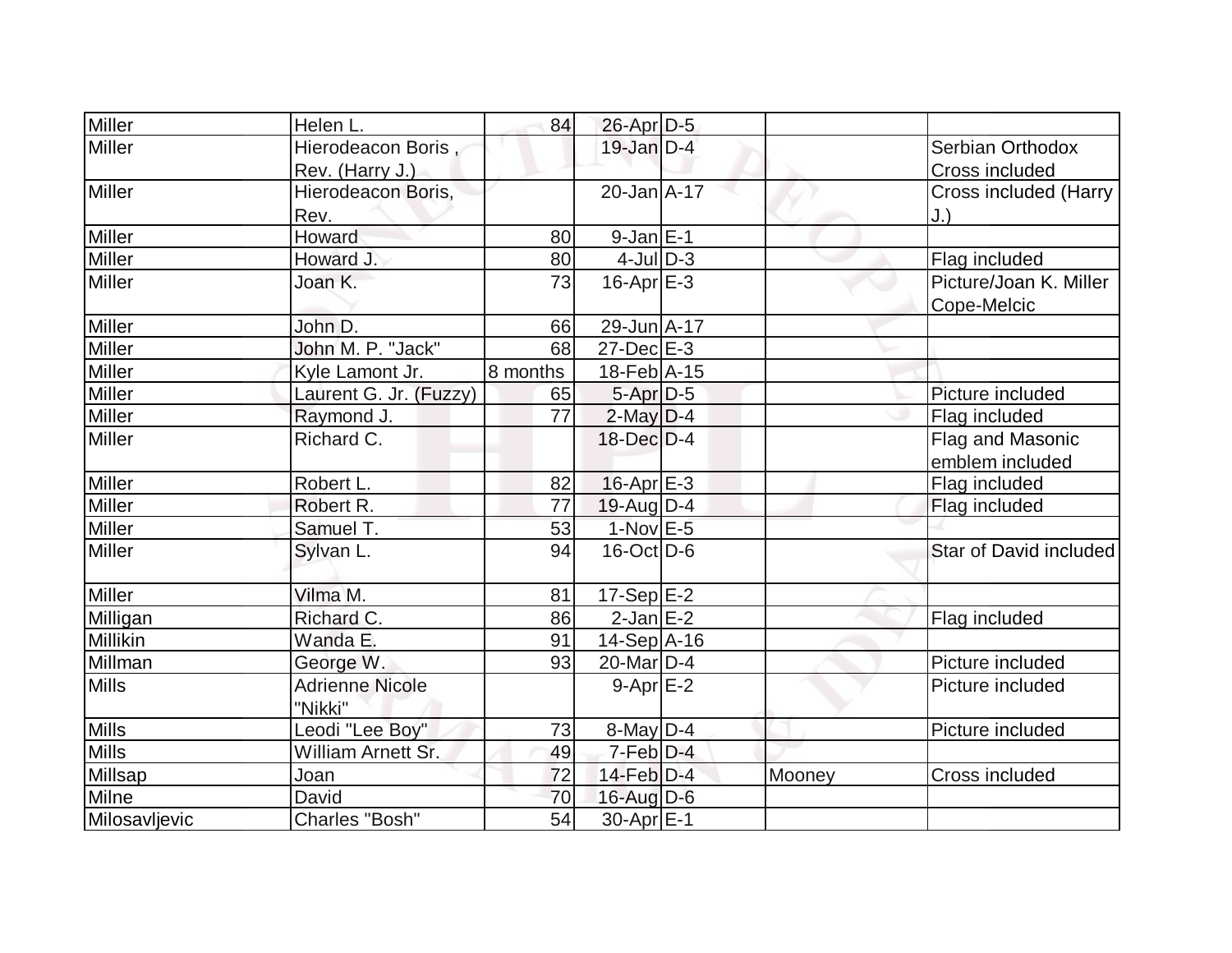| <b>Miller</b> | Helen L.                              | 84       | 26-Apr D-5            |        |                                           |
|---------------|---------------------------------------|----------|-----------------------|--------|-------------------------------------------|
| <b>Miller</b> | Hierodeacon Boris,<br>Rev. (Harry J.) |          | $19$ -Jan $D-4$       |        | Serbian Orthodox<br><b>Cross included</b> |
| <b>Miller</b> | Hierodeacon Boris,                    |          | $20$ -Jan $A$ -17     |        | <b>Cross included (Harry</b>              |
|               | Rev.                                  |          |                       |        | J.                                        |
| <b>Miller</b> | Howard                                | 80       | $9$ -Jan $E-1$        |        |                                           |
| <b>Miller</b> | Howard J.                             | 80       | $4$ -JulD-3           |        | Flag included                             |
| <b>Miller</b> | Joan K.                               | 73       | $16$ -Apr $E$ -3      |        | Picture/Joan K. Miller                    |
|               |                                       |          |                       |        | Cope-Melcic                               |
| <b>Miller</b> | John D.                               | 66       | 29-Jun A-17           |        |                                           |
| <b>Miller</b> | John M. P. "Jack"                     | 68       | $27$ -Dec $E-3$       |        |                                           |
| <b>Miller</b> | Kyle Lamont Jr.                       | 8 months | $18$ -Feb $ A-15$     |        |                                           |
| <b>Miller</b> | Laurent G. Jr. (Fuzzy)                | 65       | $5-Apr$ D-5           |        | Picture included                          |
| <b>Miller</b> | Raymond J.                            | 77       | $2$ -May $D-4$        |        | Flag included                             |
| <b>Miller</b> | Richard C.                            |          | $18$ -Dec $D-4$       |        | Flag and Masonic                          |
|               |                                       |          |                       |        | emblem included                           |
| <b>Miller</b> | Robert L.                             | 82       | $16$ -Apr $E-3$       |        | Flag included                             |
| <b>Miller</b> | Robert R.                             | 77       | $19$ -Aug $ D-4 $     |        | Flag included                             |
| <b>Miller</b> | Samuel T.                             | 53       | $1-Nov$ E-5           |        |                                           |
| <b>Miller</b> | Sylvan L.                             | 94       | 16-Oct D-6            |        | <b>Star of David included</b>             |
| <b>Miller</b> | Vilma M.                              | 81       | $17-Sep$ $E-2$        |        |                                           |
| Milligan      | Richard C.                            | 86       | $2$ -Jan $E-2$        |        | Flag included                             |
| Millikin      | Wanda E.                              | 91       | 14-Sep A-16           |        |                                           |
| Millman       | George W.                             | 93       | $20$ -Mar $D-4$       |        | Picture included                          |
| <b>Mills</b>  | <b>Adrienne Nicole</b><br>"Nikki"     |          | $9 - Apr$ $E-2$       |        | Picture included                          |
| <b>Mills</b>  | Leodi "Lee Boy"                       | 73       | $8$ -May $D-4$        |        | Picture included                          |
| <b>Mills</b>  | William Arnett Sr.                    | 49       | $7-Feb$ $D-4$         |        |                                           |
| Millsap       | Joan                                  | 72       | 14-Feb D-4            | Mooney | Cross included                            |
| <b>Milne</b>  | David                                 | 70       | 16-Aug D-6            |        |                                           |
| Milosavljevic | Charles "Bosh"                        | 54       | 30-Apr <sub>E-1</sub> |        |                                           |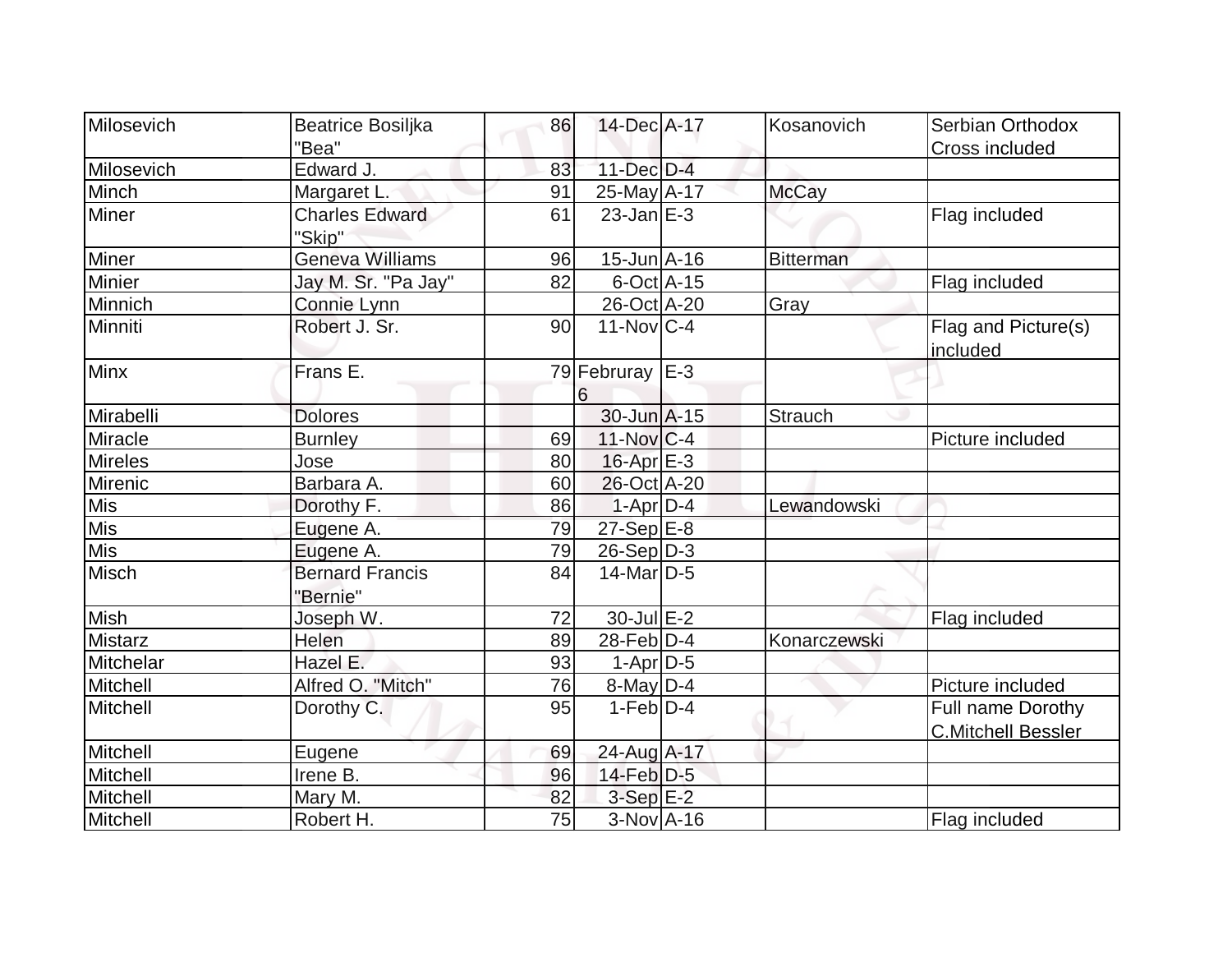| Milosevich      | Beatrice Bosiljka                  | 86 | 14-Dec A-17       | Kosanovich       | Serbian Orthodox                |
|-----------------|------------------------------------|----|-------------------|------------------|---------------------------------|
|                 | "Bea"                              |    |                   |                  | <b>Cross included</b>           |
| Milosevich      | Edward J.                          | 83 | $11$ -Dec $D-4$   |                  |                                 |
| Minch           | Margaret L.                        | 91 | 25-May A-17       | <b>McCay</b>     |                                 |
| Miner           | <b>Charles Edward</b><br>"Skip"    | 61 | $23$ -Jan $E-3$   |                  | Flag included                   |
| Miner           | <b>Geneva Williams</b>             | 96 | $15$ -Jun $A$ -16 | <b>Bitterman</b> |                                 |
| Minier          | Jay M. Sr. "Pa Jay"                | 82 | $6$ -Oct $A$ -15  |                  | Flag included                   |
| Minnich         | Connie Lynn                        |    | 26-Oct A-20       | Gray             |                                 |
| Minniti         | Robert J. Sr.                      | 90 | $11-NovC-4$       |                  | Flag and Picture(s)<br>included |
| Minx            | Frans E.                           |    | 79 Februray E-3   |                  |                                 |
|                 |                                    |    | 6                 |                  |                                 |
| Mirabelli       | <b>Dolores</b>                     |    | 30-Jun A-15       | Strauch          |                                 |
| Miracle         | <b>Burnley</b>                     | 69 | $11-Nov C-4$      |                  | Picture included                |
| <b>Mireles</b>  | Jose                               | 80 | $16$ -Apr $E-3$   |                  |                                 |
| Mirenic         | Barbara A.                         | 60 | 26-Oct A-20       |                  |                                 |
| Mis             | Dorothy F.                         | 86 | $1-Apr$ D-4       | Lewandowski      |                                 |
| Mis             | Eugene A.                          | 79 | $27-Sep$ $E-8$    |                  |                                 |
| <b>Mis</b>      | Eugene A.                          | 79 | $26-Sep D-3$      |                  |                                 |
| Misch           | <b>Bernard Francis</b><br>"Bernie" | 84 | $14$ -Mar $ D-5$  |                  |                                 |
| Mish            | Joseph W.                          | 72 | $30$ -Jul $E-2$   |                  | Flag included                   |
| <b>Mistarz</b>  | Helen                              | 89 | $28$ -Feb $ D-4 $ | Konarczewski     |                                 |
| Mitchelar       | Hazel E.                           | 93 | $1-Apr$ D-5       |                  |                                 |
| <b>Mitchell</b> | Alfred O. "Mitch"                  | 76 | 8-May D-4         |                  | Picture included                |
| Mitchell        | Dorothy C.                         | 95 | $1-Feb D-4$       |                  | Full name Dorothy               |
|                 |                                    |    |                   |                  | <b>C.Mitchell Bessler</b>       |
| Mitchell        | Eugene                             | 69 | 24-Aug A-17       |                  |                                 |
| Mitchell        | Irene B.                           | 96 | $14$ -Feb $D-5$   |                  |                                 |
| Mitchell        | Mary M.                            | 82 | $3-Sep$ $E-2$     |                  |                                 |
| Mitchell        | Robert H.                          | 75 | $3-Nov$ A-16      |                  | Flag included                   |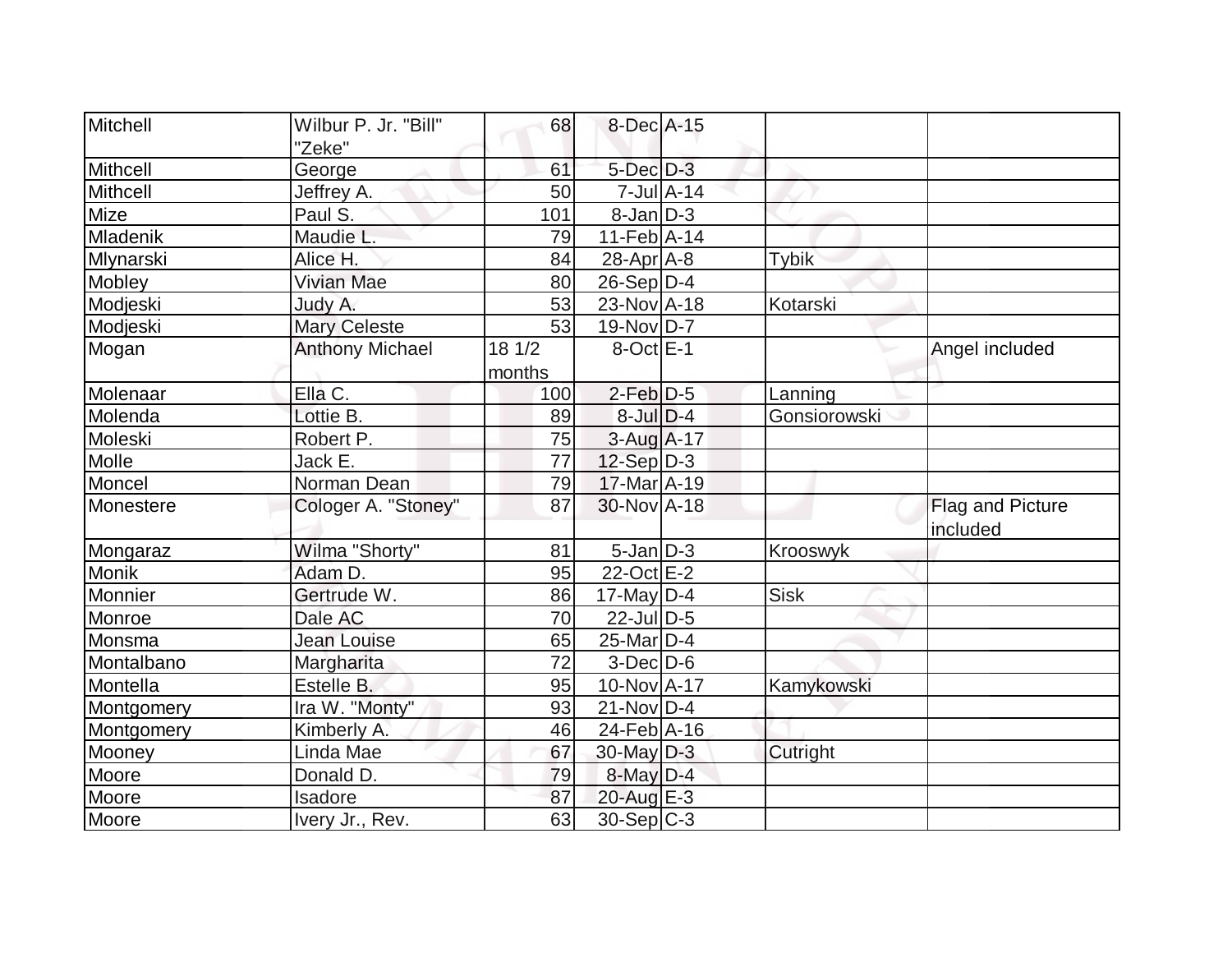| Mitchell         |                        |        |                   |                             |              |                         |
|------------------|------------------------|--------|-------------------|-----------------------------|--------------|-------------------------|
|                  | Wilbur P. Jr. "Bill"   | 68     | 8-Dec A-15        |                             |              |                         |
| Mithcell         | "Zeke"                 | 61     | $5$ -Dec $D-3$    |                             |              |                         |
|                  | George                 |        |                   |                             |              |                         |
| Mithcell         | Jeffrey A.             | 50     |                   | $7$ -Jul $\overline{A}$ -14 |              |                         |
| Mize             | Paul S.                | 101    | $8 - Jan$ $D-3$   |                             |              |                         |
| Mladenik         | Maudie L.              | 79     | $11-Feb$ A-14     |                             |              |                         |
| Mlynarski        | Alice H.               | 84     | $28$ -Apr $A$ -8  |                             | <b>Tybik</b> |                         |
| Mobley           | Vivian Mae             | 80     | $26-Sep D-4$      |                             |              |                         |
| Modjeski         | Judy A.                | 53     | 23-Nov A-18       |                             | Kotarski     |                         |
| Modjeski         | <b>Mary Celeste</b>    | 53     | $19-Nov D-7$      |                             |              |                         |
| Mogan            | <b>Anthony Michael</b> | 18 1/2 | $8$ -Oct $E-1$    |                             |              | Angel included          |
|                  |                        | months |                   |                             |              |                         |
| Molenaar         | Ella C.                | 100    | $2$ -Feb $D-5$    |                             | Lanning      |                         |
| Molenda          | Lottie B.              | 89     | $8$ -Jul $D-4$    |                             | Gonsiorowski |                         |
| Moleski          | Robert P.              | 75     | $3$ -Aug $A$ -17  |                             |              |                         |
| Molle            | Jack E.                | 77     | $12-Sep$ D-3      |                             |              |                         |
| Moncel           | Norman Dean            | 79     | 17-Mar A-19       |                             |              |                         |
| <b>Monestere</b> | Cologer A. "Stoney"    | 87     | 30-Nov A-18       |                             |              | <b>Flag and Picture</b> |
|                  |                        |        |                   |                             |              | included                |
| Mongaraz         | Wilma "Shorty"         | 81     | $5 - Jan$ $D-3$   |                             | Krooswyk     |                         |
| Monik            | Adam D.                | 95     | 22-Oct E-2        |                             |              |                         |
| Monnier          | Gertrude W.            | 86     | $17$ -May D-4     |                             | <b>Sisk</b>  |                         |
| Monroe           | Dale AC                | 70     | 22-Jul D-5        |                             |              |                         |
| Monsma           | Jean Louise            | 65     | $25$ -Mar $D-4$   |                             |              |                         |
| Montalbano       | Margharita             | 72     | $3-Dec$ D $-6$    |                             |              |                         |
| Montella         | Estelle B.             | 95     | 10-Nov A-17       |                             | Kamykowski   |                         |
| Montgomery       | Ira W. "Monty"         | 93     | $21-Nov D-4$      |                             |              |                         |
| Montgomery       | Kimberly A.            | 46     | $24$ -Feb $ A-16$ |                             |              |                         |
| Mooney           | Linda Mae              | 67     | $30$ -May $D-3$   |                             | Cutright     |                         |
| Moore            | Donald D.              | 79     | $8$ -May $D-4$    |                             |              |                         |
| Moore            | Isadore                | 87     | 20-Aug E-3        |                             |              |                         |
| Moore            | Ivery Jr., Rev.        | 63     | $30-Sep C-3$      |                             |              |                         |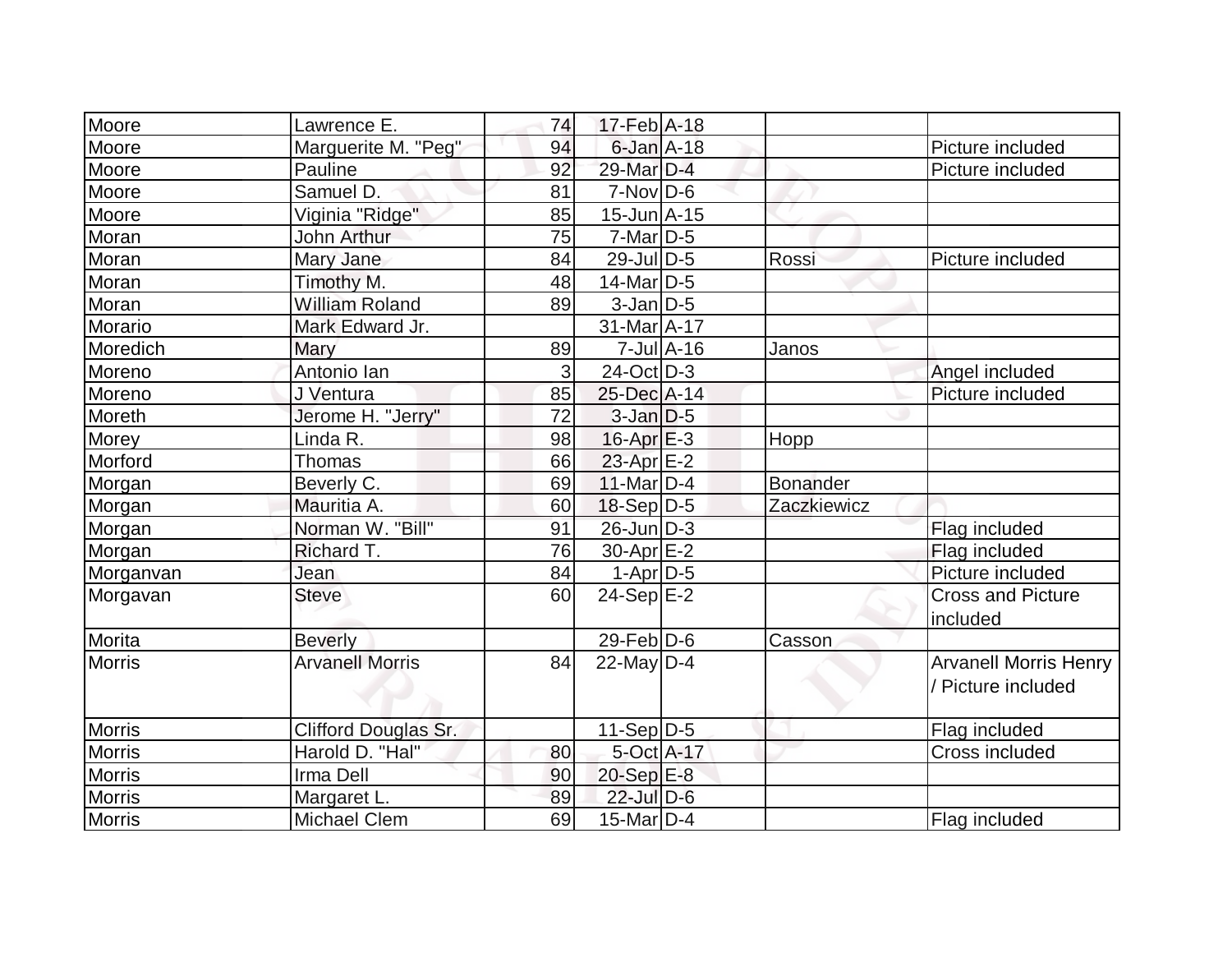| Moore         | Lawrence E.                 | 74 | 17-Feb A-18       |                             |                 |                                                  |
|---------------|-----------------------------|----|-------------------|-----------------------------|-----------------|--------------------------------------------------|
| Moore         | Marguerite M. "Peg"         | 94 | $6$ -Jan $A$ -18  |                             |                 | Picture included                                 |
| Moore         | Pauline                     | 92 | 29-Mar D-4        |                             |                 | Picture included                                 |
| Moore         | Samuel D.                   | 81 | $7-Nov D-6$       |                             |                 |                                                  |
| Moore         | Viginia "Ridge"             | 85 | $15$ -Jun $A$ -15 |                             |                 |                                                  |
| Moran         | John Arthur                 | 75 | $7$ -Mar $D-5$    |                             |                 |                                                  |
| Moran         | Mary Jane                   | 84 | 29-Jul D-5        |                             | Rossi           | Picture included                                 |
| <b>Moran</b>  | Timothy M.                  | 48 | $14$ -Mar $ D-5$  |                             |                 |                                                  |
| Moran         | <b>William Roland</b>       | 89 | $3$ -Jan $D-5$    |                             |                 |                                                  |
| Morario       | Mark Edward Jr.             |    | 31-Mar A-17       |                             |                 |                                                  |
| Moredich      | Mary                        | 89 |                   | $7$ -Jul $\overline{A}$ -16 | Janos           |                                                  |
| Moreno        | Antonio lan                 | 3  | 24-Oct D-3        |                             |                 | Angel included                                   |
| Moreno        | J Ventura                   | 85 | 25-Dec A-14       |                             |                 | Picture included                                 |
| Moreth        | Jerome H. "Jerry"           | 72 | $3$ -Jan $D-5$    |                             |                 |                                                  |
| Morey         | Linda R.                    | 98 | $16$ -Apr $E-3$   |                             | Hopp            |                                                  |
| Morford       | <b>Thomas</b>               | 66 | 23-Apr E-2        |                             |                 |                                                  |
| Morgan        | Beverly C.                  | 69 | $11$ -Mar $ D-4$  |                             | <b>Bonander</b> |                                                  |
| Morgan        | Mauritia A.                 | 60 | $18-Sep D-5$      |                             | Zaczkiewicz     |                                                  |
| Morgan        | Norman W. "Bill"            | 91 | $26$ -Jun $D-3$   |                             |                 | Flag included                                    |
| Morgan        | Richard T.                  | 76 | $30$ -Apr $E-2$   |                             |                 | Flag included                                    |
| Morganvan     | Jean                        | 84 | $1-Apr$ D-5       |                             |                 | Picture included                                 |
| Morgavan      | Steve                       | 60 | $24-Sep$ $E-2$    |                             |                 | <b>Cross and Picture</b>                         |
|               |                             |    |                   |                             |                 | included                                         |
| Morita        | <b>Beverly</b>              | 84 | $29$ -Feb $ D$ -6 |                             | Casson          |                                                  |
| <b>Morris</b> | <b>Arvanell Morris</b>      |    | $22$ -May D-4     |                             |                 | <b>Arvanell Morris Henry</b><br>Picture included |
| Morris        | <b>Clifford Douglas Sr.</b> |    | $11-Sep D-5$      |                             |                 | Flag included                                    |
| <b>Morris</b> | Harold D. "Hal"             | 80 | 5-Oct A-17        |                             |                 | Cross included                                   |
| <b>Morris</b> | Irma Dell                   | 90 | $20-Sep$ $E-8$    |                             |                 |                                                  |
| <b>Morris</b> | Margaret L.                 | 89 | 22-Jul D-6        |                             |                 |                                                  |
| Morris        | Michael Clem                | 69 | $15$ -Mar $ D-4$  |                             |                 | Flag included                                    |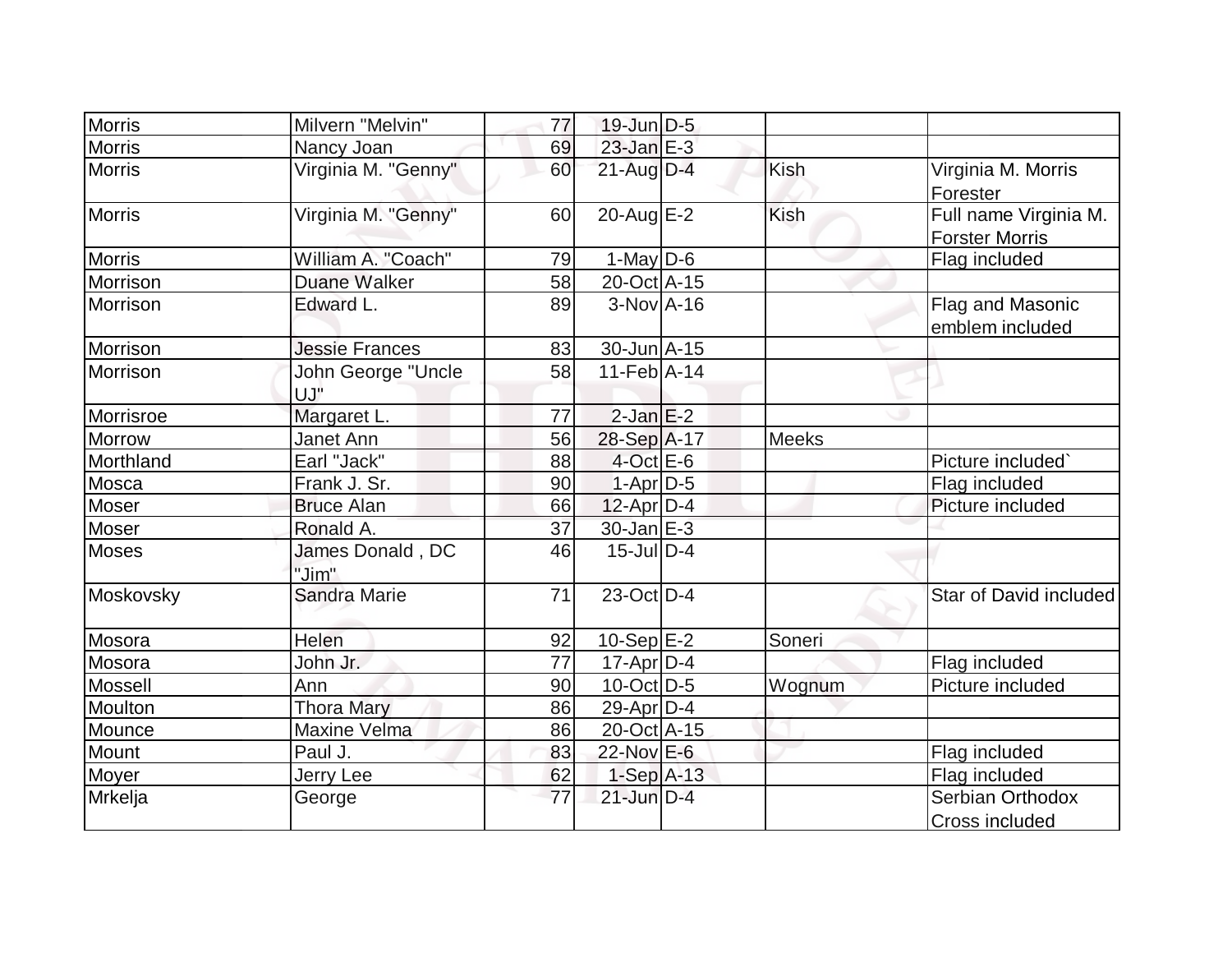| <b>Morris</b> | Milvern "Melvin"          | 77 | $19$ -Jun $D-5$ |              |                                                |
|---------------|---------------------------|----|-----------------|--------------|------------------------------------------------|
| <b>Morris</b> | Nancy Joan                | 69 | $23$ -Jan $E-3$ |              |                                                |
| <b>Morris</b> | Virginia M. "Genny"       | 60 | $21$ -Aug $D-4$ | Kish         | Virginia M. Morris<br>Forester                 |
| <b>Morris</b> | Virginia M. "Genny"       | 60 | $20$ -Aug $E-2$ | <b>Kish</b>  | Full name Virginia M.<br><b>Forster Morris</b> |
| <b>Morris</b> | William A. "Coach"        | 79 | 1-May $D-6$     |              | Flag included                                  |
| Morrison      | <b>Duane Walker</b>       | 58 | 20-Oct A-15     |              |                                                |
| Morrison      | Edward L.                 | 89 | $3-NovA-16$     |              | Flag and Masonic<br>emblem included            |
| Morrison      | <b>Jessie Frances</b>     | 83 | 30-Jun A-15     |              |                                                |
| Morrison      | John George "Uncle<br>UJ" | 58 | $11-Feb$ A-14   |              |                                                |
| Morrisroe     | Margaret L.               | 77 | $2$ -Jan $E-2$  |              |                                                |
| Morrow        | Janet Ann                 | 56 | 28-Sep A-17     | <b>Meeks</b> |                                                |
| Morthland     | Earl "Jack"               | 88 | $4$ -Oct $E$ -6 |              | Picture included`                              |
| Mosca         | Frank J. Sr.              | 90 | $1-Apr$ D-5     |              | Flag included                                  |
| Moser         | <b>Bruce Alan</b>         | 66 | $12$ -Apr $D-4$ |              | Picture included                               |
| <b>Moser</b>  | Ronald A.                 | 37 | 30-Jan E-3      |              |                                                |
| <b>Moses</b>  | James Donald, DC<br>"Jim" | 46 | $15$ -JulD-4    |              |                                                |
| Moskovsky     | <b>Sandra Marie</b>       | 71 | $23-Oct$ D-4    |              | Star of David included                         |
| Mosora        | Helen                     | 92 | $10-Sep$ $E-2$  | Soneri       |                                                |
| Mosora        | John Jr.                  | 77 | $17$ -Apr $D-4$ |              | Flag included                                  |
| Mossell       | Ann                       | 90 | $10$ -Oct $D-5$ | Wognum       | Picture included                               |
| Moulton       | <b>Thora Mary</b>         | 86 | 29-Apr $D-4$    |              |                                                |
| Mounce        | Maxine Velma              | 86 | 20-Oct A-15     |              |                                                |
| <b>Mount</b>  | Paul J.                   | 83 | 22-Nov E-6      |              | Flag included                                  |
| Moyer         | Jerry Lee                 | 62 | $1-Sep$ A-13    |              | Flag included                                  |
| Mrkelja       | George                    | 77 | $21$ -Jun $D-4$ |              | Serbian Orthodox<br>Cross included             |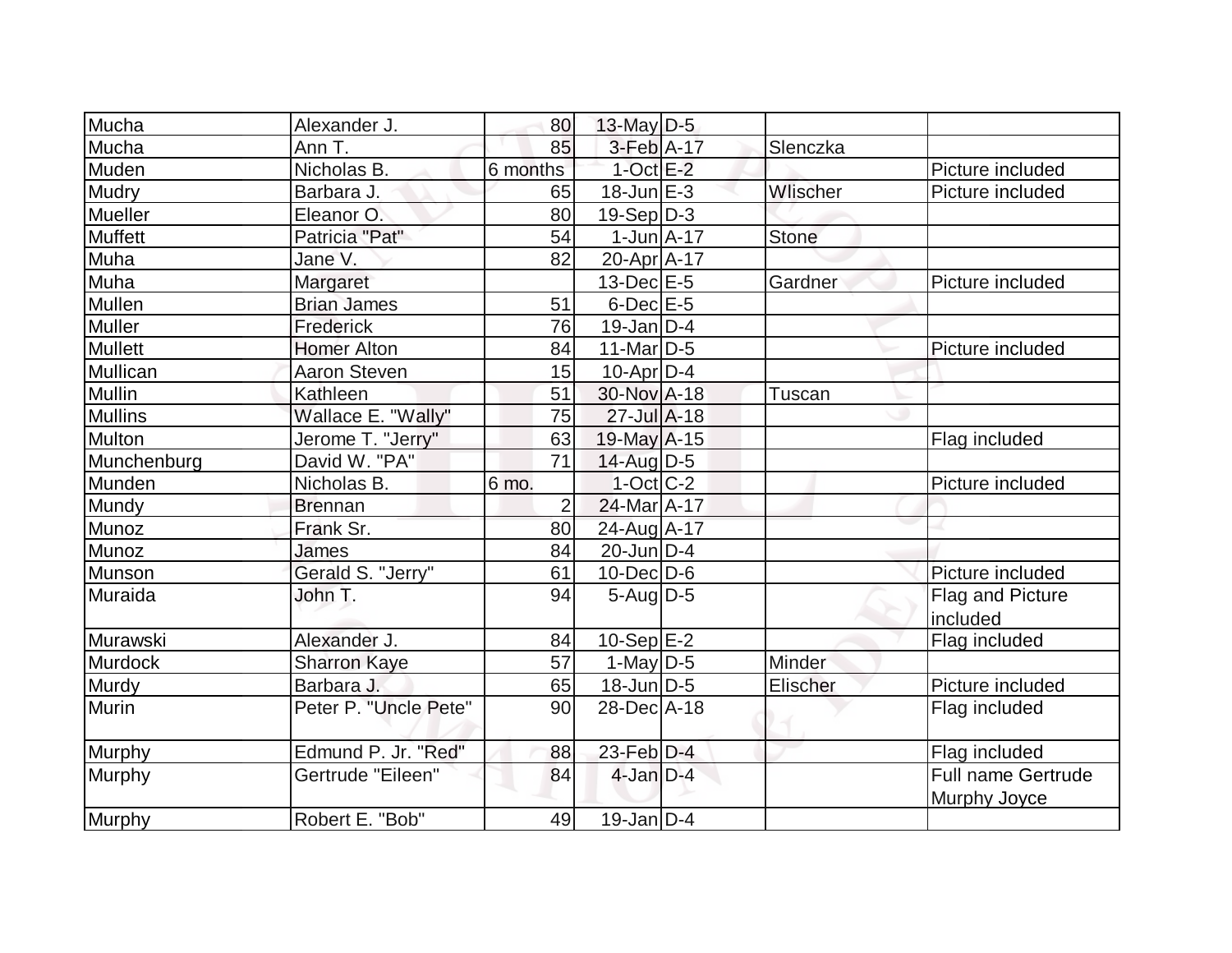| Mucha          | Alexander J.          | 80l            | $13$ -May D-5       |                |                                           |
|----------------|-----------------------|----------------|---------------------|----------------|-------------------------------------------|
| Mucha          | Ann T.                | 85             | 3-Feb A-17          | Slenczka       |                                           |
| Muden          | Nicholas B.           | 6 months       | $1$ -Oct E-2        |                | Picture included                          |
| Mudry          | Barbara J.            | 65             | $18$ -Jun $E-3$     | Wlischer       | Picture included                          |
| Mueller        | Eleanor O.            | 80             | $19-Sep D-3$        |                |                                           |
| Muffett        | Patricia "Pat"        | 54             | $1$ -Jun $A$ -17    | <b>Stone</b>   |                                           |
| Muha           | Jane V.               | 82             | $20$ -Apr $A$ -17   |                |                                           |
| Muha           | Margaret              |                | $13$ -Dec $E-5$     | <b>Gardner</b> | Picture included                          |
| Mullen         | <b>Brian James</b>    | 51             | $6$ -Dec $E$ -5     |                |                                           |
| <b>Muller</b>  | Frederick             | 76             | $19$ -Jan $D-4$     |                |                                           |
| <b>Mullett</b> | <b>Homer Alton</b>    | 84             | $11$ -Mar $ D-5 $   |                | Picture included                          |
| Mullican       | Aaron Steven          | 15             | $10$ -Apr $ D-4$    |                |                                           |
| <b>Mullin</b>  | Kathleen              | 51             | 30-Nov A-18         | Tuscan         |                                           |
| <b>Mullins</b> | Wallace E. "Wally"    | 75             | $27 -$ Jul $A - 18$ |                |                                           |
| Multon         | Jerome T. "Jerry"     | 63             | 19-May A-15         |                | Flag included                             |
| Munchenburg    | David W. "PA"         | 71             | 14-Aug D-5          |                |                                           |
| Munden         | Nicholas B.           | 6 mo.          | $1-Oct$ C-2         |                | Picture included                          |
| Mundy          | <b>Brennan</b>        | $\overline{2}$ | $24$ -Mar $ A-17 $  |                |                                           |
| Munoz          | Frank Sr.             | 80             | 24-Aug A-17         |                |                                           |
| Munoz          | <b>James</b>          | 84             | $20$ -Jun $D-4$     |                |                                           |
| Munson         | Gerald S. "Jerry"     | 61             | $10$ -Dec $D$ -6    |                | Picture included                          |
| Muraida        | John T.               | 94             | $5$ -Aug $D-5$      |                | Flag and Picture                          |
|                |                       |                |                     |                | included                                  |
| Murawski       | Alexander J.          | 84             | $10-Sep$ E-2        |                | Flag included                             |
| Murdock        | <b>Sharron Kaye</b>   | 57             | $1-May D-5$         | Minder         |                                           |
| Murdy          | Barbara J.            | 65             | $18$ -Jun $ D-5 $   | Elischer       | Picture included                          |
| <b>Murin</b>   | Peter P. "Uncle Pete" | 90             | $28$ -Dec $A$ -18   |                | Flag included                             |
| Murphy         | Edmund P. Jr. "Red"   | 88             | $23$ -Feb $D-4$     |                | Flag included                             |
| Murphy         | Gertrude "Eileen"     | 84             | $4$ -Jan $D-4$      |                | <b>Full name Gertrude</b><br>Murphy Joyce |
| Murphy         | Robert E. "Bob"       | 49             | $19$ -Jan $D-4$     |                |                                           |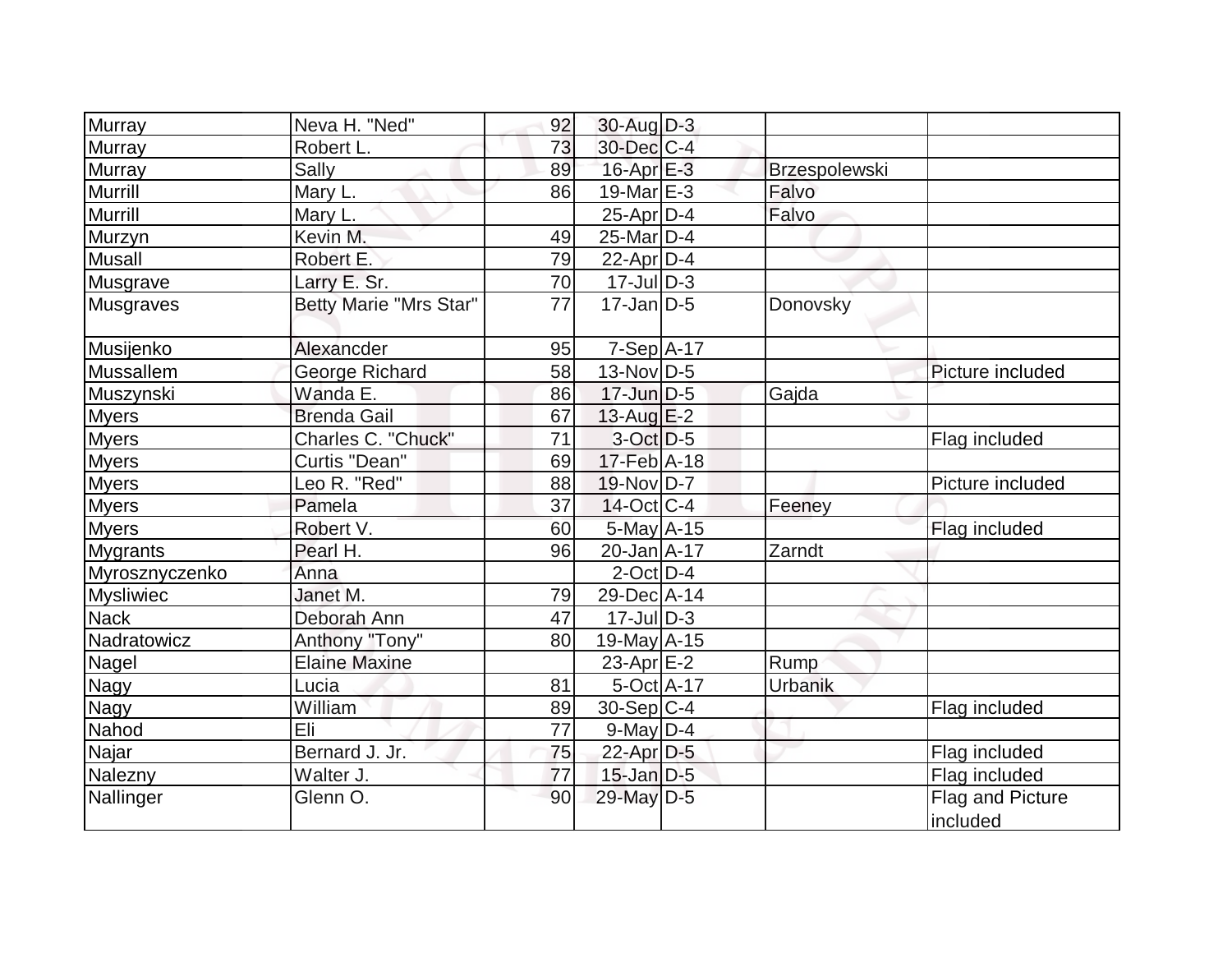| Murray           | Neva H. "Ned"                 | 92 | 30-Aug D-3            |               |                              |
|------------------|-------------------------------|----|-----------------------|---------------|------------------------------|
| Murray           | Robert L.                     | 73 | $30$ -Dec $ C-4 $     |               |                              |
| <b>Murray</b>    | Sally                         | 89 | $16$ -Apr $E-3$       | Brzespolewski |                              |
| Murrill          | Mary L.                       | 86 | 19-Mar $E-3$          | Falvo         |                              |
| Murrill          | Mary L.                       |    | $25$ -Apr $ D-4 $     | Falvo         |                              |
| Murzyn           | Kevin M.                      | 49 | 25-Mar <sub>D-4</sub> |               |                              |
| <b>Musall</b>    | Robert E.                     | 79 | $22$ -Apr $ D-4 $     |               |                              |
| Musgrave         | Larry E. Sr.                  | 70 | $17$ -Jul $D-3$       |               |                              |
| <b>Musgraves</b> | <b>Betty Marie "Mrs Star"</b> | 77 | $17$ -Jan $ D-5 $     | Donovsky      |                              |
| Musijenko        | Alexancder                    | 95 | $7-Sep$ A-17          |               |                              |
| Mussallem        | George Richard                | 58 | $13-Nov D-5$          |               | Picture included             |
| Muszynski        | Wanda E.                      | 86 | $17$ -Jun $D-5$       | Gajda         |                              |
| <b>Myers</b>     | <b>Brenda Gail</b>            | 67 | $13$ -Aug $E-2$       |               |                              |
| <b>Myers</b>     | Charles C. "Chuck"            | 71 | 3-Oct D-5             |               | Flag included                |
| <b>Myers</b>     | Curtis "Dean"                 | 69 | 17-Feb A-18           |               |                              |
| <b>Myers</b>     | Leo R. "Red"                  | 88 | $19-Nov D-7$          |               | Picture included             |
| <b>Myers</b>     | Pamela                        | 37 | $14$ -Oct C-4         | Feeney        |                              |
| Myers            | Robert V.                     | 60 | 5-May A-15            |               | Flag included                |
| Mygrants         | Pearl H.                      | 96 | 20-Jan A-17           | Zarndt        |                              |
| Myrosznyczenko   | Anna                          |    | $2$ -Oct $ D-4 $      |               |                              |
| <b>Mysliwiec</b> | Janet M.                      | 79 | 29-Dec A-14           |               |                              |
| <b>Nack</b>      | Deborah Ann                   | 47 | $17$ -Jul $ D-3 $     |               |                              |
| Nadratowicz      | Anthony "Tony"                | 80 | $19$ -May A-15        |               |                              |
| <b>Nagel</b>     | <b>Elaine Maxine</b>          |    | 23-Apr $E-2$          | Rump          |                              |
| <b>Nagy</b>      | Lucia                         | 81 | $5-Oct$ A-17          | Urbanik       |                              |
| Nagy             | William                       | 89 | $30-Sep C-4$          |               | Flag included                |
| Nahod            | Eli                           | 77 | $9$ -May $D-4$        |               |                              |
| Najar            | Bernard J. Jr.                | 75 | 22-Apr D-5            |               | Flag included                |
| Nalezny          | Walter J.                     | 77 | $15$ -Jan $D-5$       |               | Flag included                |
| Nallinger        | Glenn O.                      | 90 | 29-May D-5            |               | Flag and Picture<br>included |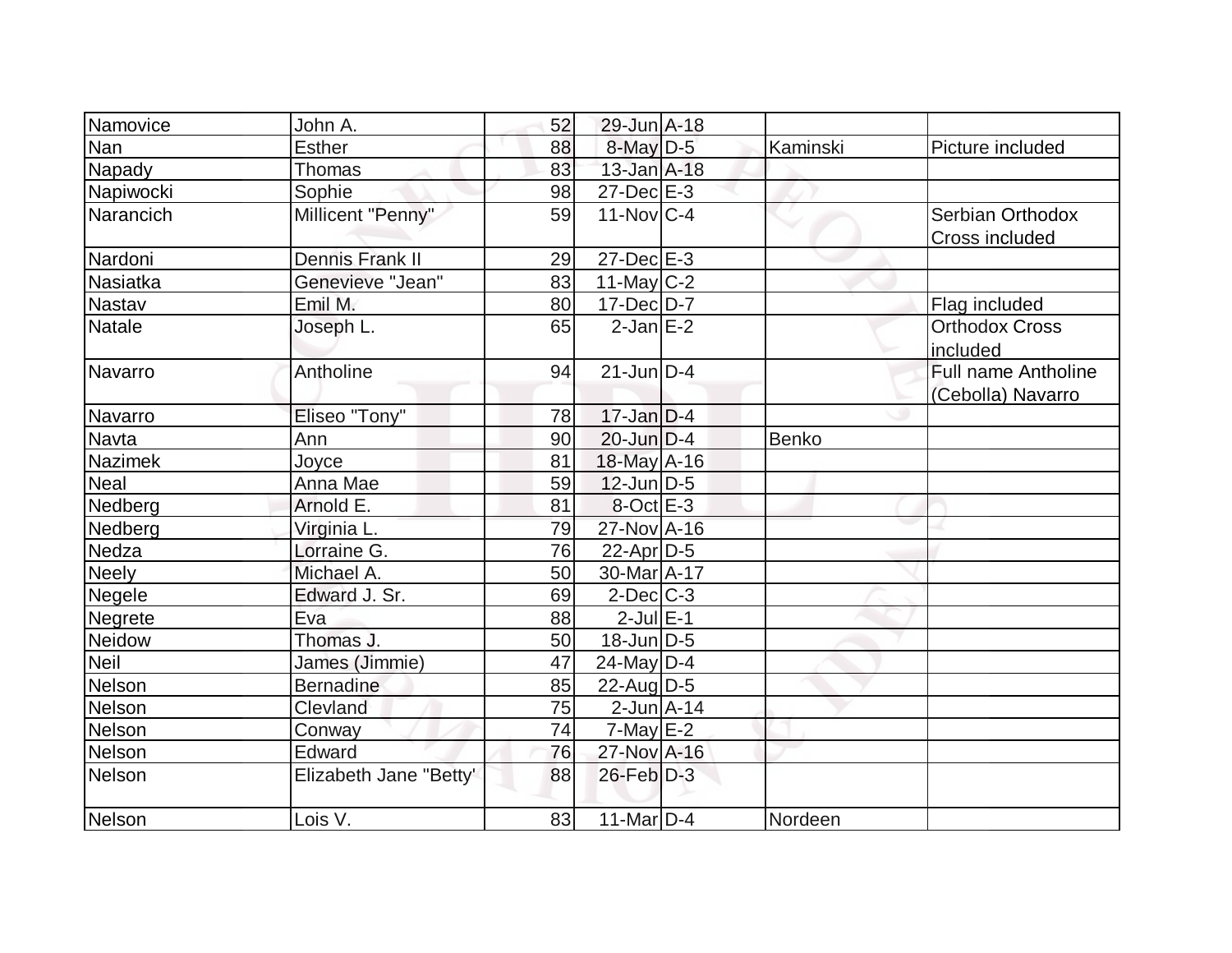| Namovice       | John A.                | 52 | 29-Jun A-18       |          |                                                 |
|----------------|------------------------|----|-------------------|----------|-------------------------------------------------|
| Nan            | <b>Esther</b>          | 88 | $8$ -May $D$ -5   | Kaminski | Picture included                                |
| Napady         | Thomas                 | 83 | $13$ -Jan $A$ -18 |          |                                                 |
| Napiwocki      | Sophie                 | 98 | $27 - Dec$ $E-3$  |          |                                                 |
| Narancich      | Millicent "Penny"      | 59 | $11-NovC-4$       |          | Serbian Orthodox<br><b>Cross included</b>       |
| Nardoni        | <b>Dennis Frank II</b> | 29 | $27$ -Dec $E-3$   |          |                                                 |
| Nasiatka       | Genevieve "Jean"       | 83 | $11$ -May C-2     |          |                                                 |
| <b>Nastav</b>  | Emil M.                | 80 | $17$ -Dec $D-7$   |          | Flag included                                   |
| <b>Natale</b>  | Joseph L.              | 65 | $2$ -Jan $E-2$    |          | <b>Orthodox Cross</b><br>included               |
| Navarro        | Antholine              | 94 | $21$ -Jun $D-4$   |          | <b>Full name Antholine</b><br>(Cebolla) Navarro |
| Navarro        | Eliseo "Tony"          | 78 | $17$ -Jan D-4     |          |                                                 |
| Navta          | Ann                    | 90 | $20$ -Jun $D-4$   | Benko    |                                                 |
| <b>Nazimek</b> | Joyce                  | 81 | 18-May A-16       |          |                                                 |
| <b>Neal</b>    | Anna Mae               | 59 | $12$ -Jun $D-5$   |          |                                                 |
| Nedberg        | Arnold E.              | 81 | $8$ -Oct $E - 3$  |          |                                                 |
| Nedberg        | Virginia L.            | 79 | 27-Nov A-16       |          |                                                 |
| Nedza          | Lorraine G.            | 76 | $22$ -Apr $ D-5$  |          |                                                 |
| <b>Neely</b>   | Michael A.             | 50 | 30-Mar A-17       |          |                                                 |
| Negele         | Edward J. Sr.          | 69 | $2$ -Dec $C-3$    |          |                                                 |
| Negrete        | Eva                    | 88 | $2$ -Jul $E-1$    |          |                                                 |
| <b>Neidow</b>  | Thomas J.              | 50 | $18$ -Jun $D-5$   |          |                                                 |
| Neil           | James (Jimmie)         | 47 | $24$ -May D-4     |          |                                                 |
| Nelson         | <b>Bernadine</b>       | 85 | 22-Aug D-5        |          |                                                 |
| Nelson         | Clevland               | 75 | $2$ -Jun $A$ -14  |          |                                                 |
| Nelson         | Conway                 | 74 | $7$ -May $E-2$    |          |                                                 |
| Nelson         | Edward                 | 76 | 27-Nov A-16       |          |                                                 |
| Nelson         | Elizabeth Jane "Betty" | 88 | $26$ -Feb $D-3$   |          |                                                 |
| Nelson         | Lois V.                | 83 | $11$ -Mar $ D-4 $ | Nordeen  |                                                 |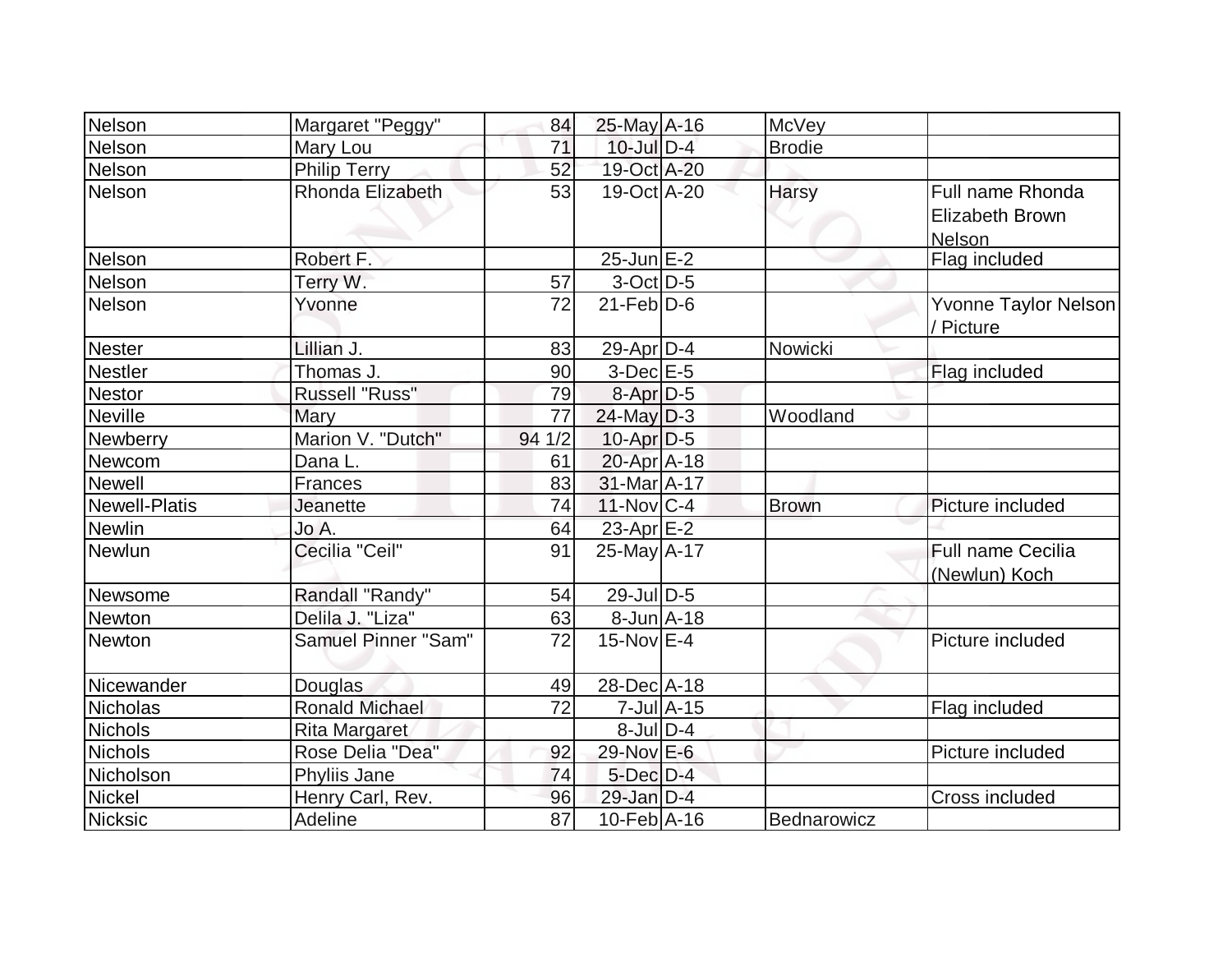| <b>Nelson</b>        | Margaret "Peggy"      | 84     | $25$ -May A-16          |                 | McVey         |                                                             |
|----------------------|-----------------------|--------|-------------------------|-----------------|---------------|-------------------------------------------------------------|
| <b>Nelson</b>        | Mary Lou              | 71     | $10$ -Jul $D-4$         |                 | <b>Brodie</b> |                                                             |
| Nelson               | <b>Philip Terry</b>   | 52     | 19-Oct A-20             |                 |               |                                                             |
| Nelson               | Rhonda Elizabeth      | 53     | 19-Oct A-20             |                 | <b>Harsy</b>  | Full name Rhonda<br><b>Elizabeth Brown</b><br><b>Nelson</b> |
| Nelson               | Robert F.             |        | $25$ -Jun $E-2$         |                 |               | Flag included                                               |
| <b>Nelson</b>        | Terry W.              | 57     | $3$ -Oct $D-5$          |                 |               |                                                             |
| Nelson               | Yvonne                | 72     | $21$ -Feb $D-6$         |                 |               | Yvonne Taylor Nelson<br>/ Picture                           |
| <b>Nester</b>        | Lillian J.            | 83     | $29$ -Apr $D-4$         |                 | Nowicki       |                                                             |
| <b>Nestler</b>       | Thomas J.             | 90     | $3-Dec$ $E-5$           |                 |               | Flag included                                               |
| <b>Nestor</b>        | <b>Russell "Russ"</b> | 79     | $8 - Apr$ $D-5$         |                 |               |                                                             |
| <b>Neville</b>       | <b>Mary</b>           | 77     | $24$ -May $D-3$         |                 | Woodland      |                                                             |
| Newberry             | Marion V. "Dutch"     | 94 1/2 | $10$ -Apr $D-5$         |                 |               |                                                             |
| Newcom               | Dana L.               | 61     | $20$ -Apr $ A-18$       |                 |               |                                                             |
| <b>Newell</b>        | Frances               | 83     | $31$ -Mar $A$ -17       |                 |               |                                                             |
| <b>Newell-Platis</b> | Jeanette              | 74     | $11-Nov$ <sub>C-4</sub> |                 | <b>Brown</b>  | Picture included                                            |
| Newlin               | Jo A.                 | 64     | $23$ -Apr $E-2$         |                 |               |                                                             |
| Newlun               | Cecilia "Ceil"        | 91     | $25$ -May A-17          |                 |               | Full name Cecilia<br>(Newlun) Koch                          |
| Newsome              | Randall "Randy"       | 54     | $29$ -Jul $D-5$         |                 |               |                                                             |
| Newton               | Delila J. "Liza"      | 63     | $8$ -Jun $A$ -18        |                 |               |                                                             |
| Newton               | Samuel Pinner "Sam"   | 72     | $15$ -Nov $E-4$         |                 |               | Picture included                                            |
| Nicewander           | <b>Douglas</b>        | 49     | 28-Dec A-18             |                 |               |                                                             |
| <b>Nicholas</b>      | Ronald Michael        | 72     |                         | $7$ -Jul $A-15$ |               | Flag included                                               |
| <b>Nichols</b>       | <b>Rita Margaret</b>  |        | $8$ -Jul $D-4$          |                 |               |                                                             |
| <b>Nichols</b>       | Rose Delia "Dea"      | 92     | 29-Nov E-6              |                 |               | Picture included                                            |
| Nicholson            | Phyliis Jane          | 74     | $5$ -Dec $D-4$          |                 |               |                                                             |
| Nickel               | Henry Carl, Rev.      | 96     | $29$ -Jan $D-4$         |                 |               | Cross included                                              |
| Nicksic              | Adeline               | 87     | $10$ -Feb $ A-16$       |                 | Bednarowicz   |                                                             |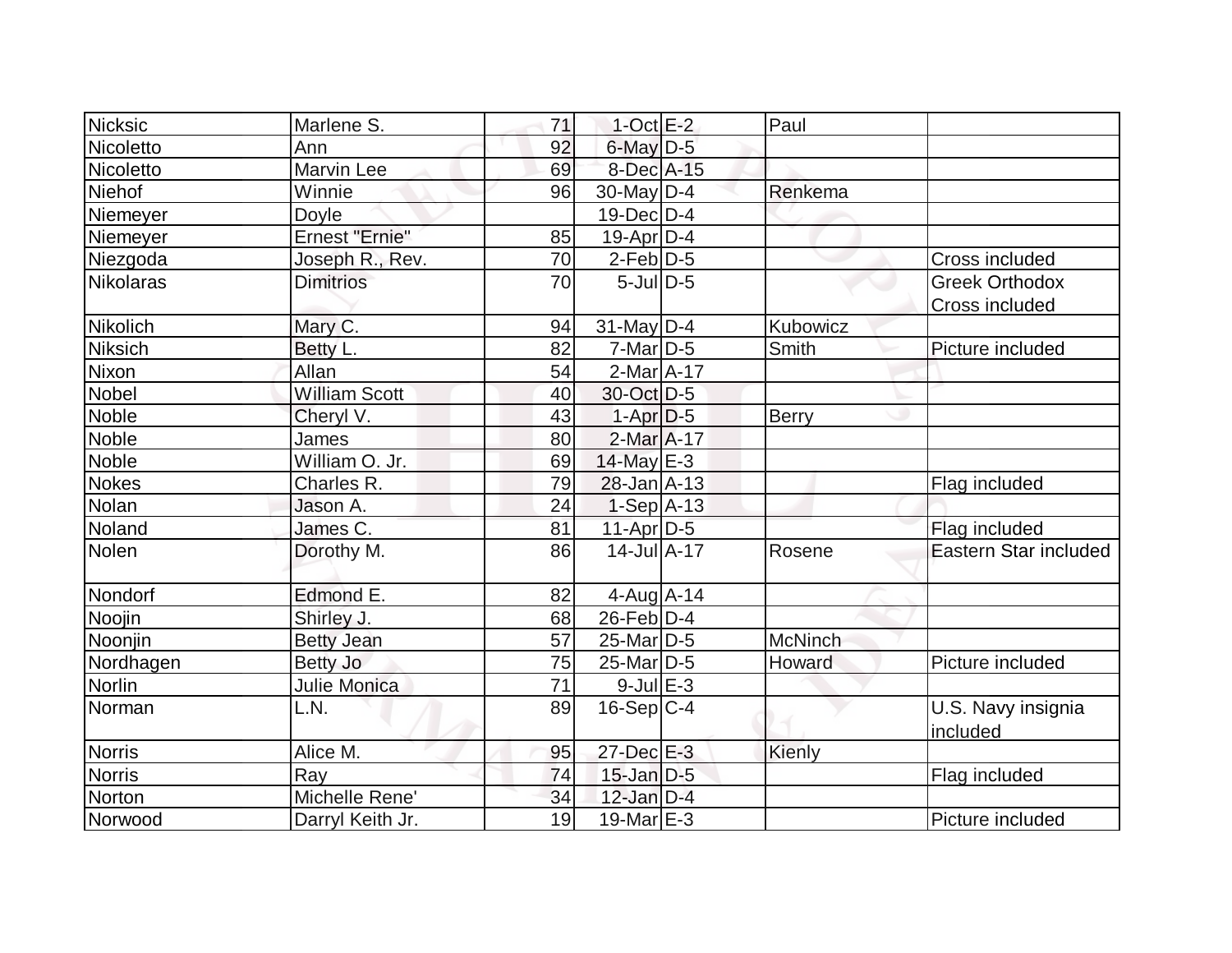| Nicksic          | Marlene S.            | 71              | $1$ -Oct $E-2$        | Paul          |                                |
|------------------|-----------------------|-----------------|-----------------------|---------------|--------------------------------|
| Nicoletto        | Ann                   | 92              | $6$ -May $D-5$        |               |                                |
| Nicoletto        | <b>Marvin Lee</b>     | 69              | 8-Dec A-15            |               |                                |
| Niehof           | Winnie                | 96              | $30$ -May D-4         | Renkema       |                                |
| Niemeyer         | <b>Doyle</b>          |                 | $19$ -Dec $D$ -4      |               |                                |
| Niemeyer         | <b>Ernest "Ernie"</b> | 85              | $19$ -Apr $D-4$       |               |                                |
| Niezgoda         | Joseph R., Rev.       | 70              | $2$ -Feb $D-5$        |               | Cross included                 |
| <b>Nikolaras</b> | <b>Dimitrios</b>      | $\overline{70}$ | $5$ -JulD-5           |               | <b>Greek Orthodox</b>          |
|                  |                       |                 |                       |               | Cross included                 |
| Nikolich         | Mary C.               | 94              | $31$ -May D-4         | Kubowicz      |                                |
| Niksich          | Betty L.              | 82              | $7$ -Mar $D-5$        | Smith         | Picture included               |
| Nixon            | Allan                 | 54              | $2-MarA-17$           |               |                                |
| Nobel            | <b>William Scott</b>  | 40              | 30-Oct D-5            |               |                                |
| Noble            | Cheryl V.             | 43              | $1-Apr$ $D-5$         | <b>Berry</b>  |                                |
| Noble            | James                 | 80              | $2$ -Mar $A$ -17      |               |                                |
| <b>Noble</b>     | William O. Jr.        | 69              | 14-May E-3            |               |                                |
| <b>Nokes</b>     | Charles R.            | 79              | $28 - Jan$ $A-13$     |               | Flag included                  |
| Nolan            | Jason A.              | 24              | $1-Sep$ A-13          |               |                                |
| <b>Noland</b>    | James C.              | 81              | $11-Apr$ D-5          |               | Flag included                  |
| Nolen            | Dorothy M.            | 86              | $14$ -Jul $A$ -17     | Rosene        | Eastern Star included          |
| Nondorf          | Edmond E.             | 82              | $4$ -Aug $A$ -14      |               |                                |
| Noojin           | Shirley J.            | 68              | $26$ -Feb $D-4$       |               |                                |
| Noonjin          | <b>Betty Jean</b>     | 57              | 25-Mar <sub>D-5</sub> | McNinch       |                                |
| Nordhagen        | <b>Betty Jo</b>       | 75              | $25$ -Mar $ D-5$      | Howard        | Picture included               |
| Norlin           | <b>Julie Monica</b>   | 71              | $9$ -Jul $E-3$        |               |                                |
| Norman           | L.N.                  | 89              | $16-Sep C-4$          |               | U.S. Navy insignia<br>included |
| <b>Norris</b>    | Alice M.              | 95              | 27-Dec E-3            | <b>Kienly</b> |                                |
| <b>Norris</b>    | Ray                   | 74              | $15$ -Jan $D-5$       |               | Flag included                  |
| <b>Norton</b>    | Michelle Rene'        | 34              | $12$ -Jan $D-4$       |               |                                |
| Norwood          | Darryl Keith Jr.      | 19              | 19-Mar $E-3$          |               | Picture included               |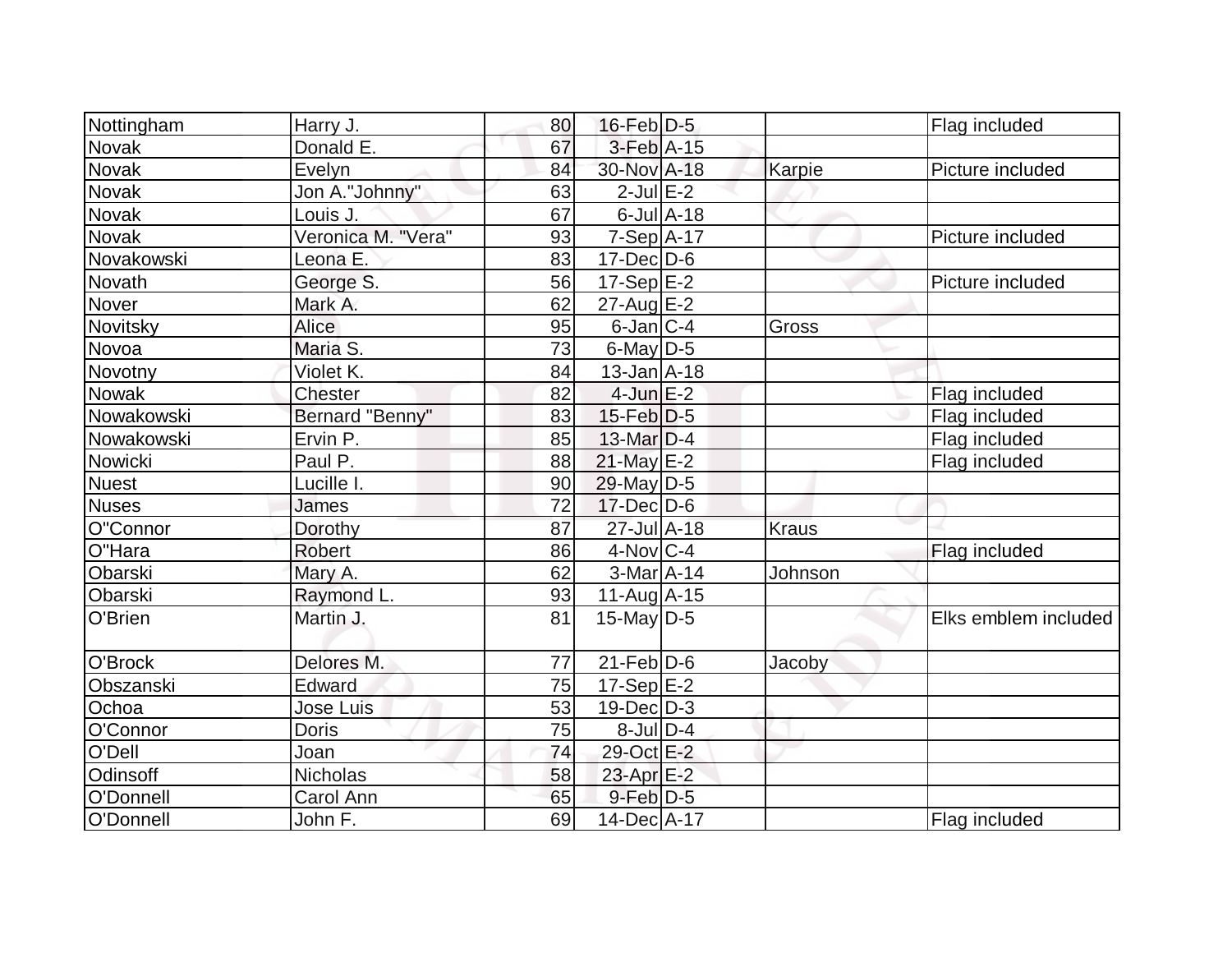| Nottingham   | Harry J.           | 80 | $16$ -Feb $D-5$            |                  |               | Flag included        |
|--------------|--------------------|----|----------------------------|------------------|---------------|----------------------|
| Novak        | Donald E.          | 67 | $3$ -Feb $A-15$            |                  |               |                      |
| Novak        | Evelyn             | 84 | 30-Nov A-18                |                  | <b>Karpie</b> | Picture included     |
| Novak        | Jon A."Johnny"     | 63 | $2$ -Jul $E-2$             |                  |               |                      |
| <b>Novak</b> | Louis J.           | 67 |                            | $6$ -Jul $A$ -18 |               |                      |
| <b>Novak</b> | Veronica M. "Vera" | 93 | $7-Sep$ A-17               |                  |               | Picture included     |
| Novakowski   | Leona E.           | 83 | $17$ -Dec $ D$ -6          |                  |               |                      |
| Novath       | George S.          | 56 | $17-Sep$ $E-2$             |                  |               | Picture included     |
| Nover        | Mark A.            | 62 | $27$ -Aug $E-2$            |                  |               |                      |
| Novitsky     | <b>Alice</b>       | 95 | $6$ -Jan $ C-4$            |                  | Gross         |                      |
| Novoa        | Maria S.           | 73 | $6$ -May $D-5$             |                  |               |                      |
| Novotny      | Violet K.          | 84 | $13$ -Jan $ A-18$          |                  |               |                      |
| Nowak        | Chester            | 82 | $4$ -Jun $E-2$             |                  |               | Flag included        |
| Nowakowski   | Bernard "Benny"    | 83 | $15$ -Feb $ D-5$           |                  |               | Flag included        |
| Nowakowski   | Ervin P.           | 85 | 13-Mar D-4                 |                  |               | Flag included        |
| Nowicki      | Paul P.            | 88 | 21-May E-2                 |                  |               | Flag included        |
| <b>Nuest</b> | Lucille I.         | 90 | 29-May D-5                 |                  |               |                      |
| <b>Nuses</b> | <b>James</b>       | 72 | $17$ -Dec $D$ -6           |                  |               |                      |
| O"Connor     | Dorothy            | 87 | 27-Jul A-18                |                  | <b>Kraus</b>  |                      |
| O"Hara       | Robert             | 86 | $4-Nov$ <sub>C-4</sub>     |                  |               | Flag included        |
| Obarski      | Mary A.            | 62 | $3-Mar4 - 14$              |                  | Johnson       |                      |
| Obarski      | Raymond L.         | 93 | $11-Aug$ A-15              |                  |               |                      |
| O'Brien      | Martin J.          | 81 | $15$ -May D-5              |                  |               | Elks emblem included |
| O'Brock      | Delores M.         | 77 | $21$ -Feb $\overline{D-6}$ |                  | Jacoby        |                      |
| Obszanski    | Edward             | 75 | $17-Sep$ E-2               |                  |               |                      |
| Ochoa        | <b>Jose Luis</b>   | 53 | $19$ -Dec $ D-3 $          |                  |               |                      |
| O'Connor     | <b>Doris</b>       | 75 | $8$ -Jul $D-4$             |                  |               |                      |
| O'Dell       | Joan               | 74 | 29-Oct E-2                 |                  |               |                      |
| Odinsoff     | <b>Nicholas</b>    | 58 | 23-Apr E-2                 |                  |               |                      |
| O'Donnell    | Carol Ann          | 65 | $9$ -Feb $D-5$             |                  |               |                      |
| O'Donnell    | John F.            | 69 | 14-Dec A-17                |                  |               | Flag included        |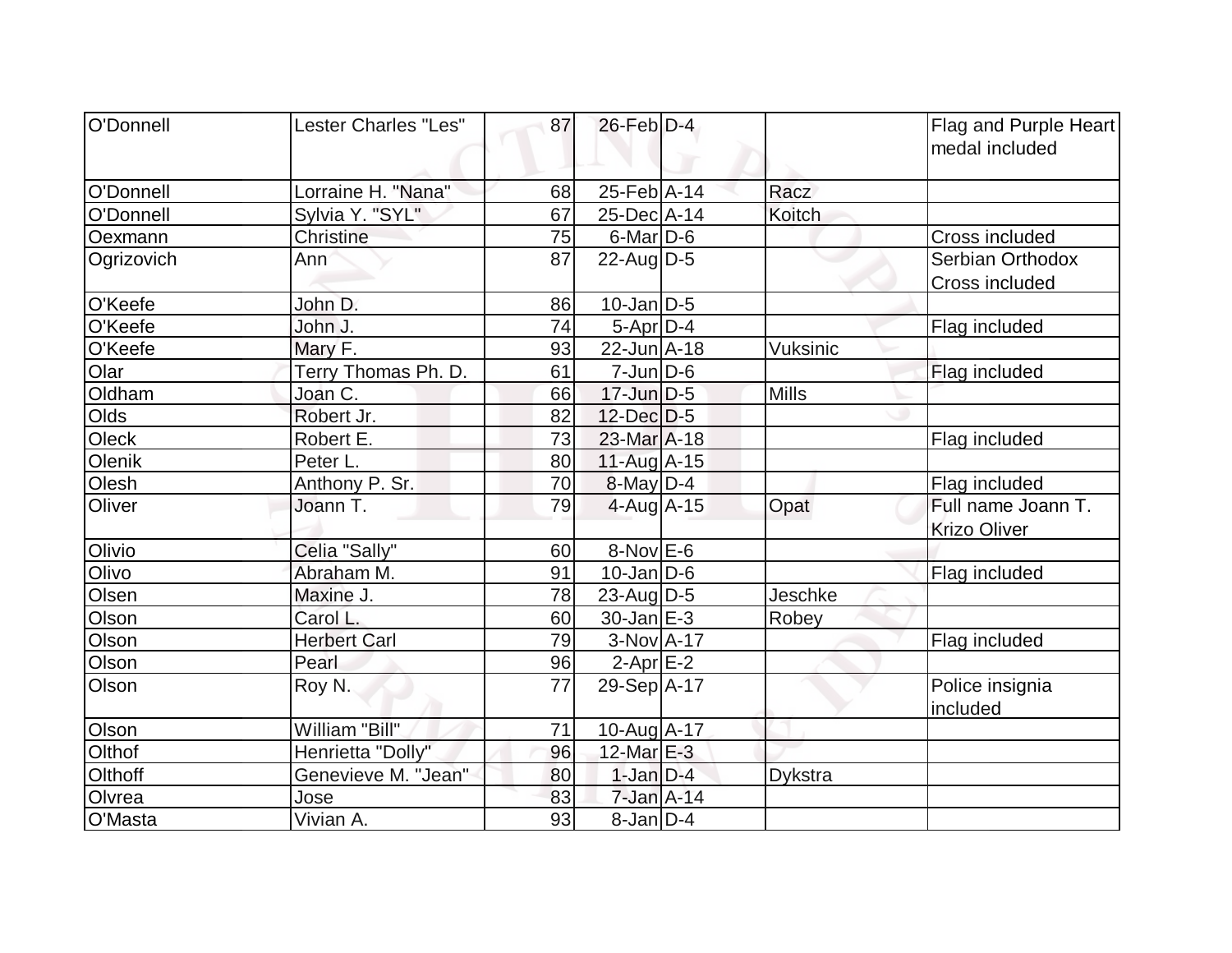| O'Donnell  | Lester Charles "Les" | 87 | $26$ -Feb $D-4$     |                | Flag and Purple Heart<br>medal included   |
|------------|----------------------|----|---------------------|----------------|-------------------------------------------|
| O'Donnell  | Lorraine H. "Nana"   | 68 | $25$ -Feb A-14      | Racz           |                                           |
| O'Donnell  | Sylvia Y. "SYL"      | 67 | 25-Dec A-14         | Koitch         |                                           |
| Oexmann    | <b>Christine</b>     | 75 | $6$ -Mar $D$ -6     |                | Cross included                            |
| Ogrizovich | Ann                  | 87 | $22$ -AugD-5        |                | Serbian Orthodox<br>Cross included        |
| O'Keefe    | John D.              | 86 | $10$ -Jan $D-5$     |                |                                           |
| O'Keefe    | John J.              | 74 | $5 - Apr$ $D-4$     |                | Flag included                             |
| O'Keefe    | Mary F.              | 93 | 22-Jun A-18         | Vuksinic       |                                           |
| Olar       | Terry Thomas Ph. D.  | 61 | $7$ -Jun $D-6$      |                | Flag included                             |
| Oldham     | Joan C.              | 66 | $17$ -Jun $D-5$     | <b>Mills</b>   |                                           |
| Olds       | Robert Jr.           | 82 | $12$ -Dec $D-5$     |                |                                           |
| Oleck      | Robert E.            | 73 | 23-Mar A-18         |                | Flag included                             |
| Olenik     | Peter L.             | 80 | 11-Aug A-15         |                |                                           |
| Olesh      | Anthony P. Sr.       | 70 | $8$ -May $D-4$      |                | Flag included                             |
| Oliver     | Joann T.             | 79 | $4$ -Aug $A$ -15    | Opat           | Full name Joann T.<br><b>Krizo Oliver</b> |
| Olivio     | Celia "Sally"        | 60 | 8-Nov E-6           |                |                                           |
| Olivo      | Abraham M.           | 91 | $10$ -Jan D-6       |                | Flag included                             |
| Olsen      | Maxine J.            | 78 | $23$ -Aug $D-5$     | Jeschke        |                                           |
| Olson      | Carol L.             | 60 | $30 - Jan \, E - 3$ | Robey          |                                           |
| Olson      | <b>Herbert Carl</b>  | 79 | $3-Nov$ A-17        |                | Flag included                             |
| Olson      | Pearl                | 96 | $2-Apr$ $E-2$       |                |                                           |
| Olson      | Roy N.               | 77 | 29-Sep A-17         |                | Police insignia<br>included               |
| Olson      | William "Bill"       | 71 | 10-Aug A-17         |                |                                           |
| Olthof     | Henrietta "Dolly"    | 96 | 12-Mar E-3          |                |                                           |
| Olthoff    | Genevieve M. "Jean"  | 80 | $1$ -Jan $D-4$      | <b>Dykstra</b> |                                           |
| Olvrea     | Jose                 | 83 | $7$ -Jan $A$ -14    |                |                                           |
| O'Masta    | Vivian A.            | 93 | $8$ -Jan $D-4$      |                |                                           |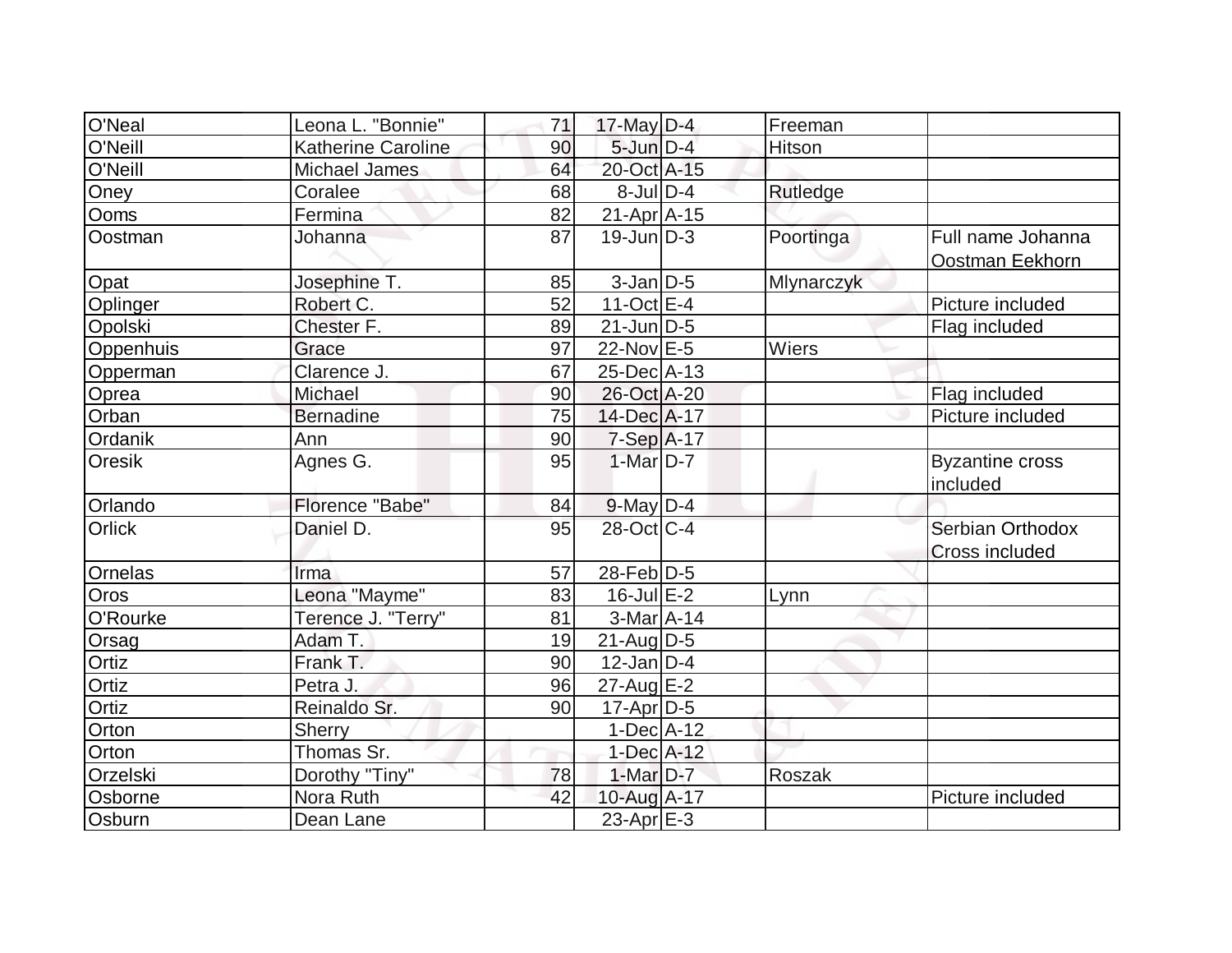| O'Neal        | Leona L. "Bonnie"    | 71 | $17$ -May D-4                     | Freeman    |                                      |
|---------------|----------------------|----|-----------------------------------|------------|--------------------------------------|
| O'Neill       | Katherine Caroline   | 90 | $5$ -Jun $D-4$                    | Hitson     |                                      |
| O'Neill       | <b>Michael James</b> | 64 | 20-Oct A-15                       |            |                                      |
| Oney          | Coralee              | 68 | $8$ -Jul $D-4$                    | Rutledge   |                                      |
| <b>Ooms</b>   | Fermina              | 82 | $21-Apr$ A-15                     |            |                                      |
| Oostman       | Johanna              | 87 | $19$ -Jun $D-3$                   | Poortinga  | Full name Johanna<br>Oostman Eekhorn |
| Opat          | Josephine T.         | 85 | $3$ -Jan $D$ -5                   | Mlynarczyk |                                      |
| Oplinger      | Robert C.            | 52 | $11-Oct$ $E-4$                    |            | Picture included                     |
| Opolski       | Chester F.           | 89 | $21$ -Jun $\overline{\text{D-5}}$ |            | Flag included                        |
| Oppenhuis     | Grace                | 97 | 22-Nov E-5                        | Wiers      |                                      |
| Opperman      | Clarence J.          | 67 | 25-Dec A-13                       |            |                                      |
| Oprea         | Michael              | 90 | 26-Oct A-20                       |            | Flag included                        |
| Orban         | <b>Bernadine</b>     | 75 | 14-Dec A-17                       |            | Picture included                     |
| Ordanik       | Ann                  | 90 | $7-Sep$ $A-17$                    |            |                                      |
| <b>Oresik</b> | Agnes G.             | 95 | $1-Mar$ D-7                       |            | <b>Byzantine cross</b><br>included   |
| Orlando       | Florence "Babe"      | 84 | $9$ -May $D-4$                    |            |                                      |
| <b>Orlick</b> | Daniel D.            | 95 | 28-Oct C-4                        |            | Serbian Orthodox<br>Cross included   |
| Ornelas       | Irma                 | 57 | 28-Feb D-5                        |            |                                      |
| Oros          | Leona "Mayme"        | 83 | $16$ -Jul $E-2$                   | Lynn       |                                      |
| O'Rourke      | Terence J. "Terry"   | 81 | $3-MarA-14$                       |            |                                      |
| Orsag         | Adam T.              | 19 | $21$ -Aug $D-5$                   |            |                                      |
| Ortiz         | Frank T.             | 90 | $12$ -Jan D-4                     |            |                                      |
| Ortiz         | Petra J.             | 96 | $27$ -Aug $E-2$                   |            |                                      |
| Ortiz         | Reinaldo Sr.         | 90 | $17$ -Apr $D-5$                   |            |                                      |
| Orton         | Sherry               |    | $1-Dec$ $A-12$                    |            |                                      |
| Orton         | Thomas Sr.           |    | 1-Dec A-12                        |            |                                      |
| Orzelski      | Dorothy "Tiny"       | 78 | $1-Mar$ D-7                       | Roszak     |                                      |
| Osborne       | Nora Ruth            | 42 | 10-Aug A-17                       |            | Picture included                     |
| Osburn        | Dean Lane            |    | $23$ -Apr $E-3$                   |            |                                      |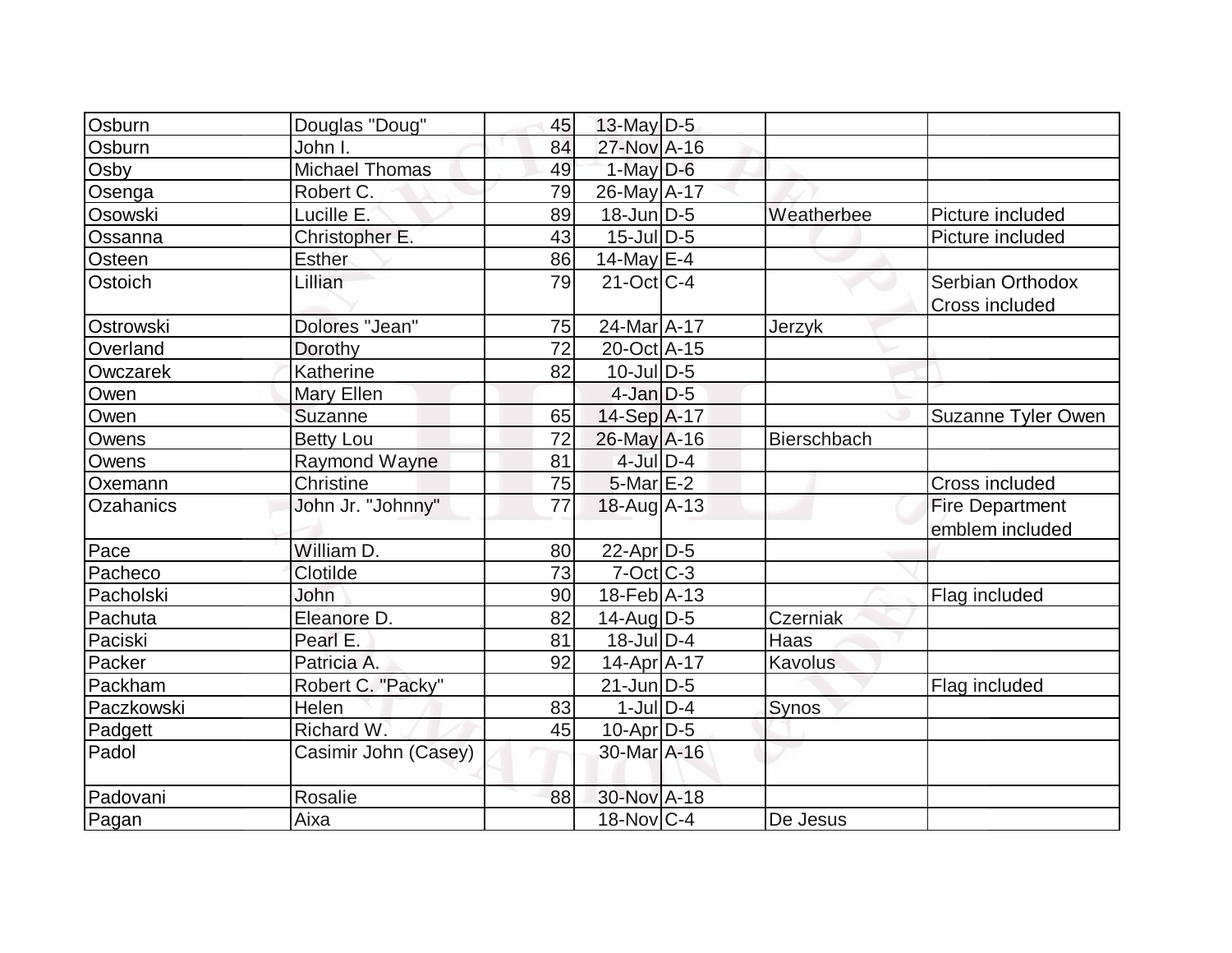| Osburn       | Douglas "Doug"        | 45 | $13$ -May D-5           |                 |                           |
|--------------|-----------------------|----|-------------------------|-----------------|---------------------------|
| Osburn       | John I.               | 84 | 27-Nov A-16             |                 |                           |
| Osby         | <b>Michael Thomas</b> | 49 | $1-May$ D-6             |                 |                           |
| Osenga       | Robert C.             | 79 | 26-May A-17             |                 |                           |
| Osowski      | Lucille E.            | 89 | $18$ -Jun $D-5$         | Weatherbee      | Picture included          |
| Ossanna      | Christopher E.        | 43 | $15$ -Jul $ D-5 $       |                 | Picture included          |
| Osteen       | <b>Esther</b>         | 86 | 14-May $E-4$            |                 |                           |
| Ostoich      | Lillian               | 79 | $21-Oct$ <sub>C-4</sub> |                 | Serbian Orthodox          |
|              |                       |    |                         |                 | Cross included            |
| Ostrowski    | Dolores "Jean"        | 75 | 24-Mar A-17             | Jerzyk          |                           |
| Overland     | Dorothy               | 72 | 20-Oct A-15             |                 |                           |
| Owczarek     | Katherine             | 82 | $10$ -Jul $D-5$         |                 |                           |
| Owen         | Mary Ellen            |    | $4$ -Jan $D-5$          |                 |                           |
| Owen         | Suzanne               | 65 | $14-Sep$ A-17           |                 | <b>Suzanne Tyler Owen</b> |
| <b>Owens</b> | <b>Betty Lou</b>      | 72 | $26$ -May A-16          | Bierschbach     |                           |
| Owens        | <b>Raymond Wayne</b>  | 81 | $4$ -Jul $D-4$          |                 |                           |
| Oxemann      | <b>Christine</b>      | 75 | $5$ -Mar $E-2$          |                 | <b>Cross included</b>     |
| Ozahanics    | John Jr. "Johnny"     | 77 | $18$ -Aug $A$ -13       |                 | <b>Fire Department</b>    |
|              |                       |    |                         |                 | emblem included           |
| Pace         | William D.            | 80 | $22$ -Apr $ D-5 $       |                 |                           |
| Pacheco      | Clotilde              | 73 | $7-Oct$ $C-3$           |                 |                           |
| Pacholski    | John                  | 90 | $18$ -Feb $ A-13$       |                 | Flag included             |
| Pachuta      | Eleanore D.           | 82 | $14$ -Aug $D-5$         | <b>Czerniak</b> |                           |
| Paciski      | Pearl E.              | 81 | $18$ -Jul $D-4$         | Haas            |                           |
| Packer       | Patricia A.           | 92 | $14$ -Apr $ A-17$       | <b>Kavolus</b>  |                           |
| Packham      | Robert C. "Packy"     |    | $21$ -Jun $D-5$         |                 | Flag included             |
| Paczkowski   | Helen                 | 83 | $1$ -JulD-4             | Synos           |                           |
| Padgett      | Richard W.            | 45 | $10$ -Apr $D-5$         |                 |                           |
| Padol        | Casimir John (Casey)  |    | 30-Mar A-16             |                 |                           |
| Padovani     | Rosalie               | 88 | 30-Nov A-18             |                 |                           |
| Pagan        | Aixa                  |    | 18-Nov C-4              | De Jesus        |                           |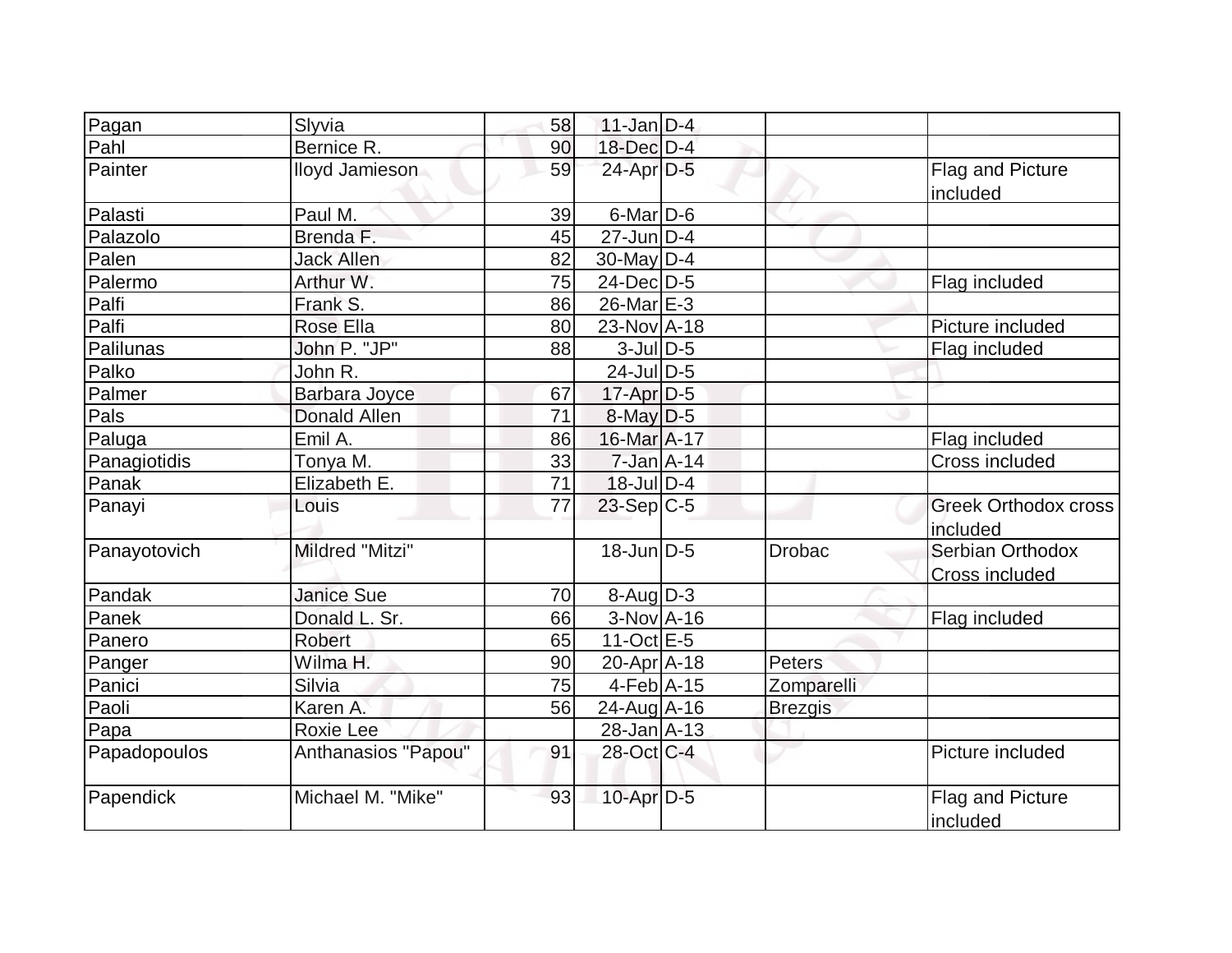| Pagan        | Slyvia                 | 58 | $11$ -Jan D-4     |                |                              |
|--------------|------------------------|----|-------------------|----------------|------------------------------|
| Pahl         | Bernice R.             | 90 | $18$ -Dec $D-4$   |                |                              |
| Painter      | lloyd Jamieson         | 59 | 24-Apr D-5        |                | Flag and Picture             |
|              |                        |    |                   |                | included                     |
| Palasti      | Paul M.                | 39 | $6$ -Mar $D$ -6   |                |                              |
| Palazolo     | Brenda F.              | 45 | $27 - Jun$ $D-4$  |                |                              |
| Palen        | <b>Jack Allen</b>      | 82 | $30$ -May D-4     |                |                              |
| Palermo      | Arthur W.              | 75 | 24-Dec D-5        |                | Flag included                |
| Palfi        | Frank S.               | 86 | $26$ -Mar $E-3$   |                |                              |
| Palfi        | Rose Ella              | 80 | $23$ -Nov $A$ -18 |                | Picture included             |
| Palilunas    | John P. "JP"           | 88 | $3$ -JulD-5       |                | Flag included                |
| Palko        | John R.                |    | $24$ -Jul $ D-5$  |                |                              |
| Palmer       | Barbara Joyce          | 67 | $17$ -Apr $D-5$   |                |                              |
| Pals         | <b>Donald Allen</b>    | 71 | $8$ -May $D$ -5   |                |                              |
| Paluga       | Emil A.                | 86 | 16-Mar A-17       |                | Flag included                |
| Panagiotidis | Tonya M.               | 33 | $7 - Jan$ A-14    |                | Cross included               |
| Panak        | Elizabeth E.           | 71 | $18$ -JulD-4      |                |                              |
| Panayi       | Louis                  | 77 | $23-Sep C-5$      |                | Greek Orthodox cross         |
|              |                        |    |                   |                | included                     |
| Panayotovich | <b>Mildred "Mitzi"</b> |    | $18$ -Jun $D-5$   | <b>Drobac</b>  | Serbian Orthodox             |
|              |                        |    |                   |                | <b>Cross included</b>        |
| Pandak       | <b>Janice Sue</b>      | 70 | 8-Aug D-3         |                |                              |
| Panek        | Donald L. Sr.          | 66 | $3-Nov$ A-16      |                | Flag included                |
| Panero       | Robert                 | 65 | $11-Oct$ $E-5$    |                |                              |
| Panger       | Wilma H.               | 90 | $20$ -Apr $ A-18$ | Peters         |                              |
| Panici       | Silvia                 | 75 | $4-Feb$ A-15      | Zomparelli     |                              |
| Paoli        | Karen A.               | 56 | 24-Aug A-16       | <b>Brezgis</b> |                              |
| Papa         | Roxie Lee              |    | $28$ -Jan $A$ -13 |                |                              |
| Papadopoulos | Anthanasios "Papou"    | 91 | 28-Oct C-4        |                | Picture included             |
| Papendick    | Michael M. "Mike"      | 93 | $10$ -Apr $D-5$   |                | Flag and Picture<br>included |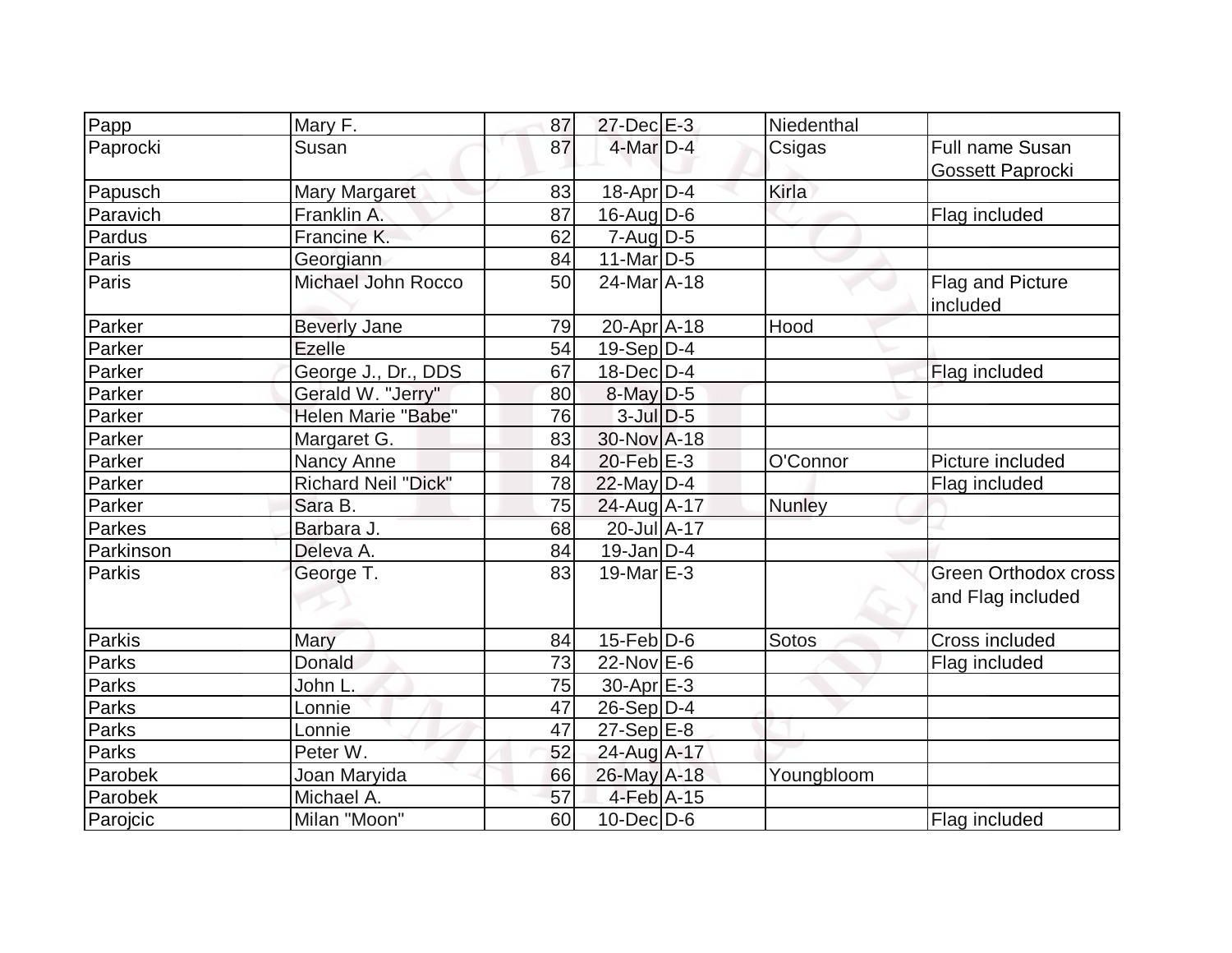| Papp         | Mary F.                    | 87 | $27$ -Dec $E-3$             | Niedenthal    |                              |
|--------------|----------------------------|----|-----------------------------|---------------|------------------------------|
|              |                            |    | $4$ -Mar $D-4$              |               | Full name Susan              |
| Paprocki     | Susan                      | 87 |                             | Csigas        |                              |
|              |                            |    |                             |               | Gossett Paprocki             |
| Papusch      | <b>Mary Margaret</b>       | 83 | $18$ -Apr $D-4$             | Kirla         |                              |
| Paravich     | Franklin A.                | 87 | $16$ -Aug $ D-6$            |               | Flag included                |
| Pardus       | Francine K.                | 62 | $7 - Aug   D-5$             |               |                              |
| Paris        | Georgiann                  | 84 | $11$ -Mar $ D-5$            |               |                              |
| Paris        | Michael John Rocco         | 50 | 24-Mar <sub>A</sub> -18     |               | Flag and Picture<br>included |
| Parker       | <b>Beverly Jane</b>        | 79 | $20$ -Apr $A$ -18           | Hood          |                              |
| Parker       | <b>Ezelle</b>              | 54 | 19-Sep D-4                  |               |                              |
| Parker       | George J., Dr., DDS        | 67 | $18$ -Dec $D-4$             |               | Flag included                |
| Parker       | Gerald W. "Jerry"          | 80 | $8$ -May $D-5$              |               |                              |
| Parker       | Helen Marie "Babe"         | 76 | $3$ -Jul $D-5$              |               |                              |
| Parker       | Margaret G.                | 83 | 30-Nov A-18                 |               |                              |
| Parker       | Nancy Anne                 | 84 | $20$ -Feb $E-3$             | O'Connor      | Picture included             |
| Parker       | <b>Richard Neil "Dick"</b> | 78 | $22$ -May D-4               |               | Flag included                |
| Parker       | Sara B.                    | 75 | 24-Aug A-17                 | <b>Nunley</b> |                              |
| Parkes       | Barbara J.                 | 68 | 20-Jul A-17                 |               |                              |
| Parkinson    | Deleva A.                  | 84 | $19$ -Jan D-4               |               |                              |
| Parkis       | George T.                  | 83 | $19$ -Mar $E-3$             |               | <b>Green Orthodox cross</b>  |
|              |                            |    |                             |               | and Flag included            |
| Parkis       | Mary                       | 84 | $15$ -Feb $\overline{D}$ -6 | Sotos         | Cross included               |
| <b>Parks</b> | Donald                     | 73 | $22$ -Nov $E-6$             |               | Flag included                |
| Parks        | John L                     | 75 | 30-Apr E-3                  |               |                              |
| Parks        | Lonnie                     | 47 | $26-Sep D-4$                |               |                              |
| Parks        | Lonnie                     | 47 | $27-Sep$ E-8                |               |                              |
| Parks        | Peter W.                   | 52 | 24-Aug A-17                 |               |                              |
| Parobek      | Joan Maryida               | 66 | 26-May A-18                 | Youngbloom    |                              |
| Parobek      | Michael A.                 | 57 | 4-Feb A-15                  |               |                              |
| Parojcic     | Milan "Moon"               | 60 | $10$ -Dec $D$ -6            |               | Flag included                |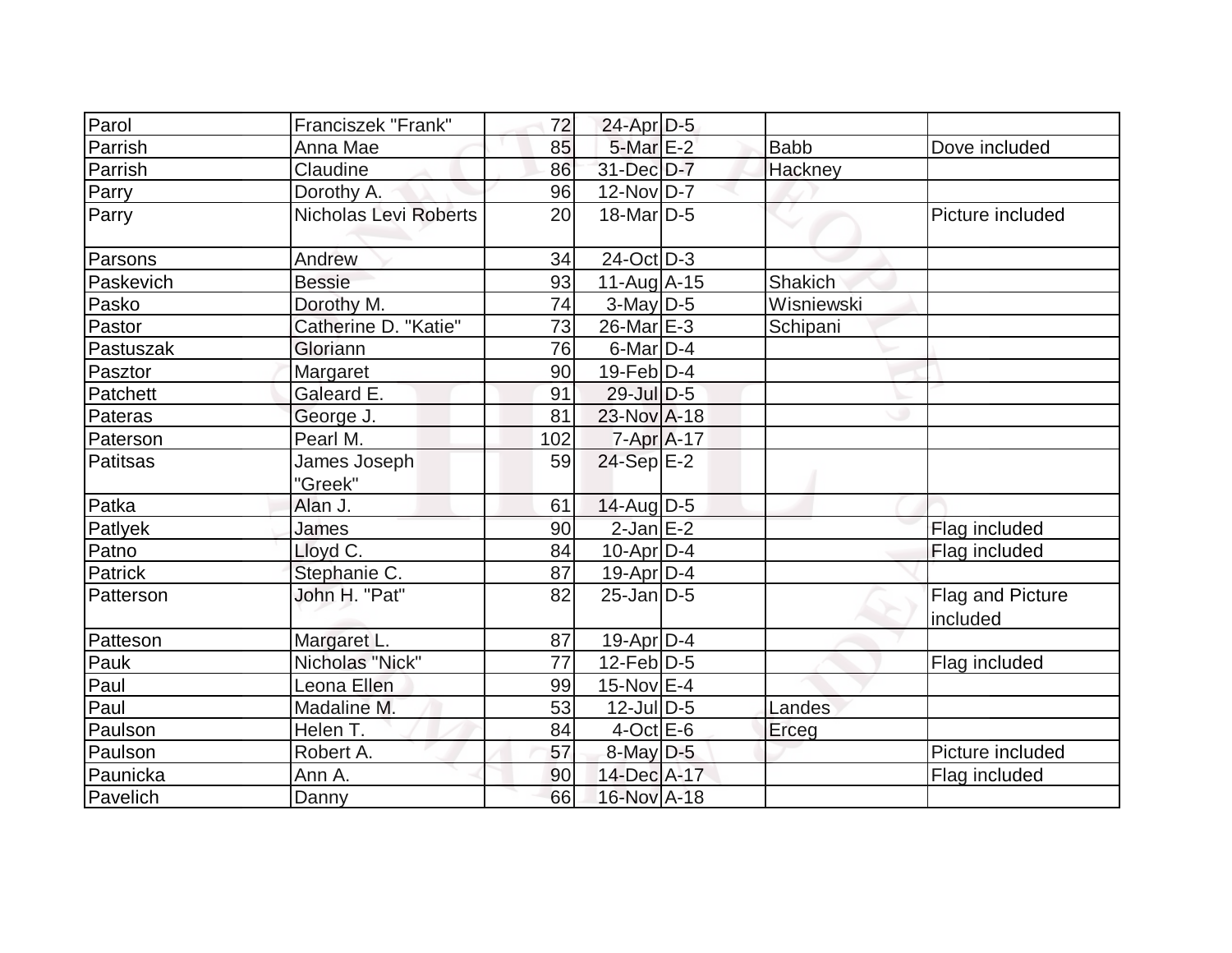| Parol     | Franciszek "Frank"           | 72  | 24-Apr D-5                  |             |                              |
|-----------|------------------------------|-----|-----------------------------|-------------|------------------------------|
| Parrish   | Anna Mae                     | 85  | $5-MarE-2$                  | <b>Babb</b> | Dove included                |
| Parrish   | Claudine                     | 86  | 31-Dec D-7                  | Hackney     |                              |
| Parry     | Dorothy A.                   | 96  | $12$ -Nov $ D-7 $           |             |                              |
| Parry     | <b>Nicholas Levi Roberts</b> | 20  | $18$ -Mar $ D-5 $           |             | Picture included             |
| Parsons   | Andrew                       | 34  | 24-Oct D-3                  |             |                              |
| Paskevich | <b>Bessie</b>                | 93  | $11-Auq$ A-15               | Shakich     |                              |
| Pasko     | Dorothy M.                   | 74  | $3$ -May D-5                | Wisniewski  |                              |
| Pastor    | Catherine D. "Katie"         | 73  | $26$ -Mar $E-3$             | Schipani    |                              |
| Pastuszak | Gloriann                     | 76  | $6$ -Mar $D-4$              |             |                              |
| Pasztor   | Margaret                     | 90  | $19$ -Feb $ D-4$            |             |                              |
| Patchett  | Galeard E.                   | 91  | $29$ -Jul $\overline{D}$ -5 |             |                              |
| Pateras   | George J.                    | 81  | 23-Nov A-18                 |             |                              |
| Paterson  | Pearl M.                     | 102 | $7 - Apr$ $A - 17$          |             |                              |
| Patitsas  | James Joseph<br>"Greek"      | 59  | $24-Sep$ E-2                |             |                              |
| Patka     | Alan J.                      | 61  | $14$ -Aug $D-5$             |             |                              |
| Patlyek   | James                        | 90  | $2$ -Jan $E-2$              |             | Flag included                |
| Patno     | Lloyd C.                     | 84  | $10$ -Apr $D-4$             |             | Flag included                |
| Patrick   | Stephanie C.                 | 87  | 19-Apr D-4                  |             |                              |
| Patterson | John H. "Pat"                | 82  | $25$ -Jan D-5               |             | Flag and Picture<br>included |
| Patteson  | Margaret L.                  | 87  | $19$ -Apr $D-4$             |             |                              |
| Pauk      | Nicholas "Nick"              | 77  | $12$ -Feb $ D-5 $           |             | Flag included                |
| Paul      | Leona Ellen                  | 99  | $15$ -Nov $E-4$             |             |                              |
| Paul      | Madaline M.                  | 53  | $12$ -JulD-5                | Landes      |                              |
| Paulson   | Helen T.                     | 84  | $4$ -Oct $E$ -6             | Erceg       |                              |
| Paulson   | Robert A.                    | 57  | $8$ -May $D$ -5             |             | Picture included             |
| Paunicka  | Ann A.                       | 90  | 14-Dec A-17                 |             | Flag included                |
| Pavelich  | Danny                        | 66  | 16-Nov A-18                 |             |                              |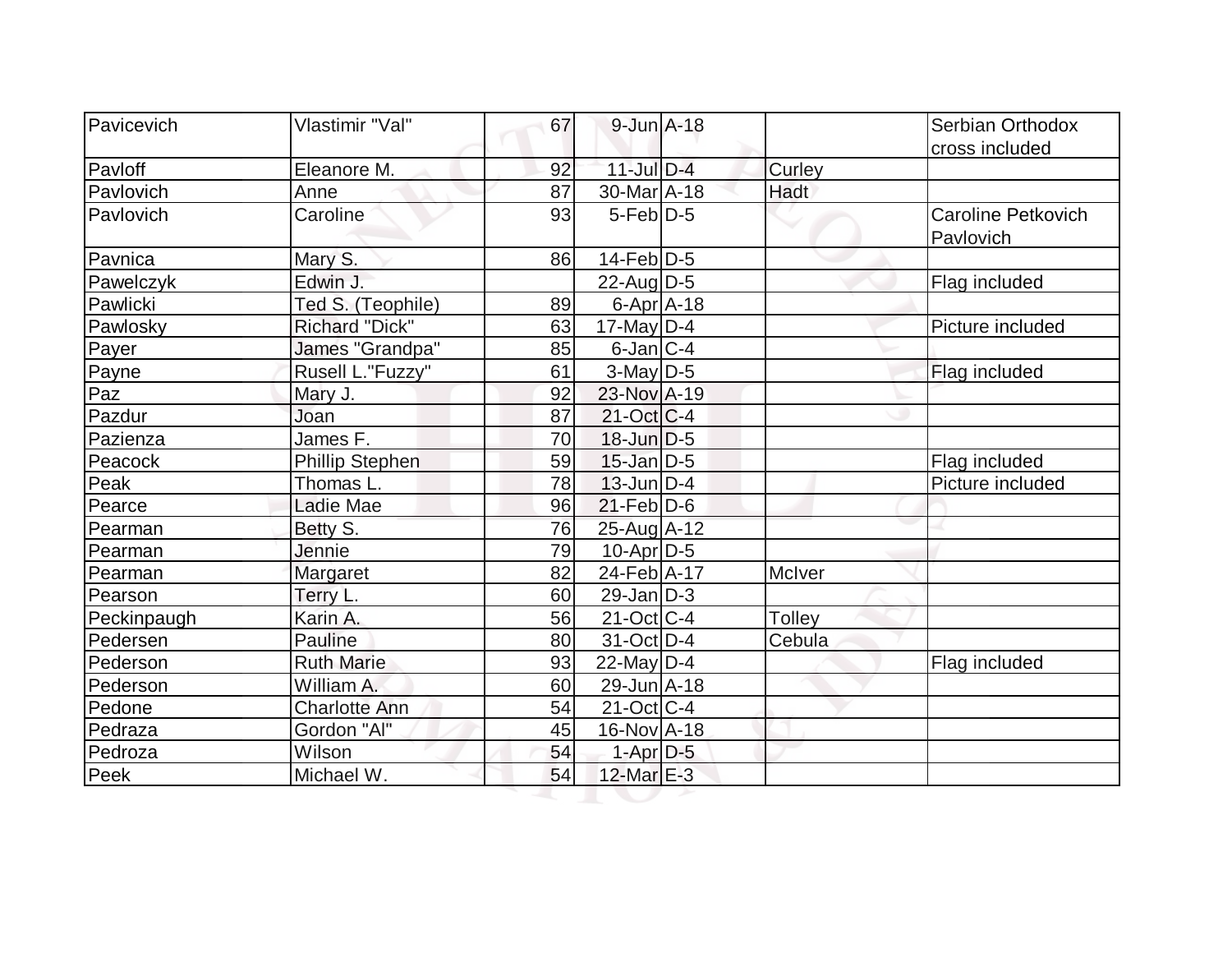| Pavicevich  | Vlastimir "Val"        | 67 | $9$ -Jun $A-18$         |               | Serbian Orthodox                       |
|-------------|------------------------|----|-------------------------|---------------|----------------------------------------|
|             |                        |    |                         |               | cross included                         |
| Pavloff     | Eleanore M.            | 92 | $11$ -Jul $D-4$         | Curley        |                                        |
| Pavlovich   | Anne                   | 87 | 30-Mar <sub>A</sub> -18 | Hadt          |                                        |
| Pavlovich   | Caroline               | 93 | 5-Feb <sub>ID-5</sub>   |               | <b>Caroline Petkovich</b><br>Pavlovich |
| Pavnica     | Mary S.                | 86 | $14$ -Feb $ D-5$        |               |                                        |
| Pawelczyk   | Edwin J.               |    | $22$ -AugD-5            |               | Flag included                          |
| Pawlicki    | Ted S. (Teophile)      | 89 | $6 - Apr$ $A - 18$      |               |                                        |
| Pawlosky    | <b>Richard "Dick"</b>  | 63 | $17$ -May D-4           |               | Picture included                       |
| Payer       | James "Grandpa"        | 85 | $6$ -Jan $ C-4 $        |               |                                        |
| Payne       | Rusell L."Fuzzy"       | 61 | $3$ -May D-5            |               | Flag included                          |
| Paz         | Mary J.                | 92 | 23-Nov A-19             |               |                                        |
| Pazdur      | Joan                   | 87 | $21-Oct$ $C-4$          |               |                                        |
| Pazienza    | James F.               | 70 | $18$ -Jun $D-5$         |               |                                        |
| Peacock     | <b>Phillip Stephen</b> | 59 | $15$ -Jan D-5           |               | Flag included                          |
| Peak        | Thomas L.              | 78 | $13$ -Jun $D-4$         |               | Picture included                       |
| Pearce      | Ladie Mae              | 96 | $21$ -Feb $D-6$         |               |                                        |
| Pearman     | Betty S.               | 76 | $25$ -Aug $A$ -12       |               |                                        |
| Pearman     | Jennie                 | 79 | $10$ -Apr $ D-5 $       |               |                                        |
| Pearman     | Margaret               | 82 | 24-Feb A-17             | McIver        |                                        |
| Pearson     | Terry L.               | 60 | $29$ -Jan $D-3$         |               |                                        |
| Peckinpaugh | Karin A.               | 56 | $21$ -Oct C-4           | <b>Tolley</b> |                                        |
| Pedersen    | Pauline                | 80 | 31-Oct D-4              | Cebula        |                                        |
| Pederson    | <b>Ruth Marie</b>      | 93 | 22-May $D-4$            |               | Flag included                          |
| Pederson    | William A.             | 60 | 29-Jun A-18             |               |                                        |
| Pedone      | <b>Charlotte Ann</b>   | 54 | $21-Oct$ $C-4$          |               |                                        |
| Pedraza     | Gordon "Al"            | 45 | 16-Nov A-18             |               |                                        |
| Pedroza     | Wilson                 | 54 | $1-Apr$ D-5             |               |                                        |
| Peek        | Michael W.             | 54 | $12$ -Mar $E-3$         |               |                                        |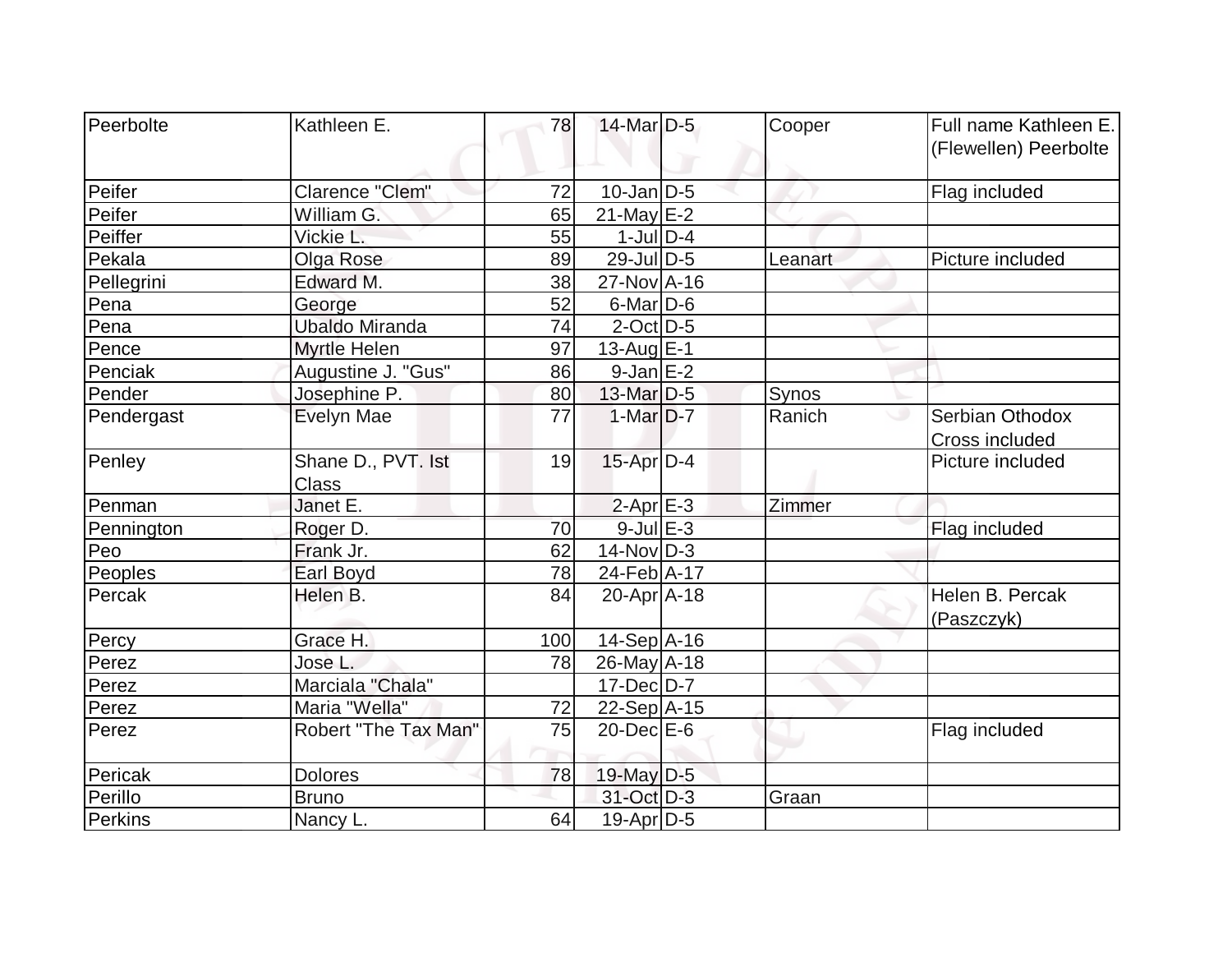| Peerbolte  | Kathleen E.           | 78  | 14-Mar D-5        | Cooper  | Full name Kathleen E. |
|------------|-----------------------|-----|-------------------|---------|-----------------------|
|            |                       |     |                   |         | (Flewellen) Peerbolte |
| Peifer     | Clarence "Clem"       | 72  | $10$ -Jan $D-5$   |         | Flag included         |
| Peifer     | William G.            | 65  | $21$ -May $E-2$   |         |                       |
| Peiffer    | Vickie L.             | 55  | $1$ -JulD-4       |         |                       |
| Pekala     | Olga Rose             | 89  | 29-Jul D-5        | Leanart | Picture included      |
| Pellegrini | Edward M.             | 38  | $27$ -Nov $A$ -16 |         |                       |
| Pena       | George                | 52  | $6$ -Mar $D$ -6   |         |                       |
| Pena       | <b>Ubaldo Miranda</b> | 74  | $2$ -Oct $D-5$    |         |                       |
| Pence      | Myrtle Helen          | 97  | 13-Aug $E-1$      |         |                       |
| Penciak    | Augustine J. "Gus"    | 86  | $9$ -Jan $E-2$    |         |                       |
| Pender     | Josephine P.          | 80  | 13-Mar D-5        | Synos   |                       |
| Pendergast | <b>Evelyn Mae</b>     | 77  | $1-MarlD-7$       | Ranich  | Serbian Othodox       |
|            |                       |     |                   |         | Cross included        |
| Penley     | Shane D., PVT. Ist    | 19  | $15$ -Apr $D-4$   |         | Picture included      |
|            | <b>Class</b>          |     |                   |         |                       |
| Penman     | Janet E.              |     | $2-Apr$ $E-3$     | Zimmer  |                       |
| Pennington | Roger D.              | 70  | $9$ -Jul $E-3$    |         | Flag included         |
| Peo        | Frank Jr.             | 62  | $14$ -Nov $ D-3 $ |         |                       |
| Peoples    | Earl Boyd             | 78  | 24-Feb A-17       |         |                       |
| Percak     | Helen B.              | 84  | $20$ -Apr $ A-18$ |         | Helen B. Percak       |
|            |                       |     |                   |         | (Paszczyk)            |
| Percy      | Grace H.              | 100 | $14-Sep$ $A-16$   |         |                       |
| Perez      | Jose L.               | 78  | $26$ -May A-18    |         |                       |
| Perez      | Marciala "Chala"      |     | $17 - Dec$ $D-7$  |         |                       |
| Perez      | Maria "Wella"         | 72  | $22-Sep$ A-15     |         |                       |
| Perez      | Robert "The Tax Man"  | 75  | $20$ -Dec $E$ -6  |         | Flag included         |
| Pericak    | <b>Dolores</b>        | 78  | 19-May D-5        |         |                       |
| Perillo    | <b>Bruno</b>          |     | 31-Oct D-3        | Graan   |                       |
| Perkins    | Nancy L.              | 64  | $19$ -Apr $D-5$   |         |                       |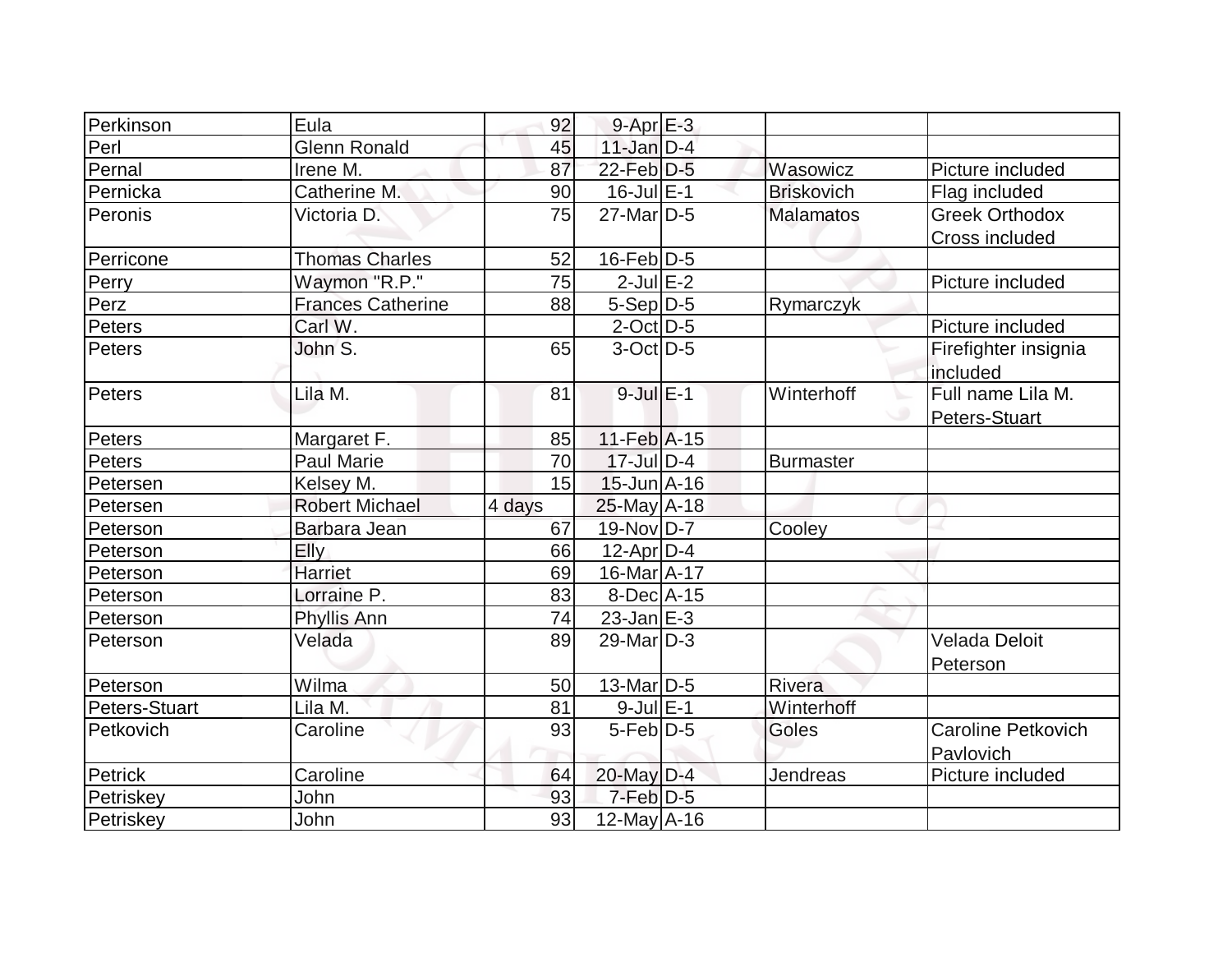| Perkinson     | Eula                     | 92     | $9 - Apr$ $E-3$   |                   |                           |
|---------------|--------------------------|--------|-------------------|-------------------|---------------------------|
| Perl          | <b>Glenn Ronald</b>      | 45     | $11$ -Jan D-4     |                   |                           |
| Pernal        | Irene M.                 | 87     | 22-Feb D-5        | Wasowicz          | Picture included          |
| Pernicka      | Catherine M.             | 90     | $16$ -Jul $E-1$   | <b>Briskovich</b> | Flag included             |
| Peronis       | Victoria D.              | 75     | $27$ -Mar $ D-5$  | Malamatos         | <b>Greek Orthodox</b>     |
|               |                          |        |                   |                   | Cross included            |
| Perricone     | <b>Thomas Charles</b>    | 52     | $16$ -Feb $ D-5$  |                   |                           |
| Perry         | Waymon "R.P."            | 75     | $2$ -Jul $E-2$    |                   | Picture included          |
| Perz          | <b>Frances Catherine</b> | 88     | $5-Sep$ D-5       | Rymarczyk         |                           |
| Peters        | Carl W.                  |        | $2$ -Oct $D-5$    |                   | Picture included          |
| Peters        | John S.                  | 65     | $3$ -Oct $ID-5$   |                   | Firefighter insignia      |
|               |                          |        |                   |                   | included                  |
| Peters        | Lila M.                  | 81     | $9$ -Jul $E-1$    | Winterhoff        | Full name Lila M.         |
|               |                          |        |                   |                   | Peters-Stuart             |
| Peters        | Margaret F.              | 85     | $11-Feb$ A-15     |                   |                           |
| Peters        | <b>Paul Marie</b>        | 70     | $17$ -Jul $D-4$   | <b>Burmaster</b>  |                           |
| Petersen      | Kelsey M.                | 15     | $15$ -Jun $A$ -16 |                   |                           |
| Petersen      | <b>Robert Michael</b>    | 4 days | $25$ -May A-18    |                   |                           |
| Peterson      | Barbara Jean             | 67     | 19-Nov D-7        | Cooley            |                           |
| Peterson      | Elly                     | 66     | $12$ -Apr $ D-4$  |                   |                           |
| Peterson      | <b>Harriet</b>           | 69     | 16-Mar A-17       |                   |                           |
| Peterson      | Lorraine P.              | 83     | $8$ -Dec $A$ -15  |                   |                           |
| Peterson      | Phyllis Ann              | 74     | $23$ -Jan $E-3$   |                   |                           |
| Peterson      | Velada                   | 89     | $29$ -Mar $ D-3$  |                   | Velada Deloit             |
|               |                          |        |                   |                   | Peterson                  |
| Peterson      | Wilma                    | 50     | $13$ -Mar $ D-5$  | Rivera            |                           |
| Peters-Stuart | Lila M.                  | 81     | $9$ -Jul $E-1$    | Winterhoff        |                           |
| Petkovich     | Caroline                 | 93     | $5-Feb D-5$       | Goles             | <b>Caroline Petkovich</b> |
|               |                          |        |                   |                   | Pavlovich                 |
| Petrick       | Caroline                 | 64     | $20$ -May $D-4$   | Jendreas          | Picture included          |
| Petriskey     | John                     | 93     | $7$ -Feb $D-5$    |                   |                           |
| Petriskey     | John                     | 93     | $12$ -May $A$ -16 |                   |                           |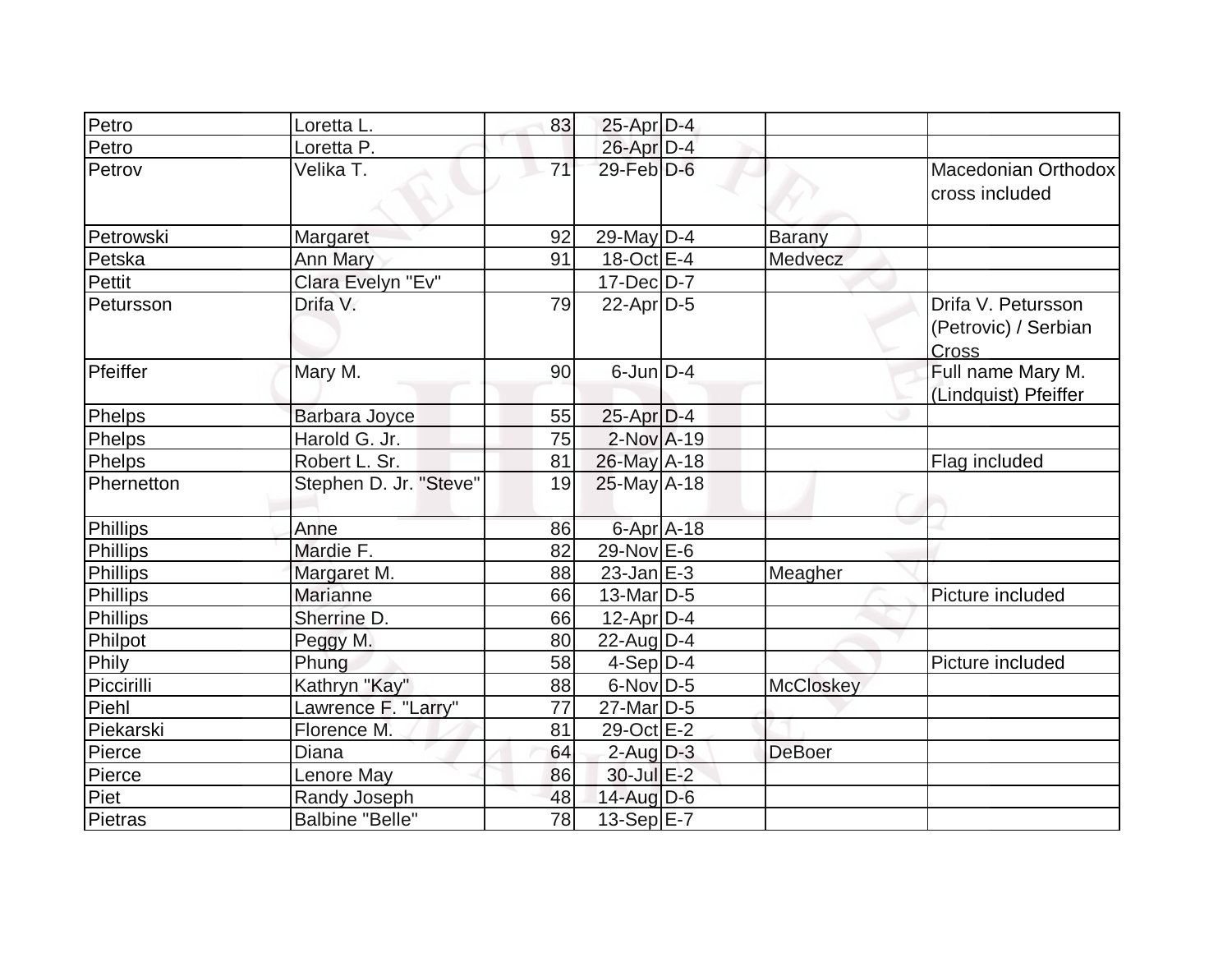| Petro           | Loretta L.             | 83 | $25$ -Apr $D-4$  |                  |                                                            |
|-----------------|------------------------|----|------------------|------------------|------------------------------------------------------------|
| Petro           | Loretta P.             |    | 26-Apr D-4       |                  |                                                            |
| Petrov          | Velika T.              | 71 | $29$ -Feb $D-6$  |                  | <b>Macedonian Orthodox</b><br>cross included               |
| Petrowski       | Margaret               | 92 | $29$ -May $D-4$  | <b>Barany</b>    |                                                            |
| Petska          | Ann Mary               | 91 | $18-Oct$ E-4     | Medvecz          |                                                            |
| <b>Pettit</b>   | Clara Evelyn "Ev"      |    | 17-Dec D-7       |                  |                                                            |
| Petursson       | Drifa V.               | 79 | $22$ -Apr $D-5$  |                  | Drifa V. Petursson<br>(Petrovic) / Serbian<br><b>Cross</b> |
| Pfeiffer        | Mary M.                | 90 | $6$ -Jun $D-4$   |                  | Full name Mary M.<br>(Lindquist) Pfeiffer                  |
| Phelps          | Barbara Joyce          | 55 | $25$ -Apr $D-4$  |                  |                                                            |
| Phelps          | Harold G. Jr.          | 75 | $2$ -Nov $A-19$  |                  |                                                            |
| Phelps          | Robert L. Sr.          | 81 | 26-May A-18      |                  | Flag included                                              |
| Phernetton      | Stephen D. Jr. "Steve" | 19 | $25$ -May A-18   |                  |                                                            |
| <b>Phillips</b> | Anne                   | 86 | $6$ -Apr $A$ -18 |                  |                                                            |
| Phillips        | Mardie F.              | 82 | $29-Nov$ E-6     |                  |                                                            |
| <b>Phillips</b> | Margaret M.            | 88 | $23$ -Jan $E-3$  | Meagher          |                                                            |
| <b>Phillips</b> | <b>Marianne</b>        | 66 | $13$ -Mar $ D-5$ |                  | Picture included                                           |
| <b>Phillips</b> | Sherrine D.            | 66 | $12$ -Apr $ D-4$ |                  |                                                            |
| Philpot         | Peggy M.               | 80 | $22$ -AugD-4     |                  |                                                            |
| Phily           | Phung                  | 58 | $4-Sep D-4$      |                  | Picture included                                           |
| Piccirilli      | Kathryn "Kay"          | 88 | $6$ -Nov $D-5$   | <b>McCloskey</b> |                                                            |
| Piehl           | Lawrence F. "Larry"    | 77 | $27$ -Mar $ D-5$ |                  |                                                            |
| Piekarski       | Florence M.            | 81 | 29-Oct E-2       |                  |                                                            |
| Pierce          | Diana                  | 64 | $2$ -Aug $D-3$   | <b>DeBoer</b>    |                                                            |
| Pierce          | Lenore May             | 86 | 30-Jul E-2       |                  |                                                            |
| Piet            | Randy Joseph           | 48 | $14$ -Aug $D-6$  |                  |                                                            |
| Pietras         | <b>Balbine "Belle"</b> | 78 | 13-Sep E-7       |                  |                                                            |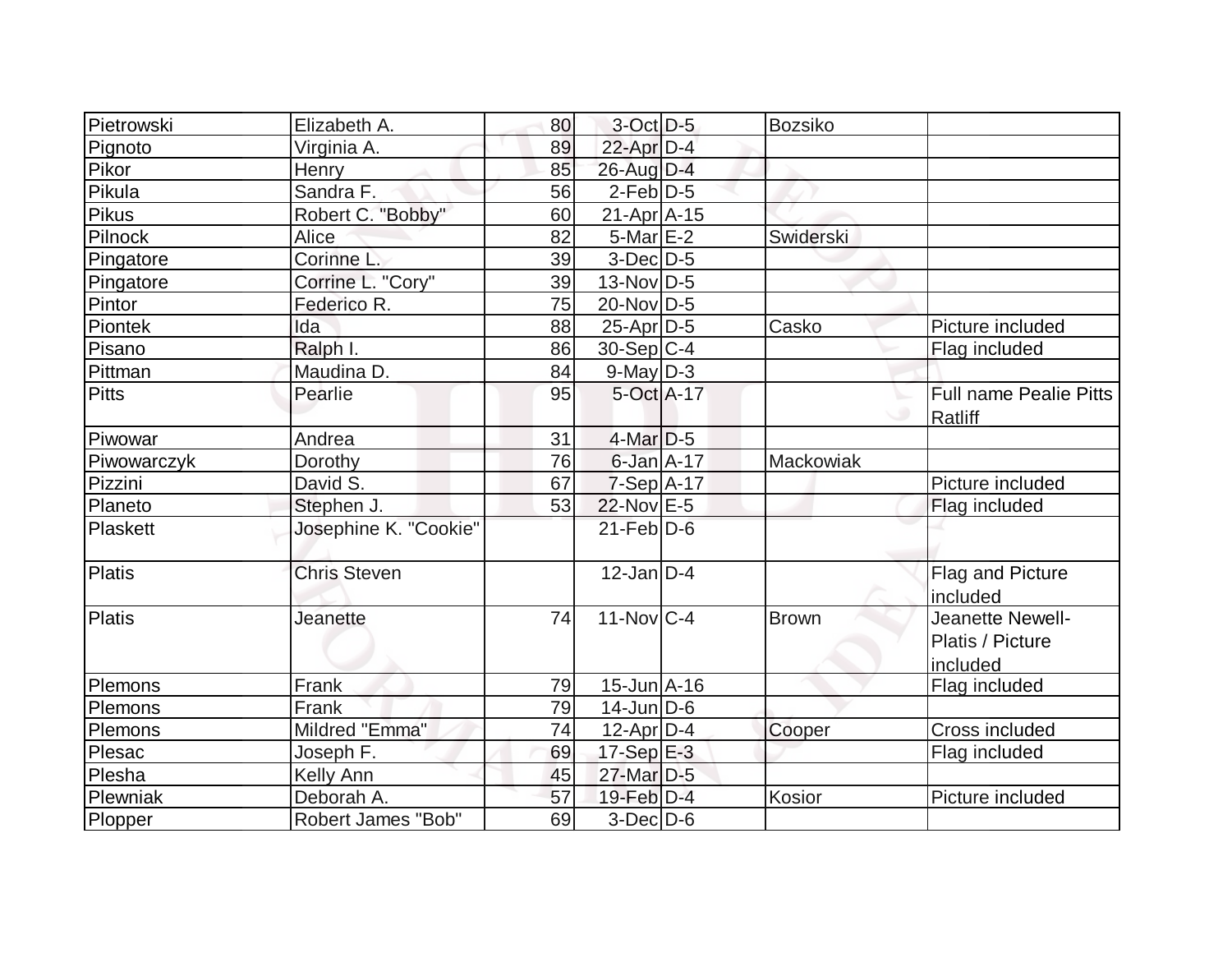| Pietrowski      | Elizabeth A.          | 80 | $3$ -Oct $D-5$    |            | <b>Bozsiko</b> |                                                  |
|-----------------|-----------------------|----|-------------------|------------|----------------|--------------------------------------------------|
| Pignoto         | Virginia A.           | 89 | $22$ -Apr $D-4$   |            |                |                                                  |
| Pikor           | Henry                 | 85 | 26-Aug D-4        |            |                |                                                  |
| Pikula          | Sandra F.             | 56 | $2$ -Feb $D-5$    |            |                |                                                  |
| <b>Pikus</b>    | Robert C. "Bobby"     | 60 | 21-Apr A-15       |            |                |                                                  |
| Pilnock         | Alice                 | 82 | $5-Mar$ $E-2$     |            | Swiderski      |                                                  |
| Pingatore       | Corinne L.            | 39 | $3$ -Dec $D-5$    |            |                |                                                  |
| Pingatore       | Corrine L. "Cory"     | 39 | $13-Nov D-5$      |            |                |                                                  |
| Pintor          | Federico R.           | 75 | 20-Nov D-5        |            |                |                                                  |
| Piontek         | Ida                   | 88 | $25$ -Apr $D-5$   |            | Casko          | Picture included                                 |
| Pisano          | Ralph I.              | 86 | $30-Sep C-4$      |            |                | Flag included                                    |
| Pittman         | Maudina D.            | 84 | $9$ -May $D-3$    |            |                |                                                  |
| <b>Pitts</b>    | Pearlie               | 95 |                   | 5-Oct A-17 |                | <b>Full name Pealie Pitts</b><br>◡<br>Ratliff    |
| Piwowar         | Andrea                | 31 | $4$ -Mar $D-5$    |            |                |                                                  |
| Piwowarczyk     | Dorothy               | 76 | 6-Jan A-17        |            | Mackowiak      |                                                  |
| Pizzini         | David S.              | 67 | $7-Sep$ $A-17$    |            |                | Picture included                                 |
| Planeto         | Stephen J.            | 53 | 22-Nov E-5        |            |                | Flag included                                    |
| <b>Plaskett</b> | Josephine K. "Cookie" |    | $21$ -Feb $D-6$   |            |                |                                                  |
| Platis          | <b>Chris Steven</b>   |    | $12$ -Jan D-4     |            |                | <b>Flag and Picture</b><br>included              |
| Platis          | Jeanette              | 74 | $11-Nov$ C-4      |            | <b>Brown</b>   | Jeanette Newell-<br>Platis / Picture<br>included |
| Plemons         | Frank                 | 79 | $15$ -Jun $A$ -16 |            |                | Flag included                                    |
| Plemons         | Frank                 | 79 | $14$ -Jun $D-6$   |            |                |                                                  |
| Plemons         | Mildred "Emma"        | 74 | $12$ -Apr $D-4$   |            | Cooper         | <b>Cross included</b>                            |
| Plesac          | Joseph F.             | 69 | 17-Sep E-3        |            |                | Flag included                                    |
| Plesha          | <b>Kelly Ann</b>      | 45 | 27-Mar D-5        |            |                |                                                  |
| Plewniak        | Deborah A.            | 57 | $19$ -Feb $D-4$   |            | Kosior         | Picture included                                 |
| Plopper         | Robert James "Bob"    | 69 | $3-Dec$ $D-6$     |            |                |                                                  |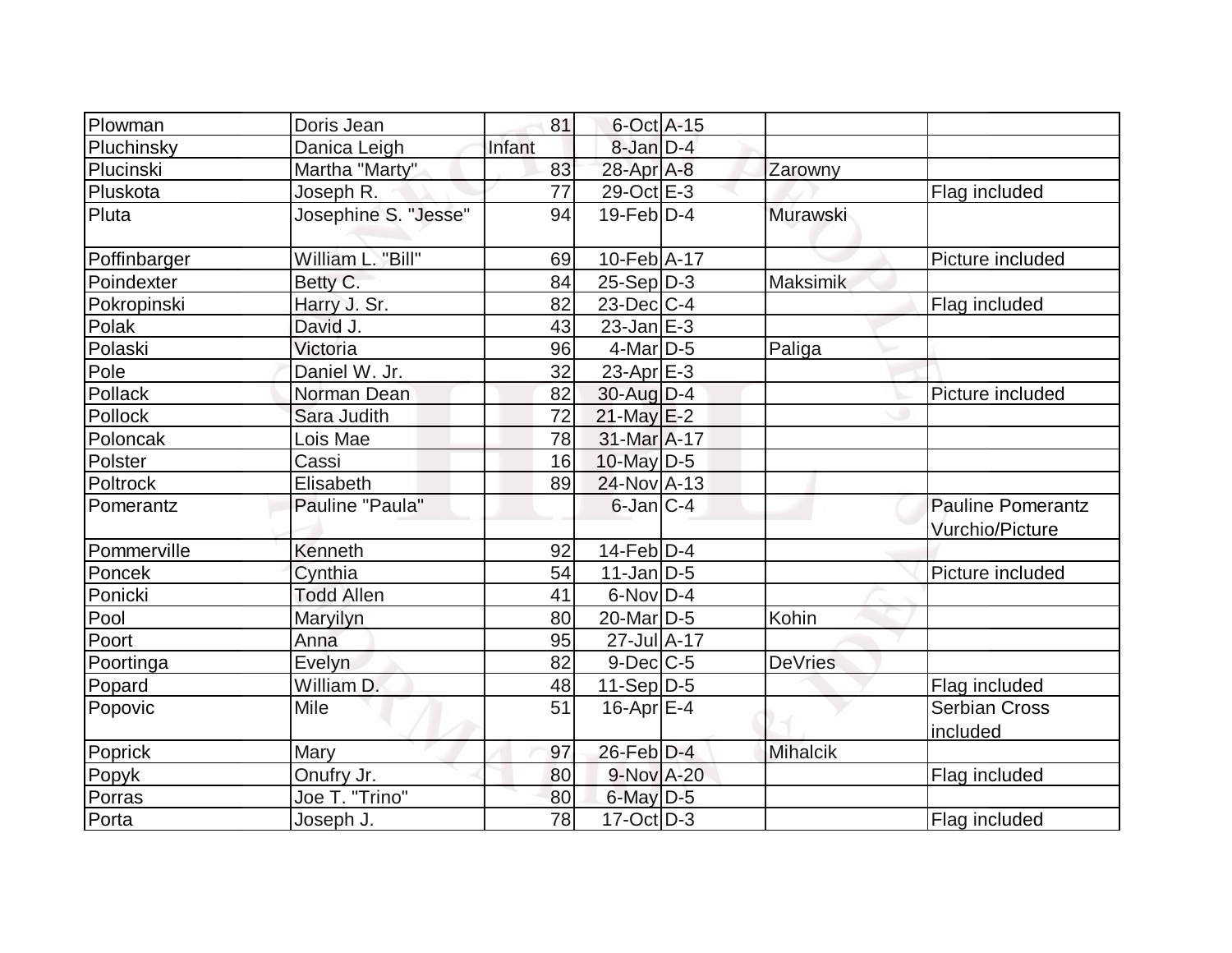| Plowman      | Doris Jean           | 81     | 6-Oct A-15                   |                 |                          |
|--------------|----------------------|--------|------------------------------|-----------------|--------------------------|
| Pluchinsky   | Danica Leigh         | Infant | $8$ -Jan $D-4$               |                 |                          |
| Plucinski    | Martha "Marty"       | 83     | $28$ -Apr $A$ -8             | Zarowny         |                          |
| Pluskota     | Joseph R.            | 77     | $29-Oct \times -3$           |                 | Flag included            |
| Pluta        | Josephine S. "Jesse" | 94     | $19$ -Feb $D-4$              | Murawski        |                          |
| Poffinbarger | William L. "Bill"    | 69     | 10-Feb A-17                  |                 | Picture included         |
| Poindexter   | Betty C.             | 84     | $25-Sep D-3$                 | Maksimik        |                          |
| Pokropinski  | Harry J. Sr.         | 82     | $23$ -Dec $ C-4 $            |                 | Flag included            |
| Polak        | David J.             | 43     | $23$ -Jan $E-3$              |                 |                          |
| Polaski      | Victoria             | 96     | $4$ -Mar $D-5$               | Paliga          |                          |
| Pole         | Daniel W. Jr.        | 32     | 23-Apr E-3                   |                 |                          |
| Pollack      | Norman Dean          | 82     | 30-Aug D-4                   |                 | Picture included         |
| Pollock      | Sara Judith          | 72     | $21$ -May E-2                |                 |                          |
| Poloncak     | Lois Mae             | 78     | 31-Mar A-17                  |                 |                          |
| Polster      | Cassi                | 16     | 10-May D-5                   |                 |                          |
| Poltrock     | Elisabeth            | 89     | $24$ -Nov A-13               |                 |                          |
| Pomerantz    | Pauline "Paula"      |        | $6$ -Jan $ C-4 $             |                 | <b>Pauline Pomerantz</b> |
|              |                      |        |                              |                 | Vurchio/Picture          |
| Pommerville  | Kenneth              | 92     | $14$ -Feb $D$ -4             |                 |                          |
| Poncek       | Cynthia              | 54     | $11$ -Jan D-5                |                 | Picture included         |
| Ponicki      | <b>Todd Allen</b>    | 41     | $6$ -Nov $D-4$               |                 |                          |
| Pool         | Maryilyn             | 80     | $20$ -Mar $D-5$              | Kohin           |                          |
| Poort        | Anna                 | 95     | $27$ -Jul $\overline{A}$ -17 |                 |                          |
| Poortinga    | Evelyn               | 82     | $9$ -Dec $C$ -5              | <b>DeVries</b>  |                          |
| Popard       | William D.           | 48     | $11-Sep D-5$                 |                 | Flag included            |
| Popovic      | Mile                 | 51     | $16$ -Apr $E-4$              |                 | <b>Serbian Cross</b>     |
|              |                      |        |                              |                 | included                 |
| Poprick      | Mary                 | 97     | $26$ -Feb $D-4$              | <b>Mihalcik</b> |                          |
| Popyk        | Onufry Jr.           | 80     | 9-Nov A-20                   |                 | Flag included            |
| Porras       | Joe T. "Trino"       | 80     | $6$ -May $D-5$               |                 |                          |
| Porta        | Joseph J.            | 78     | $17-Oct$ D-3                 |                 | Flag included            |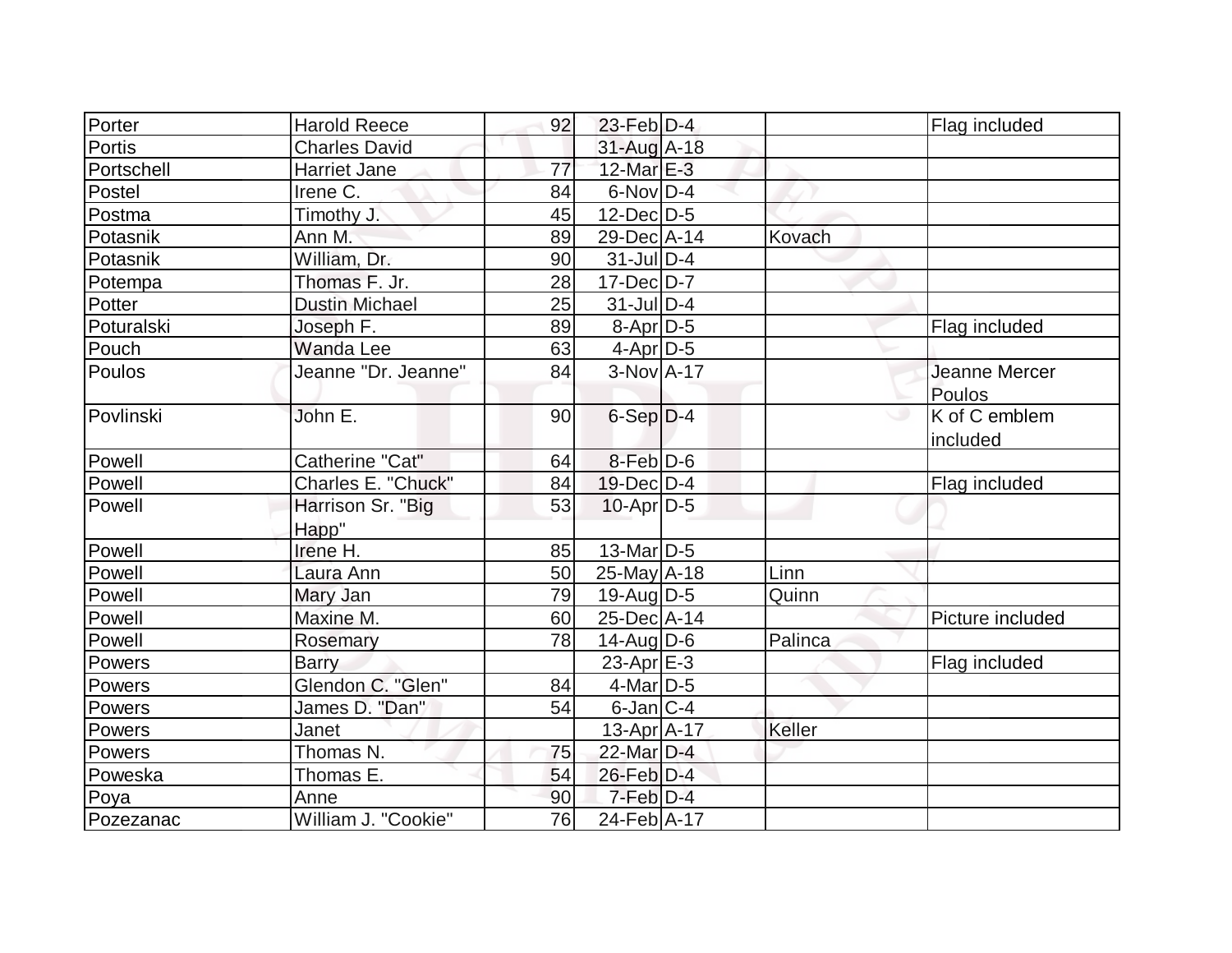| Porter     | <b>Harold Reece</b>   | 92 | $23$ -Feb $D-4$  |         | Flag included                  |
|------------|-----------------------|----|------------------|---------|--------------------------------|
| Portis     | <b>Charles David</b>  |    | 31-Aug A-18      |         |                                |
| Portschell | <b>Harriet Jane</b>   | 77 | $12$ -Mar $E-3$  |         |                                |
| Postel     | Irene C.              | 84 | $6$ -Nov $D-4$   |         |                                |
| Postma     | Timothy J.            | 45 | $12$ -Dec $D-5$  |         |                                |
| Potasnik   | Ann M.                | 89 | 29-Dec A-14      | Kovach  |                                |
| Potasnik   | William, Dr.          | 90 | $31$ -JulD-4     |         |                                |
| Potempa    | Thomas F. Jr.         | 28 | $17 - Dec$ $D-7$ |         |                                |
| Potter     | <b>Dustin Michael</b> | 25 | $31$ -Jul $D-4$  |         |                                |
| Poturalski | Joseph F.             | 89 | $8-Apr D-5$      |         | Flag included                  |
| Pouch      | <b>Wanda Lee</b>      | 63 | $4$ -Apr $D-5$   |         |                                |
| Poulos     | Jeanne "Dr. Jeanne"   | 84 | $3-NovA-17$      |         | <b>Jeanne Mercer</b><br>Poulos |
| Povlinski  | John E.               | 90 | $6-Sep D-4$      |         | K of C emblem<br>included      |
| Powell     | Catherine "Cat"       | 64 | 8-Feb D-6        |         |                                |
| Powell     | Charles E. "Chuck"    | 84 | $19$ -Dec $ D-4$ |         | Flag included                  |
| Powell     | Harrison Sr. "Big     | 53 | $10$ -Apr $D-5$  |         |                                |
|            | Happ"                 |    |                  |         |                                |
| Powell     | Irene H.              | 85 | $13$ -Mar $ D-5$ |         |                                |
| Powell     | Laura Ann             | 50 | $25$ -May A-18   | Linn    |                                |
| Powell     | Mary Jan              | 79 | $19$ -Aug $D-5$  | Quinn   |                                |
| Powell     | Maxine M.             | 60 | 25-Dec A-14      |         | Picture included               |
| Powell     | Rosemary              | 78 | $14$ -Aug $D-6$  | Palinca |                                |
| Powers     | <b>Barry</b>          |    | 23-Apr $E-3$     |         | Flag included                  |
| Powers     | Glendon C. "Glen"     | 84 | $4$ -Mar $D-5$   |         |                                |
| Powers     | James D. "Dan"        | 54 | $6$ -Jan $ C-4 $ |         |                                |
| Powers     | Janet                 |    | 13-Apr A-17      | Keller  |                                |
| Powers     | Thomas N.             | 75 | 22-Mar D-4       |         |                                |
| Poweska    | Thomas E.             | 54 | $26$ -Feb $D-4$  |         |                                |
| Poya       | Anne                  | 90 | $7$ -Feb $D-4$   |         |                                |
| Pozezanac  | William J. "Cookie"   | 76 | 24-Feb A-17      |         |                                |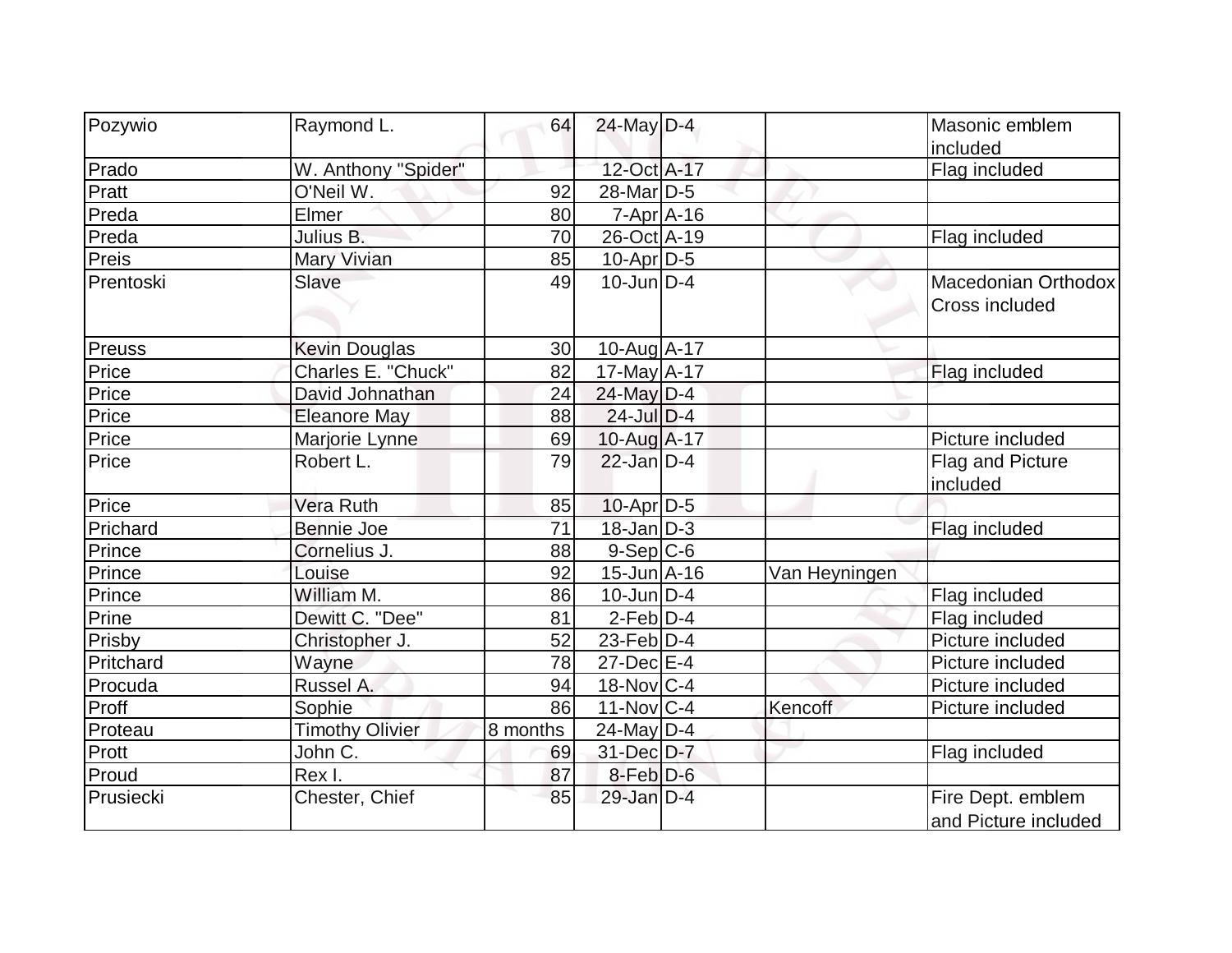| Pozywio   | Raymond L.             | 64       | 24-May D-4              |               | Masonic emblem             |
|-----------|------------------------|----------|-------------------------|---------------|----------------------------|
|           |                        |          |                         |               | included                   |
| Prado     | W. Anthony "Spider"    |          | 12-Oct A-17             |               | Flag included              |
| Pratt     | O'Neil W.              | 92       | 28-Mar <sub>D-5</sub>   |               |                            |
| Preda     | Elmer                  | 80       | $7 - Apr$ $A - 16$      |               |                            |
| Preda     | Julius B.              | 70       | $26$ -Oct A-19          |               | Flag included              |
| Preis     | Mary Vivian            | 85       | $10$ -Apr $D-5$         |               |                            |
| Prentoski | Slave                  | 49       | $10$ -Jun $D-4$         |               | <b>Macedonian Orthodox</b> |
|           |                        |          |                         |               | Cross included             |
|           |                        |          |                         |               |                            |
| Preuss    | <b>Kevin Douglas</b>   | 30       | 10-Aug A-17             |               |                            |
| Price     | Charles E. "Chuck"     | 82       | $17$ -May $A$ -17       |               | Flag included              |
| Price     | David Johnathan        | 24       | $24$ -May $D-4$         |               |                            |
| Price     | <b>Eleanore May</b>    | 88       | $24$ -Jul $D-4$         |               |                            |
| Price     | Marjorie Lynne         | 69       | $10-Aug$ A-17           |               | Picture included           |
| Price     | Robert L.              | 79       | $22$ -Jan $D-4$         |               | Flag and Picture           |
|           |                        |          |                         |               | included                   |
| Price     | <b>Vera Ruth</b>       | 85       | $10$ -Apr $D-5$         |               |                            |
| Prichard  | <b>Bennie Joe</b>      | 71       | $18$ -Jan $D-3$         |               | Flag included              |
| Prince    | Cornelius J.           | 88       | $9-Sep C-6$             |               |                            |
| Prince    | Louise                 | 92       | $15$ -Jun $A$ -16       | Van Heyningen |                            |
| Prince    | William M.             | 86       | $10$ -Jun $D-4$         |               | Flag included              |
| Prine     | Dewitt C. "Dee"        | 81       | $2-Feb D-4$             |               | Flag included              |
| Prisby    | Christopher J.         | 52       | $23$ -Feb $ D-4$        |               | Picture included           |
| Pritchard | Wayne                  | 78       | $27$ -Dec $E-4$         |               | Picture included           |
| Procuda   | Russel A.              | 94       | $18-Nov$ <sub>C-4</sub> |               | Picture included           |
| Proff     | Sophie                 | 86       | $11-Nov$ C-4            | Kencoff       | Picture included           |
| Proteau   | <b>Timothy Olivier</b> | 8 months | $24$ -May D-4           |               |                            |
| Prott     | John C.                | 69       | 31-Dec D-7              |               | Flag included              |
| Proud     | Rex I.                 | 87       | $8$ -Feb $D$ -6         |               |                            |
| Prusiecki | Chester, Chief         | 85       | $29$ -Jan D-4           |               | Fire Dept. emblem          |
|           |                        |          |                         |               | and Picture included       |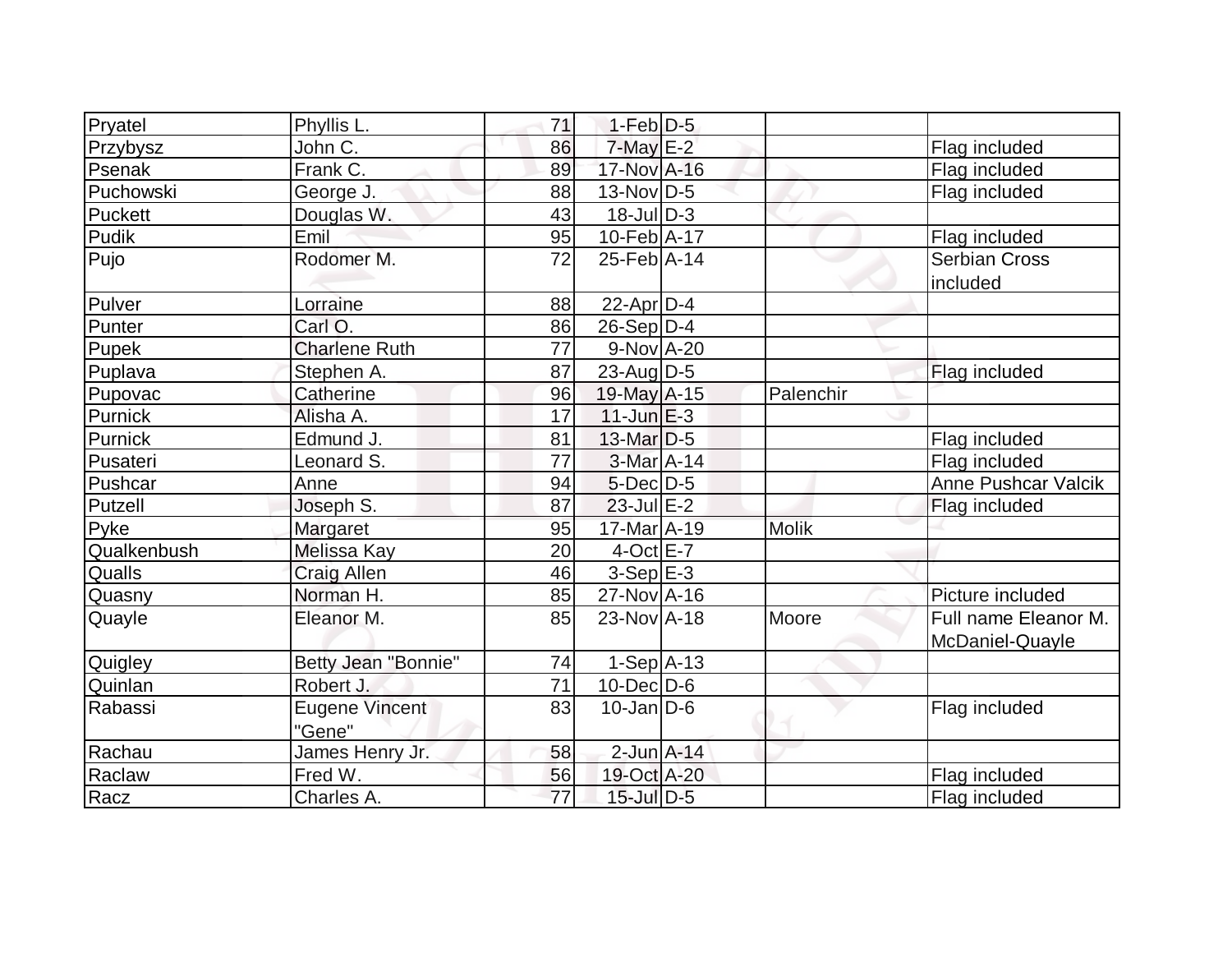| Pryatel        | Phyllis L.            | 71              | $1-Feb$ $D-5$                |              |                            |
|----------------|-----------------------|-----------------|------------------------------|--------------|----------------------------|
| Przybysz       | John C.               | 86              | $7$ -May $E-2$               |              | Flag included              |
| Psenak         | Frank C.              | 89              | 17-Nov A-16                  |              | Flag included              |
| Puchowski      | George J.             | 88              | $13-Nov D-5$                 |              | Flag included              |
| <b>Puckett</b> | Douglas W.            | 43              | $18$ -JulD-3                 |              |                            |
| Pudik          | Emil                  | 95              | $10$ -Feb $ A-17$            |              | Flag included              |
| Pujo           | Rodomer M.            | 72              | $25$ -Feb $ A-14$            |              | <b>Serbian Cross</b>       |
|                |                       |                 |                              |              | included                   |
| Pulver         | Lorraine              | 88              | 22-Apr $D-4$                 |              |                            |
| <b>Punter</b>  | Carl O.               | 86              | $26-Sep D-4$                 |              |                            |
| Pupek          | <b>Charlene Ruth</b>  | 77              | $9-Nov$ A-20                 |              |                            |
| Puplava        | Stephen A.            | 87              | $23$ -AugD-5                 |              | Flag included              |
| Pupovac        | Catherine             | 96              | 19-May A-15                  | Palenchir    |                            |
| Purnick        | Alisha A.             | 17              | $11$ -Jun $E-3$              |              |                            |
| Purnick        | Edmund J.             | 81              | $13$ -Mar $D-5$              |              | Flag included              |
| Pusateri       | Leonard S.            | 77              | 3-Mar A-14                   |              | Flag included              |
| Pushcar        | Anne                  | 94              | $5$ -Dec $D-5$               |              | <b>Anne Pushcar Valcik</b> |
| Putzell        | Joseph S.             | 87              | $23$ -Jul $E-2$              |              | Flag included              |
| Pyke           | Margaret              | 95              | 17-Mar A-19                  | <b>Molik</b> |                            |
| Qualkenbush    | Melissa Kay           | 20              | $4$ -Oct $E - 7$             |              |                            |
| <b>Qualls</b>  | <b>Craig Allen</b>    | 46              | $3-Sep$ $E-3$                |              |                            |
| Quasny         | Norman H.             | 85              | 27-Nov A-16                  |              | Picture included           |
| Quayle         | Eleanor M.            | 85              | $23$ -Nov $\overline{A}$ -18 | Moore        | Full name Eleanor M.       |
|                |                       |                 |                              |              | McDaniel-Quayle            |
| Quigley        | Betty Jean "Bonnie"   | 74              | $1-Sep$ $A-13$               |              |                            |
| Quinlan        | Robert J.             | $\overline{71}$ | $10$ -Dec $D$ -6             |              |                            |
| Rabassi        | <b>Eugene Vincent</b> | 83              | $10$ -Jan $ D-6 $            |              | Flag included              |
|                | "Gene"                |                 |                              |              |                            |
| Rachau         | James Henry Jr.       | 58              | $2$ -Jun $A$ -14             |              |                            |
| Raclaw         | Fred W.               | 56              | 19-Oct A-20                  |              | Flag included              |
| Racz           | Charles A.            | 77              | $15$ -Jul $D-5$              |              | Flag included              |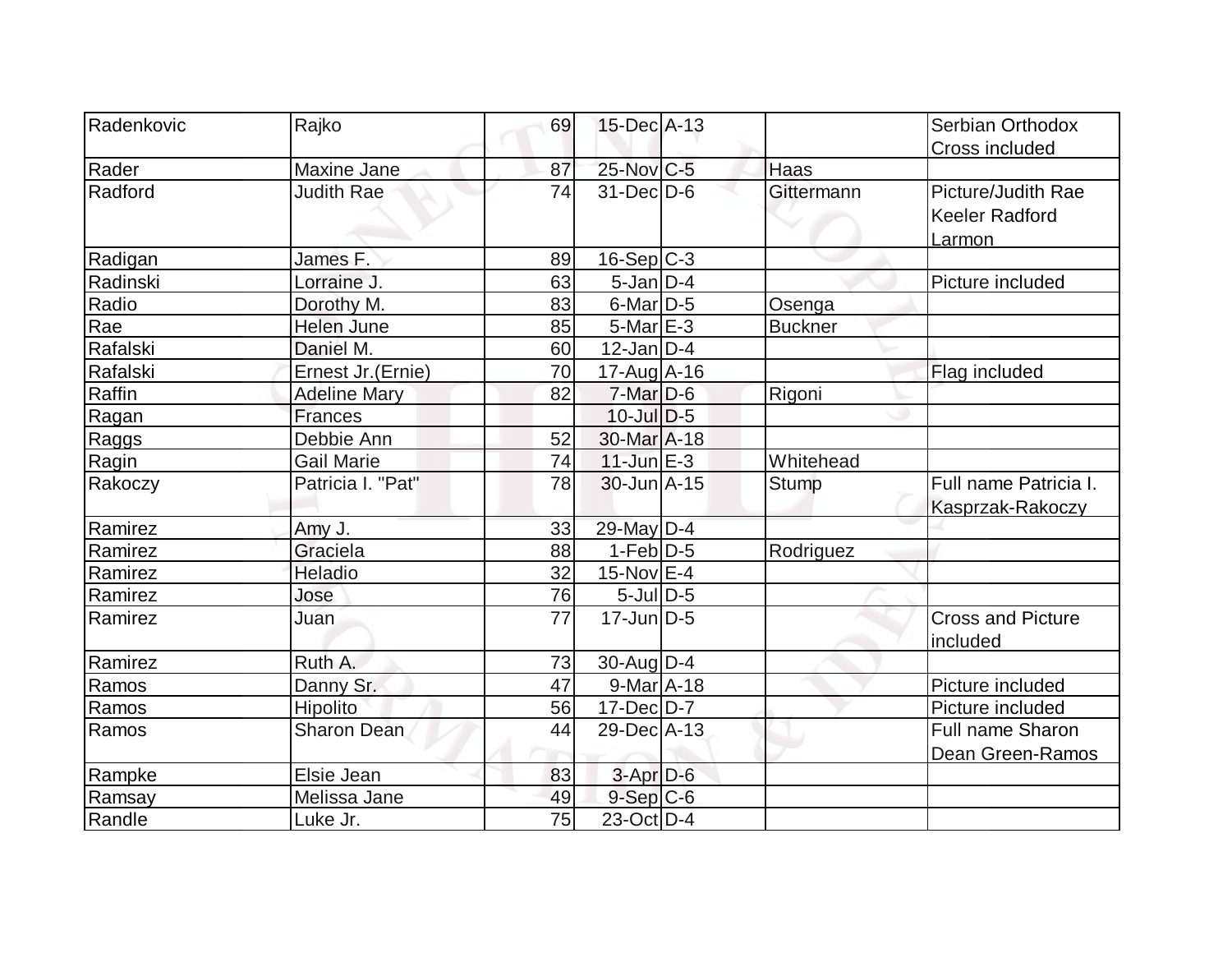| Radenkovic | Rajko               | 69 | 15-Dec A-13            |                | Serbian Orthodox         |
|------------|---------------------|----|------------------------|----------------|--------------------------|
|            |                     |    |                        |                | <b>Cross included</b>    |
| Rader      | <b>Maxine Jane</b>  | 87 | 25-Nov C-5             | Haas           |                          |
| Radford    | <b>Judith Rae</b>   | 74 | $31$ -Dec $D-6$        | Gittermann     | Picture/Judith Rae       |
|            |                     |    |                        |                | <b>Keeler Radford</b>    |
|            |                     |    |                        |                | Larmon                   |
| Radigan    | James F.            | 89 | $16-Sep C-3$           |                |                          |
| Radinski   | Lorraine J.         | 63 | $5$ -Jan $ D-4 $       |                | Picture included         |
| Radio      | Dorothy M.          | 83 | $6$ -Mar $D-5$         | Osenga         |                          |
| Rae        | <b>Helen June</b>   | 85 | $5$ -Mar $E-3$         | <b>Buckner</b> |                          |
| Rafalski   | Daniel M.           | 60 | $12$ -Jan $D-4$        |                |                          |
| Rafalski   | Ernest Jr.(Ernie)   | 70 | $17$ -Aug $A$ -16      |                | Flag included            |
| Raffin     | <b>Adeline Mary</b> | 82 | $7$ -Mar $D-6$         | Rigoni         |                          |
| Ragan      | <b>Frances</b>      |    | $10$ -Jul $D-5$        |                |                          |
| Raggs      | Debbie Ann          | 52 | 30-Mar <sub>A-18</sub> |                |                          |
| Ragin      | <b>Gail Marie</b>   | 74 | $11$ -Jun $E-3$        | Whitehead      |                          |
| Rakoczy    | Patricia I. "Pat"   | 78 | $30 - Jun[A-15]$       | Stump          | Full name Patricia I.    |
|            |                     |    |                        |                | Kasprzak-Rakoczy         |
| Ramirez    | Amy J.              | 33 | 29-May D-4             |                |                          |
| Ramirez    | Graciela            | 88 | $1-Feb D-5$            | Rodriguez      |                          |
| Ramirez    | Heladio             | 32 | $15$ -Nov $E-4$        |                |                          |
| Ramirez    | Jose                | 76 | $5$ -JulD-5            |                |                          |
| Ramirez    | Juan                | 77 | $17$ -Jun $D-5$        |                | <b>Cross and Picture</b> |
|            |                     |    |                        |                | included                 |
| Ramirez    | Ruth A.             | 73 | $30$ -Aug $D-4$        |                |                          |
| Ramos      | Danny Sr.           | 47 | $9$ -Mar $A$ -18       |                | Picture included         |
| Ramos      | Hipolito            | 56 | $17 - Dec$ $D-7$       |                | Picture included         |
| Ramos      | <b>Sharon Dean</b>  | 44 | 29-Dec A-13            |                | Full name Sharon         |
|            |                     |    |                        |                | Dean Green-Ramos         |
| Rampke     | Elsie Jean          | 83 | $3-Apr$ D-6            |                |                          |
| Ramsay     | Melissa Jane        | 49 | $9-Sep C-6$            |                |                          |
| Randle     | Luke Jr.            | 75 | 23-Oct D-4             |                |                          |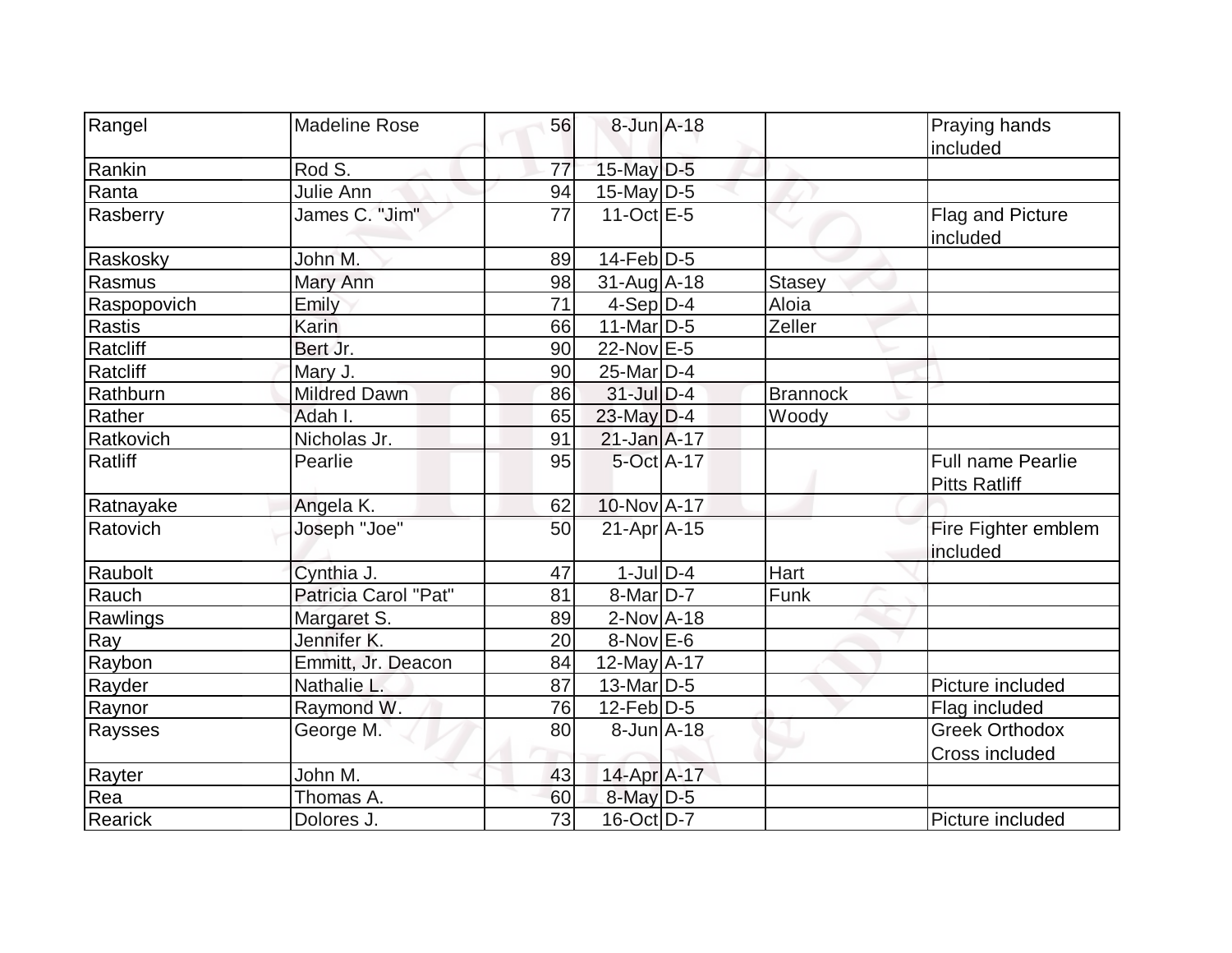| Rangel      | <b>Madeline Rose</b> | 56 | 8-Jun A-18        |                 | Praying hands                             |
|-------------|----------------------|----|-------------------|-----------------|-------------------------------------------|
|             |                      |    |                   |                 | included                                  |
| Rankin      | Rod S.               | 77 | 15-May D-5        |                 |                                           |
| Ranta       | Julie Ann            | 94 | $15$ -May $D-5$   |                 |                                           |
| Rasberry    | James C. "Jim"       | 77 | 11-Oct $E-5$      |                 | Flag and Picture<br>included              |
| Raskosky    | John M.              | 89 | $14$ -Feb $ D-5$  |                 |                                           |
| Rasmus      | Mary Ann             | 98 | $31-Aug$ A-18     | <b>Stasey</b>   |                                           |
| Raspopovich | Emily                | 71 | $4-Sep$ D-4       | Aloia           |                                           |
| Rastis      | Karin                | 66 | $11$ -Mar $D-5$   | Zeller          |                                           |
| Ratcliff    | Bert Jr.             | 90 | 22-Nov E-5        |                 |                                           |
| Ratcliff    | Mary J.              | 90 | 25-Mar D-4        |                 |                                           |
| Rathburn    | <b>Mildred Dawn</b>  | 86 | $31$ -Jul $D-4$   | <b>Brannock</b> |                                           |
| Rather      | Adah I.              | 65 | $23$ -May $D-4$   | Woody           |                                           |
| Ratkovich   | Nicholas Jr.         | 91 | $21$ -Jan $A-17$  |                 |                                           |
| Ratliff     | Pearlie              | 95 | 5-Oct A-17        |                 | <b>Full name Pearlie</b><br>Pitts Ratliff |
| Ratnayake   | Angela K.            | 62 | 10-Nov A-17       |                 |                                           |
| Ratovich    | Joseph "Joe"         | 50 | 21-Apr A-15       |                 | Fire Fighter emblem<br>included           |
| Raubolt     | Cynthia J.           | 47 | $1$ -JulD-4       | Hart            |                                           |
| Rauch       | Patricia Carol "Pat" | 81 | 8-Mar D-7         | <b>Funk</b>     |                                           |
| Rawlings    | Margaret S.          | 89 | $2$ -Nov $A$ -18  |                 |                                           |
| Ray         | Jennifer K.          | 20 | $8-Nov$ $E-6$     |                 |                                           |
| Raybon      | Emmitt, Jr. Deacon   | 84 | 12-May A-17       |                 |                                           |
| Rayder      | Nathalie L.          | 87 | $13$ -Mar $ D-5$  |                 | Picture included                          |
| Raynor      | Raymond W.           | 76 | $12$ -Feb $ D-5 $ |                 | Flag included                             |
| Raysses     | George M.            | 80 | $8$ -Jun $A$ -18  |                 | <b>Greek Orthodox</b>                     |
|             |                      |    |                   |                 | Cross included                            |
| Rayter      | John M.              | 43 | 14-Apr A-17       |                 |                                           |
| Rea         | Thomas A.            | 60 | $8$ -May $D-5$    |                 |                                           |
| Rearick     | Dolores J.           | 73 | $16$ -Oct $D-7$   |                 | Picture included                          |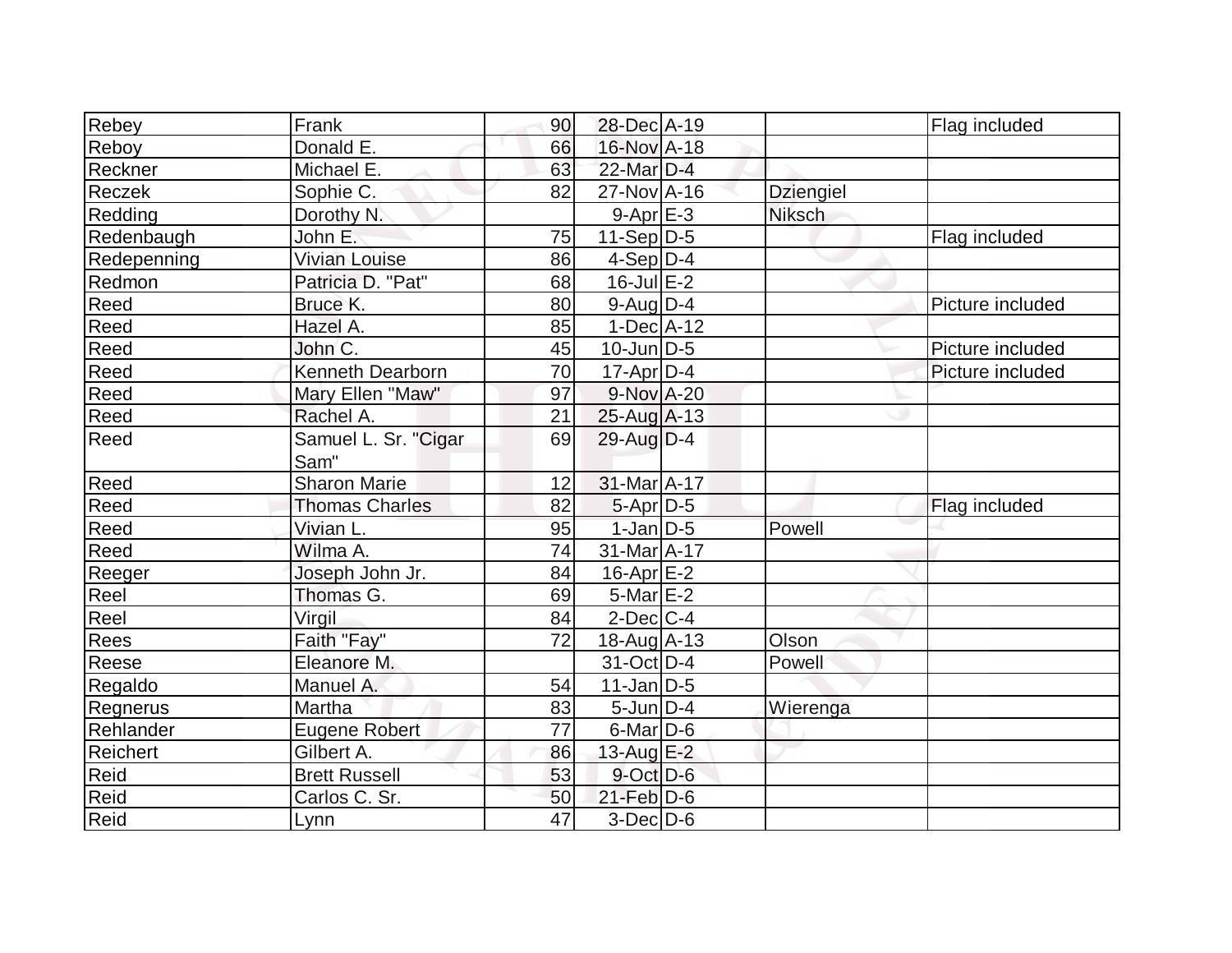| Rebey                      | Frank                   | 90 | 28-Dec A-19       |                  | Flag included    |
|----------------------------|-------------------------|----|-------------------|------------------|------------------|
| Reboy                      | Donald E.               | 66 | 16-Nov A-18       |                  |                  |
| Reckner                    | Michael E.              | 63 | 22-Mar D-4        |                  |                  |
| Reczek                     | Sophie C.               | 82 | $27$ -Nov $A$ -16 | <b>Dziengiel</b> |                  |
| Redding                    | Dorothy N.              |    | $9 - Apr$ $E - 3$ | Niksch           |                  |
| Redenbaugh                 | John E.                 | 75 | $11-Sep D-5$      |                  | Flag included    |
| Redepenning                | <b>Vivian Louise</b>    | 86 | $4-Sep D-4$       |                  |                  |
| Redmon                     | Patricia D. "Pat"       | 68 | $16$ -Jul $E-2$   |                  |                  |
| Reed                       | Bruce K.                | 80 | $9$ -Aug $D-4$    |                  | Picture included |
| Reed                       | Hazel A.                | 85 | $1-Dec$ $A-12$    |                  |                  |
| Reed                       | John C.                 | 45 | $10$ -Jun $D-5$   |                  | Picture included |
| Reed                       | <b>Kenneth Dearborn</b> | 70 | $17$ -Apr $ D-4 $ |                  | Picture included |
| Reed                       | Mary Ellen "Maw"        | 97 | 9-Nov A-20        |                  |                  |
| Reed                       | Rachel A.               | 21 | $25$ -Aug $ A-13$ |                  |                  |
| Reed                       | Samuel L. Sr. "Cigar    | 69 | $29$ -Aug $D-4$   |                  |                  |
|                            | Sam"                    |    |                   |                  |                  |
| Reed                       | <b>Sharon Marie</b>     | 12 | $31$ -Mar $A$ -17 |                  |                  |
| Reed                       | <b>Thomas Charles</b>   | 82 | $5-Apr$ D-5       |                  | Flag included    |
| Reed                       | Vivian L.               | 95 | $1$ -Jan $D-5$    | Powell           |                  |
| Reed                       | Wilma A.                | 74 | 31-Mar A-17       |                  |                  |
| Reeger                     | Joseph John Jr.         | 84 | $16$ -Apr $E-2$   |                  |                  |
| Reel                       | Thomas G.               | 69 | $5$ -Mar $E-2$    |                  |                  |
| $\overline{\mathsf{Reel}}$ | Virgil                  | 84 | $2$ -Dec $ C-4 $  |                  |                  |
| <b>Rees</b>                | Faith "Fay"             | 72 | $18$ -Aug $A$ -13 | Olson            |                  |
| Reese                      | Eleanore M.             |    | 31-Oct D-4        | Powell           |                  |
| Regaldo                    | Manuel A.               | 54 | $11$ -Jan $ D-5 $ |                  |                  |
| <b>Regnerus</b>            | Martha                  | 83 | $5$ -Jun $D-4$    | Wierenga         |                  |
| Rehlander                  | <b>Eugene Robert</b>    | 77 | $6$ -Mar $D$ -6   |                  |                  |
| Reichert                   | Gilbert A.              | 86 | 13-Aug E-2        |                  |                  |
| Reid                       | <b>Brett Russell</b>    | 53 | 9-Oct D-6         |                  |                  |
| Reid                       | Carlos C. Sr.           | 50 | $21$ -Feb $D-6$   |                  |                  |
| Reid                       | Lynn                    | 47 | $3$ -Dec $D$ -6   |                  |                  |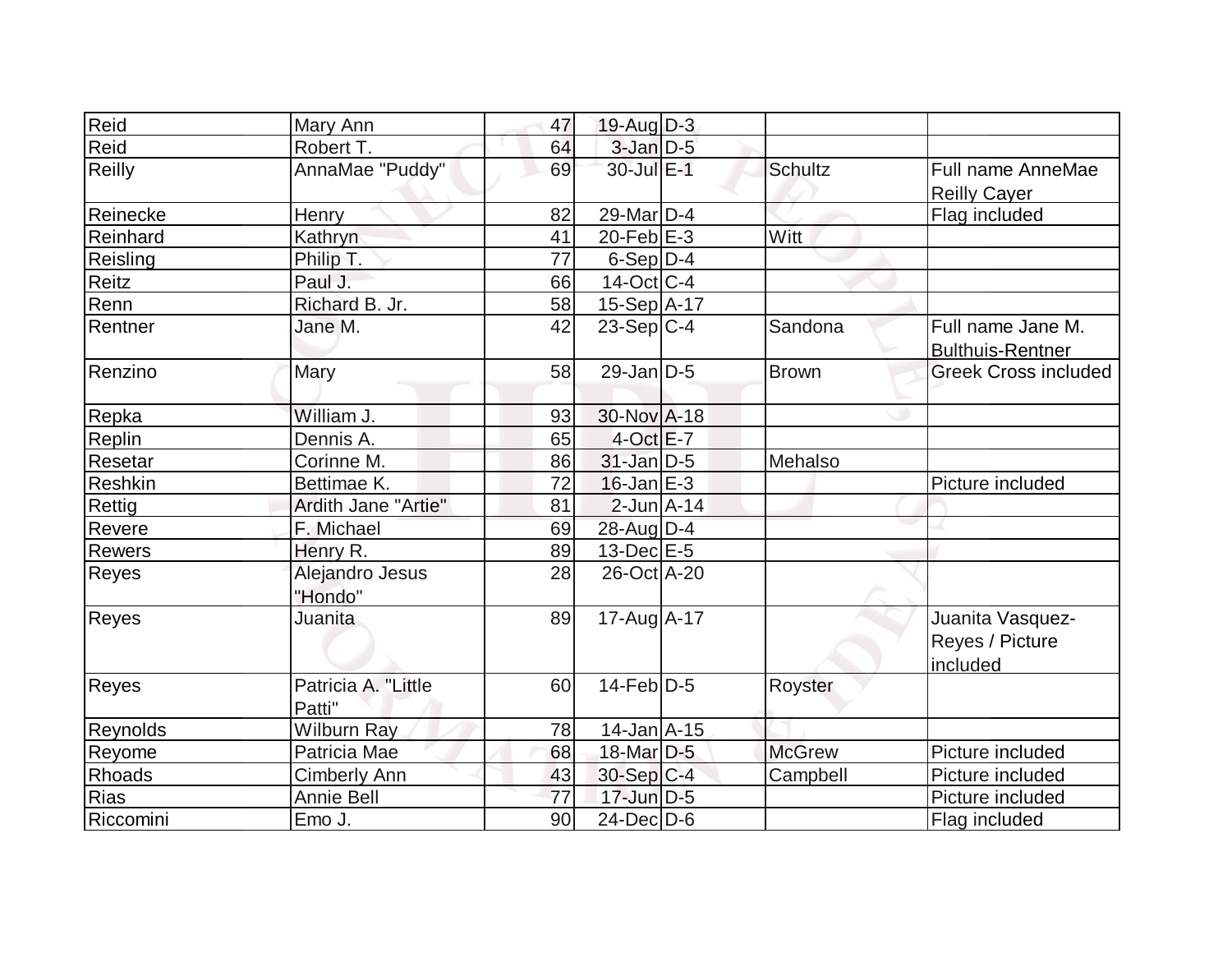| Reid         | Mary Ann                      | 47 | $19$ -Aug $D-3$             |               |                                                 |
|--------------|-------------------------------|----|-----------------------------|---------------|-------------------------------------------------|
| Reid         | Robert T.                     | 64 | 3-Jan D-5                   |               |                                                 |
| Reilly       | AnnaMae "Puddy"               | 69 | 30-Jul E-1                  | Schultz       | <b>Full name AnneMae</b><br><b>Reilly Cayer</b> |
| Reinecke     | Henry                         | 82 | 29-Mar <sub>D-4</sub>       |               | Flag included                                   |
| Reinhard     | Kathryn                       | 41 | $20$ -Feb $E-3$             | Witt          |                                                 |
| Reisling     | Philip T.                     | 77 | $6-Sep D-4$                 |               |                                                 |
| Reitz        | Paul J.                       | 66 | $14$ -Oct $ C-4 $           |               |                                                 |
| Renn         | Richard B. Jr.                | 58 | 15-Sep A-17                 |               |                                                 |
| Rentner      | Jane M.                       | 42 | $23-Sep C-4$                | Sandona       | Full name Jane M.<br><b>Bulthuis-Rentner</b>    |
| Renzino      | Mary                          | 58 | $29$ -Jan D-5               | <b>Brown</b>  | <b>Greek Cross included</b>                     |
| Repka        | William J.                    | 93 | 30-Nov A-18                 |               |                                                 |
| Replin       | Dennis A.                     | 65 | $4$ -Oct E-7                |               |                                                 |
| Resetar      | Corinne M.                    | 86 | $31$ -Jan $D-5$             | Mehalso       |                                                 |
| Reshkin      | Bettimae K.                   | 72 | $16$ -Jan $E-3$             |               | Picture included                                |
| Rettig       | Ardith Jane "Artie"           | 81 | $2$ -Jun $A$ -14            |               |                                                 |
| Revere       | F. Michael                    | 69 | 28-Aug D-4                  |               |                                                 |
| Rewers       | Henry R.                      | 89 | $13$ -Dec $E$ -5            |               |                                                 |
| Reyes        | Alejandro Jesus<br>"Hondo"    | 28 | 26-Oct A-20                 |               |                                                 |
| <b>Reyes</b> | Juanita                       | 89 | $17$ -Aug $A$ -17           |               | Juanita Vasquez-<br>Reyes / Picture<br>included |
| <b>Reyes</b> | Patricia A. "Little<br>Patti" | 60 | $14$ -Feb $\overline{D}$ -5 | Royster       |                                                 |
| Reynolds     | <b>Wilburn Ray</b>            | 78 | $14$ -Jan $A$ -15           |               |                                                 |
| Reyome       | Patricia Mae                  | 68 | 18-Mar D-5                  | <b>McGrew</b> | Picture included                                |
| Rhoads       | <b>Cimberly Ann</b>           | 43 | 30-Sep C-4                  | Campbell      | Picture included                                |
| Rias         | <b>Annie Bell</b>             | 77 | $17$ -Jun $D-5$             |               | Picture included                                |
| Riccomini    | Emo J.                        | 90 | 24-Dec D-6                  |               | Flag included                                   |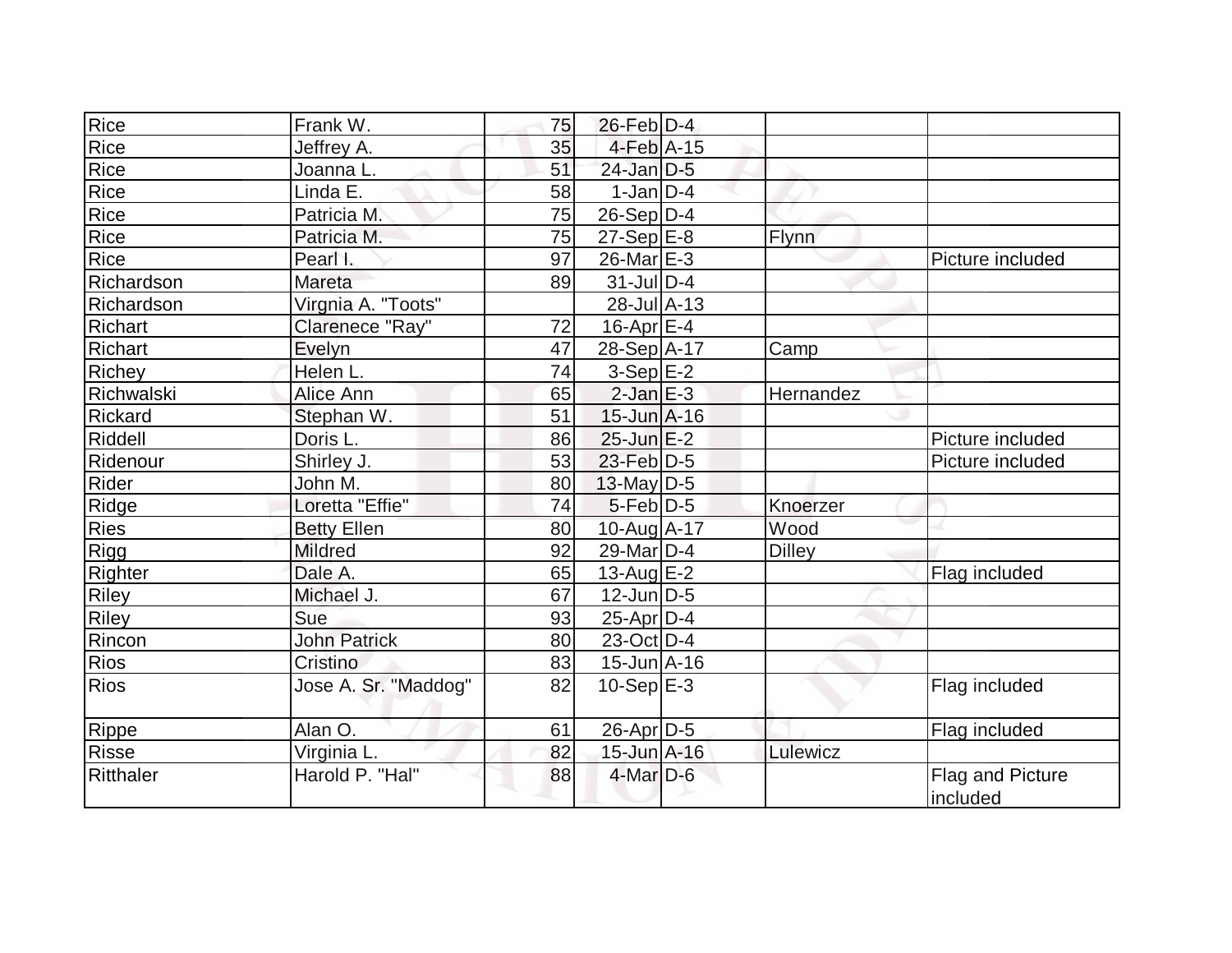| Rice                      | Frank W.             | 75 | $26$ -Feb $D-4$                 |               |                              |
|---------------------------|----------------------|----|---------------------------------|---------------|------------------------------|
| Rice                      | Jeffrey A.           | 35 | 4-Feb A-15                      |               |                              |
| Rice                      | Joanna L.            | 51 | $24$ -Jan $D-5$                 |               |                              |
| Rice                      | Linda E.             | 58 | $1$ -Jan $ D-4 $                |               |                              |
| Rice                      | Patricia M.          | 75 | $26-Sep D-4$                    |               |                              |
| Rice                      | Patricia M.          | 75 | $27-Sep$ <sup>E-8</sup>         | Flynn         |                              |
| Rice                      | Pearl I.             | 97 | $26$ -Mar $E-3$                 |               | Picture included             |
| Richardson                | Mareta               | 89 | $31$ -JulD-4                    |               |                              |
| Richardson                | Virgnia A. "Toots"   |    | $28$ -Jul $\overline{A}$ -13    |               |                              |
|                           | Clarenece "Ray"      | 72 | $16$ -Apr $E$ -4                |               |                              |
| Richart<br><b>Richart</b> |                      | 47 | 28-Sep A-17                     |               |                              |
|                           | Evelyn               |    |                                 | Camp          |                              |
| <b>Richey</b>             | Helen L.             | 74 | $3-Sep$ $E-2$<br>$2$ -Jan $E-3$ |               |                              |
| Richwalski                | Alice Ann            | 65 |                                 | Hernandez     |                              |
| <b>Rickard</b>            | Stephan W.           | 51 | $15$ -Jun $A$ -16               |               |                              |
| Riddell                   | Doris L.             | 86 | $25$ -Jun $E-2$                 |               | Picture included             |
| Ridenour                  | Shirley J.           | 53 | $23$ -Feb $ D-5$                |               | Picture included             |
| Rider                     | John M.              | 80 | $13$ -May D-5                   |               |                              |
| Ridge                     | Loretta "Effie"      | 74 | $5-Feb D-5$                     | Knoerzer      |                              |
| Ries                      | <b>Betty Ellen</b>   | 80 | 10-Aug A-17                     | Wood          |                              |
| Rigg                      | <b>Mildred</b>       | 92 | 29-Mar <sub>D-4</sub>           | <b>Dilley</b> |                              |
| Righter                   | Dale A.              | 65 | 13-Aug $E-2$                    |               | Flag included                |
| <b>Riley</b>              | Michael J.           | 67 | $12$ -Jun $D-5$                 |               |                              |
| Riley                     | Sue                  | 93 | $25$ -Apr $ D-4$                |               |                              |
| Rincon                    | <b>John Patrick</b>  | 80 | $23$ -Oct $D-4$                 |               |                              |
| Rios                      | Cristino             | 83 | $15$ -Jun $A$ -16               |               |                              |
| Rios                      | Jose A. Sr. "Maddog" | 82 | $10-Sep$ $E-3$                  |               | Flag included                |
| Rippe                     | Alan O.              | 61 | 26-Apr D-5                      |               | Flag included                |
| Risse                     | Virginia L.          | 82 | 15-Jun A-16                     | Lulewicz      |                              |
| Ritthaler                 | Harold P. "Hal"      | 88 | $4$ -Mar $D-6$                  |               | Flag and Picture<br>included |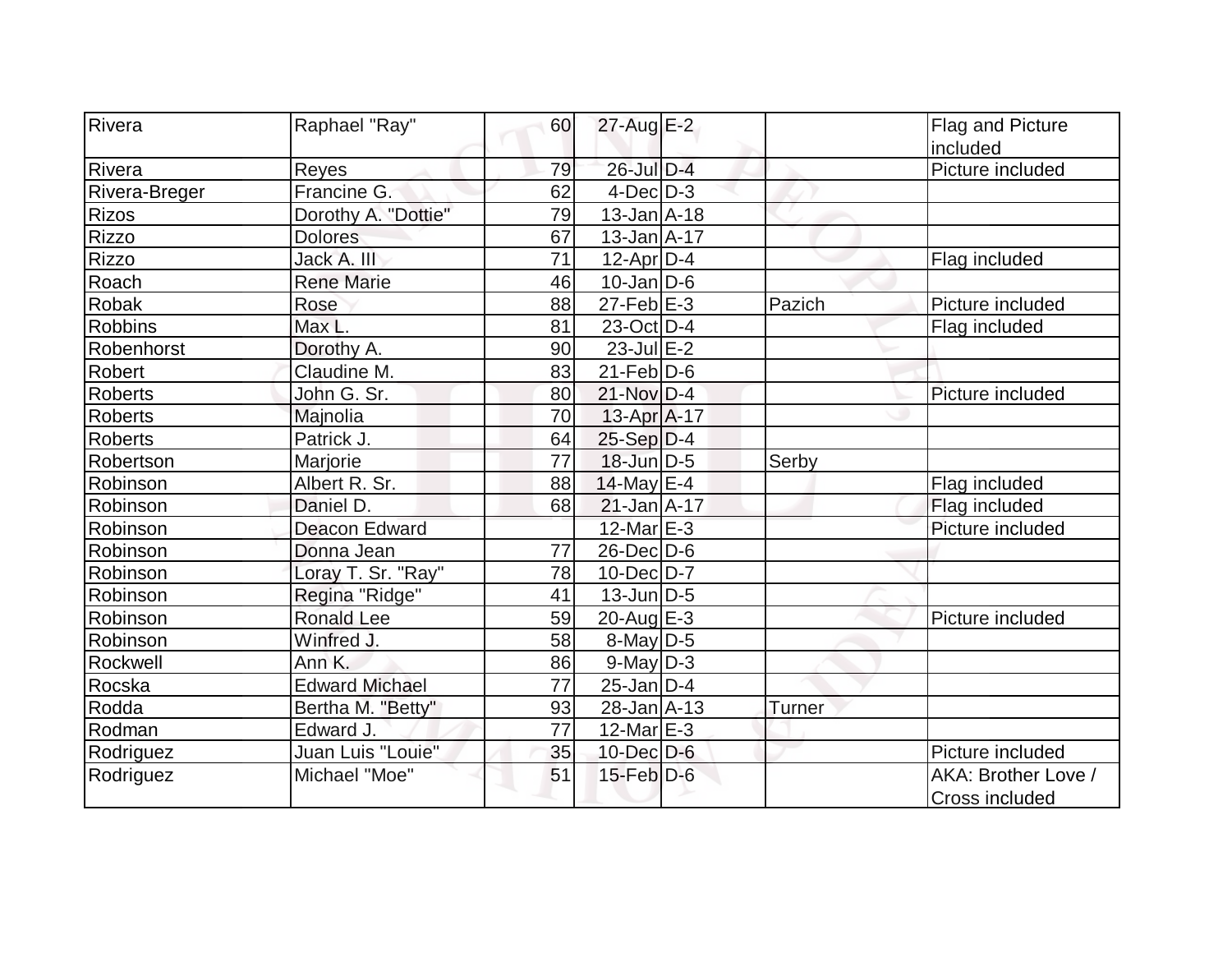| Rivera               | Raphael "Ray"        | 60 | 27-Aug E-2        |               | Flag and Picture    |
|----------------------|----------------------|----|-------------------|---------------|---------------------|
|                      |                      |    |                   |               | included            |
| Rivera               | Reyes                | 79 | 26-Jul D-4        |               | Picture included    |
| <b>Rivera-Breger</b> | Francine G.          | 62 | $4$ -Dec $D-3$    |               |                     |
| <b>Rizos</b>         | Dorothy A. "Dottie"  | 79 | $13 - Jan$ $A-18$ |               |                     |
| <b>Rizzo</b>         | <b>Dolores</b>       | 67 | $13$ -Jan $ A-17$ |               |                     |
| Rizzo                | Jack A. III          | 71 | $12$ -Apr $D-4$   |               | Flag included       |
| Roach                | <b>Rene Marie</b>    | 46 | $10$ -Jan D-6     |               |                     |
| Robak                | Rose                 | 88 | $27$ -Feb $E-3$   | Pazich        | Picture included    |
| <b>Robbins</b>       | Max L.               | 81 | 23-Oct D-4        |               | Flag included       |
| Robenhorst           | Dorothy A.           | 90 | $23$ -Jul $E-2$   |               |                     |
| <b>Robert</b>        | Claudine M.          | 83 | $21$ -Feb $ D-6$  |               |                     |
| <b>Roberts</b>       | John G. Sr.          | 80 | $21$ -Nov $D-4$   |               | Picture included    |
| <b>Roberts</b>       | Majnolia             | 70 | $13$ -Apr $A$ -17 |               |                     |
| <b>Roberts</b>       | Patrick J.           | 64 | $25-Sep D-4$      |               |                     |
| Robertson            | Marjorie             | 77 | $18$ -Jun $D-5$   | Serby         |                     |
| Robinson             | Albert R. Sr.        | 88 | 14-May $E-4$      |               | Flag included       |
| Robinson             | Daniel D.            | 68 | $21$ -Jan $A-17$  |               | Flag included       |
| Robinson             | <b>Deacon Edward</b> |    | $12$ -Mar $E-3$   |               | Picture included    |
| Robinson             | Donna Jean           | 77 | 26-Dec D-6        |               |                     |
| Robinson             | Loray T. Sr. "Ray"   | 78 | 10-Dec D-7        |               |                     |
| Robinson             | Regina "Ridge"       | 41 | $13$ -Jun $ D-5$  |               |                     |
| Robinson             | <b>Ronald Lee</b>    | 59 | $20$ -Aug $E-3$   |               | Picture included    |
| Robinson             | Winfred J.           | 58 | $8$ -May $D-5$    |               |                     |
| Rockwell             | Ann K.               | 86 | $9$ -May $D-3$    |               |                     |
| Rocska               | Edward Michael       | 77 | $25$ -Jan $D-4$   |               |                     |
| Rodda                | Bertha M. "Betty"    | 93 | $28$ -Jan $A$ -13 | <b>Turner</b> |                     |
| Rodman               | Edward J.            | 77 | $12$ -Mar $E-3$   |               |                     |
| Rodriguez            | Juan Luis "Louie"    | 35 | 10-Dec D-6        |               | Picture included    |
| Rodriguez            | Michael "Moe"        | 51 | $15$ -Feb $D$ -6  |               | AKA: Brother Love / |
|                      |                      |    |                   |               | Cross included      |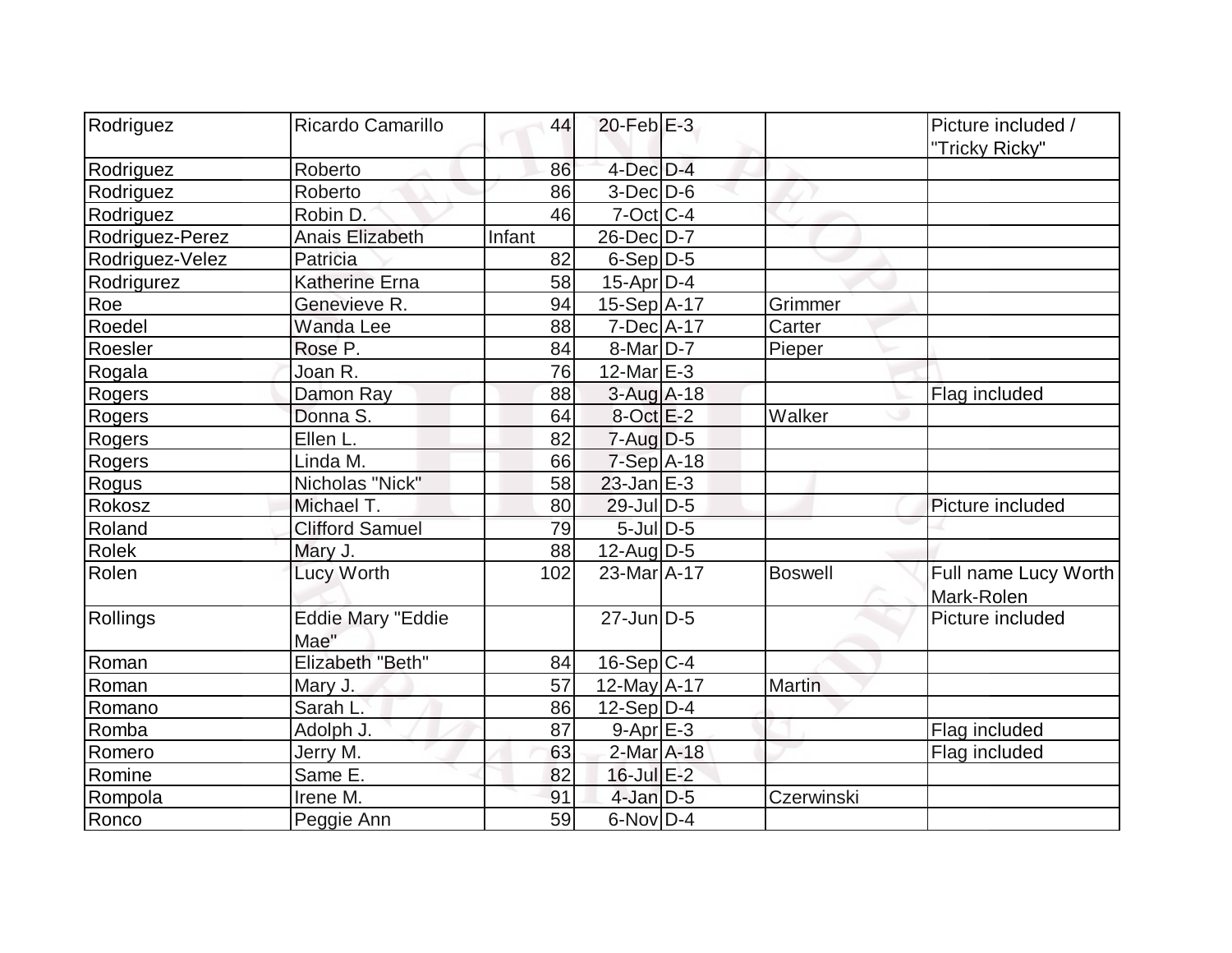| Rodriguez<br>Ricardo Camarillo       | 44     | $20$ -Feb $E-3$   |                | Picture included /   |
|--------------------------------------|--------|-------------------|----------------|----------------------|
|                                      |        |                   |                | "Tricky Ricky"       |
| Rodriguez<br>Roberto                 | 86     | $4$ -Dec $D-4$    |                |                      |
| Roberto<br>Rodriguez                 | 86     | $3-Dec$ $D-6$     |                |                      |
| Robin D.<br>Rodriguez                | 46     | $7$ -Oct $ C-4 $  |                |                      |
| Rodriguez-Perez<br>Anais Elizabeth   | Infant | 26-Dec D-7        |                |                      |
| Rodriguez-Velez<br>Patricia          | 82     | $6-Sep D-5$       |                |                      |
| Katherine Erna<br>Rodrigurez         | 58     | $15$ -Apr $ D-4$  |                |                      |
| Roe<br>Genevieve R.                  | 94     | $15-Sep$ $A-17$   | Grimmer        |                      |
| Roedel<br><b>Wanda Lee</b>           | 88     | $7$ -Dec $A$ -17  | Carter         |                      |
| Roesler<br>Rose P.                   | 84     | $8-Mar D-7$       | Pieper         |                      |
| Rogala<br>Joan R.                    | 76     | $12$ -Mar $E-3$   |                |                      |
| Rogers<br>Damon Ray                  | 88     | $3$ -Aug $A$ -18  |                | Flag included        |
| Donna S.<br>Rogers                   | 64     | $8-Oct$ $E-2$     | Walker         |                      |
| Ellen L.<br>Rogers                   | 82     | $7 - Aug   D-5$   |                |                      |
| Linda M.<br>Rogers                   | 66     | $7-Sep$ $A-18$    |                |                      |
| Nicholas "Nick"<br>Rogus             | 58     | $23$ -Jan $E-3$   |                |                      |
| Rokosz<br>Michael T.                 | 80     | 29-Jul D-5        |                | Picture included     |
| <b>Clifford Samuel</b><br>Roland     | 79     | $5$ -Jul $D-5$    |                |                      |
| <b>Rolek</b><br>Mary J.              | 88     | 12-Aug D-5        |                |                      |
| <b>Lucy Worth</b><br>Rolen           | 102    | $23$ -Mar $ A-17$ | <b>Boswell</b> | Full name Lucy Worth |
|                                      |        |                   |                | Mark-Rolen           |
| Rollings<br><b>Eddie Mary "Eddie</b> |        | $27$ -Jun $ D-5 $ |                | Picture included     |
| Mae"                                 |        |                   |                |                      |
| Elizabeth "Beth"<br>Roman            | 84     | $16-Sep C-4$      |                |                      |
| Roman<br>Mary J.                     | 57     | $12$ -May $A$ -17 | <b>Martin</b>  |                      |
| Sarah L.<br>Romano                   | 86     | $12-Sep D-4$      |                |                      |
| Romba<br>Adolph J.                   | 87     | $9-Apr$ $E-3$     |                | Flag included        |
| Romero<br>Jerry M.                   | 63     | 2-Mar A-18        |                | Flag included        |
| Same E.<br>Romine                    | 82     | $16$ -Jul $E-2$   |                |                      |
| Rompola<br>Irene M.                  | 91     | $4$ -Jan $D-5$    | Czerwinski     |                      |
| Peggie Ann<br>Ronco                  | 59     | $6$ -Nov $D-4$    |                |                      |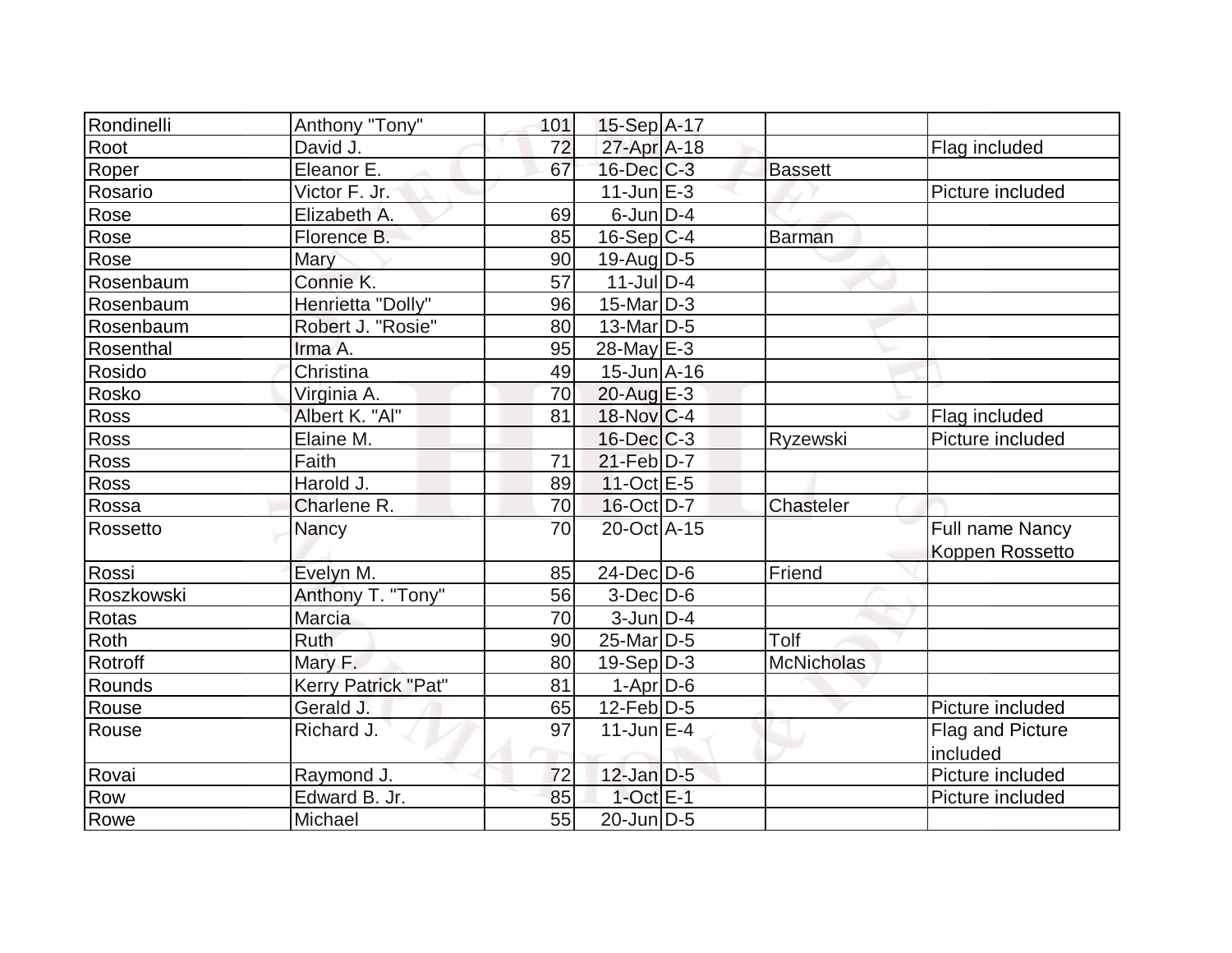| Rondinelli  | Anthony "Tony"      | 101             | 15-Sep A-17           |                   |                  |
|-------------|---------------------|-----------------|-----------------------|-------------------|------------------|
| Root        | David J.            | 72              | 27-Apr A-18           |                   | Flag included    |
| Roper       | Eleanor E.          | 67              | $16$ -Dec $C$ -3      | <b>Bassett</b>    |                  |
| Rosario     | Victor F. Jr.       |                 | $11$ -Jun $E-3$       |                   | Picture included |
| Rose        | Elizabeth A.        | 69              | $6$ -Jun $D-4$        |                   |                  |
| Rose        | Florence B.         | 85              | $16-Sep C-4$          | <b>Barman</b>     |                  |
| Rose        | Mary                | 90              | $19$ -Aug $D-5$       |                   |                  |
| Rosenbaum   | Connie K.           | $\overline{57}$ | $11$ -JulD-4          |                   |                  |
| Rosenbaum   | Henrietta "Dolly"   | 96              | $15$ -Mar $ D-3 $     |                   |                  |
| Rosenbaum   | Robert J. "Rosie"   | 80              | $13$ -Mar $ D-5$      |                   |                  |
| Rosenthal   | Irma A.             | 95              | $28$ -May E-3         |                   |                  |
| Rosido      | Christina           | 49              | $15$ -Jun $A$ -16     |                   |                  |
| Rosko       | Virginia A.         | 70              | 20-Aug E-3            |                   |                  |
| Ross        | Albert K. "Al"      | 81              | 18-Nov C-4            |                   | Flag included    |
| Ross        | Elaine M.           |                 | $16$ -Dec $C-3$       | Ryzewski          | Picture included |
| <b>Ross</b> | Faith               | 71              | $21$ -Feb $D-7$       |                   |                  |
| <b>Ross</b> | Harold J.           | 89              | $11-Oct$ E-5          |                   |                  |
| Rossa       | Charlene R.         | 70              | $16$ -Oct $D-7$       | Chasteler         |                  |
| Rossetto    | Nancy               | 70              | 20-Oct A-15           |                   | Full name Nancy  |
|             |                     |                 |                       |                   | Koppen Rossetto  |
| Rossi       | Evelyn M.           | 85              | $24$ -Dec $D-6$       | Friend            |                  |
| Roszkowski  | Anthony T. "Tony"   | 56              | $3-Dec D-6$           |                   |                  |
| Rotas       | Marcia              | 70              | $3$ -Jun $D-4$        |                   |                  |
| Roth        | Ruth                | 90              | 25-Mar <sub>D-5</sub> | Tolf              |                  |
| Rotroff     | Mary F.             | 80              | $19-Sep D-3$          | <b>McNicholas</b> |                  |
| Rounds      | Kerry Patrick "Pat" | 81              | $1-Apr$ D-6           |                   |                  |
| Rouse       | Gerald J.           | 65              | $12$ -Feb $ D-5$      |                   | Picture included |
| Rouse       | Richard J.          | 97              | $11$ -Jun $E-4$       |                   | Flag and Picture |
|             |                     |                 |                       |                   | included         |
| Rovai       | Raymond J.          | 72              | $12$ -Jan $D-5$       |                   | Picture included |
| Row         | Edward B. Jr.       | 85              | $1$ -Oct $E-1$        |                   | Picture included |
| Rowe        | Michael             | 55              | $20$ -Jun $ D-5$      |                   |                  |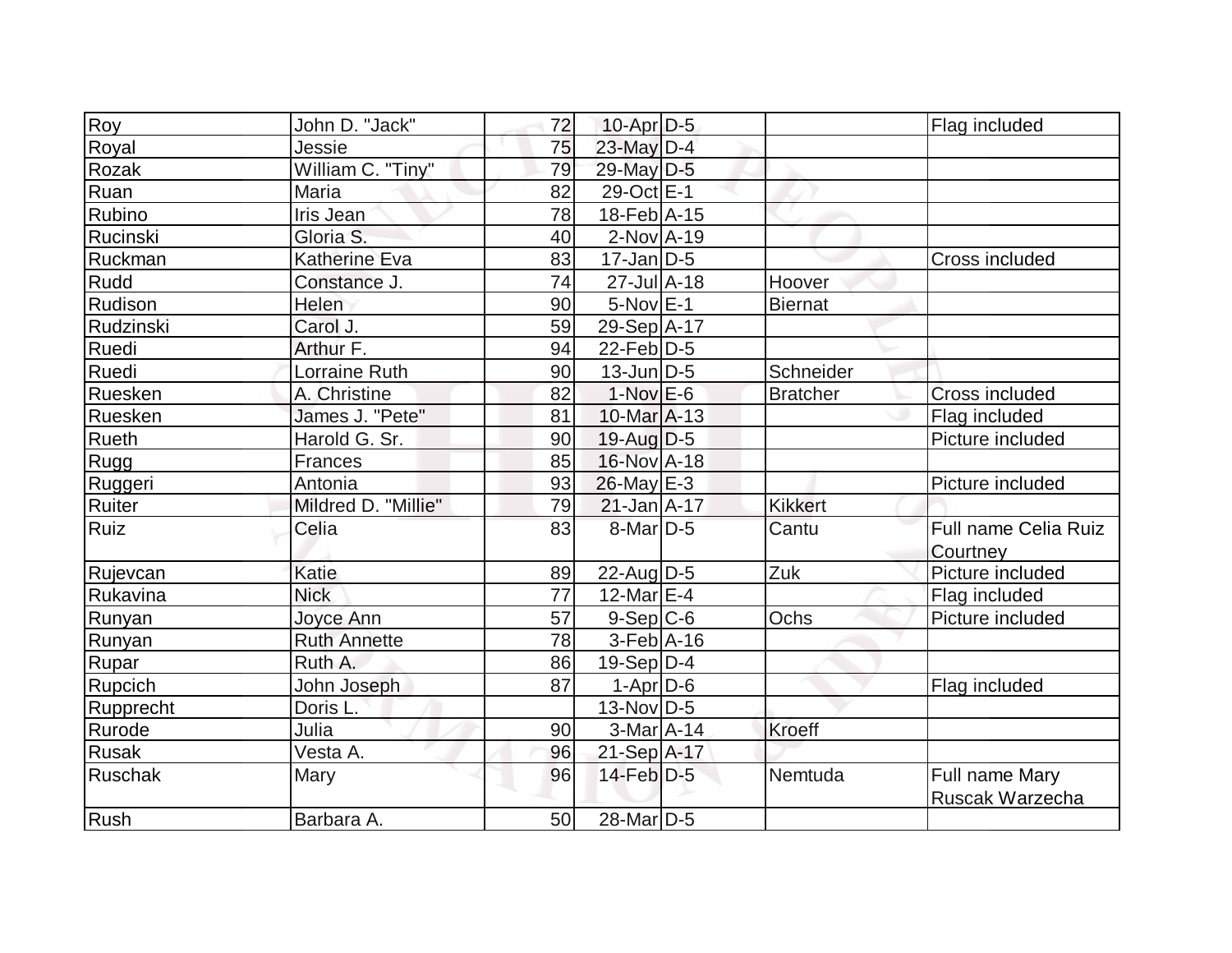| Roy       | John D. "Jack"      | 72 | $10$ -Apr $D-5$      |                 | Flag included         |
|-----------|---------------------|----|----------------------|-----------------|-----------------------|
| Royal     | Jessie              | 75 | 23-May D-4           |                 |                       |
| Rozak     | William C. "Tiny"   | 79 | 29-May D-5           |                 |                       |
| Ruan      | Maria               | 82 | 29-Oct E-1           |                 |                       |
| Rubino    | Iris Jean           | 78 | 18-Feb A-15          |                 |                       |
| Rucinski  | Gloria S.           | 40 | $2$ -Nov $A$ -19     |                 |                       |
| Ruckman   | Katherine Eva       | 83 | $17$ -Jan D-5        |                 | Cross included        |
| Rudd      | Constance J.        | 74 | $27 -$ Jul $A - 18$  | Hoover          |                       |
| Rudison   | Helen               | 90 | $5-NovE-1$           | Biernat         |                       |
| Rudzinski | Carol J.            | 59 | 29-Sep A-17          |                 |                       |
| Ruedi     | Arthur F.           | 94 | $22$ -Feb $D-5$      |                 |                       |
| Ruedi     | Lorraine Ruth       | 90 | $13$ -Jun $ D-5$     | Schneider       |                       |
| Ruesken   | A. Christine        | 82 | $1-Nov$ $E-6$        | <b>Bratcher</b> | <b>Cross included</b> |
| Ruesken   | James J. "Pete"     | 81 | $10$ -Mar $A-13$     |                 | Flag included         |
| Rueth     | Harold G. Sr.       | 90 | $19$ -Aug $D-5$      |                 | Picture included      |
| Rugg      | Frances             | 85 | 16-Nov A-18          |                 |                       |
| Ruggeri   | Antonia             | 93 | $26$ -May $E-3$      |                 | Picture included      |
| Ruiter    | Mildred D. "Millie" | 79 | $21$ -Jan $A-17$     | <b>Kikkert</b>  |                       |
| Ruiz      | Celia               | 83 | 8-Mar <sub>D-5</sub> | Cantu           | Full name Celia Ruiz  |
|           |                     |    |                      |                 | Courtney              |
| Rujevcan  | Katie               | 89 | $22$ -AugD-5         | Zuk             | Picture included      |
| Rukavina  | <b>Nick</b>         | 77 | $12$ -Mar $E-4$      |                 | Flag included         |
| Runyan    | Joyce Ann           | 57 | $9-Sep C-6$          | Ochs            | Picture included      |
| Runyan    | <b>Ruth Annette</b> | 78 | $3-Feb$ A-16         |                 |                       |
| Rupar     | Ruth A.             | 86 | $19-Sep D-4$         |                 |                       |
| Rupcich   | John Joseph         | 87 | $1-Apr$ D-6          |                 | Flag included         |
| Rupprecht | Doris L.            |    | $13-Nov D-5$         |                 |                       |
| Rurode    | Julia               | 90 | $3-MarA-14$          | Kroeff          |                       |
| Rusak     | Vesta A.            | 96 | 21-Sep A-17          |                 |                       |
| Ruschak   | Mary                | 96 | $14$ -Feb $D-5$      | Nemtuda         | Full name Mary        |
|           |                     |    |                      |                 | Ruscak Warzecha       |
| Rush      | Barbara A.          | 50 | $28$ -Mar $ D-5 $    |                 |                       |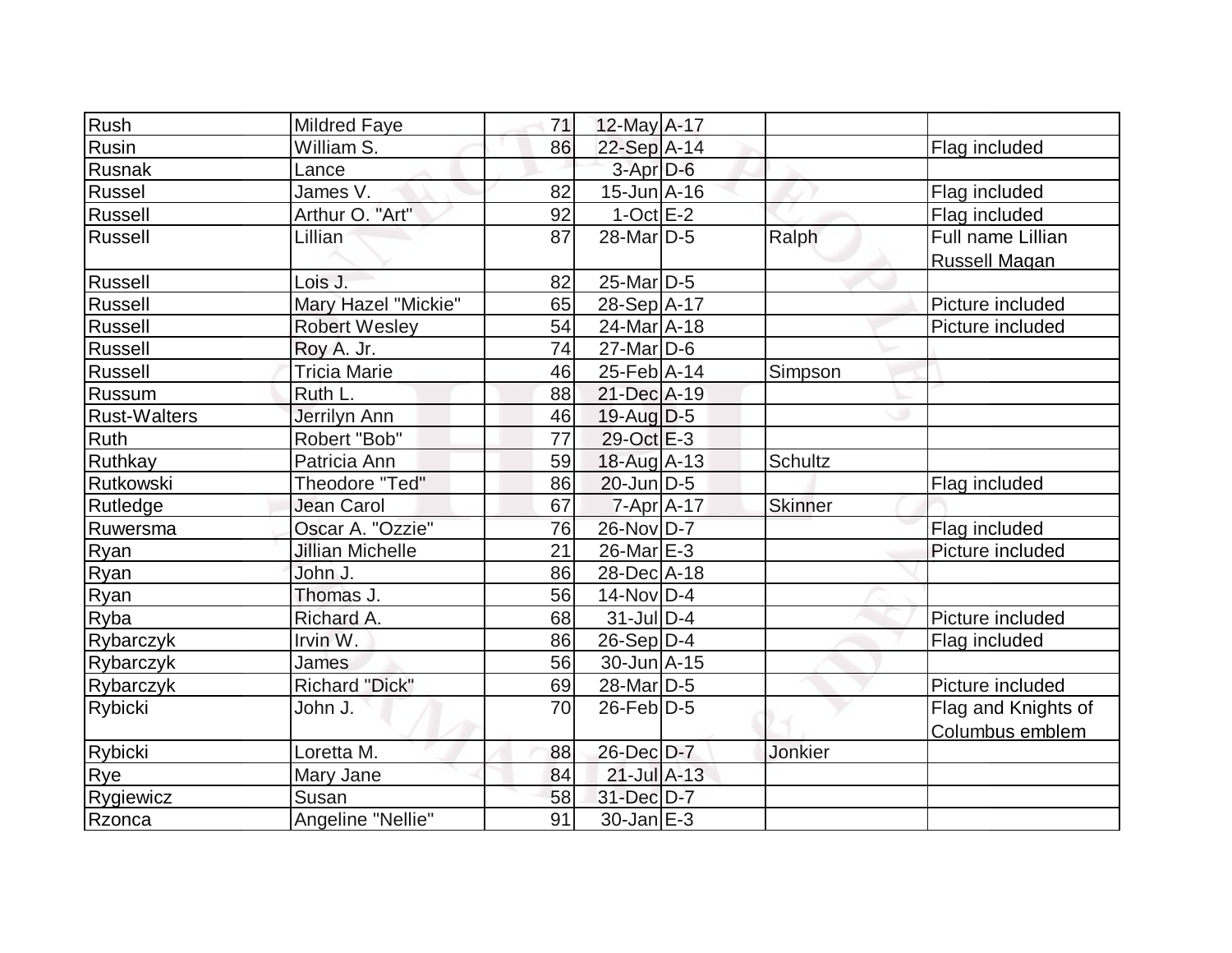| Rush                | <b>Mildred Faye</b>   | 71 | 12-May A-17           |                |                     |
|---------------------|-----------------------|----|-----------------------|----------------|---------------------|
| Rusin               | William S.            | 86 | $22-Sep$ A-14         |                | Flag included       |
| <b>Rusnak</b>       | Lance                 |    | $3-Apr$ $D-6$         |                |                     |
| Russel              | James V.              | 82 | $15$ -Jun $A$ -16     |                | Flag included       |
| <b>Russell</b>      | Arthur O. "Art"       | 92 | $1-Oct$ E-2           |                | Flag included       |
| <b>Russell</b>      | Lillian               | 87 | $28$ -Mar $D-5$       | Ralph          | Full name Lillian   |
|                     |                       |    |                       |                | Russell Magan       |
| <b>Russell</b>      | Lois J.               | 82 | 25-Mar <sub>D-5</sub> |                |                     |
| <b>Russell</b>      | Mary Hazel "Mickie"   | 65 | 28-Sep A-17           |                | Picture included    |
| Russell             | <b>Robert Wesley</b>  | 54 | 24-Mar A-18           |                | Picture included    |
| <b>Russell</b>      | Roy A. Jr.            | 74 | $27$ -Mar $D-6$       |                |                     |
| <b>Russell</b>      | <b>Tricia Marie</b>   | 46 | $25$ -Feb $ A-14$     | <b>Simpson</b> |                     |
| Russum              | Ruth L.               | 88 | 21-Dec A-19           |                |                     |
| <b>Rust-Walters</b> | Jerrilyn Ann          | 46 | $19$ -Aug D-5         |                |                     |
| Ruth                | Robert "Bob"          | 77 | 29-Oct E-3            |                |                     |
| Ruthkay             | Patricia Ann          | 59 | $18$ -Aug $A$ -13     | <b>Schultz</b> |                     |
| Rutkowski           | Theodore "Ted"        | 86 | $20$ -Jun $D-5$       |                | Flag included       |
| Rutledge            | <b>Jean Carol</b>     | 67 | $7 - Apr$ $A - 17$    | Skinner        |                     |
| Ruwersma            | Oscar A. "Ozzie"      | 76 | 26-Nov D-7            |                | Flag included       |
| Ryan                | Jillian Michelle      | 21 | $26$ -Mar $E-3$       |                | Picture included    |
| Ryan                | John J.               | 86 | $28$ -Dec $A$ -18     |                |                     |
| Ryan                | Thomas J.             | 56 | $14$ -Nov $ D-4$      |                |                     |
| Ryba                | Richard A.            | 68 | $31$ -JulD-4          |                | Picture included    |
| Rybarczyk           | Irvin W.              | 86 | $26-Sep D-4$          |                | Flag included       |
| Rybarczyk           | James                 | 56 | $30 - Jun$ A-15       |                |                     |
| Rybarczyk           | <b>Richard "Dick"</b> | 69 | 28-Mar <sub>D-5</sub> |                | Picture included    |
| Rybicki             | John J.               | 70 | $26$ -Feb $D-5$       |                | Flag and Knights of |
|                     |                       |    |                       |                | Columbus emblem     |
| Rybicki             | Loretta M.            | 88 | 26-Dec D-7            | Jonkier        |                     |
| Rye                 | Mary Jane             | 84 | $21$ -Jul $A-13$      |                |                     |
| Rygiewicz           | Susan                 | 58 | 31-Dec D-7            |                |                     |
| Rzonca              | Angeline "Nellie"     | 91 | $30$ -Jan $E-3$       |                |                     |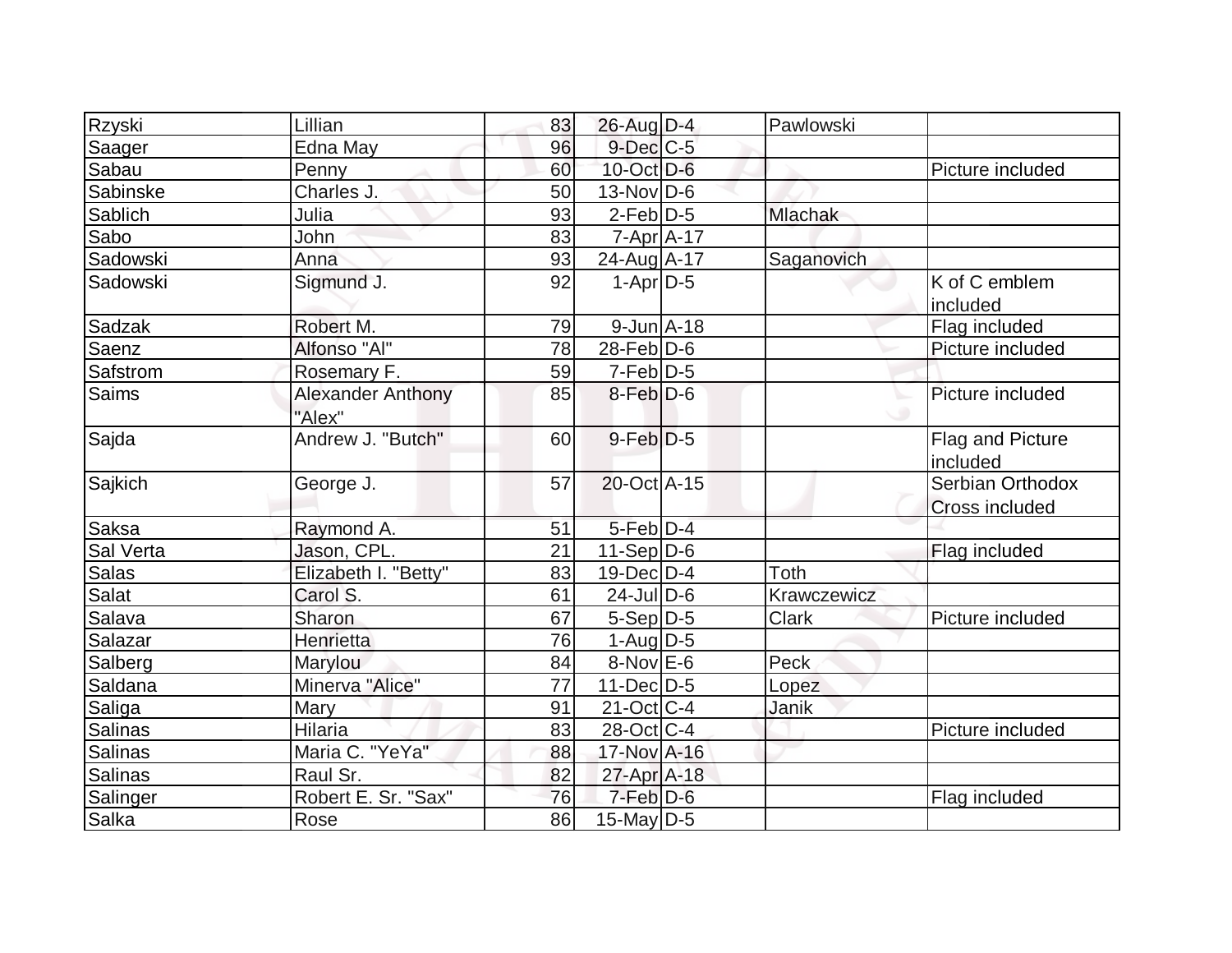| Rzyski         | Lillian                            | 83 | 26-Aug D-4         | Pawlowski      |                                    |
|----------------|------------------------------------|----|--------------------|----------------|------------------------------------|
| Saager         | Edna May                           | 96 | $9$ -Dec $C$ -5    |                |                                    |
| Sabau          | Penny                              | 60 | $10$ -Oct $D-6$    |                | Picture included                   |
| Sabinske       | Charles J.                         | 50 | $13-Nov D-6$       |                |                                    |
| Sablich        | Julia                              | 93 | $2-Feb D-5$        | <b>Mlachak</b> |                                    |
| Sabo           | John                               | 83 | $7 - Apr$ $A - 17$ |                |                                    |
| Sadowski       | Anna                               | 93 | 24-Aug A-17        | Saganovich     |                                    |
| Sadowski       | Sigmund J.                         | 92 | $1-Apr D-5$        |                | K of C emblem<br>included          |
| Sadzak         | Robert M.                          | 79 | $9$ -Jun $A$ -18   |                | Flag included                      |
| Saenz          | Alfonso "Al"                       | 78 | $28$ -Feb $ D-6$   |                | Picture included                   |
| Safstrom       | Rosemary F.                        | 59 | 7-Feb D-5          |                |                                    |
| <b>Saims</b>   | <b>Alexander Anthony</b><br>"Alex" | 85 | $8$ -Feb $D-6$     |                | Picture included                   |
| Sajda          | Andrew J. "Butch"                  | 60 | $9$ -Feb $D-5$     |                | Flag and Picture<br>included       |
| Sajkich        | George J.                          | 57 | 20-Oct A-15        |                | Serbian Orthodox<br>Cross included |
| Saksa          | Raymond A.                         | 51 | $5-Feb$ D-4        |                |                                    |
| Sal Verta      | Jason, CPL.                        | 21 | $11-Sep D-6$       |                | Flag included                      |
| <b>Salas</b>   | Elizabeth I. "Betty"               | 83 | $19$ -Dec $ D-4$   | Toth           |                                    |
| Salat          | Carol S.                           | 61 | $24$ -JulD-6       | Krawczewicz    |                                    |
| Salava         | Sharon                             | 67 | $5-Sep D-5$        | <b>Clark</b>   | Picture included                   |
| Salazar        | Henrietta                          | 76 | $1-Auq$ D-5        |                |                                    |
| Salberg        | Marylou                            | 84 | $8-Nov$ E-6        | Peck           |                                    |
| Saldana        | Minerva "Alice"                    | 77 | $11$ -Dec $ D-5$   | Lopez          |                                    |
| Saliga         | Mary                               | 91 | $21-Oct$ $C-4$     | Janik          |                                    |
| Salinas        | <b>Hilaria</b>                     | 83 | $28$ -Oct C-4      |                | Picture included                   |
| <b>Salinas</b> | Maria C. "YeYa"                    | 88 | 17-Nov A-16        |                |                                    |
| <b>Salinas</b> | Raul Sr.                           | 82 | 27-Apr A-18        |                |                                    |
| Salinger       | Robert E. Sr. "Sax"                | 76 | $7-Feb$ $D-6$      |                | Flag included                      |
| Salka          | Rose                               | 86 | $15$ -May D-5      |                |                                    |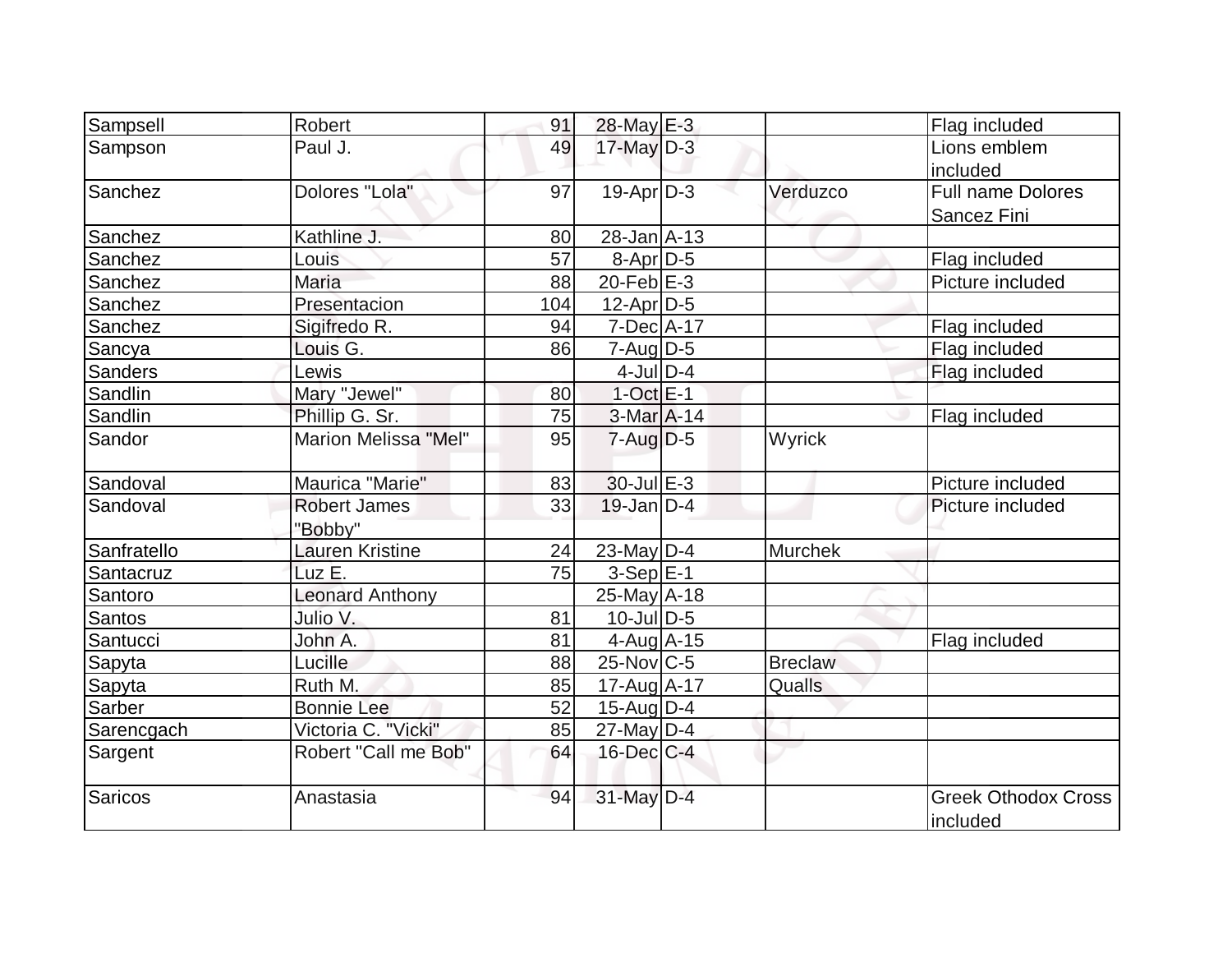| Sampsell       | Robert                      | 91  | 28-May E-3             |                | Flag included                          |
|----------------|-----------------------------|-----|------------------------|----------------|----------------------------------------|
| Sampson        | Paul J.                     | 49  | $17$ -May $D-3$        |                | Lions emblem                           |
|                |                             |     |                        |                | included                               |
| Sanchez        | Dolores "Lola"              | 97  | $19$ -Apr $D-3$        | Verduzco       | <b>Full name Dolores</b>               |
|                |                             |     |                        |                | Sancez Fini                            |
| Sanchez        | Kathline J.                 | 80  | $28 - Jan$ $A - 13$    |                |                                        |
| Sanchez        | Louis                       | 57  | $8-Apr D-5$            |                | Flag included                          |
| Sanchez        | Maria                       | 88  | 20-Feb $E-3$           |                | Picture included                       |
| Sanchez        | Presentacion                | 104 | $12$ -Apr $D-5$        |                |                                        |
| Sanchez        | Sigifredo R.                | 94  | $7$ -Dec $A$ -17       |                | Flag included                          |
| Sancya         | Louis G.                    | 86  | $7 - Aug   D-5$        |                | Flag included                          |
| <b>Sanders</b> | Lewis                       |     | $4$ -JulD-4            |                | Flag included                          |
| Sandlin        | Mary "Jewel"                | 80  | $1-Oct$ <sub>E-1</sub> |                |                                        |
| Sandlin        | Phillip G. Sr.              | 75  | 3-Mar A-14             |                | Flag included                          |
| Sandor         | <b>Marion Melissa "Mel"</b> | 95  | $7$ -Aug $D-5$         | Wyrick         |                                        |
| Sandoval       | Maurica "Marie"             | 83  | $30 -$ Jul $E - 3$     |                | Picture included                       |
| Sandoval       | <b>Robert James</b>         | 33  | $19$ -Jan $D-4$        |                | Picture included                       |
|                | "Bobby"                     |     |                        |                |                                        |
| Sanfratello    | Lauren Kristine             | 24  | $23$ -May D-4          | <b>Murchek</b> |                                        |
| Santacruz      | Luz E.                      | 75  | $3-Sep$ $E-1$          |                |                                        |
| Santoro        | <b>Leonard Anthony</b>      |     | $25$ -May A-18         |                |                                        |
| Santos         | Julio V.                    | 81  | $10$ -JulD-5           |                |                                        |
| Santucci       | John A.                     | 81  | $4$ -Aug $A$ -15       |                | Flag included                          |
| Sapyta         | Lucille                     | 88  | $25$ -Nov $ C-5 $      | <b>Breclaw</b> |                                        |
| Sapyta         | Ruth M.                     | 85  | $17$ -Aug $A$ -17      | <b>Qualls</b>  |                                        |
| Sarber         | <b>Bonnie Lee</b>           | 52  | $15$ -Aug $ D-4$       |                |                                        |
| Sarencgach     | Victoria C. "Vicki"         | 85  | $27$ -May D-4          |                |                                        |
| Sargent        | <b>Robert "Call me Bob"</b> | 64  | $16$ -Dec $C$ -4       |                |                                        |
| Saricos        | Anastasia                   | 94  | 31-May D-4             |                | <b>Greek Othodox Cross</b><br>included |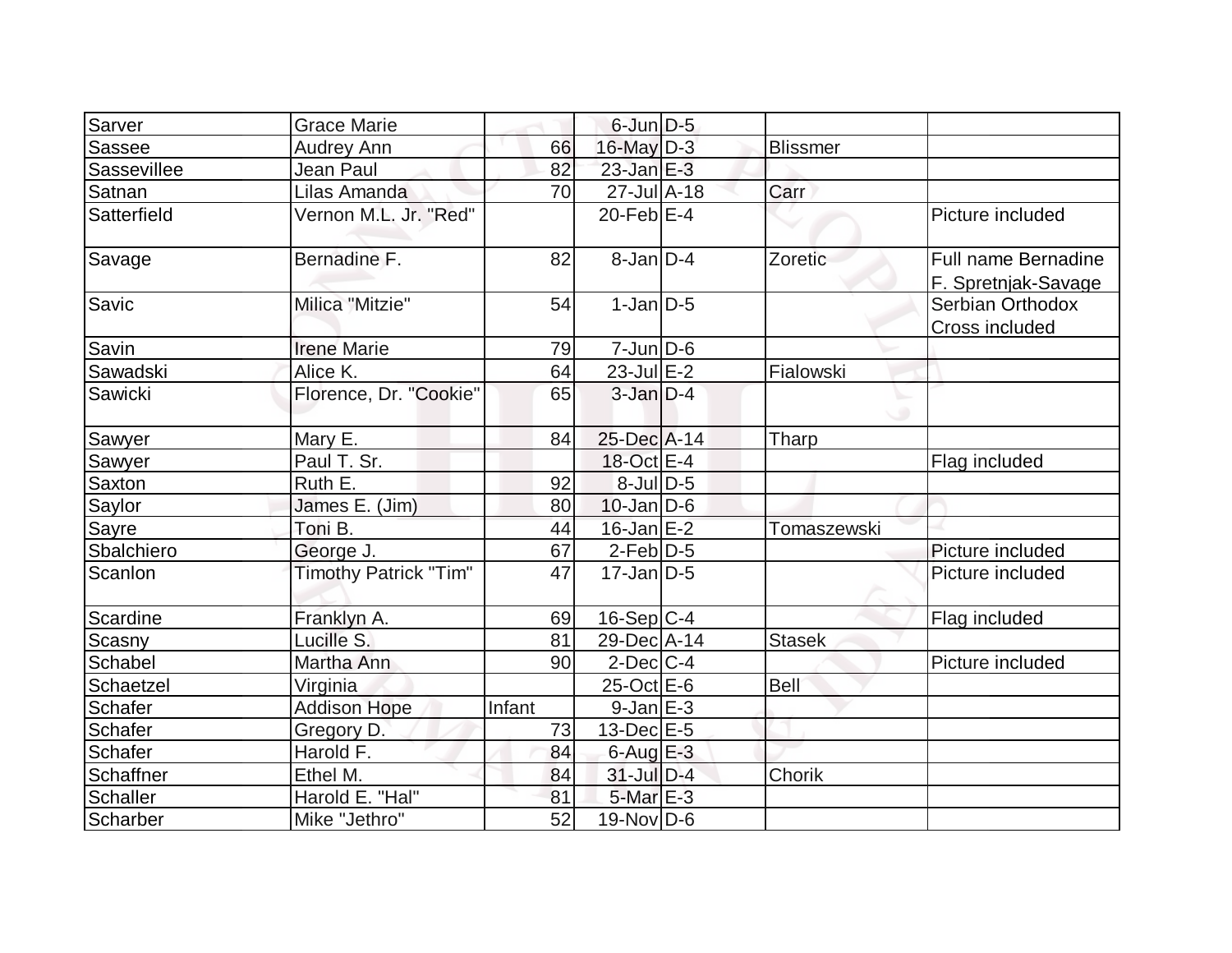| Sarver          | <b>Grace Marie</b>     |        | $6$ -Jun $D-5$      |                 |                                                   |
|-----------------|------------------------|--------|---------------------|-----------------|---------------------------------------------------|
| <b>Sassee</b>   | <b>Audrey Ann</b>      | 66     | $16$ -May $D-3$     | <b>Blissmer</b> |                                                   |
| Sassevillee     | Jean Paul              | 82     | $23$ -Jan $E-3$     |                 |                                                   |
| Satnan          | Lilas Amanda           | 70     | $27 -$ Jul $A - 18$ | Carr            |                                                   |
| Satterfield     | Vernon M.L. Jr. "Red"  |        | $20$ -Feb $E-4$     |                 | Picture included                                  |
| Savage          | Bernadine F.           | 82     | $8$ -Jan $ID-4$     | Zoretic         | <b>Full name Bernadine</b><br>F. Spretnjak-Savage |
| Savic           | Milica "Mitzie"        | 54     | $1-Jan D-5$         |                 | Serbian Orthodox<br>Cross included                |
| Savin           | <b>Irene Marie</b>     | 79     | $7$ -Jun $D-6$      |                 |                                                   |
| Sawadski        | Alice K.               | 64     | $23$ -Jul $E-2$     | Fialowski       |                                                   |
| Sawicki         | Florence, Dr. "Cookie" | 65     | $3$ -Jan $D-4$      | w               |                                                   |
| Sawyer          | Mary E.                | 84     | $25$ -Dec $ A-14$   | Tharp           |                                                   |
| Sawyer          | Paul T. Sr.            |        | 18-Oct E-4          |                 | Flag included                                     |
| Saxton          | Ruth E.                | 92     | $8$ -Jul $D$ -5     |                 |                                                   |
| Saylor          | James E. (Jim)         | 80     | $10$ -Jan D-6       |                 |                                                   |
| Sayre           | Toni B.                | 44     | $16$ -Jan $E-2$     | Tomaszewski     |                                                   |
| Sbalchiero      | George J.              | 67     | $2$ -Feb $D-5$      |                 | Picture included                                  |
| Scanlon         | Timothy Patrick "Tim"  | 47     | $17$ -Jan $ D-5 $   |                 | Picture included                                  |
| Scardine        | Franklyn A.            | 69     | $16-Sep C-4$        |                 | Flag included                                     |
| Scasny          | Lucille S.             | 81     | 29-Dec A-14         | Stasek          |                                                   |
| Schabel         | Martha Ann             | 90     | $2$ -Dec $ C-4 $    |                 | Picture included                                  |
| Schaetzel       | Virginia               |        | 25-Oct E-6          | <b>Bell</b>     |                                                   |
| <b>Schafer</b>  | <b>Addison Hope</b>    | Infant | $9$ -Jan $E-3$      |                 |                                                   |
| <b>Schafer</b>  | Gregory D.             | 73     | $13$ -Dec $E-5$     |                 |                                                   |
| Schafer         | Harold F.              | 84     | $6$ -Aug $E-3$      |                 |                                                   |
| Schaffner       | Ethel M.               | 84     | $31$ -Jul $D-4$     | Chorik          |                                                   |
| <b>Schaller</b> | Harold E. "Hal"        | 81     | $5$ -Mar $E-3$      |                 |                                                   |
| Scharber        | Mike "Jethro"          | 52     | $19-Nov D-6$        |                 |                                                   |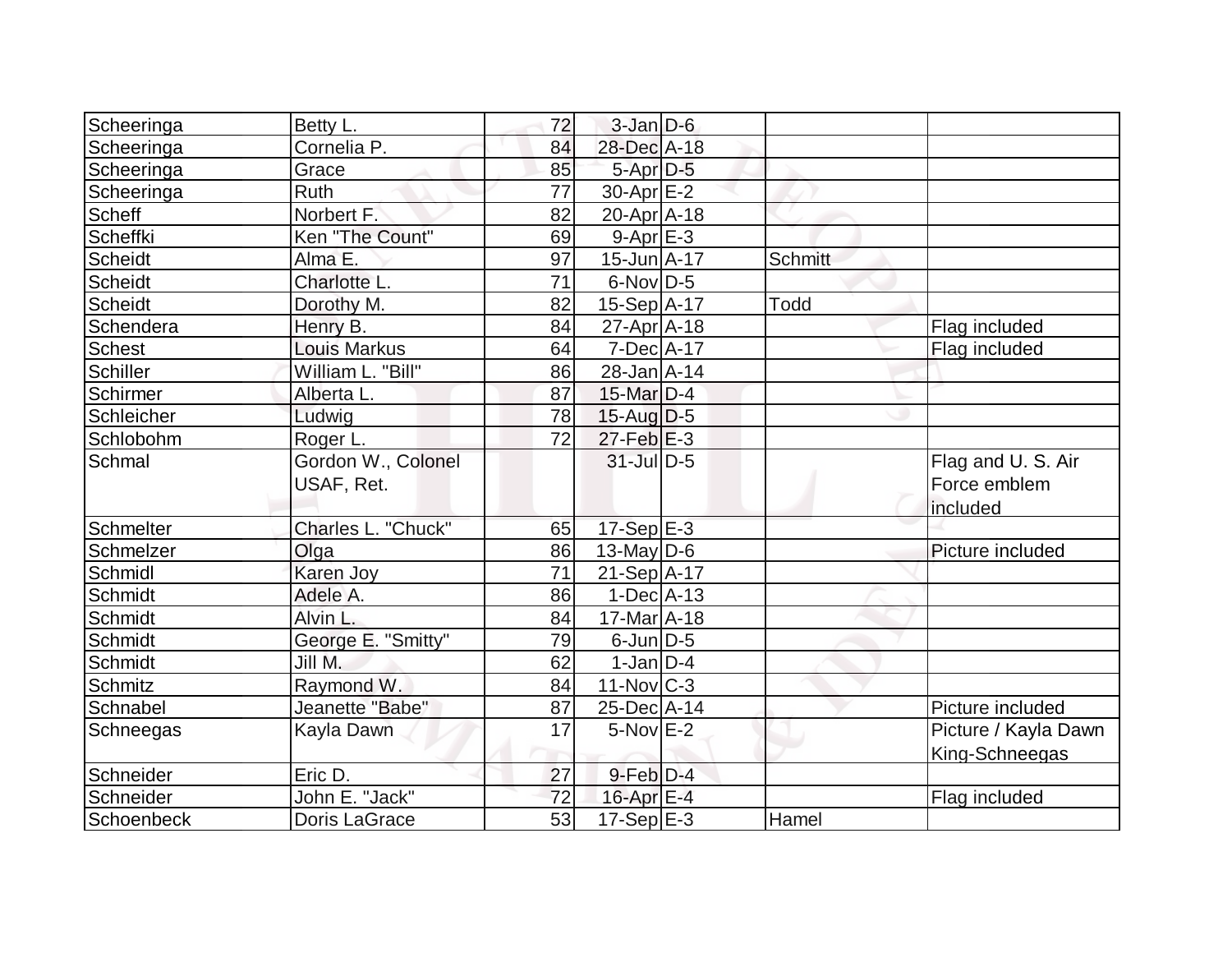| Scheeringa | Betty L.                         | 72 | $3$ -Jan $D$ -6   |             |                                                |
|------------|----------------------------------|----|-------------------|-------------|------------------------------------------------|
| Scheeringa | Cornelia P.                      | 84 | 28-Dec A-18       |             |                                                |
| Scheeringa | Grace                            | 85 | $5-Apr$ $D-5$     |             |                                                |
| Scheeringa | Ruth                             | 77 | 30-Apr E-2        |             |                                                |
| Scheff     | Norbert F.                       | 82 | $20$ -Apr $A$ -18 |             |                                                |
| Scheffki   | Ken "The Count"                  | 69 | $9 - Apr$ $E - 3$ |             |                                                |
| Scheidt    | Alma E.                          | 97 | 15-Jun A-17       | Schmitt     |                                                |
| Scheidt    | Charlotte L.                     | 71 | $6$ -Nov $D-5$    |             |                                                |
| Scheidt    | Dorothy M.                       | 82 | $15-Sep$ A-17     | <b>Todd</b> |                                                |
| Schendera  | Henry B.                         | 84 | $27$ -Apr $ A-18$ |             | Flag included                                  |
| Schest     | <b>Louis Markus</b>              | 64 | 7-Dec A-17        |             | Flag included                                  |
| Schiller   | William L. "Bill"                | 86 | 28-Jan A-14       |             |                                                |
| Schirmer   | Alberta L.                       | 87 | 15-Mar D-4        |             |                                                |
| Schleicher | Ludwig                           | 78 | $15$ -Aug $D-5$   |             |                                                |
| Schlobohm  | Roger L.                         | 72 | $27$ -Feb $E-3$   |             |                                                |
| Schmal     | Gordon W., Colonel<br>USAF, Ret. |    | $31$ -JulD-5      |             | Flag and U. S. Air<br>Force emblem<br>included |
| Schmelter  | Charles L. "Chuck"               | 65 | $17-Sep$ E-3      |             |                                                |
| Schmelzer  | Olga                             | 86 | $13$ -May D-6     |             | Picture included                               |
| Schmidl    | Karen Joy                        | 71 | $21-Sep$ $A-17$   |             |                                                |
| Schmidt    | Adele A.                         | 86 | $1-Dec$ A-13      |             |                                                |
| Schmidt    | Alvin L.                         | 84 | $17$ -Mar $A$ -18 |             |                                                |
| Schmidt    | George E. "Smitty"               | 79 | $6$ -Jun $D-5$    |             |                                                |
| Schmidt    | Jill M.                          | 62 | $1$ -Jan D-4      |             |                                                |
| Schmitz    | Raymond W.                       | 84 | $11$ -Nov $ C-3 $ |             |                                                |
| Schnabel   | Jeanette "Babe"                  | 87 | 25-Dec A-14       |             | Picture included                               |
| Schneegas  | Kayla Dawn                       | 17 | $5-Nov$ $E-2$     |             | Picture / Kayla Dawn<br>King-Schneegas         |
| Schneider  | Eric D.                          | 27 | 9-Feb D-4         |             |                                                |
| Schneider  | John E. "Jack"                   | 72 | 16-Apr $E-4$      |             | Flag included                                  |
| Schoenbeck | Doris LaGrace                    | 53 | $17-Sep$ E-3      | Hamel       |                                                |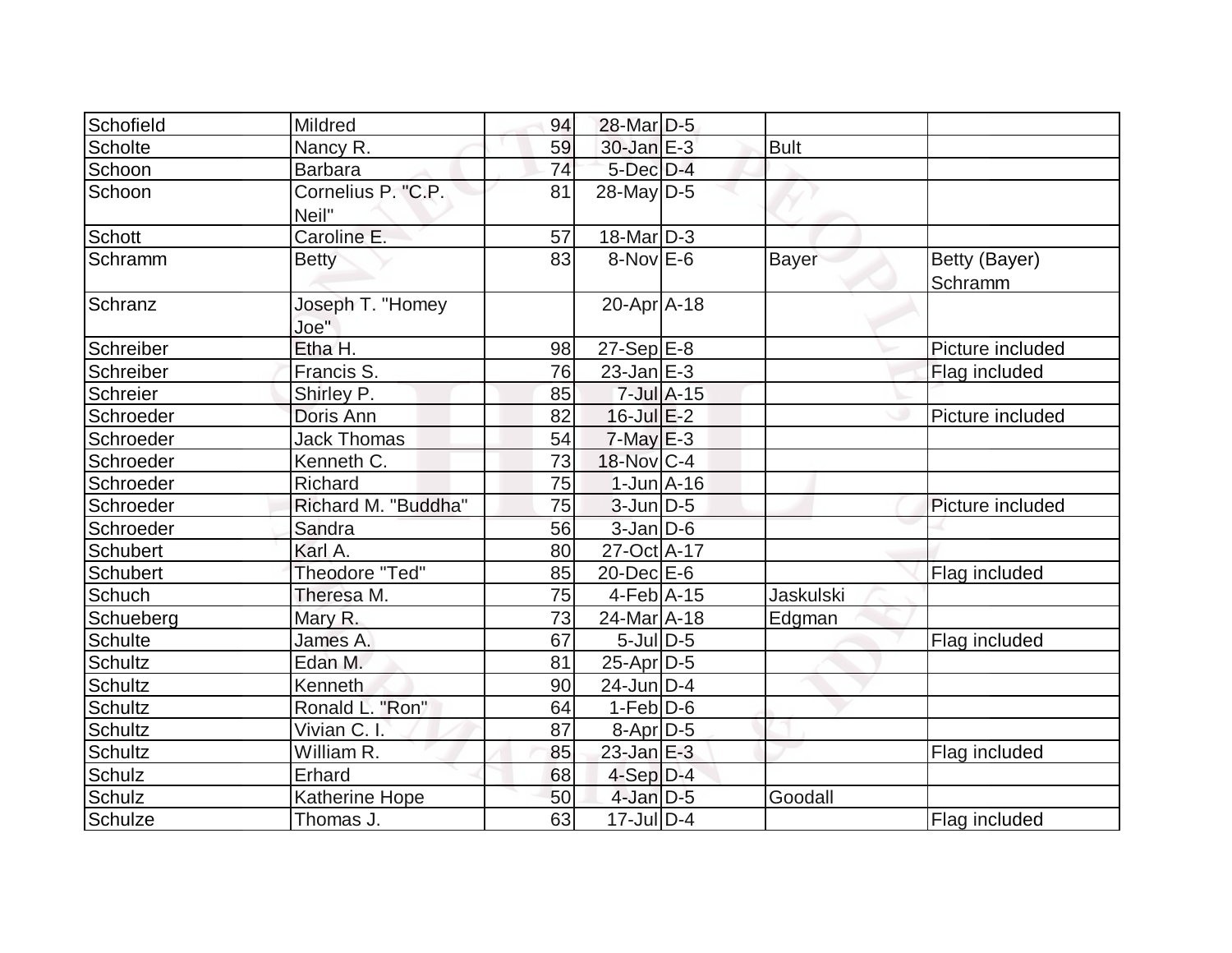| Schofield       | Mildred                  | 94 | 28-Mar <sub>D-5</sub> |                 |                  |                  |
|-----------------|--------------------------|----|-----------------------|-----------------|------------------|------------------|
| <b>Scholte</b>  | Nancy R.                 | 59 | $30 - Jan \, E - 3$   |                 | <b>Bult</b>      |                  |
| Schoon          | <b>Barbara</b>           | 74 | $5$ -Dec $D-4$        |                 |                  |                  |
| Schoon          | Cornelius P. "C.P.       | 81 | $28$ -May D-5         |                 |                  |                  |
|                 | Neil"                    |    |                       |                 |                  |                  |
| Schott          | Caroline E.              | 57 | $18$ -Mar $ D-3 $     |                 |                  |                  |
| Schramm         | <b>Betty</b>             | 83 | $8-Nov$ E-6           |                 |                  | Betty (Bayer)    |
|                 |                          |    |                       |                 | <b>Bayer</b>     | Schramm          |
| Schranz         | Joseph T. "Homey<br>Joe" |    | $20$ -Apr $ A-18$     |                 |                  |                  |
| Schreiber       | Etha H.                  | 98 | $27-Sep$ E-8          |                 |                  | Picture included |
| Schreiber       | Francis S.               | 76 | $23$ -Jan $E-3$       |                 |                  | Flag included    |
| <b>Schreier</b> | Shirley P.               | 85 |                       | $7$ -Jul $A-15$ |                  |                  |
| Schroeder       | Doris Ann                | 82 | $16$ -Jul $E-2$       |                 |                  | Picture included |
| Schroeder       | <b>Jack Thomas</b>       | 54 | $7$ -May $E-3$        |                 |                  |                  |
| Schroeder       | Kenneth C.               | 73 | 18-Nov C-4            |                 |                  |                  |
| Schroeder       | Richard                  | 75 | $1$ -Jun $A$ -16      |                 |                  |                  |
| Schroeder       | Richard M. "Buddha"      | 75 | $3$ -Jun $D-5$        |                 |                  | Picture included |
| Schroeder       | Sandra                   | 56 | $3$ -Jan $D$ -6       |                 |                  |                  |
| Schubert        | Karl A.                  | 80 | 27-Oct A-17           |                 |                  |                  |
| <b>Schubert</b> | <b>Theodore "Ted"</b>    | 85 | $20$ -Dec $E$ -6      |                 |                  | Flag included    |
| Schuch          | Theresa M.               | 75 | $4-Feb$ A-15          |                 | <b>Jaskulski</b> |                  |
| Schueberg       | Mary R.                  | 73 | 24-Mar A-18           |                 | Edgman           |                  |
| <b>Schulte</b>  | James A.                 | 67 | $5$ -Jul $ D-5$       |                 |                  | Flag included    |
| <b>Schultz</b>  | Edan M.                  | 81 | $25$ -Apr $ D-5$      |                 |                  |                  |
| <b>Schultz</b>  | Kenneth                  | 90 | $24$ -Jun $D-4$       |                 |                  |                  |
| <b>Schultz</b>  | Ronald L. "Ron"          | 64 | $1-Feb$ $D-6$         |                 |                  |                  |
| <b>Schultz</b>  | Vivian C. I.             | 87 | 8-Apr D-5             |                 |                  |                  |
| <b>Schultz</b>  | William R.               | 85 | $23$ -Jan $E-3$       |                 |                  | Flag included    |
| Schulz          | Erhard                   | 68 | $4-Sep D-4$           |                 |                  |                  |
| Schulz          | <b>Katherine Hope</b>    | 50 | $4$ -Jan $D-5$        |                 | Goodall          |                  |
| Schulze         | Thomas J.                | 63 | $17$ -Jul $D-4$       |                 |                  | Flag included    |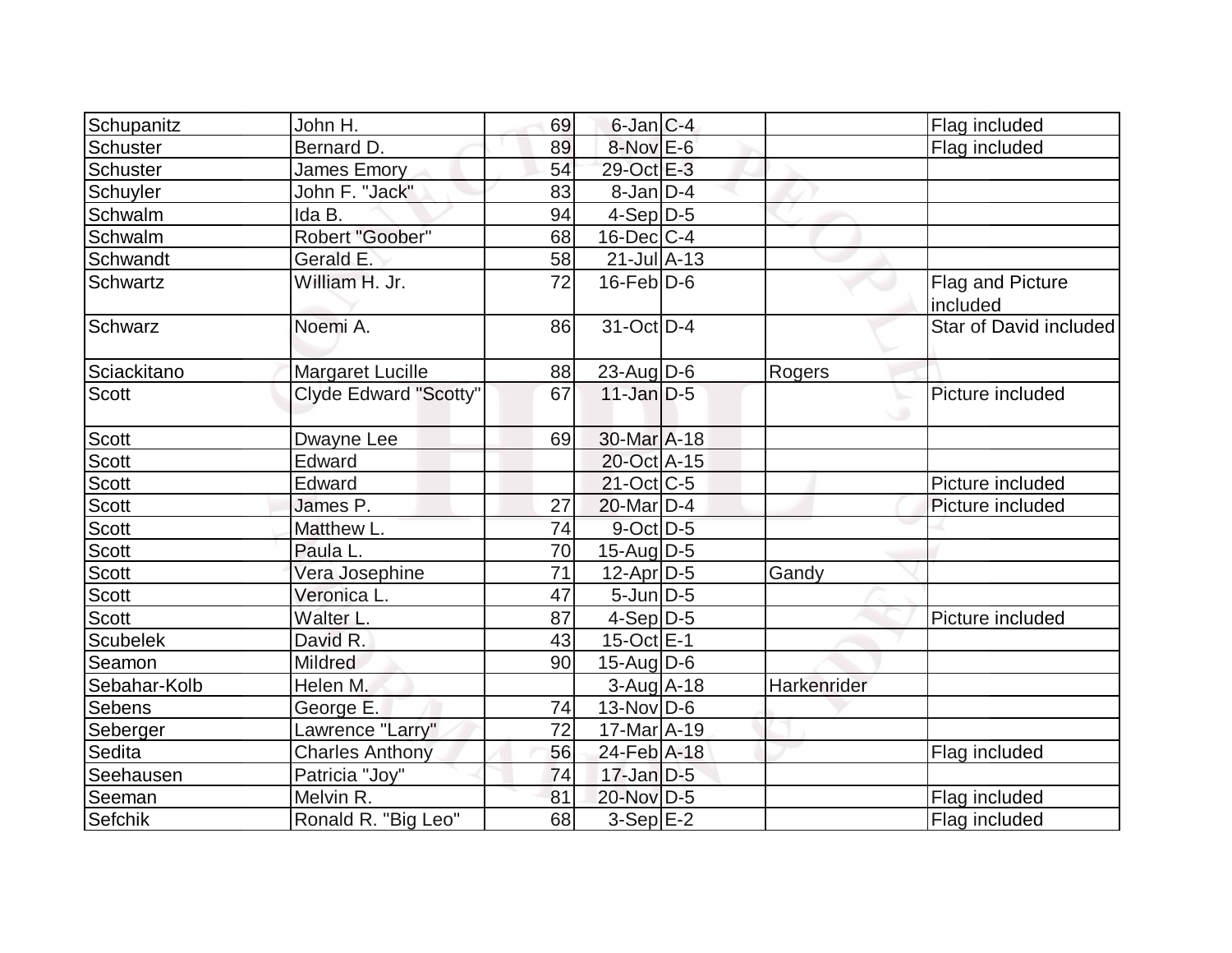| Schupanitz      | John H.                 | 69 | $6$ -Jan $C-4$      |             | Flag included          |
|-----------------|-------------------------|----|---------------------|-------------|------------------------|
| Schuster        | Bernard D.              | 89 | $8-Nov$ E-6         |             | Flag included          |
| Schuster        | <b>James Emory</b>      | 54 | 29-Oct E-3          |             |                        |
| Schuyler        | John F. "Jack"          | 83 | $8$ -Jan $D-4$      |             |                        |
| Schwalm         | Ida B.                  | 94 | $4-Sep D-5$         |             |                        |
| Schwalm         | Robert "Goober"         | 68 | $16$ -Dec $ C-4 $   |             |                        |
| Schwandt        | Gerald E.               | 58 | $21 -$ Jul $A - 13$ |             |                        |
| Schwartz        | William H. Jr.          | 72 | $16$ -Feb $D-6$     |             | Flag and Picture       |
|                 |                         |    |                     |             | included               |
| Schwarz         | Noemi A.                | 86 | $31-Oct$ D-4        |             | Star of David included |
| Sciackitano     | <b>Margaret Lucille</b> | 88 | $23$ -AugD-6        | Rogers      |                        |
| Scott           | Clyde Edward "Scotty"   | 67 | $11$ -Jan D-5       |             | Picture included       |
| Scott           | Dwayne Lee              | 69 | 30-Mar A-18         |             |                        |
| <b>Scott</b>    | Edward                  |    | 20-Oct A-15         |             |                        |
| Scott           | Edward                  |    | $21$ -Oct C-5       |             | Picture included       |
| Scott           | James P.                | 27 | $20$ -Mar $D-4$     |             | Picture included       |
| <b>Scott</b>    | Matthew L.              | 74 | $9$ -Oct $D-5$      |             |                        |
| Scott           | Paula L.                | 70 | $15$ -Aug $ D-5 $   |             |                        |
| <b>Scott</b>    | Vera Josephine          | 71 | $12$ -Apr $D-5$     | Gandy       |                        |
| <b>Scott</b>    | Veronica L.             | 47 | $5$ -Jun $D-5$      |             |                        |
| Scott           | Walter L.               | 87 | $4-Sep D-5$         |             | Picture included       |
| <b>Scubelek</b> | David R.                | 43 | 15-Oct E-1          |             |                        |
| Seamon          | <b>Mildred</b>          | 90 | $15$ -Aug $D$ -6    |             |                        |
| Sebahar-Kolb    | Helen M.                |    | $3-Aug$ A-18        | Harkenrider |                        |
| Sebens          | George E.               | 74 | $13-Nov D-6$        |             |                        |
| Seberger        | Lawrence "Larry"        | 72 | $17$ -Mar $A$ -19   |             |                        |
| Sedita          | <b>Charles Anthony</b>  | 56 | 24-Feb A-18         |             | Flag included          |
| Seehausen       | Patricia "Joy"          | 74 | $17$ -Jan $D-5$     |             |                        |
| Seeman          | Melvin R.               | 81 | 20-Nov D-5          |             | Flag included          |
| Sefchik         | Ronald R. "Big Leo"     | 68 | $3-Sep$ $E-2$       |             | Flag included          |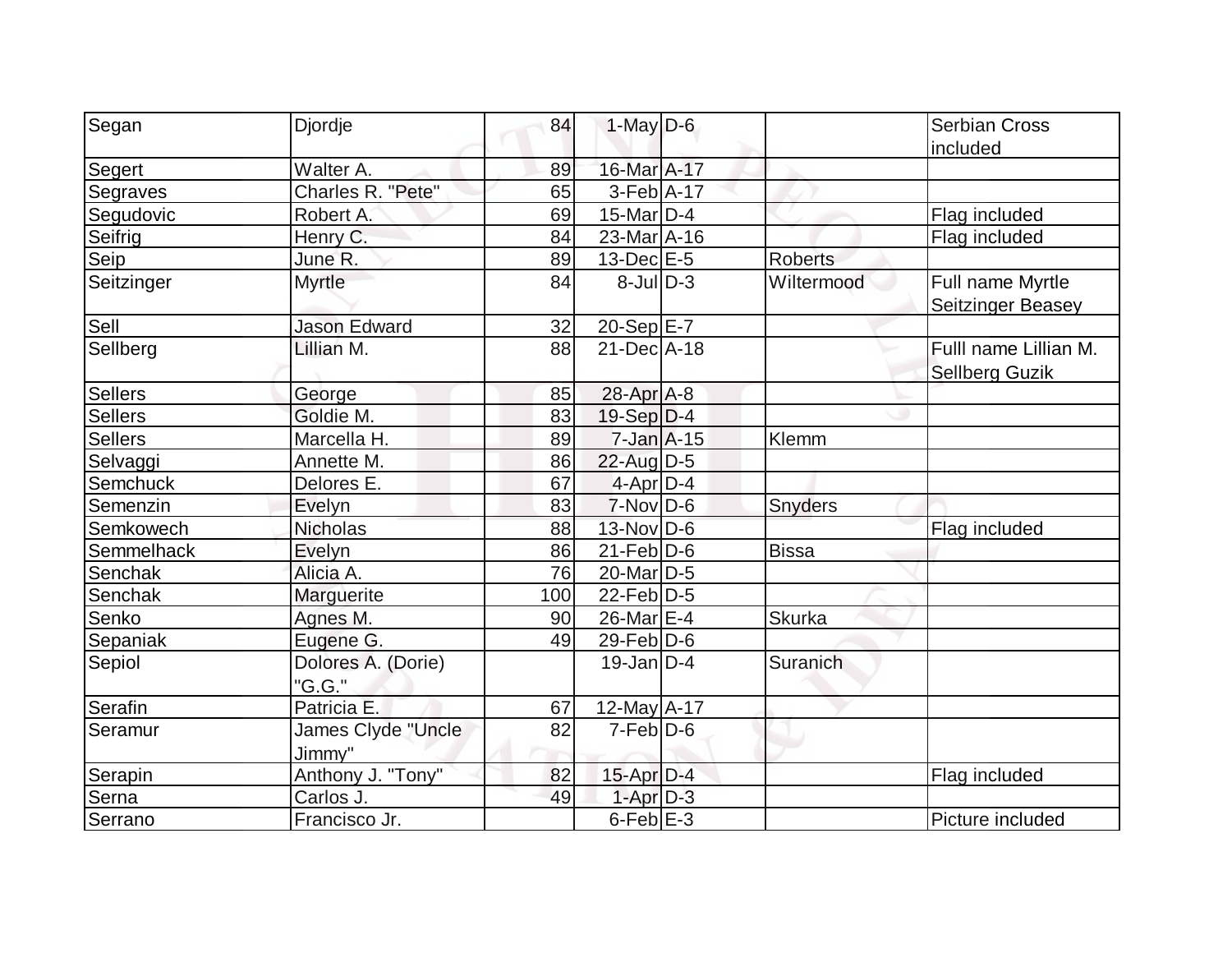| Segan<br>Djordje              | 84  | $1$ -May D-6               |                | <b>Serbian Cross</b>     |
|-------------------------------|-----|----------------------------|----------------|--------------------------|
|                               |     |                            |                | included                 |
| Segert<br>Walter A.           | 89  | 16-Mar A-17                |                |                          |
| Charles R. "Pete"<br>Segraves | 65  | $3-Feb$ A-17               |                |                          |
| Segudovic<br>Robert A.        | 69  | $15$ -Mar $ D-4 $          |                | Flag included            |
| Seifrig<br>Henry C.           | 84  | 23-Mar A-16                |                | Flag included            |
| Seip<br>June R.               | 89  | $13$ -Dec $E$ -5           | <b>Roberts</b> |                          |
| Seitzinger<br>Myrtle          | 84  | $8$ -JulD-3                | Wiltermood     | Full name Myrtle         |
|                               |     |                            |                | <b>Seitzinger Beasey</b> |
| Sell<br><b>Jason Edward</b>   | 32  | $20-Sep$ E-7               |                |                          |
| Sellberg<br>Lillian M.        | 88  | $21$ -Dec $A$ -18          |                | Fulll name Lillian M.    |
|                               |     |                            |                | <b>Sellberg Guzik</b>    |
| <b>Sellers</b><br>George      | 85  | 28-Apr A-8                 |                |                          |
| <b>Sellers</b><br>Goldie M.   | 83  | $19-Sep D-4$               |                |                          |
| <b>Sellers</b><br>Marcella H. | 89  | $7 - Jan$ $A - 15$         | Klemm          |                          |
| Selvaggi<br>Annette M.        | 86  | 22-Aug D-5                 |                |                          |
| Delores E.<br><b>Semchuck</b> | 67  | $4$ -Apr $D-4$             |                |                          |
| Semenzin<br>Evelyn            | 83  | $7-Nov D-6$                | <b>Snyders</b> |                          |
| Semkowech<br>Nicholas         | 88  | $13-Nov D-6$               |                | Flag included            |
| Semmelhack<br>Evelyn          | 86  | $21$ -Feb $\overline{D-6}$ | <b>Bissa</b>   |                          |
| Alicia A.<br>Senchak          | 76  | 20-Mar <sub>D-5</sub>      |                |                          |
| Senchak<br>Marguerite         | 100 | $22$ -Feb $ D-5 $          |                |                          |
| Senko<br>Agnes M.             | 90  | $26$ -Mar $E-4$            | <b>Skurka</b>  |                          |
| Eugene G.<br>Sepaniak         | 49  | $29$ -Feb $ D$ -6          |                |                          |
| Dolores A. (Dorie)<br>Sepiol  |     | $19$ -Jan $ D-4$           | Suranich       |                          |
| "G.G."                        |     |                            |                |                          |
| Serafin<br>Patricia E.        | 67  | $12$ -May $A$ -17          |                |                          |
| James Clyde "Uncle<br>Seramur | 82  | $7-Feb D-6$                |                |                          |
| Jimmy"                        |     |                            |                |                          |
| Serapin<br>Anthony J. "Tony"  | 82  | $15$ -Apr $D-4$            |                | Flag included            |
| Serna<br>Carlos J.            | 49  | $1-Apr$ $D-3$              |                |                          |
| Serrano<br>Francisco Jr.      |     | $6$ -Feb $E$ -3            |                | Picture included         |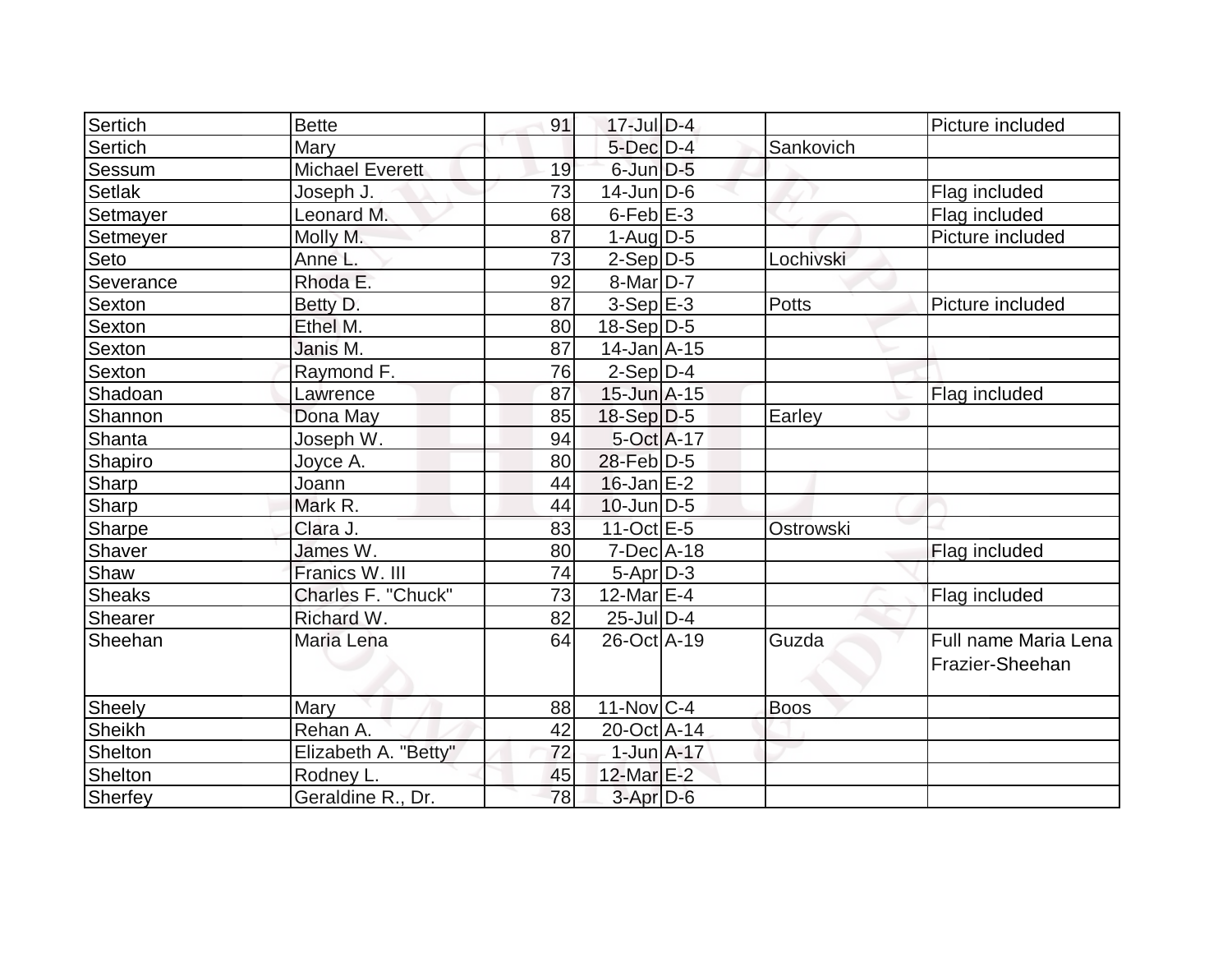| Sertich       | <b>Bette</b>           | 91 | $17$ -Jul D-4     |              | Picture included                        |
|---------------|------------------------|----|-------------------|--------------|-----------------------------------------|
| Sertich       | Mary                   |    | $5$ -Dec $D-4$    | Sankovich    |                                         |
| Sessum        | <b>Michael Everett</b> | 19 | $6$ -Jun $D-5$    |              |                                         |
| Setlak        | Joseph J.              | 73 | $14$ -Jun $D-6$   |              | Flag included                           |
| Setmayer      | Leonard M.             | 68 | $6$ -Feb $E-3$    |              | Flag included                           |
| Setmeyer      | Molly M.               | 87 | $1-Auq$ D-5       |              | Picture included                        |
| Seto          | Anne L.                | 73 | $2-Sep D-5$       | Lochivski    |                                         |
| Severance     | Rhoda E.               | 92 | $8$ -Mar $D-7$    |              |                                         |
| <b>Sexton</b> | Betty D.               | 87 | $3-Sep$ $E-3$     | <b>Potts</b> | Picture included                        |
| Sexton        | Ethel M.               | 80 | $18-Sep D-5$      |              |                                         |
| Sexton        | Janis M.               | 87 | $14$ -Jan $A$ -15 |              |                                         |
| Sexton        | Raymond F.             | 76 | $2-Sep D-4$       |              |                                         |
| Shadoan       | Lawrence               | 87 | $15$ -Jun $A-15$  |              | Flag included                           |
| Shannon       | Dona May               | 85 | $18-Sep D-5$      | Earley       |                                         |
| Shanta        | Joseph W.              | 94 | $5-Oct$ A-17      |              |                                         |
| Shapiro       | Joyce A.               | 80 | 28-Feb D-5        |              |                                         |
| Sharp         | Joann                  | 44 | $16$ -Jan $E-2$   |              |                                         |
| Sharp         | Mark R.                | 44 | $10$ -Jun $D-5$   |              |                                         |
| Sharpe        | Clara J.               | 83 | 11-Oct $E-5$      | Ostrowski    |                                         |
| Shaver        | James W.               | 80 | $7$ -Dec $A$ -18  |              | Flag included                           |
| Shaw          | Franics W. III         | 74 | $5-Apr$ D-3       |              |                                         |
| Sheaks        | Charles F. "Chuck"     | 73 | $12$ -Mar $E-4$   |              | Flag included                           |
| Shearer       | Richard W.             | 82 | $25$ -JulD-4      |              |                                         |
| Sheehan       | Maria Lena             | 64 | 26-Oct A-19       | Guzda        | Full name Maria Lena<br>Frazier-Sheehan |
| Sheely        | Mary                   | 88 | $11$ -Nov $ C-4 $ | <b>Boos</b>  |                                         |
| Sheikh        | Rehan A.               | 42 | 20-Oct A-14       |              |                                         |
| Shelton       | Elizabeth A. "Betty"   | 72 | $1$ -Jun $A-17$   |              |                                         |
| Shelton       | Rodney L.              | 45 | 12-Mar E-2        |              |                                         |
| Sherfey       | Geraldine R., Dr.      | 78 | 3-Apr D-6         |              |                                         |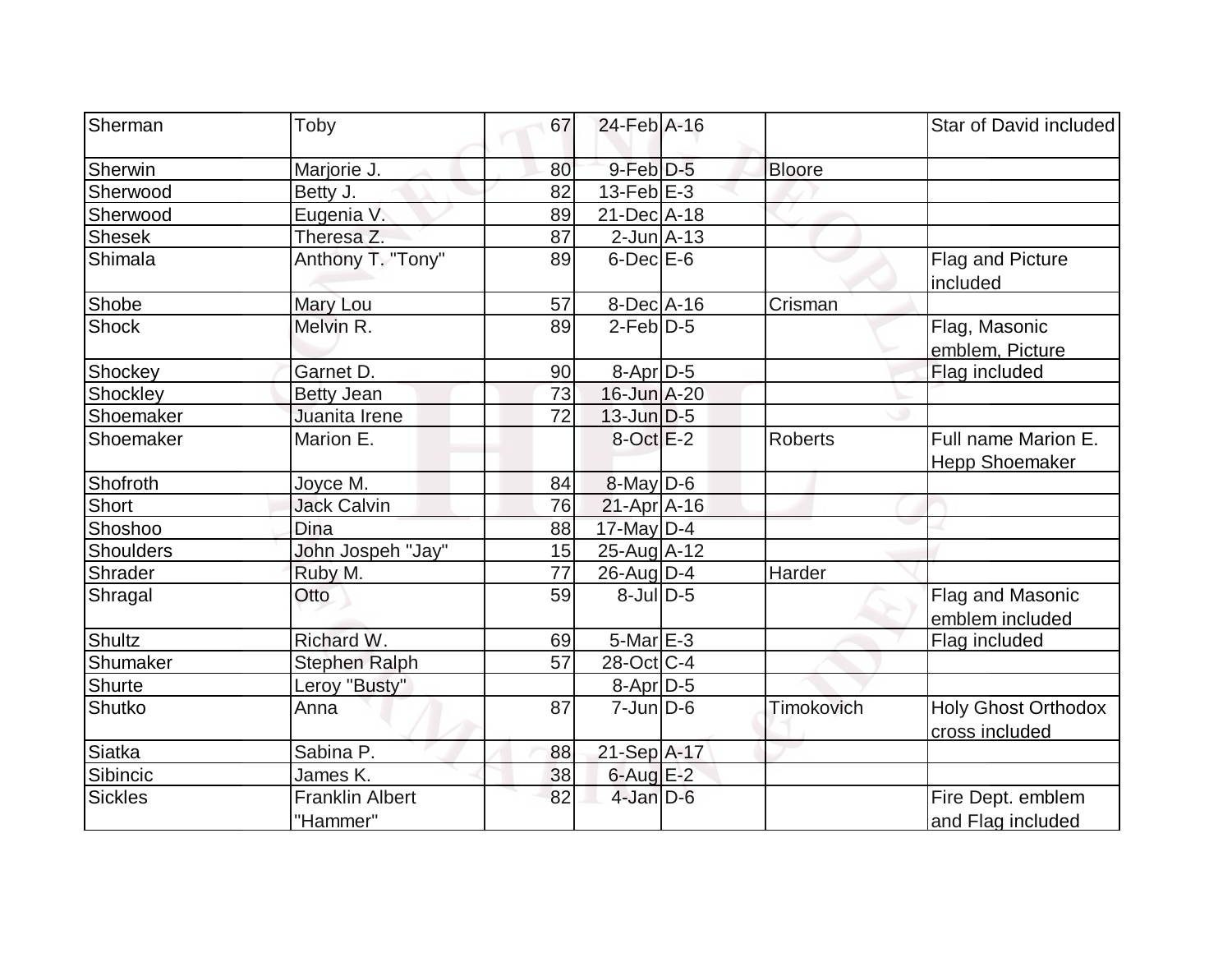| Sherman        | Toby                               | 67 | 24-Feb A-16       |               | Star of David included                       |
|----------------|------------------------------------|----|-------------------|---------------|----------------------------------------------|
| Sherwin        | Marjorie J.                        | 80 | 9-Feb D-5         | <b>Bloore</b> |                                              |
| Sherwood       | Betty J.                           | 82 | $13$ -Feb $E-3$   |               |                                              |
| Sherwood       | Eugenia V.                         | 89 | 21-Dec A-18       |               |                                              |
| <b>Shesek</b>  | Theresa Z.                         | 87 | $2$ -Jun $A$ -13  |               |                                              |
| Shimala        | Anthony T. "Tony"                  | 89 | $6$ -Dec $E$ -6   |               | Flag and Picture<br>included                 |
| Shobe          | Mary Lou                           | 57 | $8$ -Dec $A$ -16  | Crisman       |                                              |
| <b>Shock</b>   | Melvin R.                          | 89 | $2$ -Feb $D-5$    |               | Flag, Masonic<br>emblem, Picture             |
| Shockey        | Garnet D.                          | 90 | 8-Apr D-5         |               | Flag included                                |
| Shockley       | <b>Betty Jean</b>                  | 73 | 16-Jun A-20       |               |                                              |
| Shoemaker      | Juanita Irene                      | 72 | $13$ -Jun $D-5$   |               |                                              |
| Shoemaker      | Marion E.                          |    | $8-Oct$ E-2       | Roberts       | Full name Marion E.<br><b>Hepp Shoemaker</b> |
| Shofroth       | Joyce M.                           | 84 | $8$ -May $D$ -6   |               |                                              |
| Short          | <b>Jack Calvin</b>                 | 76 | $21-Apr$ A-16     |               |                                              |
| Shoshoo        | Dina                               | 88 | 17-May $D-4$      |               |                                              |
| Shoulders      | John Jospeh "Jay"                  | 15 | $25$ -Aug $ A-12$ |               |                                              |
| Shrader        | Ruby M.                            | 77 | $26$ -Aug $D-4$   | Harder        |                                              |
| Shragal        | Otto                               | 59 | $8$ -JulD-5       |               | Flag and Masonic<br>emblem included          |
| <b>Shultz</b>  | Richard W.                         | 69 | $5$ -Mar $E-3$    |               | Flag included                                |
| Shumaker       | <b>Stephen Ralph</b>               | 57 | $28$ -Oct C-4     |               |                                              |
| <b>Shurte</b>  | Leroy "Busty"                      |    | 8-Apr D-5         |               |                                              |
| Shutko         | Anna                               | 87 | $7$ -Jun $D-6$    | Timokovich    | <b>Holy Ghost Orthodox</b><br>cross included |
| Siatka         | Sabina P.                          | 88 | 21-Sep A-17       |               |                                              |
| Sibincic       | James K.                           | 38 | $6$ -Aug $E-2$    |               |                                              |
| <b>Sickles</b> | <b>Franklin Albert</b><br>"Hammer" | 82 | $4$ -Jan $D-6$    |               | Fire Dept. emblem<br>and Flag included       |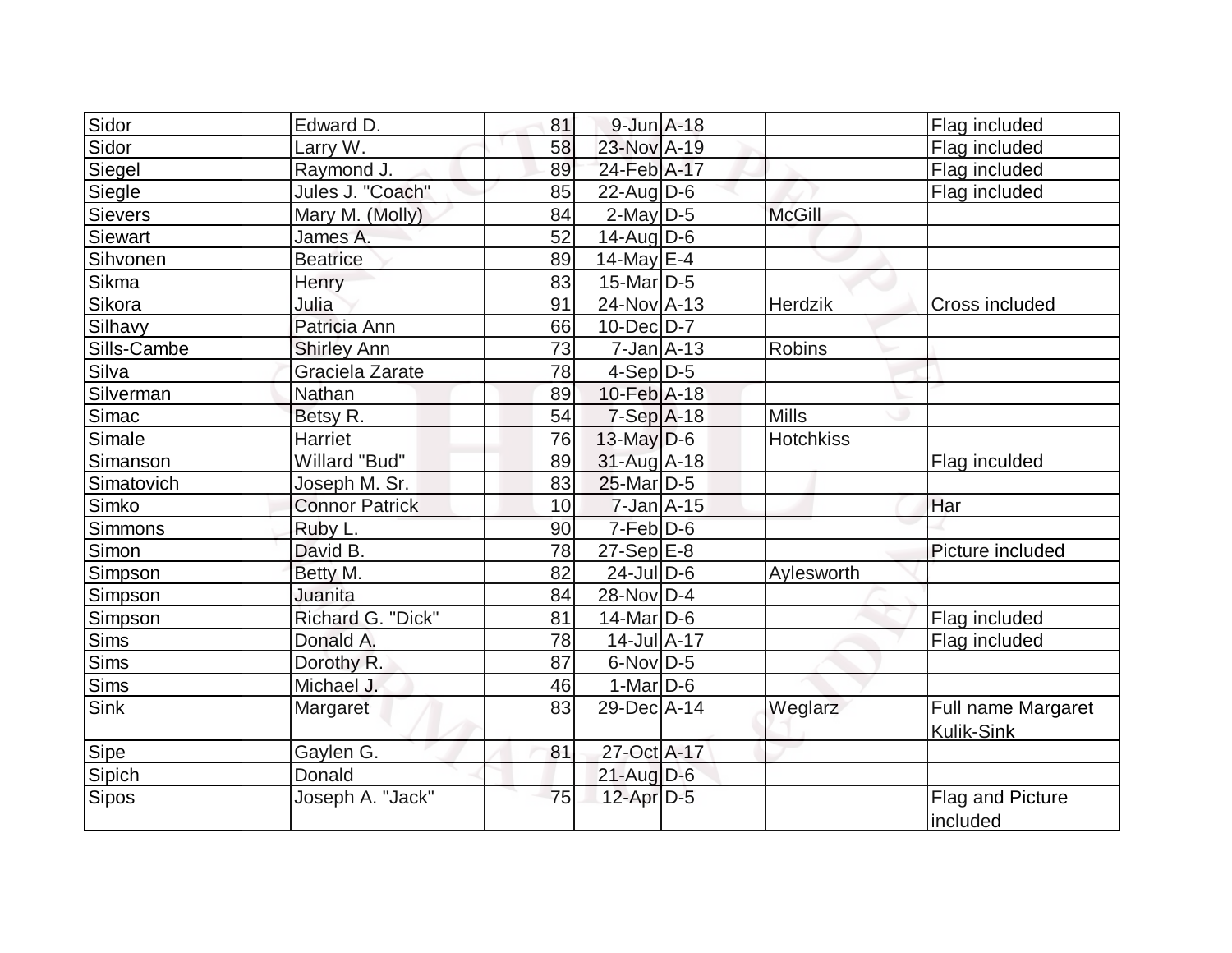| Sidor          | Edward D.             | 81 | $9$ -Jun $A-18$         |                  | Flag included         |
|----------------|-----------------------|----|-------------------------|------------------|-----------------------|
| Sidor          | Larry W.              | 58 | 23-Nov A-19             |                  | Flag included         |
| Siegel         | Raymond J.            | 89 | 24-Feb A-17             |                  | Flag included         |
| Siegle         | Jules J. "Coach"      | 85 | $22$ -AugD-6            |                  | Flag included         |
| Sievers        | Mary M. (Molly)       | 84 | $2$ -May D-5            | <b>McGill</b>    |                       |
| <b>Siewart</b> | James A.              | 52 | $14$ -AugD-6            |                  |                       |
| Sihvonen       | <b>Beatrice</b>       | 89 | 14-May $E-4$            |                  |                       |
| Sikma          | Henry                 | 83 | $15$ -Mar $ D-5 $       |                  |                       |
| Sikora         | Julia                 | 91 | $24$ -Nov $A$ -13       | Herdzik          | <b>Cross included</b> |
| Silhavy        | Patricia Ann          | 66 | $10$ -Dec $D$ -7        |                  |                       |
| Sills-Cambe    | <b>Shirley Ann</b>    | 73 | $7$ -Jan $A$ -13        | Robins           |                       |
| Silva          | Graciela Zarate       | 78 | $4-Sep D-5$             |                  |                       |
| Silverman      | Nathan                | 89 | 10-Feb A-18             |                  |                       |
| Simac          | Betsy R.              | 54 | $7-Sep$ A-18            | <b>Mills</b>     |                       |
| Simale         | Harriet               | 76 | $13$ -May D-6           | <b>Hotchkiss</b> |                       |
| Simanson       | Willard "Bud"         | 89 | $31$ -Aug $A$ -18       |                  | Flag inculded         |
| Simatovich     | Joseph M. Sr.         | 83 | 25-Mar <sub>D-5</sub>   |                  |                       |
| Simko          | <b>Connor Patrick</b> | 10 | $7$ -Jan $A$ -15        |                  | Har                   |
| Simmons        | Ruby L.               | 90 | $7-Feb D-6$             |                  |                       |
| Simon          | David B.              | 78 | $27-Sep$ <sup>E-8</sup> |                  | Picture included      |
| Simpson        | Betty M.              | 82 | $24$ -Jul $D-6$         | Aylesworth       |                       |
| Simpson        | Juanita               | 84 | 28-Nov D-4              |                  |                       |
| Simpson        | Richard G. "Dick"     | 81 | $14$ -Mar $ D-6$        |                  | Flag included         |
| <b>Sims</b>    | Donald A.             | 78 | 14-Jul A-17             |                  | Flag included         |
| Sims           | Dorothy R.            | 87 | $6$ -Nov $D-5$          |                  |                       |
| <b>Sims</b>    | Michael J.            | 46 | $1-Mar$ D-6             |                  |                       |
| <b>Sink</b>    | Margaret              | 83 | $29$ -Dec $A$ -14       | Weglarz          | Full name Margaret    |
|                |                       |    |                         |                  | Kulik-Sink            |
| Sipe           | Gaylen G.             | 81 | 27-Oct A-17             |                  |                       |
| Sipich         | Donald                |    | $21$ -Aug $D-6$         |                  |                       |
| Sipos          | Joseph A. "Jack"      | 75 | 12-Apr D-5              |                  | Flag and Picture      |
|                |                       |    |                         |                  | included              |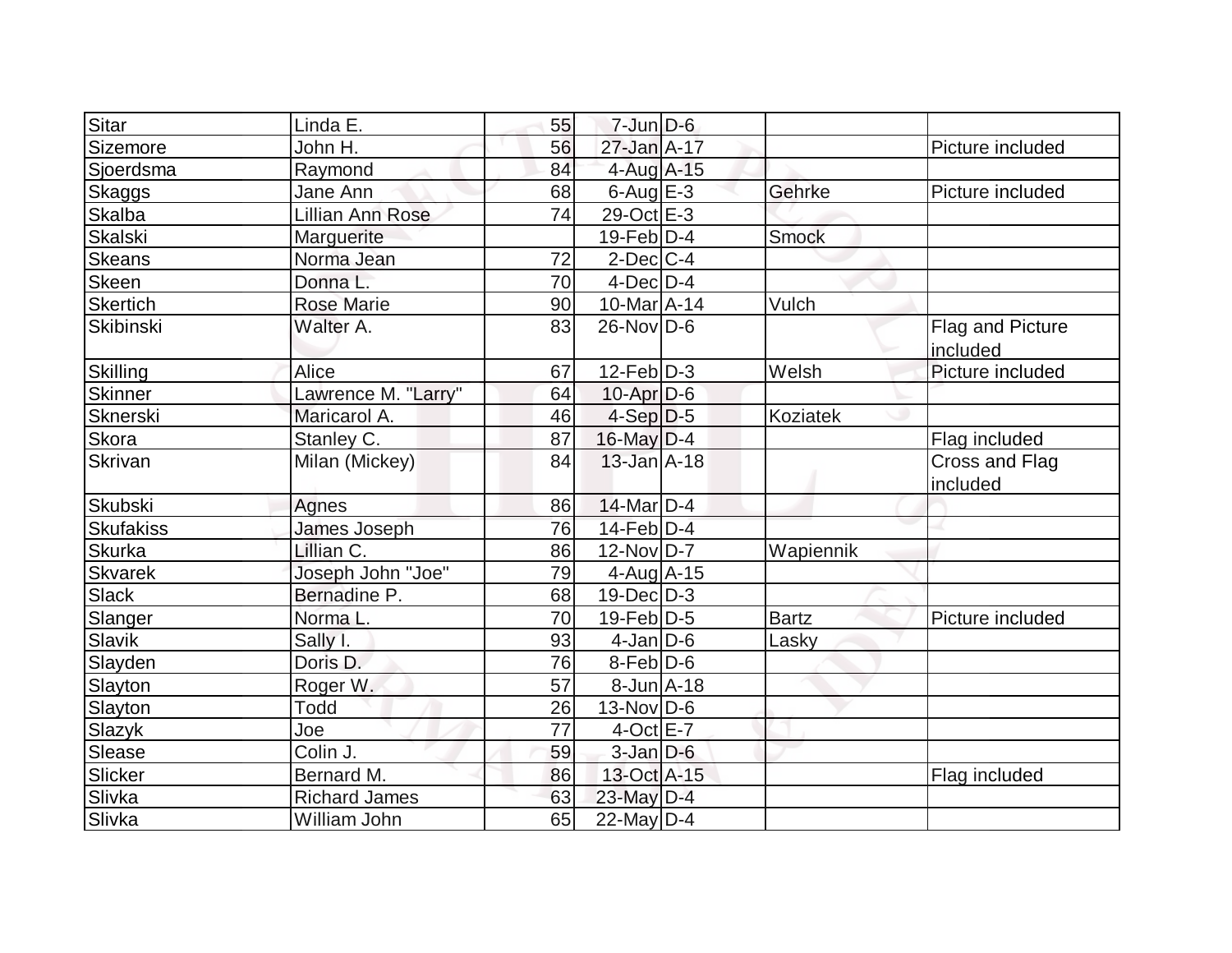| Sitar            | Linda E.                | 55 | $7 - Jun$ $D-6$   |              |                            |
|------------------|-------------------------|----|-------------------|--------------|----------------------------|
| Sizemore         | John H.                 | 56 | 27-Jan A-17       |              | Picture included           |
| Sjoerdsma        | Raymond                 | 84 | 4-Aug A-15        |              |                            |
| <b>Skaggs</b>    | Jane Ann                | 68 | $6$ -Aug $E-3$    | Gehrke       | Picture included           |
| Skalba           | <b>Lillian Ann Rose</b> | 74 | 29-Oct E-3        |              |                            |
| Skalski          | Marguerite              |    | $19$ -Feb $ D-4$  | <b>Smock</b> |                            |
| <b>Skeans</b>    | Norma Jean              | 72 | $2$ -Dec $C-4$    |              |                            |
| Skeen            | Donna L.                | 70 | $4$ -Dec $D-4$    |              |                            |
| <b>Skertich</b>  | <b>Rose Marie</b>       | 90 | $10$ -Mar $ A-14$ | Vulch        |                            |
| Skibinski        | Walter A.               | 83 | $26$ -Nov $ D-6 $ |              | <b>Flag and Picture</b>    |
|                  |                         |    |                   |              | included                   |
| Skilling         | Alice                   | 67 | $12$ -Feb $D-3$   | Welsh        | Picture included           |
| Skinner          | Lawrence M. "Larry"     | 64 | $10$ -Apr $D-6$   |              |                            |
| Sknerski         | Maricarol A.            | 46 | $4-Sep D-5$       | Koziatek     |                            |
| Skora            | Stanley C.              | 87 | $16$ -May $D-4$   |              | Flag included              |
| <b>Skrivan</b>   | Milan (Mickey)          | 84 | $13$ -Jan $ A-18$ |              | Cross and Flag<br>included |
| Skubski          | Agnes                   | 86 | 14-Mar D-4        |              |                            |
| <b>Skufakiss</b> | James Joseph            | 76 | $14$ -Feb $D-4$   |              |                            |
| <b>Skurka</b>    | Lillian C.              | 86 | $12-Nov D-7$      | Wapiennik    |                            |
| <b>Skvarek</b>   | Joseph John "Joe"       | 79 | $4$ -Aug $A$ -15  |              |                            |
| Slack            | Bernadine P.            | 68 | $19$ -Dec $D-3$   |              |                            |
| Slanger          | Norma L.                | 70 | $19$ -Feb $ D-5$  | <b>Bartz</b> | Picture included           |
| Slavik           | Sally I.                | 93 | $4$ -Jan $D-6$    | Lasky        |                            |
| Slayden          | Doris D.                | 76 | $8-Feb D-6$       |              |                            |
| Slayton          | Roger W.                | 57 | $8$ -Jun $A$ -18  |              |                            |
| Slayton          | <b>Todd</b>             | 26 | $13-Nov D-6$      |              |                            |
| Slazyk           | Joe                     | 77 | $4$ -Oct $E - 7$  |              |                            |
| Slease           | Colin J.                | 59 | $3$ -Jan $D$ -6   |              |                            |
| Slicker          | Bernard M.              | 86 | 13-Oct A-15       |              | Flag included              |
| Slivka           | <b>Richard James</b>    | 63 | $23$ -May $D-4$   |              |                            |
| Slivka           | William John            | 65 | 22-May $D-4$      |              |                            |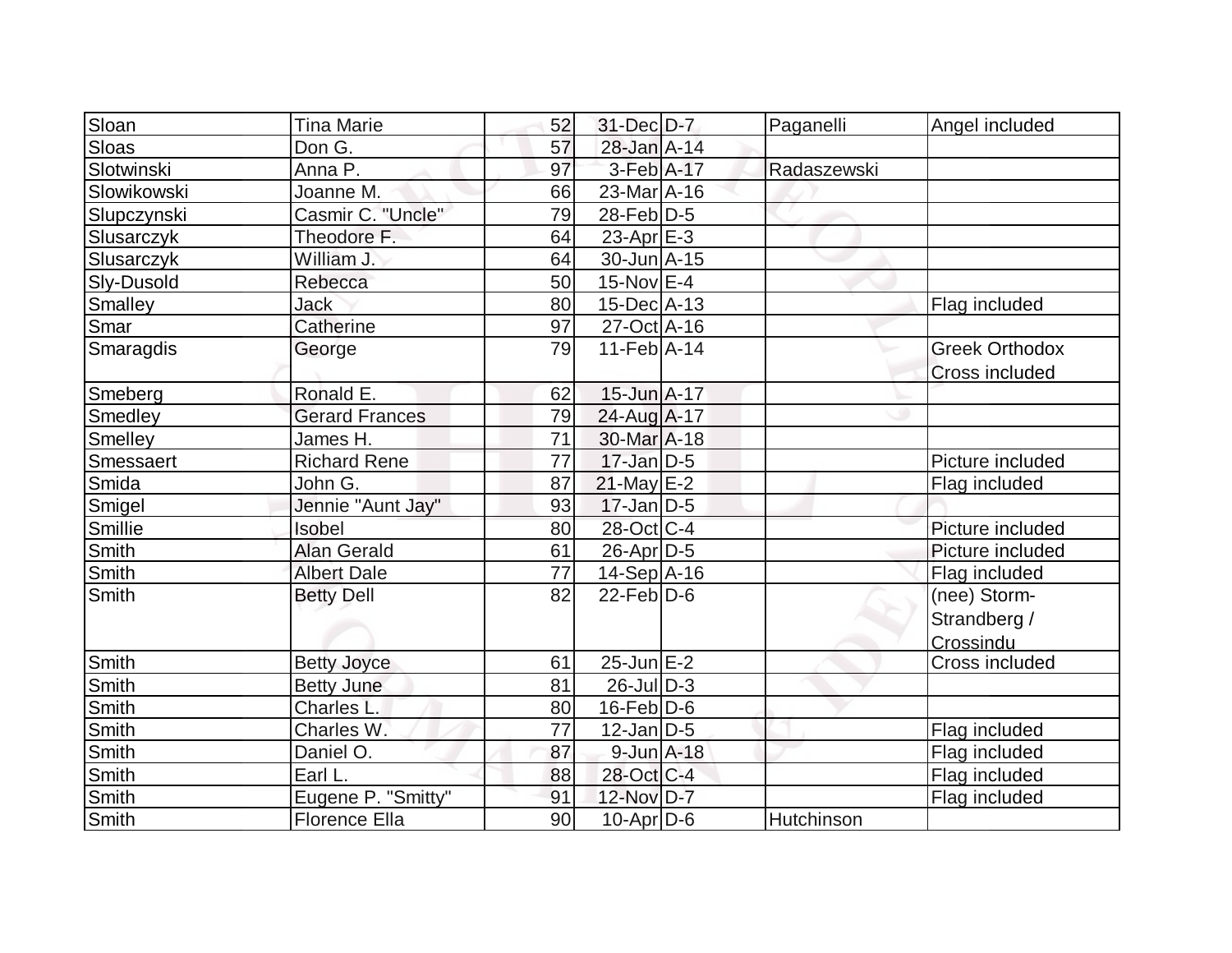| Sloan        | <b>Tina Marie</b>     | 52 | 31-Dec D-7        | Paganelli   | Angel included        |
|--------------|-----------------------|----|-------------------|-------------|-----------------------|
| Sloas        | Don G.                | 57 | 28-Jan A-14       |             |                       |
| Slotwinski   | Anna P.               | 97 | $3-Feb$ A-17      | Radaszewski |                       |
| Slowikowski  | Joanne M.             | 66 | $23$ -Mar $ A-16$ |             |                       |
| Slupczynski  | Casmir C. "Uncle"     | 79 | $28$ -Feb $ D-5 $ |             |                       |
| Slusarczyk   | Theodore F.           | 64 | 23-Apr $E-3$      |             |                       |
| Slusarczyk   | William J.            | 64 | 30-Jun A-15       |             |                       |
| Sly-Dusold   | Rebecca               | 50 | $15$ -Nov $E-4$   |             |                       |
| Smalley      | <b>Jack</b>           | 80 | $15$ -Dec $ A-13$ |             | Flag included         |
| Smar         | Catherine             | 97 | 27-Oct A-16       |             |                       |
| Smaragdis    | George                | 79 | $11$ -Feb $ A-14$ |             | <b>Greek Orthodox</b> |
|              |                       |    |                   |             | <b>Cross included</b> |
| Smeberg      | Ronald E.             | 62 | $15$ -Jun $A-17$  |             |                       |
| Smedley      | <b>Gerard Frances</b> | 79 | 24-Aug A-17       |             |                       |
| Smelley      | James H.              | 71 | 30-Mar A-18       |             |                       |
| Smessaert    | <b>Richard Rene</b>   | 77 | $17$ -Jan D-5     |             | Picture included      |
| Smida        | John G.               | 87 | $21$ -May E-2     |             | Flag included         |
| Smigel       | Jennie "Aunt Jay"     | 93 | $17$ -Jan D-5     |             |                       |
| Smillie      | Isobel                | 80 | 28-Oct C-4        |             | Picture included      |
| <b>Smith</b> | <b>Alan Gerald</b>    | 61 | $26$ -Apr $D-5$   |             | Picture included      |
| Smith        | <b>Albert Dale</b>    | 77 | $14-Sep$ A-16     |             | Flag included         |
| Smith        | <b>Betty Dell</b>     | 82 | $22$ -Feb $ D-6$  |             | (nee) Storm-          |
|              |                       |    |                   |             | Strandberg /          |
|              |                       |    |                   |             | Crossindu             |
| Smith        | <b>Betty Joyce</b>    | 61 | $25$ -Jun $E$ -2  |             | Cross included        |
| Smith        | <b>Betty June</b>     | 81 | $26$ -JulD-3      |             |                       |
| Smith        | Charles L.            | 80 | $16$ -Feb $D-6$   |             |                       |
| Smith        | Charles W.            | 77 | $12$ -Jan $D-5$   |             | Flag included         |
| <b>Smith</b> | Daniel O.             | 87 | $9$ -Jun $A$ -18  |             | Flag included         |
| <b>Smith</b> | Earl L.               | 88 | 28-Oct C-4        |             | Flag included         |
| <b>Smith</b> | Eugene P. "Smitty"    | 91 | 12-Nov D-7        |             | Flag included         |
| Smith        | <b>Florence Ella</b>  | 90 | $10$ -Apr $D$ -6  | Hutchinson  |                       |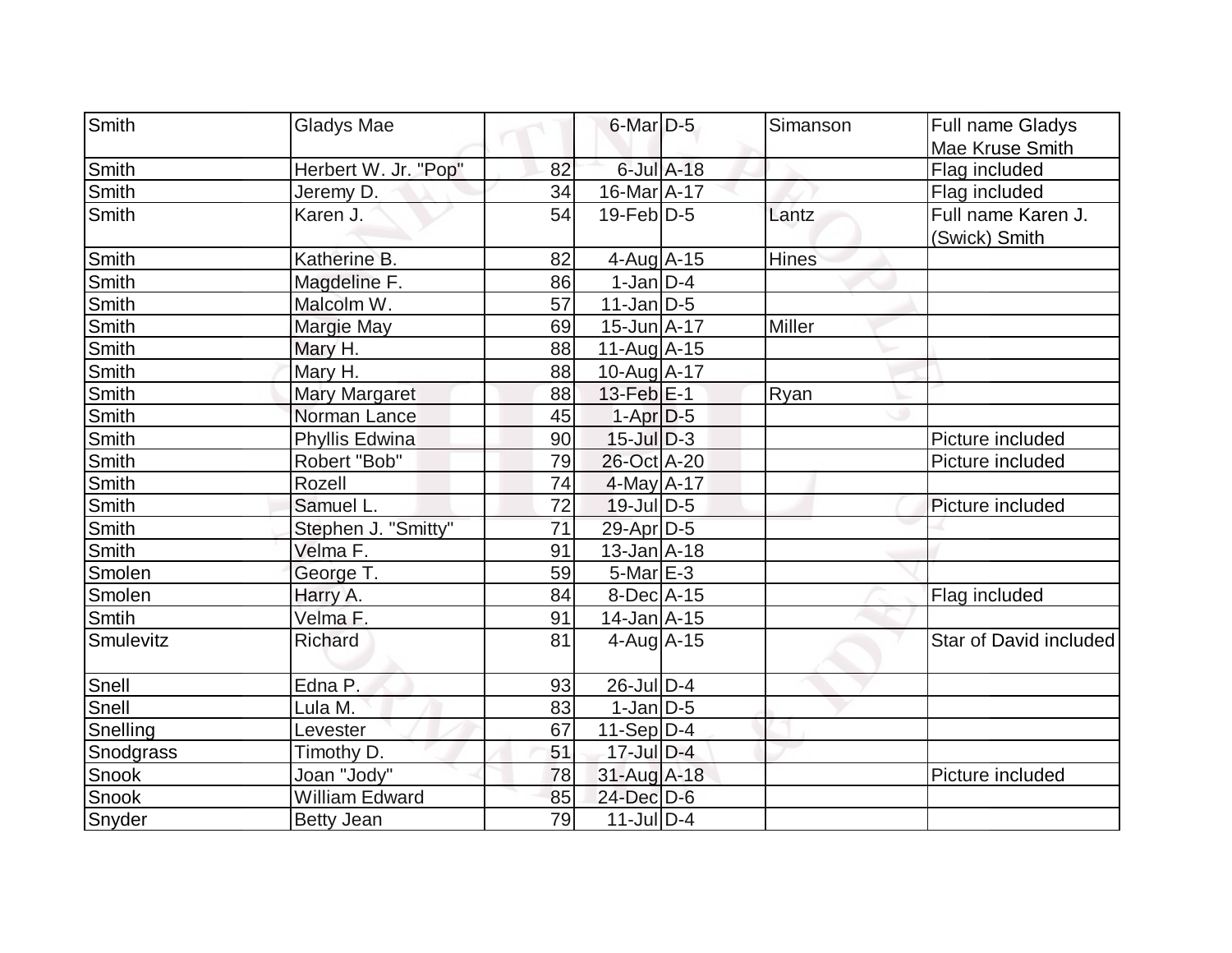| Smith        | Gladys Mae            |    | 6-Mar <sub>D-5</sub> |                  | Simanson | Full name Gladys       |
|--------------|-----------------------|----|----------------------|------------------|----------|------------------------|
|              |                       |    |                      |                  |          | Mae Kruse Smith        |
| <b>Smith</b> | Herbert W. Jr. "Pop"  | 82 |                      | $6$ -Jul $A$ -18 |          | Flag included          |
| <b>Smith</b> | Jeremy D.             | 34 | 16-Mar A-17          |                  |          | Flag included          |
| Smith        | Karen J.              | 54 | $19$ -Feb $D-5$      |                  | Lantz    | Full name Karen J.     |
|              |                       |    |                      |                  |          | (Swick) Smith          |
| <b>Smith</b> | Katherine B.          | 82 | $4$ -Aug $A$ -15     |                  | Hines    |                        |
| Smith        | Magdeline F.          | 86 | $1-Jan$ D-4          |                  |          |                        |
| Smith        | Malcolm W.            | 57 | $11$ -Jan D-5        |                  |          |                        |
| Smith        | Margie May            | 69 | $15$ -Jun $A$ -17    |                  | Miller   |                        |
| <b>Smith</b> | Mary H.               | 88 | $11-Auq$ A-15        |                  |          |                        |
| <b>Smith</b> | Mary H.               | 88 | $10$ -Aug $A$ -17    |                  |          |                        |
| Smith        | <b>Mary Margaret</b>  | 88 | $13$ -Feb $E-1$      |                  | Ryan     |                        |
| <b>Smith</b> | Norman Lance          | 45 | $1-Apr$ $D-5$        |                  |          |                        |
| Smith        | Phyllis Edwina        | 90 | $15$ -Jul $D-3$      |                  |          | Picture included       |
| Smith        | Robert "Bob"          | 79 | 26-Oct A-20          |                  |          | Picture included       |
| Smith        | Rozell                | 74 | $4$ -May $A$ -17     |                  |          |                        |
| Smith        | Samuel L.             | 72 | $19$ -Jul $D-5$      |                  |          | Picture included       |
| Smith        | Stephen J. "Smitty"   | 71 | 29-Apr D-5           |                  |          |                        |
| Smith        | Velma <sub>F.</sub>   | 91 | $13$ -Jan $A$ -18    |                  |          |                        |
| Smolen       | George T.             | 59 | $5$ -Mar $E-3$       |                  |          |                        |
| Smolen       | Harry A.              | 84 | $8$ -Dec $A$ -15     |                  |          | Flag included          |
| Smtih        | Velma <sub>F</sub> .  | 91 | $14$ -Jan $A$ -15    |                  |          |                        |
| Smulevitz    | <b>Richard</b>        | 81 | $4$ -Aug $A$ -15     |                  |          | Star of David included |
| Snell        | Edna P.               | 93 | 26-Jul D-4           |                  |          |                        |
| Snell        | Lula M.               | 83 | $1$ -Jan $ D-5 $     |                  |          |                        |
| Snelling     | Levester              | 67 | $11-Sep D-4$         |                  |          |                        |
| Snodgrass    | Timothy D.            | 51 | $17$ -Jul $D-4$      |                  |          |                        |
| Snook        | Joan "Jody"           | 78 | 31-Aug A-18          |                  |          | Picture included       |
| Snook        | <b>William Edward</b> | 85 | 24-Dec D-6           |                  |          |                        |
| Snyder       | <b>Betty Jean</b>     | 79 | $11$ -JulD-4         |                  |          |                        |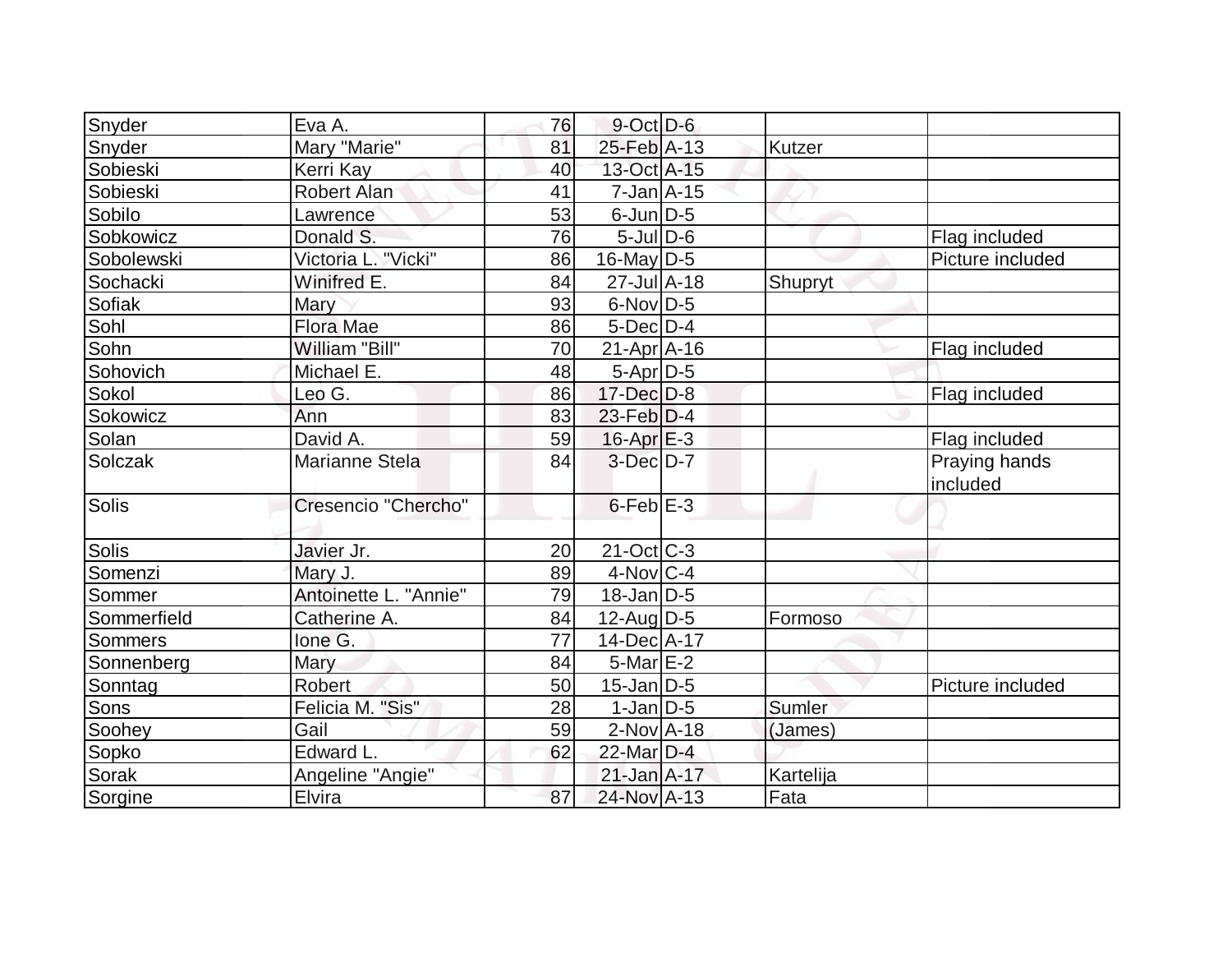| Snyder      | Eva A.                | 76 | $9$ -Oct $D$ -6              |           |                           |
|-------------|-----------------------|----|------------------------------|-----------|---------------------------|
| Snyder      | Mary "Marie"          | 81 | 25-Feb A-13                  | Kutzer    |                           |
| Sobieski    | Kerri Kay             | 40 | 13-Oct A-15                  |           |                           |
| Sobieski    | Robert Alan           | 41 | $7$ -Jan $A$ -15             |           |                           |
| Sobilo      | Lawrence              | 53 | $6$ -Jun $D-5$               |           |                           |
| Sobkowicz   | Donald S.             | 76 | $5$ -Jul $D$ -6              |           | Flag included             |
| Sobolewski  | Victoria L. "Vicki"   | 86 | $16$ -May D-5                |           | Picture included          |
| Sochacki    | Winifred E.           | 84 | $27$ -Jul $\overline{A}$ -18 | Shupryt   |                           |
| Sofiak      | Mary                  | 93 | $6$ -Nov $D-5$               |           |                           |
| Sohl        | <b>Flora Mae</b>      | 86 | $5$ -Dec $D-4$               |           |                           |
| Sohn        | William "Bill"        | 70 | $21-Apr$ A-16                |           | Flag included             |
| Sohovich    | Michael E.            | 48 | 5-Apr D-5                    |           |                           |
| Sokol       | Leo G.                | 86 | 17-Dec D-8                   |           | Flag included             |
| Sokowicz    | Ann                   | 83 | $23$ -Feb $D-4$              |           |                           |
| Solan       | David A.              | 59 | $16$ -Apr $E-3$              |           | Flag included             |
| Solczak     | <b>Marianne Stela</b> | 84 | $3-Dec$ $D-7$                |           | Praying hands<br>included |
| Solis       | Cresencio "Chercho"   |    | $6$ -Feb $E-3$               |           |                           |
| Solis       | Javier Jr.            | 20 | $21-Oct$ $C-3$               |           |                           |
| Somenzi     | Mary J.               | 89 | $4$ -Nov $ C-4 $             |           |                           |
| Sommer      | Antoinette L. "Annie" | 79 | $18$ -Jan D-5                |           |                           |
| Sommerfield | Catherine A.          | 84 | $12$ -AugD-5                 | Formoso   |                           |
| Sommers     | Ione G.               | 77 | 14-Dec A-17                  |           |                           |
| Sonnenberg  | <b>Mary</b>           | 84 | $5$ -Mar $E-2$               |           |                           |
| Sonntag     | <b>Robert</b>         | 50 | $15$ -Jan D-5                |           | Picture included          |
| Sons        | Felicia M. "Sis"      | 28 | $1-Jan D-5$                  | Sumler    |                           |
| Soohey      | Gail                  | 59 | $2$ -Nov $A$ -18             | (James)   |                           |
| Sopko       | Edward L.             | 62 | 22-Mar D-4                   |           |                           |
| Sorak       | Angeline "Angie"      |    | $21$ -Jan $A-17$             | Kartelija |                           |
| Sorgine     | Elvira                | 87 | 24-Nov A-13                  | Fata      |                           |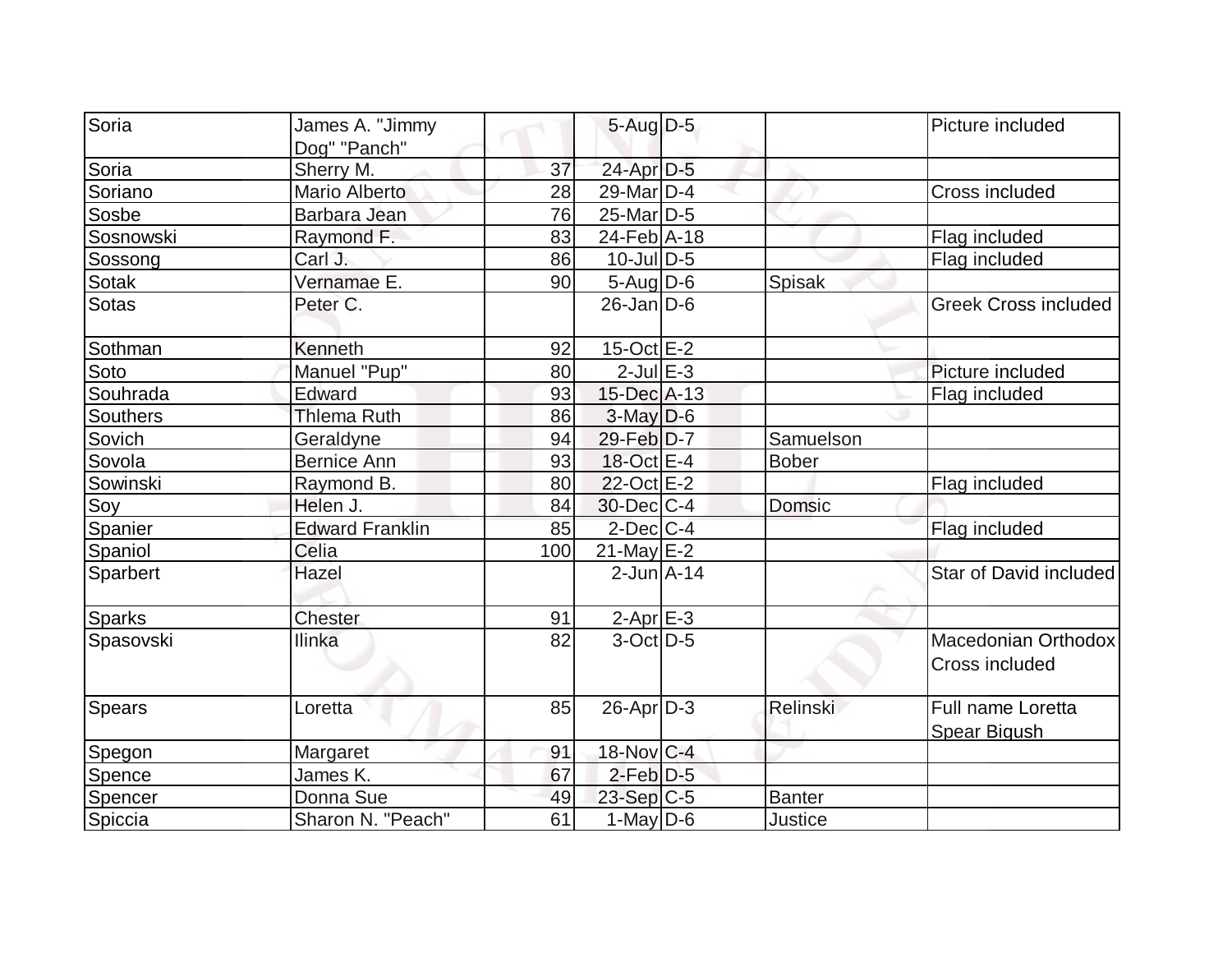| Soria           | James A. "Jimmy        |     | 5-Aug D-5               |               | Picture included            |
|-----------------|------------------------|-----|-------------------------|---------------|-----------------------------|
|                 | Dog" "Panch"           |     |                         |               |                             |
| Soria           | Sherry M.              | 37  | 24-Apr D-5              |               |                             |
| Soriano         | <b>Mario Alberto</b>   | 28  | 29-Mar <sub>D-4</sub>   |               | Cross included              |
| Sosbe           | Barbara Jean           | 76  | 25-Mar <sub>D-5</sub>   |               |                             |
| Sosnowski       | Raymond F.             | 83  | 24-Feb A-18             |               | Flag included               |
| Sossong         | Carl J.                | 86  | $10$ -Jul $D-5$         |               | Flag included               |
| Sotak           | Vernamae E.            | 90  | $5 - Aug   D-6$         | Spisak        |                             |
| <b>Sotas</b>    | Peter C.               |     | $26$ -Jan D-6           |               | <b>Greek Cross included</b> |
| Sothman         | Kenneth                | 92  | $15$ -Oct $E-2$         |               |                             |
| Soto            | Manuel "Pup"           | 80  | $2$ -Jul $E-3$          |               | Picture included            |
| Souhrada        | Edward                 | 93  | 15-Dec A-13             |               | Flag included               |
| <b>Southers</b> | <b>Thlema Ruth</b>     | 86  | $3$ -May $D$ -6         |               |                             |
| Sovich          | Geraldyne              | 94  | 29-Feb D-7              | Samuelson     |                             |
| Sovola          | <b>Bernice Ann</b>     | 93  | 18-Oct E-4              | <b>Bober</b>  |                             |
| Sowinski        | Raymond B.             | 80  | 22-Oct E-2              |               | Flag included               |
| Soy             | Helen J.               | 84  | $30$ -Dec $C-4$         | Domsic        |                             |
| Spanier         | <b>Edward Franklin</b> | 85  | $2$ -Dec $C$ -4         |               | Flag included               |
| Spaniol         | Celia                  | 100 | $21$ -May $E-2$         |               |                             |
| Sparbert        | Hazel                  |     | $2$ -Jun $A-14$         |               | Star of David included      |
| Sparks          | Chester                | 91  | $2-Apr$ $E-3$           |               |                             |
| Spasovski       | <b>Ilinka</b>          | 82  | $3$ -Oct $D-5$          |               | Macedonian Orthodox         |
|                 |                        |     |                         |               | Cross included              |
| Spears          | Loretta                | 85  | $26 - Apr$ $D-3$        | Relinski      | <b>Full name Loretta</b>    |
|                 |                        |     |                         |               | <b>Spear Bigush</b>         |
| Spegon          | Margaret               | 91  | $18-Nov$ <sub>C-4</sub> |               |                             |
| Spence          | James K.               | 67  | $2$ -Feb $D-5$          |               |                             |
| Spencer         | Donna Sue              | 49  | $23-Sep C-5$            | <b>Banter</b> |                             |
| Spiccia         | Sharon N. "Peach"      | 61  | 1-May $D-6$             | Justice       |                             |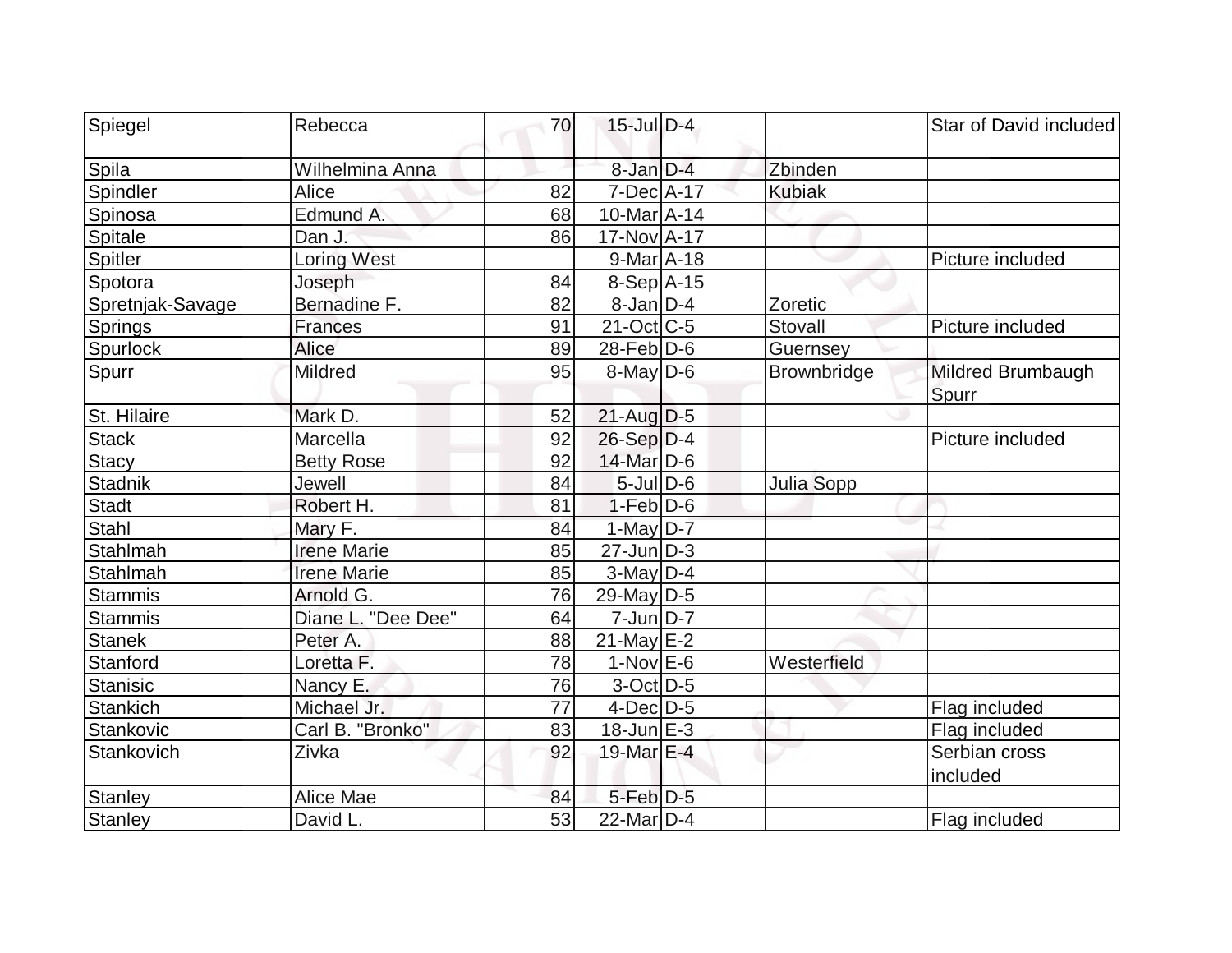| Spiegel          | Rebecca            | 70              | $15$ -Jul $D-4$          |                    | Star of David included     |
|------------------|--------------------|-----------------|--------------------------|--------------------|----------------------------|
| Spila            | Wilhelmina Anna    |                 | 8-Jan D-4                | Zbinden            |                            |
| Spindler         | Alice              | 82              | $7-Dec$ $A-17$           | <b>Kubiak</b>      |                            |
| Spinosa          | Edmund A.          | 68              | 10-Mar A-14              |                    |                            |
| Spitale          | Dan J.             | 86              | 17-Nov A-17              |                    |                            |
| <b>Spitler</b>   | Loring West        |                 | $9$ -Mar $ A-18$         |                    | Picture included           |
| Spotora          | Joseph             | 84              | $8-Sep$ A-15             |                    |                            |
| Spretnjak-Savage | Bernadine F.       | 82              | $8$ -Jan $D-4$           | Zoretic            |                            |
| Springs          | Frances            | 91              | $21-Oct$ <sub>C</sub> -5 | Stovall            | Picture included           |
| Spurlock         | <b>Alice</b>       | 89              | $28$ -Feb $ D-6$         | Guernsey           |                            |
| Spurr            | Mildred            | 95              | $8$ -May $D$ -6          | <b>Brownbridge</b> | Mildred Brumbaugh<br>Spurr |
| St. Hilaire      | Mark D.            | 52              | 21-Aug D-5               |                    |                            |
| <b>Stack</b>     | Marcella           | 92              | $26-Sep D-4$             |                    | Picture included           |
| <b>Stacy</b>     | <b>Betty Rose</b>  | 92              | 14-Mar D-6               |                    |                            |
| <b>Stadnik</b>   | Jewell             | 84              | $5$ -Jul $D$ -6          | <b>Julia Sopp</b>  |                            |
| <b>Stadt</b>     | Robert H.          | 81              | $1-Feb D-6$              |                    |                            |
| Stahl            | Mary F.            | 84              | $1$ -May $D-7$           |                    |                            |
| Stahlmah         | <b>Irene Marie</b> | 85              | $27 - Jun$ $D-3$         |                    |                            |
| Stahlmah         | <b>Irene Marie</b> | 85              | $3-May$ D-4              |                    |                            |
| <b>Stammis</b>   | Arnold G.          | 76              | $29$ -May D-5            |                    |                            |
| <b>Stammis</b>   | Diane L. "Dee Dee" | 64              | $7$ -Jun $D-7$           |                    |                            |
| <b>Stanek</b>    | Peter A.           | 88              | $21$ -May E-2            |                    |                            |
| Stanford         | Loretta F.         | 78              | $1-Nov$ E-6              | Westerfield        |                            |
| <b>Stanisic</b>  | Nancy E.           | 76              | 3-Oct D-5                |                    |                            |
| <b>Stankich</b>  | Michael Jr.        | $\overline{77}$ | $4$ -Dec $D-5$           |                    | Flag included              |
| Stankovic        | Carl B. "Bronko"   | 83              | $18$ -Jun $E-3$          |                    | Flag included              |
| Stankovich       | Zivka              | 92              | 19-Mar E-4               |                    | Serbian cross<br>included  |
| <b>Stanley</b>   | Alice Mae          | 84              | $5$ -Feb $D-5$           |                    |                            |
| Stanley          | David L.           | 53              | $22$ -Mar $ D-4 $        |                    | Flag included              |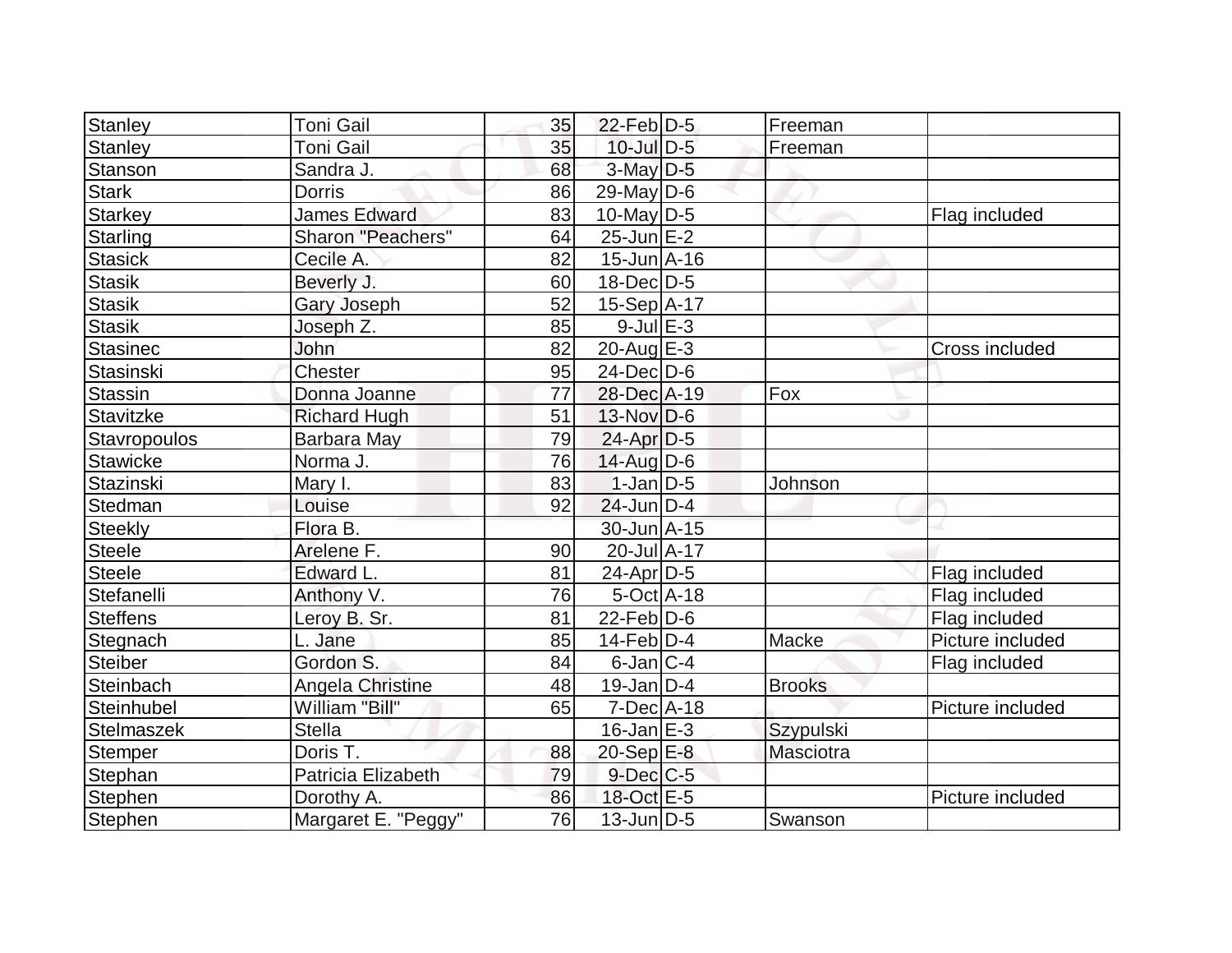| Stanley         | <b>Toni Gail</b>        | 35 | 22-Feb D-5        | Freeman       |                       |
|-----------------|-------------------------|----|-------------------|---------------|-----------------------|
| Stanley         | <b>Toni Gail</b>        | 35 | $10$ -Jul $D-5$   | Freeman       |                       |
| Stanson         | Sandra J.               | 68 | $3$ -May $D-5$    |               |                       |
| <b>Stark</b>    | <b>Dorris</b>           | 86 | $29$ -May D-6     |               |                       |
| Starkey         | <b>James Edward</b>     | 83 | $10$ -May D-5     |               | Flag included         |
| Starling        | Sharon "Peachers"       | 64 | $25$ -Jun $E-2$   |               |                       |
| <b>Stasick</b>  | Cecile A.               | 82 | $15$ -Jun $A$ -16 |               |                       |
| Stasik          | Beverly J.              | 60 | $18$ -Dec $D-5$   |               |                       |
| <b>Stasik</b>   | <b>Gary Joseph</b>      | 52 | $15-Sep$ $A-17$   |               |                       |
| <b>Stasik</b>   | Joseph Z.               | 85 | $9$ -Jul $E-3$    |               |                       |
| <b>Stasinec</b> | John                    | 82 | $20$ -Aug $E-3$   |               | <b>Cross included</b> |
| Stasinski       | Chester                 | 95 | 24-Dec D-6        |               |                       |
| <b>Stassin</b>  | Donna Joanne            | 77 | 28-Dec A-19       | Fox           |                       |
| Stavitzke       | <b>Richard Hugh</b>     | 51 | $13-Nov D-6$      |               |                       |
| Stavropoulos    | Barbara May             | 79 | $24$ -Apr $D-5$   |               |                       |
| <b>Stawicke</b> | Norma J.                | 76 | $14$ -Aug D-6     |               |                       |
| Stazinski       | Mary I.                 | 83 | $1-Jan$ D-5       | Johnson       |                       |
| Stedman         | Louise                  | 92 | $24$ -Jun $D-4$   |               |                       |
| <b>Steekly</b>  | Flora B.                |    | 30-Jun A-15       |               |                       |
| <b>Steele</b>   | Arelene F.              | 90 | 20-Jul A-17       |               |                       |
| Steele          | Edward L.               | 81 | $24$ -Apr $ D-5$  |               | Flag included         |
| Stefanelli      | Anthony V.              | 76 | $5$ -Oct $A$ -18  |               | Flag included         |
| <b>Steffens</b> | Leroy B. Sr.            | 81 | $22$ -Feb $ D-6$  |               | Flag included         |
| Stegnach        | L. Jane                 | 85 | $14$ -Feb $D-4$   | Macke         | Picture included      |
| Steiber         | Gordon S.               | 84 | $6$ -Jan $ C-4 $  |               | Flag included         |
| Steinbach       | <b>Angela Christine</b> | 48 | $19$ -Jan $D-4$   | <b>Brooks</b> |                       |
| Steinhubel      | William "Bill"          | 65 | $7$ -Dec $A$ -18  |               | Picture included      |
| Stelmaszek      | <b>Stella</b>           |    | $16$ -Jan $E-3$   | Szypulski     |                       |
| Stemper         | Doris T.                | 88 | $20-Sep$ $E-8$    | Masciotra     |                       |
| Stephan         | Patricia Elizabeth      | 79 | $9$ -Dec $C$ -5   |               |                       |
| Stephen         | Dorothy A.              | 86 | 18-Oct E-5        |               | Picture included      |
| Stephen         | Margaret E. "Peggy"     | 76 | $13$ -Jun $ D-5$  | Swanson       |                       |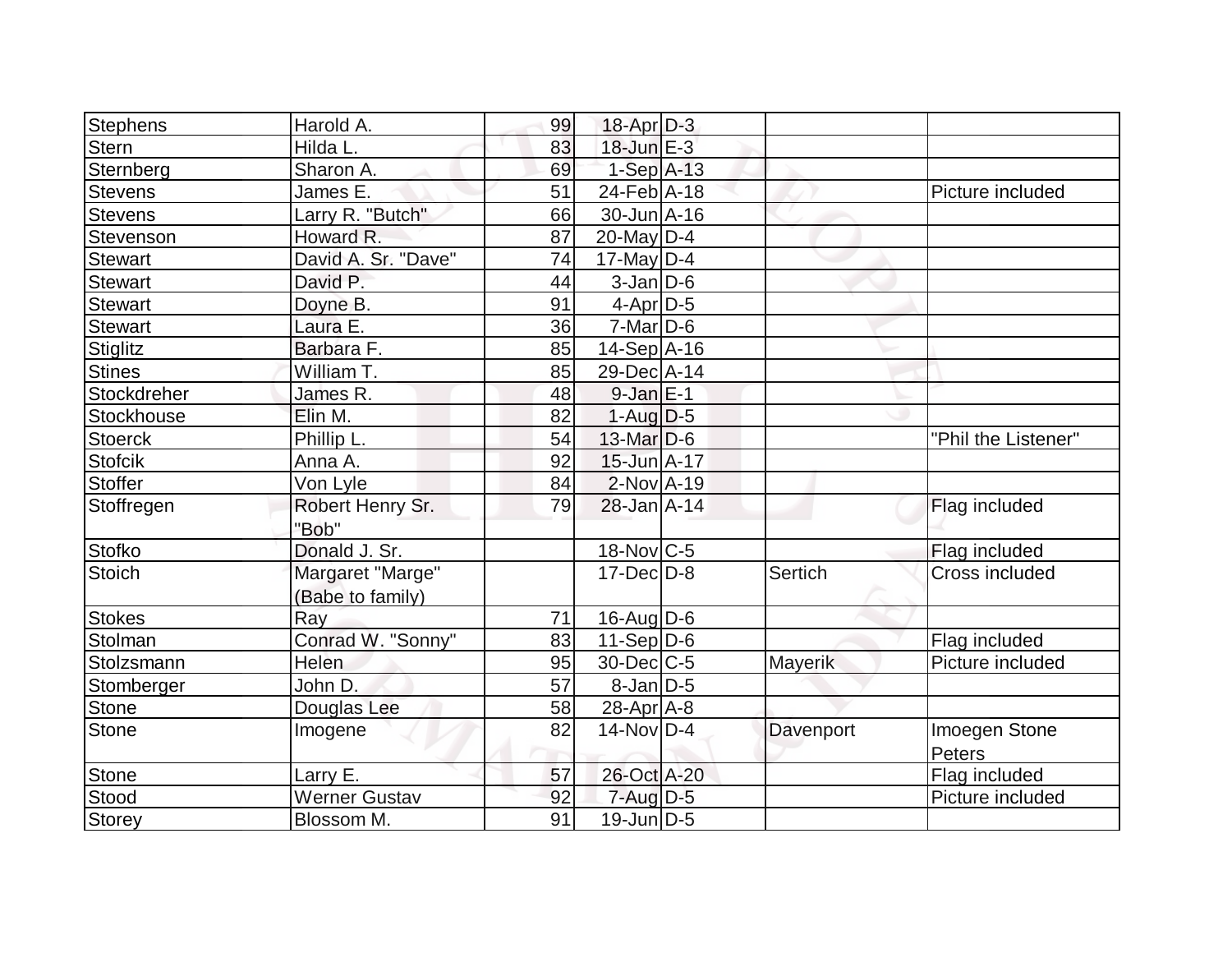| Stephens       | Harold A.            | 99 | $18$ -Apr $D-3$   |                |                     |
|----------------|----------------------|----|-------------------|----------------|---------------------|
| <b>Stern</b>   | Hilda L.             | 83 | $18$ -Jun $E-3$   |                |                     |
| Sternberg      | Sharon A.            | 69 | $1-Sep$ A-13      |                |                     |
| <b>Stevens</b> | James E.             | 51 | 24-Feb A-18       |                | Picture included    |
| Stevens        | Larry R. "Butch"     | 66 | $30 - Jun$ A-16   |                |                     |
| Stevenson      | Howard R.            | 87 | 20-May $D-4$      |                |                     |
| <b>Stewart</b> | David A. Sr. "Dave"  | 74 | $17$ -May D-4     |                |                     |
| Stewart        | David P.             | 44 | $3$ -Jan $D$ -6   |                |                     |
| <b>Stewart</b> | Doyne B.             | 91 | $4$ -Apr $D-5$    |                |                     |
| <b>Stewart</b> | Laura E.             | 36 | $7-Mar$ D-6       |                |                     |
| Stiglitz       | Barbara F.           | 85 | $14-Sep$ A-16     |                |                     |
| <b>Stines</b>  | William T.           | 85 | 29-Dec A-14       |                |                     |
| Stockdreher    | James R.             | 48 | $9$ -Jan $E-1$    |                |                     |
| Stockhouse     | Elin M.              | 82 | $1-Aug D-5$       |                |                     |
| <b>Stoerck</b> | Phillip L.           | 54 | $13$ -Mar $D-6$   |                | "Phil the Listener" |
| <b>Stofcik</b> | Anna A.              | 92 | $15$ -Jun $A-17$  |                |                     |
| <b>Stoffer</b> | Von Lyle             | 84 | $2$ -Nov $A-19$   |                |                     |
| Stoffregen     | Robert Henry Sr.     | 79 | $28 - Jan A - 14$ |                | Flag included       |
|                | "Bob"                |    |                   |                |                     |
| Stofko         | Donald J. Sr.        |    | $18$ -Nov $ C-5 $ |                | Flag included       |
| Stoich         | Margaret "Marge"     |    | $17$ -Dec $ D-8$  | Sertich        | Cross included      |
|                | (Babe to family)     |    |                   |                |                     |
| Stokes         | Ray                  | 71 | $16$ -Aug $D-6$   |                |                     |
| Stolman        | Conrad W. "Sonny"    | 83 | $11-Sep D-6$      |                | Flag included       |
| Stolzsmann     | Helen                | 95 | 30-Dec C-5        | <b>Mayerik</b> | Picture included    |
| Stomberger     | John D.              | 57 | $8$ -Jan $D$ -5   |                |                     |
| Stone          | Douglas Lee          | 58 | $28$ -Apr $A$ -8  |                |                     |
| Stone          | Imogene              | 82 | $14$ -Nov $ D-4$  | Davenport      | Imoegen Stone       |
|                |                      |    |                   |                | <b>Peters</b>       |
| <b>Stone</b>   | Larry E.             | 57 | 26-Oct A-20       |                | Flag included       |
| Stood          | <b>Werner Gustav</b> | 92 | $7 - Aug$ $D-5$   |                | Picture included    |
| Storey         | Blossom M.           | 91 | $19$ -Jun $ D-5$  |                |                     |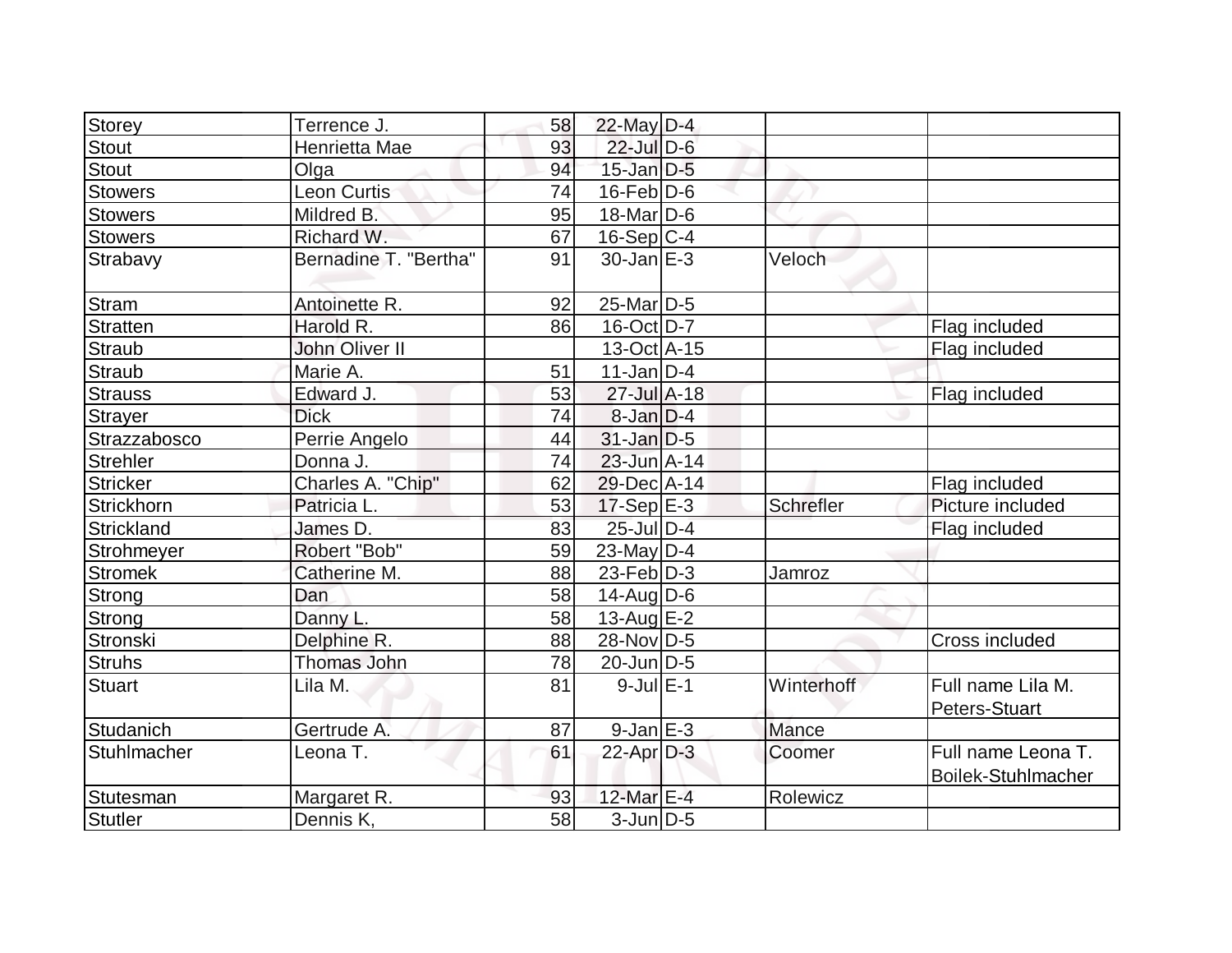| Storey          | Terrence J.           | 58 | $22$ -May D-4     |            |                                          |
|-----------------|-----------------------|----|-------------------|------------|------------------------------------------|
| <b>Stout</b>    | Henrietta Mae         | 93 | $22$ -Jul $D-6$   |            |                                          |
| Stout           | Olga                  | 94 | $15$ -Jan $ D-5 $ |            |                                          |
| <b>Stowers</b>  | Leon Curtis           | 74 | $16$ -Feb $D-6$   |            |                                          |
| <b>Stowers</b>  | Mildred B.            | 95 | 18-Mar D-6        |            |                                          |
| Stowers         | Richard W.            | 67 | $16-Sep C-4$      |            |                                          |
| Strabavy        | Bernadine T. "Bertha" | 91 | $30$ -Jan $E-3$   | Veloch     |                                          |
| <b>Stram</b>    | Antoinette R.         | 92 | $25$ -Mar $D-5$   |            |                                          |
| <b>Stratten</b> | Harold R.             | 86 | $16$ -Oct D-7     |            | Flag included                            |
| <b>Straub</b>   | <b>John Oliver II</b> |    | 13-Oct A-15       |            | Flag included                            |
| Straub          | Marie A.              | 51 | $11$ -Jan $ D-4 $ |            |                                          |
| <b>Strauss</b>  | Edward J.             | 53 | $27$ -Jul $A-18$  |            | Flag included                            |
| Strayer         | <b>Dick</b>           | 74 | $8$ -Jan $D-4$    |            |                                          |
| Strazzabosco    | Perrie Angelo         | 44 | $31$ -Jan $D-5$   |            |                                          |
| <b>Strehler</b> | Donna J.              | 74 | $23$ -Jun $A-14$  |            |                                          |
| <b>Stricker</b> | Charles A. "Chip"     | 62 | 29-Dec A-14       |            | Flag included                            |
| Strickhorn      | Patricia L.           | 53 | $17-Sep$ $E-3$    | Schrefler  | Picture included                         |
| Strickland      | James D.              | 83 | $25$ -Jul $D-4$   |            | Flag included                            |
| Strohmeyer      | Robert "Bob"          | 59 | $23$ -May D-4     |            |                                          |
| <b>Stromek</b>  | Catherine M.          | 88 | $23$ -Feb $ D-3$  | Jamroz     |                                          |
| Strong          | Dan                   | 58 | $14$ -AugD-6      |            |                                          |
| Strong          | Danny L.              | 58 | $13$ -Aug $E-2$   |            |                                          |
| Stronski        | Delphine R.           | 88 | 28-Nov D-5        |            | Cross included                           |
| <b>Struhs</b>   | Thomas John           | 78 | $20$ -Jun $ D-5 $ |            |                                          |
| Stuart          | Lila M.               | 81 | $9$ -Jul $E-1$    | Winterhoff | Full name Lila M.<br>Peters-Stuart       |
| Studanich       | Gertrude A.           | 87 | $9$ -Jan $E-3$    | Mance      |                                          |
| Stuhlmacher     | Leona T.              | 61 | $22$ -Apr $D-3$   | Coomer     | Full name Leona T.<br>Boilek-Stuhlmacher |
| Stutesman       | Margaret R.           | 93 | 12-Mar E-4        | Rolewicz   |                                          |
| <b>Stutler</b>  | Dennis K,             | 58 | $3$ -Jun $D-5$    |            |                                          |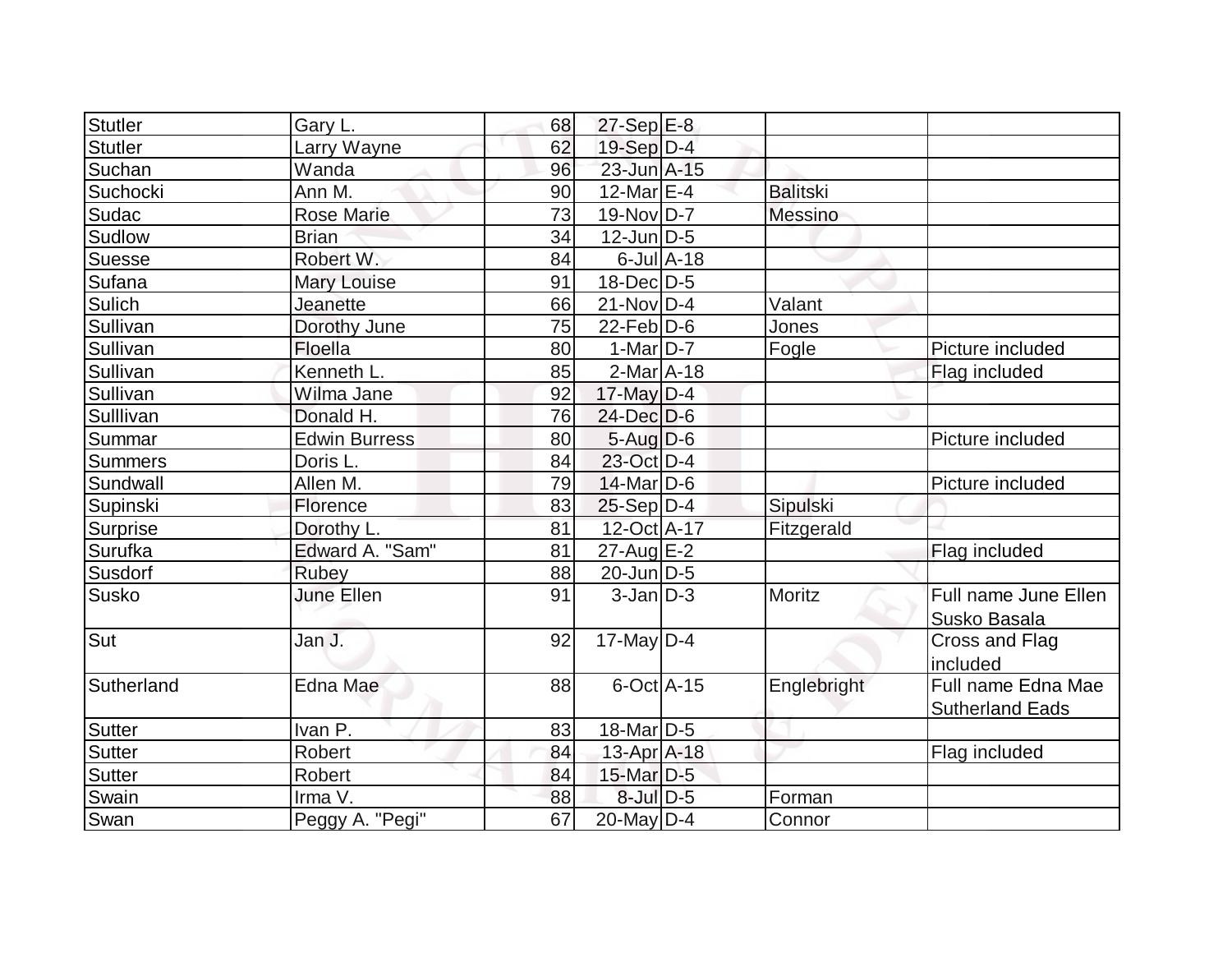| Stutler        | Gary L.              | 68 | $27-Sep$ <sub>E-8</sub> |                  |                 |                        |
|----------------|----------------------|----|-------------------------|------------------|-----------------|------------------------|
| <b>Stutler</b> | Larry Wayne          | 62 | 19-Sep D-4              |                  |                 |                        |
| Suchan         | Wanda                | 96 | 23-Jun A-15             |                  |                 |                        |
| Suchocki       | Ann M.               | 90 | $12$ -Mar $E-4$         |                  | <b>Balitski</b> |                        |
| Sudac          | <b>Rose Marie</b>    | 73 | 19-Nov D-7              |                  | Messino         |                        |
| Sudlow         | <b>Brian</b>         | 34 | $12$ -Jun $ D-5$        |                  |                 |                        |
| Suesse         | Robert W.            | 84 |                         | $6$ -Jul $A$ -18 |                 |                        |
| Sufana         | Mary Louise          | 91 | $18$ -Dec $D-5$         |                  |                 |                        |
| Sulich         | <b>Jeanette</b>      | 66 | $21-Nov D-4$            |                  | Valant          |                        |
| Sullivan       | Dorothy June         | 75 | $22$ -Feb $D-6$         |                  | Jones           |                        |
| Sullivan       | Floella              | 80 | $1-MarD-7$              |                  | Fogle           | Picture included       |
| Sullivan       | Kenneth L.           | 85 | $2$ -Mar $A$ -18        |                  |                 | Flag included          |
| Sullivan       | Wilma Jane           | 92 | $17$ -May D-4           |                  |                 |                        |
| Sulllivan      | Donald H.            | 76 | 24-Dec D-6              |                  |                 |                        |
| Summar         | <b>Edwin Burress</b> | 80 | $5 - Aug   D-6$         |                  |                 | Picture included       |
| <b>Summers</b> | Doris L.             | 84 | 23-Oct D-4              |                  |                 |                        |
| Sundwall       | Allen M.             | 79 | $14$ -Mar $D-6$         |                  |                 | Picture included       |
| Supinski       | Florence             | 83 | $25-Sep D-4$            |                  | Sipulski        |                        |
| Surprise       | Dorothy L.           | 81 | 12-Oct A-17             |                  | Fitzgerald      |                        |
| Surufka        | Edward A. "Sam"      | 81 | $27$ -Aug $E-2$         |                  |                 | Flag included          |
| Susdorf        | Rubey                | 88 | $20$ -Jun $D-5$         |                  |                 |                        |
| Susko          | June Ellen           | 91 | $3$ -Jan $ D-3 $        |                  | Moritz          | Full name June Ellen   |
|                |                      |    |                         |                  |                 | Susko Basala           |
| Sut            | Jan J.               | 92 | $17$ -May D-4           |                  |                 | <b>Cross and Flag</b>  |
|                |                      |    |                         |                  |                 | included               |
| Sutherland     | Edna Mae             | 88 | $6$ -Oct $A$ -15        |                  | Englebright     | Full name Edna Mae     |
|                |                      |    |                         |                  |                 | <b>Sutherland Eads</b> |
| Sutter         | Ivan P.              | 83 | $18$ -Mar $D-5$         |                  |                 |                        |
| Sutter         | <b>Robert</b>        | 84 | 13-Apr A-18             |                  |                 | Flag included          |
| Sutter         | Robert               | 84 | $15$ -Mar $D-5$         |                  |                 |                        |
| Swain          | Irma V.              | 88 | 8-Jul D-5               |                  | Forman          |                        |
| Swan           | Peggy A. "Pegi"      | 67 | $20$ -May $D-4$         |                  | Connor          |                        |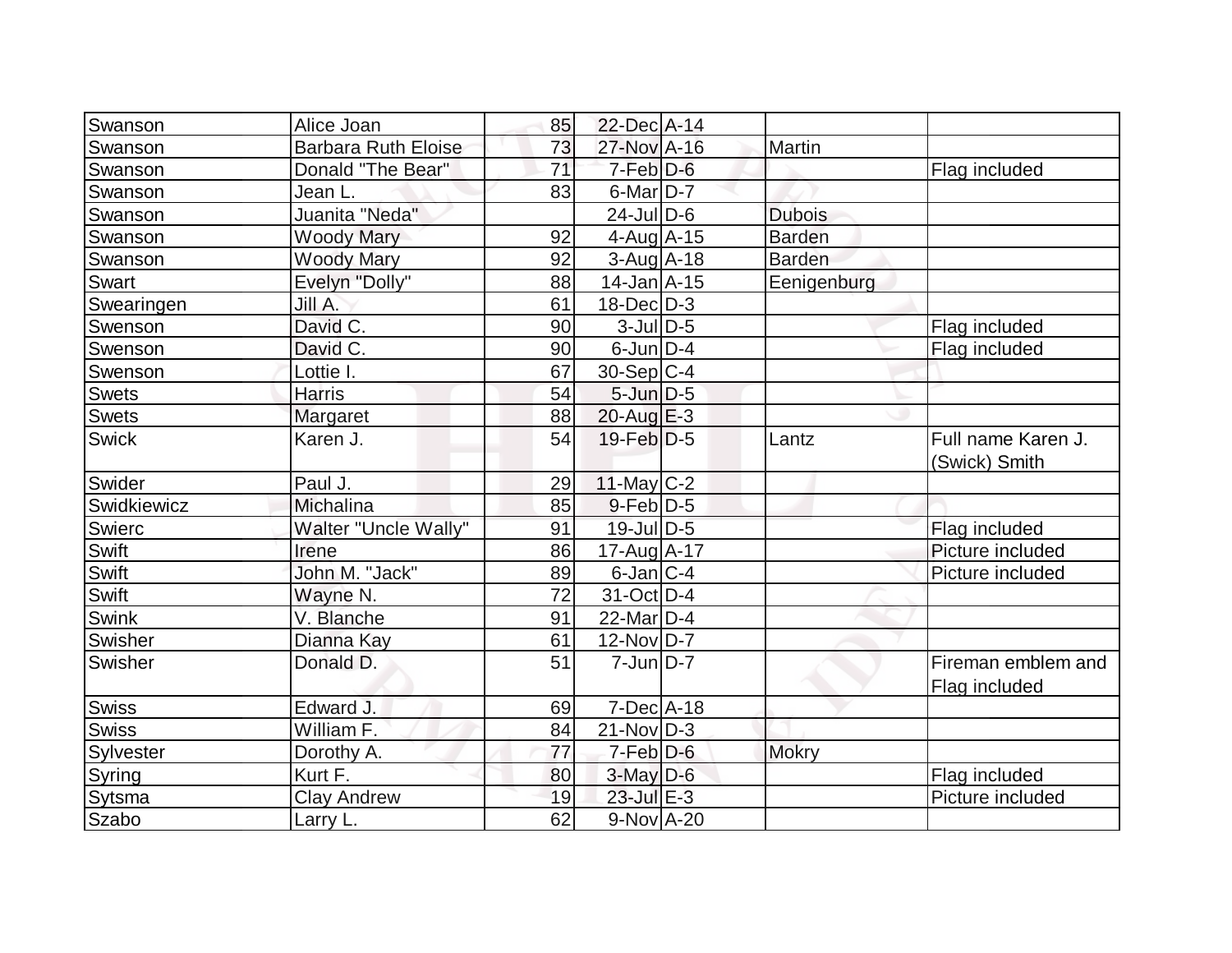| Swanson      | Alice Joan                 | 85              | 22-Dec A-14           |               |                                     |
|--------------|----------------------------|-----------------|-----------------------|---------------|-------------------------------------|
| Swanson      | <b>Barbara Ruth Eloise</b> | 73              | 27-Nov A-16           | Martin        |                                     |
| Swanson      | Donald "The Bear"          | $\overline{71}$ | $7-Feb$ D-6           |               | Flag included                       |
| Swanson      | Jean L.                    | 83              | $6$ -Mar $D-7$        |               |                                     |
| Swanson      | Juanita "Neda"             |                 | $24$ -JulD-6          | <b>Dubois</b> |                                     |
| Swanson      | <b>Woody Mary</b>          | 92              | $4$ -Aug $A$ -15      | Barden        |                                     |
| Swanson      | <b>Woody Mary</b>          | 92              | $3$ -Aug $ A-18$      | Barden        |                                     |
| Swart        | Evelyn "Dolly"             | 88              | $14$ -Jan $A$ -15     | Eenigenburg   |                                     |
| Swearingen   | Jill A.                    | 61              | $18$ -Dec $D-3$       |               |                                     |
| Swenson      | David C.                   | 90              | $3$ -Jul $D-5$        |               | Flag included                       |
| Swenson      | David C.                   | 90              | $6$ -Jun $D-4$        |               | Flag included                       |
| Swenson      | Lottie I.                  | 67              | $30-Sep C-4$          |               |                                     |
| <b>Swets</b> | <b>Harris</b>              | 54              | $5$ -Jun $D-5$        |               |                                     |
| <b>Swets</b> | <b>Margaret</b>            | 88              | $20$ -Aug $E-3$       |               |                                     |
| Swick        | Karen J.                   | 54              | $19$ -Feb $D-5$       | Lantz         | Full name Karen J.<br>(Swick) Smith |
| Swider       | Paul J.                    | 29              | $11$ -May C-2         |               |                                     |
| Swidkiewicz  | Michalina                  | 85              | $9$ -Feb $D-5$        |               |                                     |
| Swierc       | Walter "Uncle Wally"       | 91              | 19-Jul D-5            |               | Flag included                       |
| Swift        | Irene                      | 86              | 17-Aug A-17           |               | Picture included                    |
| Swift        | John M. "Jack"             | 89              | $6$ -Jan $ C-4$       |               | Picture included                    |
| Swift        | Wayne N.                   | 72              | 31-Oct D-4            |               |                                     |
| Swink        | V. Blanche                 | 91              | 22-Mar <sub>D-4</sub> |               |                                     |
| Swisher      | Dianna Kay                 | 61              | $12$ -Nov $ D-7 $     |               |                                     |
| Swisher      | Donald D.                  | 51              | $7$ -Jun $D-7$        |               | Fireman emblem and<br>Flag included |
| <b>Swiss</b> | Edward J.                  | 69              | $7$ -Dec $A$ -18      |               |                                     |
| <b>Swiss</b> | William F.                 | 84              | $21-Nov D-3$          |               |                                     |
| Sylvester    | Dorothy A.                 | 77              | $7-Feb$ D-6           | <b>Mokry</b>  |                                     |
| Syring       | Kurt F.                    | 80              | $3$ -May $D$ -6       |               | Flag included                       |
| Sytsma       | <b>Clay Andrew</b>         | 19              | $23$ -Jul $E-3$       |               | Picture included                    |
| Szabo        | Larry L.                   | 62              | 9-Nov A-20            |               |                                     |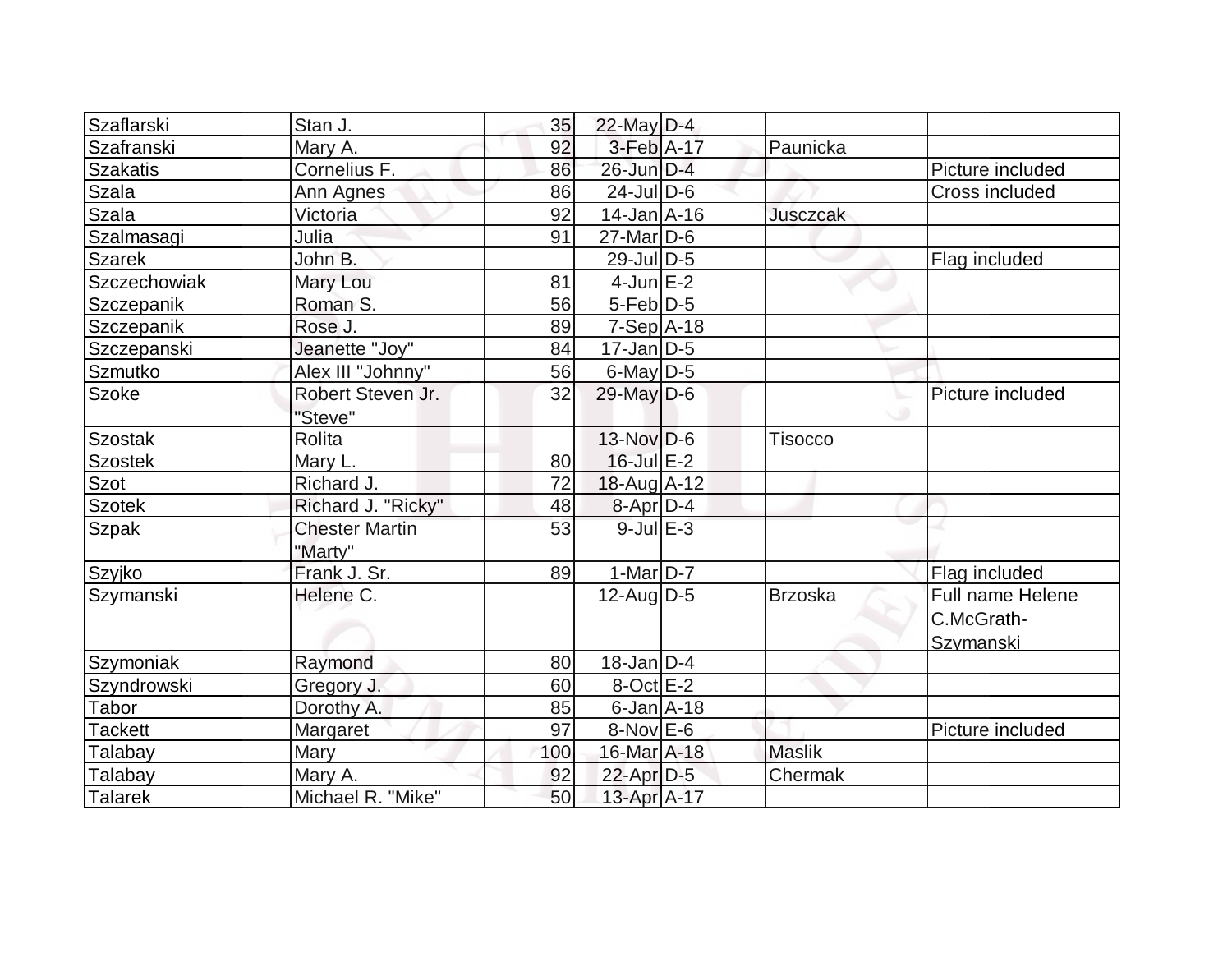| Szaflarski        | Stan J.               | 35  | 22-May D-4                  |                 |                         |
|-------------------|-----------------------|-----|-----------------------------|-----------------|-------------------------|
| Szafranski        | Mary A.               | 92  | $3-Feb$ A-17                | Paunicka        |                         |
| Szakatis          | Cornelius F.          | 86  | $26$ -Jun $D-4$             |                 | Picture included        |
| <b>Szala</b>      | Ann Agnes             | 86  | $24$ -JulD-6                |                 | Cross included          |
| <b>Szala</b>      | Victoria              | 92  | $14$ -Jan $A$ -16           | <b>Jusczcak</b> |                         |
| Szalmasagi        | Julia                 | 91  | $27$ -Mar $ D-6$            |                 |                         |
| <b>Szarek</b>     | John B.               |     | $29$ -JulD-5                |                 | Flag included           |
| Szczechowiak      | Mary Lou              | 81  | $4$ -Jun $E-2$              |                 |                         |
| <b>Szczepanik</b> | Roman S.              | 56  | $5-Feb D-5$                 |                 |                         |
| Szczepanik        | Rose J.               | 89  | $7-Sep$ A-18                |                 |                         |
| Szczepanski       | Jeanette "Joy"        | 84  | $17$ -Jan D-5               |                 |                         |
| Szmutko           | Alex III "Johnny"     | 56  | $6$ -May D-5                |                 |                         |
| <b>Szoke</b>      | Robert Steven Jr.     | 32  | $29$ -May D-6               |                 | Picture included        |
|                   | "Steve"               |     |                             |                 |                         |
| Szostak           | Rolita                |     | 13-Nov D-6                  | <b>Tisocco</b>  |                         |
| <b>Szostek</b>    | Mary L.               | 80  | $16$ -Jul $E-2$             |                 |                         |
| <b>Szot</b>       | Richard J.            | 72  | 18-Aug A-12                 |                 |                         |
| <b>Szotek</b>     | Richard J. "Ricky"    | 48  | $8 - Apr$ D-4               |                 |                         |
| <b>Szpak</b>      | <b>Chester Martin</b> | 53  | $9$ -Jul $E-3$              |                 |                         |
|                   | "Marty"               |     |                             |                 |                         |
| Szyjko            | Frank J. Sr.          | 89  | $1-Mar$ D-7                 |                 | Flag included           |
| Szymanski         | Helene C.             |     | $12$ -Aug $ D-5 $           | <b>Brzoska</b>  | <b>Full name Helene</b> |
|                   |                       |     |                             |                 | C.McGrath-              |
|                   |                       |     |                             |                 | <b>Szymanski</b>        |
| Szymoniak         | Raymond               | 80  | $18 - Jan$ $\overline{D-4}$ |                 |                         |
| Szyndrowski       | Gregory J.            | 60  | $8-Oct$ $E-2$               |                 |                         |
| Tabor             | Dorothy A.            | 85  | $6$ -Jan $A$ -18            |                 |                         |
| <b>Tackett</b>    | <b>Margaret</b>       | 97  | $8-Nov$ $E-6$               |                 | Picture included        |
| Talabay           | <b>Mary</b>           | 100 | 16-Mar A-18                 | <b>Maslik</b>   |                         |
| Talabay           | Mary A.               | 92  | $22$ -Apr $D-5$             | Chermak         |                         |
| Talarek           | Michael R. "Mike"     | 50  | 13-Apr A-17                 |                 |                         |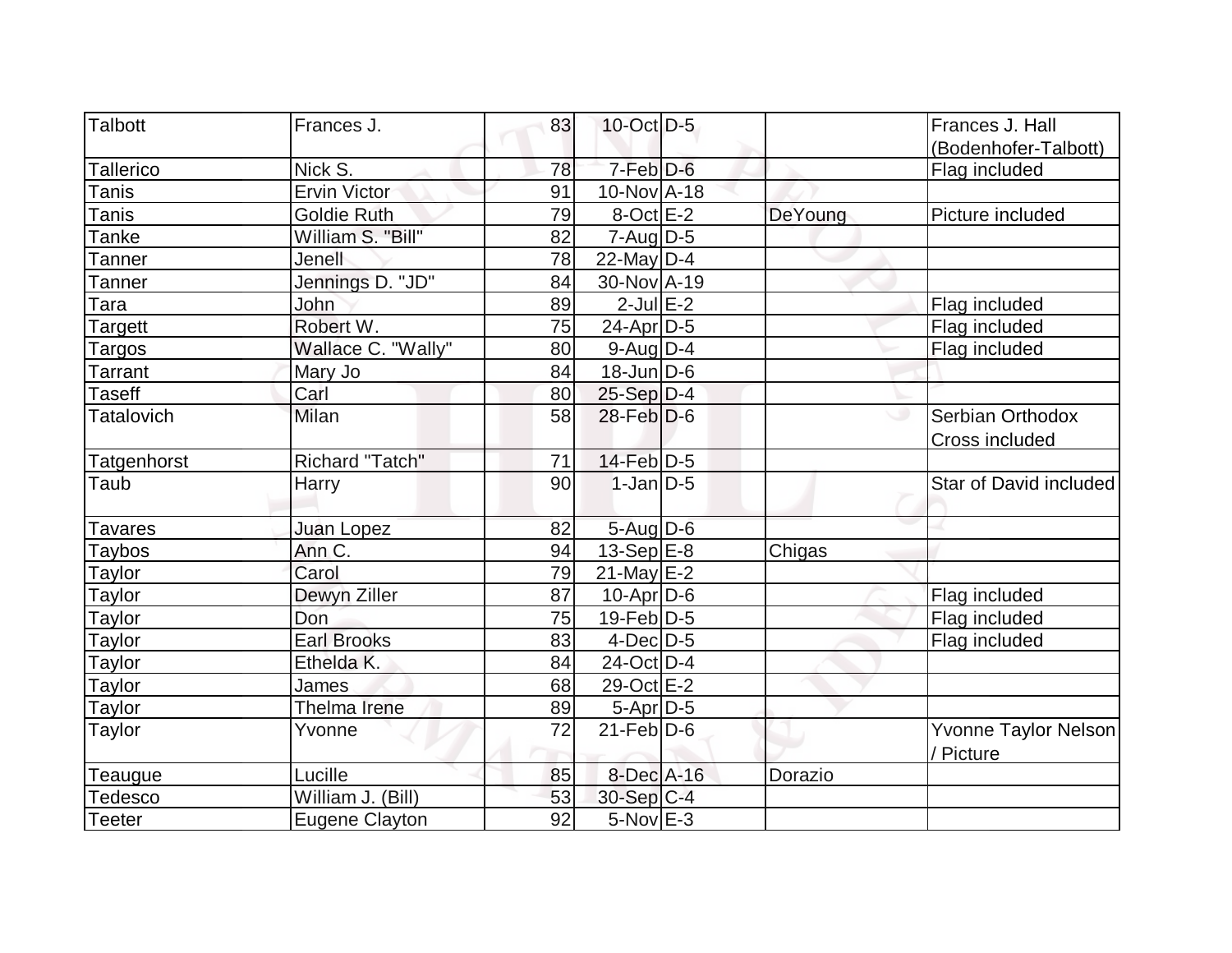| Talbott           | Frances J.            | 83 | $10$ -Oct $D-5$  |         | Frances J. Hall        |
|-------------------|-----------------------|----|------------------|---------|------------------------|
|                   |                       |    |                  |         | (Bodenhofer-Talbott)   |
| Tallerico         | Nick S.               | 78 | 7-Feb D-6        |         | Flag included          |
| <b>Tanis</b>      | Ervin Victor          | 91 | 10-Nov A-18      |         |                        |
| Tanis             | Goldie Ruth           | 79 | $8$ -Oct $E-2$   | DeYoung | Picture included       |
| <b>Tanke</b>      | William S. "Bill"     | 82 | $7 - Aug   D-5$  |         |                        |
| Tanner            | Jenell                | 78 | $22$ -May D-4    |         |                        |
| Tanner            | Jennings D. "JD"      | 84 | 30-Nov A-19      |         |                        |
| Tara              | John                  | 89 | $2$ -Jul $E-2$   |         | Flag included          |
| Targett           | Robert W.             | 75 | $24$ -Apr $D-5$  |         | Flag included          |
| Targos            | Wallace C. "Wally"    | 80 | $9$ -Aug $D-4$   |         | Flag included          |
| <b>Tarrant</b>    | Mary Jo               | 84 | $18$ -Jun $ D-6$ |         |                        |
| Taseff            | Carl                  | 80 | $25-Sep D-4$     |         |                        |
| <b>Tatalovich</b> | <b>Milan</b>          | 58 | $28$ -Feb $D-6$  |         | Serbian Orthodox       |
|                   |                       |    |                  |         | Cross included         |
| Tatgenhorst       | Richard "Tatch"       | 71 | $14$ -Feb $D-5$  |         |                        |
| Taub              | Harry                 | 90 | $1-Jan D-5$      |         | Star of David included |
|                   |                       |    |                  |         |                        |
| <b>Tavares</b>    | <b>Juan Lopez</b>     | 82 | $5-Aug$ $D-6$    |         |                        |
| Taybos            | Ann C.                | 94 | 13-Sep $ E-8 $   | Chigas  |                        |
| Taylor            | Carol                 | 79 | $21$ -May E-2    |         |                        |
| <b>Taylor</b>     | Dewyn Ziller          | 87 | $10$ -Apr $D-6$  |         | Flag included          |
| Taylor            | Don                   | 75 | $19$ -Feb $ D-5$ |         | Flag included          |
| Taylor            | <b>Earl Brooks</b>    | 83 | $4$ -Dec $D-5$   |         | Flag included          |
| <b>Taylor</b>     | Ethelda K.            | 84 | $24$ -Oct D-4    |         |                        |
| Taylor            | James                 | 68 | 29-Oct E-2       |         |                        |
| Taylor            | <b>Thelma Irene</b>   | 89 | $5-Apr D-5$      |         |                        |
| Taylor            | Yvonne                | 72 | $21$ -Feb $ D-6$ |         | Yvonne Taylor Nelson   |
|                   |                       |    |                  |         | / Picture              |
| Teaugue           | Lucille               | 85 | 8-Dec A-16       | Dorazio |                        |
| Tedesco           | William J. (Bill)     | 53 | $30-Sep$ C-4     |         |                        |
| <b>Teeter</b>     | <b>Eugene Clayton</b> | 92 | $5-Nov$ $E-3$    |         |                        |
|                   |                       |    |                  |         |                        |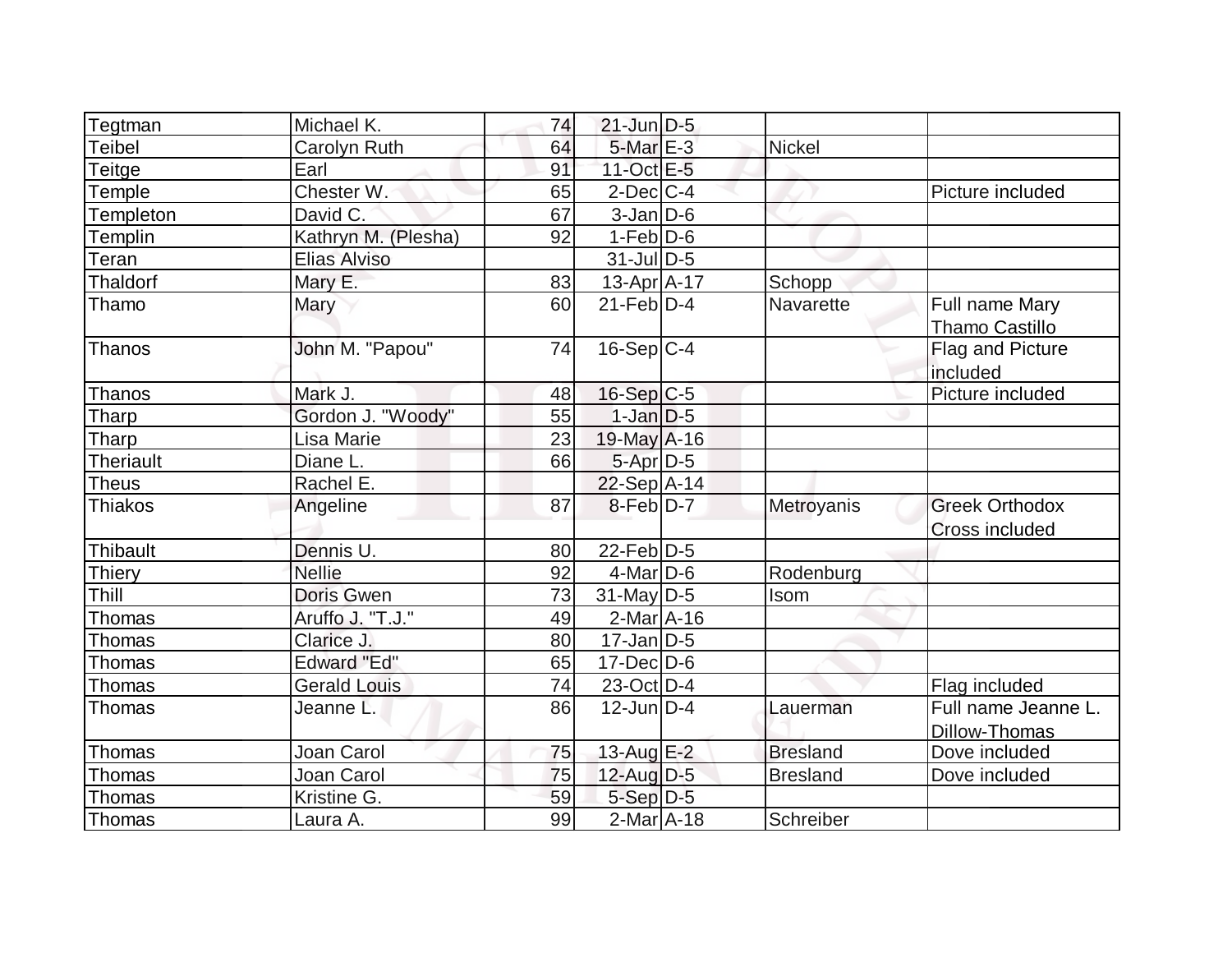| Tegtman          | Michael K.          | 74 | $21$ -Jun $D-5$   |                 |                                                |
|------------------|---------------------|----|-------------------|-----------------|------------------------------------------------|
| <b>Teibel</b>    | Carolyn Ruth        | 64 | $5$ -Mar $E-3$    | <b>Nickel</b>   |                                                |
| <b>Teitge</b>    | Earl                | 91 | 11-Oct E-5        |                 |                                                |
| Temple           | Chester W.          | 65 | $2$ -Dec $ C-4 $  |                 | Picture included                               |
| Templeton        | David C.            | 67 | $3$ -Jan $D$ -6   |                 |                                                |
| Templin          | Kathryn M. (Plesha) | 92 | $1-Feb D-6$       |                 |                                                |
| Teran            | Elias Alviso        |    | $31$ -JulD-5      |                 |                                                |
| Thaldorf         | Mary E.             | 83 | 13-Apr A-17       | Schopp          |                                                |
| Thamo            | Mary                | 60 | $21$ -Feb $ D-4 $ | Navarette       | Full name Mary<br><b>Thamo Castillo</b>        |
| Thanos           | John M. "Papou"     | 74 | $16-Sep C-4$      |                 | Flag and Picture<br>included                   |
| Thanos           | Mark J.             | 48 | $16-Sep C-5$      |                 | Picture included                               |
| Tharp            | Gordon J. "Woody"   | 55 | $1-Jan$ $D-5$     |                 |                                                |
| Tharp            | Lisa Marie          | 23 | $19$ -May $A$ -16 |                 |                                                |
| <b>Theriault</b> | Diane L.            | 66 | 5-Apr D-5         |                 |                                                |
| <b>Theus</b>     | Rachel E.           |    | $22-Sep$ A-14     |                 |                                                |
| <b>Thiakos</b>   | Angeline            | 87 | $8$ -Feb $D-7$    | Metroyanis      | <b>Greek Orthodox</b><br><b>Cross included</b> |
| Thibault         | Dennis U.           | 80 | $22$ -Feb $ D-5$  |                 |                                                |
| <b>Thiery</b>    | <b>Nellie</b>       | 92 | $4$ -Mar $D-6$    | Rodenburg       |                                                |
| Thill            | Doris Gwen          | 73 | $31$ -May D-5     | Isom            |                                                |
| <b>Thomas</b>    | Aruffo J. "T.J."    | 49 | $2$ -Mar $A$ -16  |                 |                                                |
| Thomas           | Clarice J.          | 80 | $17$ -Jan D-5     |                 |                                                |
| Thomas           | <b>Edward "Ed"</b>  | 65 | $17 - Dec$ $D-6$  |                 |                                                |
| <b>Thomas</b>    | <b>Gerald Louis</b> | 74 | 23-Oct D-4        |                 | Flag included                                  |
| Thomas           | Jeanne L.           | 86 | $12$ -Jun $ D-4 $ | Lauerman        | Full name Jeanne L.<br>Dillow-Thomas           |
| Thomas           | Joan Carol          | 75 | 13-Aug E-2        | <b>Bresland</b> | Dove included                                  |
| Thomas           | Joan Carol          | 75 | $12$ -Aug $D-5$   | <b>Bresland</b> | Dove included                                  |
| Thomas           | Kristine G.         | 59 | $5-Sep D-5$       |                 |                                                |
| Thomas           | Laura A.            | 99 | 2-Mar A-18        | Schreiber       |                                                |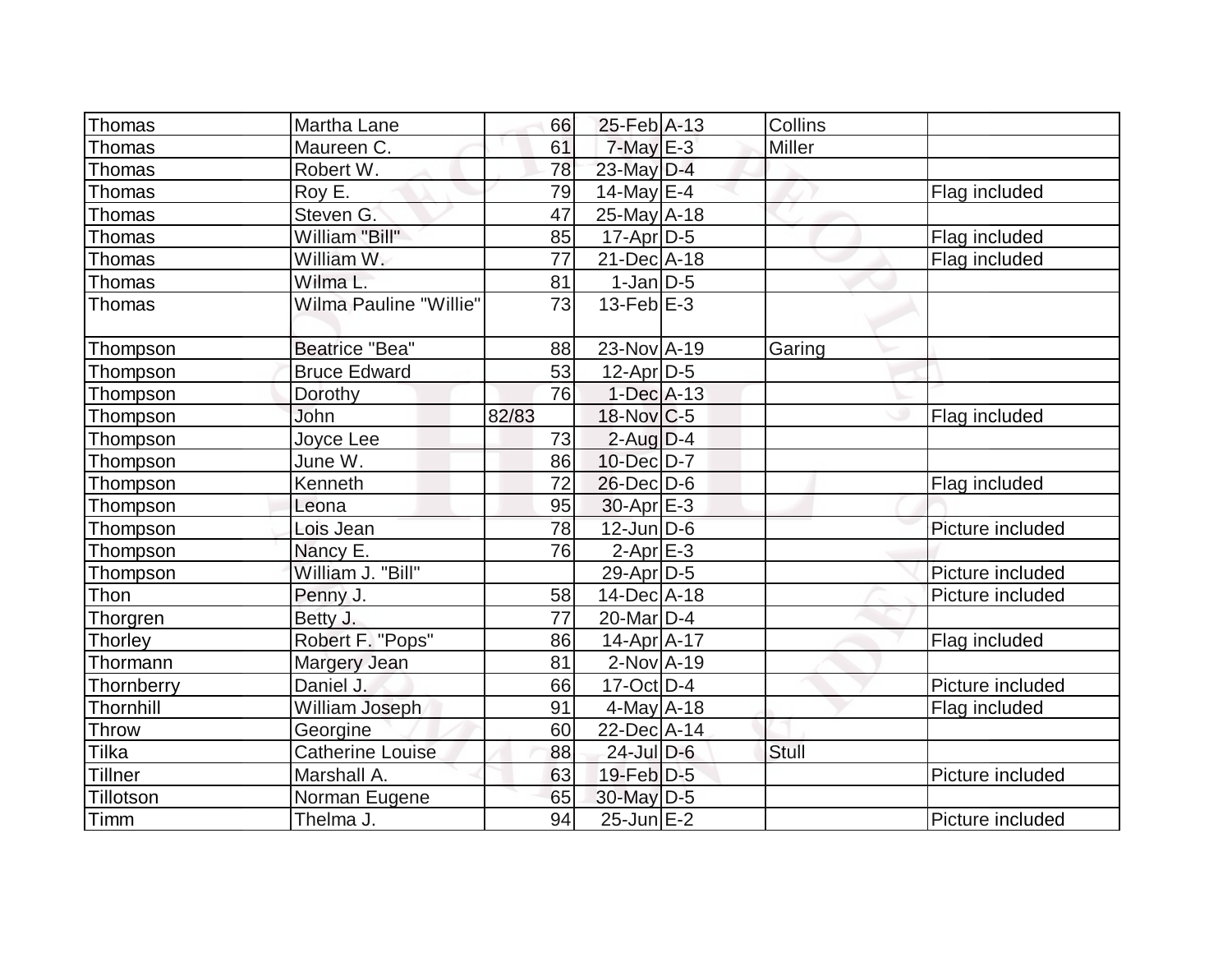| Thomas         | Martha Lane             | 66    | 25-Feb A-13              | Collins |                  |
|----------------|-------------------------|-------|--------------------------|---------|------------------|
| Thomas         | Maureen C.              | 61    | $7$ -May $E-3$           | Miller  |                  |
| Thomas         | Robert W.               | 78    | 23-May D-4               |         |                  |
| Thomas         | Roy E.                  | 79    | $14$ -May E-4            |         | Flag included    |
| Thomas         | Steven G.               | 47    | $25$ -May A-18           |         |                  |
| Thomas         | William "Bill"          | 85    | $17$ -Apr $ D-5$         |         | Flag included    |
| <b>Thomas</b>  | William W.              | 77    | $21$ -Dec $ A-18$        |         | Flag included    |
| Thomas         | Wilma L.                | 81    | $1-Jan D-5$              |         |                  |
| Thomas         | Wilma Pauline "Willie"  | 73    | $13$ -Feb $E-3$          |         |                  |
| Thompson       | <b>Beatrice "Bea"</b>   | 88    | 23-Nov A-19              | Garing  |                  |
| Thompson       | <b>Bruce Edward</b>     | 53    | $12$ -Apr $D-5$          |         |                  |
| Thompson       | Dorothy                 | 76    | $1-Dec$ A-13             |         |                  |
| Thompson       | John                    | 82/83 | $18-Nov$ <sub>C</sub> -5 |         | Flag included    |
| Thompson       | Joyce Lee               | 73    | $2$ -Aug $D-4$           |         |                  |
| Thompson       | June W.                 | 86    | 10-Dec D-7               |         |                  |
| Thompson       | Kenneth                 | 72    | $26$ -Dec $D$ -6         |         | Flag included    |
| Thompson       | Leona                   | 95    | $30-Apr$ $E-3$           |         |                  |
| Thompson       | Lois Jean               | 78    | $12$ -Jun $D-6$          |         | Picture included |
| Thompson       | Nancy E.                | 76    | $2-AprE-3$               |         |                  |
| Thompson       | William J. "Bill"       |       | 29-Apr D-5               |         | Picture included |
| Thon           | Penny J.                | 58    | 14-Dec A-18              |         | Picture included |
| Thorgren       | Betty J.                | 77    | $20$ -Mar $D-4$          |         |                  |
| Thorley        | Robert F. "Pops"        | 86    | 14-Apr A-17              |         | Flag included    |
| Thormann       | Margery Jean            | 81    | $2$ -Nov $A$ -19         |         |                  |
| Thornberry     | Daniel J.               | 66    | $17$ -Oct $ D-4 $        |         | Picture included |
| Thornhill      | William Joseph          | 91    | $4$ -May $A$ -18         |         | Flag included    |
| Throw          | Georgine                | 60    | 22-Dec A-14              |         |                  |
| <b>Tilka</b>   | <b>Catherine Louise</b> | 88    | 24-Jul D-6               | Stull   |                  |
| <b>Tillner</b> | Marshall A.             | 63    | $19$ -Feb $D-5$          |         | Picture included |
| Tillotson      | Norman Eugene           | 65    | 30-May D-5               |         |                  |
| Timm           | Thelma J.               | 94    | $25$ -Jun $E-2$          |         | Picture included |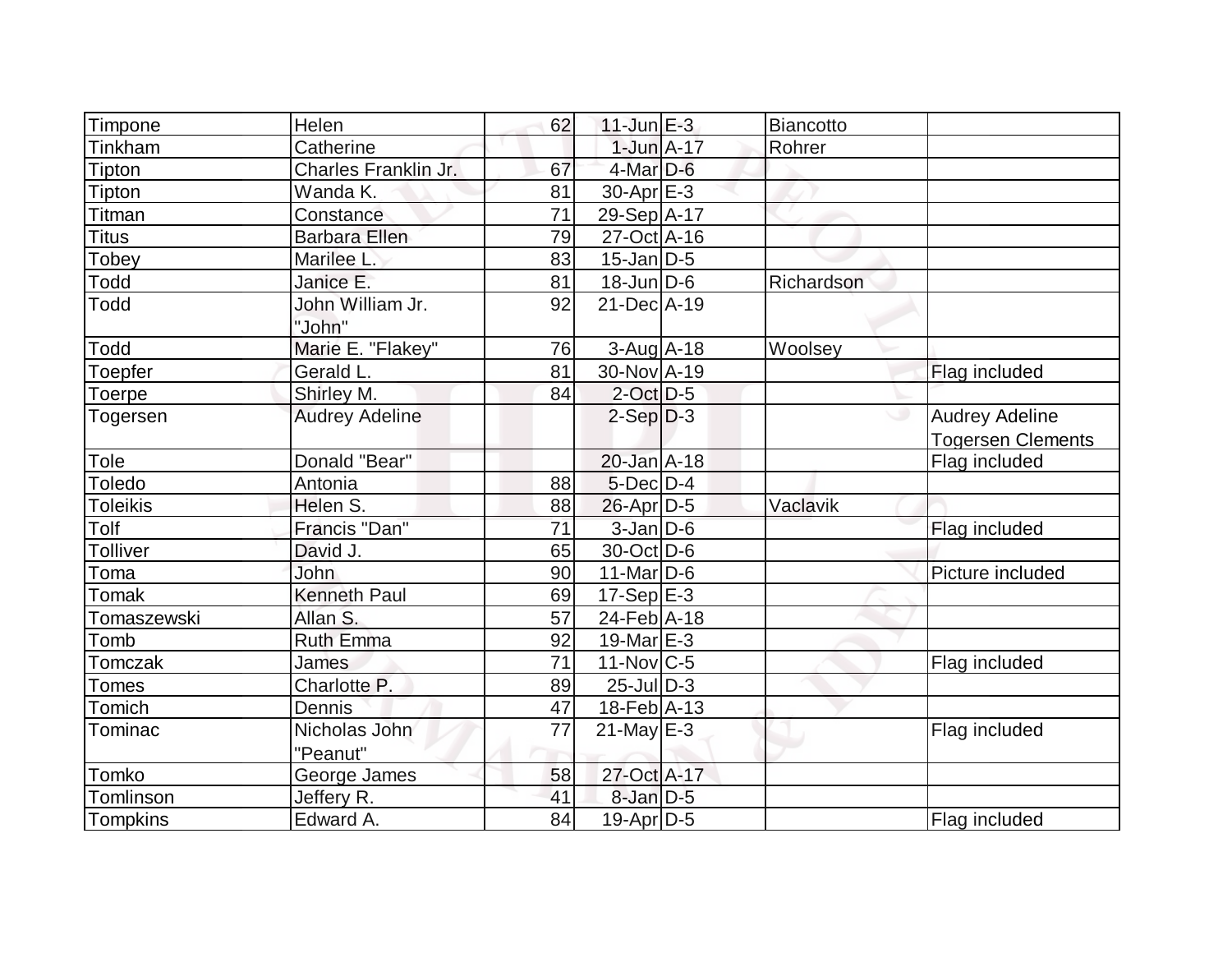| Timpone         | Helen                 | 62 | $11$ -Jun $E-3$   | Biancotto  |                          |
|-----------------|-----------------------|----|-------------------|------------|--------------------------|
| Tinkham         | Catherine             |    | $1$ -Jun $A-17$   | Rohrer     |                          |
| Tipton          | Charles Franklin Jr.  | 67 | $4$ -Mar $D-6$    |            |                          |
| Tipton          | Wanda K.              | 81 | $30$ -Apr $E-3$   |            |                          |
| Titman          | Constance             | 71 | 29-Sep A-17       |            |                          |
| <b>Titus</b>    | <b>Barbara Ellen</b>  | 79 | 27-Oct A-16       |            |                          |
| Tobey           | Marilee L             | 83 | $15$ -Jan D-5     |            |                          |
| Todd            | Janice E.             | 81 | $18$ -Jun $D-6$   | Richardson |                          |
| Todd            | John William Jr.      | 92 | 21-Dec A-19       |            |                          |
|                 | "John"                |    |                   |            |                          |
| Todd            | Marie E. "Flakey"     | 76 | $3-Aug$ $A-18$    | Woolsey    |                          |
| <b>Toepfer</b>  | Gerald L.             | 81 | 30-Nov A-19       |            | Flag included            |
| <b>Toerpe</b>   | Shirley M.            | 84 | $2$ -Oct $D-5$    |            |                          |
| Togersen        | <b>Audrey Adeline</b> |    | $2-Sep D-3$       |            | <b>Audrey Adeline</b>    |
|                 |                       |    |                   |            | <b>Togersen Clements</b> |
| Tole            | Donald "Bear"         |    | $20 - Jan$ $A-18$ |            | Flag included            |
| <b>Toledo</b>   | Antonia               | 88 | $5$ -Dec $D-4$    |            |                          |
| <b>Toleikis</b> | Helen S.              | 88 | 26-Apr D-5        | Vaclavik   |                          |
| Tolf            | Francis "Dan"         | 71 | $3$ -Jan $D$ -6   |            | Flag included            |
| <b>Tolliver</b> | David J.              | 65 | 30-Oct D-6        |            |                          |
| Toma            | John                  | 90 | $11$ -Mar $ D-6$  |            | Picture included         |
| Tomak           | <b>Kenneth Paul</b>   | 69 | $17-Sep$ E-3      |            |                          |
| Tomaszewski     | Allan S.              | 57 | 24-Feb A-18       |            |                          |
| Tomb            | <b>Ruth Emma</b>      | 92 | $19$ -Mar $E-3$   |            |                          |
| <b>Tomczak</b>  | James                 | 71 | $11$ -Nov $ C-5 $ |            | Flag included            |
| Tomes           | Charlotte P.          | 89 | $25$ -Jul $D-3$   |            |                          |
| Tomich          | Dennis                | 47 | 18-Feb A-13       |            |                          |
| Tominac         | Nicholas John         | 77 | $21$ -May E-3     |            | Flag included            |
|                 | "Peanut"              |    |                   |            |                          |
| Tomko           | George James          | 58 | 27-Oct A-17       |            |                          |
| Tomlinson       | Jeffery R.            | 41 | $8$ -Jan $D-5$    |            |                          |
| Tompkins        | Edward A.             | 84 | $19-Apr D-5$      |            | Flag included            |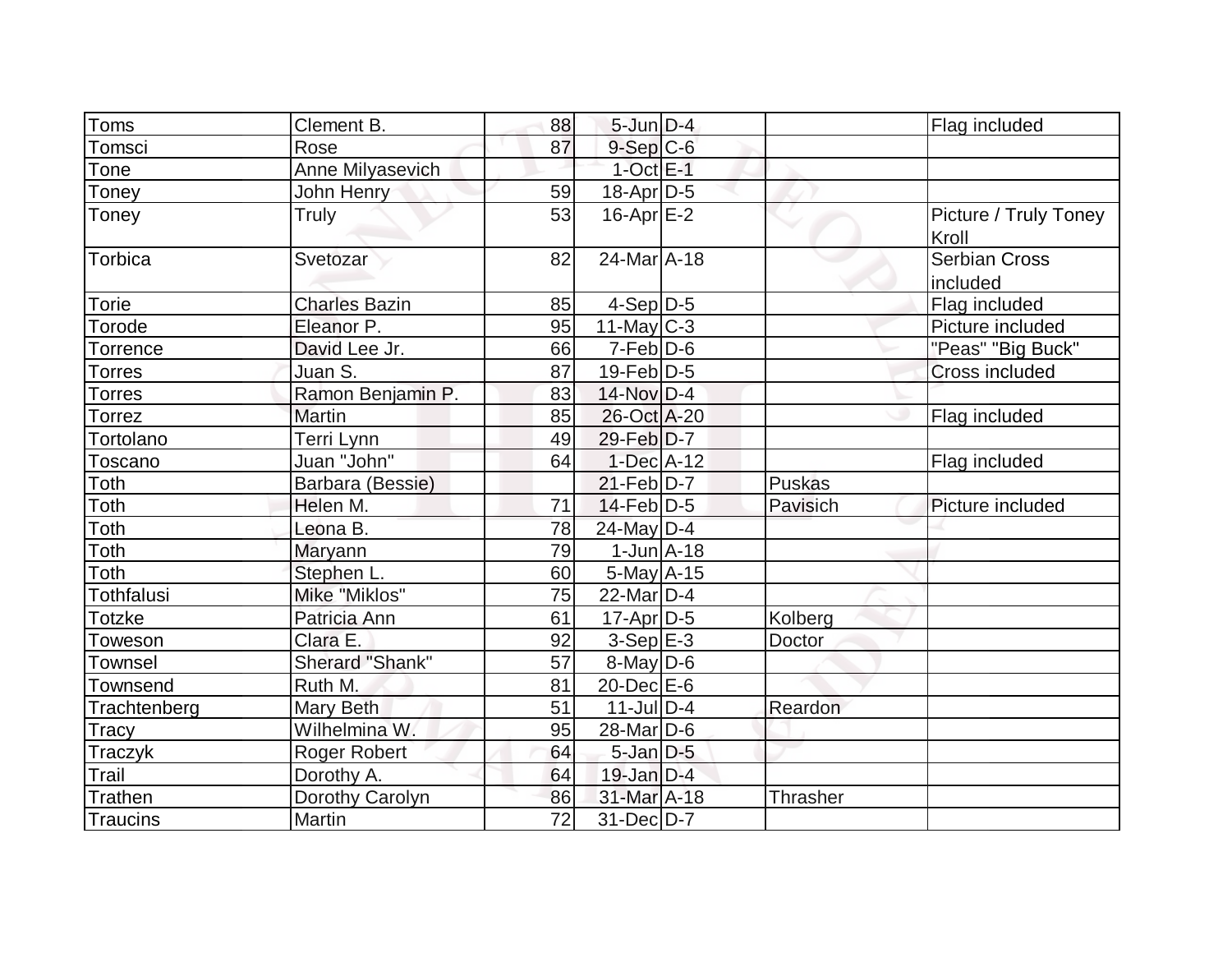| Toms            | Clement B.           | 88              | $5$ -Jun $D-4$                         |               | Flag included                    |
|-----------------|----------------------|-----------------|----------------------------------------|---------------|----------------------------------|
| Tomsci          | Rose                 | 87              | $9-$ Sep $ C-6$                        |               |                                  |
| Tone            | Anne Milyasevich     |                 | $1$ -Oct $E-1$                         |               |                                  |
| Toney           | John Henry           | 59              | 18-Apr D-5                             |               |                                  |
| Toney           | Truly                | 53              | $16$ -Apr $E-2$                        |               | Picture / Truly Toney<br>Kroll   |
| Torbica         | Svetozar             | 82              | 24-Mar A-18                            |               | <b>Serbian Cross</b><br>included |
| Torie           | <b>Charles Bazin</b> | 85              | $4-Sep D-5$                            |               | Flag included                    |
| Torode          | Eleanor P.           | 95              | 11-May $C-3$                           |               | Picture included                 |
| Torrence        | David Lee Jr.        | 66              | $7-Feb D-6$                            |               | "Peas" "Big Buck"                |
| Torres          | Juan S.              | 87              | $19$ -Feb $D-5$                        |               | <b>Cross included</b>            |
| Torres          | Ramon Benjamin P.    | 83              | 14-Nov D-4                             |               |                                  |
| Torrez          | <b>Martin</b>        | 85              | 26-Oct A-20                            |               | Flag included                    |
| Tortolano       | Terri Lynn           | 49              | $29$ -Feb $D-7$                        |               |                                  |
| Toscano         | Juan "John"          | 64              | $1-Dec$ $A-12$                         |               | Flag included                    |
| Toth            | Barbara (Bessie)     |                 | $21$ -Feb $D-7$                        | <b>Puskas</b> |                                  |
| Toth            | Helen M.             | 71              | $14$ -Feb $D-5$                        | Pavisich      | Picture included                 |
| Toth            | Leona B.             | 78              | $24$ -May D-4                          |               |                                  |
| Toth            | Maryann              | 79              | $1$ -Jun $A$ -18                       |               |                                  |
| Toth            | Stephen L.           | 60              | $5$ -May $A$ -15                       |               |                                  |
| Tothfalusi      | Mike "Miklos"        | 75              | $22$ -Mar $ D-4 $                      |               |                                  |
| <b>Totzke</b>   | Patricia Ann         | 61              | $17$ -Apr $D-5$                        | Kolberg       |                                  |
| Toweson         | Clara E.             | 92              | $3-Sep$ $E-3$                          | Doctor        |                                  |
| <b>Townsel</b>  | Sherard "Shank"      | 57              | $8$ -May $D$ -6                        |               |                                  |
| <b>Townsend</b> | Ruth M.              | 81              | $20$ -Dec $E$ -6                       |               |                                  |
| Trachtenberg    | Mary Beth            | 51              | $11$ -JulD-4                           | Reardon       |                                  |
| Tracy           | Wilhelmina W.        | 95              | 28-Mar <sub>D-6</sub>                  |               |                                  |
| Traczyk         | Roger Robert         | 64              | $5$ -Jan $D-5$                         |               |                                  |
| Trail           | Dorothy A.           | 64              | 19-Jan D-4                             |               |                                  |
| Trathen         | Dorothy Carolyn      | 86              | 31-Mar A-18                            | Thrasher      |                                  |
| <b>Traucins</b> | Martin               | $\overline{72}$ | $\overline{31}$ -Dec $\overline{D}$ -7 |               |                                  |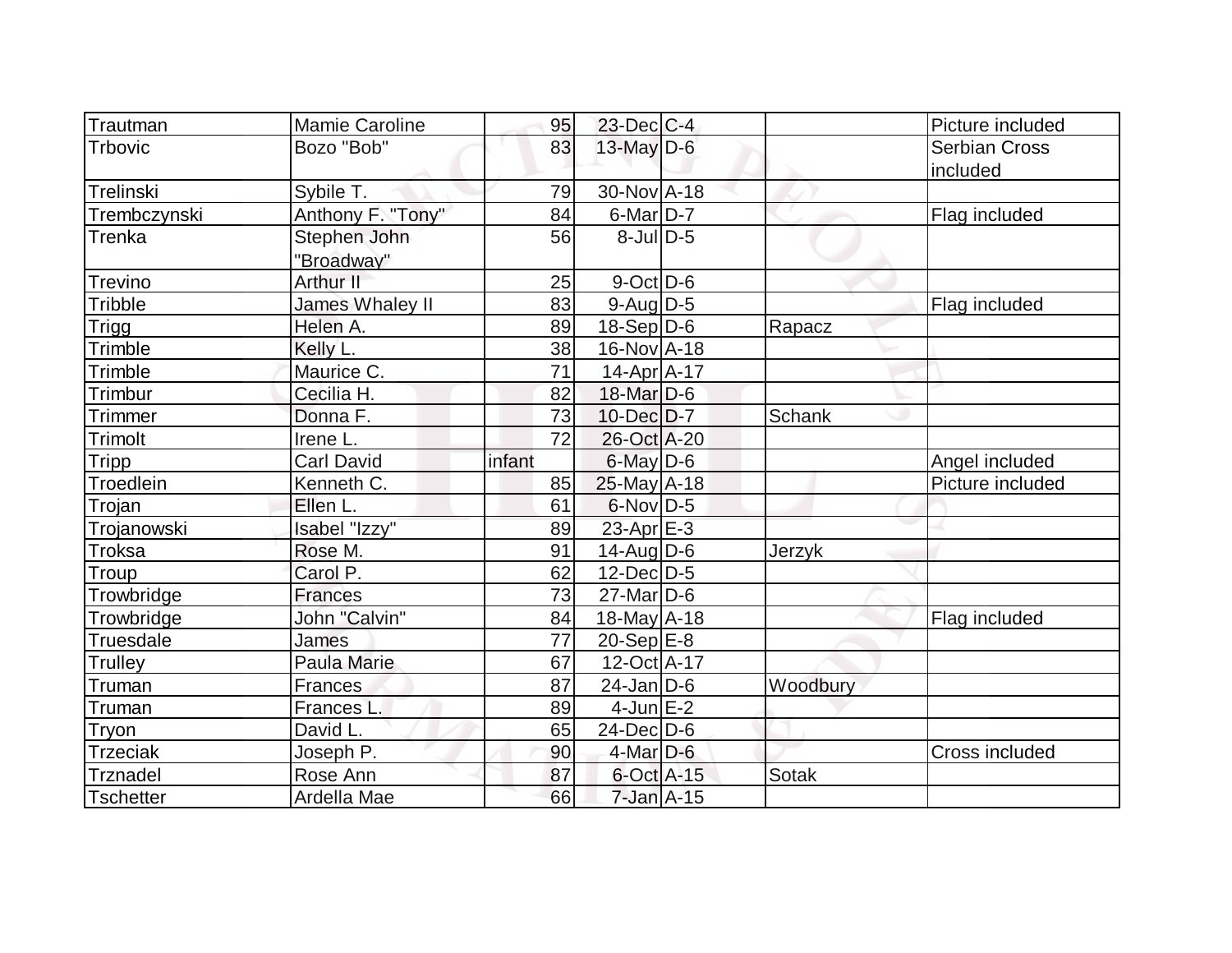| Trautman        | Mamie Caroline      | 95     | 23-Dec C-4                  |               | Picture included     |
|-----------------|---------------------|--------|-----------------------------|---------------|----------------------|
| Trbovic         | Bozo "Bob"          | 83     | $13$ -May $D-6$             |               | <b>Serbian Cross</b> |
|                 |                     |        |                             |               | included             |
| Trelinski       | Sybile T.           | 79     | 30-Nov A-18                 |               |                      |
| Trembczynski    | Anthony F. "Tony"   | 84     | $6$ -Mar $D-7$              |               | Flag included        |
| Trenka          | Stephen John        | 56     | $8$ -Jul $D-5$              |               |                      |
|                 | "Broadway"          |        |                             |               |                      |
| Trevino         | Arthur II           | 25     | $9$ -Oct $D$ -6             |               |                      |
| Tribble         | James Whaley II     | 83     | $9$ -Aug $D-5$              |               | Flag included        |
| <b>Trigg</b>    | Helen <sub>A.</sub> | 89     | $18-Sep D-6$                | Rapacz        |                      |
| Trimble         | Kelly L.            | 38     | 16-Nov A-18                 |               |                      |
| Trimble         | Maurice C.          | 71     | $14$ -Apr $A$ -17           |               |                      |
| Trimbur         | Cecilia H.          | 82     | 18-Mar D-6                  |               |                      |
| Trimmer         | Donna F.            | 73     | $10$ -Dec $D-7$             | <b>Schank</b> |                      |
| Trimolt         | Irene L.            | 72     | 26-Oct A-20                 |               |                      |
| <b>Tripp</b>    | <b>Carl David</b>   | infant | $6$ -May $D$ -6             |               | Angel included       |
| Troedlein       | Kenneth C.          | 85     | $25$ -May A-18              |               | Picture included     |
| Trojan          | Ellen L.            | 61     | $6$ -Nov $D-5$              |               |                      |
| Trojanowski     | Isabel "Izzy"       | 89     | 23-Apr $E-3$                |               |                      |
| <b>Troksa</b>   | Rose M.             | 91     | $14$ -Aug $D-6$             | Jerzyk        |                      |
| Troup           | Carol P.            | 62     | $12$ -Dec $D-5$             |               |                      |
| Trowbridge      | <b>Frances</b>      | 73     | $27$ -Mar $\overline{D}$ -6 |               |                      |
| Trowbridge      | John "Calvin"       | 84     | $18$ -May $A$ -18           |               | Flag included        |
| Truesdale       | James               | 77     | $20-Sep$ $E-8$              |               |                      |
| <b>Trulley</b>  | Paula Marie         | 67     | 12-Oct A-17                 |               |                      |
| Truman          | Frances             | 87     | $24$ -Jan D-6               | Woodbury      |                      |
| Truman          | Frances L.          | 89     | $4$ -Jun $E-2$              |               |                      |
| Tryon           | David L.            | 65     | $24$ -Dec $D-6$             |               |                      |
| <b>Trzeciak</b> | Joseph P.           | 90     | $4$ -Mar $D-6$              |               | Cross included       |
| <b>Trznadel</b> | Rose Ann            | 87     | $6$ -Oct $A$ -15            | <b>Sotak</b>  |                      |
| Tschetter       | Ardella Mae         | 66     | $7$ -Jan $A-15$             |               |                      |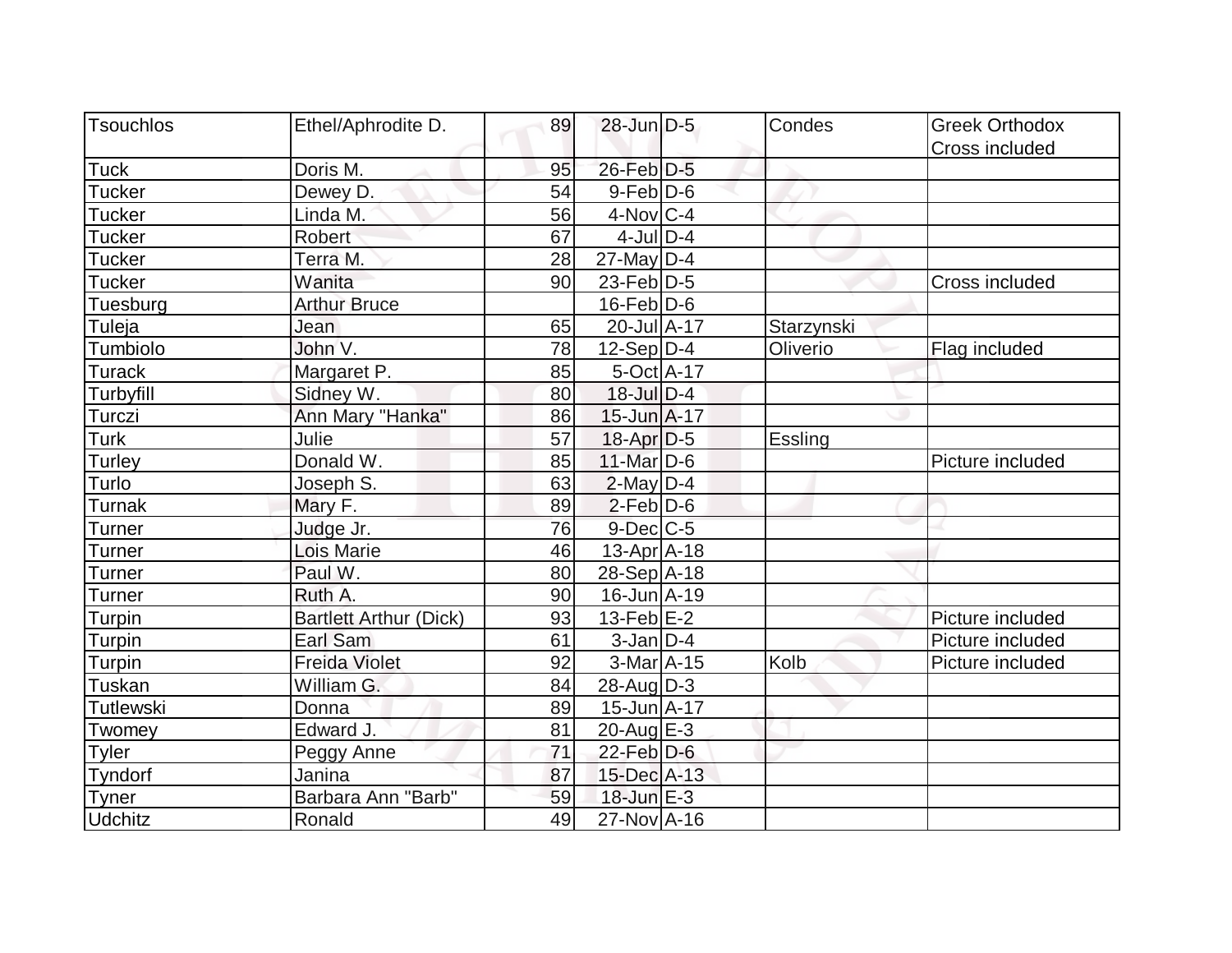| Tsouchlos        | Ethel/Aphrodite D.            | 89 | $28$ -Jun $D-5$   | Condes     | <b>Greek Orthodox</b> |
|------------------|-------------------------------|----|-------------------|------------|-----------------------|
|                  |                               |    |                   |            | <b>Cross included</b> |
| <b>Tuck</b>      | Doris M.                      | 95 | 26-Feb D-5        |            |                       |
| Tucker           | Dewey D.                      | 54 | $9$ -Feb $D$ -6   |            |                       |
| <b>Tucker</b>    | Linda M.                      | 56 | $4$ -Nov $ C-4 $  |            |                       |
| Tucker           | Robert                        | 67 | $4$ -JulD-4       |            |                       |
| Tucker           | Terra M.                      | 28 | $27$ -May D-4     |            |                       |
| <b>Tucker</b>    | Wanita                        | 90 | $23$ -Feb $ D-5$  |            | Cross included        |
| Tuesburg         | <b>Arthur Bruce</b>           |    | $16$ -Feb $D$ -6  |            |                       |
| Tuleja           | Jean                          | 65 | 20-Jul A-17       | Starzynski |                       |
| Tumbiolo         | John V.                       | 78 | $12-Sep D-4$      | Oliverio   | Flag included         |
| Turack           | Margaret P.                   | 85 | $5-Oct$ A-17      |            |                       |
| Turbyfill        | Sidney W.                     | 80 | $18$ -Jul $D-4$   |            |                       |
| Turczi           | Ann Mary "Hanka"              | 86 | $15$ -Jun $A$ -17 |            |                       |
| Turk             | Julie                         | 57 | $18$ -Apr $D-5$   | Essling    |                       |
| Turley           | Donald W.                     | 85 | 11-Mar D-6        |            | Picture included      |
| Turlo            | Joseph S.                     | 63 | $2$ -May $D-4$    |            |                       |
| Turnak           | Mary F.                       | 89 | $2$ -Feb $D-6$    |            |                       |
| Turner           | Judge Jr.                     | 76 | $9$ -Dec $C$ -5   |            |                       |
| Turner           | Lois Marie                    | 46 | $13$ -Apr $ A-18$ |            |                       |
| Turner           | Paul W.                       | 80 | 28-Sep A-18       |            |                       |
| Turner           | Ruth A.                       | 90 | $16$ -Jun $A-19$  |            |                       |
| Turpin           | <b>Bartlett Arthur (Dick)</b> | 93 | $13$ -Feb $E-2$   |            | Picture included      |
| Turpin           | Earl Sam                      | 61 | $3$ -Jan $D-4$    |            | Picture included      |
| Turpin           | <b>Freida Violet</b>          | 92 | $3-MarA-15$       | Kolb       | Picture included      |
| Tuskan           | William G.                    | 84 | 28-Aug D-3        |            |                       |
| <b>Tutlewski</b> | Donna                         | 89 | $15$ -Jun $A$ -17 |            |                       |
| Twomey           | Edward J.                     | 81 | $20$ -Aug $E-3$   |            |                       |
| <b>Tyler</b>     | Peggy Anne                    | 71 | $22$ -Feb $D-6$   |            |                       |
| Tyndorf          | Janina                        | 87 | 15-Dec A-13       |            |                       |
| <b>Tyner</b>     | Barbara Ann "Barb"            | 59 | $18$ -Jun $E-3$   |            |                       |
| <b>Udchitz</b>   | Ronald                        | 49 | 27-Nov A-16       |            |                       |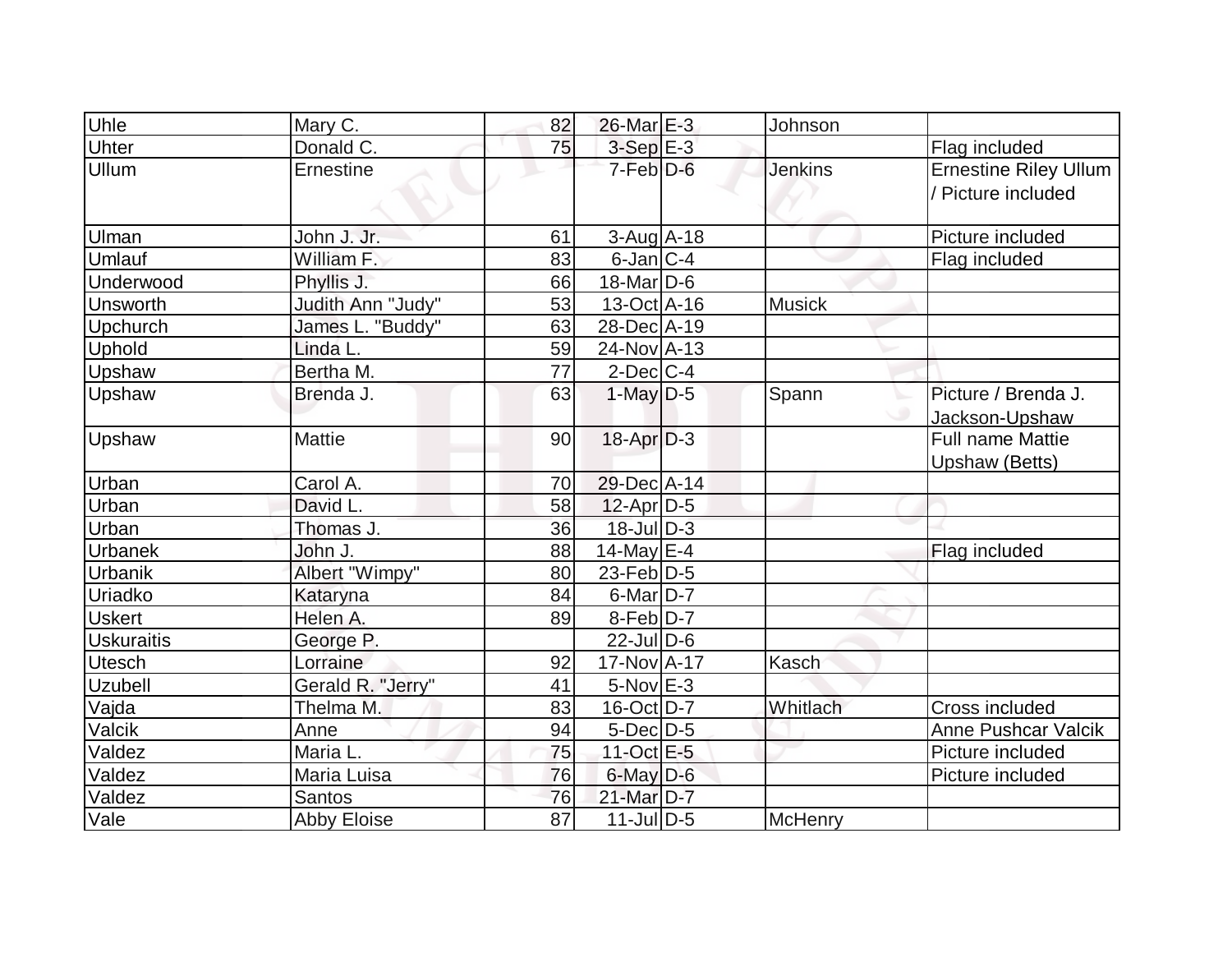| Uhle              | Mary C.             | 82              | $26$ -Mar $E-3$  | Johnson        |                              |
|-------------------|---------------------|-----------------|------------------|----------------|------------------------------|
| Uhter             | Donald C.           | 75              | $3-SepE-3$       |                | Flag included                |
| Ullum             | Ernestine           |                 | $7-Feb$ D-6      | <b>Jenkins</b> | <b>Ernestine Riley Ullum</b> |
|                   |                     |                 |                  |                | / Picture included           |
|                   |                     |                 |                  |                |                              |
| Ulman             | John J. Jr.         | 61              | $3-Aug$ A-18     |                | Picture included             |
| <b>Umlauf</b>     | William F.          | 83              | $6$ -Jan $ C-4$  |                | Flag included                |
| Underwood         | Phyllis J.          | 66              | 18-Mar $D-6$     |                |                              |
| <b>Unsworth</b>   | Judith Ann "Judy"   | 53              | $13-Oct$ A-16    | <b>Musick</b>  |                              |
| Upchurch          | James L. "Buddy"    | 63              | 28-Dec A-19      |                |                              |
| Uphold            | Linda L.            | 59              | 24-Nov A-13      |                |                              |
| Upshaw            | Bertha M.           | 77              | $2$ -Dec $ C-4 $ |                |                              |
| Upshaw            | Brenda J.           | 63              | $1$ -May $D-5$   | Spann          | Picture / Brenda J.          |
|                   |                     |                 |                  |                | Jackson-Upshaw               |
| Upshaw            | <b>Mattie</b>       | 90              | 18-Apr D-3       |                | <b>Full name Mattie</b>      |
|                   |                     |                 |                  |                | <b>Upshaw (Betts)</b>        |
| Urban             | Carol A.            | 70              | 29-Dec A-14      |                |                              |
| Urban             | David L.            | 58              | $12$ -Apr $D-5$  |                |                              |
| Urban             | Thomas J.           | 36              | $18$ -Jul $D-3$  |                |                              |
| Urbanek           | John J.             | 88              | 14-May $E-4$     |                | Flag included                |
| Urbanik           | Albert "Wimpy"      | 80              | $23$ -Feb $ D-5$ |                |                              |
| Uriadko           | Kataryna            | 84              | $6$ -Mar $D-7$   |                |                              |
| <b>Uskert</b>     | Helen A.            | 89              | $8$ -Feb $D-7$   |                |                              |
| <b>Uskuraitis</b> | George P.           |                 | $22$ -Jul $D-6$  |                |                              |
| <b>Utesch</b>     | Lorraine            | 92              | 17-Nov A-17      | Kasch          |                              |
| Uzubell           | Gerald R. "Jerry"   | 41              | $5-Nov$ $E-3$    |                |                              |
| Vajda             | Thelma M.           | 83              | 16-Oct D-7       | Whitlach       | Cross included               |
| Valcik            | Anne                | 94              | $5$ -Dec $D-5$   |                | <b>Anne Pushcar Valcik</b>   |
| Valdez            | Maria <sub>L.</sub> | 75              | 11-Oct $E-5$     |                | Picture included             |
| Valdez            | Maria Luisa         | 76              | $6$ -May $D$ -6  |                | Picture included             |
| Valdez            | Santos              | 76              | 21-Mar D-7       |                |                              |
| Vale              | <b>Abby Eloise</b>  | $\overline{87}$ | $11$ -JulD-5     | <b>McHenry</b> |                              |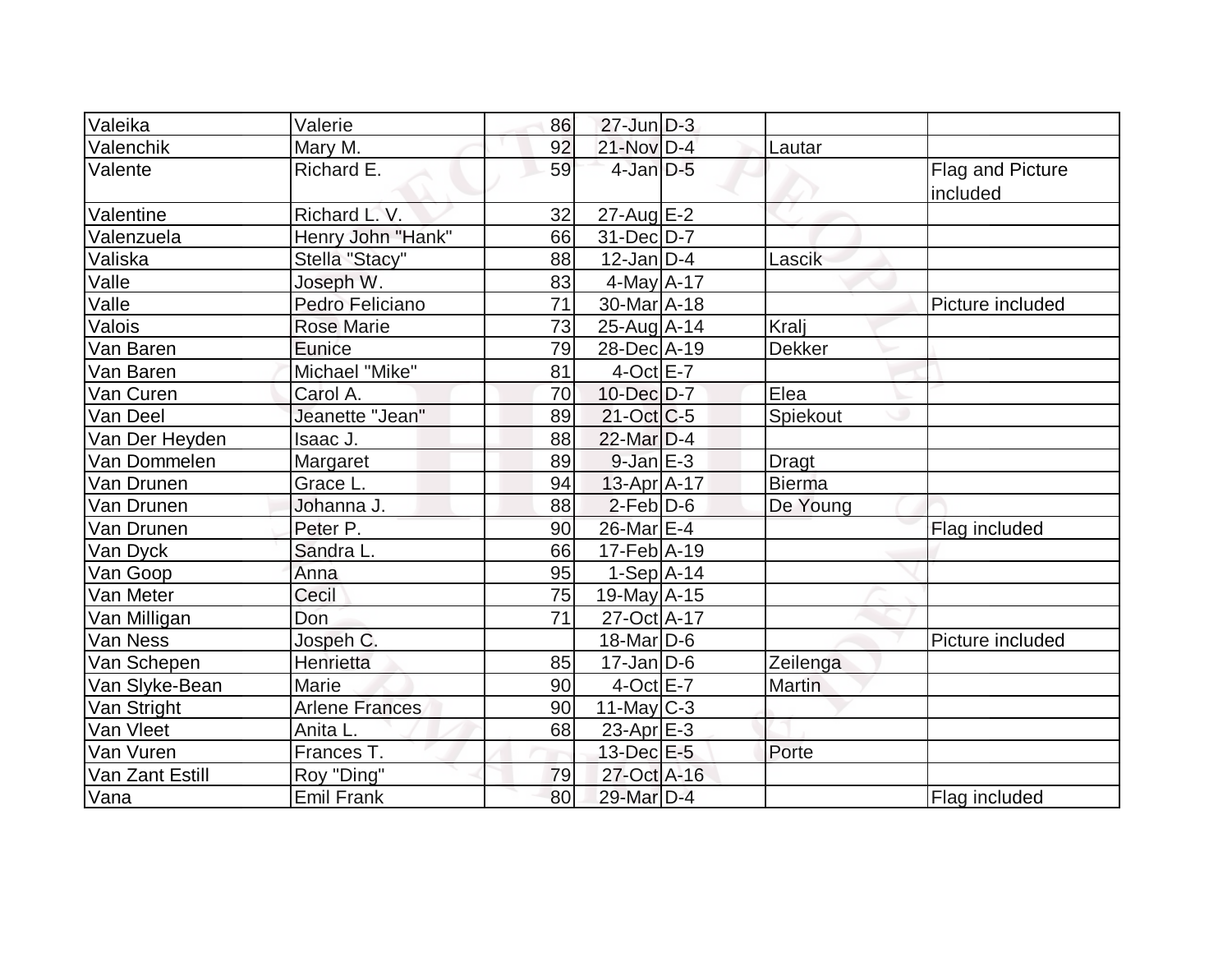| Valeika         | Valerie               | 86 | $27$ -Jun $D-3$        |               |                              |
|-----------------|-----------------------|----|------------------------|---------------|------------------------------|
| Valenchik       | Mary M.               | 92 | 21-Nov D-4             | Lautar        |                              |
| Valente         | Richard E.            | 59 | $4$ -Jan $D-5$         |               | Flag and Picture<br>included |
| Valentine       | Richard L. V.         | 32 | $27$ -Aug $E-2$        |               |                              |
| Valenzuela      | Henry John "Hank"     | 66 | $31$ -Dec $D-7$        |               |                              |
| Valiska         | Stella "Stacy"        | 88 | $12$ -Jan D-4          | Lascik        |                              |
| Valle           | Joseph W.             | 83 | $4$ -May $A$ -17       |               |                              |
| Valle           | Pedro Feliciano       | 71 | 30-Mar <sub>A-18</sub> |               | Picture included             |
| Valois          | <b>Rose Marie</b>     | 73 | $25$ -Aug A-14         | Kralj         |                              |
| Van Baren       | Eunice                | 79 | 28-Dec A-19            | <b>Dekker</b> |                              |
| Van Baren       | Michael "Mike"        | 81 | $4$ -Oct $E - 7$       |               |                              |
| Van Curen       | Carol A.              | 70 | 10-Dec D-7             | Elea          |                              |
| Van Deel        | Jeanette "Jean"       | 89 | $21-Oct$ $C-5$         | Spiekout      |                              |
| Van Der Heyden  | Isaac J.              | 88 | $22$ -Mar $D-4$        |               |                              |
| Van Dommelen    | Margaret              | 89 | $9$ -Jan $E-3$         | Dragt         |                              |
| Van Drunen      | Grace L.              | 94 | $13$ -Apr $ A-17$      | Bierma        |                              |
| Van Drunen      | Johanna J.            | 88 | $2$ -Feb $D-6$         | De Young      |                              |
| Van Drunen      | Peter P.              | 90 | 26-Mar E-4             |               | Flag included                |
| Van Dyck        | Sandra L.             | 66 | $17-Feb$ A-19          |               |                              |
| Van Goop        | Anna                  | 95 | $1-Sep$ A-14           |               |                              |
| Van Meter       | Cecil                 | 75 | $19$ -May $A$ -15      |               |                              |
| Van Milligan    | Don                   | 71 | 27-Oct A-17            |               |                              |
| Van Ness        | Jospeh C.             |    | $18$ -Mar $ D-6 $      |               | Picture included             |
| Van Schepen     | Henrietta             | 85 | $17$ -Jan $ D-6 $      | Zeilenga      |                              |
| Van Slyke-Bean  | Marie                 | 90 | $4$ -Oct $E - 7$       | Martin        |                              |
| Van Stright     | <b>Arlene Frances</b> | 90 | $11$ -May C-3          |               |                              |
| Van Vleet       | Anita L.              | 68 | $23$ -Apr $E-3$        |               |                              |
| Van Vuren       | Frances T.            |    | 13-Dec E-5             | Porte         |                              |
| Van Zant Estill | Roy "Ding"            | 79 | 27-Oct A-16            |               |                              |
| Vana            | <b>Emil Frank</b>     | 80 | 29-Mar D-4             |               | Flag included                |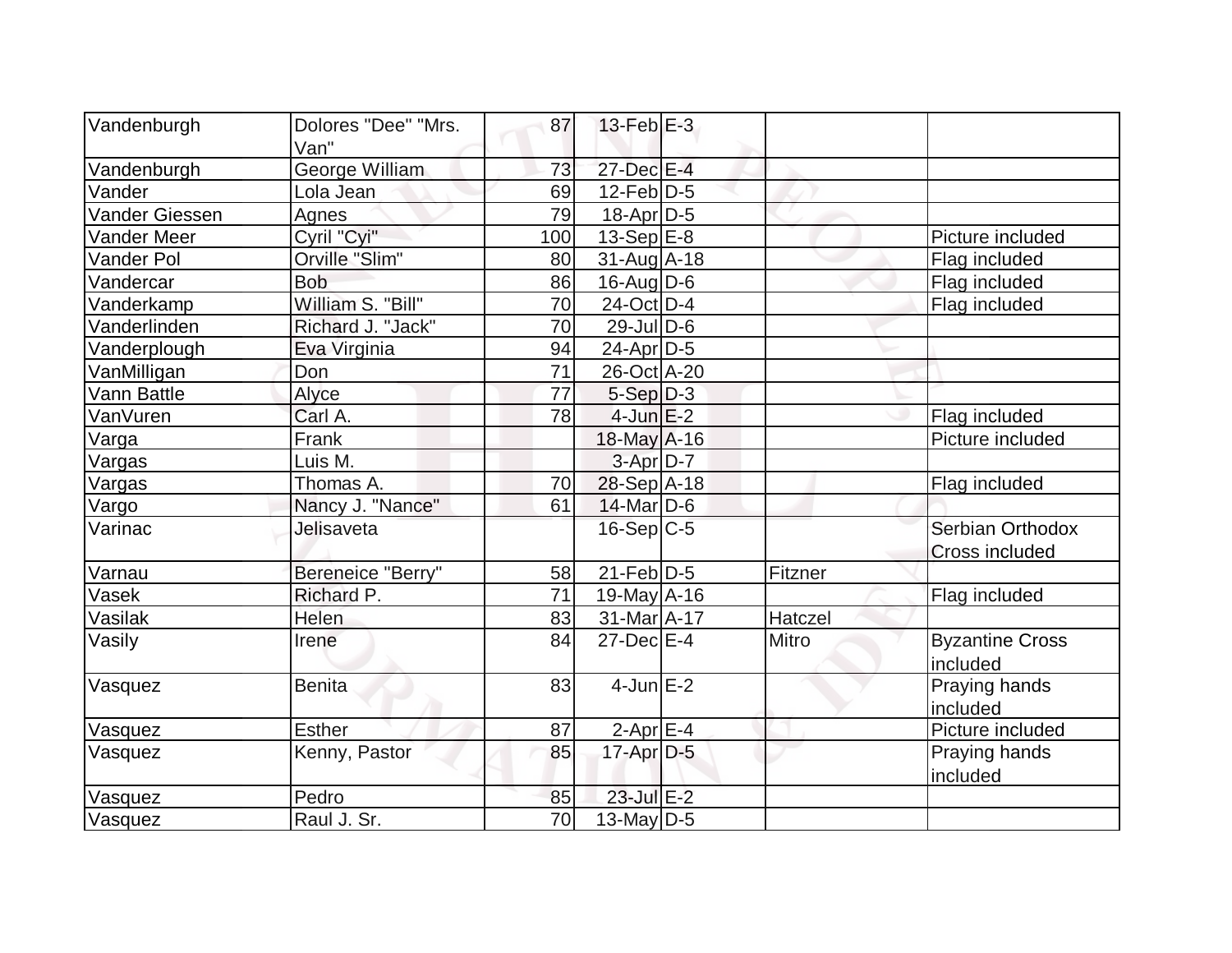| Vandenburgh<br>Dolores "Dee" "Mrs.<br>Van" | 87  | $13$ -Feb $E-3$              |         |                                    |
|--------------------------------------------|-----|------------------------------|---------|------------------------------------|
| George William<br>Vandenburgh              | 73  | 27-Dec E-4                   |         |                                    |
| Vander<br>Lola Jean                        | 69  | $12$ -Feb $ D-5 $            |         |                                    |
| <b>Vander Giessen</b><br><b>Agnes</b>      | 79  | $18$ -Apr $D-5$              |         |                                    |
| Cyril "Cyi"<br>Vander Meer                 | 100 | 13-Sep $E-8$                 |         | Picture included                   |
| Orville "Slim"<br><b>Vander Pol</b>        | 80  | $31$ -Aug $\overline{A}$ -18 |         | Flag included                      |
| <b>Bob</b><br>Vandercar                    | 86  | $16$ -AugD-6                 |         | Flag included                      |
| William S. "Bill"<br>Vanderkamp            | 70  | 24-Oct D-4                   |         | Flag included                      |
| Richard J. "Jack"<br>Vanderlinden          | 70  | $29$ -Jul $D$ -6             |         |                                    |
| Vanderplough<br>Eva Virginia               | 94  | 24-Apr D-5                   |         |                                    |
| Don<br>VanMilligan                         | 71  | 26-Oct A-20                  |         |                                    |
| Vann Battle<br>Alyce                       | 77  | $5-Sep D-3$                  |         |                                    |
| Carl A.<br>VanVuren                        | 78  | $4$ -Jun $E-2$               |         | Flag included                      |
| $F$ rank<br><u>Varga</u>                   |     | 18-May A-16                  |         | Picture included                   |
| Luis M.<br>Vargas                          |     | $3-Apr D-7$                  |         |                                    |
| Thomas A.<br>Vargas                        | 70  | $28-Sep$ A-18                |         | Flag included                      |
| Nancy J. "Nance"<br>Vargo                  | 61  | $14$ -Mar $ D-6$             |         |                                    |
| Varinac<br>Jelisaveta                      |     | $16-Sep C-5$                 |         | Serbian Orthodox<br>Cross included |
| Bereneice "Berry"<br>Varnau                | 58  | $21$ -Feb $ D-5$             | Fitzner |                                    |
| Richard P.<br>Vasek                        | 71  | $19$ -May $A$ -16            |         | Flag included                      |
| Helen<br>Vasilak                           | 83  | 31-Mar A-17                  | Hatczel |                                    |
| Vasily<br>Irene                            | 84  | $27$ -Dec $E-4$              | Mitro   | <b>Byzantine Cross</b><br>included |
| <b>Benita</b><br>Vasquez                   | 83  | $4$ -Jun $E-2$               |         | Praying hands<br>included          |
| <b>Esther</b><br>Vasquez                   | 87  | $2$ -Apr $E-4$               |         | Picture included                   |
| Kenny, Pastor<br>Vasquez                   | 85  | $17$ -Apr $D-5$              |         | Praying hands<br>included          |
| Pedro<br>Vasquez                           | 85  | 23-Jul E-2                   |         |                                    |
| Raul J. Sr.<br>Vasquez                     | 70  | $13$ -May $D-5$              |         |                                    |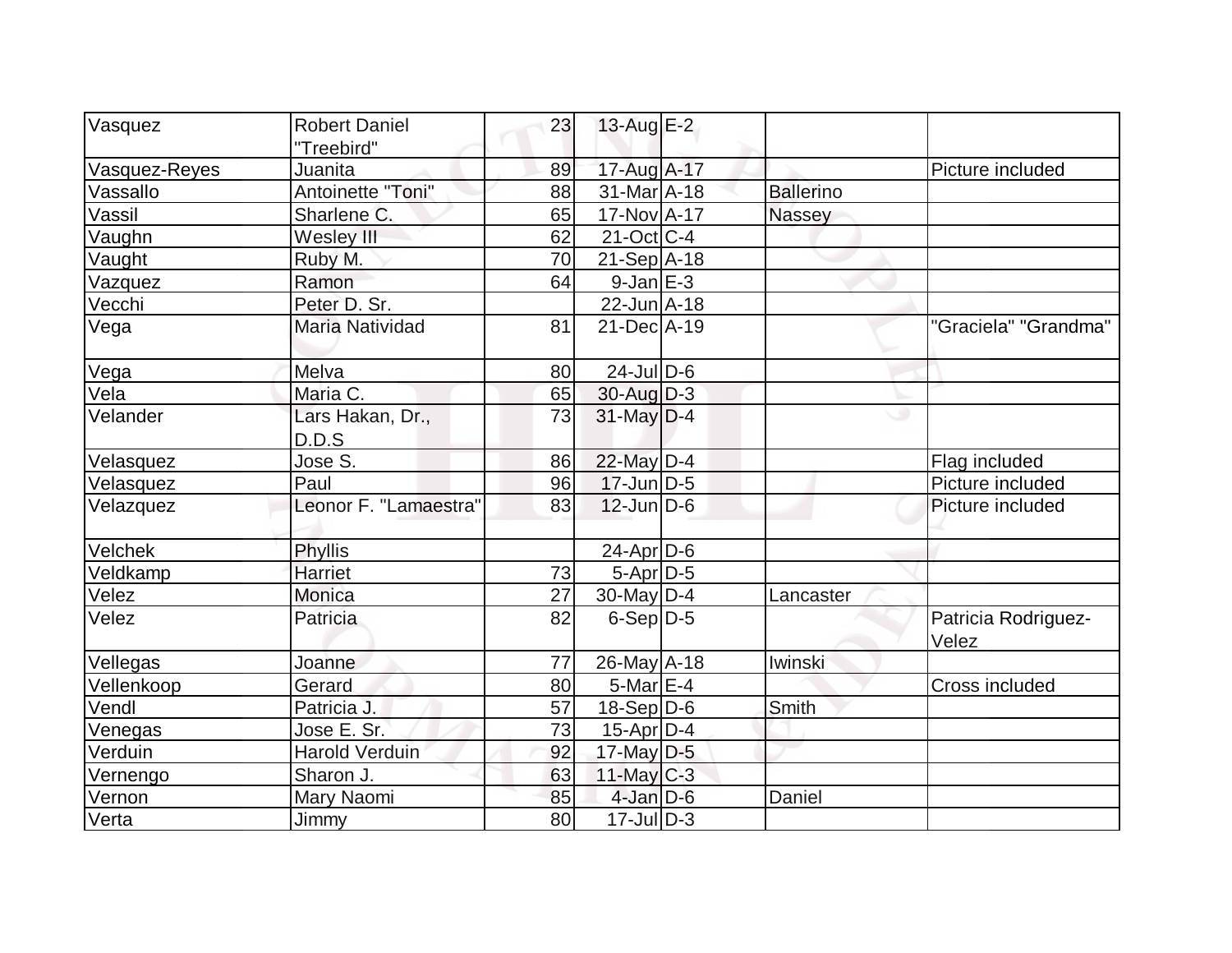| Vasquez       | <b>Robert Daniel</b>   | 23 | 13-Aug $E-2$                           |                  |                      |
|---------------|------------------------|----|----------------------------------------|------------------|----------------------|
|               | "Treebird"             |    |                                        |                  |                      |
| Vasquez-Reyes | Juanita                | 89 | 17-Aug A-17                            |                  | Picture included     |
| Vassallo      | Antoinette "Toni"      | 88 | $31$ -Mar $A$ -18                      | <b>Ballerino</b> |                      |
| Vassil        | Sharlene C.            | 65 | 17-Nov A-17                            | Nassey           |                      |
| Vaughn        | <b>Wesley III</b>      | 62 | $21$ -Oct C-4                          |                  |                      |
| Vaught        | Ruby M.                | 70 | $21-Sep$ $A-18$                        |                  |                      |
| Vazquez       | Ramon                  | 64 | $9$ -Jan $E-3$                         |                  |                      |
| Vecchi        | Peter D. Sr.           |    | 22-Jun A-18                            |                  |                      |
| Vega          | <b>Maria Natividad</b> | 81 | 21-Dec A-19                            |                  | "Graciela" "Grandma" |
|               |                        |    |                                        |                  |                      |
| Vega          | Melva                  | 80 | $24$ -Jul $D-6$                        |                  |                      |
| Vela          | Maria C.               | 65 | 30-Aug D-3                             |                  |                      |
| Velander      | Lars Hakan, Dr.,       | 73 | $31$ -May D-4                          |                  | ت                    |
|               | D.D.S                  |    |                                        |                  |                      |
| Velasquez     | Jose S.                | 86 | $22$ -May $D-4$                        |                  | Flag included        |
| Velasquez     | Paul                   | 96 | $17$ -Jun $ D-5$                       |                  | Picture included     |
| Velazquez     | Leonor F. "Lamaestra"  | 83 | $12$ -Jun $D-6$                        |                  | Picture included     |
|               |                        |    |                                        |                  |                      |
| Velchek       | <b>Phyllis</b>         |    | $24$ -Apr $D-6$                        |                  |                      |
| Veldkamp      | <b>Harriet</b>         | 73 | $5-Apr$ D-5                            |                  |                      |
| Velez         | Monica                 | 27 | $30$ -May D-4                          | Lancaster        |                      |
| Velez         | Patricia               | 82 | $6-Sep D-5$                            |                  | Patricia Rodriguez-  |
|               |                        |    |                                        |                  | Velez                |
| Vellegas      | Joanne                 | 77 | $26$ -May A-18                         | Iwinski          |                      |
| Vellenkoop    | Gerard                 | 80 | $5-Mar$ $E-4$                          |                  | Cross included       |
| Vendl         | Patricia J.            | 57 | $18-Sep D-6$                           | Smith            |                      |
| Venegas       | Jose E. Sr.            | 73 | $15$ -Apr $D-4$                        |                  |                      |
| Verduin       | <b>Harold Verduin</b>  | 92 | 17-May $D-5$                           |                  |                      |
| Vernengo      | Sharon J.              | 63 | $11$ -May C-3                          |                  |                      |
| Vernon        | Mary Naomi             | 85 | $4$ -Jan $D-6$                         | Daniel           |                      |
| Verta         | Jimmy                  | 80 | $\overline{17}$ -Jul $\overline{D}$ -3 |                  |                      |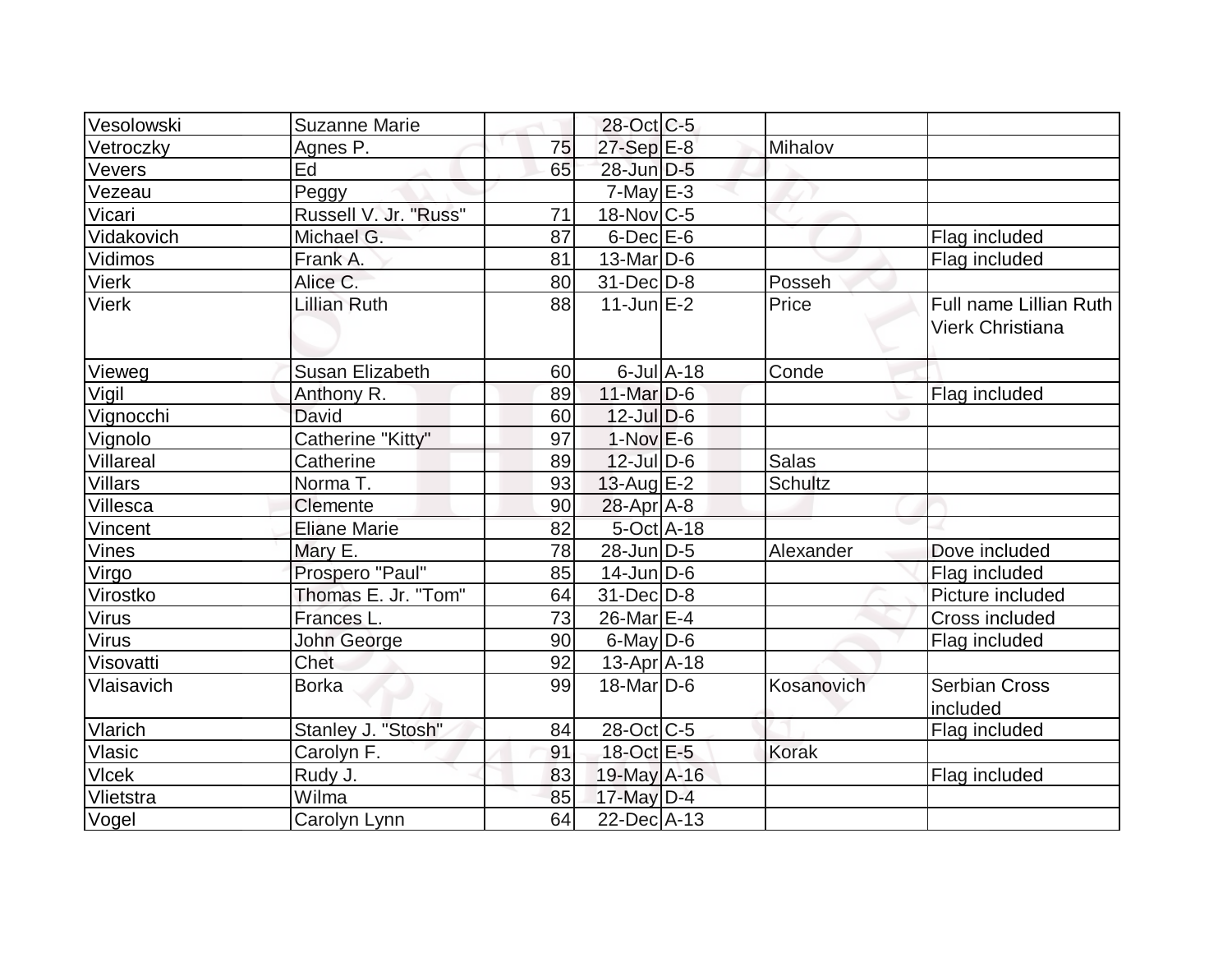| Vesolowski       | <b>Suzanne Marie</b>  |    | 28-Oct C-5        |                  |                |                                                          |
|------------------|-----------------------|----|-------------------|------------------|----------------|----------------------------------------------------------|
| Vetroczky        | Agnes P.              | 75 | $27-Sep$ E-8      |                  | Mihalov        |                                                          |
| Vevers           | Ed                    | 65 | 28-Jun D-5        |                  |                |                                                          |
| Vezeau           | Peggy                 |    | $7-May$ $E-3$     |                  |                |                                                          |
| Vicari           | Russell V. Jr. "Russ" | 71 | $18-Nov$ C-5      |                  |                |                                                          |
| Vidakovich       | Michael G.            | 87 | $6$ -Dec $E$ -6   |                  |                | Flag included                                            |
| Vidimos          | Frank A.              | 81 | $13$ -Mar $ D-6$  |                  |                | Flag included                                            |
| Vierk            | Alice C.              | 80 | $31$ -Dec $D-8$   |                  | Posseh         |                                                          |
| Vierk            | <b>Lillian Ruth</b>   | 88 | $11$ -Jun $E-2$   |                  | Price          | <b>Full name Lillian Ruth</b><br><b>Vierk Christiana</b> |
| Vieweg           | Susan Elizabeth       | 60 |                   | $6$ -Jul $A$ -18 | Conde          |                                                          |
| Vigil            | Anthony R.            | 89 | 11-Mar $D-6$      |                  |                | Flag included                                            |
| Vignocchi        | David                 | 60 | $12$ -Jul $D-6$   |                  |                |                                                          |
| Vignolo          | Catherine "Kitty"     | 97 | $1-Nov$ E-6       |                  |                |                                                          |
| <b>Villareal</b> | Catherine             | 89 | $12$ -Jul $D-6$   |                  | <b>Salas</b>   |                                                          |
| Villars          | Norma T.              | 93 | $13$ -Aug $E-2$   |                  | <b>Schultz</b> |                                                          |
| Villesca         | Clemente              | 90 | $28$ -Apr $ A-8 $ |                  |                |                                                          |
| Vincent          | <b>Eliane Marie</b>   | 82 | $5$ -Oct $A$ -18  |                  |                |                                                          |
| Vines            | Mary E.               | 78 | 28-Jun D-5        |                  | Alexander      | Dove included                                            |
| Virgo            | Prospero "Paul"       | 85 | $14$ -Jun $D-6$   |                  |                | Flag included                                            |
| Virostko         | Thomas E. Jr. "Tom"   | 64 | $31$ -Dec $D-8$   |                  |                | Picture included                                         |
| Virus            | Frances L.            | 73 | $26$ -Mar $E-4$   |                  |                | Cross included                                           |
| Virus            | John George           | 90 | $6$ -May $D$ -6   |                  |                | Flag included                                            |
| Visovatti        | Chet                  | 92 | $13$ -Apr $ A-18$ |                  |                |                                                          |
| Vlaisavich       | <b>Borka</b>          | 99 | $18$ -Mar $ D-6$  |                  | Kosanovich     | <b>Serbian Cross</b><br>included                         |
| Vlarich          | Stanley J. "Stosh"    | 84 | 28-Oct C-5        |                  |                | Flag included                                            |
| Vlasic           | Carolyn F.            | 91 | 18-Oct E-5        |                  | Korak          |                                                          |
| Vlcek            | Rudy J.               | 83 | 19-May A-16       |                  |                | Flag included                                            |
| Vlietstra        | Wilma                 | 85 | $17$ -May D-4     |                  |                |                                                          |
| Vogel            | Carolyn Lynn          | 64 | 22-Dec A-13       |                  |                |                                                          |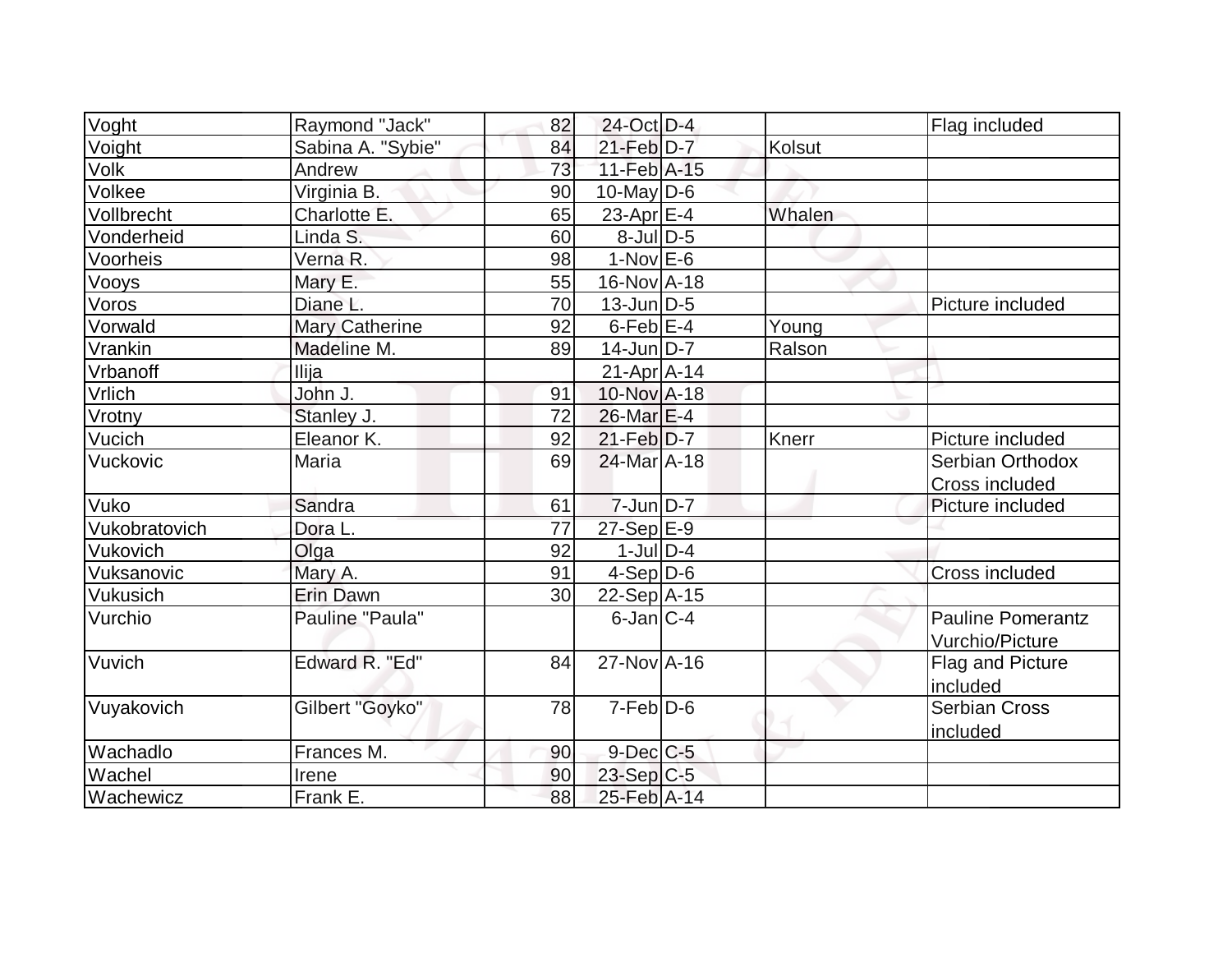| Voght         | Raymond "Jack"        | 82 | 24-Oct D-4        |        | Flag included            |
|---------------|-----------------------|----|-------------------|--------|--------------------------|
| Voight        | Sabina A. "Sybie"     | 84 | $21$ -Feb $D-7$   | Kolsut |                          |
| <b>Volk</b>   | Andrew                | 73 | 11-Feb A-15       |        |                          |
| Volkee        | Virginia B.           | 90 | $10$ -May D-6     |        |                          |
| Vollbrecht    | Charlotte E.          | 65 | 23-Apr $E-4$      | Whalen |                          |
| Vonderheid    | Linda S.              | 60 | $8$ -Jul $D-5$    |        |                          |
| Voorheis      | Verna R.              | 98 | $1-Nov$ E-6       |        |                          |
| Vooys         | Mary E.               | 55 | $16$ -Nov $A$ -18 |        |                          |
| Voros         | Diane L.              | 70 | $13$ -Jun $D-5$   |        | Picture included         |
| Vorwald       | <b>Mary Catherine</b> | 92 | $6$ -Feb $E-4$    | Young  |                          |
| Vrankin       | Madeline M.           | 89 | $14$ -Jun $D-7$   | Ralson |                          |
| Vrbanoff      | <b>Ilija</b>          |    | $21-Apr$ A-14     |        |                          |
| Vrlich        | John J.               | 91 | 10-Nov A-18       |        |                          |
| Vrotny        | Stanley J.            | 72 | 26-Mar E-4        |        |                          |
| Vucich        | Eleanor K.            | 92 | $21$ -Feb $D-7$   | Knerr  | Picture included         |
| Vuckovic      | Maria                 | 69 | 24-Mar A-18       |        | Serbian Orthodox         |
|               |                       |    |                   |        | Cross included           |
| Vuko          | Sandra                | 61 | $7$ -Jun $D-7$    |        | Picture included         |
| Vukobratovich | Dora L.               | 77 | $27-Sep$ $E-9$    |        |                          |
| Vukovich      | Olga                  | 92 | $1$ -JulD-4       |        |                          |
| Vuksanovic    | Mary A.               | 91 | $4-Sep D-6$       |        | Cross included           |
| Vukusich      | Erin Dawn             | 30 | $22-Sep$ A-15     |        |                          |
| Vurchio       | Pauline "Paula"       |    | $6$ -Jan $ C-4 $  |        | <b>Pauline Pomerantz</b> |
|               |                       |    |                   |        | Vurchio/Picture          |
| Vuvich        | Edward R. "Ed"        | 84 | $27$ -Nov $A$ -16 |        | Flag and Picture         |
|               |                       |    |                   |        | included                 |
| Vuyakovich    | Gilbert "Goyko"       | 78 | $7-Feb$ $D-6$     |        | <b>Serbian Cross</b>     |
|               |                       |    |                   |        | included                 |
| Wachadlo      | Frances M.            | 90 | $9$ -Dec $C$ -5   |        |                          |
| Wachel        | Irene                 | 90 | $23-Sep C-5$      |        |                          |
| Wachewicz     | Frank E.              | 88 | 25-Feb A-14       |        |                          |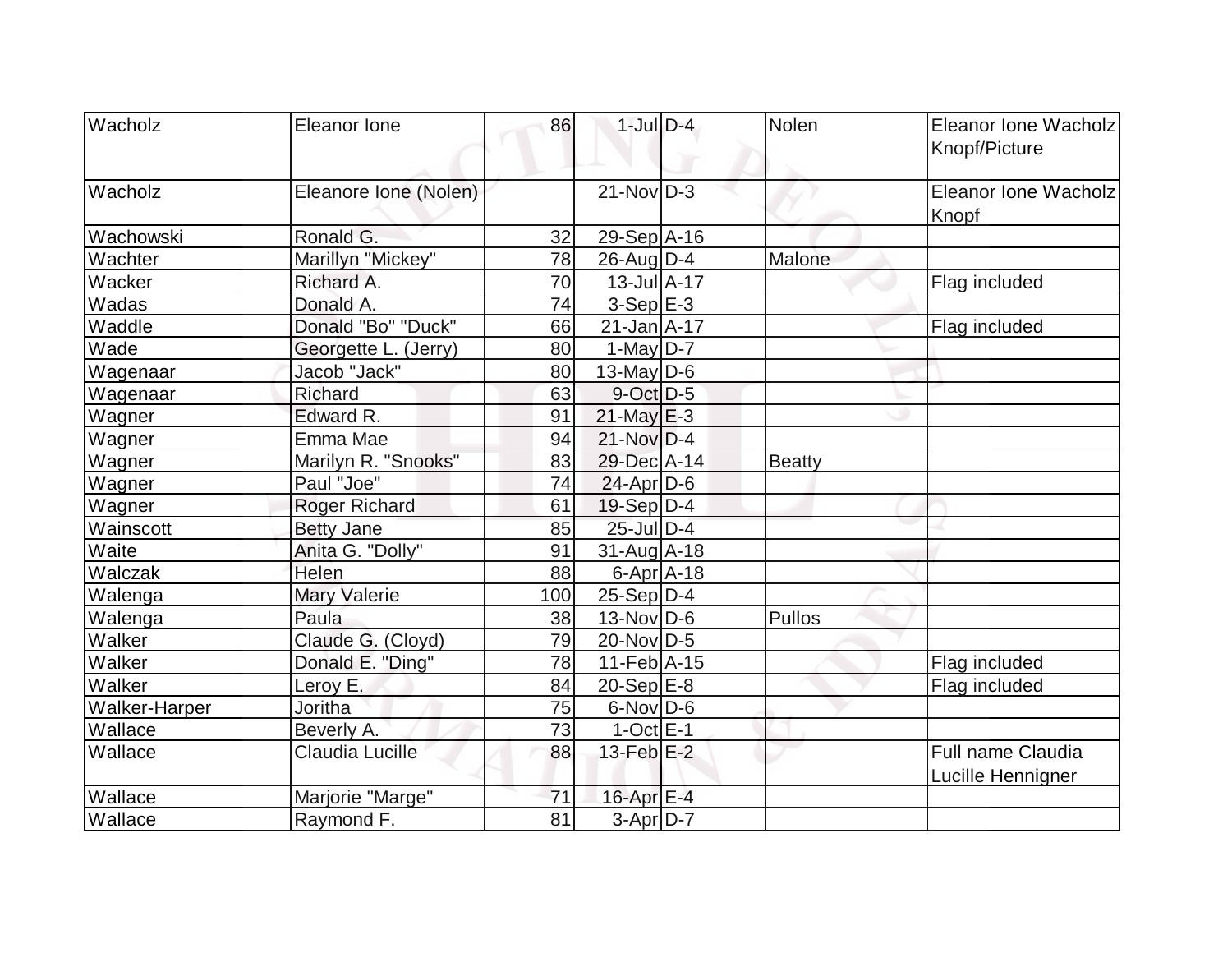| <b>Wacholz</b>       | Eleanor lone          | 86  | $1$ -Jul $D-4$    | Nolen  | Eleanor Ione Wacholz<br>Knopf/Picture         |
|----------------------|-----------------------|-----|-------------------|--------|-----------------------------------------------|
| Wacholz              | Eleanore Ione (Nolen) |     | $21-NovID-3$      |        | Eleanor Ione Wacholz<br>Knopf                 |
| Wachowski            | Ronald G.             | 32  | $29-Sep$ A-16     |        |                                               |
| Wachter              | Marillyn "Mickey"     | 78  | $26$ -Aug $D-4$   | Malone |                                               |
| Wacker               | Richard A.            | 70  | $13$ -Jul $A-17$  |        | Flag included                                 |
| Wadas                | Donald A.             | 74  | $3-Sep$ $E-3$     |        |                                               |
| Waddle               | Donald "Bo" "Duck"    | 66  | $21$ -Jan $A$ -17 |        | Flag included                                 |
| Wade                 | Georgette L. (Jerry)  | 80  | 1-May $D-7$       |        |                                               |
| Wagenaar             | Jacob "Jack"          | 80  | $13$ -May D-6     |        |                                               |
| Wagenaar             | <b>Richard</b>        | 63  | $9$ -Oct $D-5$    |        |                                               |
| Wagner               | Edward R.             | 91  | $21$ -May $E-3$   |        |                                               |
| Wagner               | Emma Mae              | 94  | $21-Nov D-4$      |        |                                               |
| Wagner               | Marilyn R. "Snooks"   | 83  | 29-Dec A-14       | Beatty |                                               |
| Wagner               | Paul "Joe"            | 74  | $24$ -Apr $D-6$   |        |                                               |
| Wagner               | <b>Roger Richard</b>  | 61  | $19-Sep D-4$      |        |                                               |
| Wainscott            | <b>Betty Jane</b>     | 85  | $25$ -Jul $D-4$   |        |                                               |
| Waite                | Anita G. "Dolly"      | 91  | $31$ -Aug $A$ -18 |        |                                               |
| Walczak              | Helen                 | 88  | $6$ -Apr $ A-18$  |        |                                               |
| Walenga              | <b>Mary Valerie</b>   | 100 | $25-Sep D-4$      |        |                                               |
| Walenga              | Paula                 | 38  | $13-Nov D-6$      | Pullos |                                               |
| Walker               | Claude G. (Cloyd)     | 79  | 20-Nov D-5        |        |                                               |
| Walker               | Donald E. "Ding"      | 78  | $11-Feb$ A-15     |        | Flag included                                 |
| Walker               | Leroy E.              | 84  | $20-Sep$ E-8      |        | Flag included                                 |
| <b>Walker-Harper</b> | Joritha               | 75  | $6$ -Nov $D$ -6   |        |                                               |
| Wallace              | Beverly A.            | 73  | $1-Oct$ $E-1$     |        |                                               |
| Wallace              | Claudia Lucille       | 88  | $13$ -Feb $E-2$   |        | <b>Full name Claudia</b><br>Lucille Hennigner |
| Wallace              | Marjorie "Marge"      | 71  | $16$ -Apr $E-4$   |        |                                               |
| Wallace              | Raymond F.            | 81  | 3-Apr D-7         |        |                                               |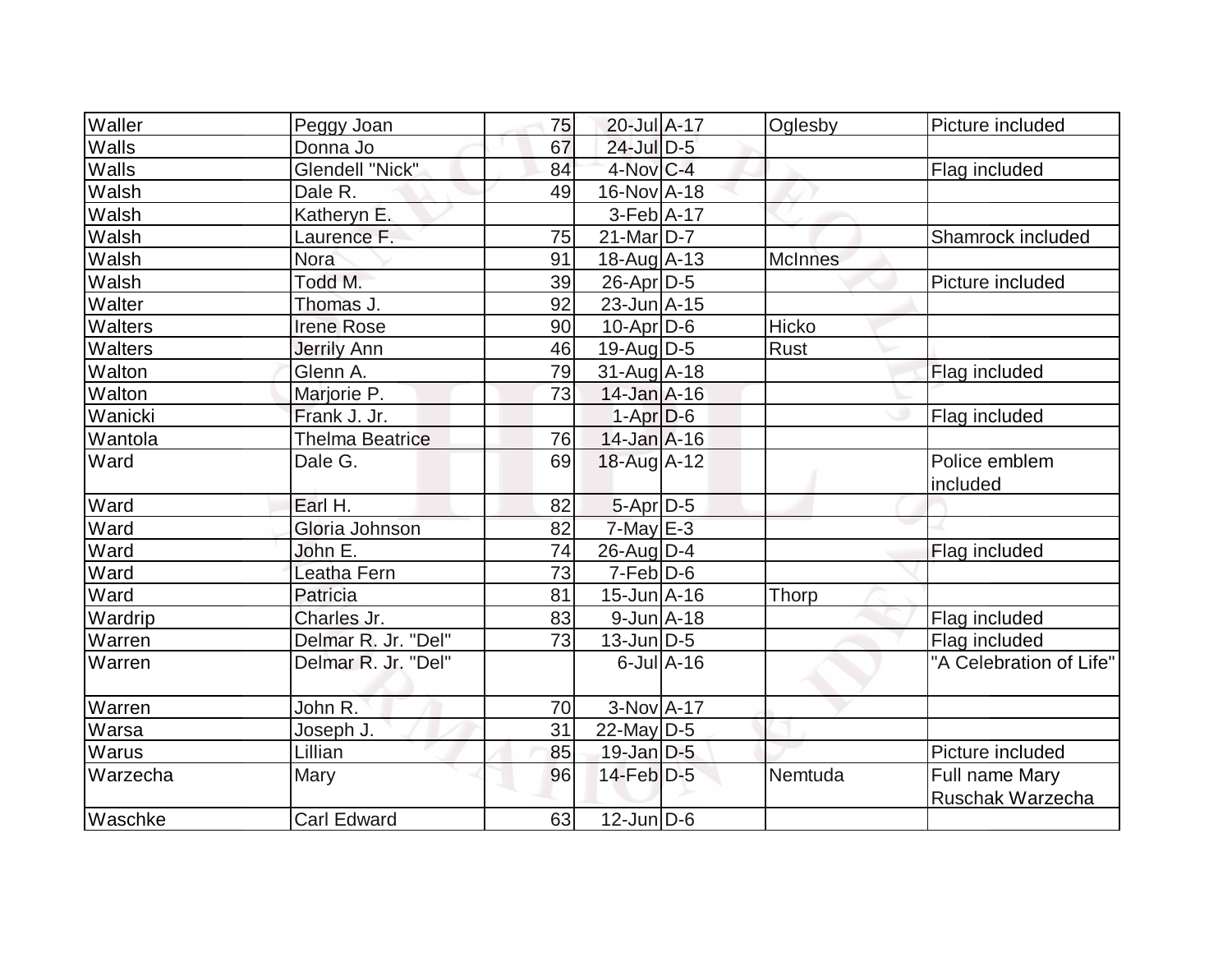| Waller         | Peggy Joan             | 75 | 20-Jul A-17                  | Oglesby        | Picture included        |
|----------------|------------------------|----|------------------------------|----------------|-------------------------|
| Walls          | Donna Jo               | 67 | $24$ -Jul $D-5$              |                |                         |
| Walls          | <b>Glendell "Nick"</b> | 84 | 4-Nov C-4                    |                | Flag included           |
| Walsh          | Dale R.                | 49 | 16-Nov A-18                  |                |                         |
| Walsh          | Katheryn E.            |    | $3-Feb$ A-17                 |                |                         |
| Walsh          | Laurence F.            | 75 | $21$ -Mar $D-7$              |                | Shamrock included       |
| Walsh          | <b>Nora</b>            | 91 | $18$ -Aug $A$ -13            | <b>McInnes</b> |                         |
| Walsh          | Todd M.                | 39 | 26-Apr D-5                   |                | Picture included        |
| Walter         | Thomas J.              | 92 | 23-Jun A-15                  |                |                         |
| Walters        | <b>Irene Rose</b>      | 90 | $10$ -Apr $D$ -6             | Hicko          |                         |
| <b>Walters</b> | <b>Jerrily Ann</b>     | 46 | $19$ -Aug $D-5$              | <b>Rust</b>    |                         |
| Walton         | Glenn A.               | 79 | $31$ -Aug $A$ -18            |                | Flag included           |
| Walton         | Marjorie P.            | 73 | 14-Jan A-16                  |                |                         |
| Wanicki        | Frank J. Jr.           |    | $1-Apr$ $D-6$                |                | Flag included           |
| Wantola        | <b>Thelma Beatrice</b> | 76 | $14$ -Jan $A$ -16            |                |                         |
| Ward           | Dale G.                | 69 | 18-Aug A-12                  |                | Police emblem           |
|                |                        |    |                              |                | included                |
| Ward           | Earl H.                | 82 | $5-Apr$ D-5                  |                |                         |
| Ward           | Gloria Johnson         | 82 | $7-May$ $E-3$                |                |                         |
| Ward           | John E.                | 74 | $26$ -Aug $ D-4 $            |                | Flag included           |
| Ward           | Leatha Fern            | 73 | $7-Feb D-6$                  |                |                         |
| Ward           | Patricia               | 81 | $15$ -Jun $\overline{A}$ -16 | Thorp          |                         |
| Wardrip        | Charles Jr.            | 83 | $9$ -Jun $A$ -18             |                | Flag included           |
| Warren         | Delmar R. Jr. "Del"    | 73 | $13$ -Jun $ D-5 $            |                | Flag included           |
| Warren         | Delmar R. Jr. "Del"    |    | $6$ -Jul $A$ -16             |                | "A Celebration of Life" |
| Warren         | John R.                | 70 | 3-Nov A-17                   |                |                         |
| Warsa          | Joseph J.              | 31 | $22$ -May D-5                |                |                         |
| Warus          | Lillian                | 85 | $19$ -Jan $D$ -5             |                | Picture included        |
| Warzecha       | Mary                   | 96 | $14$ -Feb $D-5$              | Nemtuda        | Full name Mary          |
|                |                        |    |                              |                | Ruschak Warzecha        |
| Waschke        | <b>Carl Edward</b>     | 63 | $12$ -Jun $D-6$              |                |                         |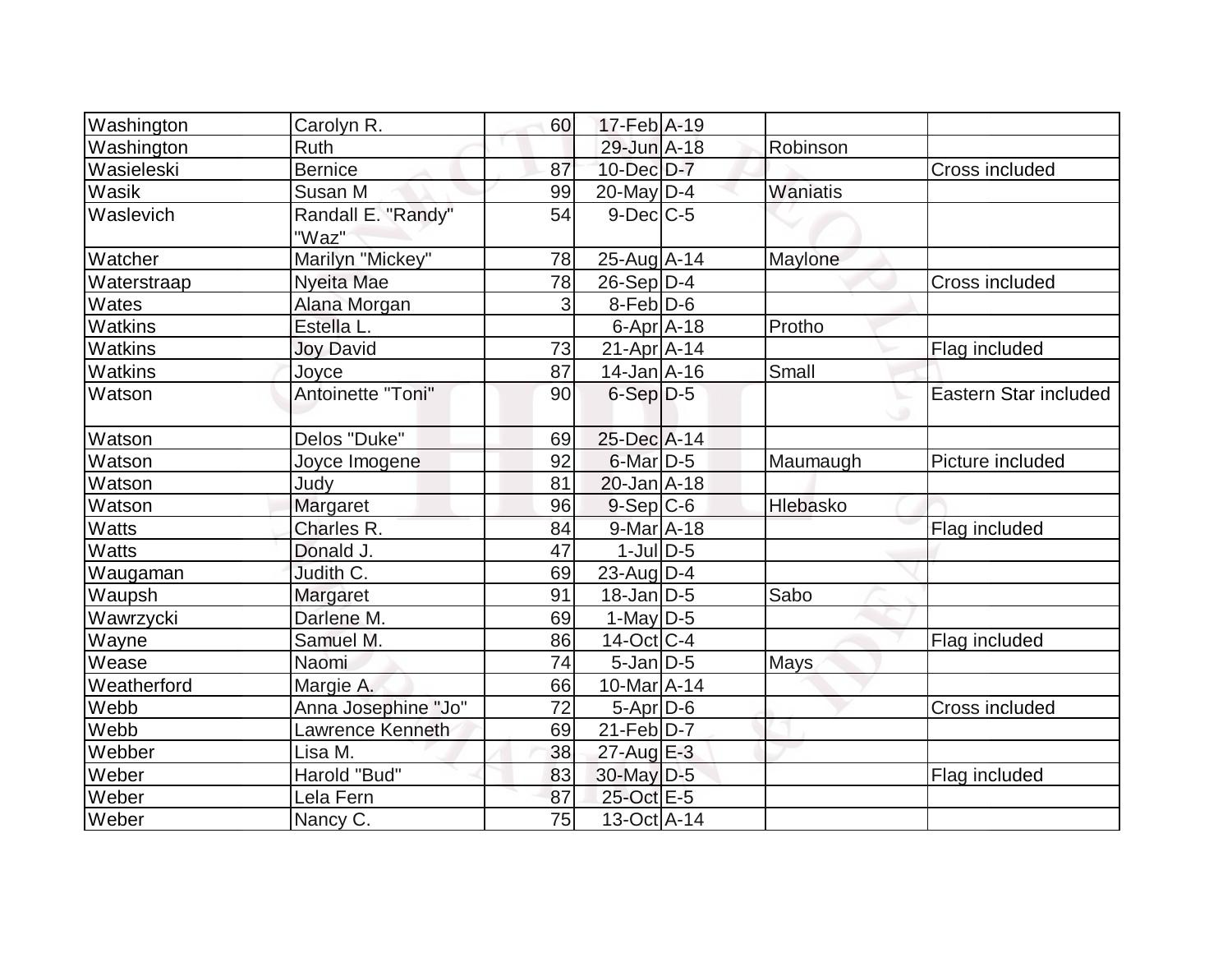| Washington   | Carolyn R.                  | 60              | 17-Feb A-19              |                |                       |
|--------------|-----------------------------|-----------------|--------------------------|----------------|-----------------------|
| Washington   | Ruth                        |                 | 29-Jun A-18              | Robinson       |                       |
| Wasieleski   | <b>Bernice</b>              | 87              | $10$ -Dec $D-7$          |                | Cross included        |
| Wasik        | Susan M                     | 99              | $20$ -May D-4            | Waniatis       |                       |
| Waslevich    | Randall E. "Randy"<br>"Waz" | 54              | $9$ -Dec $C$ -5          |                |                       |
| Watcher      | Marilyn "Mickey"            | 78              | 25-Aug A-14              | <b>Maylone</b> |                       |
| Waterstraap  | Nyeita Mae                  | $\overline{78}$ | $26-Sep D-4$             |                | <b>Cross included</b> |
| Wates        | Alana Morgan                | 3               | $8-Feb D-6$              |                |                       |
| Watkins      | Estella L.                  |                 | $6$ -Apr $ A$ -18        | Protho         |                       |
| Watkins      | <b>Joy David</b>            | 73              | $21-Apr$ A-14            |                | Flag included         |
| Watkins      | Joyce                       | 87              | $14$ -Jan $A$ -16        | Small          |                       |
| Watson       | Antoinette "Toni"           | 90              | $6-Sep D-5$              |                | Eastern Star included |
| Watson       | Delos "Duke"                | 69              | 25-Dec A-14              |                |                       |
| Watson       | Joyce Imogene               | 92              | $6$ -Mar $D-5$           | Maumaugh       | Picture included      |
| Watson       | Judy                        | 81              | $20$ -Jan $A-18$         |                |                       |
| Watson       | Margaret                    | 96              | $9-Sep C-6$              | Hlebasko       |                       |
| <b>Watts</b> | Charles R.                  | 84              | 9-Mar A-18               |                | Flag included         |
| Watts        | Donald J.                   | 47              | $1$ -JulD-5              |                |                       |
| Waugaman     | Judith C.                   | 69              | $23$ -Aug $ D-4$         |                |                       |
| Waupsh       | Margaret                    | 91              | $18$ -Jan $ D-5 $        | Sabo           |                       |
| Wawrzycki    | Darlene M.                  | 69              | 1-May $D-5$              |                |                       |
| Wayne        | Samuel M.                   | 86              | $14-Oct$ <sub>C</sub> -4 |                | Flag included         |
| Wease        | Naomi                       | 74              | $5$ -Jan $D-5$           | Mays           |                       |
| Weatherford  | Margie A.                   | 66              | 10-Mar A-14              |                |                       |
| Webb         | Anna Josephine "Jo"         | 72              | $5-Apr$ D-6              |                | Cross included        |
| Webb         | Lawrence Kenneth            | 69              | $21$ -Feb $ D-7 $        |                |                       |
| Webber       | Lisa M.                     | 38              | 27-Aug E-3               |                |                       |
| Weber        | Harold "Bud"                | 83              | 30-May D-5               |                | Flag included         |
| Weber        | Lela Fern                   | 87              | 25-Oct E-5               |                |                       |
| Weber        | Nancy C.                    | 75              | 13-Oct A-14              |                |                       |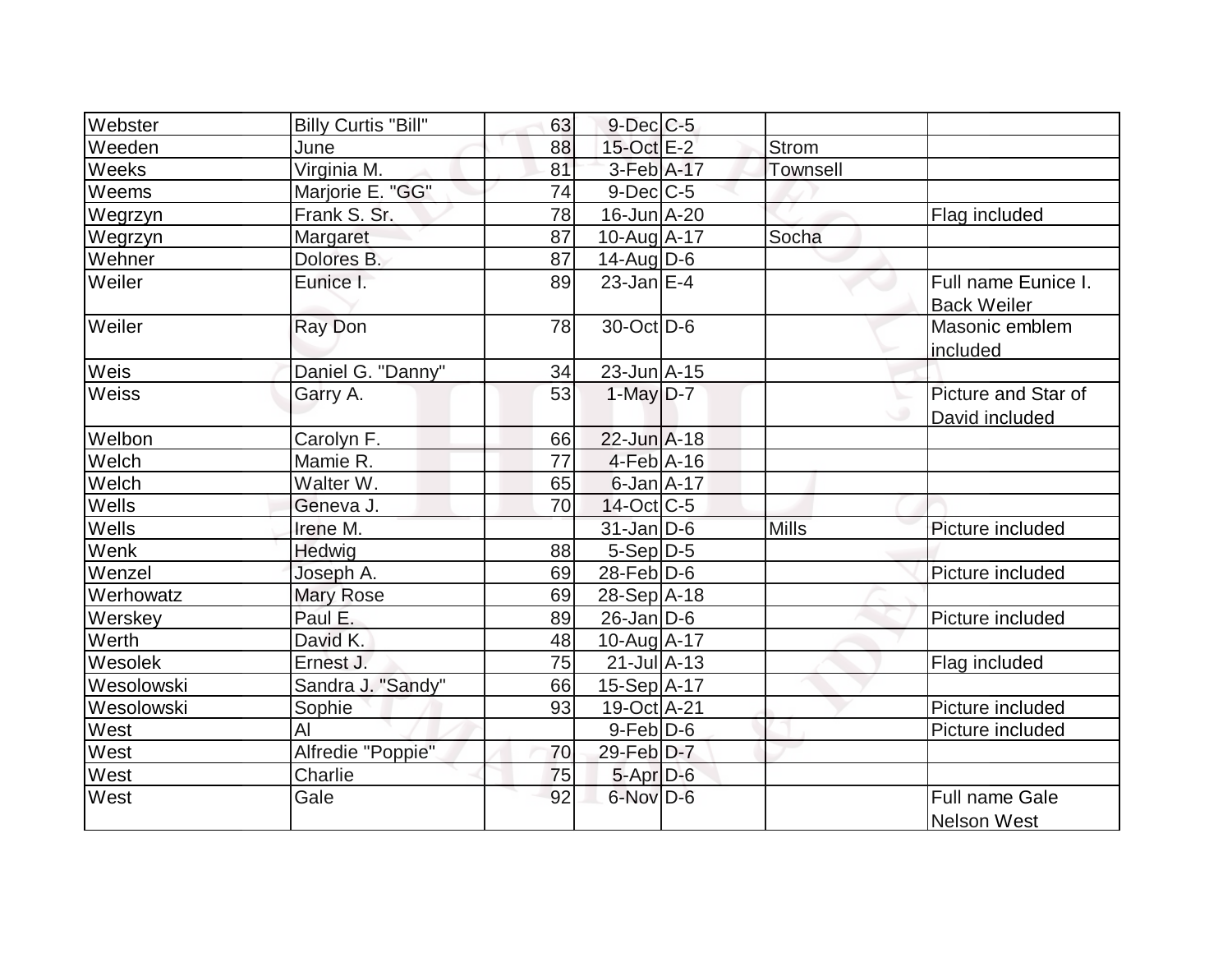| Webster      | <b>Billy Curtis "Bill"</b> | 63 | $9$ -Dec $C$ -5   |                 |                                             |
|--------------|----------------------------|----|-------------------|-----------------|---------------------------------------------|
| Weeden       | June                       | 88 | 15-Oct E-2        | <b>Strom</b>    |                                             |
| Weeks        | Virginia M.                | 81 | $3-Feb$ A-17      | <b>Townsell</b> |                                             |
| Weems        | Marjorie E. "GG"           | 74 | $9$ -Dec $C$ -5   |                 |                                             |
| Wegrzyn      | Frank S. Sr.               | 78 | 16-Jun A-20       |                 | Flag included                               |
| Wegrzyn      | Margaret                   | 87 | 10-Aug A-17       | Socha           |                                             |
| Wehner       | Dolores B.                 | 87 | $14$ -Aug $ D-6$  |                 |                                             |
| Weiler       | Eunice I.                  | 89 | $23$ -Jan $E-4$   |                 | Full name Eunice I.<br><b>Back Weiler</b>   |
| Weiler       | Ray Don                    | 78 | $30$ -Oct $ D-6 $ |                 | Masonic emblem<br>included                  |
| Weis         | Daniel G. "Danny"          | 34 | $23$ -Jun $A-15$  |                 |                                             |
| <b>Weiss</b> | Garry A.                   | 53 | $1-May$ D-7       |                 | Picture and Star of<br>David included       |
| Welbon       | Carolyn F.                 | 66 | $22$ -Jun $A-18$  |                 |                                             |
| Welch        | Mamie R.                   | 77 | $4-Feb$ A-16      |                 |                                             |
| Welch        | Walter W.                  | 65 | $6$ -Jan $A$ -17  |                 |                                             |
| Wells        | Geneva J.                  | 70 | $14$ -Oct C-5     |                 |                                             |
| Wells        | Irene M.                   |    | $31$ -Jan D-6     | Mills           | Picture included                            |
| Wenk         | <b>Hedwig</b>              | 88 | $5-Sep D-5$       |                 |                                             |
| Wenzel       | Joseph A.                  | 69 | $28$ -Feb $D$ -6  |                 | Picture included                            |
| Werhowatz    | <b>Mary Rose</b>           | 69 | 28-Sep A-18       |                 |                                             |
| Werskey      | Paul E.                    | 89 | $26$ -Jan $D-6$   |                 | Picture included                            |
| Werth        | David K.                   | 48 | $10$ -Aug A-17    |                 |                                             |
| Wesolek      | Ernest J.                  | 75 | $21$ -Jul $A-13$  |                 | Flag included                               |
| Wesolowski   | Sandra J. "Sandy"          | 66 | 15-Sep A-17       |                 |                                             |
| Wesolowski   | Sophie                     | 93 | 19-Oct A-21       |                 | Picture included                            |
| West         | AI                         |    | $9$ -Feb $D$ -6   |                 | Picture included                            |
| West         | Alfredie "Poppie"          | 70 | 29-Feb D-7        |                 |                                             |
| West         | Charlie                    | 75 | $5 - Apr$ $D-6$   |                 |                                             |
| West         | Gale                       | 92 | 6-Nov D-6         |                 | <b>Full name Gale</b><br><b>Nelson West</b> |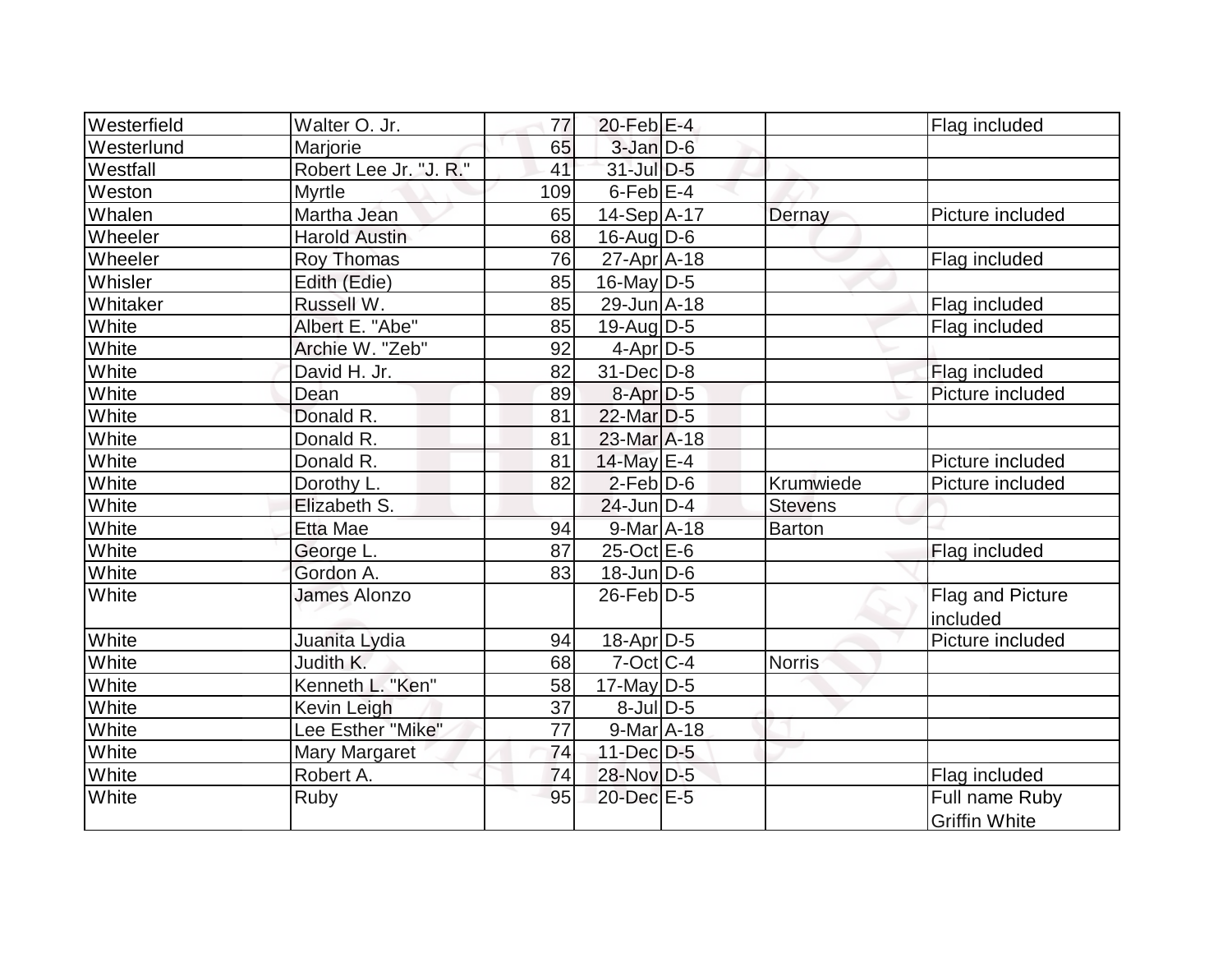| Westerfield | Walter O. Jr.          | 77  | 20-Feb $E-4$         |                | Flag included                          |
|-------------|------------------------|-----|----------------------|----------------|----------------------------------------|
| Westerlund  | Marjorie               | 65  | $3$ -Jan $D$ -6      |                |                                        |
| Westfall    | Robert Lee Jr. "J. R." | 41  | $31$ -Jul $D-5$      |                |                                        |
| Weston      | <b>Myrtle</b>          | 109 | $6$ -Feb $E-4$       |                |                                        |
| Whalen      | Martha Jean            | 65  | $14-Sep$ A-17        | Dernay         | Picture included                       |
| Wheeler     | <b>Harold Austin</b>   | 68  | $16$ -AugD-6         |                |                                        |
| Wheeler     | Roy Thomas             | 76  | $27$ -Apr $A$ -18    |                | Flag included                          |
| Whisler     | Edith (Edie)           | 85  | $16$ -May D-5        |                |                                        |
| Whitaker    | Russell W.             | 85  | $29$ -Jun $A-18$     |                | Flag included                          |
| White       | Albert E. "Abe"        | 85  | $19$ -Aug D-5        |                | Flag included                          |
| White       | Archie W. "Zeb"        | 92  | $4$ -Apr $D-5$       |                |                                        |
| White       | David H. Jr.           | 82  | $31$ -Dec $D-8$      |                | Flag included                          |
| White       | Dean                   | 89  | 8-Apr <sub>D-5</sub> |                | Picture included                       |
| White       | Donald R.              | 81  | $22$ -Mar $D-5$      |                |                                        |
| White       | Donald R.              | 81  | $23$ -Mar $A$ -18    |                |                                        |
| White       | Donald R.              | 81  | 14-May E-4           |                | Picture included                       |
| White       | Dorothy L.             | 82  | $2$ -Feb $D-6$       | Krumwiede      | Picture included                       |
| White       | Elizabeth S.           |     | $24$ -Jun $D-4$      | <b>Stevens</b> |                                        |
| White       | Etta Mae               | 94  | 9-Mar A-18           | <b>Barton</b>  |                                        |
| White       | George L.              | 87  | $25$ -Oct $E$ -6     |                | Flag included                          |
| White       | Gordon A.              | 83  | $18$ -Jun $D-6$      |                |                                        |
| White       | <b>James Alonzo</b>    |     | $26$ -Feb $ D-5 $    |                | Flag and Picture                       |
|             |                        |     |                      |                | lincluded                              |
| White       | Juanita Lydia          | 94  | 18-Apr D-5           |                | Picture included                       |
| White       | Judith K.              | 68  | $7$ -Oct $ C-4 $     | <b>Norris</b>  |                                        |
| White       | Kenneth L. "Ken"       | 58  | $17$ -May D-5        |                |                                        |
| White       | Kevin Leigh            | 37  | $8$ -Jul $D$ -5      |                |                                        |
| White       | Lee Esther "Mike"      | 77  | $9$ -Mar $A$ -18     |                |                                        |
| White       | Mary Margaret          | 74  | 11-Dec D-5           |                |                                        |
| White       | Robert A.              | 74  | 28-Nov D-5           |                | Flag included                          |
| White       | Ruby                   | 95  | 20-Dec E-5           |                | Full name Ruby<br><b>Griffin White</b> |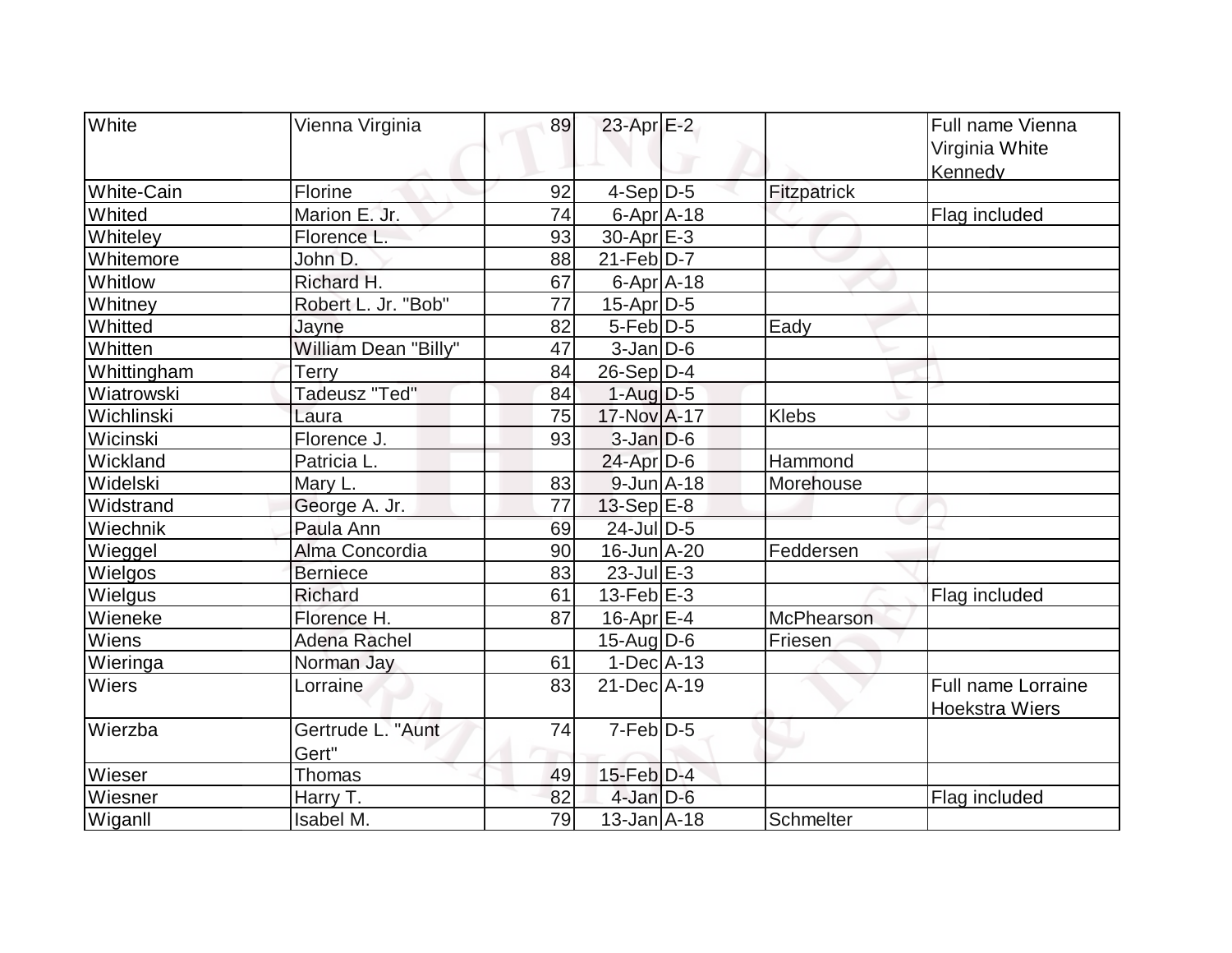| <b>White</b> | Vienna Virginia            | 89 | 23-Apr $E-2$       |                   | Full name Vienna<br>Virginia White<br>Kennedy      |
|--------------|----------------------------|----|--------------------|-------------------|----------------------------------------------------|
| White-Cain   | Florine                    | 92 | $4-Sep D-5$        | Fitzpatrick       |                                                    |
| Whited       | Marion E. Jr.              | 74 | $6 - Apr$ $A - 18$ |                   | Flag included                                      |
| Whiteley     | Florence L.                | 93 | $30$ -Apr $E-3$    |                   |                                                    |
| Whitemore    | John D.                    | 88 | $21$ -Feb $D-7$    |                   |                                                    |
| Whitlow      | Richard H.                 | 67 | $6 - Apr$ $A - 18$ |                   |                                                    |
| Whitney      | Robert L. Jr. "Bob"        | 77 | $15$ -Apr $D-5$    |                   |                                                    |
| Whitted      | Jayne                      | 82 | $5-Feb D-5$        | Eady              |                                                    |
| Whitten      | William Dean "Billy"       | 47 | $3$ -Jan $D-6$     |                   |                                                    |
| Whittingham  | Terry                      | 84 | $26-Sep D-4$       |                   |                                                    |
| Wiatrowski   | <b>Tadeusz "Ted"</b>       | 84 | $1-Aug D-5$        |                   |                                                    |
| Wichlinski   | Laura                      | 75 | 17-Nov A-17        | Klebs             |                                                    |
| Wicinski     | Florence J.                | 93 | $3$ -Jan $D$ -6    |                   |                                                    |
| Wickland     | Patricia L.                |    | $24$ -Apr $D-6$    | Hammond           |                                                    |
| Widelski     | Mary L.                    | 83 | $9$ -Jun $A$ -18   | Morehouse         |                                                    |
| Widstrand    | George A. Jr.              | 77 | $13-Sep$ E-8       |                   |                                                    |
| Wiechnik     | Paula Ann                  | 69 | 24-Jul D-5         |                   |                                                    |
| Wieggel      | Alma Concordia             | 90 | $16$ -Jun $A$ -20  | Feddersen         |                                                    |
| Wielgos      | <b>Berniece</b>            | 83 | $23$ -Jul $E-3$    |                   |                                                    |
| Wielgus      | <b>Richard</b>             | 61 | $13$ -Feb $E-3$    |                   | Flag included                                      |
| Wieneke      | Florence H.                | 87 | $16$ -Apr $E-4$    | <b>McPhearson</b> |                                                    |
| Wiens        | Adena Rachel               |    | $15$ -Aug $D$ -6   | Friesen           |                                                    |
| Wieringa     | Norman Jay                 | 61 | $1-Dec$ $A-13$     |                   |                                                    |
| Wiers        | Lorraine                   | 83 | 21-Dec A-19        |                   | <b>Full name Lorraine</b><br><b>Hoekstra Wiers</b> |
| Wierzba      | Gertrude L. "Aunt<br>Gert" | 74 | $7-Feb D-5$        |                   |                                                    |
| Wieser       | Thomas                     | 49 | $15$ -Feb $D-4$    |                   |                                                    |
| Wiesner      | Harry T.                   | 82 | $4$ -Jan $D-6$     |                   | Flag included                                      |
| Wiganll      | Isabel M.                  | 79 | $13$ -Jan $A$ -18  | <b>Schmelter</b>  |                                                    |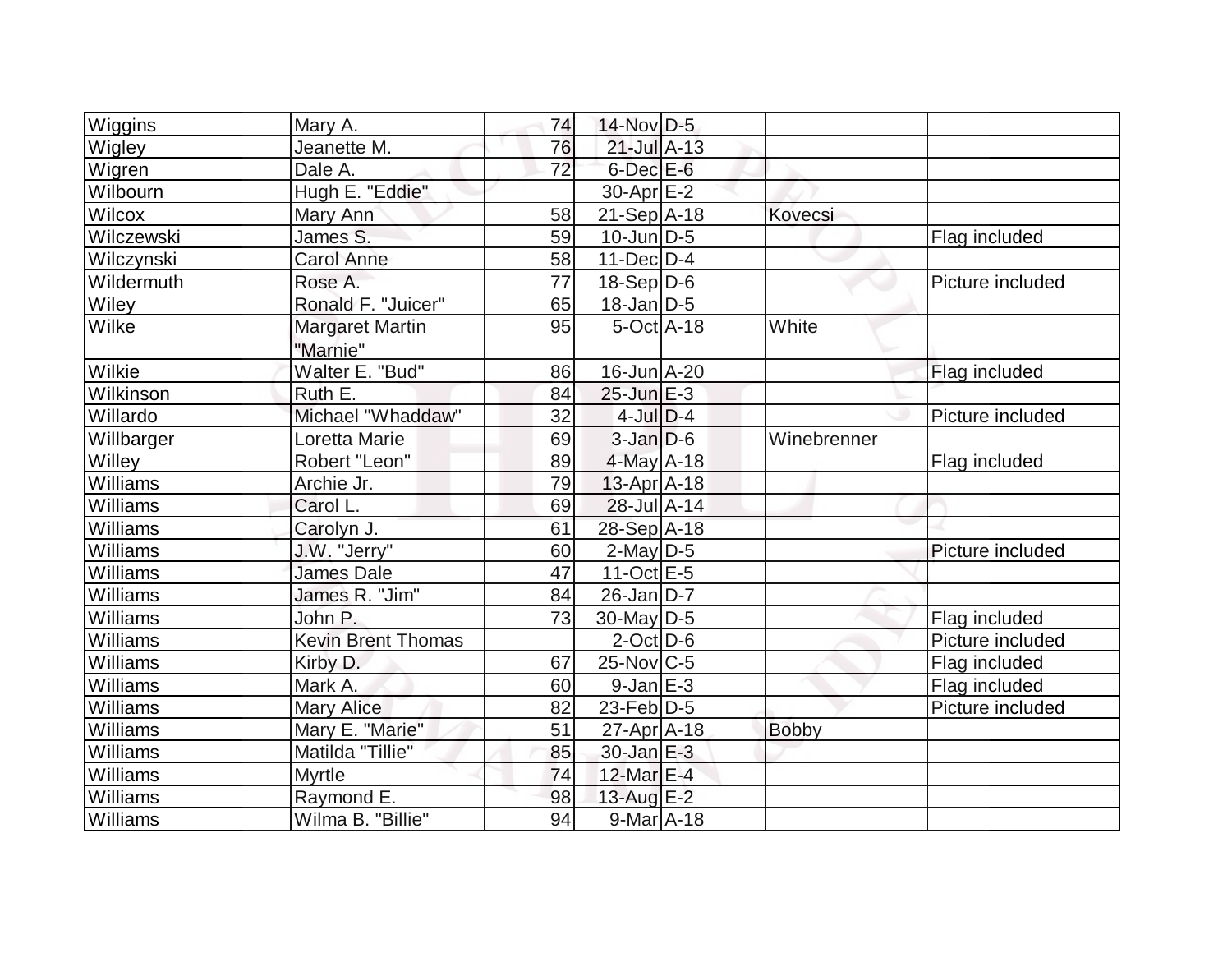| Wiggins    | Mary A.                            | 74 | $14$ -Nov D-5     |                |                  |
|------------|------------------------------------|----|-------------------|----------------|------------------|
| Wigley     | Jeanette M.                        | 76 | $21$ -Jul $A-13$  |                |                  |
| Wigren     | Dale A.                            | 72 | $6$ -Dec $E$ -6   |                |                  |
| Wilbourn   | Hugh E. "Eddie"                    |    | $30$ -Apr $E-2$   |                |                  |
| Wilcox     | Mary Ann                           | 58 | $21-Sep$ $A-18$   | <b>Kovecsi</b> |                  |
| Wilczewski | James S.                           | 59 | $10$ -Jun $ D-5 $ |                | Flag included    |
| Wilczynski | <b>Carol Anne</b>                  | 58 | $11-Dec$ D-4      |                |                  |
| Wildermuth | Rose A.                            | 77 | $18-Sep D-6$      |                | Picture included |
| Wiley      | Ronald F. "Juicer"                 | 65 | 18-Jan D-5        |                |                  |
| Wilke      | <b>Margaret Martin</b><br>"Marnie" | 95 | $5$ -Oct $A$ -18  | White          |                  |
| Wilkie     | Walter E. "Bud"                    | 86 | 16-Jun A-20       |                | Flag included    |
| Wilkinson  | Ruth E.                            | 84 | $25$ -Jun $E-3$   |                |                  |
| Willardo   | Michael "Whaddaw"                  | 32 | $4$ -JulD-4       |                | Picture included |
| Willbarger | Loretta Marie                      | 69 | $3$ -Jan $D-6$    | Winebrenner    |                  |
| Willey     | Robert "Leon"                      | 89 | $4$ -May $A$ -18  |                | Flag included    |
| Williams   | Archie Jr.                         | 79 | $13$ -Apr $ A-18$ |                |                  |
| Williams   | Carol L.                           | 69 | $28$ -Jul $A-14$  |                |                  |
| Williams   | Carolyn J.                         | 61 | 28-Sep A-18       |                |                  |
| Williams   | J.W. "Jerry"                       | 60 | $2$ -May $D-5$    |                | Picture included |
| Williams   | James Dale                         | 47 | $11-Oct$ E-5      |                |                  |
| Williams   | James R. "Jim"                     | 84 | $26$ -Jan $D-7$   |                |                  |
| Williams   | John P.                            | 73 | $30$ -May $ D-5$  |                | Flag included    |
| Williams   | <b>Kevin Brent Thomas</b>          |    | $2$ -Oct $D$ -6   |                | Picture included |
| Williams   | Kirby D.                           | 67 | $25$ -Nov $ C-5 $ |                | Flag included    |
| Williams   | Mark A.                            | 60 | $9$ -Jan $E-3$    |                | Flag included    |
| Williams   | <b>Mary Alice</b>                  | 82 | $23$ -Feb $ D-5$  |                | Picture included |
| Williams   | Mary E. "Marie"                    | 51 | $27$ -Apr $A$ -18 | <b>Bobby</b>   |                  |
| Williams   | Matilda "Tillie"                   | 85 | $30$ -Jan $E-3$   |                |                  |
| Williams   | Myrtle                             | 74 | 12-Mar E-4        |                |                  |
| Williams   | Raymond E.                         | 98 | 13-Aug E-2        |                |                  |
| Williams   | Wilma B. "Billie"                  | 94 | 9-Mar A-18        |                |                  |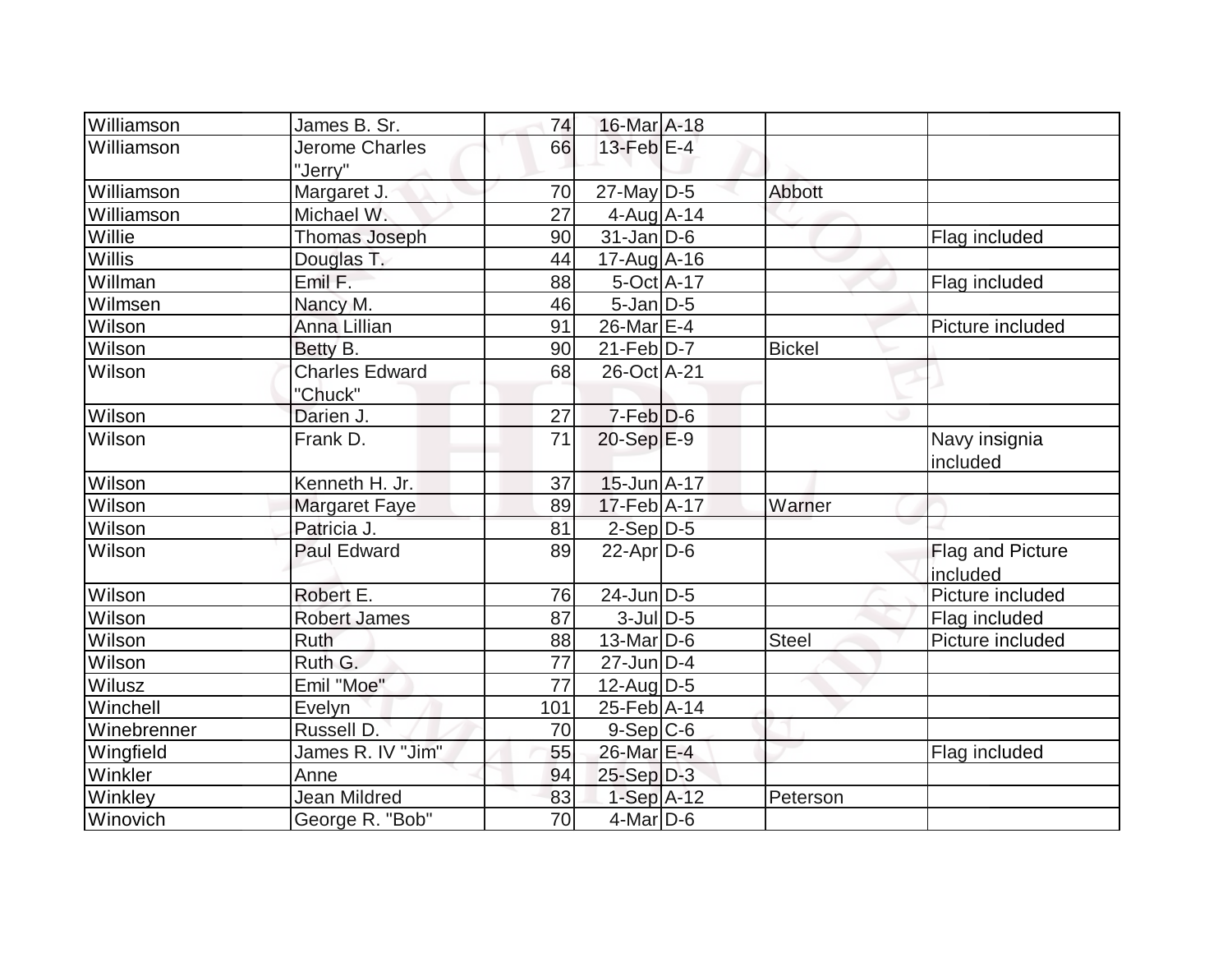| Williamson    | James B. Sr.          | 74  | 16-Mar A-18                  |               |                  |
|---------------|-----------------------|-----|------------------------------|---------------|------------------|
| Williamson    | <b>Jerome Charles</b> | 66  | $13$ -Feb $E-4$              |               |                  |
|               | "Jerry"               |     |                              |               |                  |
| Williamson    | Margaret J.           | 70  | $27$ -May D-5                | <b>Abbott</b> |                  |
| Williamson    | Michael W.            | 27  | $4-Aug$ $A-14$               |               |                  |
| Willie        | Thomas Joseph         | 90  | $31$ -Jan D-6                |               | Flag included    |
| <b>Willis</b> | Douglas T.            | 44  | $17$ -Aug $\overline{A}$ -16 |               |                  |
| Willman       | Emil F.               | 88  | $5-Oct$ A-17                 |               | Flag included    |
| Wilmsen       | Nancy M.              | 46  | 5-Jan D-5                    |               |                  |
| Wilson        | <b>Anna Lillian</b>   | 91  | 26-Mar <sub>E-4</sub>        |               | Picture included |
| Wilson        | Betty B.              | 90  | $21$ -Feb $D-7$              | <b>Bickel</b> |                  |
| Wilson        | Charles Edward        | 68  | 26-Oct A-21                  |               |                  |
|               | "Chuck"               |     |                              |               |                  |
| Wilson        | Darien J.             | 27  | $7-Feb$ $D-6$                |               |                  |
| Wilson        | Frank D.              | 71  | $20-Sep$ $E-9$               |               | Navy insignia    |
|               |                       |     |                              |               | included         |
| Wilson        | Kenneth H. Jr.        | 37  | $15$ -Jun $A$ -17            |               |                  |
| Wilson        | <b>Margaret Faye</b>  | 89  | 17-Feb A-17                  | Warner        |                  |
| <b>Wilson</b> | Patricia J.           | 81  | $2-Sep$ $D-5$                |               |                  |
| Wilson        | <b>Paul Edward</b>    | 89  | $22$ -Apr $D-6$              |               | Flag and Picture |
|               |                       |     |                              |               | lincluded        |
| Wilson        | Robert E.             | 76  | $24$ -Jun $ D-5$             |               | Picture included |
| Wilson        | <b>Robert James</b>   | 87  | $3$ -Jul $D-5$               |               | Flag included    |
| Wilson        | Ruth                  | 88  | 13-Mar $D-6$                 | <b>Steel</b>  | Picture included |
| Wilson        | Ruth G.               | 77  | $27$ -Jun $D-4$              |               |                  |
| Wilusz        | Emil "Moe"            | 77  | $12$ -Aug $D-5$              |               |                  |
| Winchell      | Evelyn                | 101 | $25$ -Feb A-14               |               |                  |
| Winebrenner   | Russell D.            | 70  | $9-$ Sep $ C-6$              |               |                  |
| Wingfield     | James R. IV "Jim"     | 55  | 26-Mar E-4                   |               | Flag included    |
| Winkler       | Anne                  | 94  | $25-Sep D-3$                 |               |                  |
| Winkley       | <b>Jean Mildred</b>   | 83  | $1-Sep$ A-12                 | Peterson      |                  |
| Winovich      | George R. "Bob"       | 70  | $4$ -Mar $D-6$               |               |                  |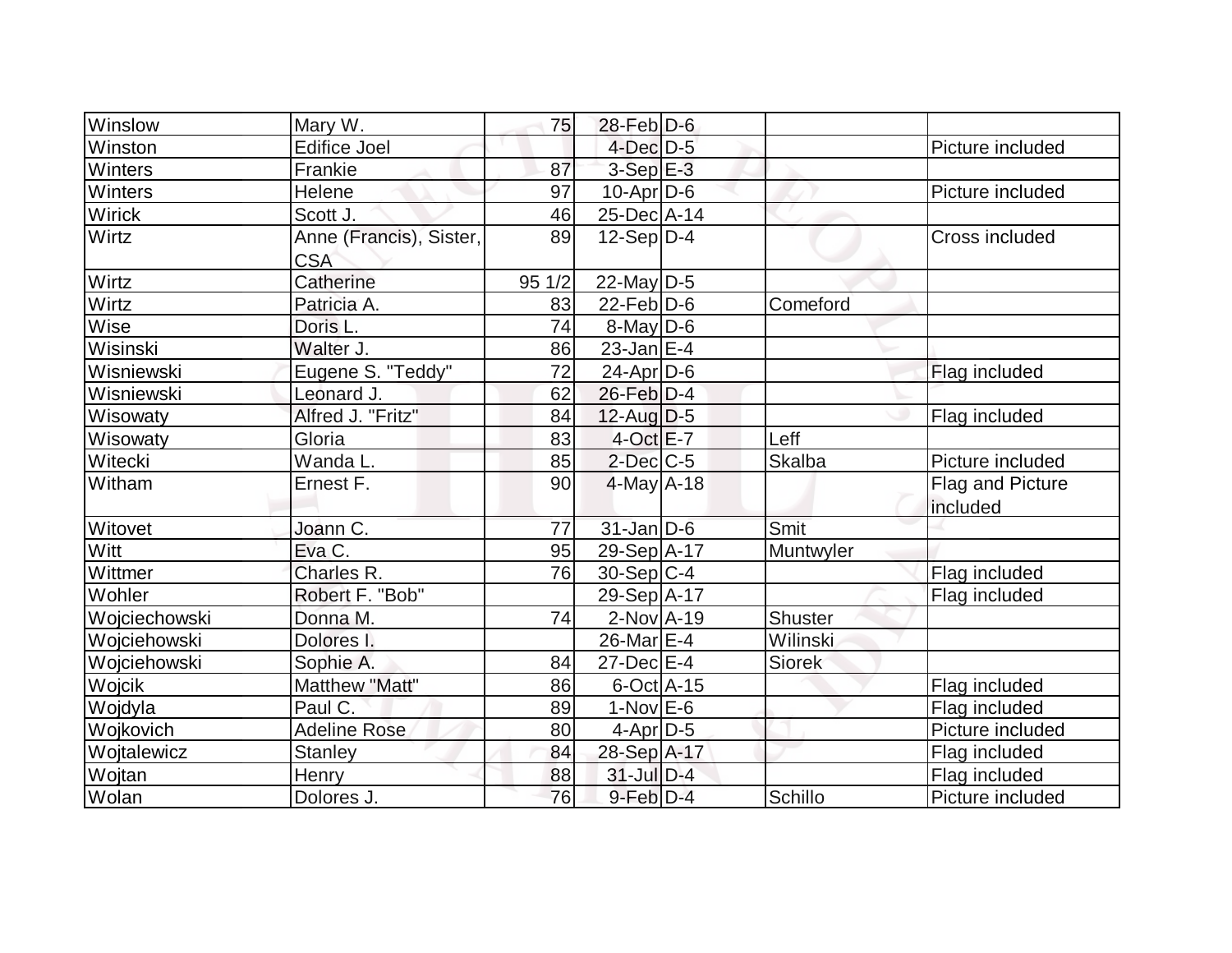| Winslow       | Mary W.                 | 75     | $28$ -Feb $D-6$  |               |                              |
|---------------|-------------------------|--------|------------------|---------------|------------------------------|
| Winston       | <b>Edifice Joel</b>     |        | $4$ -Dec $D-5$   |               | Picture included             |
| Winters       | Frankie                 | 87     | $3-Sep$ $E-3$    |               |                              |
| Winters       | Helene                  | 97     | $10$ -Apr $D-6$  |               | Picture included             |
| Wirick        | Scott J.                | 46     | 25-Dec A-14      |               |                              |
| Wirtz         | Anne (Francis), Sister, | 89     | $12-Sep D-4$     |               | Cross included               |
|               | <b>CSA</b>              |        |                  |               |                              |
| Wirtz         | Catherine               | 95 1/2 | $22$ -May D-5    |               |                              |
| Wirtz         | Patricia A.             | 83     | $22$ -Feb $ D-6$ | Comeford      |                              |
| Wise          | Doris L.                | 74     | $8$ -May $D$ -6  |               |                              |
| Wisinski      | Walter J.               | 86     | $23$ -Jan $E-4$  |               |                              |
| Wisniewski    | Eugene S. "Teddy"       | 72     | $24$ -Apr $D-6$  |               | Flag included                |
| Wisniewski    | Leonard J.              | 62     | 26-Feb D-4       |               |                              |
| Wisowaty      | Alfred J. "Fritz"       | 84     | $12$ -Aug $D-5$  |               | Flag included                |
| Wisowaty      | Gloria                  | 83     | $4-Oct$ $E-7$    | Leff          |                              |
| Witecki       | Wanda L.                | 85     | $2$ -Dec $C$ -5  | <b>Skalba</b> | Picture included             |
| Witham        | Ernest F.               | 90     | $4$ -May $A$ -18 |               | Flag and Picture<br>included |
| Witovet       | Joann C.                | 77     | $31$ -Jan D-6    | Smit          |                              |
| Witt          | Eva C.                  | 95     | $29-Sep$ A-17    | Muntwyler     |                              |
| Wittmer       | Charles R.              | 76     | $30-Sep C-4$     |               | Flag included                |
| Wohler        | Robert F. "Bob"         |        | 29-Sep A-17      |               | Flag included                |
| Wojciechowski | Donna M.                | 74     | $2$ -Nov $A-19$  | Shuster       |                              |
| Wojciehowski  | Dolores I.              |        | $26$ -Mar $E-4$  | Wilinski      |                              |
|               |                         | 84     | $27$ -Dec $E-4$  |               |                              |
| Wojciehowski  | Sophie A.               |        |                  | <b>Siorek</b> |                              |
| Wojcik        | Matthew "Matt"          | 86     | $6$ -Oct $A$ -15 |               | Flag included                |
| Wojdyla       | Paul C.                 | 89     | $1-Nov$ E-6      |               | Flag included                |
| Wojkovich     | <b>Adeline Rose</b>     | 80     | $4$ -Apr $D-5$   |               | Picture included             |
| Wojtalewicz   | <b>Stanley</b>          | 84     | 28-Sep A-17      |               | Flag included                |
| Wojtan        | <b>Henry</b>            | 88     | $31$ -Jul $D-4$  |               | Flag included                |
| Wolan         | Dolores J.              | 76     | $9$ -Feb $D-4$   | Schillo       | Picture included             |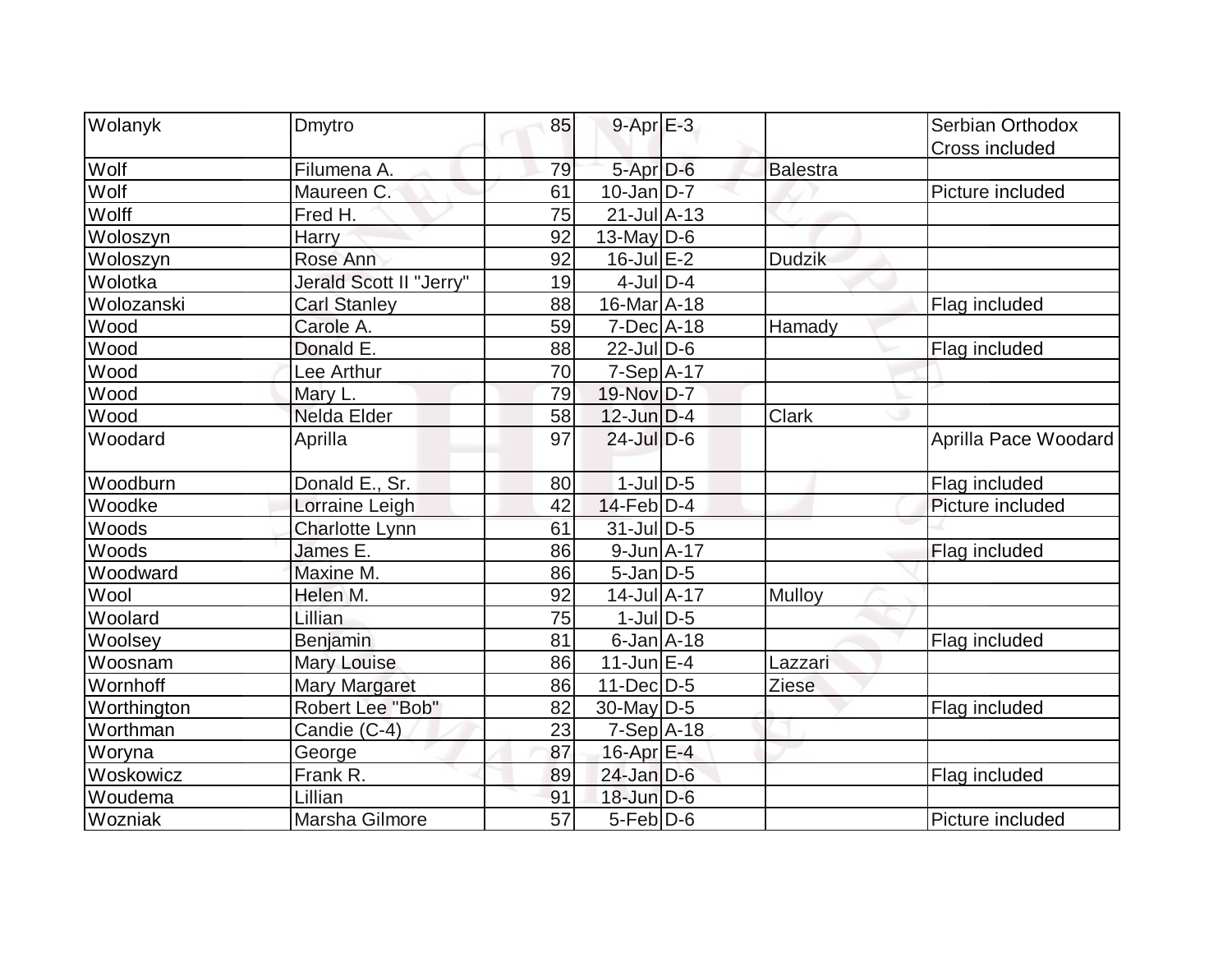| Wolanyk     | Dmytro                  | 85 | $9 - Apr$ $E - 3$   |                 | Serbian Orthodox     |
|-------------|-------------------------|----|---------------------|-----------------|----------------------|
|             |                         |    |                     |                 | Cross included       |
| Wolf        | Filumena A.             | 79 | 5-Apr D-6           | <b>Balestra</b> |                      |
| Wolf        | Maureen C.              | 61 | $10$ -Jan $ D-7 $   |                 | Picture included     |
| Wolff       | Fred H.                 | 75 | $21 - Jul$ $A - 13$ |                 |                      |
| Woloszyn    | Harry                   | 92 | 13-May $D-6$        |                 |                      |
| Woloszyn    | Rose Ann                | 92 | $16$ -Jul $E-2$     | <b>Dudzik</b>   |                      |
| Wolotka     | Jerald Scott II "Jerry" | 19 | $4$ -JulD-4         |                 |                      |
| Wolozanski  | <b>Carl Stanley</b>     | 88 | 16-Mar A-18         |                 | Flag included        |
| Wood        | Carole A.               | 59 | $7$ -Dec $ A-18$    | Hamady          |                      |
| Wood        | Donald E.               | 88 | $22$ -JulD-6        |                 | Flag included        |
| Wood        | Lee Arthur              | 70 | $7-Sep$ A-17        |                 |                      |
| Wood        | Mary L.                 | 79 | 19-Nov D-7          |                 |                      |
| Wood        | Nelda Elder             | 58 | $12$ -Jun $D-4$     | Clark           |                      |
| Woodard     | Aprilla                 | 97 | $24$ -Jul $D-6$     |                 | Aprilla Pace Woodard |
| Woodburn    | Donald E., Sr.          | 80 | $1$ -JulD-5         |                 | Flag included        |
| Woodke      | Lorraine Leigh          | 42 | $14$ -Feb $ D-4$    |                 | Picture included     |
| Woods       | Charlotte Lynn          | 61 | $31$ -Jul $D-5$     |                 |                      |
| Woods       | James E.                | 86 | $9$ -Jun $A$ -17    |                 | Flag included        |
| Woodward    | Maxine M.               | 86 | $5$ -Jan $D-5$      |                 |                      |
| Wool        | Helen M.                | 92 | 14-Jul A-17         | <b>Mulloy</b>   |                      |
| Woolard     | Lillian                 | 75 | $1$ -Jul $D-5$      |                 |                      |
| Woolsey     | Benjamin                | 81 | $6$ -Jan $A$ -18    |                 | Flag included        |
| Woosnam     | <b>Mary Louise</b>      | 86 | $11$ -Jun $E-4$     | Lazzari         |                      |
| Wornhoff    | <b>Mary Margaret</b>    | 86 | $11$ -Dec $ D-5$    | Ziese           |                      |
| Worthington | Robert Lee "Bob"        | 82 | $30$ -May D-5       |                 | Flag included        |
| Worthman    | Candie (C-4)            | 23 | $7-Sep$ $A-18$      |                 |                      |
| Woryna      | George                  | 87 | $16$ -Apr $E-4$     |                 |                      |
| Woskowicz   | Frank R.                | 89 | $24$ -Jan $D-6$     |                 | Flag included        |
| Woudema     | Lillian                 | 91 | $18$ -Jun $D-6$     |                 |                      |
| Wozniak     | Marsha Gilmore          | 57 | $5$ -Feb $D$ -6     |                 | Picture included     |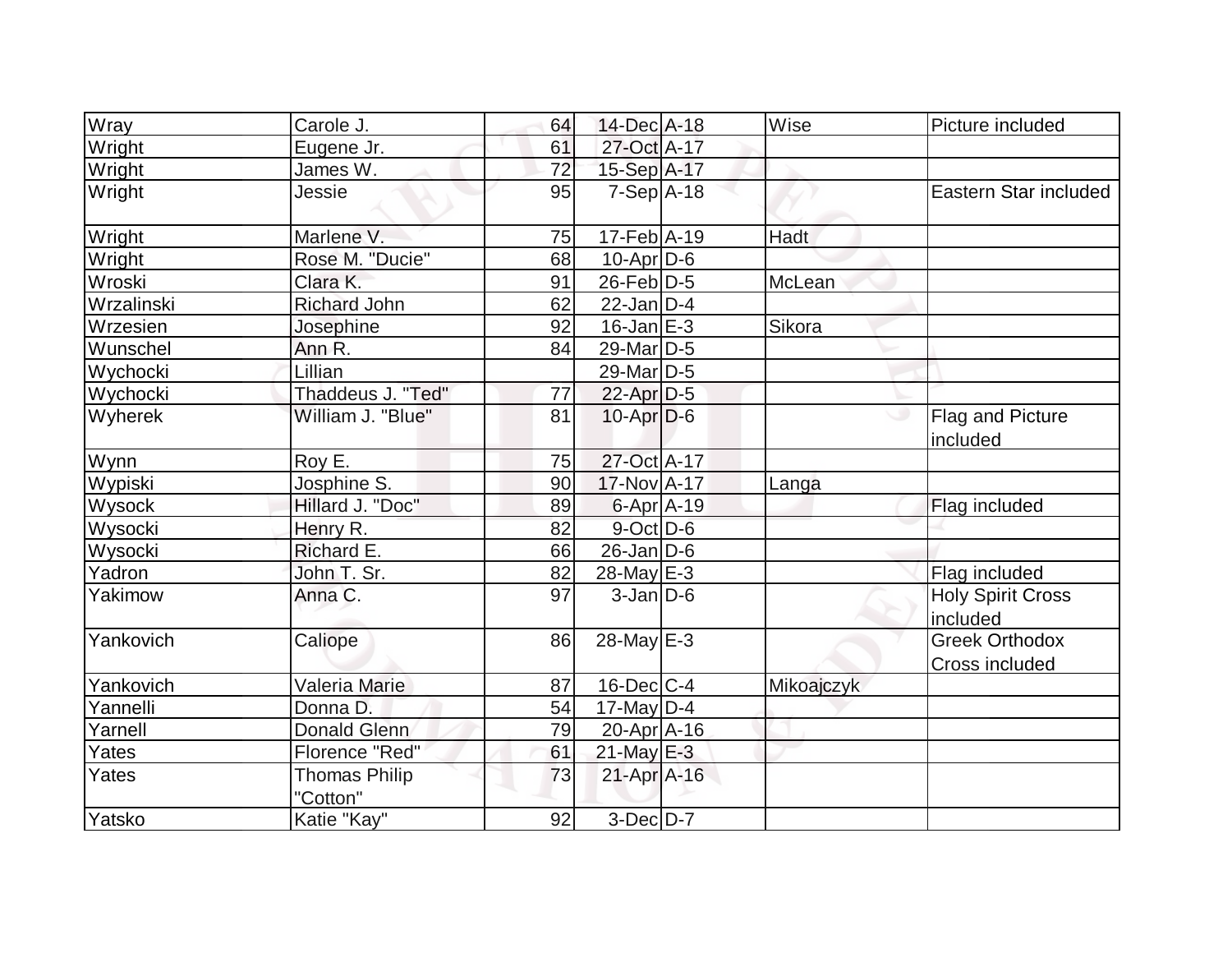| Wray       | Carole J.                        | 64 | $14$ -Dec $A$ -18     | Wise        | Picture included                        |
|------------|----------------------------------|----|-----------------------|-------------|-----------------------------------------|
| Wright     | Eugene Jr.                       | 61 | 27-Oct A-17           |             |                                         |
| Wright     | James W.                         | 72 | 15-Sep A-17           |             |                                         |
| Wright     | Jessie                           | 95 | $7-Sep$ A-18          |             | Eastern Star included                   |
| Wright     | Marlene V.                       | 75 | $17-Feb$ A-19         | <b>Hadt</b> |                                         |
| Wright     | Rose M. "Ducie"                  | 68 | $10$ -Apr $D-6$       |             |                                         |
| Wroski     | Clara K.                         | 91 | $26$ -Feb $ D-5 $     | McLean      |                                         |
| Wrzalinski | <b>Richard John</b>              | 62 | $22$ -Jan D-4         |             |                                         |
| Wrzesien   | Josephine                        | 92 | $16$ -Jan $E-3$       | Sikora      |                                         |
| Wunschel   | Ann R.                           | 84 | 29-Mar <sub>D-5</sub> |             |                                         |
| Wychocki   | Lillian                          |    | 29-Mar <sub>D-5</sub> |             |                                         |
| Wychocki   | Thaddeus J. "Ted"                | 77 | $22$ -Apr $D-5$       |             |                                         |
| Wyherek    | William J. "Blue"                | 81 | $10$ -Apr $D-6$       |             | Flag and Picture<br>included            |
| Wynn       | Roy E.                           | 75 | 27-Oct A-17           |             |                                         |
| Wypiski    | Josphine S.                      | 90 | 17-Nov A-17           | Langa       |                                         |
| Wysock     | Hillard J. "Doc"                 | 89 | $6 - Apr$ $A - 19$    |             | Flag included                           |
| Wysocki    | Henry R.                         | 82 | $9$ -Oct $D$ -6       |             |                                         |
| Wysocki    | Richard E.                       | 66 | $26$ -Jan $D-6$       |             |                                         |
| Yadron     | John T. Sr.                      | 82 | $28$ -May $E-3$       |             | Flag included                           |
| Yakimow    | Anna C.                          | 97 | $3-Jan/D-6$           |             | <b>Holy Spirit Cross</b><br>included    |
| Yankovich  | Caliope                          | 86 | $28$ -May $E-3$       |             | <b>Greek Orthodox</b><br>Cross included |
| Yankovich  | Valeria Marie                    | 87 | $16$ -Dec $C$ -4      | Mikoajczyk  |                                         |
| Yannelli   | Donna D.                         | 54 | $17$ -May D-4         |             |                                         |
| Yarnell    | <b>Donald Glenn</b>              | 79 | $20 - Apr$ $A - 16$   |             |                                         |
| Yates      | Florence "Red"                   | 61 | $21$ -May E-3         |             |                                         |
| Yates      | <b>Thomas Philip</b><br>"Cotton" | 73 | $21-Apr$ A-16         |             |                                         |
| Yatsko     | Katie "Kay"                      | 92 | $3-Dec$ D-7           |             |                                         |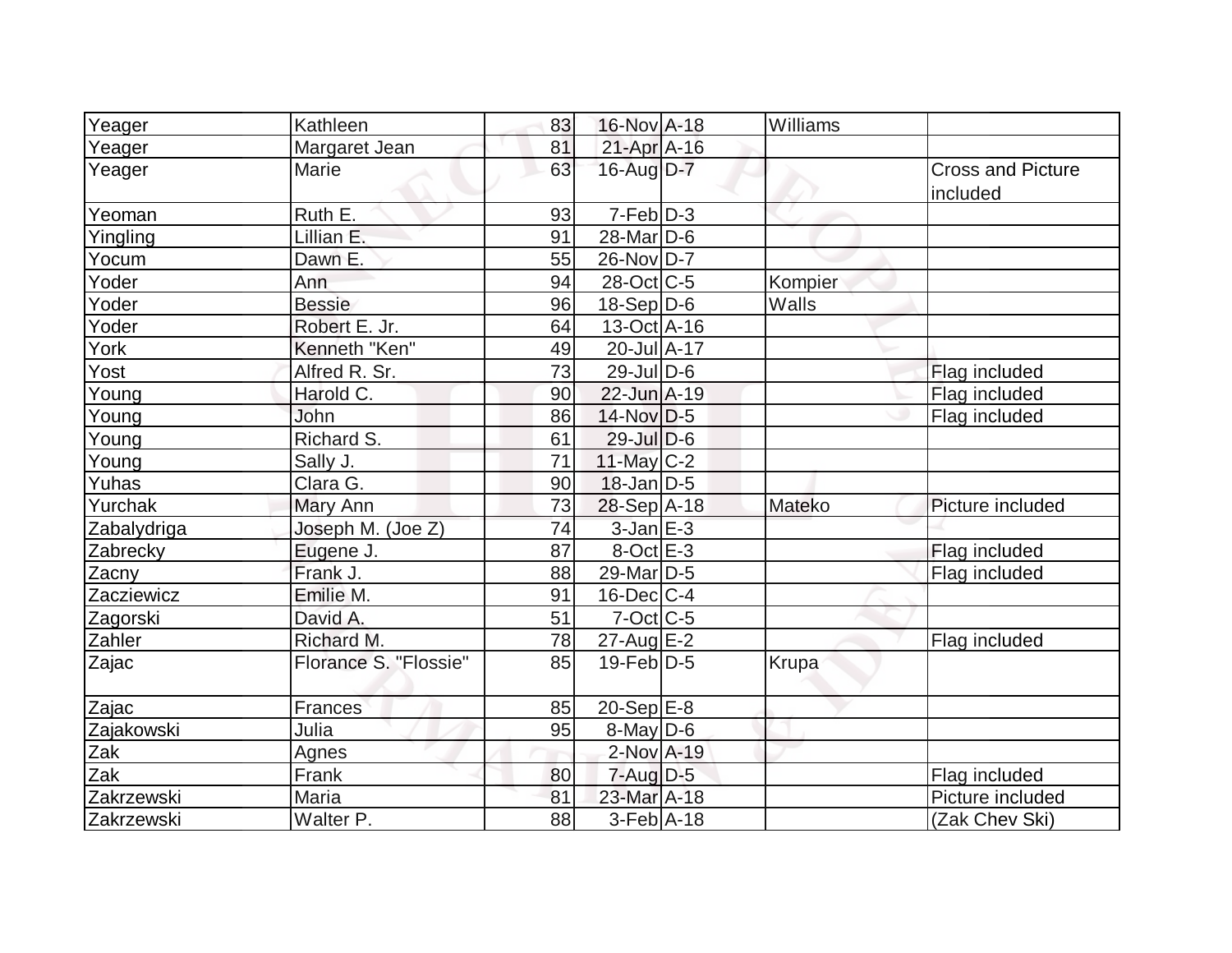| Yeager      | Kathleen              | 83 | 16-Nov A-18           | Williams |                                      |
|-------------|-----------------------|----|-----------------------|----------|--------------------------------------|
| Yeager      | Margaret Jean         | 81 | 21-Apr A-16           |          |                                      |
| Yeager      | Marie                 | 63 | 16-Aug D-7            |          | <b>Cross and Picture</b><br>included |
| Yeoman      | Ruth E.               | 93 | $7-Feb\overline{D-3}$ |          |                                      |
| Yingling    | Lillian E.            | 91 | $28$ -Mar $ D-6 $     |          |                                      |
| Yocum       | Dawn E.               | 55 | 26-Nov D-7            |          |                                      |
| Yoder       | Ann                   | 94 | 28-Oct C-5            | Kompier  |                                      |
| Yoder       | <b>Bessie</b>         | 96 | $18-Sep D-6$          | Walls    |                                      |
| Yoder       | Robert E. Jr.         | 64 | $13-Oct$ A-16         |          |                                      |
| York        | Kenneth "Ken"         | 49 | 20-Jul A-17           |          |                                      |
| Yost        | Alfred R. Sr.         | 73 | $29$ -JulD-6          |          | Flag included                        |
| Young       | Harold C.             | 90 | 22-Jun A-19           |          | Flag included                        |
| Young       | John                  | 86 | 14-Nov D-5            |          | Flag included                        |
| Young       | Richard S.            | 61 | $29$ -Jul $D-6$       |          |                                      |
| Young       | Sally J.              | 71 | $11$ -May C-2         |          |                                      |
| Yuhas       | Clara G.              | 90 | $18$ -Jan $D-5$       |          |                                      |
| Yurchak     | Mary Ann              | 73 | $28-Sep$ A-18         | Mateko   | Picture included                     |
| Zabalydriga | Joseph M. (Joe Z)     | 74 | $3$ -Jan $E-3$        |          |                                      |
| Zabrecky    | Eugene J.             | 87 | 8-Oct E-3             |          | Flag included                        |
| Zacny       | Frank J.              | 88 | 29-Mar <sub>D-5</sub> |          | Flag included                        |
| Zacziewicz  | Emilie M.             | 91 | $16$ -Dec $ C-4 $     |          |                                      |
| Zagorski    | David A.              | 51 | $7$ -Oct C-5          |          |                                      |
| Zahler      | Richard M.            | 78 | $27$ -Aug $E-2$       |          | Flag included                        |
| Zajac       | Florance S. "Flossie" | 85 | $19$ -Feb $ D-5$      | Krupa    |                                      |
| Zajac       | Frances               | 85 | $20-Sep$ $E-8$        |          |                                      |
| Zajakowski  | Julia                 | 95 | $8$ -May $D$ -6       |          |                                      |
| Zak         | Agnes                 |    | 2-Nov A-19            |          |                                      |
| Zak         | Frank                 | 80 | $7 - Aug$ $D-5$       |          | Flag included                        |
| Zakrzewski  | Maria                 | 81 | 23-Mar A-18           |          | Picture included                     |
| Zakrzewski  | Walter P.             | 88 | $3-Feb$ A-18          |          | (Zak Chev Ski)                       |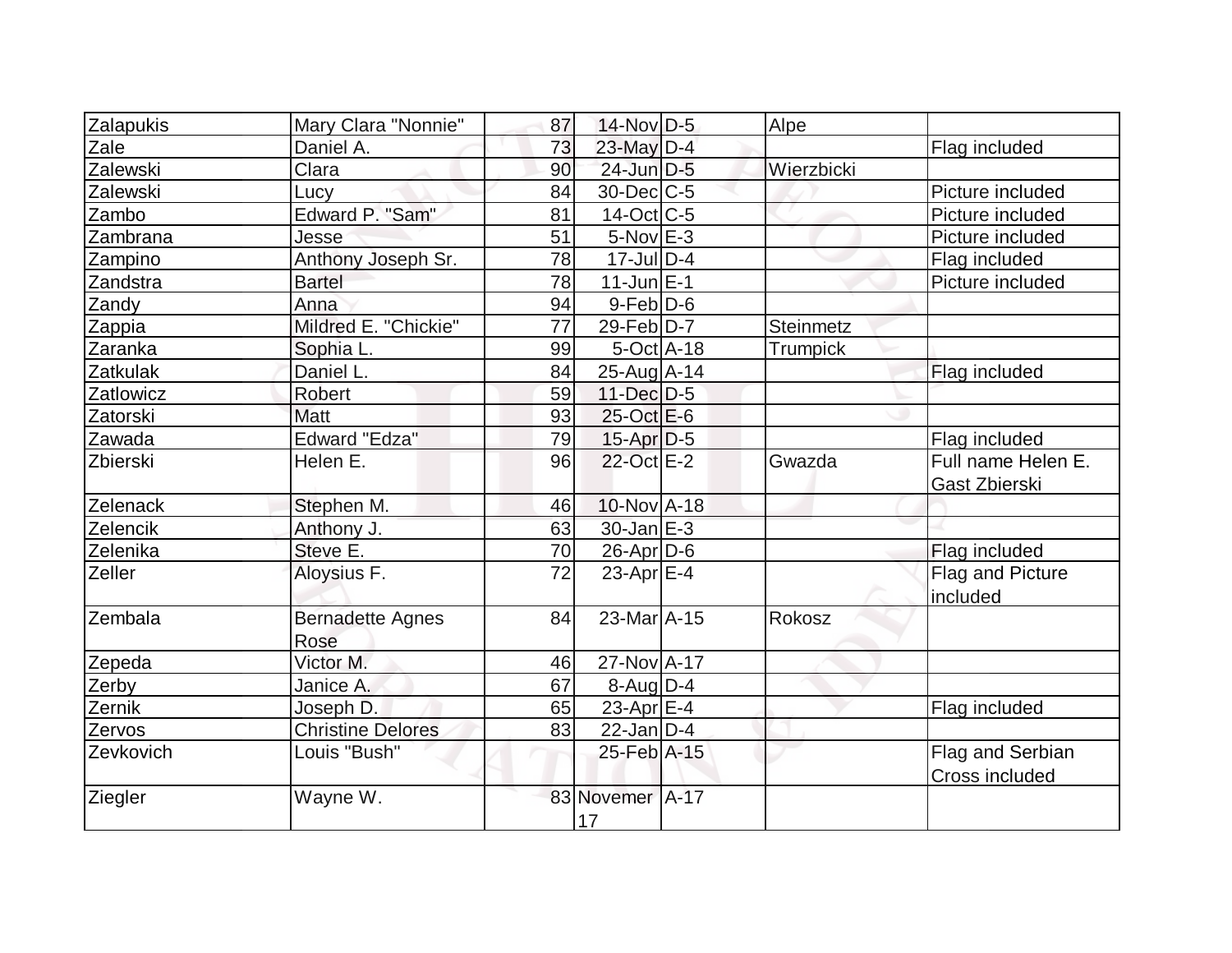| Zalapukis | Mary Clara "Nonnie"             | 87 | 14-Nov D-5            | Alpe       |                                            |
|-----------|---------------------------------|----|-----------------------|------------|--------------------------------------------|
| Zale      | Daniel A.                       | 73 | 23-May D-4            |            | Flag included                              |
| Zalewski  | Clara                           | 90 | $24$ -Jun $D-5$       | Wierzbicki |                                            |
| Zalewski  | Lucy                            | 84 | $30$ -Dec $C$ -5      |            | Picture included                           |
| Zambo     | Edward P. "Sam"                 | 81 | $14$ -Oct $ C-5 $     |            | Picture included                           |
| Zambrana  | Jesse                           | 51 | $5-Nov$ $E-3$         |            | Picture included                           |
| Zampino   | Anthony Joseph Sr.              | 78 | $17$ -Jul $D-4$       |            | Flag included                              |
| Zandstra  | <b>Bartel</b>                   | 78 | $11$ -Jun $E-1$       |            | Picture included                           |
| Zandy     | Anna                            | 94 | $9$ -Feb $D$ -6       |            |                                            |
| Zappia    | Mildred E. "Chickie"            | 77 | $29$ -Feb $D$ -7      | Steinmetz  |                                            |
| Zaranka   | Sophia L.                       | 99 | $5-Oct$ A-18          | Trumpick   |                                            |
| Zatkulak  | Daniel L.                       | 84 | $25$ -Aug $A$ -14     |            | Flag included                              |
| Zatlowicz | Robert                          | 59 | 11-Dec D-5            |            |                                            |
| Zatorski  | <b>Matt</b>                     | 93 | $25$ -Oct $E$ -6      |            |                                            |
| Zawada    | Edward "Edza"                   | 79 | 15-Apr D-5            |            | Flag included                              |
| Zbierski  | Helen E.                        | 96 | 22-Oct E-2            | Gwazda     | Full name Helen E.<br><b>Gast Zbierski</b> |
| Zelenack  | Stephen M.                      | 46 | 10-Nov A-18           |            |                                            |
| Zelencik  | Anthony J.                      | 63 | $30$ -Jan $E-3$       |            |                                            |
| Zelenika  | Steve E.                        | 70 | $26$ -Apr $ D-6$      |            | Flag included                              |
| Zeller    | Aloysius F.                     | 72 | 23-Apr $E-4$          |            | Flag and Picture<br>included               |
| Zembala   | <b>Bernadette Agnes</b><br>Rose | 84 | $23$ -Mar $A$ -15     | Rokosz     |                                            |
| Zepeda    | Victor M.                       | 46 | 27-Nov A-17           |            |                                            |
| Zerby     | Janice A.                       | 67 | 8-Aug D-4             |            |                                            |
| Zernik    | Joseph D.                       | 65 | 23-Apr $E-4$          |            | Flag included                              |
| Zervos    | <b>Christine Delores</b>        | 83 | $22$ -Jan D-4         |            |                                            |
| Zevkovich | Louis "Bush"                    |    | 25-Feb A-15           |            | Flag and Serbian<br>Cross included         |
| Ziegler   | Wayne W.                        |    | 83 Novemer A-17<br>17 |            |                                            |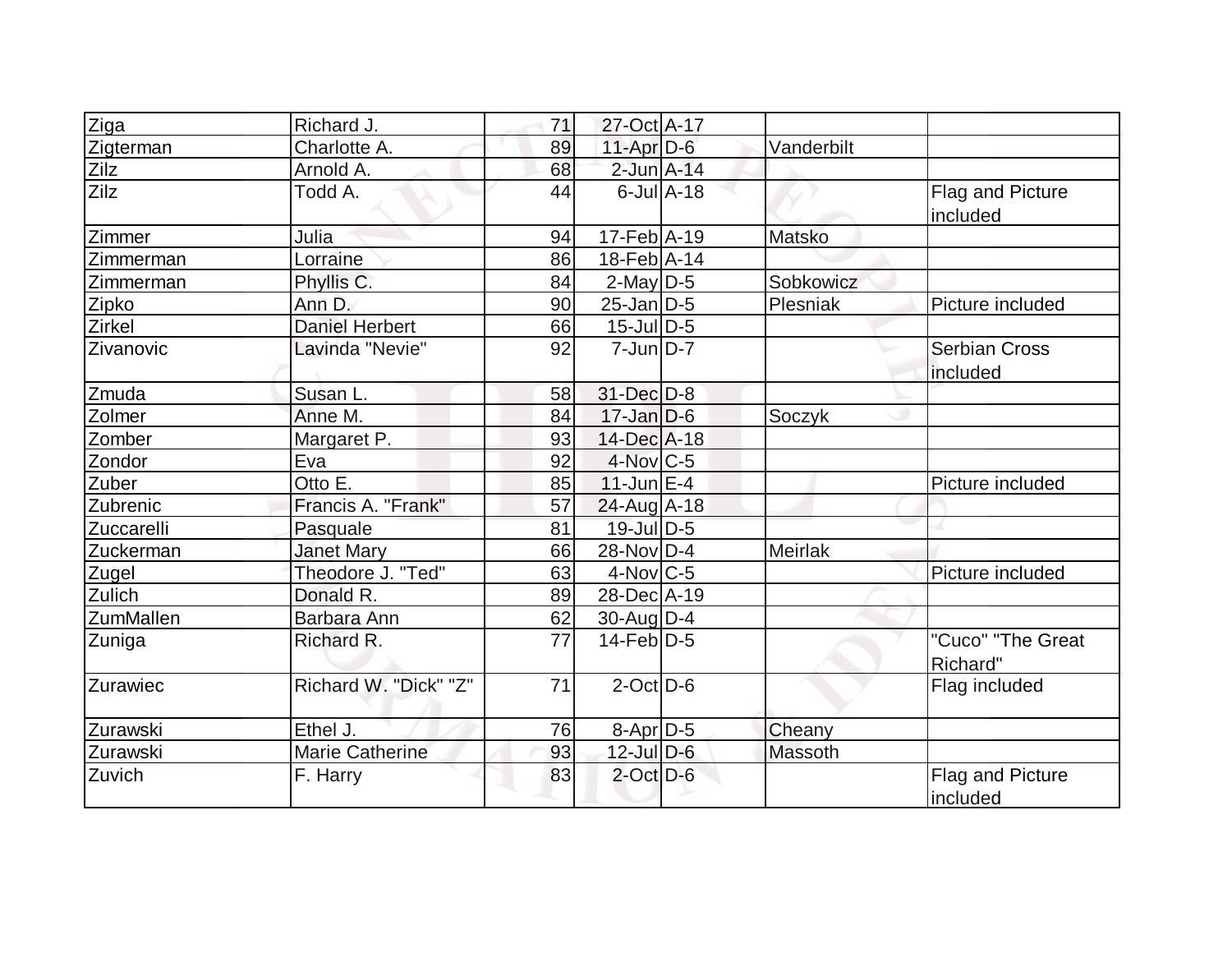| Ziga         | Richard J.             | 71 | 27-Oct A-17       |                  |            |                                  |
|--------------|------------------------|----|-------------------|------------------|------------|----------------------------------|
| Zigterman    | Charlotte A.           | 89 | $11-Apr$ D-6      |                  | Vanderbilt |                                  |
| Zilz         | Arnold A.              | 68 | $2$ -Jun $A-14$   |                  |            |                                  |
| Zilz         | Todd A.                | 44 |                   | $6$ -Jul $A$ -18 |            | Flag and Picture<br>included     |
| Zimmer       | Julia                  | 94 | $17-Feb$ A-19     |                  | Matsko     |                                  |
| Zimmerman    | Lorraine               | 86 | $18$ -Feb $ A-14$ |                  |            |                                  |
| Zimmerman    | Phyllis C.             | 84 | $2$ -May $D-5$    |                  | Sobkowicz  |                                  |
| Zipko        | Ann D.                 | 90 | $25$ -Jan $D-5$   |                  | Plesniak   | Picture included                 |
| Zirkel       | <b>Daniel Herbert</b>  | 66 | $15$ -Jul $D$ -5  |                  |            |                                  |
| Zivanovic    | Lavinda "Nevie"        | 92 | $7$ -Jun $D-7$    |                  |            | <b>Serbian Cross</b><br>included |
| Zmuda        | Susan L.               | 58 | 31-Dec D-8        |                  |            |                                  |
| Zolmer       | Anne M.                | 84 | $17$ -Jan $D-6$   |                  | Soczyk     |                                  |
| Zomber       | Margaret P.            | 93 | 14-Dec A-18       |                  |            |                                  |
| Zondor       | Eva                    | 92 | $4$ -Nov $ C-5 $  |                  |            |                                  |
| Zuber        | Otto E.                | 85 | $11$ -Jun $E-4$   |                  |            | Picture included                 |
| Zubrenic     | Francis A. "Frank"     | 57 | $24$ -Aug A-18    |                  |            |                                  |
| Zuccarelli   | Pasquale               | 81 | $19$ -Jul $D-5$   |                  |            |                                  |
| Zuckerman    | Janet Mary             | 66 | 28-Nov D-4        |                  | Meirlak    |                                  |
| <b>Zugel</b> | Theodore J. "Ted"      | 63 | $4$ -Nov $ C$ -5  |                  |            | Picture included                 |
| Zulich       | Donald R.              | 89 | 28-Dec A-19       |                  |            |                                  |
| ZumMallen    | Barbara Ann            | 62 | $30$ -Aug $D-4$   |                  |            |                                  |
| Zuniga       | Richard R.             | 77 | $14$ -Feb $ D-5$  |                  |            | "Cuco" "The Great<br>Richard"    |
| Zurawiec     | Richard W. "Dick" "Z"  | 71 | $2$ -Oct $D$ -6   |                  |            | Flag included                    |
| Zurawski     | Ethel J.               | 76 | 8-Apr D-5         |                  | Cheany     |                                  |
| Zurawski     | <b>Marie Catherine</b> | 93 | $12$ -Jul $D-6$   |                  | Massoth    |                                  |
| Zuvich       | F. Harry               | 83 | $2$ -Oct $D-6$    |                  |            | Flag and Picture<br>included     |